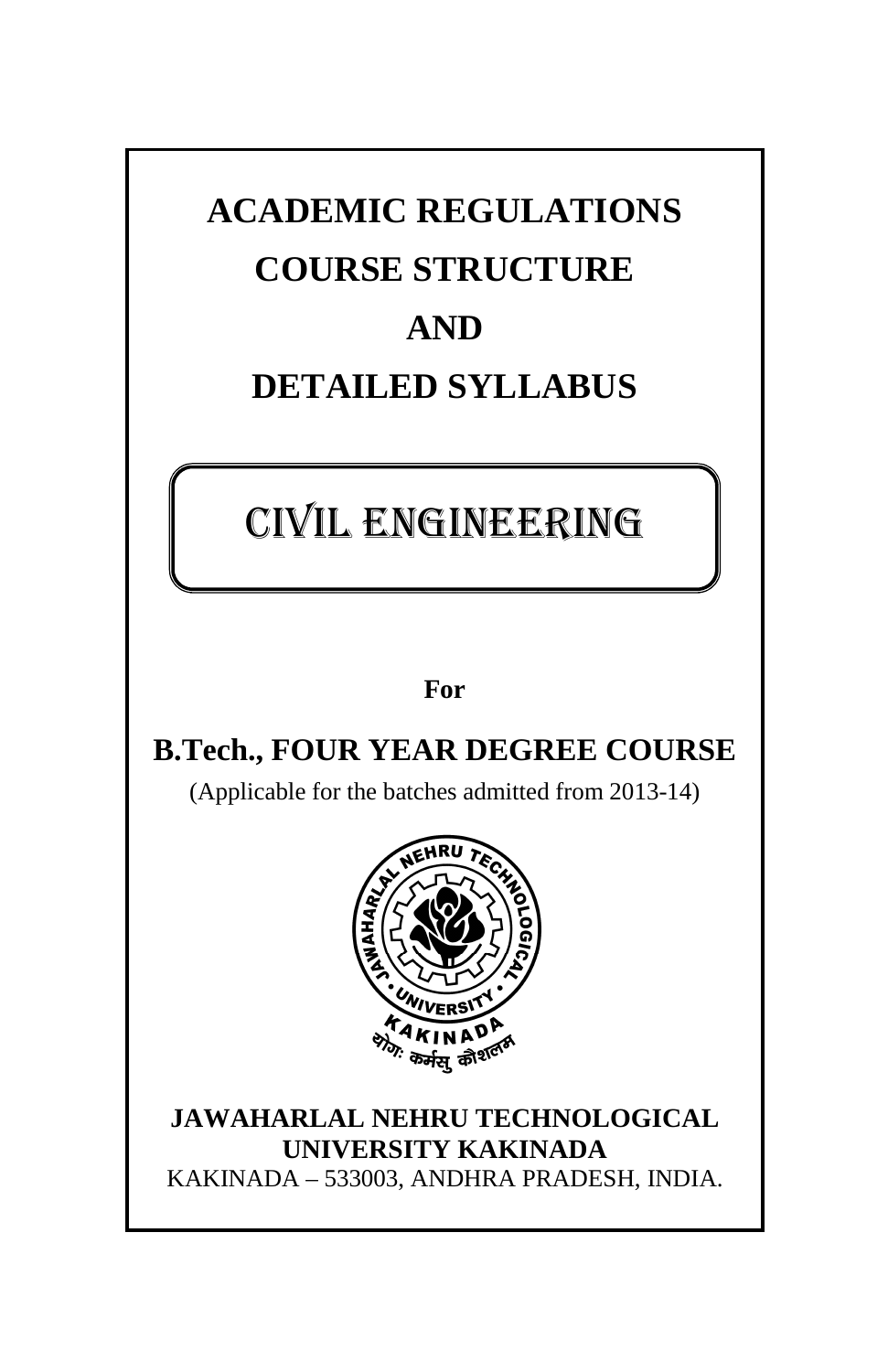# **ACADEMIC REGULATIONS COURSE STRUCTURE AND DETAILED SYLLABUS**

# CIVIL ENGINEERING

# **For**

# **B.Tech., FOUR YEAR DEGREE COURSE**

(Applicable for the batches admitted from 2013-14)



**JAWAHARLAL NEHRU TECHNOLOGICAL UNIVERSITY KAKINADA** KAKINADA – 533003, ANDHRA PRADESH, INDIA.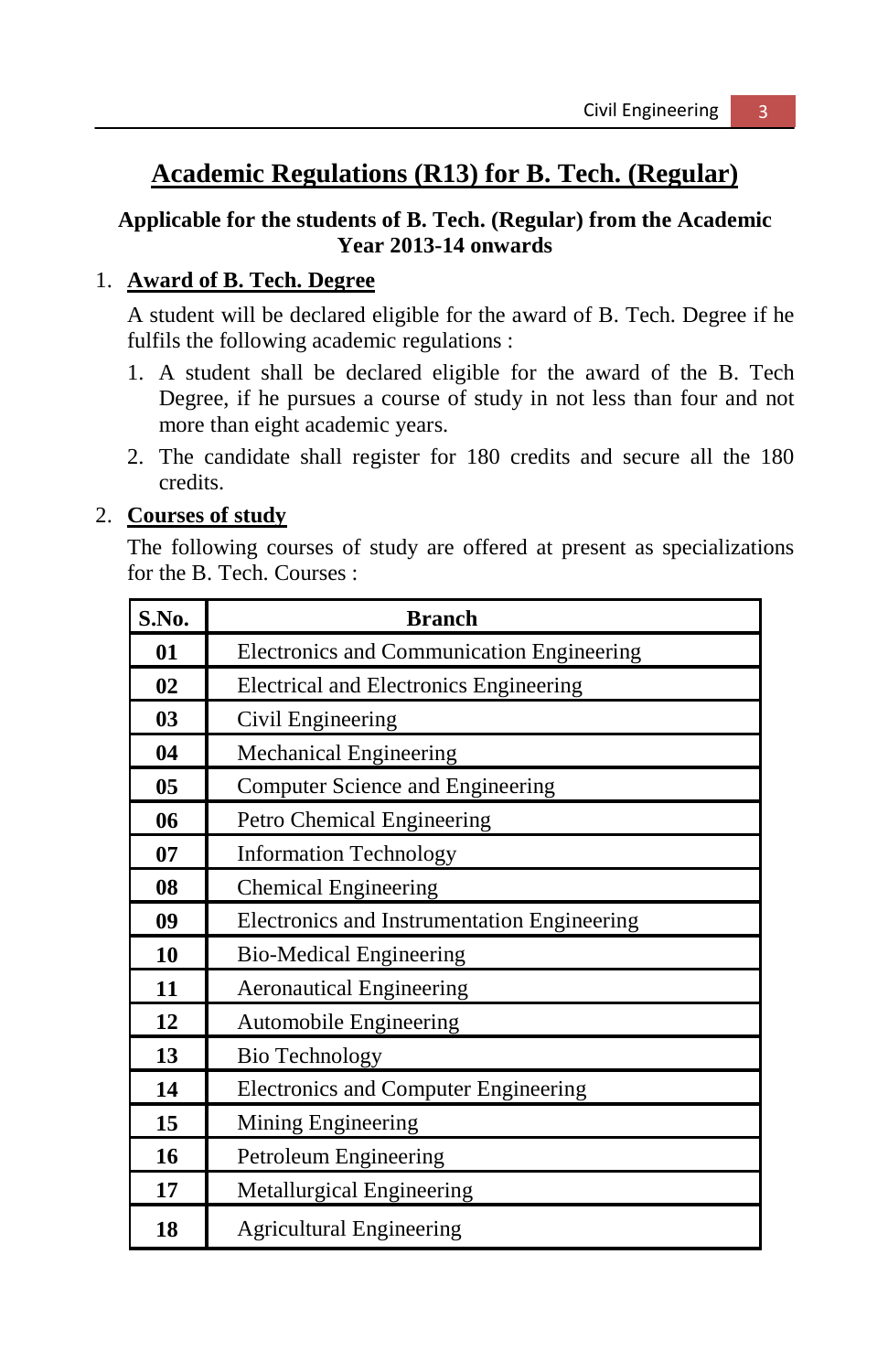# **Academic Regulations (R13) for B. Tech. (Regular)**

# **Applicable for the students of B. Tech. (Regular) from the Academic Year 2013-14 onwards**

# 1. **Award of B. Tech. Degree**

 A student will be declared eligible for the award of B. Tech. Degree if he fulfils the following academic regulations :

- 1. A student shall be declared eligible for the award of the B. Tech Degree, if he pursues a course of study in not less than four and not more than eight academic years.
- 2. The candidate shall register for 180 credits and secure all the 180 credits.

# 2. **Courses of study**

 The following courses of study are offered at present as specializations for the B. Tech. Courses :

| S.No. | <b>Branch</b>                               |
|-------|---------------------------------------------|
| 01    | Electronics and Communication Engineering   |
| 02    | Electrical and Electronics Engineering      |
| 03    | Civil Engineering                           |
| 04    | Mechanical Engineering                      |
| 05    | Computer Science and Engineering            |
| 06    | Petro Chemical Engineering                  |
| 07    | <b>Information Technology</b>               |
| 08    | <b>Chemical Engineering</b>                 |
| 09    | Electronics and Instrumentation Engineering |
| 10    | <b>Bio-Medical Engineering</b>              |
| 11    | <b>Aeronautical Engineering</b>             |
| 12    | Automobile Engineering                      |
| 13    | <b>Bio Technology</b>                       |
| 14    | <b>Electronics and Computer Engineering</b> |
| 15    | Mining Engineering                          |
| 16    | Petroleum Engineering                       |
| 17    | Metallurgical Engineering                   |
| 18    | <b>Agricultural Engineering</b>             |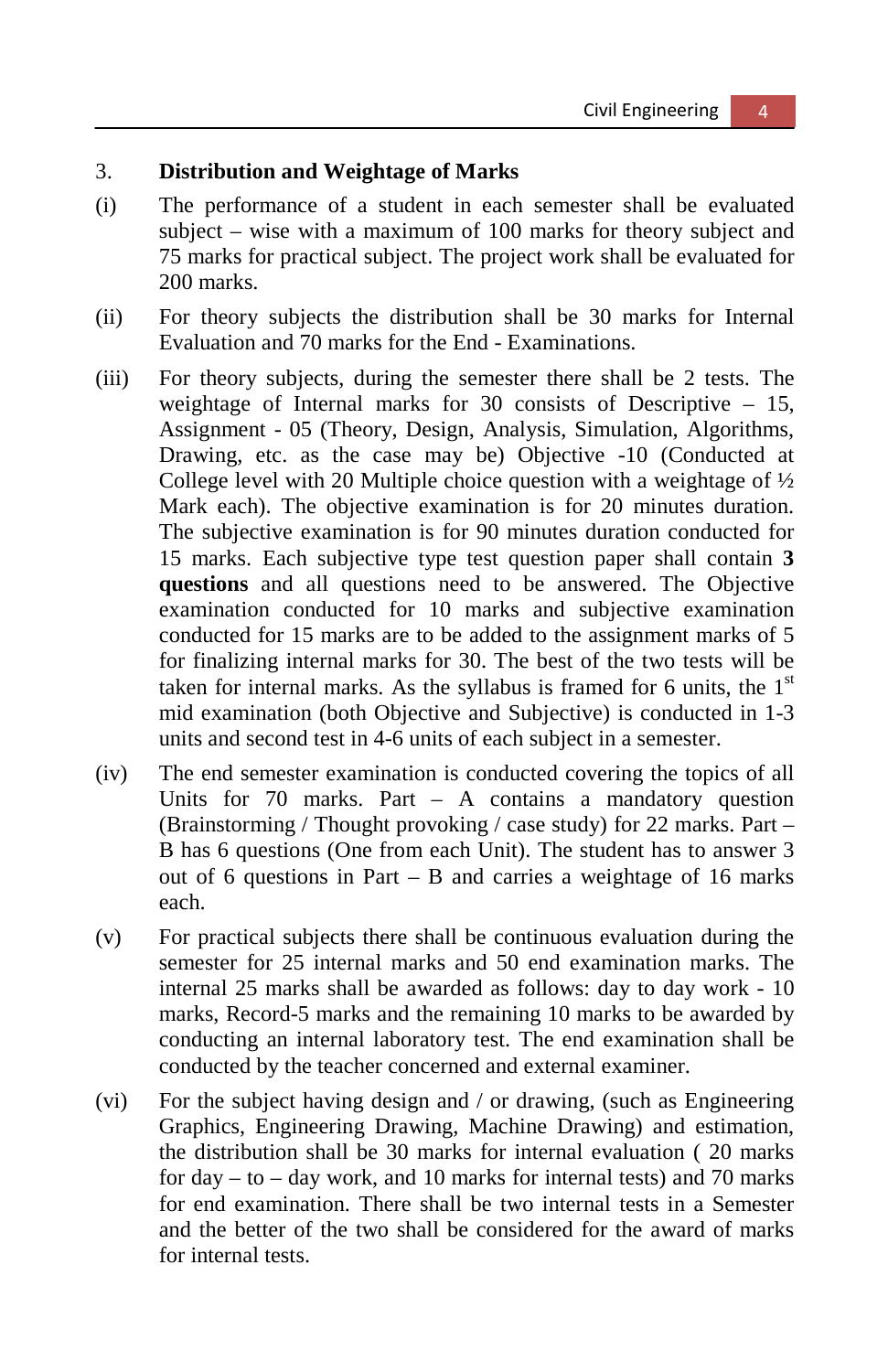# 3. **Distribution and Weightage of Marks**

- (i) The performance of a student in each semester shall be evaluated subject – wise with a maximum of 100 marks for theory subject and 75 marks for practical subject. The project work shall be evaluated for 200 marks.
- (ii) For theory subjects the distribution shall be 30 marks for Internal Evaluation and 70 marks for the End - Examinations.
- (iii) For theory subjects, during the semester there shall be 2 tests. The weightage of Internal marks for 30 consists of Descriptive – 15, Assignment - 05 (Theory, Design, Analysis, Simulation, Algorithms, Drawing, etc. as the case may be) Objective -10 (Conducted at College level with 20 Multiple choice question with a weightage of  $\frac{1}{2}$ Mark each). The objective examination is for 20 minutes duration. The subjective examination is for 90 minutes duration conducted for 15 marks. Each subjective type test question paper shall contain **3 questions** and all questions need to be answered. The Objective examination conducted for 10 marks and subjective examination conducted for 15 marks are to be added to the assignment marks of 5 for finalizing internal marks for 30. The best of the two tests will be taken for internal marks. As the syllabus is framed for 6 units, the  $1<sup>st</sup>$ mid examination (both Objective and Subjective) is conducted in 1-3 units and second test in 4-6 units of each subject in a semester.
- (iv) The end semester examination is conducted covering the topics of all Units for 70 marks. Part – A contains a mandatory question (Brainstorming / Thought provoking / case study) for 22 marks. Part – B has 6 questions (One from each Unit). The student has to answer 3 out of 6 questions in Part – B and carries a weightage of 16 marks each.
- (v) For practical subjects there shall be continuous evaluation during the semester for 25 internal marks and 50 end examination marks. The internal 25 marks shall be awarded as follows: day to day work - 10 marks, Record-5 marks and the remaining 10 marks to be awarded by conducting an internal laboratory test. The end examination shall be conducted by the teacher concerned and external examiner.
- (vi) For the subject having design and / or drawing, (such as Engineering Graphics, Engineering Drawing, Machine Drawing) and estimation, the distribution shall be 30 marks for internal evaluation ( 20 marks for  $day - to - day$  work, and 10 marks for internal tests) and 70 marks for end examination. There shall be two internal tests in a Semester and the better of the two shall be considered for the award of marks for internal tests.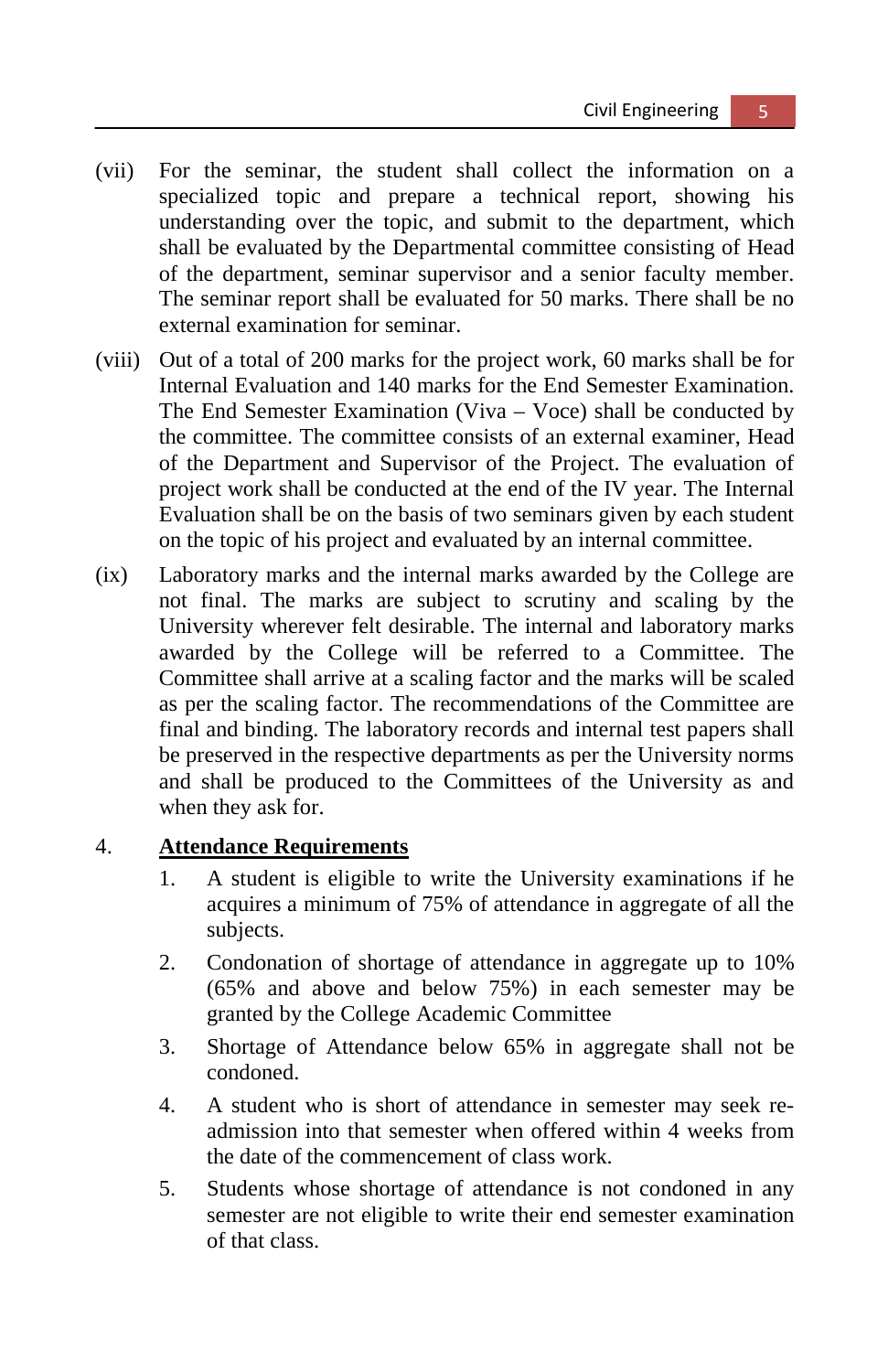- (vii) For the seminar, the student shall collect the information on a specialized topic and prepare a technical report, showing his understanding over the topic, and submit to the department, which shall be evaluated by the Departmental committee consisting of Head of the department, seminar supervisor and a senior faculty member. The seminar report shall be evaluated for 50 marks. There shall be no external examination for seminar.
- (viii) Out of a total of 200 marks for the project work, 60 marks shall be for Internal Evaluation and 140 marks for the End Semester Examination. The End Semester Examination (Viva – Voce) shall be conducted by the committee. The committee consists of an external examiner, Head of the Department and Supervisor of the Project. The evaluation of project work shall be conducted at the end of the IV year. The Internal Evaluation shall be on the basis of two seminars given by each student on the topic of his project and evaluated by an internal committee.
- (ix) Laboratory marks and the internal marks awarded by the College are not final. The marks are subject to scrutiny and scaling by the University wherever felt desirable. The internal and laboratory marks awarded by the College will be referred to a Committee. The Committee shall arrive at a scaling factor and the marks will be scaled as per the scaling factor. The recommendations of the Committee are final and binding. The laboratory records and internal test papers shall be preserved in the respective departments as per the University norms and shall be produced to the Committees of the University as and when they ask for.

# 4. **Attendance Requirements**

- 1. A student is eligible to write the University examinations if he acquires a minimum of 75% of attendance in aggregate of all the subjects.
- 2. Condonation of shortage of attendance in aggregate up to 10% (65% and above and below 75%) in each semester may be granted by the College Academic Committee
- 3. Shortage of Attendance below 65% in aggregate shall not be condoned.
- 4. A student who is short of attendance in semester may seek readmission into that semester when offered within 4 weeks from the date of the commencement of class work.
- 5. Students whose shortage of attendance is not condoned in any semester are not eligible to write their end semester examination of that class.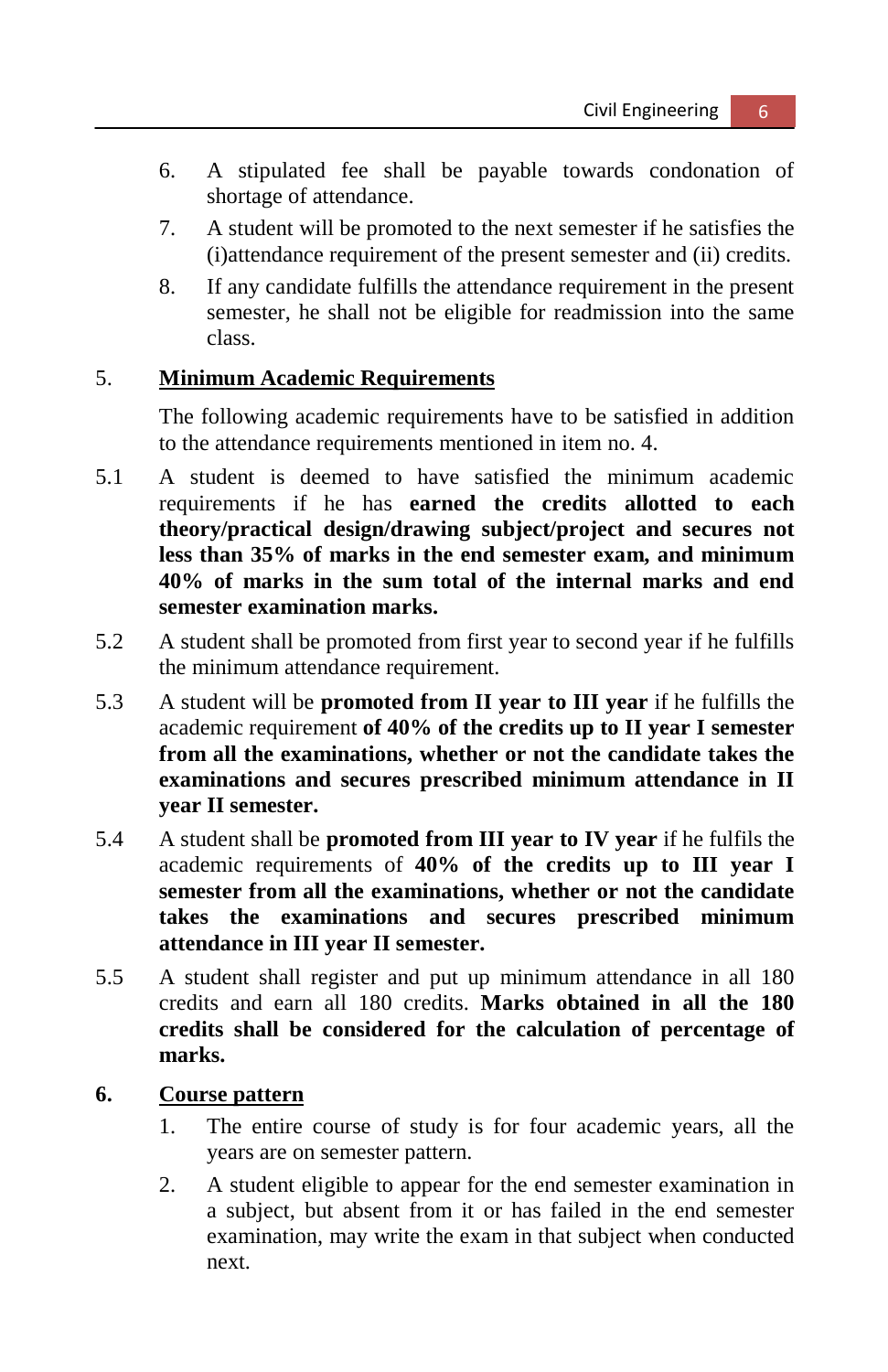- 6. A stipulated fee shall be payable towards condonation of shortage of attendance.
- 7. A student will be promoted to the next semester if he satisfies the (i)attendance requirement of the present semester and (ii) credits.
- 8. If any candidate fulfills the attendance requirement in the present semester, he shall not be eligible for readmission into the same class.

# 5. **Minimum Academic Requirements**

 The following academic requirements have to be satisfied in addition to the attendance requirements mentioned in item no. 4.

- 5.1 A student is deemed to have satisfied the minimum academic requirements if he has **earned the credits allotted to each theory/practical design/drawing subject/project and secures not less than 35% of marks in the end semester exam, and minimum 40% of marks in the sum total of the internal marks and end semester examination marks.**
- 5.2 A student shall be promoted from first year to second year if he fulfills the minimum attendance requirement.
- 5.3 A student will be **promoted from II year to III year** if he fulfills the academic requirement **of 40% of the credits up to II year I semester from all the examinations, whether or not the candidate takes the examinations and secures prescribed minimum attendance in II year II semester.**
- 5.4 A student shall be **promoted from III year to IV year** if he fulfils the academic requirements of **40% of the credits up to III year I semester from all the examinations, whether or not the candidate takes the examinations and secures prescribed minimum attendance in III year II semester.**
- 5.5 A student shall register and put up minimum attendance in all 180 credits and earn all 180 credits. **Marks obtained in all the 180 credits shall be considered for the calculation of percentage of marks.**

# **6. Course pattern**

- 1. The entire course of study is for four academic years, all the years are on semester pattern.
- 2. A student eligible to appear for the end semester examination in a subject, but absent from it or has failed in the end semester examination, may write the exam in that subject when conducted next.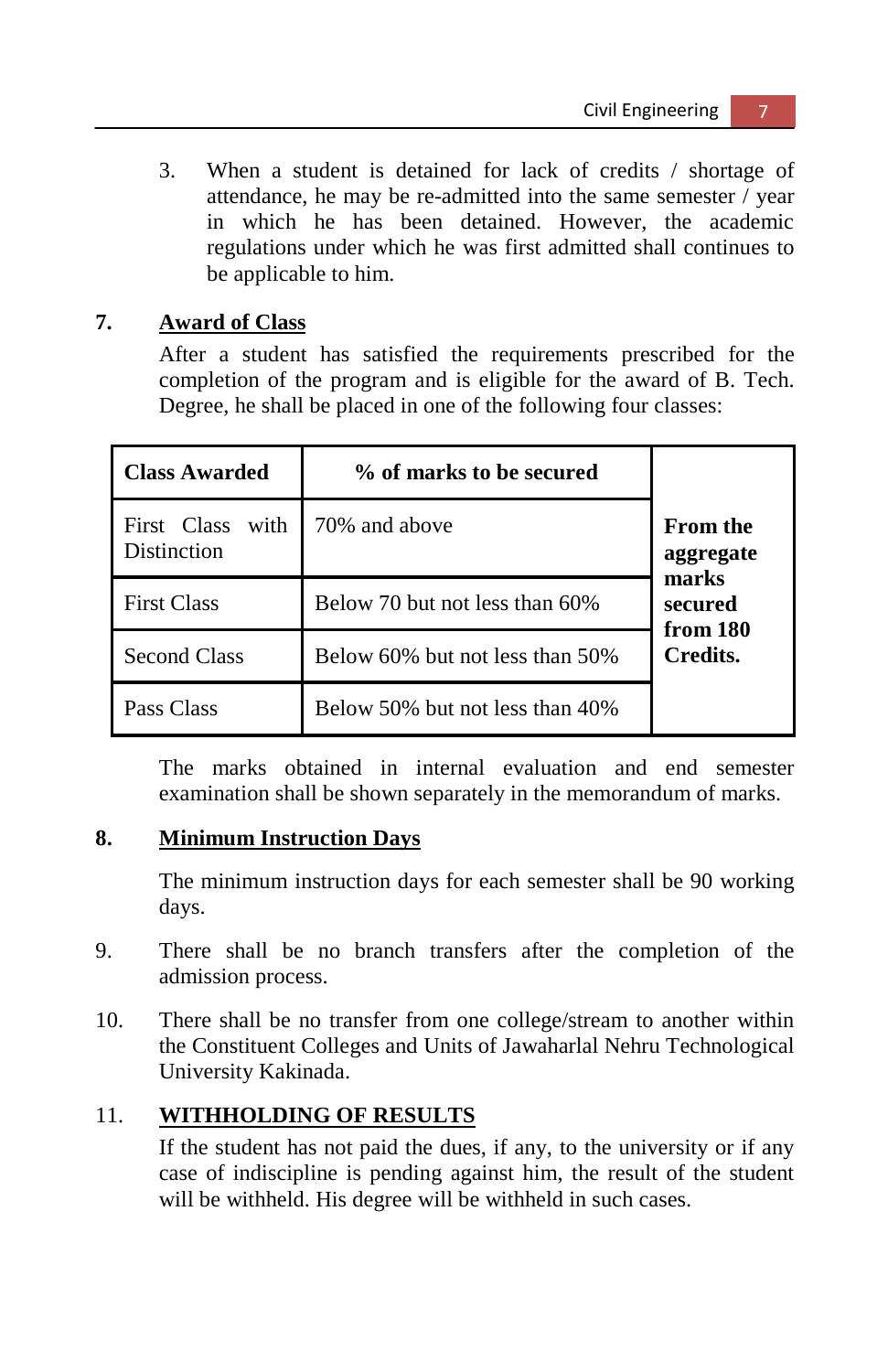3. When a student is detained for lack of credits / shortage of attendance, he may be re-admitted into the same semester / year in which he has been detained. However, the academic regulations under which he was first admitted shall continues to be applicable to him.

# **7. Award of Class**

 After a student has satisfied the requirements prescribed for the completion of the program and is eligible for the award of B. Tech. Degree, he shall be placed in one of the following four classes:

| <b>Class Awarded</b>               | % of marks to be secured        |                              |
|------------------------------------|---------------------------------|------------------------------|
| First Class<br>with<br>Distinction | 70% and above                   | <b>From the</b><br>aggregate |
| <b>First Class</b>                 | Below 70 but not less than 60%  | marks<br>secured<br>from 180 |
| Second Class                       | Below 60% but not less than 50% | Credits.                     |
| Pass Class                         | Below 50% but not less than 40% |                              |

 The marks obtained in internal evaluation and end semester examination shall be shown separately in the memorandum of marks.

# **8. Minimum Instruction Days**

 The minimum instruction days for each semester shall be 90 working days.

- 9. There shall be no branch transfers after the completion of the admission process.
- 10. There shall be no transfer from one college/stream to another within the Constituent Colleges and Units of Jawaharlal Nehru Technological University Kakinada.

# 11. **WITHHOLDING OF RESULTS**

 If the student has not paid the dues, if any, to the university or if any case of indiscipline is pending against him, the result of the student will be withheld. His degree will be withheld in such cases.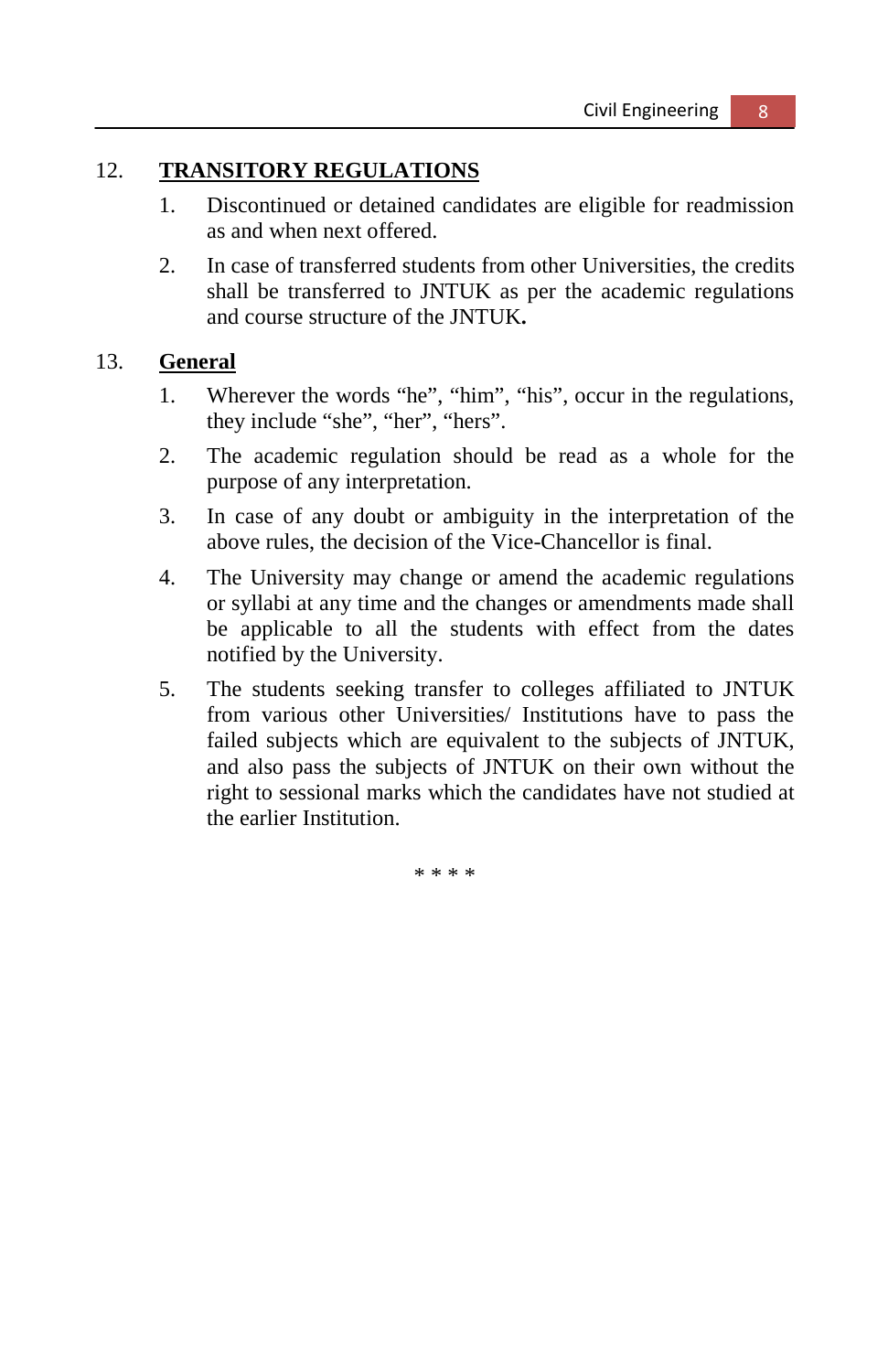# 12. **TRANSITORY REGULATIONS**

- 1. Discontinued or detained candidates are eligible for readmission as and when next offered.
- 2. In case of transferred students from other Universities, the credits shall be transferred to JNTUK as per the academic regulations and course structure of the JNTUK**.**

# 13. **General**

- 1. Wherever the words "he", "him", "his", occur in the regulations, they include "she", "her", "hers".
- 2. The academic regulation should be read as a whole for the purpose of any interpretation.
- 3. In case of any doubt or ambiguity in the interpretation of the above rules, the decision of the Vice-Chancellor is final.
- 4. The University may change or amend the academic regulations or syllabi at any time and the changes or amendments made shall be applicable to all the students with effect from the dates notified by the University.
- 5. The students seeking transfer to colleges affiliated to JNTUK from various other Universities/ Institutions have to pass the failed subjects which are equivalent to the subjects of JNTUK, and also pass the subjects of JNTUK on their own without the right to sessional marks which the candidates have not studied at the earlier Institution.

\* \* \* \*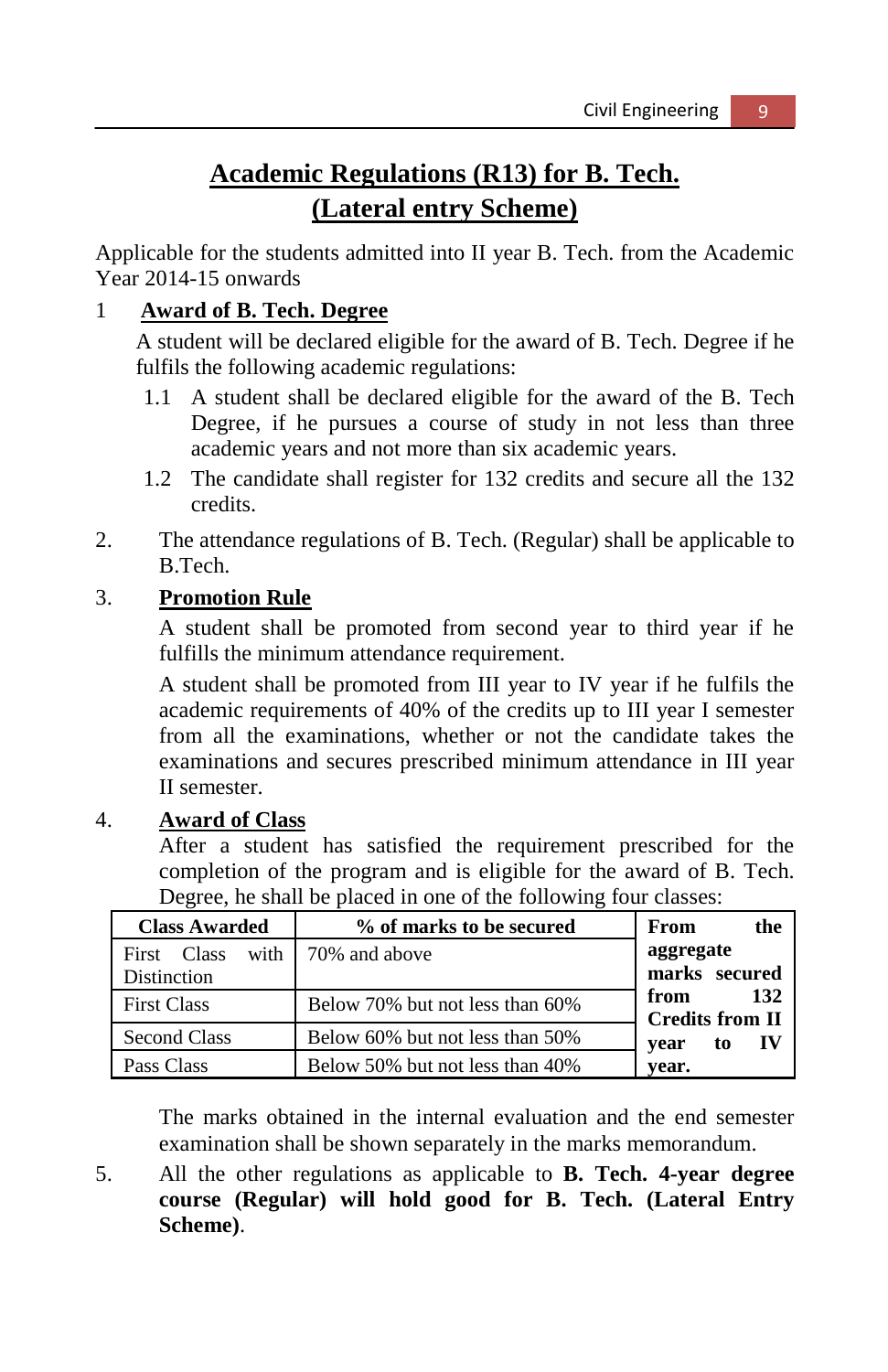# **Academic Regulations (R13) for B. Tech. (Lateral entry Scheme)**

Applicable for the students admitted into II year B. Tech. from the Academic Year 2014-15 onwards

# 1 **Award of B. Tech. Degree**

 A student will be declared eligible for the award of B. Tech. Degree if he fulfils the following academic regulations:

- 1.1 A student shall be declared eligible for the award of the B. Tech Degree, if he pursues a course of study in not less than three academic years and not more than six academic years.
- 1.2 The candidate shall register for 132 credits and secure all the 132 credits.
- 2. The attendance regulations of B. Tech. (Regular) shall be applicable to B.Tech.

# 3. **Promotion Rule**

 A student shall be promoted from second year to third year if he fulfills the minimum attendance requirement.

 A student shall be promoted from III year to IV year if he fulfils the academic requirements of 40% of the credits up to III year I semester from all the examinations, whether or not the candidate takes the examinations and secures prescribed minimum attendance in III year II semester.

# 4. **Award of Class**

 After a student has satisfied the requirement prescribed for the completion of the program and is eligible for the award of B. Tech. Degree, he shall be placed in one of the following four classes:

| <b>Class Awarded</b> | % of marks to be secured        | From<br>the                           |
|----------------------|---------------------------------|---------------------------------------|
| First Class          | with 70% and above              | aggregate                             |
| Distinction          |                                 | marks secured                         |
| <b>First Class</b>   | Below 70% but not less than 60% | 132<br>from<br><b>Credits from II</b> |
| <b>Second Class</b>  | Below 60% but not less than 50% | - IV<br>to<br>vear                    |
| Pass Class           | Below 50% but not less than 40% | vear.                                 |

 The marks obtained in the internal evaluation and the end semester examination shall be shown separately in the marks memorandum.

5. All the other regulations as applicable to **B. Tech. 4-year degree course (Regular) will hold good for B. Tech. (Lateral Entry Scheme)**.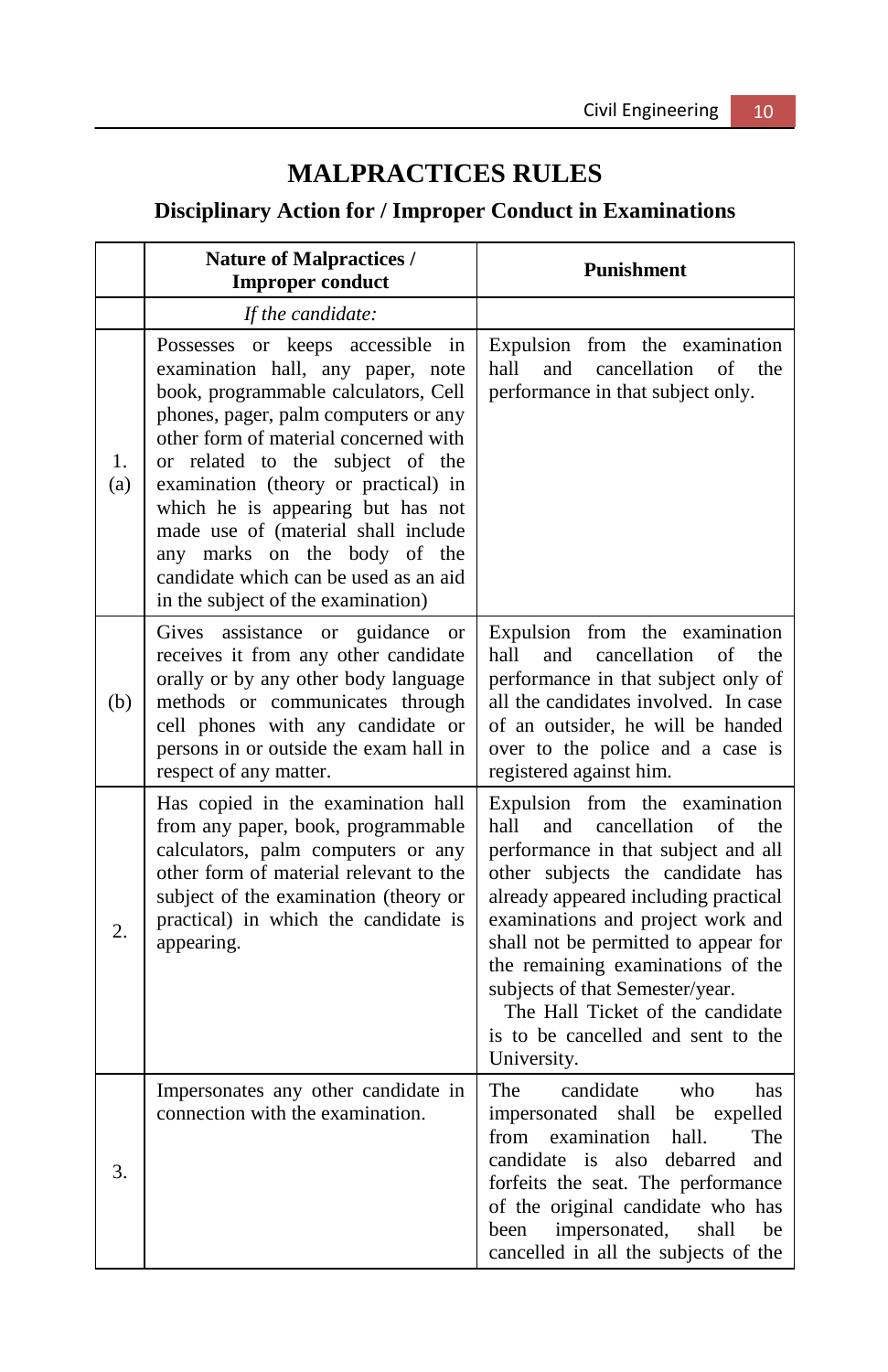# **MALPRACTICES RULES**

# **Disciplinary Action for / Improper Conduct in Examinations**

|           | Nature of Malpractices /<br><b>Improper conduct</b>                                                                                                                                                                                                                                                                                                                                                                                                                   | <b>Punishment</b>                                                                                                                                                                                                                                                                                                                                                                                                                           |  |
|-----------|-----------------------------------------------------------------------------------------------------------------------------------------------------------------------------------------------------------------------------------------------------------------------------------------------------------------------------------------------------------------------------------------------------------------------------------------------------------------------|---------------------------------------------------------------------------------------------------------------------------------------------------------------------------------------------------------------------------------------------------------------------------------------------------------------------------------------------------------------------------------------------------------------------------------------------|--|
|           | If the candidate:                                                                                                                                                                                                                                                                                                                                                                                                                                                     |                                                                                                                                                                                                                                                                                                                                                                                                                                             |  |
| 1.<br>(a) | Possesses or keeps accessible in<br>examination hall, any paper, note<br>book, programmable calculators, Cell<br>phones, pager, palm computers or any<br>other form of material concerned with<br>or related to the subject of the<br>examination (theory or practical) in<br>which he is appearing but has not<br>made use of (material shall include<br>any marks on the body of the<br>candidate which can be used as an aid<br>in the subject of the examination) | Expulsion from the examination<br>and<br>cancellation<br>hall<br>of<br>the<br>performance in that subject only.                                                                                                                                                                                                                                                                                                                             |  |
| (b)       | Gives assistance or<br>guidance<br><b>or</b><br>receives it from any other candidate<br>orally or by any other body language<br>methods or communicates through<br>cell phones with any candidate or<br>persons in or outside the exam hall in<br>respect of any matter.                                                                                                                                                                                              | Expulsion from the examination<br>hall<br>and<br>cancellation<br>of<br>the<br>performance in that subject only of<br>all the candidates involved. In case<br>of an outsider, he will be handed<br>over to the police and a case is<br>registered against him.                                                                                                                                                                               |  |
| 2.        | Has copied in the examination hall<br>from any paper, book, programmable<br>calculators, palm computers or any<br>other form of material relevant to the<br>subject of the examination (theory or<br>practical) in which the candidate is<br>appearing.                                                                                                                                                                                                               | Expulsion from the examination<br>hall<br>and<br>cancellation<br>of<br>the<br>performance in that subject and all<br>other subjects the candidate has<br>already appeared including practical<br>examinations and project work and<br>shall not be permitted to appear for<br>the remaining examinations of the<br>subjects of that Semester/year.<br>The Hall Ticket of the candidate<br>is to be cancelled and sent to the<br>University. |  |
| 3.        | Impersonates any other candidate in<br>connection with the examination.                                                                                                                                                                                                                                                                                                                                                                                               | The<br>candidate<br>who<br>has<br>impersonated shall<br>be expelled<br>The<br>from<br>examination<br>hall.<br>candidate is also debarred and<br>forfeits the seat. The performance<br>of the original candidate who has<br>been<br>impersonated,<br>shall<br>be<br>cancelled in all the subjects of the                                                                                                                                     |  |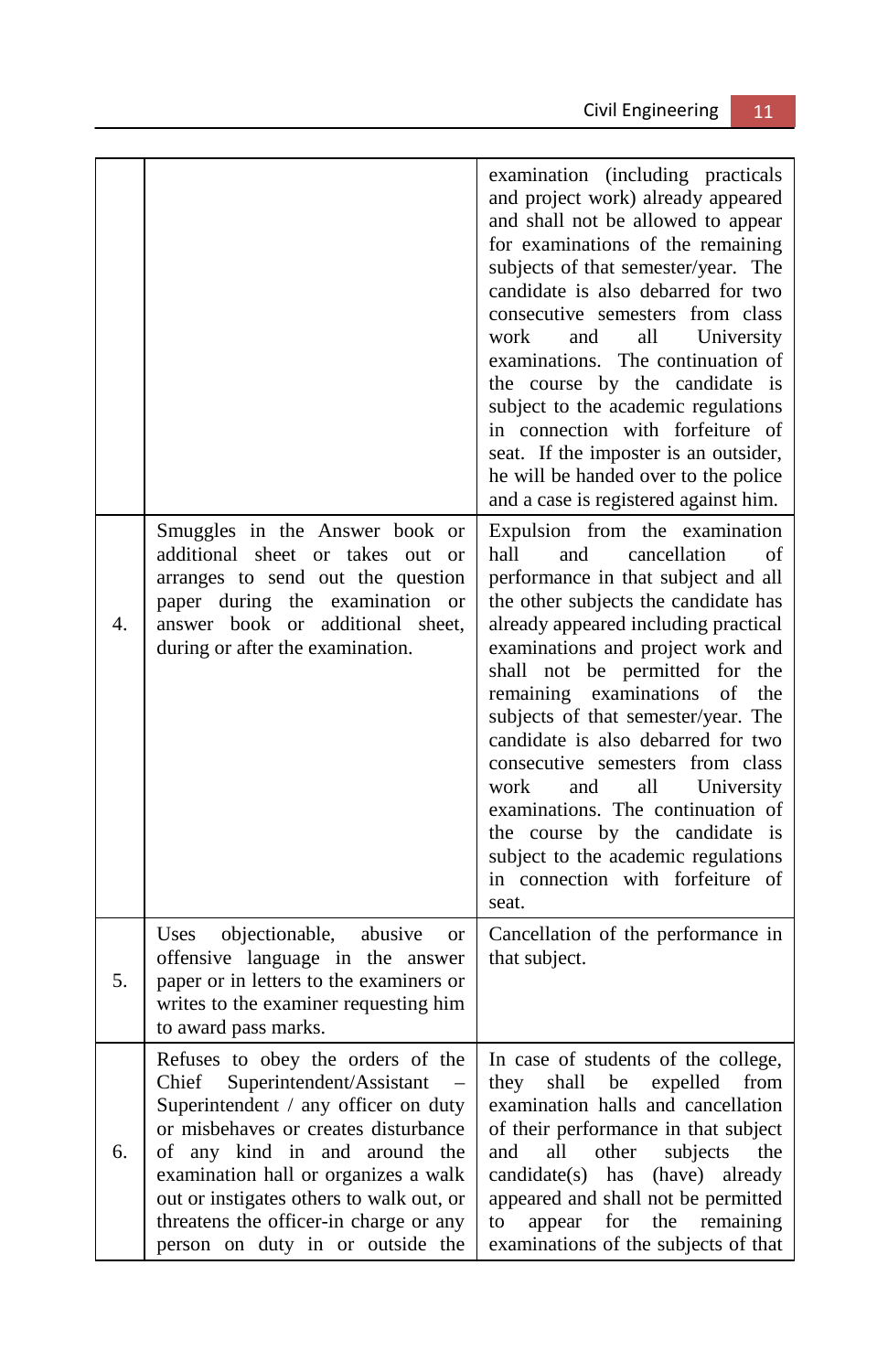|    |                                                                                                                                                                                                                                                                                                                                                        | examination (including practicals<br>and project work) already appeared<br>and shall not be allowed to appear<br>for examinations of the remaining<br>subjects of that semester/year. The<br>candidate is also debarred for two<br>consecutive semesters from class<br>all<br>University<br>work<br>and<br>examinations. The continuation of<br>the course by the candidate is<br>subject to the academic regulations<br>in connection with forfeiture of<br>seat. If the imposter is an outsider,<br>he will be handed over to the police<br>and a case is registered against him.                                         |
|----|--------------------------------------------------------------------------------------------------------------------------------------------------------------------------------------------------------------------------------------------------------------------------------------------------------------------------------------------------------|-----------------------------------------------------------------------------------------------------------------------------------------------------------------------------------------------------------------------------------------------------------------------------------------------------------------------------------------------------------------------------------------------------------------------------------------------------------------------------------------------------------------------------------------------------------------------------------------------------------------------------|
| 4. | Smuggles in the Answer book or<br>additional sheet or takes out<br><b>or</b><br>arranges to send out the question<br>paper during the examination<br><b>or</b><br>answer book or additional sheet,<br>during or after the examination.                                                                                                                 | Expulsion from the examination<br>cancellation<br>hall<br>and<br>of<br>performance in that subject and all<br>the other subjects the candidate has<br>already appeared including practical<br>examinations and project work and<br>shall not be permitted for<br>the<br>remaining examinations<br>of<br>the<br>subjects of that semester/year. The<br>candidate is also debarred for two<br>consecutive semesters from class<br>work<br>and<br>all<br>University<br>examinations. The continuation of<br>the course by the candidate is<br>subject to the academic regulations<br>in connection with forfeiture of<br>seat. |
| 5. | objectionable,<br>abusive<br>Uses<br><b>or</b><br>offensive language in the answer<br>paper or in letters to the examiners or<br>writes to the examiner requesting him<br>to award pass marks.                                                                                                                                                         | Cancellation of the performance in<br>that subject.                                                                                                                                                                                                                                                                                                                                                                                                                                                                                                                                                                         |
| 6. | Refuses to obey the orders of the<br>Chief Superintendent/Assistant<br>Superintendent / any officer on duty<br>or misbehaves or creates disturbance<br>of any kind in and around the<br>examination hall or organizes a walk<br>out or instigates others to walk out, or<br>threatens the officer-in charge or any<br>person on duty in or outside the | In case of students of the college,<br>expelled<br>they shall<br>be<br>from<br>examination halls and cancellation<br>of their performance in that subject<br>and<br>all<br>other<br>subjects<br>the<br>candidate(s) has<br>(have)<br>already<br>appeared and shall not be permitted<br>remaining<br>the<br>to<br>appear<br>for<br>examinations of the subjects of that                                                                                                                                                                                                                                                      |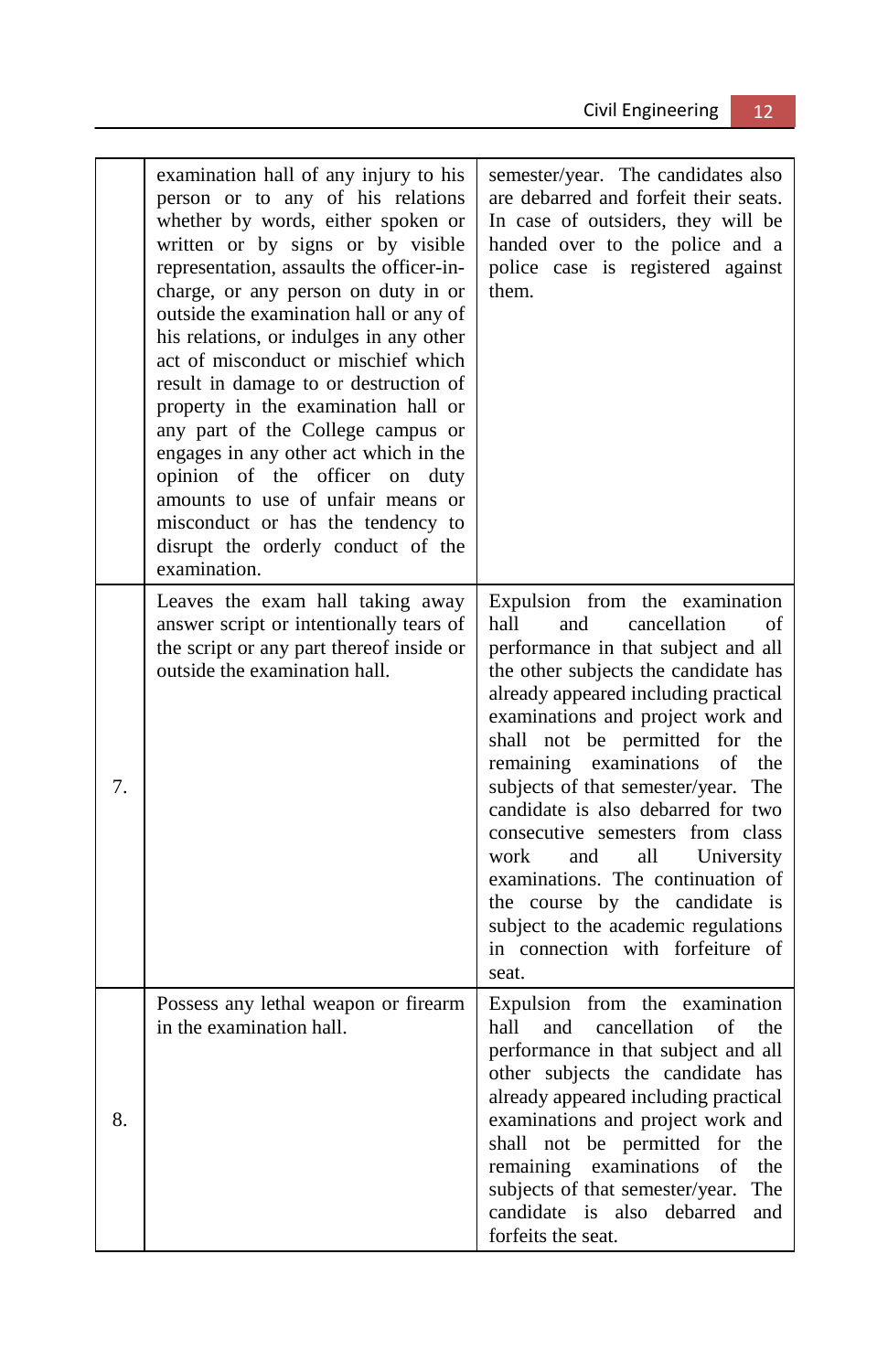|    | examination hall of any injury to his<br>person or to any of his relations<br>whether by words, either spoken or<br>written or by signs or by visible<br>representation, assaults the officer-in-<br>charge, or any person on duty in or<br>outside the examination hall or any of<br>his relations, or indulges in any other<br>act of misconduct or mischief which<br>result in damage to or destruction of<br>property in the examination hall or<br>any part of the College campus or<br>engages in any other act which in the<br>opinion of the officer on<br>duty<br>amounts to use of unfair means or<br>misconduct or has the tendency to<br>disrupt the orderly conduct of the<br>examination. | semester/year. The candidates also<br>are debarred and forfeit their seats.<br>In case of outsiders, they will be<br>handed over to the police and a<br>police case is registered against<br>them.                                                                                                                                                                                                                                                                                                                                                                                                                          |
|----|---------------------------------------------------------------------------------------------------------------------------------------------------------------------------------------------------------------------------------------------------------------------------------------------------------------------------------------------------------------------------------------------------------------------------------------------------------------------------------------------------------------------------------------------------------------------------------------------------------------------------------------------------------------------------------------------------------|-----------------------------------------------------------------------------------------------------------------------------------------------------------------------------------------------------------------------------------------------------------------------------------------------------------------------------------------------------------------------------------------------------------------------------------------------------------------------------------------------------------------------------------------------------------------------------------------------------------------------------|
| 7. | Leaves the exam hall taking away<br>answer script or intentionally tears of<br>the script or any part thereof inside or<br>outside the examination hall.                                                                                                                                                                                                                                                                                                                                                                                                                                                                                                                                                | Expulsion from the examination<br>hall<br>and<br>cancellation<br>of<br>performance in that subject and all<br>the other subjects the candidate has<br>already appeared including practical<br>examinations and project work and<br>shall not be permitted for<br>the<br>remaining examinations<br>of<br>the<br>subjects of that semester/year. The<br>candidate is also debarred for two<br>consecutive semesters from class<br>work<br>and<br>all<br>University<br>examinations. The continuation of<br>the course by the candidate is<br>subject to the academic regulations<br>in connection with forfeiture of<br>seat. |
| 8. | Possess any lethal weapon or firearm<br>in the examination hall.                                                                                                                                                                                                                                                                                                                                                                                                                                                                                                                                                                                                                                        | Expulsion from the examination<br>hall<br>and<br>cancellation<br>of<br>the<br>performance in that subject and all<br>other subjects the candidate has<br>already appeared including practical<br>examinations and project work and<br>shall not be permitted<br>for<br>the<br>remaining examinations<br>of<br>the<br>subjects of that semester/year.<br>The<br>candidate is also debarred<br>and<br>forfeits the seat.                                                                                                                                                                                                      |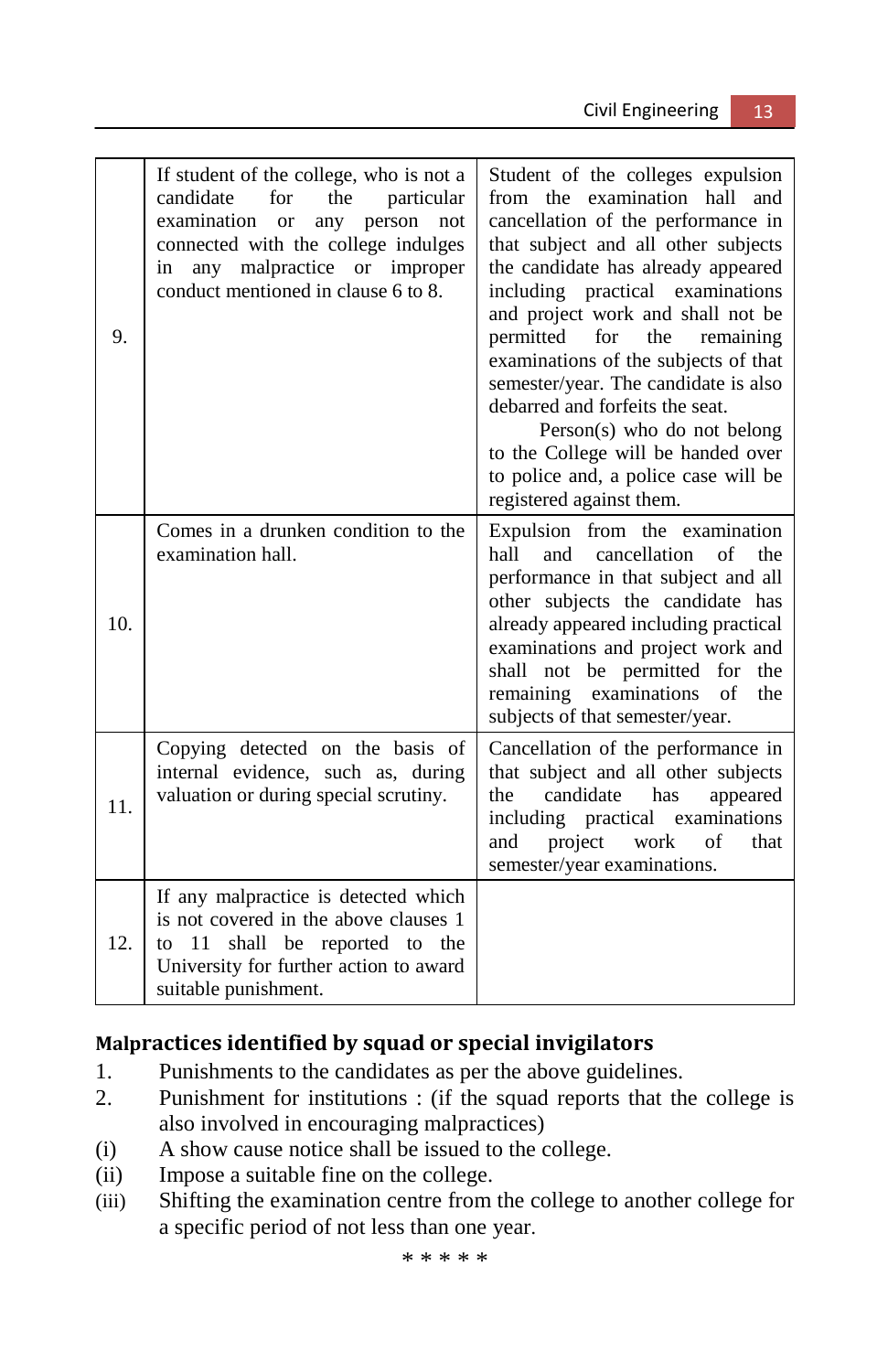| 9.  | If student of the college, who is not a<br>candidate<br>for<br>particular<br>the<br>examination<br>person<br>not<br><b>or</b><br>any<br>connected with the college indulges<br>malpractice or improper<br>any<br>in<br>conduct mentioned in clause 6 to 8. | Student of the colleges expulsion<br>from the examination hall and<br>cancellation of the performance in<br>that subject and all other subjects<br>the candidate has already appeared<br>including practical examinations<br>and project work and shall not be<br>permitted<br>for<br>the<br>remaining<br>examinations of the subjects of that<br>semester/year. The candidate is also<br>debarred and forfeits the seat.<br>$Person(s)$ who do not belong<br>to the College will be handed over<br>to police and, a police case will be<br>registered against them. |
|-----|------------------------------------------------------------------------------------------------------------------------------------------------------------------------------------------------------------------------------------------------------------|----------------------------------------------------------------------------------------------------------------------------------------------------------------------------------------------------------------------------------------------------------------------------------------------------------------------------------------------------------------------------------------------------------------------------------------------------------------------------------------------------------------------------------------------------------------------|
| 10. | Comes in a drunken condition to the<br>examination hall.                                                                                                                                                                                                   | Expulsion from the examination<br>and<br>cancellation<br>hall<br>of<br>the<br>performance in that subject and all<br>other subjects the candidate has<br>already appeared including practical<br>examinations and project work and<br>shall not be permitted for the<br>remaining examinations<br>of<br>the<br>subjects of that semester/year.                                                                                                                                                                                                                       |
| 11. | Copying detected on the basis of<br>internal evidence, such as, during<br>valuation or during special scrutiny.                                                                                                                                            | Cancellation of the performance in<br>that subject and all other subjects<br>candidate<br>has<br>the<br>appeared<br>including practical examinations<br>project work<br>and<br>of<br>that<br>semester/year examinations.                                                                                                                                                                                                                                                                                                                                             |
| 12. | If any malpractice is detected which<br>is not covered in the above clauses 1<br>shall be reported to the<br>11<br>to<br>University for further action to award<br>suitable punishment.                                                                    |                                                                                                                                                                                                                                                                                                                                                                                                                                                                                                                                                                      |

# **Malpractices identified by squad or special invigilators**

- 1. Punishments to the candidates as per the above guidelines.<br>2. Punishment for institutions : (if the squad reports that the
- Punishment for institutions : (if the squad reports that the college is also involved in encouraging malpractices)
- (i) A show cause notice shall be issued to the college.
- (ii) Impose a suitable fine on the college.
- (iii) Shifting the examination centre from the college to another college for a specific period of not less than one year.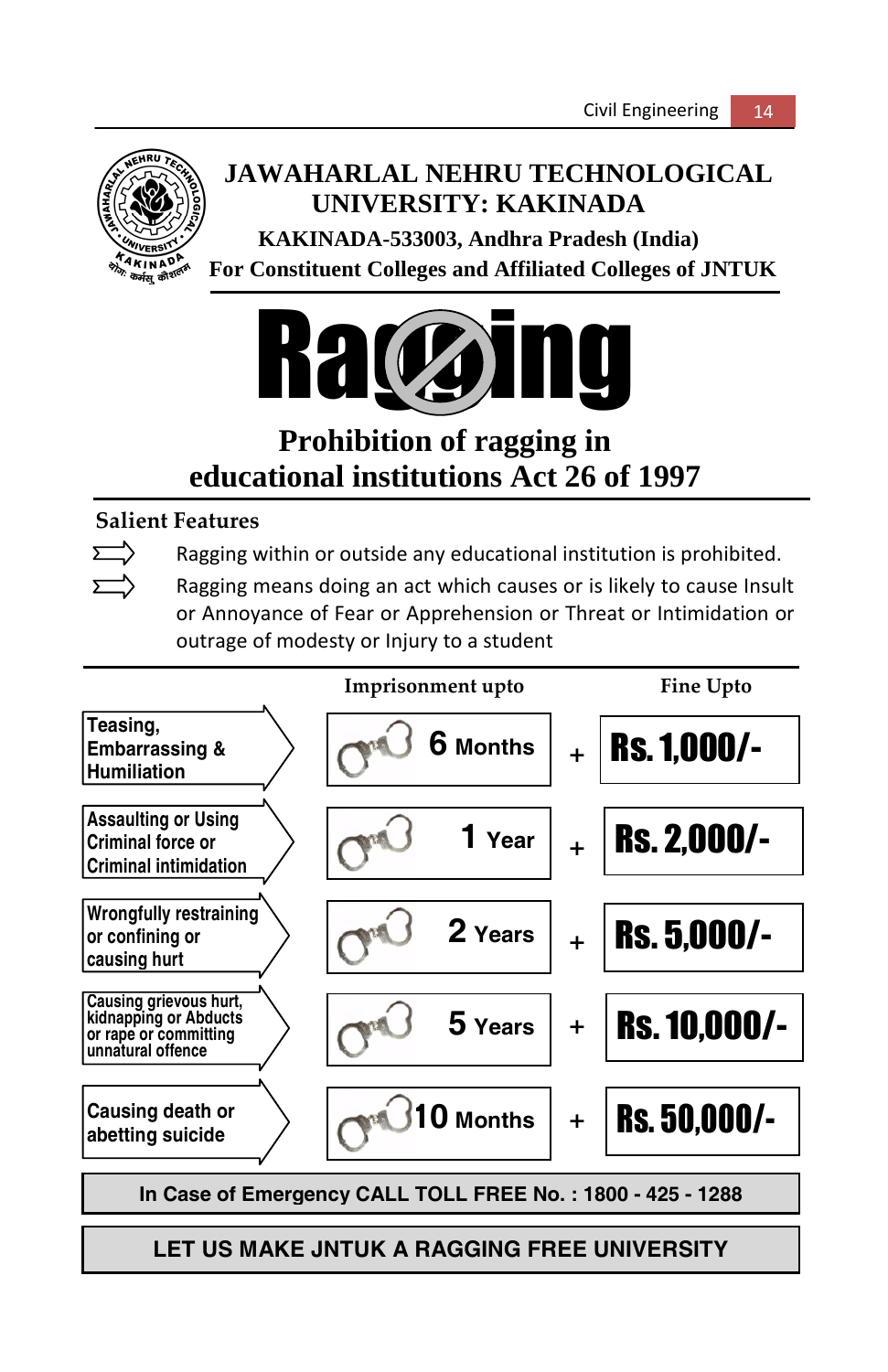

# **JAWAHARLAL NEHRU TECHNOLOGICAL UNIVERSITY: KAKINADA**

 **KAKINADA-533003, Andhra Pradesh (India) For Constituent Colleges and Affiliated Colleges of JNTUK**



# **Prohibition of ragging in educational institutions Act 26 of 1997**

# **Salient Features**

 $\overline{ }$ 

Ragging within or outside any educational institution is prohibited.

Ragging means doing an act which causes or is likely to cause Insult or Annoyance of Fear or Apprehension or Threat or Intimidation or outrage of modesty or Injury to a student



**LET US MAKE JNTUK A RAGGING FREE UNIVERSITY**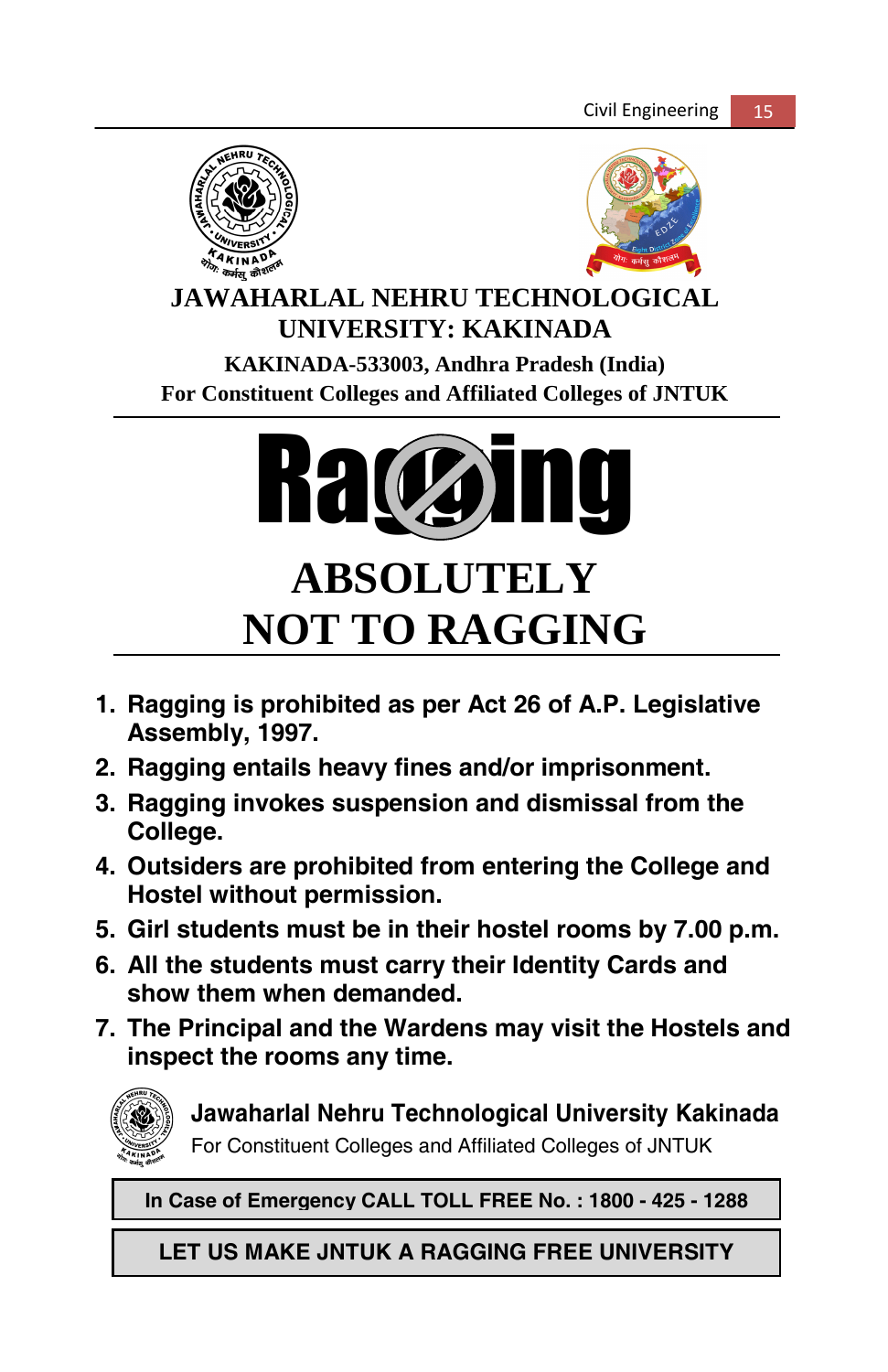



# **JAWAHARLAL NEHRU TECHNOLOGICAL UNIVERSITY: KAKINADA**

**KAKINADA-533003, Andhra Pradesh (India) For Constituent Colleges and Affiliated Colleges of JNTUK**



# **ABSOLUTELY NOT TO RAGGING**

- **1. Ragging is prohibited as per Act 26 of A.P. Legislative Assembly, 1997.**
- **2. Ragging entails heavy fines and/or imprisonment.**
- **3. Ragging invokes suspension and dismissal from the College.**
- **4. Outsiders are prohibited from entering the College and Hostel without permission.**
- **5. Girl students must be in their hostel rooms by 7.00 p.m.**
- **6. All the students must carry their Identity Cards and show them when demanded.**
- **7. The Principal and the Wardens may visit the Hostels and inspect the rooms any time.**



**Jawaharlal Nehru Technological University Kakinada**  For Constituent Colleges and Affiliated Colleges of JNTUK

**In Case of Emergency CALL TOLL FREE No. : 1800 - 425 - 1288**

**LET US MAKE JNTUK A RAGGING FREE UNIVERSITY**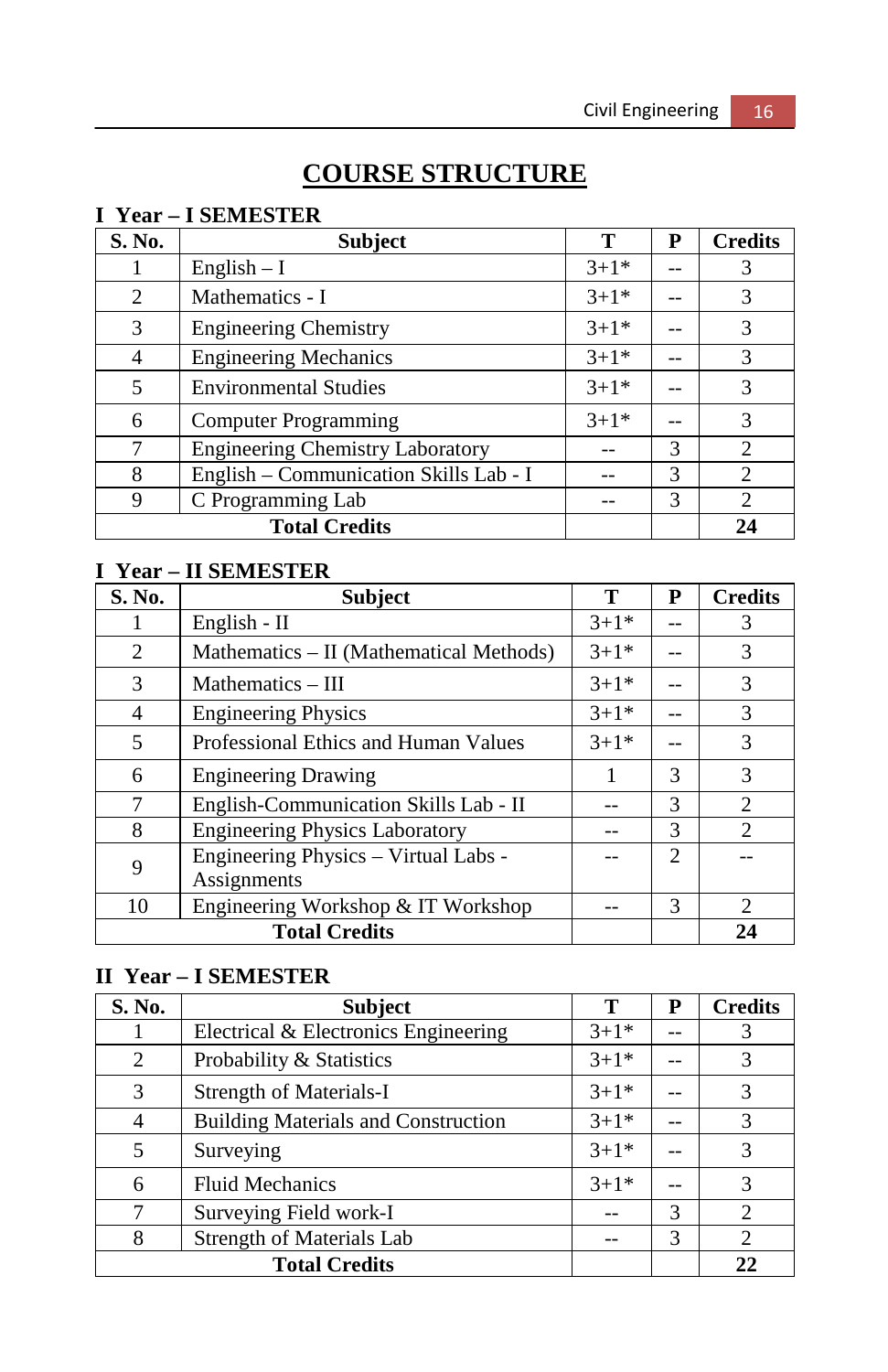# **COURSE STRUCTURE**

# **I Year – I SEMESTER**

| S. No. | <b>Subject</b>                          | т      | P  | <b>Credits</b>                |
|--------|-----------------------------------------|--------|----|-------------------------------|
|        | English $-I$                            | $3+1*$ |    | 3                             |
| 2      | Mathematics - I                         | $3+1*$ |    | 3                             |
| 3      | <b>Engineering Chemistry</b>            | $3+1*$ |    | 3                             |
| 4      | <b>Engineering Mechanics</b>            | $3+1*$ | -- | 3                             |
| 5      | <b>Environmental Studies</b>            | $3+1*$ |    | 3                             |
| 6      | <b>Computer Programming</b>             | $3+1*$ |    | 3                             |
| 7      | <b>Engineering Chemistry Laboratory</b> |        | 3  | $\mathcal{L}$                 |
| 8      | English - Communication Skills Lab - I  |        | 3  | $\mathfrak{D}_{\mathfrak{p}}$ |
| 9      | C Programming Lab                       |        | 3  | $\mathcal{L}$                 |
|        | <b>Total Credits</b>                    |        |    | 24                            |

# **I Year – II SEMESTER**

| S. No.         | <b>Subject</b>                          | т        | P  | <b>Credits</b>              |
|----------------|-----------------------------------------|----------|----|-----------------------------|
| 1              | English - $II$                          | $3+1*$   | -- | 3                           |
| $\mathfrak{D}$ | Mathematics – II (Mathematical Methods) | $3+1*$   | -- | 3                           |
| 3              | Mathematics – III                       | $3 + 1*$ |    | 3                           |
| 4              | <b>Engineering Physics</b>              | $3+1*$   | -- | 3                           |
| 5              | Professional Ethics and Human Values    | $3+1*$   |    | 3                           |
| 6              | <b>Engineering Drawing</b>              |          | 3  | 3                           |
| 7              | English-Communication Skills Lab - II   |          | 3  | $\mathcal{L}$               |
| 8              | <b>Engineering Physics Laboratory</b>   |          | 3  | $\mathcal{D}_{\alpha}$      |
| 9              | Engineering Physics - Virtual Labs -    |          | 2  |                             |
|                | Assignments                             |          |    |                             |
| 10             | Engineering Workshop & IT Workshop      |          | 3  | $\mathcal{D}_{\mathcal{A}}$ |
|                | <b>Total Credits</b>                    |          |    | 24                          |

# **II Year – I SEMESTER**

| S. No. | <b>Subject</b>                             | т      | P   | <b>Credits</b>              |
|--------|--------------------------------------------|--------|-----|-----------------------------|
|        | Electrical & Electronics Engineering       | $3+1*$ | $-$ | 3                           |
| 2      | Probability & Statistics                   | $3+1*$ |     | 3                           |
| 3      | Strength of Materials-I                    | $3+1*$ |     | 3                           |
| 4      | <b>Building Materials and Construction</b> | $3+1*$ | $-$ | 3                           |
| 5      | Surveying                                  | $3+1*$ |     | 3                           |
| 6      | <b>Fluid Mechanics</b>                     | $3+1*$ |     | 3                           |
| 7      | Surveying Field work-I                     |        | 3   | $\overline{c}$              |
| 8      | Strength of Materials Lab                  |        | 3   | $\mathcal{D}_{\mathcal{L}}$ |
|        | <b>Total Credits</b>                       |        |     | 22                          |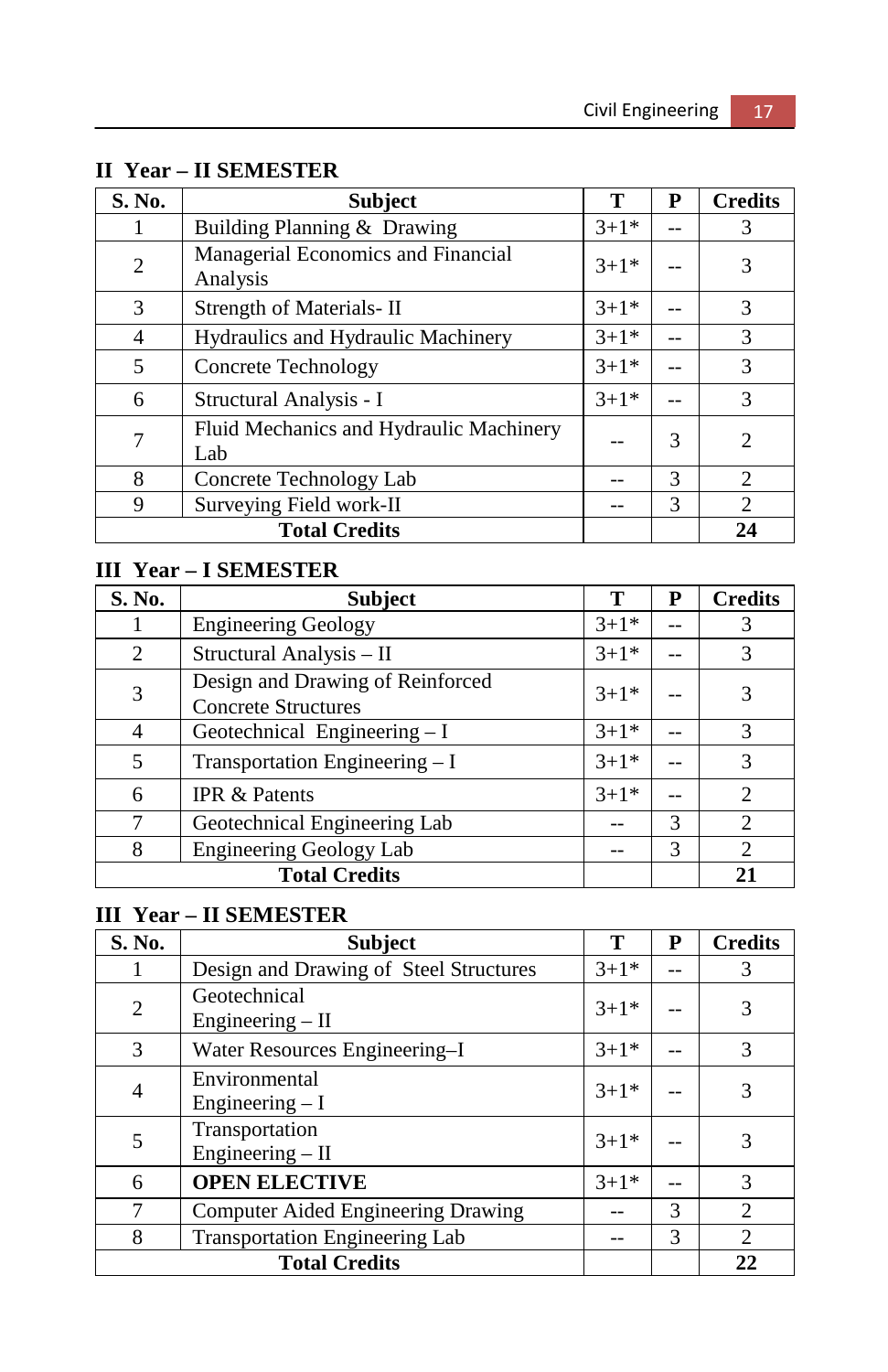| S. No.               | <b>Subject</b>                                 | Т      | P  | <b>Credits</b>              |
|----------------------|------------------------------------------------|--------|----|-----------------------------|
| 1                    | Building Planning & Drawing                    | $3+1*$ |    | 3                           |
| $\overline{2}$       | Managerial Economics and Financial<br>Analysis |        |    | 3                           |
| 3                    | Strength of Materials-II                       | $3+1*$ |    | 3                           |
| $\overline{4}$       | Hydraulics and Hydraulic Machinery             | $3+1*$ | -- | 3                           |
| 5                    | Concrete Technology                            | $3+1*$ |    | 3                           |
| 6                    | Structural Analysis - I                        | $3+1*$ |    | 3                           |
| 7                    | Fluid Mechanics and Hydraulic Machinery<br>Lab |        | 3  | 2                           |
| 8                    | Concrete Technology Lab                        |        | 3  | $\mathfrak{D}$              |
| 9                    | Surveying Field work-II                        |        | 3  | $\mathcal{D}_{\mathcal{L}}$ |
| <b>Total Credits</b> |                                                |        |    |                             |

# **II Year – II SEMESTER**

# **III Year – I SEMESTER**

| S. No.               | <b>Subject</b>                                                 | Т      | P | <b>Credits</b>              |
|----------------------|----------------------------------------------------------------|--------|---|-----------------------------|
|                      | <b>Engineering Geology</b>                                     | $3+1*$ |   | 3                           |
| 2                    | Structural Analysis - II                                       | $3+1*$ |   | 3                           |
| 3                    | Design and Drawing of Reinforced<br><b>Concrete Structures</b> |        |   | 3                           |
| 4                    | Geotechnical Engineering - I                                   | $3+1*$ |   | $\mathcal{R}$               |
| 5                    | Transportation Engineering - I                                 | $3+1*$ |   | 3                           |
| 6                    | <b>IPR &amp; Patents</b>                                       | $3+1*$ |   | 2                           |
| 7                    | Geotechnical Engineering Lab                                   | --     | 3 | $\mathcal{D}_{\mathcal{L}}$ |
| 8                    | Engineering Geology Lab                                        |        | 3 | $\mathcal{D}_{\mathcal{A}}$ |
| <b>Total Credits</b> |                                                                |        |   |                             |

# **III Year – II SEMESTER**

| S. No.         | Subject                                   | Т      | P | <b>Credits</b> |
|----------------|-------------------------------------------|--------|---|----------------|
|                | Design and Drawing of Steel Structures    | $3+1*$ |   | 3              |
| $\overline{2}$ | Geotechnical<br>Engineering $-$ II        | $3+1*$ |   | 3              |
| 3              | Water Resources Engineering-I             | $3+1*$ |   | 3              |
| 4              | Environmental<br>Engineering $-I$         | $3+1*$ |   | 3              |
| 5              | Transportation<br>Engineering $-$ II      | $3+1*$ |   | 3              |
| 6              | <b>OPEN ELECTIVE</b>                      | $3+1*$ |   | 3              |
| 7              | <b>Computer Aided Engineering Drawing</b> |        | 3 | 2              |
| 8              | <b>Transportation Engineering Lab</b>     |        | 3 | 2              |
|                | <b>Total Credits</b>                      |        |   | 22             |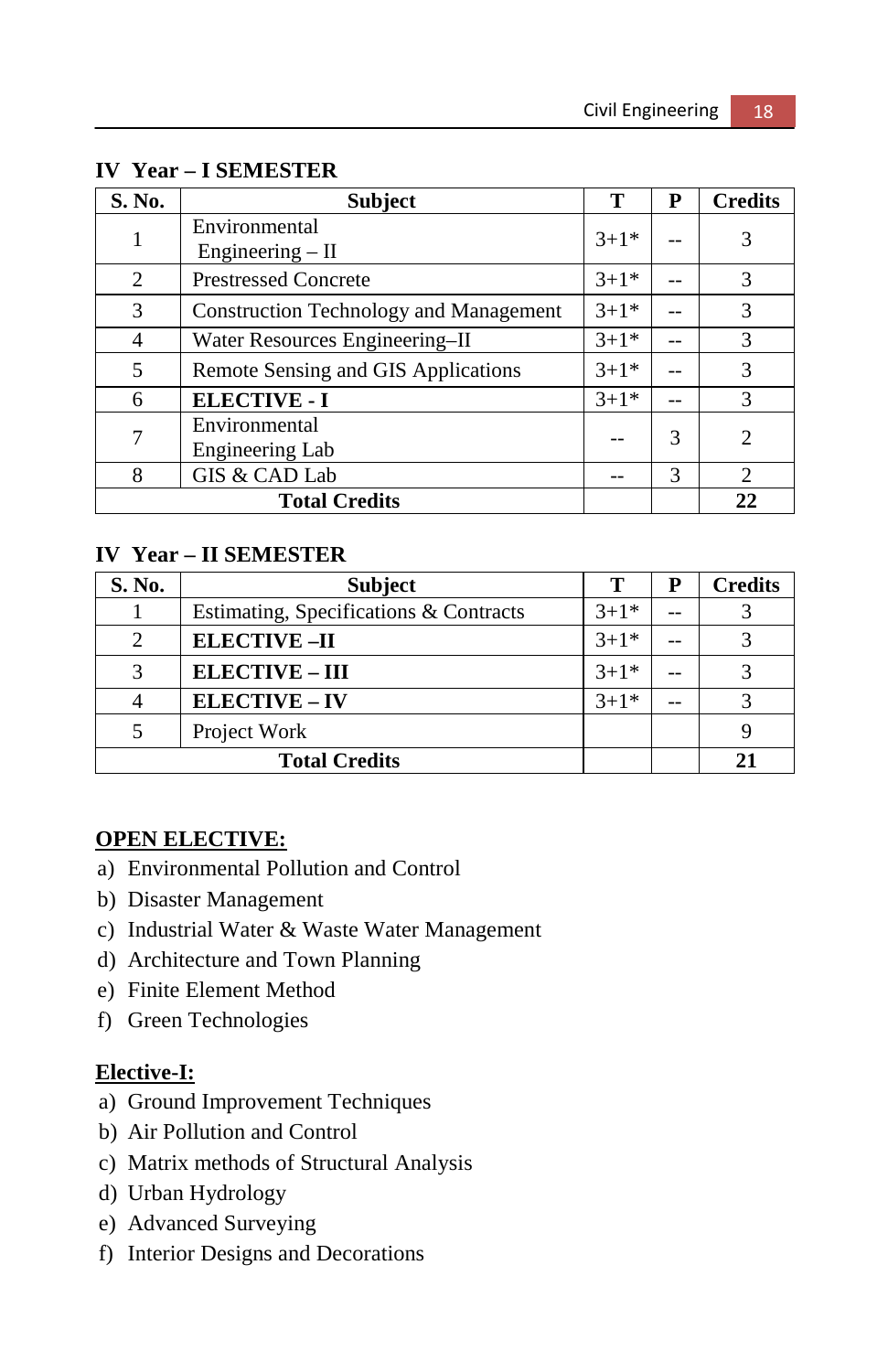# **IV Year – I SEMESTER**

| S. No. | <b>Subject</b>                                | Т      | P | <b>Credits</b>              |
|--------|-----------------------------------------------|--------|---|-----------------------------|
| 1      | Environmental<br>Engineering $-$ II           | $3+1*$ |   | 3                           |
| 2      | <b>Prestressed Concrete</b>                   | $3+1*$ |   | 3                           |
| 3      | <b>Construction Technology and Management</b> | $3+1*$ |   | 3                           |
| 4      | Water Resources Engineering-II                | $3+1*$ |   | 3                           |
| 5      | Remote Sensing and GIS Applications           | $3+1*$ |   | 3                           |
| 6      | <b>ELECTIVE - I</b>                           | $3+1*$ |   | 3                           |
| 7      | Environmental<br>Engineering Lab              |        | 3 | $\overline{2}$              |
| 8      | GIS & CAD Lab                                 |        | 3 | $\mathcal{D}_{\mathcal{L}}$ |
|        | <b>Total Credits</b>                          |        |   | 22                          |

# **IV Year – II SEMESTER**

| S. No.               | <b>Subject</b>                         |          | P | <b>Credits</b> |
|----------------------|----------------------------------------|----------|---|----------------|
|                      | Estimating, Specifications & Contracts | $3+1*$   |   |                |
| $\overline{2}$       | <b>ELECTIVE-II</b>                     | $3+1*$   |   |                |
| 3                    | <b>ELECTIVE - III</b>                  | $3 + 1*$ |   |                |
|                      | <b>ELECTIVE - IV</b>                   | $3 + 1*$ |   |                |
| 5                    | Project Work                           |          |   |                |
| <b>Total Credits</b> |                                        |          |   |                |

# **OPEN ELECTIVE:**

- a) Environmental Pollution and Control
- b) Disaster Management
- c) Industrial Water & Waste Water Management
- d) Architecture and Town Planning
- e) Finite Element Method
- f) Green Technologies

# **Elective-I:**

- a) Ground Improvement Techniques
- b) Air Pollution and Control
- c) Matrix methods of Structural Analysis
- d) Urban Hydrology
- e) Advanced Surveying
- f) Interior Designs and Decorations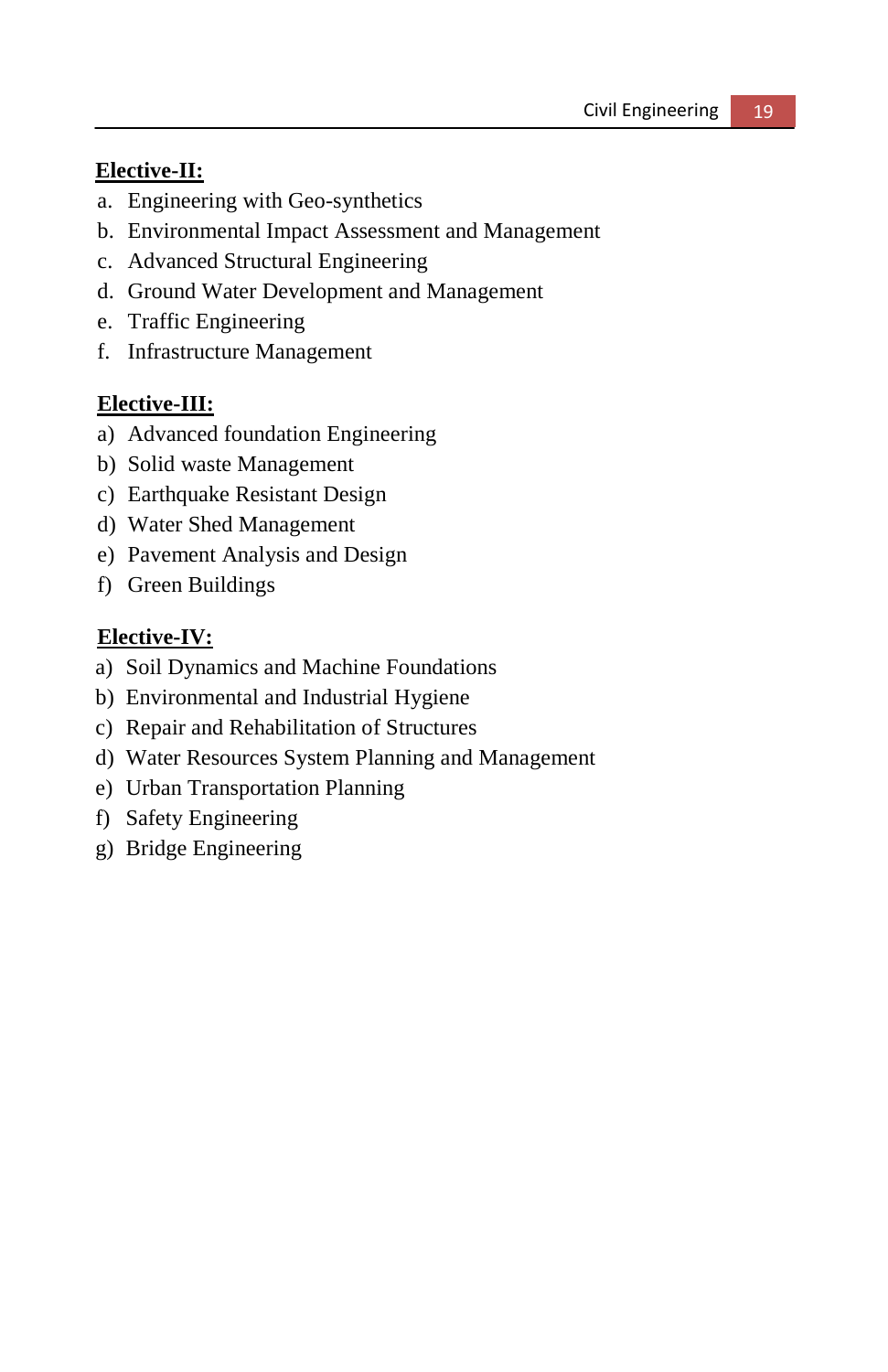# **Elective-II:**

- a. Engineering with Geo-synthetics
- b. Environmental Impact Assessment and Management
- c. Advanced Structural Engineering
- d. Ground Water Development and Management
- e. Traffic Engineering
- f. Infrastructure Management

# **Elective-III:**

- a) Advanced foundation Engineering
- b) Solid waste Management
- c) Earthquake Resistant Design
- d) Water Shed Management
- e) Pavement Analysis and Design
- f) Green Buildings

#### **Elective-IV:**

- a) Soil Dynamics and Machine Foundations
- b) Environmental and Industrial Hygiene
- c) Repair and Rehabilitation of Structures
- d) Water Resources System Planning and Management
- e) Urban Transportation Planning
- f) Safety Engineering
- g) Bridge Engineering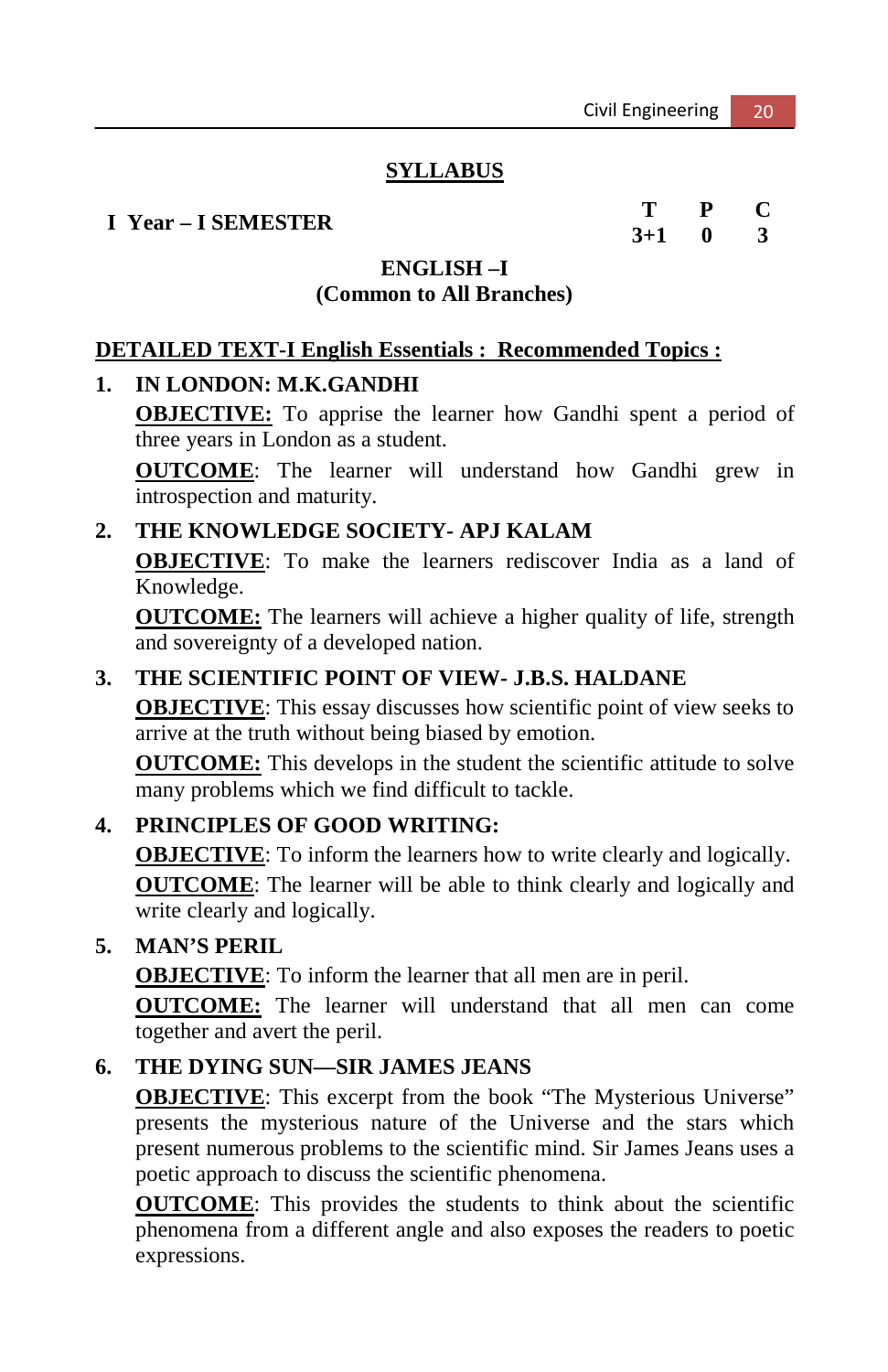$3 + 1$ 

# **SYLLABUS**

# **I Year – I SEMESTER T P C**

# **ENGLISH –I (Common to All Branches)**

# **DETAILED TEXT-I English Essentials : Recommended Topics :**

# **1. IN LONDON: M.K.GANDHI**

**OBJECTIVE:** To apprise the learner how Gandhi spent a period of three years in London as a student.

**OUTCOME**: The learner will understand how Gandhi grew in introspection and maturity.

# **2. THE KNOWLEDGE SOCIETY- APJ KALAM**

**OBJECTIVE**: To make the learners rediscover India as a land of Knowledge.

**OUTCOME:** The learners will achieve a higher quality of life, strength and sovereignty of a developed nation.

# **3. THE SCIENTIFIC POINT OF VIEW- J.B.S. HALDANE**

**OBJECTIVE:** This essay discusses how scientific point of view seeks to arrive at the truth without being biased by emotion.

**OUTCOME:** This develops in the student the scientific attitude to solve many problems which we find difficult to tackle.

# **4. PRINCIPLES OF GOOD WRITING:**

**OBJECTIVE:** To inform the learners how to write clearly and logically. **OUTCOME**: The learner will be able to think clearly and logically and write clearly and logically.

# **5. MAN'S PERIL**

**OBJECTIVE**: To inform the learner that all men are in peril.

**OUTCOME:** The learner will understand that all men can come together and avert the peril.

# **6. THE DYING SUN—SIR JAMES JEANS**

**OBJECTIVE:** This excerpt from the book "The Mysterious Universe" presents the mysterious nature of the Universe and the stars which present numerous problems to the scientific mind. Sir James Jeans uses a poetic approach to discuss the scientific phenomena.

**OUTCOME**: This provides the students to think about the scientific phenomena from a different angle and also exposes the readers to poetic expressions.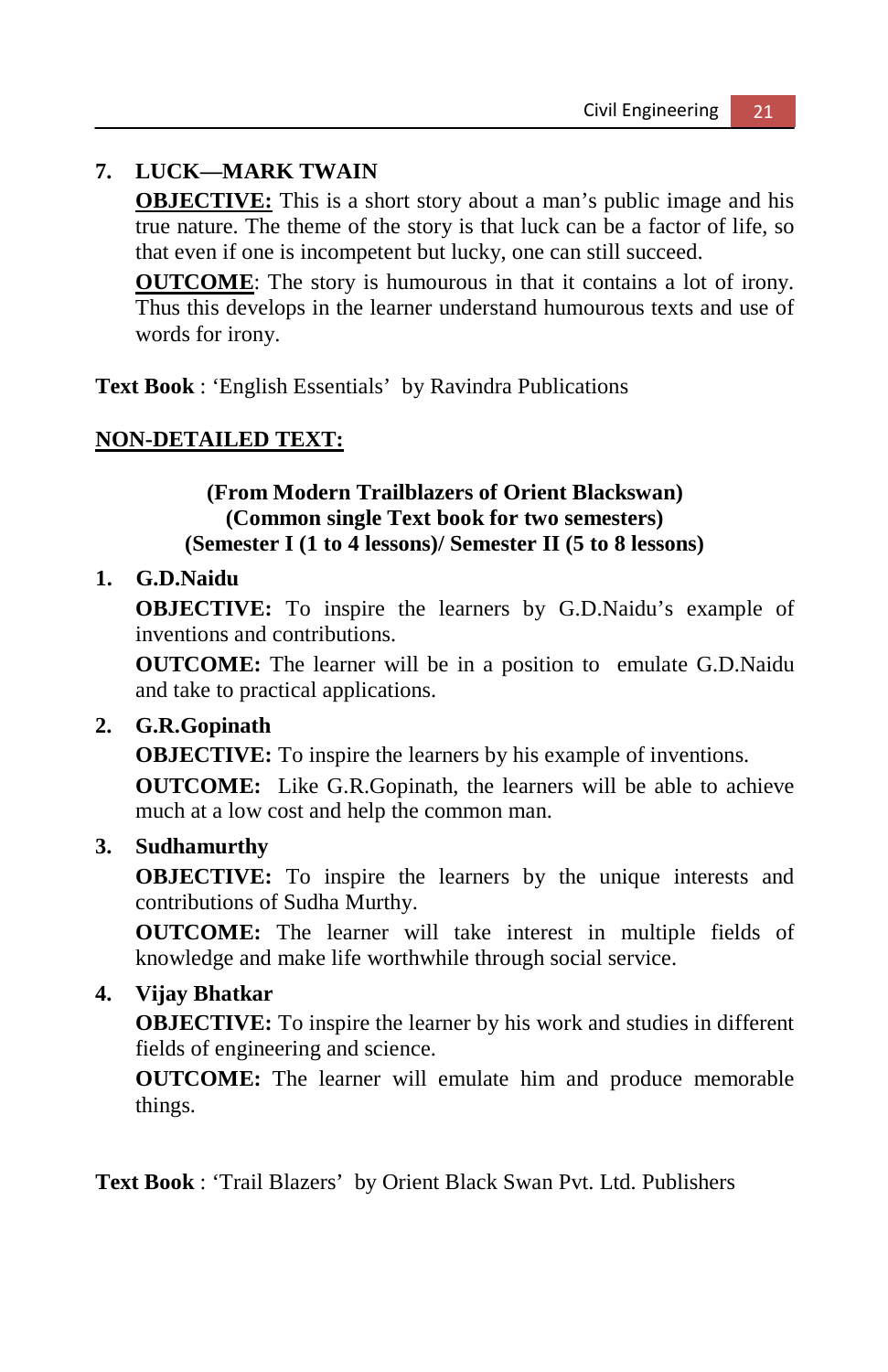# **7. LUCK—MARK TWAIN**

**OBJECTIVE:** This is a short story about a man's public image and his true nature. The theme of the story is that luck can be a factor of life, so that even if one is incompetent but lucky, one can still succeed.

**OUTCOME**: The story is humourous in that it contains a lot of irony. Thus this develops in the learner understand humourous texts and use of words for irony.

**Text Book** : 'English Essentials' by Ravindra Publications

# **NON-DETAILED TEXT:**

# **(From Modern Trailblazers of Orient Blackswan) (Common single Text book for two semesters) (Semester I (1 to 4 lessons)/ Semester II (5 to 8 lessons)**

# **1. G.D.Naidu**

**OBJECTIVE:** To inspire the learners by G.D.Naidu's example of inventions and contributions.

**OUTCOME:** The learner will be in a position to emulate G.D.Naidu and take to practical applications.

# **2. G.R.Gopinath**

**OBJECTIVE:** To inspire the learners by his example of inventions.

**OUTCOME:** Like G.R.Gopinath, the learners will be able to achieve much at a low cost and help the common man.

# **3. Sudhamurthy**

**OBJECTIVE:** To inspire the learners by the unique interests and contributions of Sudha Murthy.

**OUTCOME:** The learner will take interest in multiple fields of knowledge and make life worthwhile through social service.

# **4. Vijay Bhatkar**

**OBJECTIVE:** To inspire the learner by his work and studies in different fields of engineering and science.

**OUTCOME:** The learner will emulate him and produce memorable things.

**Text Book** : 'Trail Blazers' by Orient Black Swan Pvt. Ltd. Publishers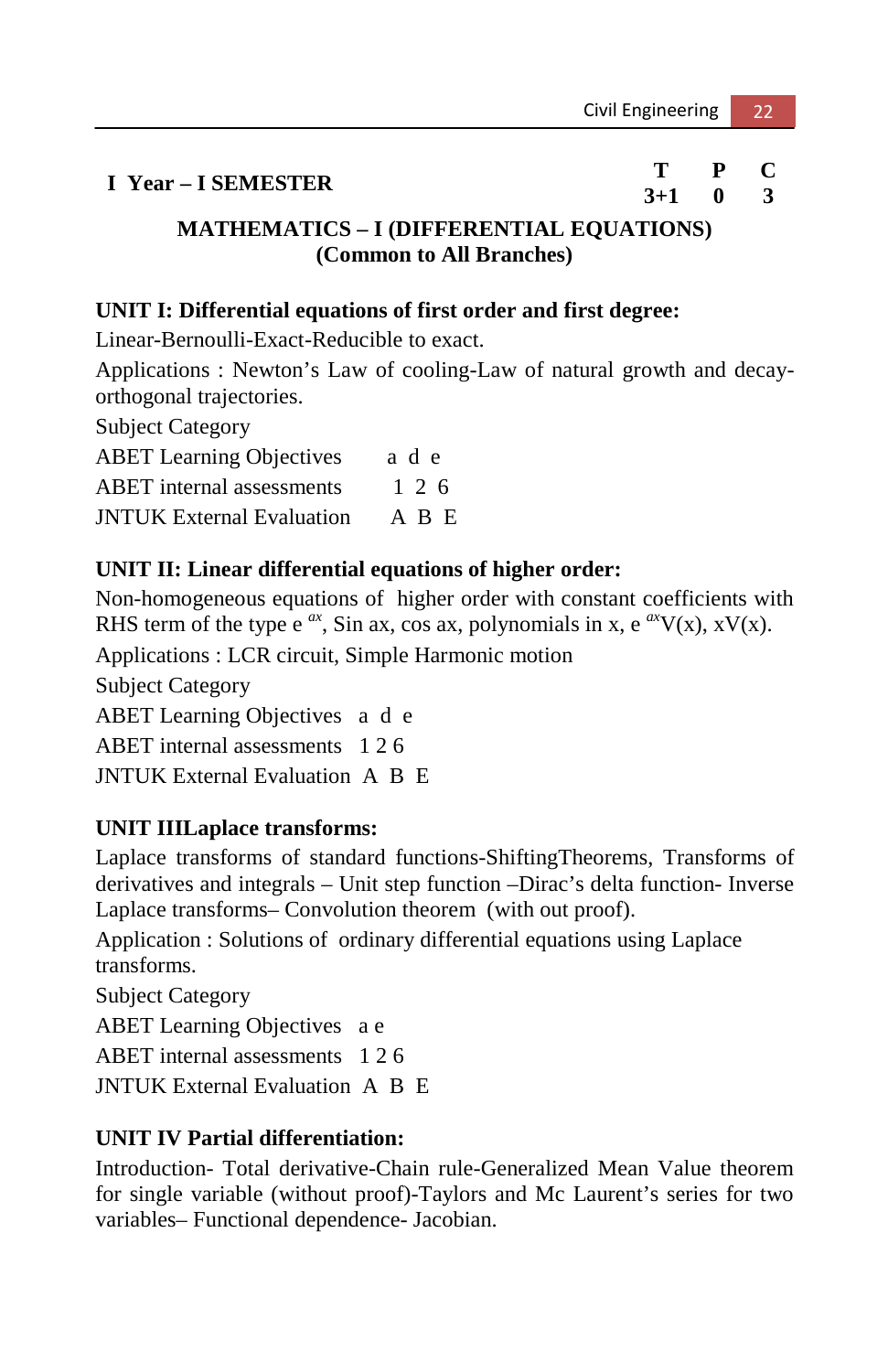| I Year – I SEMESTER |  |  |
|---------------------|--|--|
|                     |  |  |

# **MATHEMATICS – I (DIFFERENTIAL EQUATIONS) (Common to All Branches)**

# **UNIT I: Differential equations of first order and first degree:**

Linear-Bernoulli-Exact-Reducible to exact.

Applications : Newton's Law of cooling-Law of natural growth and decayorthogonal trajectories.

Subject Category

| <b>ABET</b> Learning Objectives  | a d e |
|----------------------------------|-------|
| <b>ABET</b> internal assessments | 126   |
| <b>JNTUK External Evaluation</b> | A B E |

# **UNIT II: Linear differential equations of higher order:**

Non-homogeneous equations of higher order with constant coefficients with RHS term of the type  $e^{ax}$ , Sin ax, cos ax, polynomials in x,  $e^{ax}V(x)$ ,  $xV(x)$ .

Applications : LCR circuit, Simple Harmonic motion

Subject Category

ABET Learning Objectives a d e

ABET internal assessments 1 2 6

JNTUK External Evaluation A B E

# **UNIT IIILaplace transforms:**

Laplace transforms of standard functions-ShiftingTheorems, Transforms of derivatives and integrals – Unit step function –Dirac's delta function- Inverse Laplace transforms– Convolution theorem (with out proof).

Application : Solutions of ordinary differential equations using Laplace transforms.

Subject Category

ABET Learning Objectives a e

ABET internal assessments 1 2 6

JNTUK External Evaluation A B E

# **UNIT IV Partial differentiation:**

Introduction- Total derivative-Chain rule-Generalized Mean Value theorem for single variable (without proof)-Taylors and Mc Laurent's series for two variables– Functional dependence- Jacobian.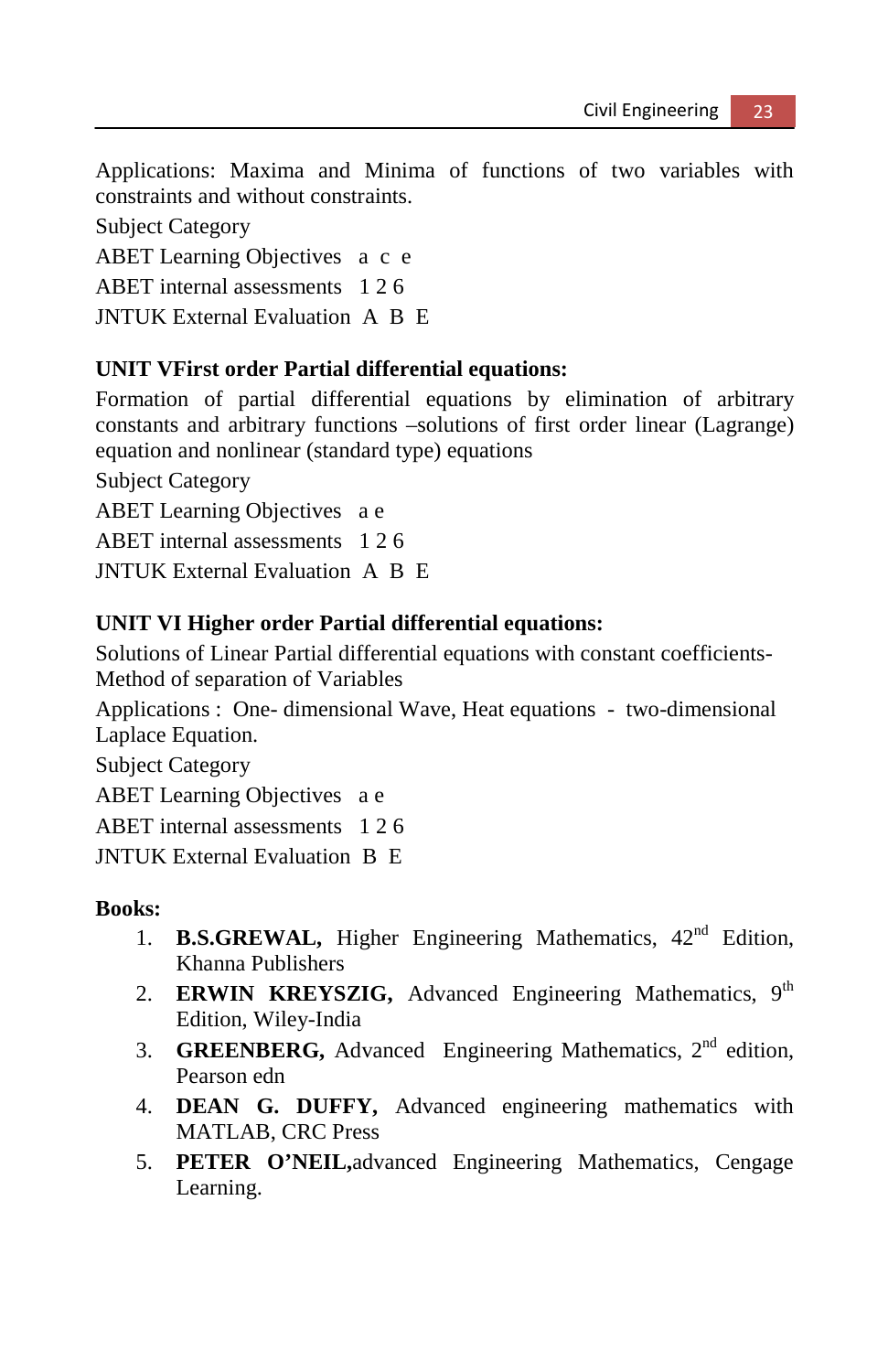Applications: Maxima and Minima of functions of two variables with constraints and without constraints.

Subject Category

ABET Learning Objectives a c e

ABET internal assessments 1 2 6

JNTUK External Evaluation A B E

# **UNIT VFirst order Partial differential equations:**

Formation of partial differential equations by elimination of arbitrary constants and arbitrary functions –solutions of first order linear (Lagrange) equation and nonlinear (standard type) equations

Subject Category

ABET Learning Objectives a e

ABET internal assessments 1 2 6

JNTUK External Evaluation A B E

# **UNIT VI Higher order Partial differential equations:**

Solutions of Linear Partial differential equations with constant coefficients-Method of separation of Variables

Applications : One- dimensional Wave, Heat equations - two-dimensional Laplace Equation.

Subject Category

ABET Learning Objectives a e

ABET internal assessments 1 2 6

JNTUK External Evaluation B E

# **Books:**

- 1. **B.S.GREWAL,** Higher Engineering Mathematics, 42<sup>nd</sup> Edition, Khanna Publishers
- 2. **ERWIN KREYSZIG,** Advanced Engineering Mathematics, 9<sup>th</sup> Edition, Wiley-India
- 3. **GREENBERG,** Advanced Engineering Mathematics, 2nd edition, Pearson edn
- 4. **DEAN G. DUFFY,** Advanced engineering mathematics with MATLAB, CRC Press
- 5. **PETER O'NEIL,**advanced Engineering Mathematics, Cengage Learning.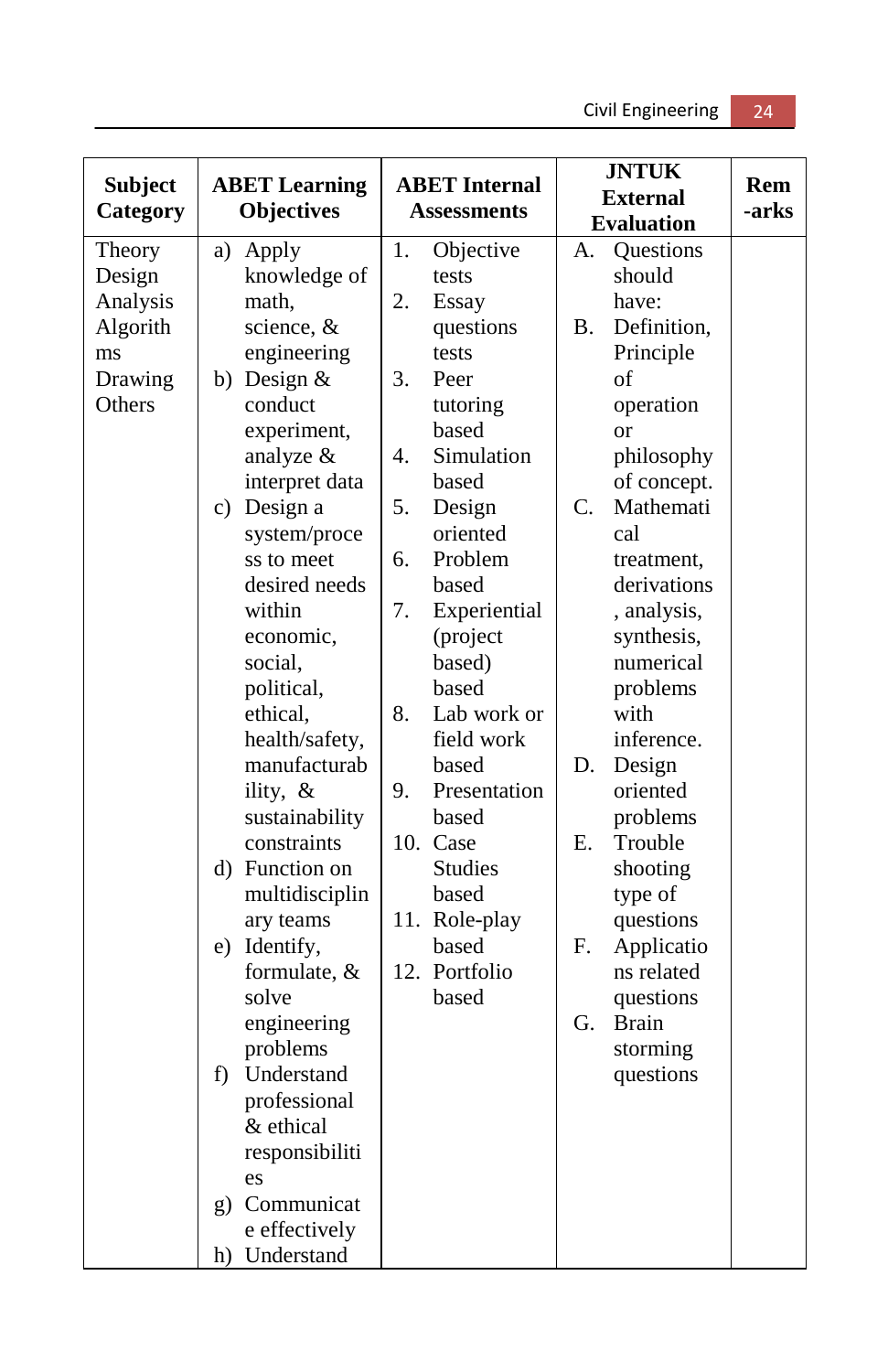|                | <b>JNTUK</b>         |                      |                          |       |  |
|----------------|----------------------|----------------------|--------------------------|-------|--|
| <b>Subject</b> | <b>ABET Learning</b> | <b>ABET</b> Internal | <b>External</b>          | Rem   |  |
| Category       | <b>Objectives</b>    | <b>Assessments</b>   | <b>Evaluation</b>        | -arks |  |
| Theory         | a) Apply             | 1.<br>Objective      | А.<br>Questions          |       |  |
| Design         | knowledge of         | tests                | should                   |       |  |
| Analysis       | math,                | 2.<br>Essay          | have:                    |       |  |
| Algorith       | science, $&$         | questions            | <b>B.</b><br>Definition, |       |  |
| ms             | engineering          | tests                | Principle                |       |  |
| Drawing        | b) Design $&$        | 3.<br>Peer           | of                       |       |  |
| Others         | conduct              | tutoring             | operation                |       |  |
|                | experiment,          | based                | <b>or</b>                |       |  |
|                | analyze &            | 4.<br>Simulation     | philosophy               |       |  |
|                | interpret data       | based                | of concept.              |       |  |
|                | c) Design a          | 5.<br>Design         | $C_{\cdot}$<br>Mathemati |       |  |
|                | system/proce         | oriented             | cal                      |       |  |
|                | ss to meet           | Problem<br>б.        | treatment,               |       |  |
|                | desired needs        | based                | derivations              |       |  |
|                | within               | 7.<br>Experiential   | , analysis,              |       |  |
|                | economic,            | (project             | synthesis,               |       |  |
|                | social,              | based)               | numerical                |       |  |
|                | political,           | based                | problems                 |       |  |
|                | ethical,             | 8.<br>Lab work or    | with                     |       |  |
|                | health/safety,       | field work           | inference.               |       |  |
|                | manufacturab         | based                | D.<br>Design             |       |  |
|                | ility, &             | 9.<br>Presentation   | oriented                 |       |  |
|                | sustainability       | based                | problems                 |       |  |
|                | constraints          | 10. Case             | Е.<br>Trouble            |       |  |
|                | d) Function on       | <b>Studies</b>       | shooting                 |       |  |
|                | multidisciplin       | based                | type of                  |       |  |
|                | ary teams            | 11. Role-play        | questions                |       |  |
|                | e)<br>Identify,      | based                | F.<br>Applicatio         |       |  |
|                | formulate, &         | 12. Portfolio        | ns related               |       |  |
|                | solve                | based                | questions                |       |  |
|                | engineering          |                      | G.<br><b>Brain</b>       |       |  |
|                | problems             |                      | storming                 |       |  |
|                | f)<br>Understand     |                      | questions                |       |  |
|                | professional         |                      |                          |       |  |
|                | & ethical            |                      |                          |       |  |
|                | responsibiliti       |                      |                          |       |  |
|                | es                   |                      |                          |       |  |
|                | g) Communicat        |                      |                          |       |  |
|                | e effectively        |                      |                          |       |  |
|                | Understand<br>h)     |                      |                          |       |  |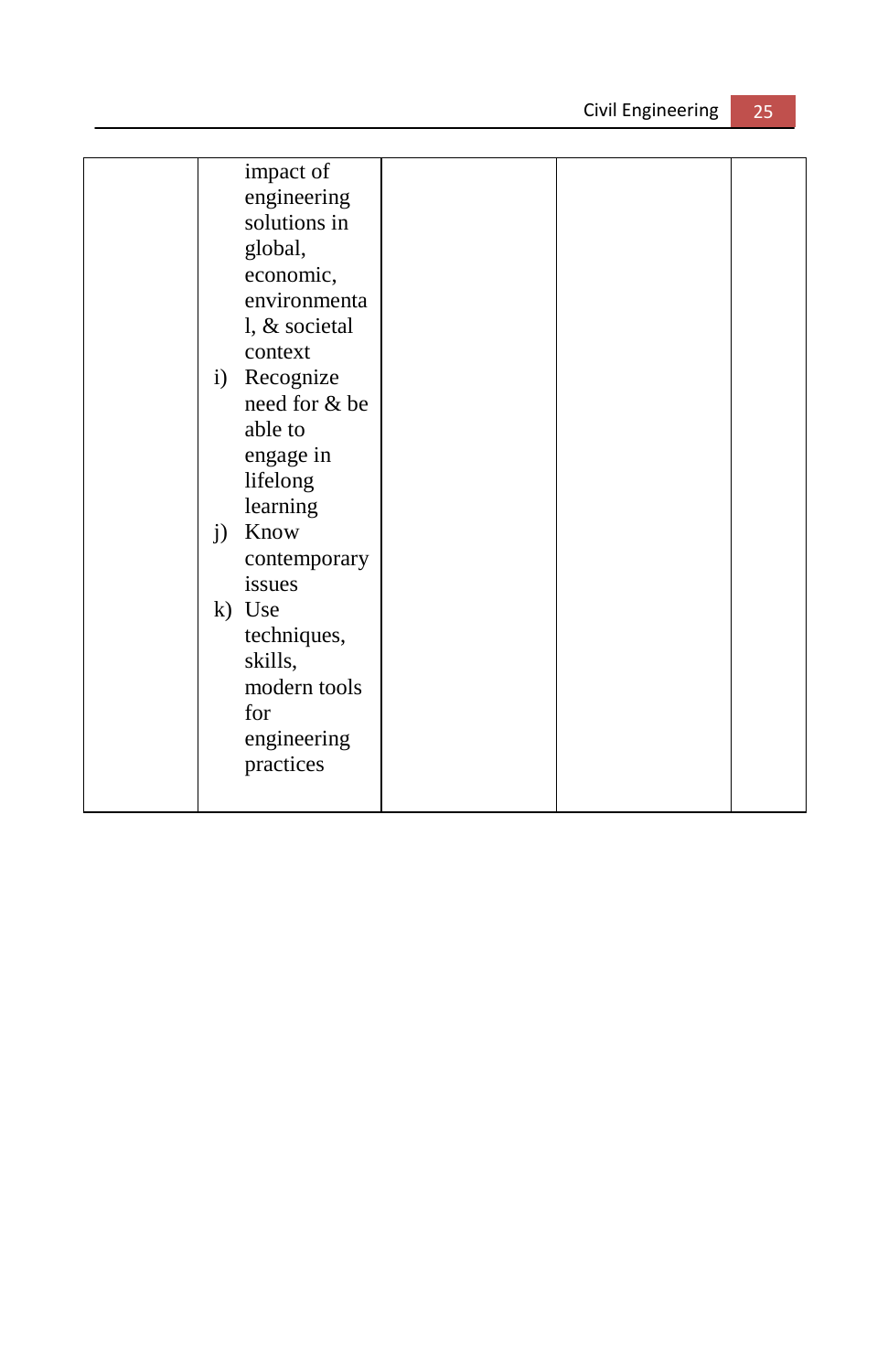| Civil Engineering |  |
|-------------------|--|
|-------------------|--|

| impact of<br>engineering<br>solutions in<br>global,<br>economic,<br>environmenta<br>l, & societal<br>context<br>i) Recognize<br>need for & be<br>able to<br>engage in<br>lifelong<br>learning<br>Know<br>$j$ )<br>contemporary<br>issues<br>k) Use<br>techniques,<br>skills,<br>modern tools |
|----------------------------------------------------------------------------------------------------------------------------------------------------------------------------------------------------------------------------------------------------------------------------------------------|
| for<br>engineering<br>practices                                                                                                                                                                                                                                                              |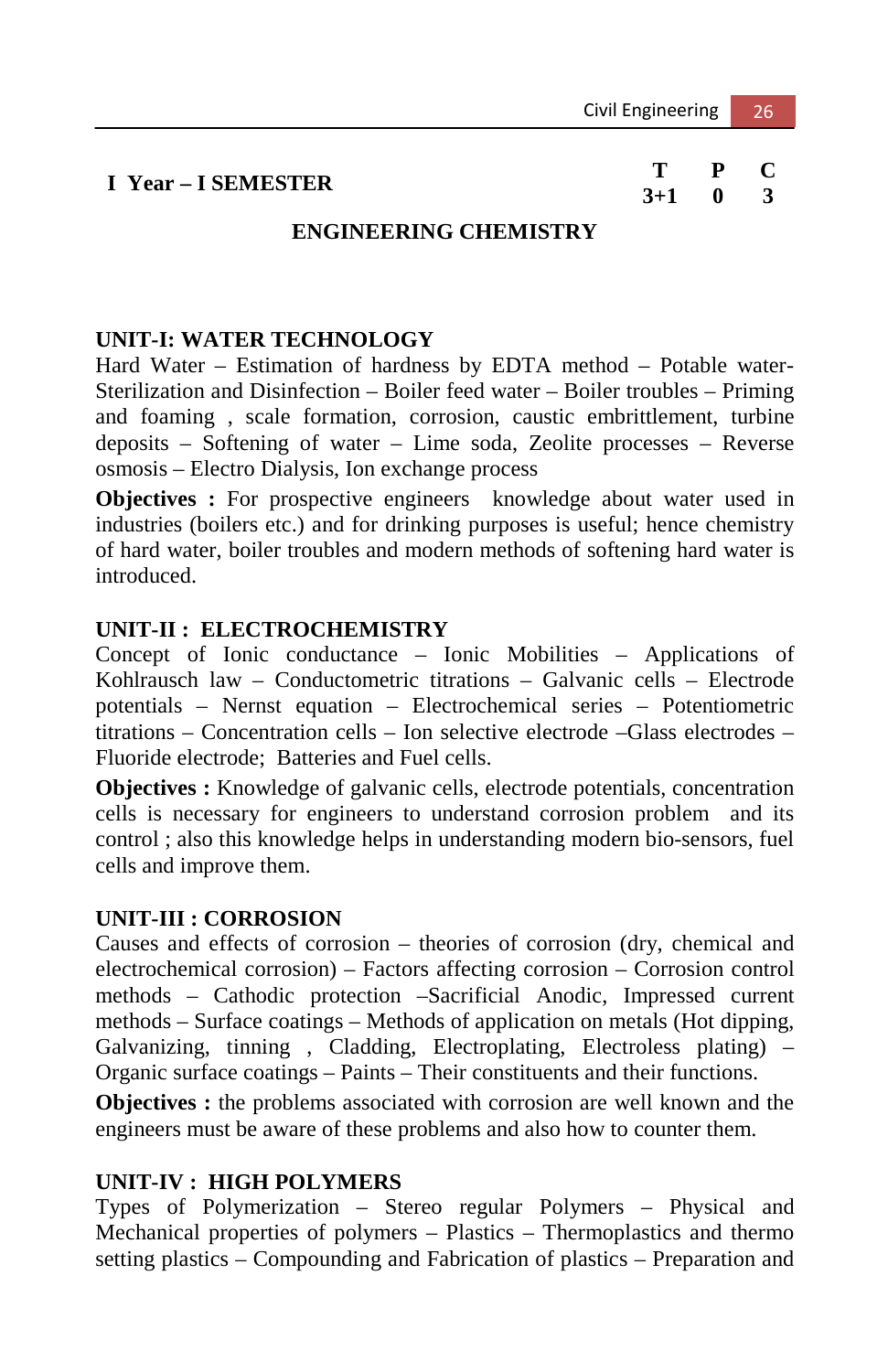# **I Year – I SEMESTER T P C**

 $3 + 1$ 

### **ENGINEERING CHEMISTRY**

#### **UNIT-I: WATER TECHNOLOGY**

Hard Water – Estimation of hardness by EDTA method – Potable water-Sterilization and Disinfection – Boiler feed water – Boiler troubles – Priming and foaming , scale formation, corrosion, caustic embrittlement, turbine deposits – Softening of water – Lime soda, Zeolite processes – Reverse osmosis – Electro Dialysis, Ion exchange process

**Objectives :** For prospective engineers knowledge about water used in industries (boilers etc.) and for drinking purposes is useful; hence chemistry of hard water, boiler troubles and modern methods of softening hard water is introduced.

#### **UNIT-II : ELECTROCHEMISTRY**

Concept of Ionic conductance – Ionic Mobilities – Applications of Kohlrausch law – Conductometric titrations – Galvanic cells – Electrode potentials – Nernst equation – Electrochemical series – Potentiometric titrations – Concentration cells – Ion selective electrode –Glass electrodes – Fluoride electrode; Batteries and Fuel cells.

**Objectives :** Knowledge of galvanic cells, electrode potentials, concentration cells is necessary for engineers to understand corrosion problem and its control ; also this knowledge helps in understanding modern bio-sensors, fuel cells and improve them.

#### **UNIT-III : CORROSION**

Causes and effects of corrosion – theories of corrosion (dry, chemical and electrochemical corrosion) – Factors affecting corrosion – Corrosion control methods – Cathodic protection –Sacrificial Anodic, Impressed current methods – Surface coatings – Methods of application on metals (Hot dipping, Galvanizing, tinning , Cladding, Electroplating, Electroless plating) – Organic surface coatings – Paints – Their constituents and their functions.

**Objectives :** the problems associated with corrosion are well known and the engineers must be aware of these problems and also how to counter them.

#### **UNIT-IV : HIGH POLYMERS**

Types of Polymerization – Stereo regular Polymers – Physical and Mechanical properties of polymers – Plastics – Thermoplastics and thermo setting plastics – Compounding and Fabrication of plastics – Preparation and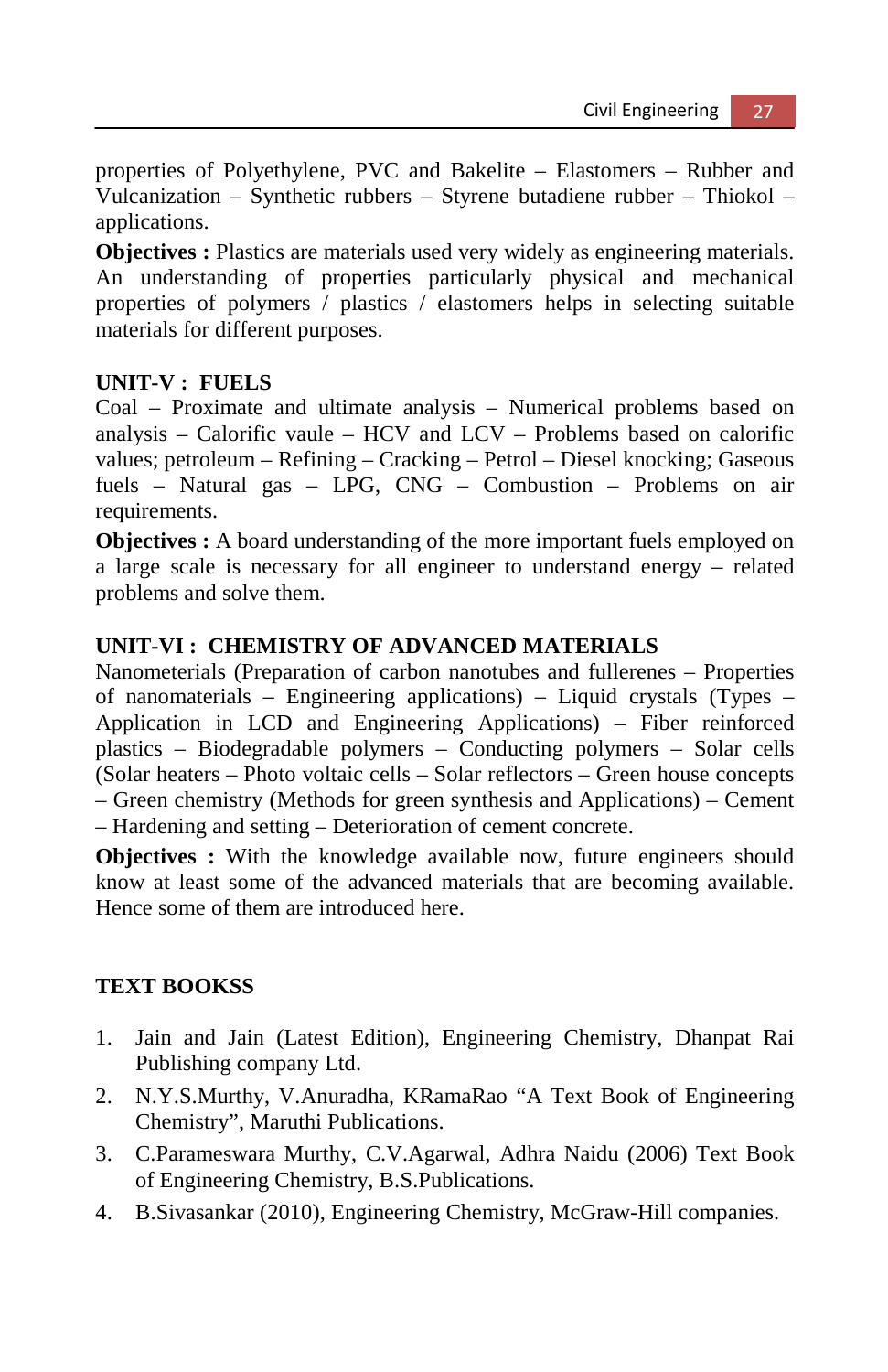properties of Polyethylene, PVC and Bakelite – Elastomers – Rubber and Vulcanization – Synthetic rubbers – Styrene butadiene rubber – Thiokol – applications.

**Objectives :** Plastics are materials used very widely as engineering materials. An understanding of properties particularly physical and mechanical properties of polymers / plastics / elastomers helps in selecting suitable materials for different purposes.

# **UNIT-V : FUELS**

Coal – Proximate and ultimate analysis – Numerical problems based on analysis – Calorific vaule – HCV and LCV – Problems based on calorific values; petroleum – Refining – Cracking – Petrol – Diesel knocking; Gaseous fuels – Natural gas – LPG, CNG – Combustion – Problems on air requirements.

**Objectives :** A board understanding of the more important fuels employed on a large scale is necessary for all engineer to understand energy – related problems and solve them.

# **UNIT-VI : CHEMISTRY OF ADVANCED MATERIALS**

Nanometerials (Preparation of carbon nanotubes and fullerenes – Properties of nanomaterials – Engineering applications) – Liquid crystals (Types – Application in LCD and Engineering Applications) – Fiber reinforced plastics – Biodegradable polymers – Conducting polymers – Solar cells (Solar heaters – Photo voltaic cells – Solar reflectors – Green house concepts – Green chemistry (Methods for green synthesis and Applications) – Cement – Hardening and setting – Deterioration of cement concrete.

**Objectives :** With the knowledge available now, future engineers should know at least some of the advanced materials that are becoming available. Hence some of them are introduced here.

# **TEXT BOOKSS**

- 1. Jain and Jain (Latest Edition), Engineering Chemistry, Dhanpat Rai Publishing company Ltd.
- 2. N.Y.S.Murthy, V.Anuradha, KRamaRao "A Text Book of Engineering Chemistry", Maruthi Publications.
- 3. C.Parameswara Murthy, C.V.Agarwal, Adhra Naidu (2006) Text Book of Engineering Chemistry, B.S.Publications.
- 4. B.Sivasankar (2010), Engineering Chemistry, McGraw-Hill companies.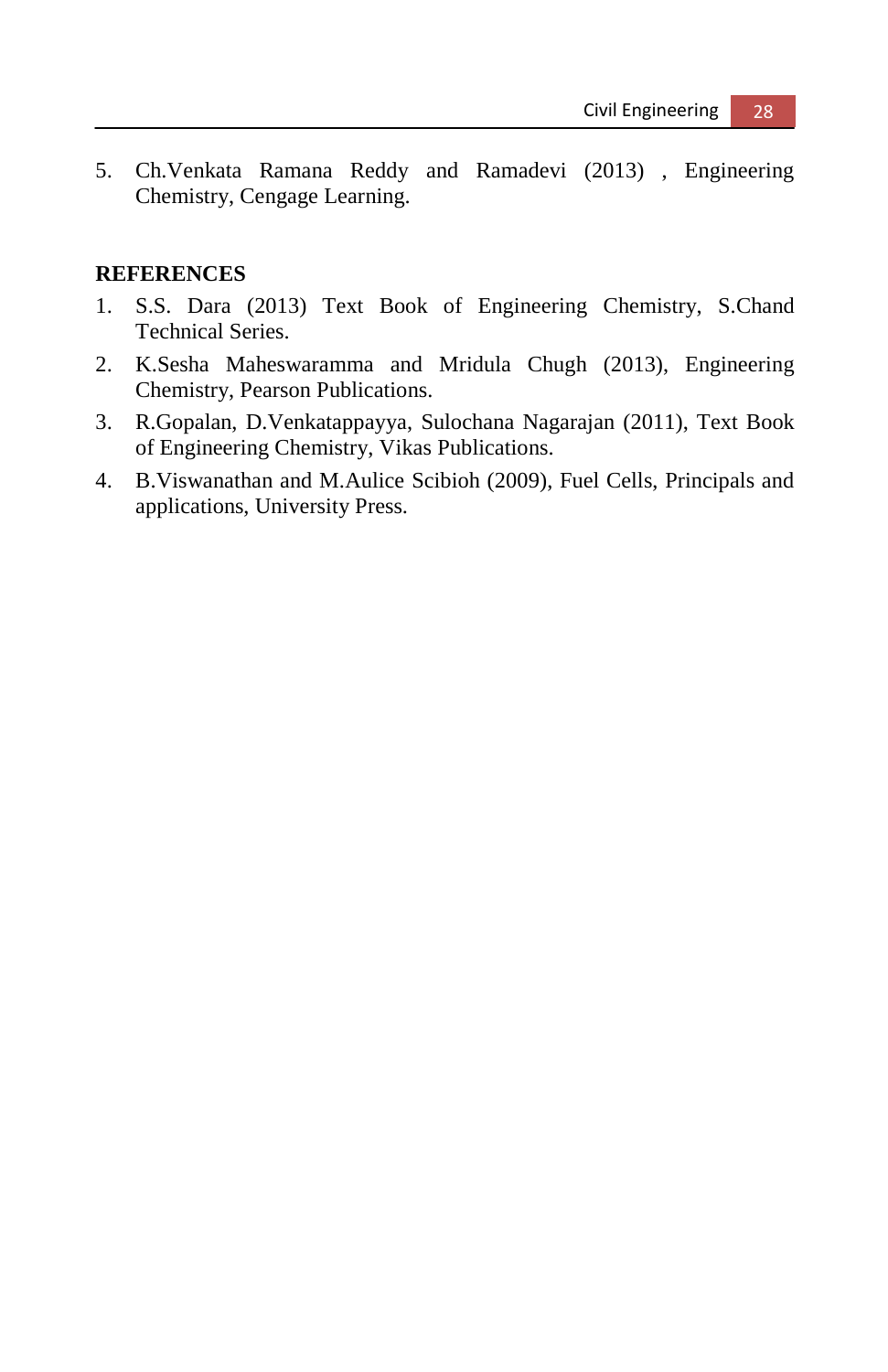5. Ch.Venkata Ramana Reddy and Ramadevi (2013) , Engineering Chemistry, Cengage Learning.

#### **REFERENCES**

- 1. S.S. Dara (2013) Text Book of Engineering Chemistry, S.Chand Technical Series.
- 2. K.Sesha Maheswaramma and Mridula Chugh (2013), Engineering Chemistry, Pearson Publications.
- 3. R.Gopalan, D.Venkatappayya, Sulochana Nagarajan (2011), Text Book of Engineering Chemistry, Vikas Publications.
- 4. B.Viswanathan and M.Aulice Scibioh (2009), Fuel Cells, Principals and applications, University Press.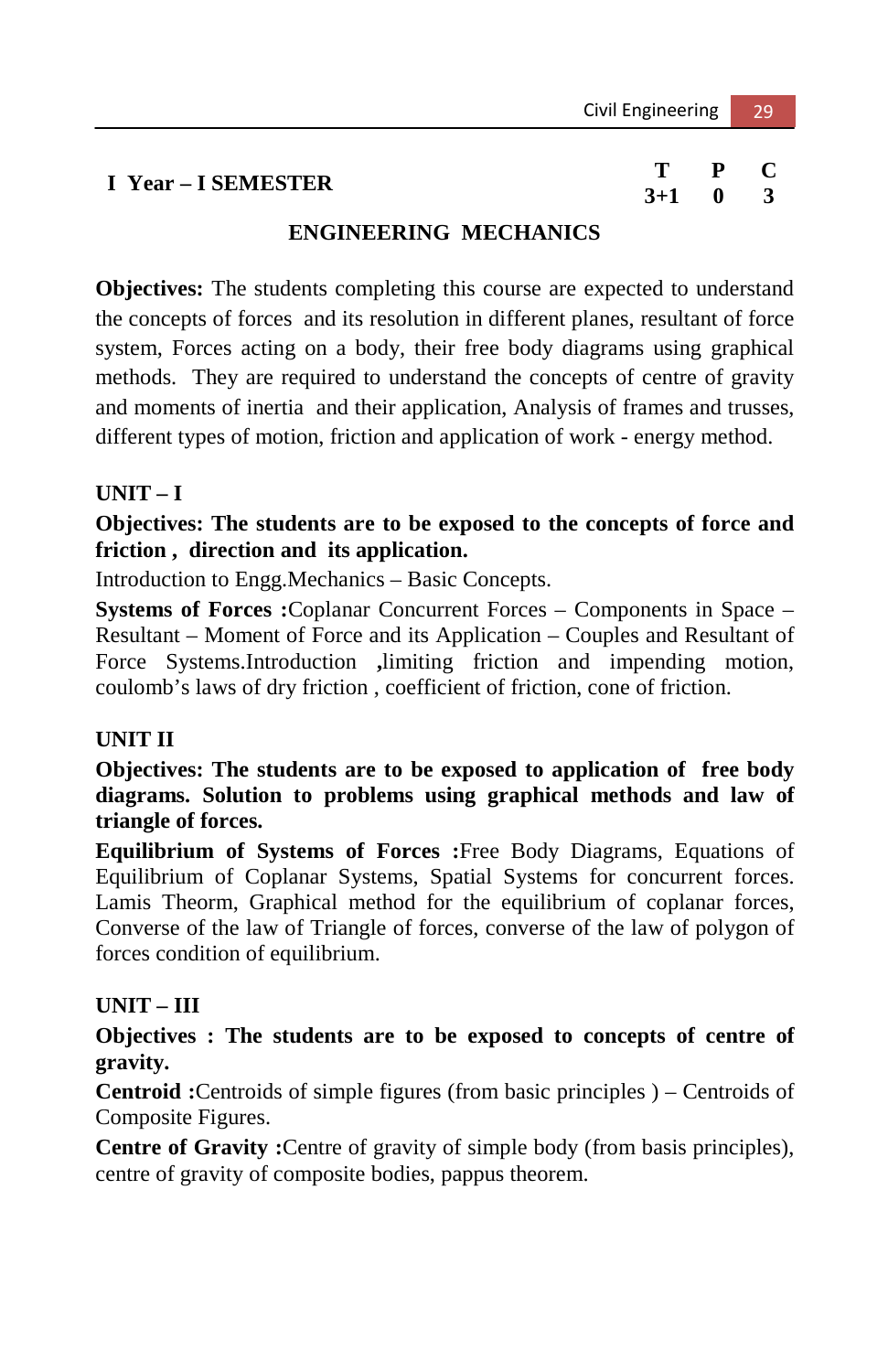| I Year - I SEMESTER |           | T P C |  |
|---------------------|-----------|-------|--|
|                     | $3+1$ 0 3 |       |  |

# **ENGINEERING MECHANICS**

**Objectives:** The students completing this course are expected to understand the concepts of forces and its resolution in different planes, resultant of force system, Forces acting on a body, their free body diagrams using graphical methods. They are required to understand the concepts of centre of gravity and moments of inertia and their application, Analysis of frames and trusses, different types of motion, friction and application of work - energy method.

# **UNIT – I**

**Objectives: The students are to be exposed to the concepts of force and friction , direction and its application.**

Introduction to Engg.Mechanics – Basic Concepts.

**Systems of Forces :**Coplanar Concurrent Forces – Components in Space – Resultant – Moment of Force and its Application – Couples and Resultant of Force Systems.Introduction **,**limiting friction and impending motion, coulomb's laws of dry friction , coefficient of friction, cone of friction.

# **UNIT II**

**Objectives: The students are to be exposed to application of free body diagrams. Solution to problems using graphical methods and law of triangle of forces.** 

**Equilibrium of Systems of Forces :**Free Body Diagrams, Equations of Equilibrium of Coplanar Systems, Spatial Systems for concurrent forces. Lamis Theorm, Graphical method for the equilibrium of coplanar forces, Converse of the law of Triangle of forces, converse of the law of polygon of forces condition of equilibrium.

# **UNIT – III**

# **Objectives : The students are to be exposed to concepts of centre of gravity.**

**Centroid :**Centroids of simple figures (from basic principles ) – Centroids of Composite Figures.

**Centre of Gravity :**Centre of gravity of simple body (from basis principles), centre of gravity of composite bodies, pappus theorem.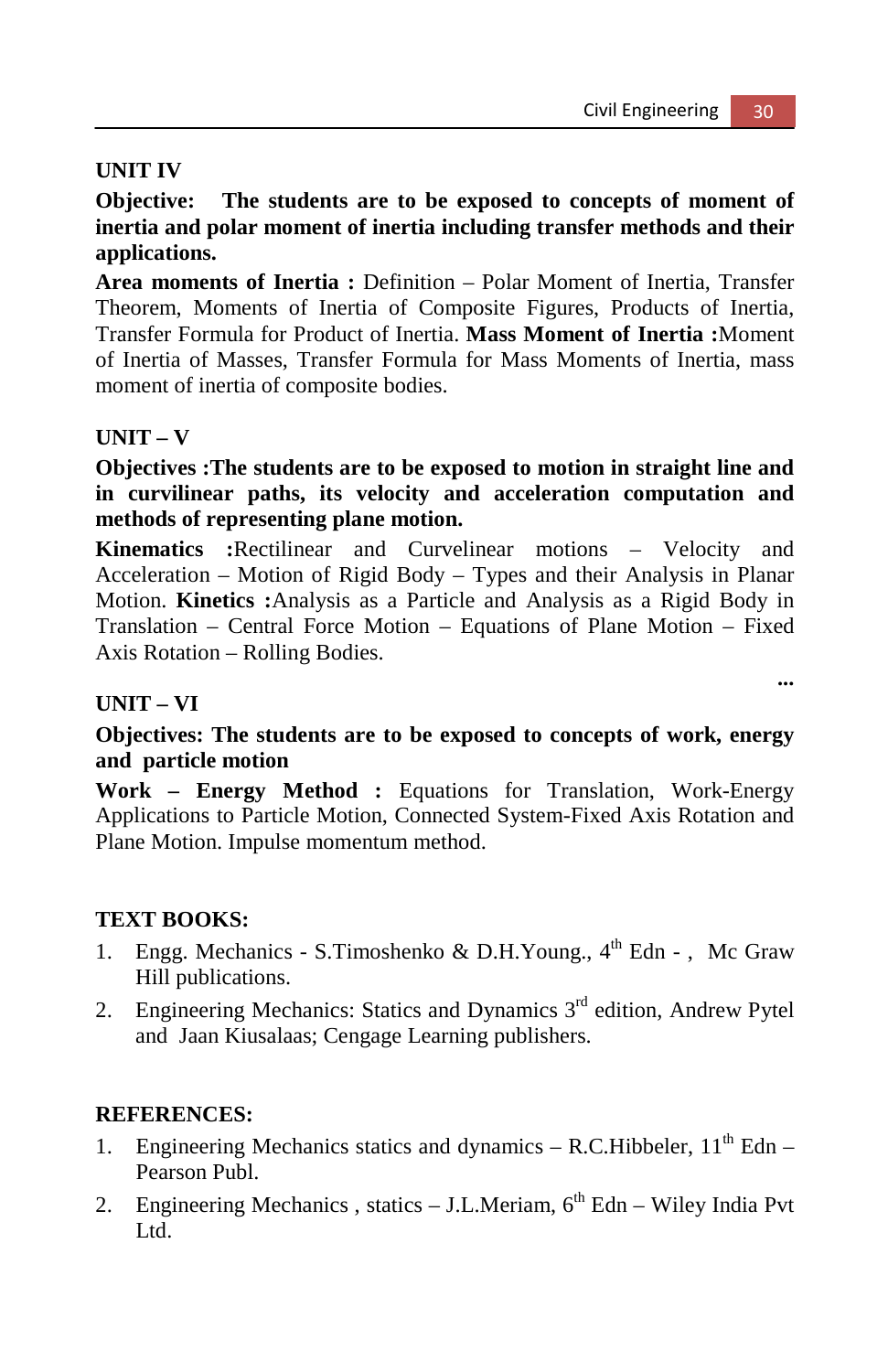**...** 

# **UNIT IV**

**Objective: The students are to be exposed to concepts of moment of inertia and polar moment of inertia including transfer methods and their applications.** 

Area moments of Inertia : Definition – Polar Moment of Inertia, Transfer Theorem, Moments of Inertia of Composite Figures, Products of Inertia, Transfer Formula for Product of Inertia. **Mass Moment of Inertia :**Moment of Inertia of Masses, Transfer Formula for Mass Moments of Inertia, mass moment of inertia of composite bodies.

# **UNIT – V**

**Objectives :The students are to be exposed to motion in straight line and in curvilinear paths, its velocity and acceleration computation and methods of representing plane motion.** 

**Kinematics :**Rectilinear and Curvelinear motions – Velocity and Acceleration – Motion of Rigid Body – Types and their Analysis in Planar Motion. **Kinetics :**Analysis as a Particle and Analysis as a Rigid Body in Translation – Central Force Motion – Equations of Plane Motion – Fixed Axis Rotation – Rolling Bodies.

# **UNIT – VI**

**Objectives: The students are to be exposed to concepts of work, energy and particle motion** 

**Work – Energy Method :** Equations for Translation, Work-Energy Applications to Particle Motion, Connected System-Fixed Axis Rotation and Plane Motion. Impulse momentum method.

# **TEXT BOOKS:**

- 1. Engg. Mechanics S.Timoshenko & D.H.Young.,  $4<sup>th</sup>$  Edn , Mc Graw Hill publications.
- 2. Engineering Mechanics: Statics and Dynamics  $3<sup>rd</sup>$  edition, Andrew Pytel and Jaan Kiusalaas; Cengage Learning publishers.

# **REFERENCES:**

- 1. Engineering Mechanics statics and dynamics R.C.Hibbeler,  $11<sup>th</sup>$  Edn -Pearson Publ.
- 2. Engineering Mechanics, statics J.L.Meriam,  $6<sup>th</sup>$  Edn Wiley India Pvt L<sub>td</sub>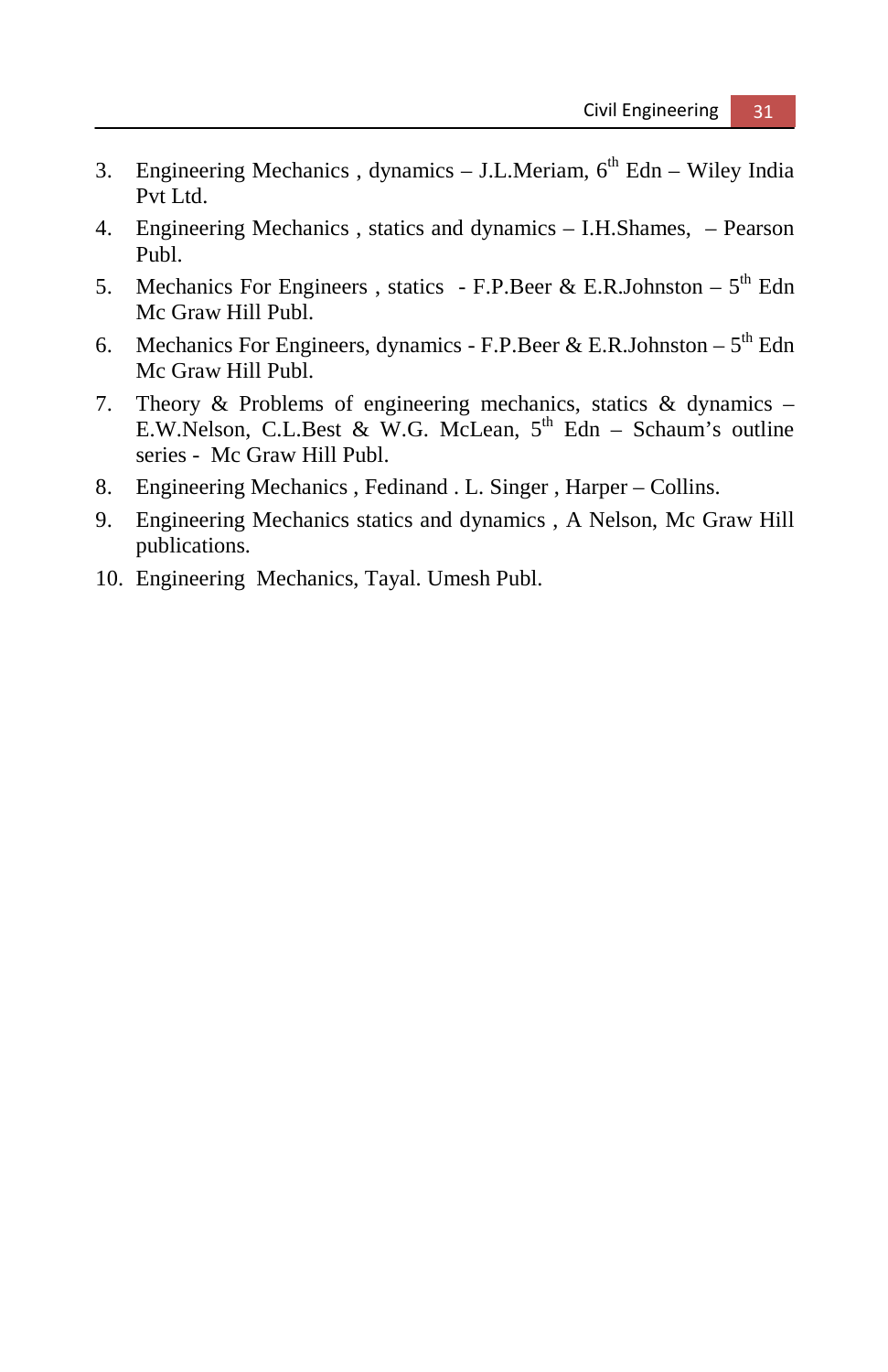- 3. Engineering Mechanics , dynamics J.L.Meriam,  $6<sup>th</sup>$  Edn Wiley India Pvt Ltd.
- 4. Engineering Mechanics , statics and dynamics I.H.Shames, Pearson Publ.
- 5. Mechanics For Engineers, statics F.P.Beer & E.R.Johnston  $5<sup>th</sup>$  Edn Mc Graw Hill Publ.
- 6. Mechanics For Engineers, dynamics F.P.Beer & E.R.Johnston  $5<sup>th</sup>$  Edn Mc Graw Hill Publ.
- 7. Theory  $\&$  Problems of engineering mechanics, statics  $\&$  dynamics E.W.Nelson, C.L.Best & W.G. McLean,  $5<sup>th</sup>$  Edn – Schaum's outline series - Mc Graw Hill Publ.
- 8. Engineering Mechanics , Fedinand . L. Singer , Harper Collins.
- 9. Engineering Mechanics statics and dynamics , A Nelson, Mc Graw Hill publications.
- 10. Engineering Mechanics, Tayal. Umesh Publ.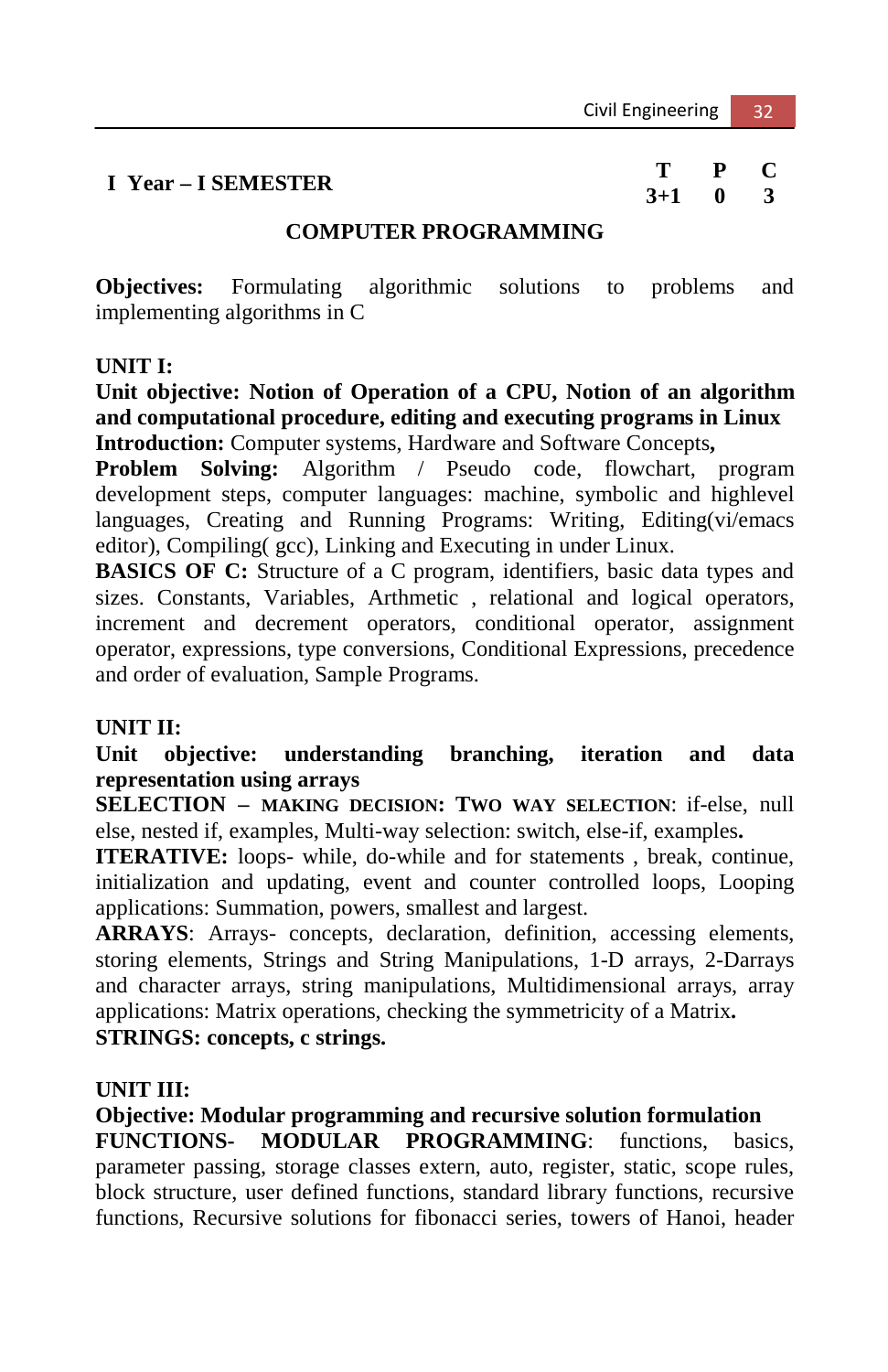# **I Year – I SEMESTER T P C**

 $3 + 1$ 

# **COMPUTER PROGRAMMING**

**Objectives:** Formulating algorithmic solutions to problems and implementing algorithms in C

# **UNIT I:**

**Unit objective: Notion of Operation of a CPU, Notion of an algorithm and computational procedure, editing and executing programs in Linux Introduction:** Computer systems, Hardware and Software Concepts**,** 

**Problem Solving:** Algorithm / Pseudo code, flowchart, program development steps, computer languages: machine, symbolic and highlevel languages, Creating and Running Programs: Writing, Editing(vi/emacs editor), Compiling( gcc), Linking and Executing in under Linux.

**BASICS OF C:** Structure of a C program, identifiers, basic data types and sizes. Constants, Variables, Arthmetic , relational and logical operators, increment and decrement operators, conditional operator, assignment operator, expressions, type conversions, Conditional Expressions, precedence and order of evaluation, Sample Programs.

# **UNIT II:**

**Unit objective: understanding branching, iteration and data representation using arrays** 

**SELECTION – MAKING DECISION: TWO WAY SELECTION**: if-else, null else, nested if, examples, Multi-way selection: switch, else-if, examples**.** 

**ITERATIVE:** loops- while, do-while and for statements , break, continue, initialization and updating, event and counter controlled loops, Looping applications: Summation, powers, smallest and largest.

**ARRAYS**: Arrays- concepts, declaration, definition, accessing elements, storing elements, Strings and String Manipulations, 1-D arrays, 2-Darrays and character arrays, string manipulations, Multidimensional arrays, array applications: Matrix operations, checking the symmetricity of a Matrix**. STRINGS: concepts, c strings.** 

# **UNIT III:**

# **Objective: Modular programming and recursive solution formulation FUNCTIONS- MODULAR PROGRAMMING:** functions. bas

**MODULAR PROGRAMMING:** functions, basics, parameter passing, storage classes extern, auto, register, static, scope rules, block structure, user defined functions, standard library functions, recursive functions, Recursive solutions for fibonacci series, towers of Hanoi, header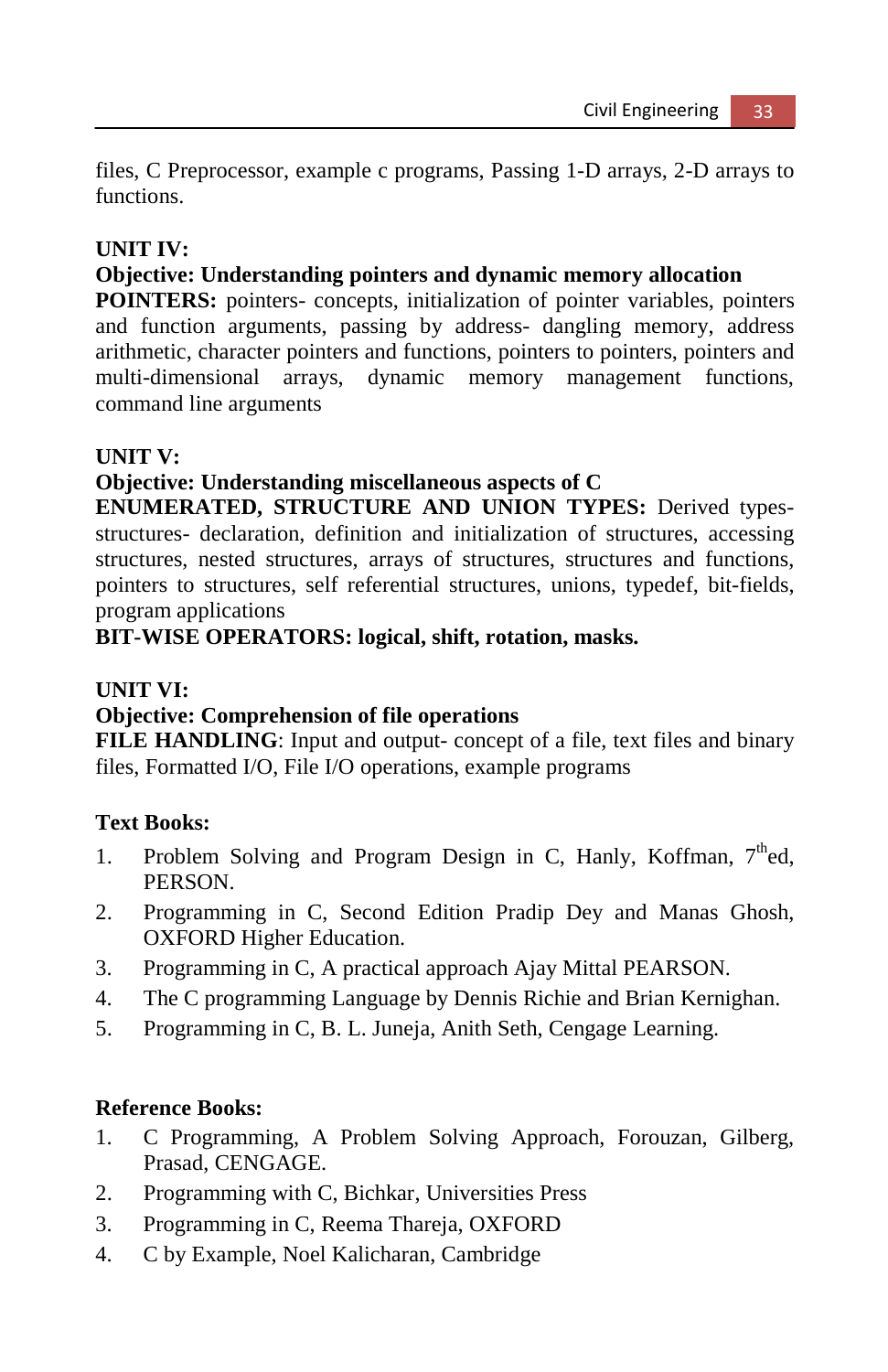files, C Preprocessor, example c programs, Passing 1-D arrays, 2-D arrays to functions.

# **UNIT IV:**

# **Objective: Understanding pointers and dynamic memory allocation**

**POINTERS:** pointers- concepts, initialization of pointer variables, pointers and function arguments, passing by address- dangling memory, address arithmetic, character pointers and functions, pointers to pointers, pointers and multi-dimensional arrays, dynamic memory management functions, command line arguments

# **UNIT V:**

# **Objective: Understanding miscellaneous aspects of C**

**ENUMERATED, STRUCTURE AND UNION TYPES:** Derived typesstructures- declaration, definition and initialization of structures, accessing structures, nested structures, arrays of structures, structures and functions, pointers to structures, self referential structures, unions, typedef, bit-fields, program applications

# **BIT-WISE OPERATORS: logical, shift, rotation, masks.**

# **UNIT VI:**

# **Objective: Comprehension of file operations**

**FILE HANDLING**: Input and output- concept of a file, text files and binary files, Formatted I/O, File I/O operations, example programs

# **Text Books:**

- 1. Problem Solving and Program Design in C, Hanly, Koffman,  $7<sup>th</sup>$ ed, PERSON.
- 2. Programming in C, Second Edition Pradip Dey and Manas Ghosh, OXFORD Higher Education.
- 3. Programming in C, A practical approach Ajay Mittal PEARSON.
- 4. The C programming Language by Dennis Richie and Brian Kernighan.
- 5. Programming in C, B. L. Juneja, Anith Seth, Cengage Learning.

# **Reference Books:**

- 1. C Programming, A Problem Solving Approach, Forouzan, Gilberg, Prasad, CENGAGE.
- 2. Programming with C, Bichkar, Universities Press
- 3. Programming in C, Reema Thareja, OXFORD
- 4. C by Example, Noel Kalicharan, Cambridge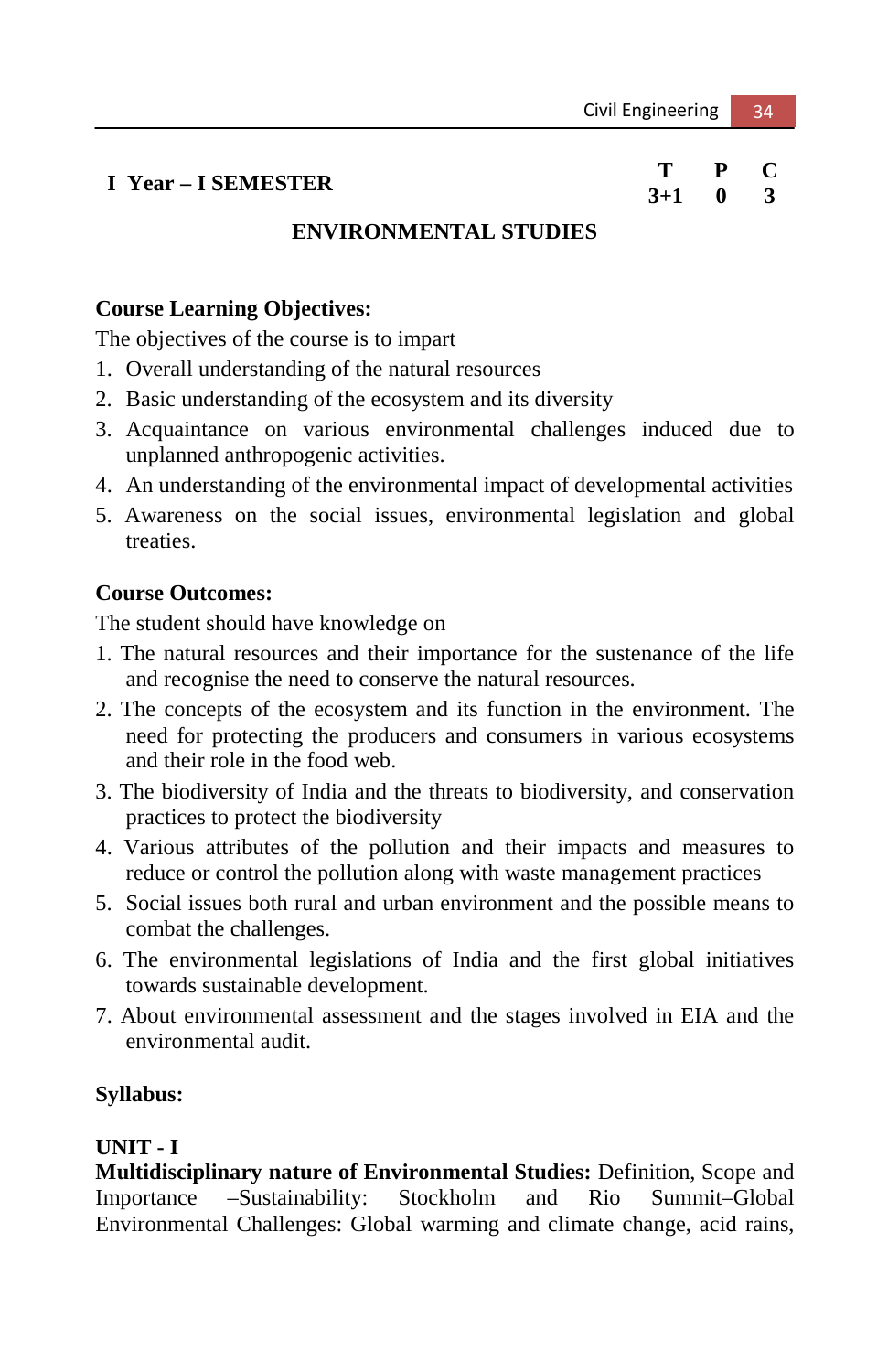# **I Year – I SEMESTER T P C**

# $3 + 1$

# **ENVIRONMENTAL STUDIES**

#### **Course Learning Objectives:**

The objectives of the course is to impart

- 1. Overall understanding of the natural resources
- 2. Basic understanding of the ecosystem and its diversity
- 3. Acquaintance on various environmental challenges induced due to unplanned anthropogenic activities.
- 4. An understanding of the environmental impact of developmental activities
- 5. Awareness on the social issues, environmental legislation and global treaties.

# **Course Outcomes:**

The student should have knowledge on

- 1. The natural resources and their importance for the sustenance of the life and recognise the need to conserve the natural resources.
- 2. The concepts of the ecosystem and its function in the environment. The need for protecting the producers and consumers in various ecosystems and their role in the food web.
- 3. The biodiversity of India and the threats to biodiversity, and conservation practices to protect the biodiversity
- 4. Various attributes of the pollution and their impacts and measures to reduce or control the pollution along with waste management practices
- 5. Social issues both rural and urban environment and the possible means to combat the challenges.
- 6. The environmental legislations of India and the first global initiatives towards sustainable development.
- 7. About environmental assessment and the stages involved in EIA and the environmental audit.

# **Syllabus:**

#### **UNIT - I**

**Multidisciplinary nature of Environmental Studies:** Definition, Scope and Importance –Sustainability: Stockholm and Rio Summit–Global Environmental Challenges: Global warming and climate change, acid rains,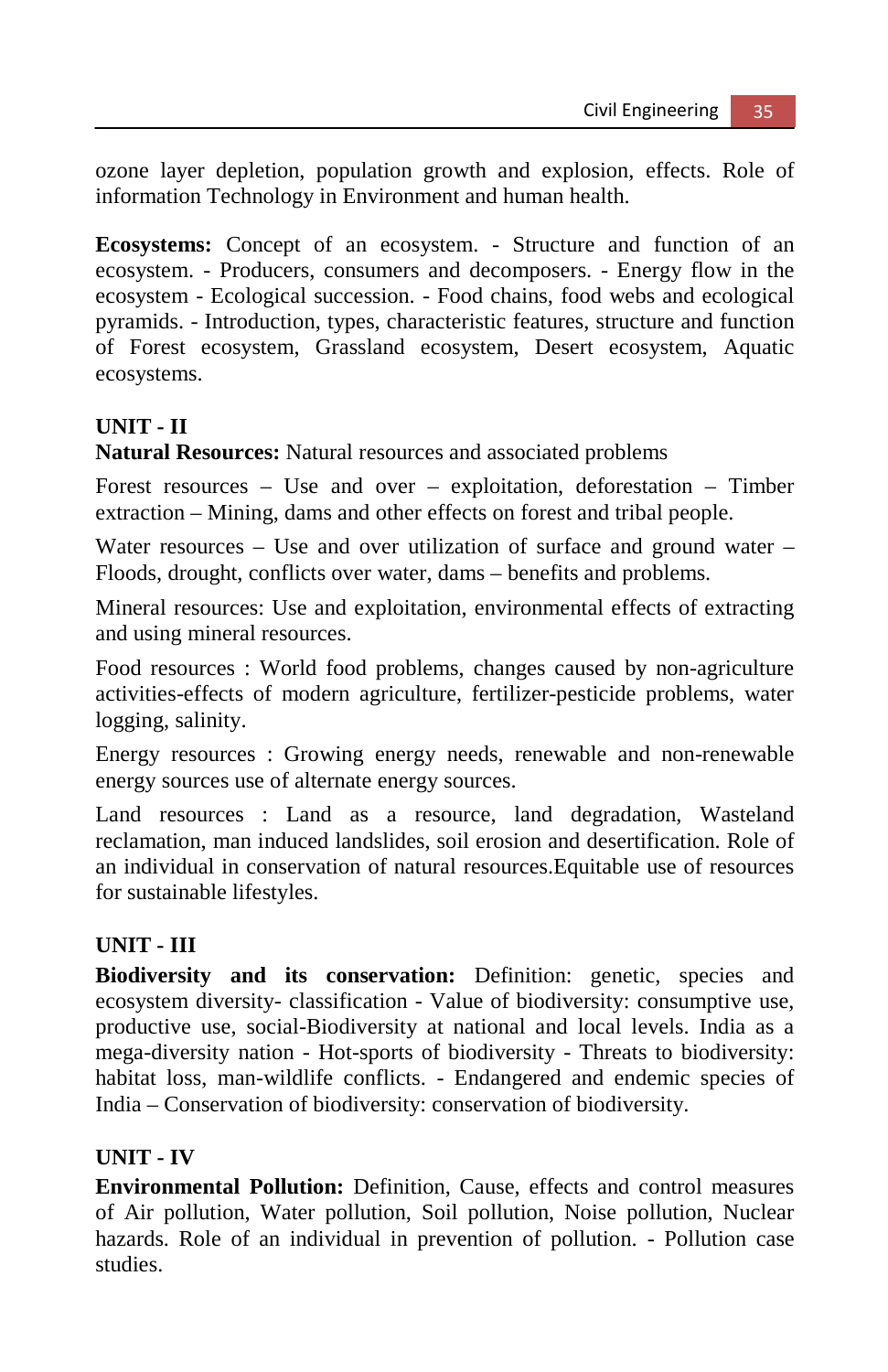ozone layer depletion, population growth and explosion, effects. Role of information Technology in Environment and human health.

**Ecosystems:** Concept of an ecosystem. - Structure and function of an ecosystem. - Producers, consumers and decomposers. - Energy flow in the ecosystem - Ecological succession. - Food chains, food webs and ecological pyramids. - Introduction, types, characteristic features, structure and function of Forest ecosystem, Grassland ecosystem, Desert ecosystem, Aquatic ecosystems.

# **UNIT - II**

**Natural Resources:** Natural resources and associated problems

Forest resources – Use and over – exploitation, deforestation – Timber extraction – Mining, dams and other effects on forest and tribal people.

Water resources – Use and over utilization of surface and ground water – Floods, drought, conflicts over water, dams – benefits and problems.

Mineral resources: Use and exploitation, environmental effects of extracting and using mineral resources.

Food resources : World food problems, changes caused by non-agriculture activities-effects of modern agriculture, fertilizer-pesticide problems, water logging, salinity.

Energy resources : Growing energy needs, renewable and non-renewable energy sources use of alternate energy sources.

Land resources : Land as a resource, land degradation, Wasteland reclamation, man induced landslides, soil erosion and desertification. Role of an individual in conservation of natural resources.Equitable use of resources for sustainable lifestyles.

# **UNIT - III**

**Biodiversity and its conservation:** Definition: genetic, species and ecosystem diversity- classification - Value of biodiversity: consumptive use, productive use, social-Biodiversity at national and local levels. India as a mega-diversity nation - Hot-sports of biodiversity - Threats to biodiversity: habitat loss, man-wildlife conflicts. - Endangered and endemic species of India – Conservation of biodiversity: conservation of biodiversity.

# **UNIT - IV**

**Environmental Pollution:** Definition, Cause, effects and control measures of Air pollution, Water pollution, Soil pollution, Noise pollution, Nuclear hazards. Role of an individual in prevention of pollution. - Pollution case studies.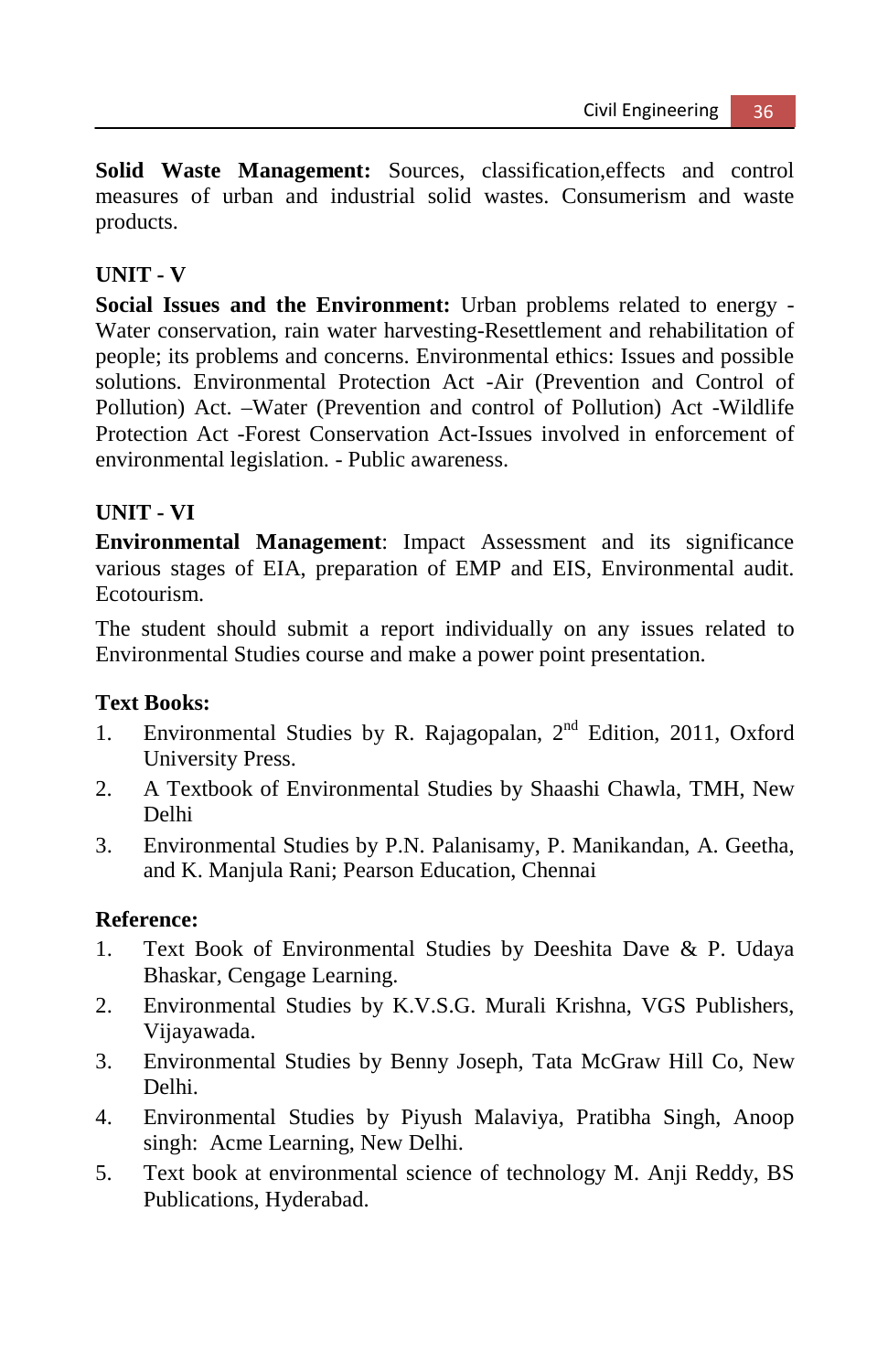**Solid Waste Management:** Sources, classification,effects and control measures of urban and industrial solid wastes. Consumerism and waste products.

# **UNIT - V**

**Social Issues and the Environment:** Urban problems related to energy - Water conservation, rain water harvesting-Resettlement and rehabilitation of people; its problems and concerns. Environmental ethics: Issues and possible solutions. Environmental Protection Act -Air (Prevention and Control of Pollution) Act. –Water (Prevention and control of Pollution) Act -Wildlife Protection Act -Forest Conservation Act-Issues involved in enforcement of environmental legislation. - Public awareness.

# **UNIT - VI**

**Environmental Management**: Impact Assessment and its significance various stages of EIA, preparation of EMP and EIS, Environmental audit. Ecotourism.

The student should submit a report individually on any issues related to Environmental Studies course and make a power point presentation.

# **Text Books:**

- 1. Environmental Studies by R. Rajagopalan,  $2<sup>nd</sup>$  Edition, 2011, Oxford University Press.
- 2. A Textbook of Environmental Studies by Shaashi Chawla, TMH, New Delhi
- 3. Environmental Studies by P.N. Palanisamy, P. Manikandan, A. Geetha, and K. Manjula Rani; Pearson Education, Chennai

# **Reference:**

- 1. Text Book of Environmental Studies by Deeshita Dave & P. Udaya Bhaskar, Cengage Learning.
- 2. Environmental Studies by K.V.S.G. Murali Krishna, VGS Publishers, Vijayawada.
- 3. Environmental Studies by Benny Joseph, Tata McGraw Hill Co, New Delhi.
- 4. Environmental Studies by Piyush Malaviya, Pratibha Singh, Anoop singh: Acme Learning, New Delhi.
- 5. Text book at environmental science of technology M. Anji Reddy, BS Publications, Hyderabad.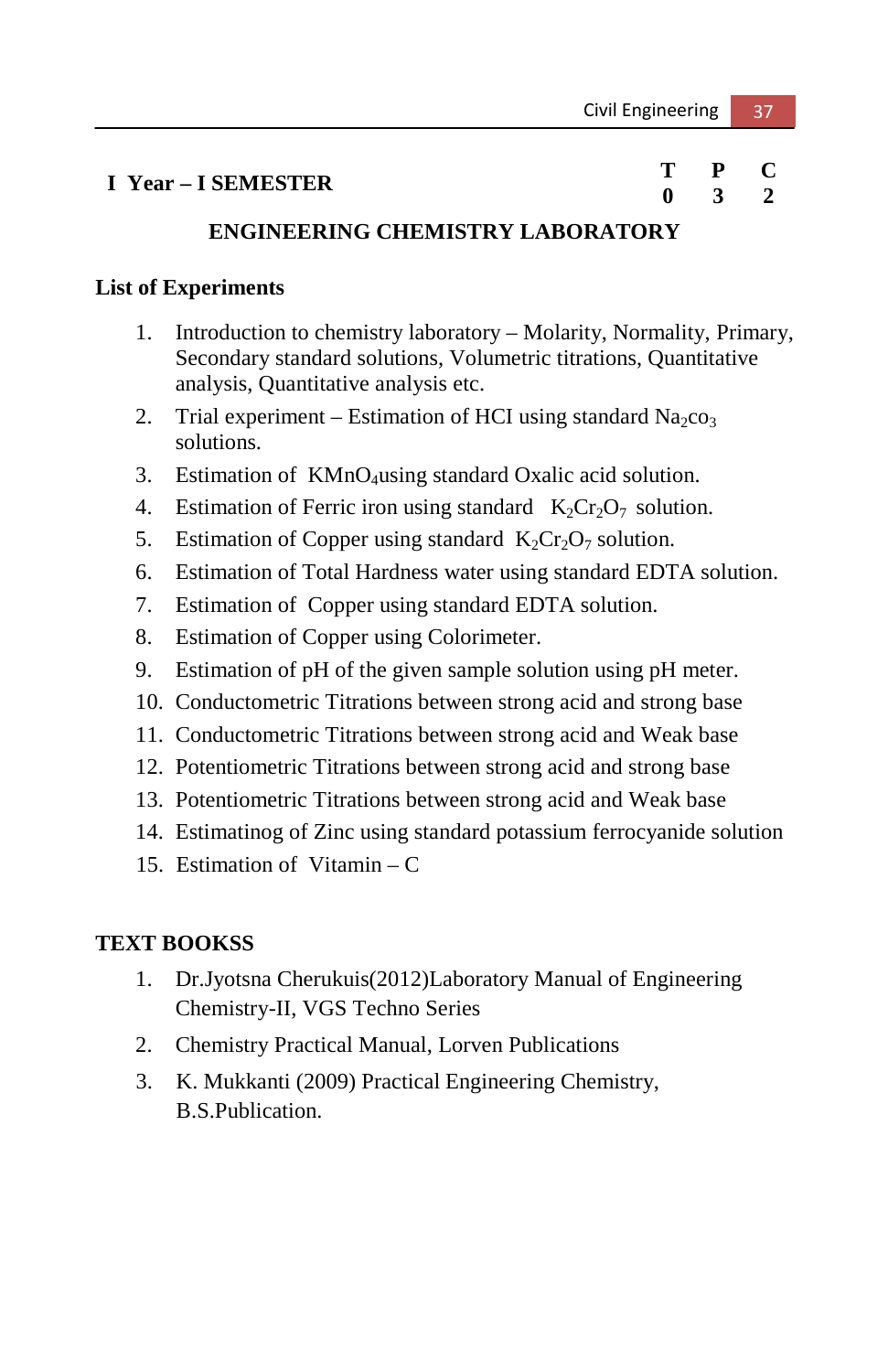#### **I Year – I SEMESTER T P C 0 3 2**

## **ENGINEERING CHEMISTRY LABORATORY**

#### **List of Experiments**

- 1. Introduction to chemistry laboratory Molarity, Normality, Primary, Secondary standard solutions, Volumetric titrations, Quantitative analysis, Quantitative analysis etc.
- 2. Trial experiment Estimation of HCI using standard  $Na_2co_3$ solutions.
- 3. Estimation of KMnO<sub>4</sub>using standard Oxalic acid solution.
- 4. Estimation of Ferric iron using standard  $K_2Cr_2O_7$  solution.
- 5. Estimation of Copper using standard  $K_2Cr_2O_7$  solution.
- 6. Estimation of Total Hardness water using standard EDTA solution.
- 7. Estimation of Copper using standard EDTA solution.
- 8. Estimation of Copper using Colorimeter.
- 9. Estimation of pH of the given sample solution using pH meter.
- 10. Conductometric Titrations between strong acid and strong base
- 11. Conductometric Titrations between strong acid and Weak base
- 12. Potentiometric Titrations between strong acid and strong base
- 13. Potentiometric Titrations between strong acid and Weak base
- 14. Estimatinog of Zinc using standard potassium ferrocyanide solution
- 15. Estimation of Vitamin C

#### **TEXT BOOKSS**

- 1. Dr.Jyotsna Cherukuis(2012)Laboratory Manual of Engineering Chemistry-II, VGS Techno Series
- 2. Chemistry Practical Manual, Lorven Publications
- 3. K. Mukkanti (2009) Practical Engineering Chemistry, B.S.Publication.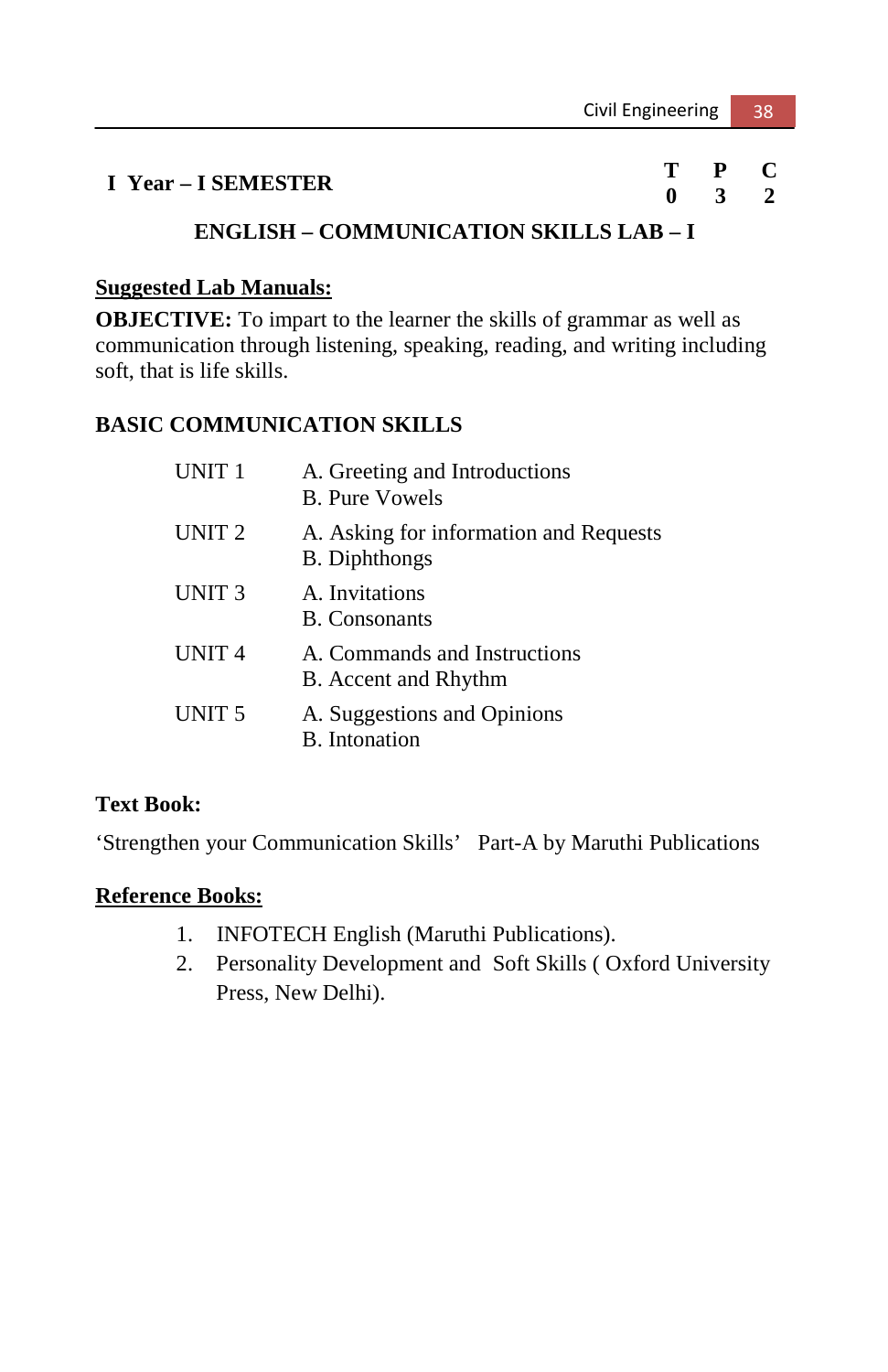| I Year – I SEMESTER |  |  |
|---------------------|--|--|
|                     |  |  |

## **ENGLISH – COMMUNICATION SKILLS LAB – I**

### **Suggested Lab Manuals:**

**OBJECTIVE:** To impart to the learner the skills of grammar as well as communication through listening, speaking, reading, and writing including soft, that is life skills.

# **BASIC COMMUNICATION SKILLS**

| UNIT <sub>1</sub> | A. Greeting and Introductions<br><b>B.</b> Pure Vowels         |
|-------------------|----------------------------------------------------------------|
| UNIT <sub>2</sub> | A. Asking for information and Requests<br><b>B.</b> Diphthongs |
| UNIT <sub>3</sub> | A. Invitations<br><b>B.</b> Consonants                         |
| <b>UNIT 4</b>     | A. Commands and Instructions<br>B. Accent and Rhythm           |
| UNIT <sub>5</sub> | A. Suggestions and Opinions<br><b>B.</b> Intonation            |

# **Text Book:**

'Strengthen your Communication Skills' Part-A by Maruthi Publications

## **Reference Books:**

- 1. INFOTECH English (Maruthi Publications).
- 2. Personality Development and Soft Skills ( Oxford University Press, New Delhi).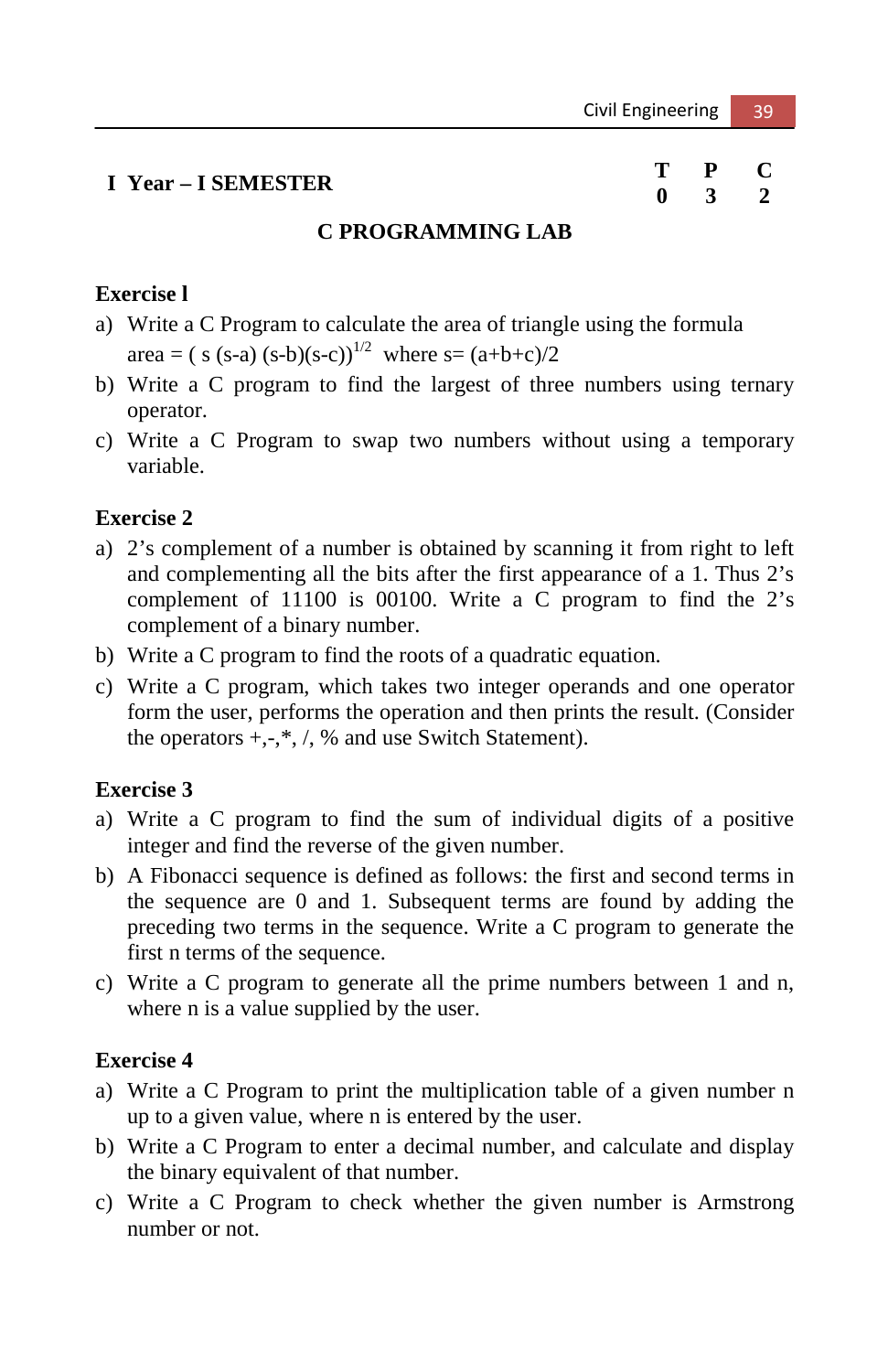# **I Year – I SEMESTER T P C**

# **0 3 2**

#### **C PROGRAMMING LAB**

#### **Exercise l**

- a) Write a C Program to calculate the area of triangle using the formula area =  $(s (s-a) (s-b) (s-c))^{1/2}$  where s=  $(a+b+c)/2$
- b) Write a C program to find the largest of three numbers using ternary operator.
- c) Write a C Program to swap two numbers without using a temporary variable.

#### **Exercise 2**

- a) 2's complement of a number is obtained by scanning it from right to left and complementing all the bits after the first appearance of a 1. Thus 2's complement of 11100 is 00100. Write a C program to find the 2's complement of a binary number.
- b) Write a C program to find the roots of a quadratic equation.
- c) Write a C program, which takes two integer operands and one operator form the user, performs the operation and then prints the result. (Consider the operators  $+, \cdot, *, \cdot, \%$  and use Switch Statement).

### **Exercise 3**

- a) Write a C program to find the sum of individual digits of a positive integer and find the reverse of the given number.
- b) A Fibonacci sequence is defined as follows: the first and second terms in the sequence are 0 and 1. Subsequent terms are found by adding the preceding two terms in the sequence. Write a C program to generate the first n terms of the sequence.
- c) Write a C program to generate all the prime numbers between 1 and n, where n is a value supplied by the user.

#### **Exercise 4**

- a) Write a C Program to print the multiplication table of a given number n up to a given value, where n is entered by the user.
- b) Write a C Program to enter a decimal number, and calculate and display the binary equivalent of that number.
- c) Write a C Program to check whether the given number is Armstrong number or not.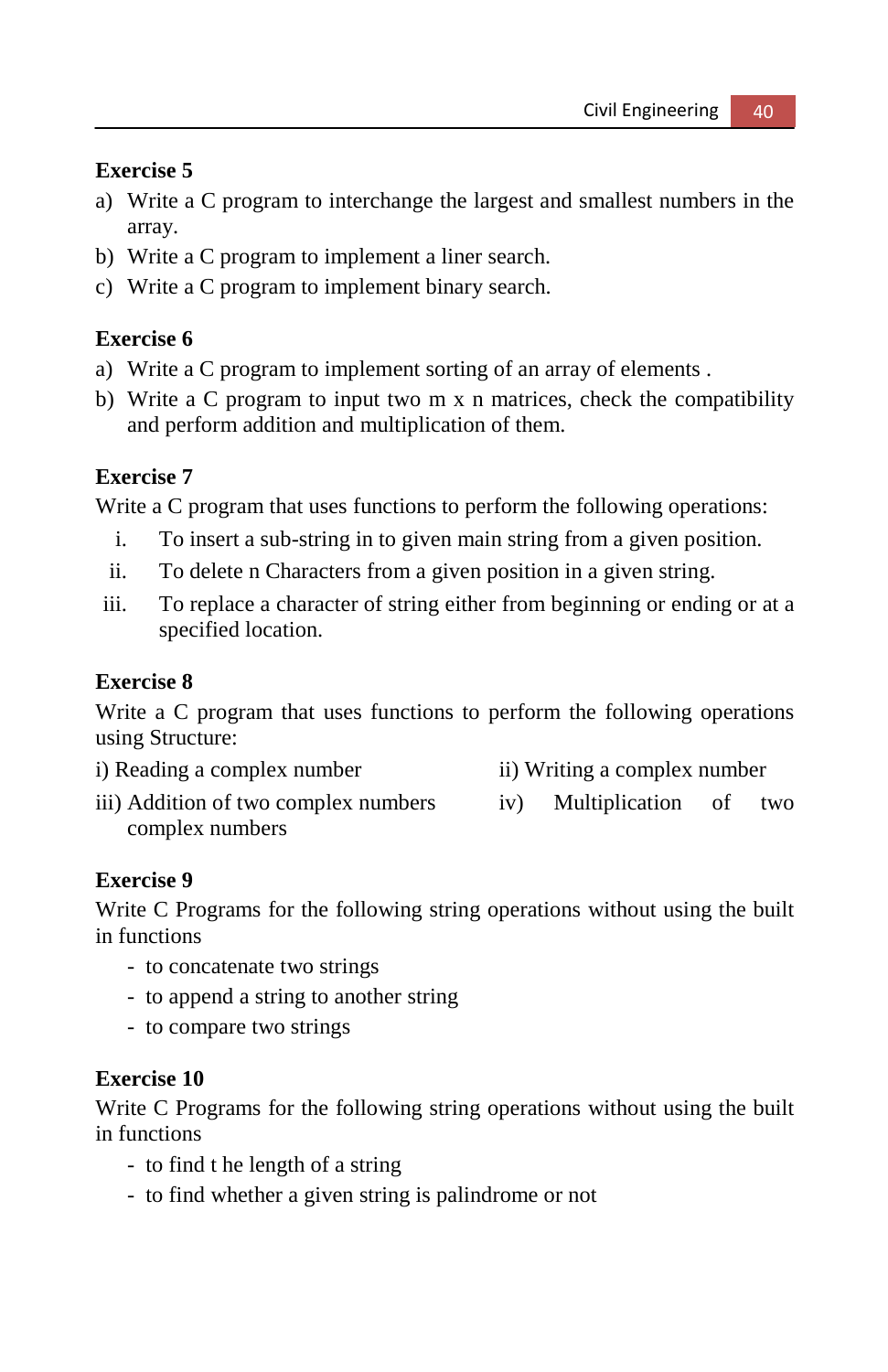## **Exercise 5**

- a) Write a C program to interchange the largest and smallest numbers in the array.
- b) Write a C program to implement a liner search.
- c) Write a C program to implement binary search.

## **Exercise 6**

- a) Write a C program to implement sorting of an array of elements .
- b) Write a C program to input two m x n matrices, check the compatibility and perform addition and multiplication of them.

## **Exercise 7**

Write a C program that uses functions to perform the following operations:

- i. To insert a sub-string in to given main string from a given position.
- ii. To delete n Characters from a given position in a given string.
- iii. To replace a character of string either from beginning or ending or at a specified location.

## **Exercise 8**

Write a C program that uses functions to perform the following operations using Structure:

- i) Reading a complex number ii) Writing a complex number
- iii) Addition of two complex numbers iv) Multiplication of two complex numbers
- -

## **Exercise 9**

Write C Programs for the following string operations without using the built in functions

- to concatenate two strings
- to append a string to another string
- to compare two strings

## **Exercise 10**

Write C Programs for the following string operations without using the built in functions

- to find t he length of a string
- to find whether a given string is palindrome or not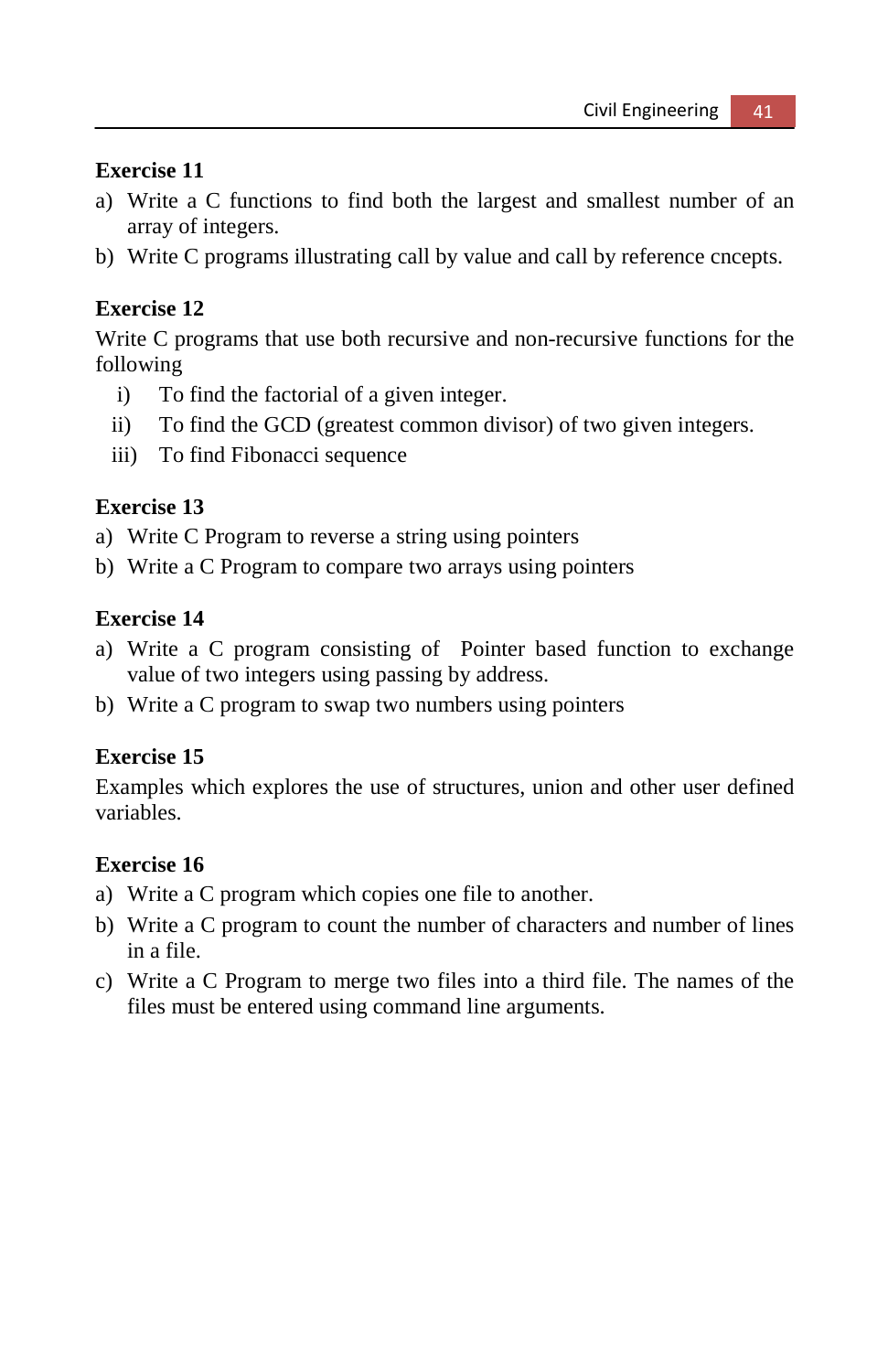# **Exercise 11**

- a) Write a C functions to find both the largest and smallest number of an array of integers.
- b) Write C programs illustrating call by value and call by reference cncepts.

## **Exercise 12**

Write C programs that use both recursive and non-recursive functions for the following

- i) To find the factorial of a given integer.
- ii) To find the GCD (greatest common divisor) of two given integers.
- iii) To find Fibonacci sequence

# **Exercise 13**

- a) Write C Program to reverse a string using pointers
- b) Write a C Program to compare two arrays using pointers

## **Exercise 14**

- a) Write a C program consisting of Pointer based function to exchange value of two integers using passing by address.
- b) Write a C program to swap two numbers using pointers

#### **Exercise 15**

Examples which explores the use of structures, union and other user defined variables.

## **Exercise 16**

- a) Write a C program which copies one file to another.
- b) Write a C program to count the number of characters and number of lines in a file.
- c) Write a C Program to merge two files into a third file. The names of the files must be entered using command line arguments.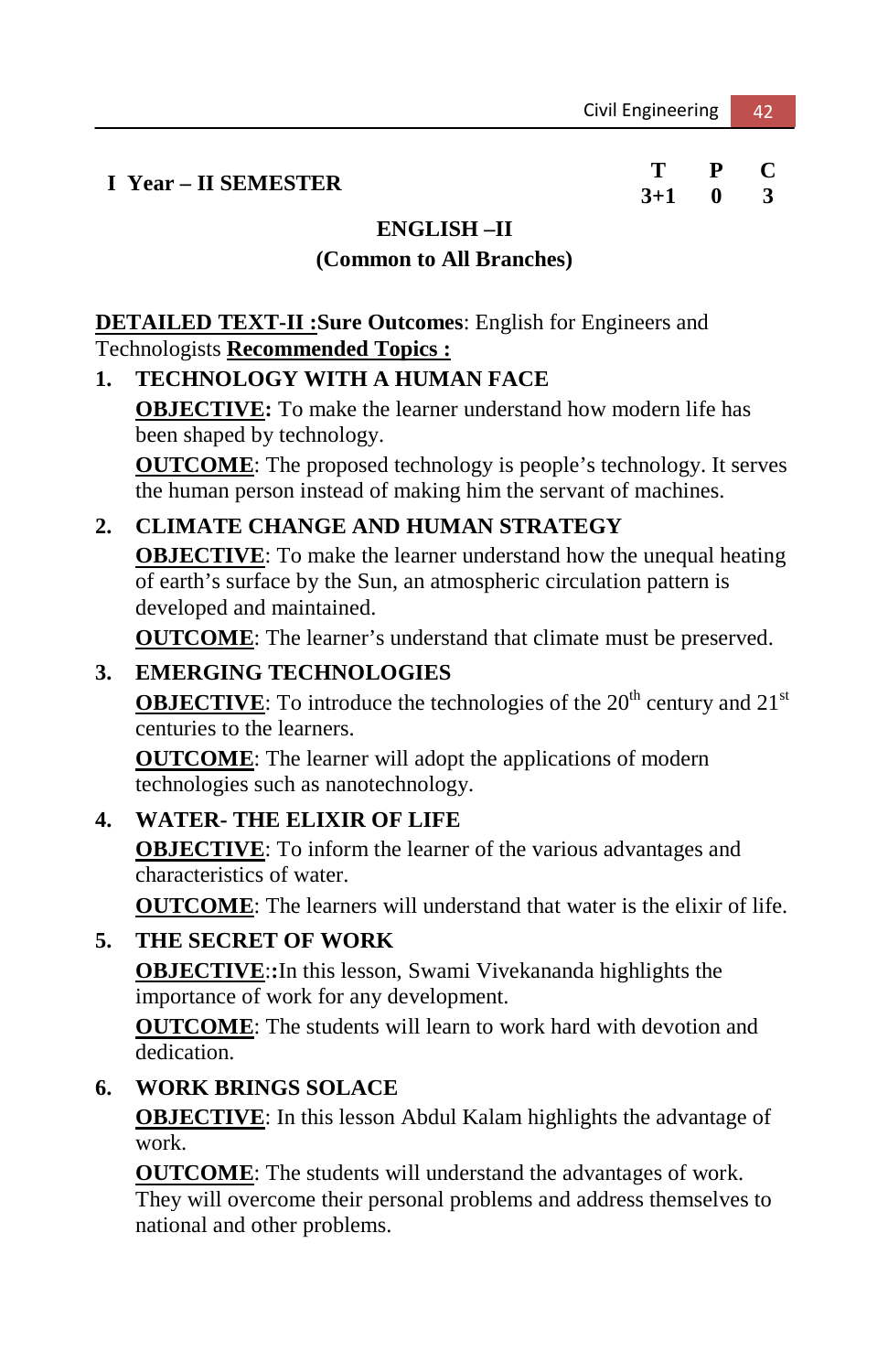# **I Year – II SEMESTER T P C**

 $3 + 1$ 

## **ENGLISH –II**

### **(Common to All Branches)**

**DETAILED TEXT-II :Sure Outcomes**: English for Engineers and Technologists **Recommended Topics :**

**1. TECHNOLOGY WITH A HUMAN FACE OBJECTIVE:** To make the learner understand how modern life has been shaped by technology. **OUTCOME**: The proposed technology is people's technology. It serves the human person instead of making him the servant of machines.

# **2. CLIMATE CHANGE AND HUMAN STRATEGY**

**OBJECTIVE**: To make the learner understand how the unequal heating of earth's surface by the Sun, an atmospheric circulation pattern is developed and maintained.

**OUTCOME**: The learner's understand that climate must be preserved.

# **3. EMERGING TECHNOLOGIES**

**OBJECTIVE**: To introduce the technologies of the  $20<sup>th</sup>$  century and  $21<sup>st</sup>$ centuries to the learners.

**OUTCOME**: The learner will adopt the applications of modern technologies such as nanotechnology.

## **4. WATER- THE ELIXIR OF LIFE**

**OBJECTIVE**: To inform the learner of the various advantages and characteristics of water.

**OUTCOME**: The learners will understand that water is the elixir of life.

# **5. THE SECRET OF WORK**

**OBJECTIVE**:**:**In this lesson, Swami Vivekananda highlights the importance of work for any development.

**OUTCOME**: The students will learn to work hard with devotion and dedication.

# **6. WORK BRINGS SOLACE**

**OBJECTIVE**: In this lesson Abdul Kalam highlights the advantage of work.

**OUTCOME**: The students will understand the advantages of work. They will overcome their personal problems and address themselves to national and other problems.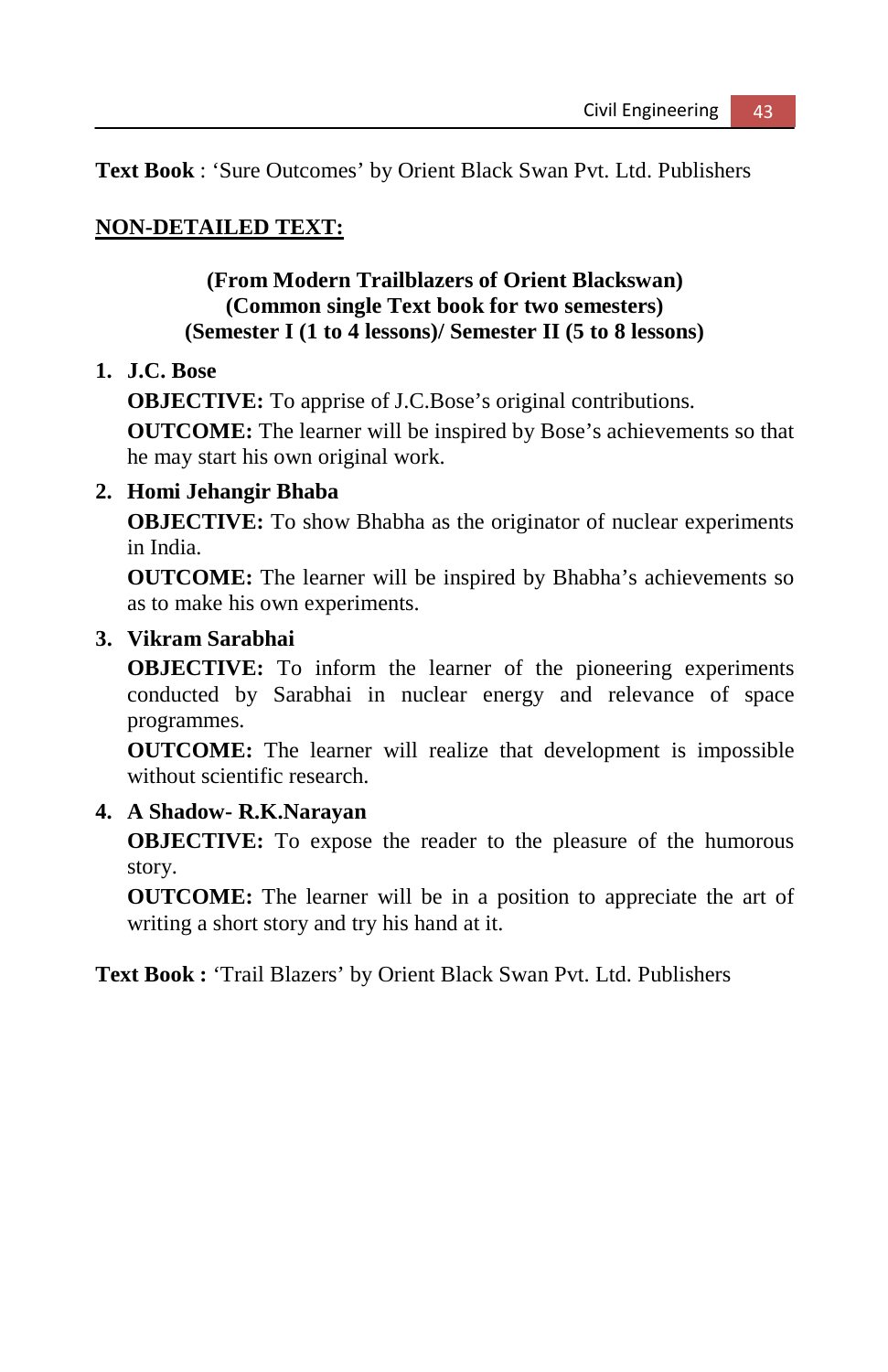**Text Book** : 'Sure Outcomes' by Orient Black Swan Pvt. Ltd. Publishers

# **NON-DETAILED TEXT:**

## **(From Modern Trailblazers of Orient Blackswan) (Common single Text book for two semesters) (Semester I (1 to 4 lessons)/ Semester II (5 to 8 lessons)**

## **1. J.C. Bose**

 **OBJECTIVE:** To apprise of J.C.Bose's original contributions.

 **OUTCOME:** The learner will be inspired by Bose's achievements so that he may start his own original work.

## **2. Homi Jehangir Bhaba**

 **OBJECTIVE:** To show Bhabha as the originator of nuclear experiments in India.

 **OUTCOME:** The learner will be inspired by Bhabha's achievements so as to make his own experiments.

#### **3. Vikram Sarabhai**

 **OBJECTIVE:** To inform the learner of the pioneering experiments conducted by Sarabhai in nuclear energy and relevance of space programmes.

 **OUTCOME:** The learner will realize that development is impossible without scientific research.

## **4. A Shadow- R.K.Narayan**

 **OBJECTIVE:** To expose the reader to the pleasure of the humorous story.

 **OUTCOME:** The learner will be in a position to appreciate the art of writing a short story and try his hand at it.

**Text Book :** 'Trail Blazers' by Orient Black Swan Pvt. Ltd. Publishers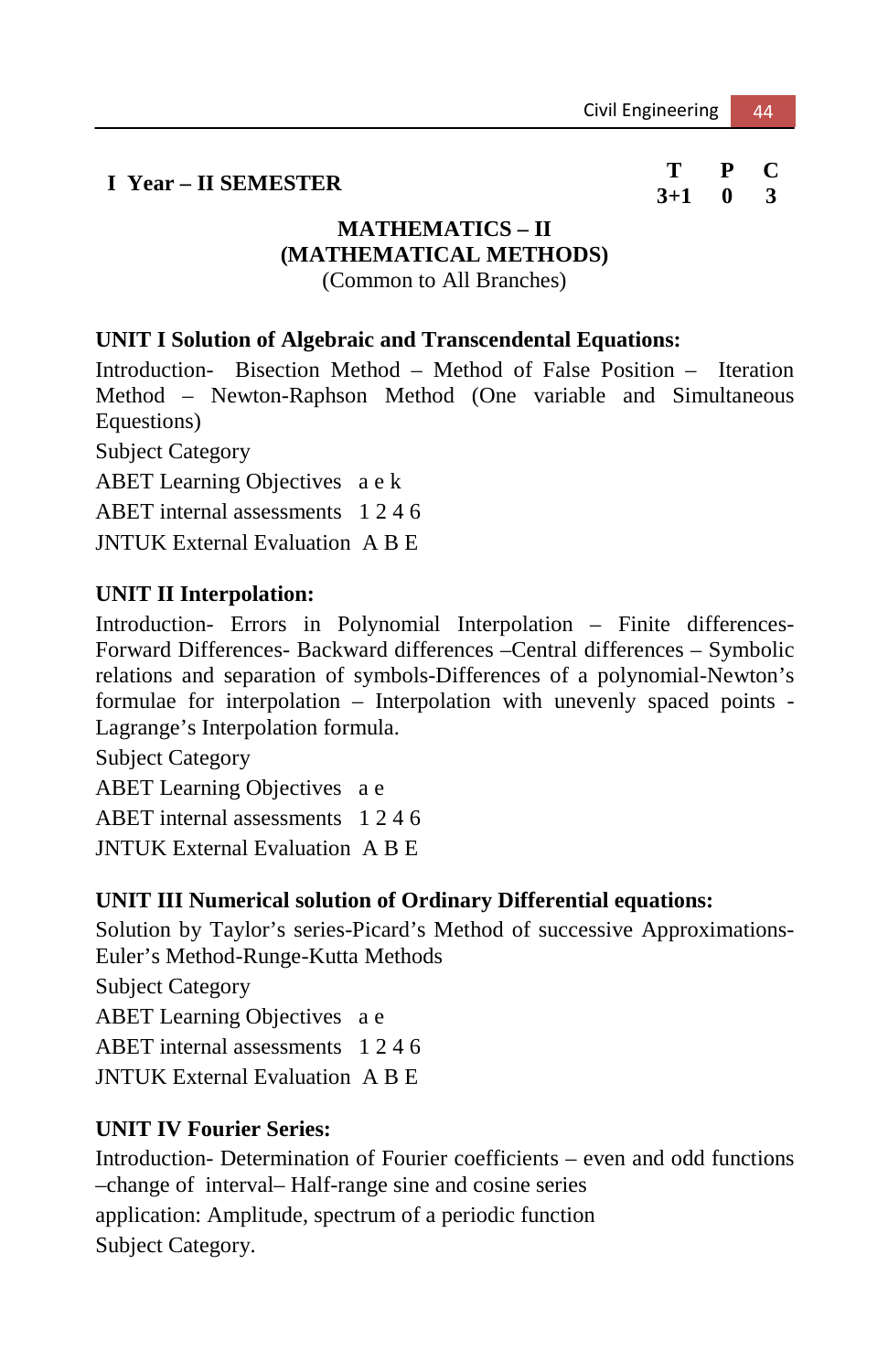# **I Year – II SEMESTER T P C**

 $3 + 1$ 

# **MATHEMATICS – II (MATHEMATICAL METHODS)**

(Common to All Branches)

## **UNIT I Solution of Algebraic and Transcendental Equations:**

Introduction- Bisection Method – Method of False Position – Iteration Method – Newton-Raphson Method (One variable and Simultaneous Equestions)

Subject Category

ABET Learning Objectives a e k

ABET internal assessments 1 2 4 6

JNTUK External Evaluation A B E

## **UNIT II Interpolation:**

Introduction- Errors in Polynomial Interpolation – Finite differences-Forward Differences- Backward differences –Central differences – Symbolic relations and separation of symbols-Differences of a polynomial-Newton's formulae for interpolation – Interpolation with unevenly spaced points - Lagrange's Interpolation formula.

Subject Category

ABET Learning Objectives a e

ABET internal assessments 1 2 4 6

JNTUK External Evaluation A B E

## **UNIT III Numerical solution of Ordinary Differential equations:**

Solution by Taylor's series-Picard's Method of successive Approximations-Euler's Method-Runge-Kutta Methods

Subject Category

ABET Learning Objectives a e

ABET internal assessments 1 2 4 6

JNTUK External Evaluation A B E

# **UNIT IV Fourier Series:**

Introduction- Determination of Fourier coefficients – even and odd functions –change of interval– Half-range sine and cosine series application: Amplitude, spectrum of a periodic function Subject Category.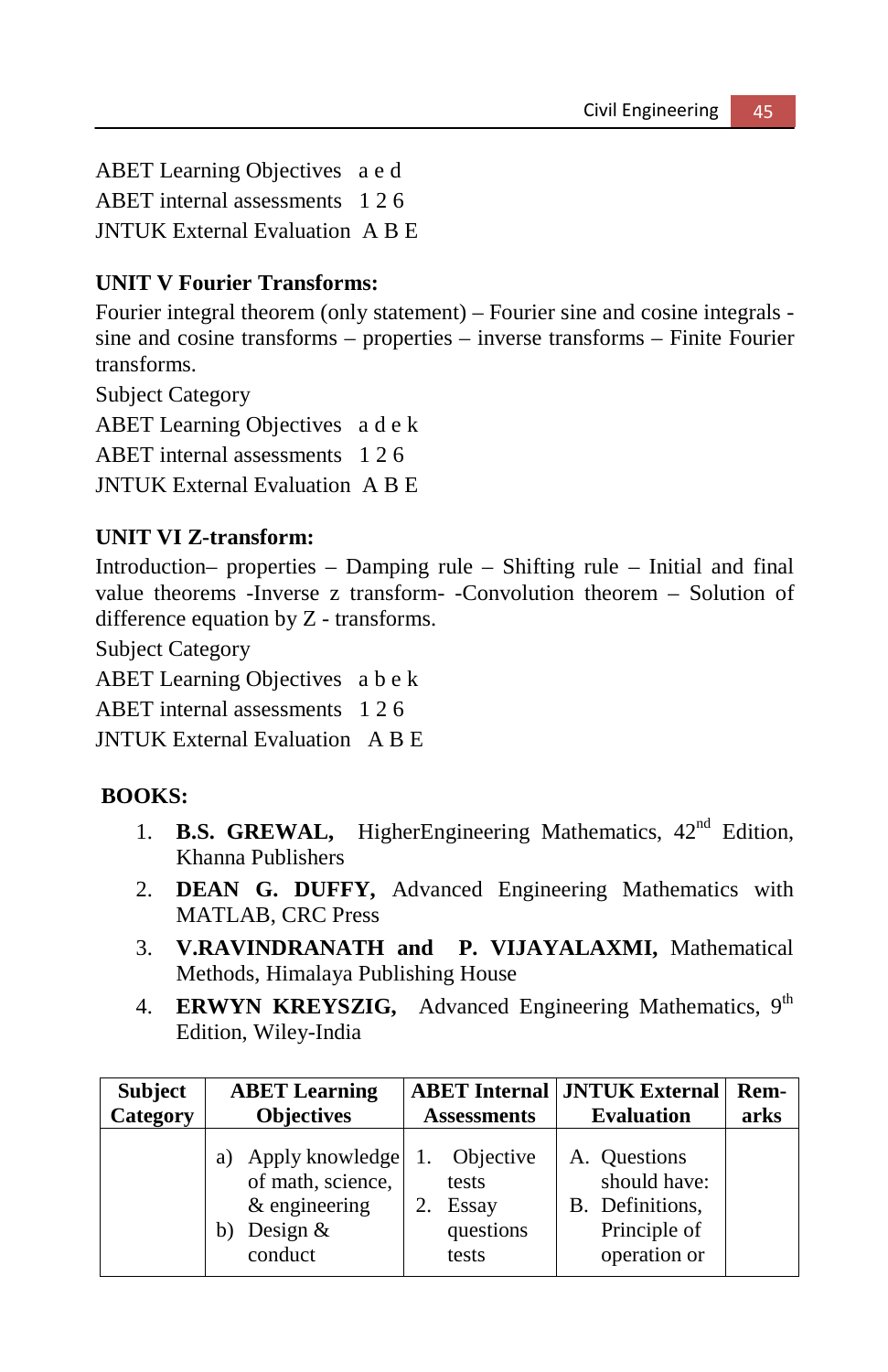ABET Learning Objectives a e d ABET internal assessments 1 2 6 JNTUK External Evaluation A B E

# **UNIT V Fourier Transforms:**

Fourier integral theorem (only statement) – Fourier sine and cosine integrals sine and cosine transforms – properties – inverse transforms – Finite Fourier transforms.

Subject Category

ABET Learning Objectives a d e k

ABET internal assessments 1 2 6

JNTUK External Evaluation A B E

# **UNIT VI Z-transform:**

Introduction– properties – Damping rule – Shifting rule – Initial and final value theorems -Inverse z transform- -Convolution theorem – Solution of difference equation by Z - transforms.

Subject Category

ABET Learning Objectives a b e k

ABET internal assessments 1 2 6

JNTUK External Evaluation A B E

# **BOOKS:**

- 1. **B.S. GREWAL,** HigherEngineering Mathematics, 42<sup>nd</sup> Edition, Khanna Publishers
- 2. **DEAN G. DUFFY,** Advanced Engineering Mathematics with MATLAB, CRC Press
- 3. **V.RAVINDRANATH and P. VIJAYALAXMI,** Mathematical Methods, Himalaya Publishing House
- 4. **ERWYN KREYSZIG,** Advanced Engineering Mathematics, 9<sup>th</sup> Edition, Wiley-India

| Subject  | <b>ABET</b> Learning                                                                   | <b>Assessments</b>                                | <b>ABET Internal   JNTUK External</b>                                           | Rem- |
|----------|----------------------------------------------------------------------------------------|---------------------------------------------------|---------------------------------------------------------------------------------|------|
| Category | <b>Objectives</b>                                                                      |                                                   | <b>Evaluation</b>                                                               | arks |
|          | Apply knowledge<br>a)<br>of math, science,<br>$&$ engineering<br>Design $&$<br>conduct | Objective<br>tests<br>Essay<br>questions<br>tests | A. Questions<br>should have:<br>B. Definitions,<br>Principle of<br>operation or |      |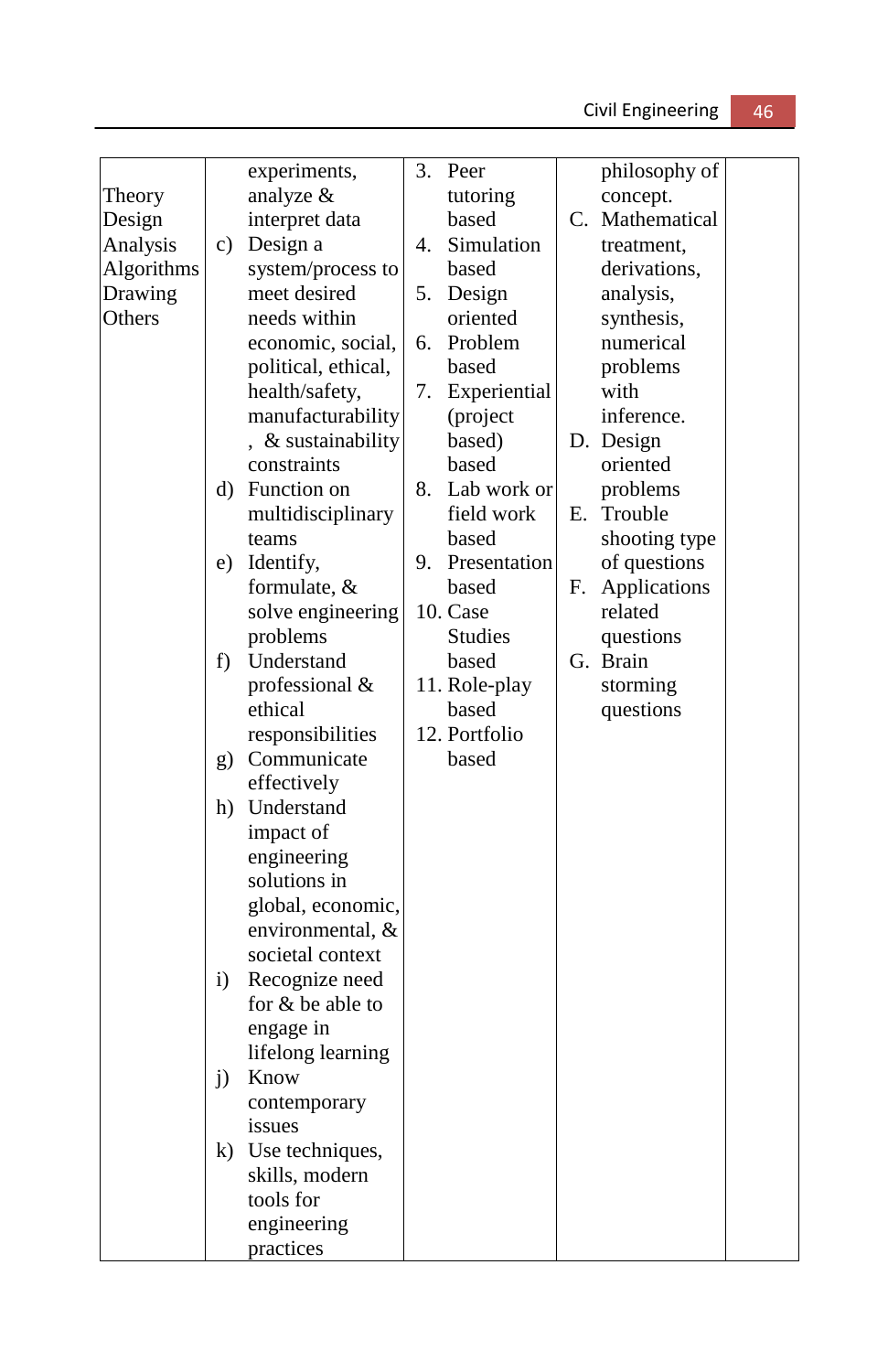|            |    | experiments,        | 3. | Peer           |    | philosophy of   |  |
|------------|----|---------------------|----|----------------|----|-----------------|--|
| Theory     |    | analyze &           |    | tutoring       |    | concept.        |  |
| Design     |    | interpret data      |    | based          |    | C. Mathematical |  |
| Analysis   | c) | Design a            | 4. | Simulation     |    | treatment,      |  |
| Algorithms |    | system/process to   |    | based          |    | derivations,    |  |
| Drawing    |    | meet desired        | 5. | Design         |    | analysis,       |  |
| Others     |    | needs within        |    | oriented       |    | synthesis,      |  |
|            |    | economic, social,   | б. | Problem        |    | numerical       |  |
|            |    | political, ethical, |    | based          |    | problems        |  |
|            |    | health/safety,      | 7. | Experiential   |    | with            |  |
|            |    | manufacturability   |    | (project       |    | inference.      |  |
|            |    | , & sustainability  |    | based)         |    | D. Design       |  |
|            |    | constraints         |    | based          |    | oriented        |  |
|            |    | d) Function on      |    | 8. Lab work or |    | problems        |  |
|            |    | multidisciplinary   |    | field work     | Е. | Trouble         |  |
|            |    | teams               |    | based          |    | shooting type   |  |
|            | e) | Identify,           | 9. | Presentation   |    | of questions    |  |
|            |    | formulate, &        |    | based          | F. | Applications    |  |
|            |    | solve engineering   |    | 10. Case       |    | related         |  |
|            |    | problems            |    | <b>Studies</b> |    | questions       |  |
|            | f) | Understand          |    | based          |    | G. Brain        |  |
|            |    | professional &      |    | 11. Role-play  |    | storming        |  |
|            |    | ethical             |    | based          |    | questions       |  |
|            |    | responsibilities    |    | 12. Portfolio  |    |                 |  |
|            |    | g) Communicate      |    | based          |    |                 |  |
|            |    | effectively         |    |                |    |                 |  |
|            | h) | Understand          |    |                |    |                 |  |
|            |    | impact of           |    |                |    |                 |  |
|            |    | engineering         |    |                |    |                 |  |
|            |    | solutions in        |    |                |    |                 |  |
|            |    | global, economic,   |    |                |    |                 |  |
|            |    | environmental, &    |    |                |    |                 |  |
|            |    | societal context    |    |                |    |                 |  |
|            | i) | Recognize need      |    |                |    |                 |  |
|            |    | for & be able to    |    |                |    |                 |  |
|            |    | engage in           |    |                |    |                 |  |
|            |    | lifelong learning   |    |                |    |                 |  |
|            | j) | Know                |    |                |    |                 |  |
|            |    | contemporary        |    |                |    |                 |  |
|            |    | issues              |    |                |    |                 |  |
|            | k) | Use techniques,     |    |                |    |                 |  |
|            |    | skills, modern      |    |                |    |                 |  |
|            |    | tools for           |    |                |    |                 |  |
|            |    | engineering         |    |                |    |                 |  |
|            |    | practices           |    |                |    |                 |  |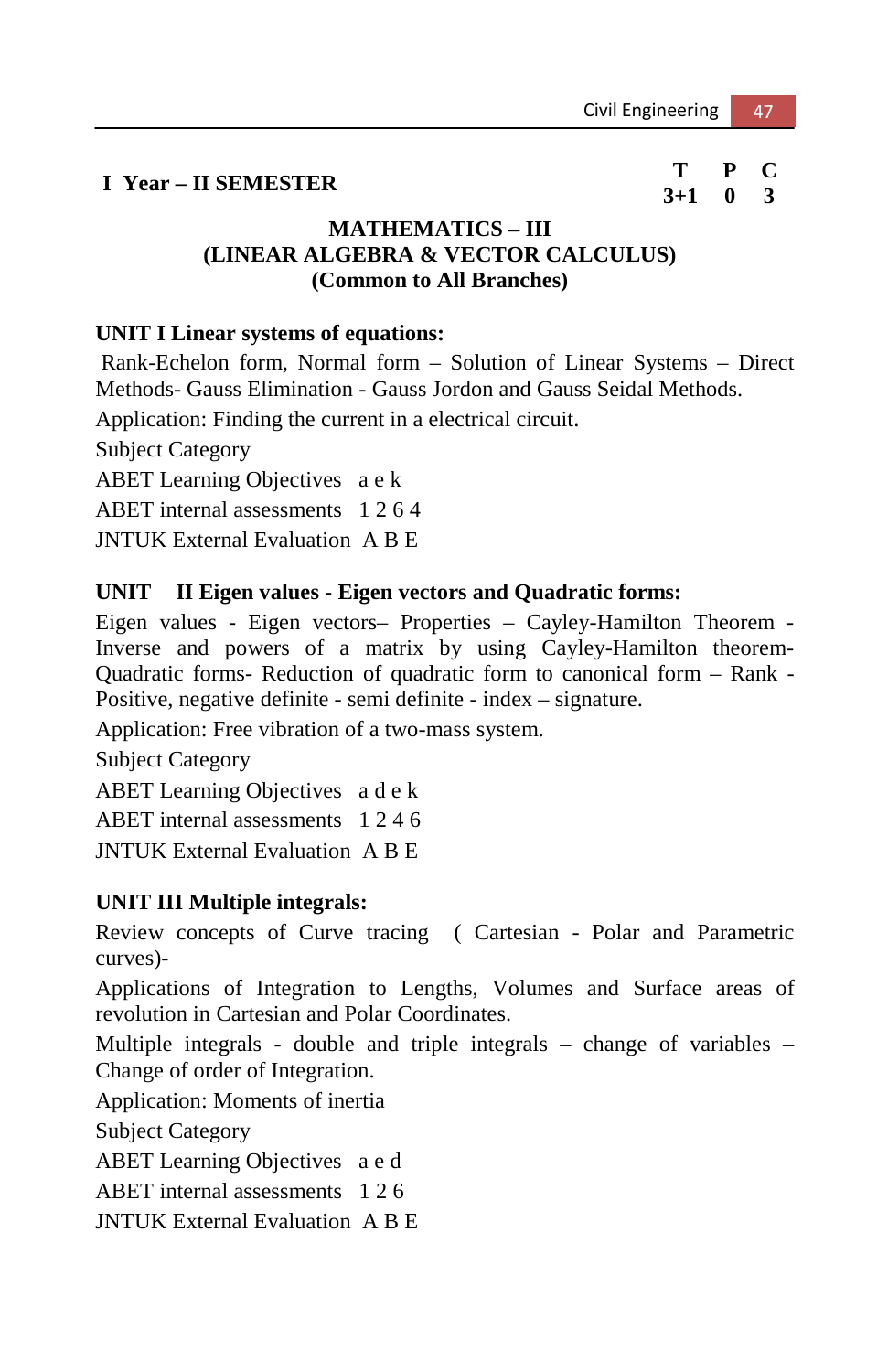# **I Year – II SEMESTER T P C**

# $3+1$

## **MATHEMATICS – III (LINEAR ALGEBRA & VECTOR CALCULUS) (Common to All Branches)**

## **UNIT I Linear systems of equations:**

 Rank-Echelon form, Normal form – Solution of Linear Systems – Direct Methods- Gauss Elimination - Gauss Jordon and Gauss Seidal Methods.

Application: Finding the current in a electrical circuit.

Subject Category

ABET Learning Objectives a e k

ABET internal assessments 1 2 6 4

JNTUK External Evaluation A B E

# **UNIT II Eigen values - Eigen vectors and Quadratic forms:**

Eigen values - Eigen vectors– Properties – Cayley-Hamilton Theorem - Inverse and powers of a matrix by using Cayley-Hamilton theorem-Quadratic forms- Reduction of quadratic form to canonical form – Rank - Positive, negative definite - semi definite - index – signature.

Application: Free vibration of a two-mass system.

Subject Category

ABET Learning Objectives a d e k

ABET internal assessments 1 2 4 6

JNTUK External Evaluation A B E

## **UNIT III Multiple integrals:**

Review concepts of Curve tracing ( Cartesian - Polar and Parametric curves)-

Applications of Integration to Lengths, Volumes and Surface areas of revolution in Cartesian and Polar Coordinates.

Multiple integrals - double and triple integrals – change of variables – Change of order of Integration.

Application: Moments of inertia

Subject Category

ABET Learning Objectives a e d

ABET internal assessments 1 2 6

JNTUK External Evaluation A B E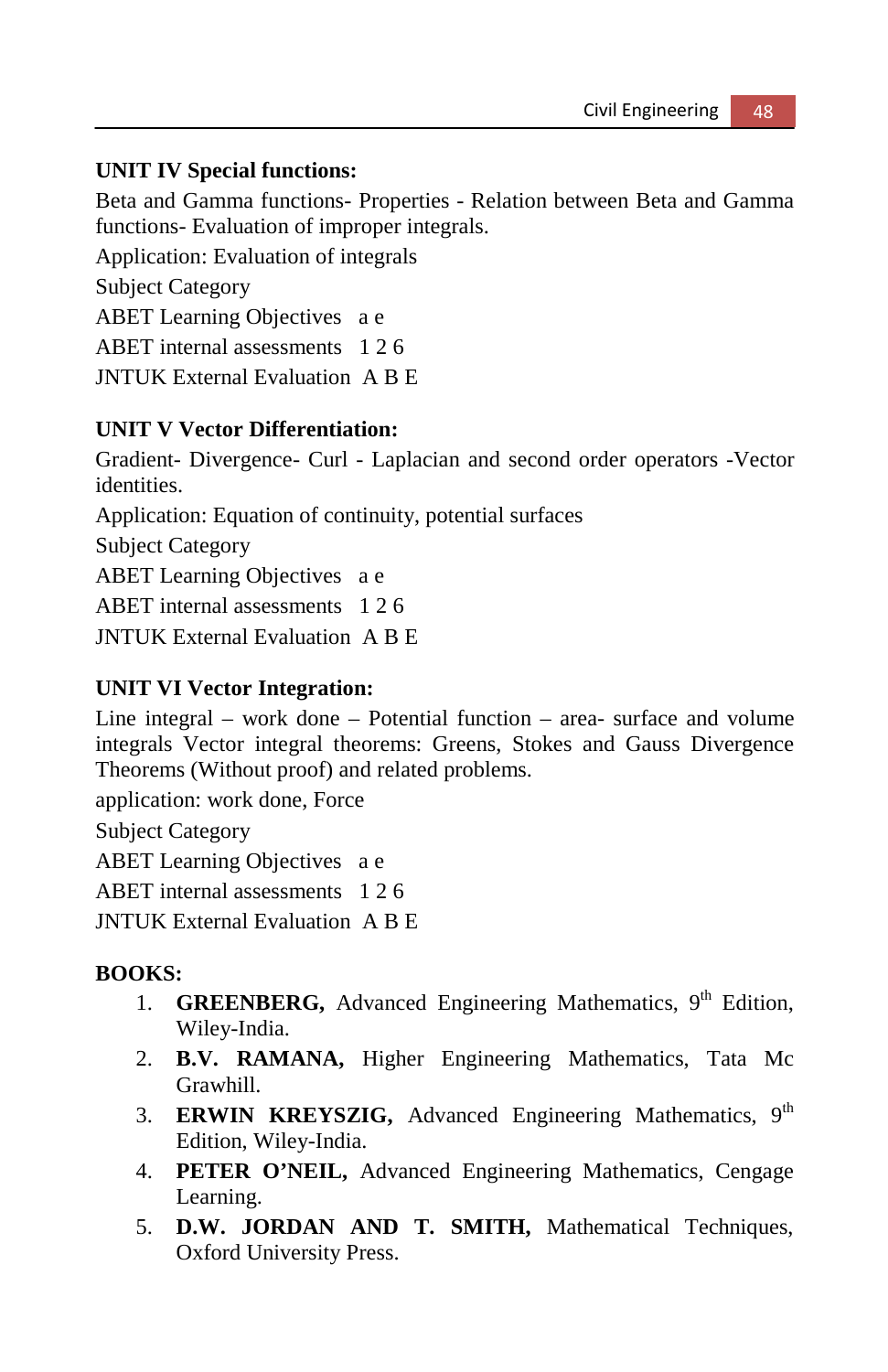# **UNIT IV Special functions:**

Beta and Gamma functions- Properties - Relation between Beta and Gamma functions- Evaluation of improper integrals.

Application: Evaluation of integrals

Subject Category

ABET Learning Objectives a e

ABET internal assessments 1 2 6

JNTUK External Evaluation A B E

# **UNIT V Vector Differentiation:**

Gradient- Divergence- Curl - Laplacian and second order operators -Vector identities.

Application: Equation of continuity, potential surfaces

Subject Category

ABET Learning Objectives a e

ABET internal assessments 1 2 6

JNTUK External Evaluation A B E

# **UNIT VI Vector Integration:**

Line integral – work done – Potential function – area- surface and volume integrals Vector integral theorems: Greens, Stokes and Gauss Divergence Theorems (Without proof) and related problems.

application: work done, Force

Subject Category

ABET Learning Objectives a e

ABET internal assessments 1 2 6

JNTUK External Evaluation A B E

# **BOOKS:**

- 1. **GREENBERG,** Advanced Engineering Mathematics, 9<sup>th</sup> Edition, Wiley-India.
- 2. **B.V. RAMANA,** Higher Engineering Mathematics, Tata Mc Grawhill.
- 3. **ERWIN KREYSZIG,** Advanced Engineering Mathematics, 9<sup>th</sup> Edition, Wiley-India.
- 4. **PETER O'NEIL,** Advanced Engineering Mathematics, Cengage Learning.
- 5. **D.W. JORDAN AND T. SMITH,** Mathematical Techniques, Oxford University Press.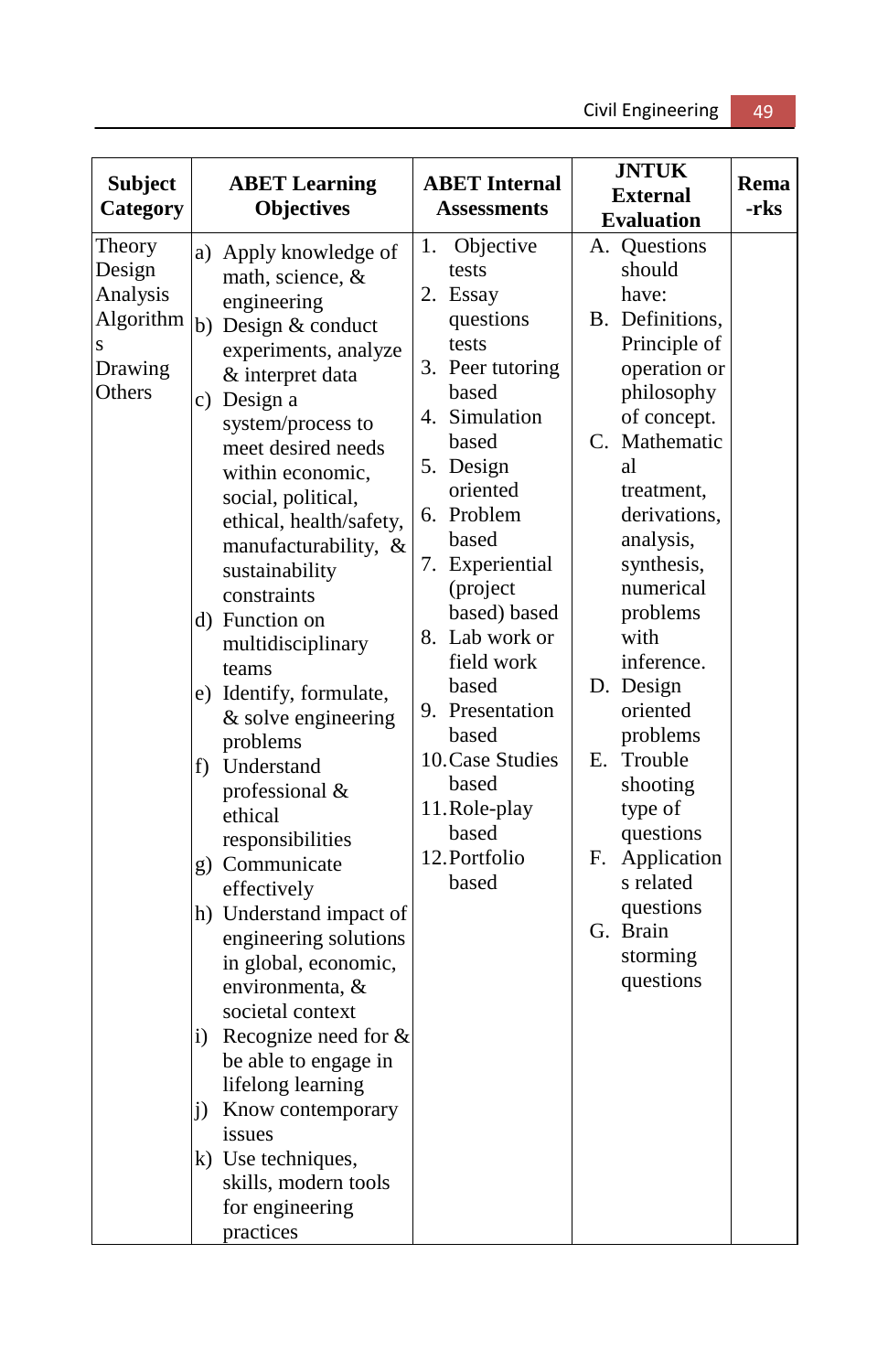| <b>Subject</b>                                                 | <b>ABET Learning</b>                                                                                                                                                                                                                                                                                                                                                                                                                                                                                                                                                                                                                                                                                                                                                                                                                              | <b>ABET</b> Internal                                                                                                                                                                                                                                                                                                                                                  | <b>JNTUK</b>                                                                                                                                                                                                                                                                                                                                                                                                                                      | Rema |
|----------------------------------------------------------------|---------------------------------------------------------------------------------------------------------------------------------------------------------------------------------------------------------------------------------------------------------------------------------------------------------------------------------------------------------------------------------------------------------------------------------------------------------------------------------------------------------------------------------------------------------------------------------------------------------------------------------------------------------------------------------------------------------------------------------------------------------------------------------------------------------------------------------------------------|-----------------------------------------------------------------------------------------------------------------------------------------------------------------------------------------------------------------------------------------------------------------------------------------------------------------------------------------------------------------------|---------------------------------------------------------------------------------------------------------------------------------------------------------------------------------------------------------------------------------------------------------------------------------------------------------------------------------------------------------------------------------------------------------------------------------------------------|------|
| Category                                                       | <b>Objectives</b>                                                                                                                                                                                                                                                                                                                                                                                                                                                                                                                                                                                                                                                                                                                                                                                                                                 | <b>Assessments</b>                                                                                                                                                                                                                                                                                                                                                    | <b>External</b>                                                                                                                                                                                                                                                                                                                                                                                                                                   | -rks |
| Theory<br>Design<br>Analysis<br>Algorithm<br>Drawing<br>Others | a) Apply knowledge of<br>math, science, &<br>engineering<br>b) Design & conduct<br>experiments, analyze<br>& interpret data<br>c) Design a<br>system/process to<br>meet desired needs<br>within economic,<br>social, political,<br>ethical, health/safety,<br>manufacturability, &<br>sustainability<br>constraints<br>d) Function on<br>multidisciplinary<br>teams<br>e) Identify, formulate,<br>& solve engineering<br>problems<br>f) Understand<br>professional &<br>ethical<br>responsibilities<br>g) Communicate<br>effectively<br>h) Understand impact of<br>engineering solutions<br>in global, economic,<br>environmenta, &<br>societal context<br>i) Recognize need for $&$<br>be able to engage in<br>lifelong learning<br>j) Know contemporary<br>issues<br>k) Use techniques,<br>skills, modern tools<br>for engineering<br>practices | 1.<br>Objective<br>tests<br>2. Essay<br>questions<br>tests<br>3. Peer tutoring<br>based<br>4. Simulation<br>based<br>5. Design<br>oriented<br>6. Problem<br>based<br>7. Experiential<br>(project<br>based) based<br>8. Lab work or<br>field work<br>based<br>9. Presentation<br>based<br>10. Case Studies<br>based<br>11.Role-play<br>based<br>12. Portfolio<br>based | <b>Evaluation</b><br>A. Questions<br>should<br>have:<br>B. Definitions,<br>Principle of<br>operation or<br>philosophy<br>of concept.<br>C. Mathematic<br>al<br>treatment,<br>derivations,<br>analysis,<br>synthesis,<br>numerical<br>problems<br>with<br>inference.<br>D. Design<br>oriented<br>problems<br>Е.<br>Trouble<br>shooting<br>type of<br>questions<br>Application<br>F.<br>s related<br>questions<br>G. Brain<br>storming<br>questions |      |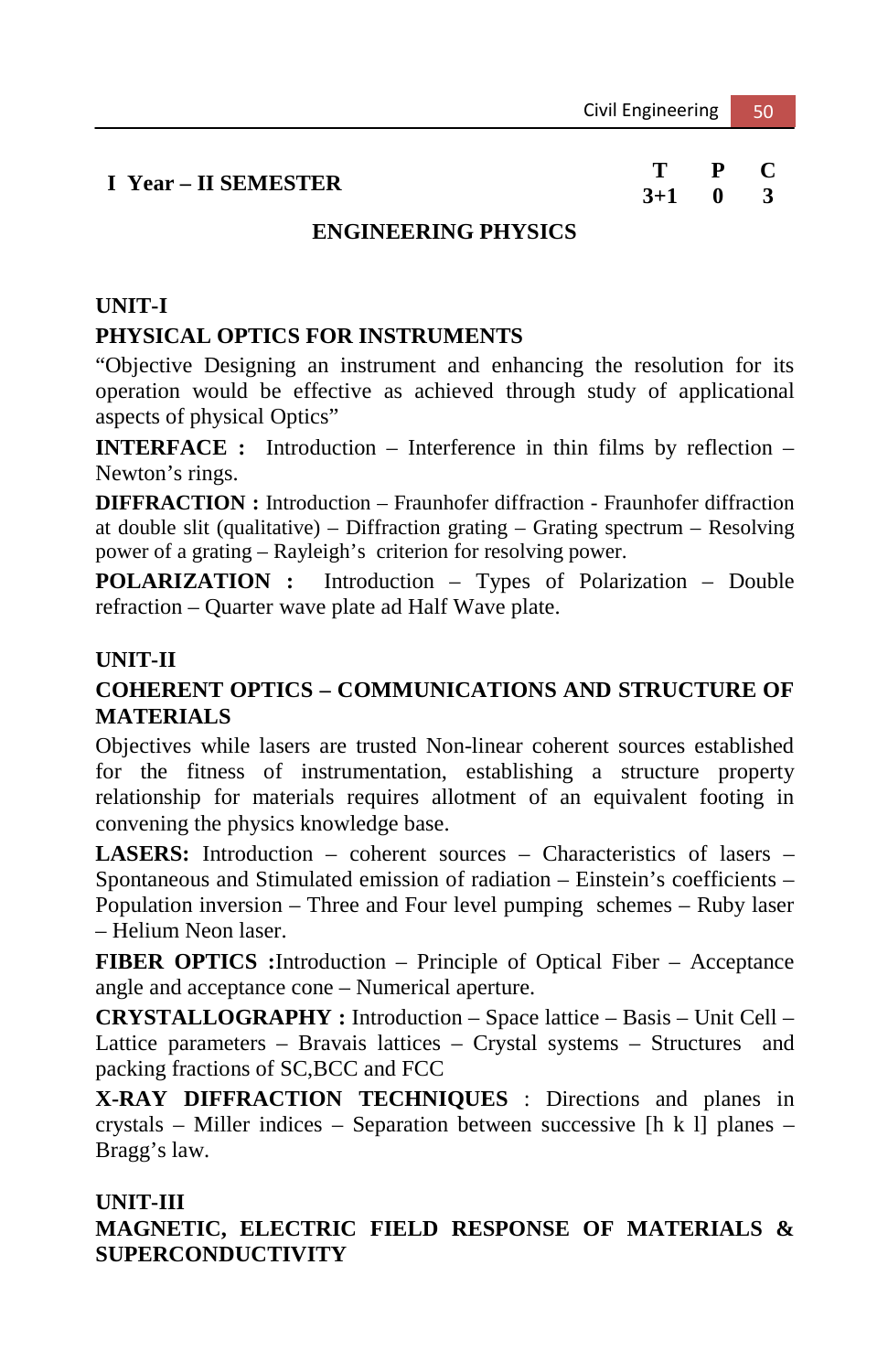# **I Year – II SEMESTER T P C**

 $3 + 1$ 

## **ENGINEERING PHYSICS**

# **UNIT-I PHYSICAL OPTICS FOR INSTRUMENTS**

"Objective Designing an instrument and enhancing the resolution for its operation would be effective as achieved through study of applicational aspects of physical Optics"

**INTERFACE :** Introduction – Interference in thin films by reflection – Newton's rings.

**DIFFRACTION :** Introduction – Fraunhofer diffraction - Fraunhofer diffraction at double slit (qualitative) – Diffraction grating – Grating spectrum – Resolving power of a grating – Rayleigh's criterion for resolving power.

**POLARIZATION :** Introduction – Types of Polarization – Double refraction – Quarter wave plate ad Half Wave plate.

## **UNIT-II**

# **COHERENT OPTICS – COMMUNICATIONS AND STRUCTURE OF MATERIALS**

Objectives while lasers are trusted Non-linear coherent sources established for the fitness of instrumentation, establishing a structure property relationship for materials requires allotment of an equivalent footing in convening the physics knowledge base.

**LASERS:** Introduction – coherent sources – Characteristics of lasers – Spontaneous and Stimulated emission of radiation – Einstein's coefficients – Population inversion – Three and Four level pumping schemes – Ruby laser – Helium Neon laser.

**FIBER OPTICS :**Introduction – Principle of Optical Fiber – Acceptance angle and acceptance cone – Numerical aperture.

**CRYSTALLOGRAPHY :** Introduction – Space lattice – Basis – Unit Cell – Lattice parameters – Bravais lattices – Crystal systems – Structures and packing fractions of SC,BCC and FCC

**X-RAY DIFFRACTION TECHNIQUES** : Directions and planes in crystals – Miller indices – Separation between successive [h k l] planes – Bragg's law.

## **UNIT-III**

**MAGNETIC, ELECTRIC FIELD RESPONSE OF MATERIALS & SUPERCONDUCTIVITY**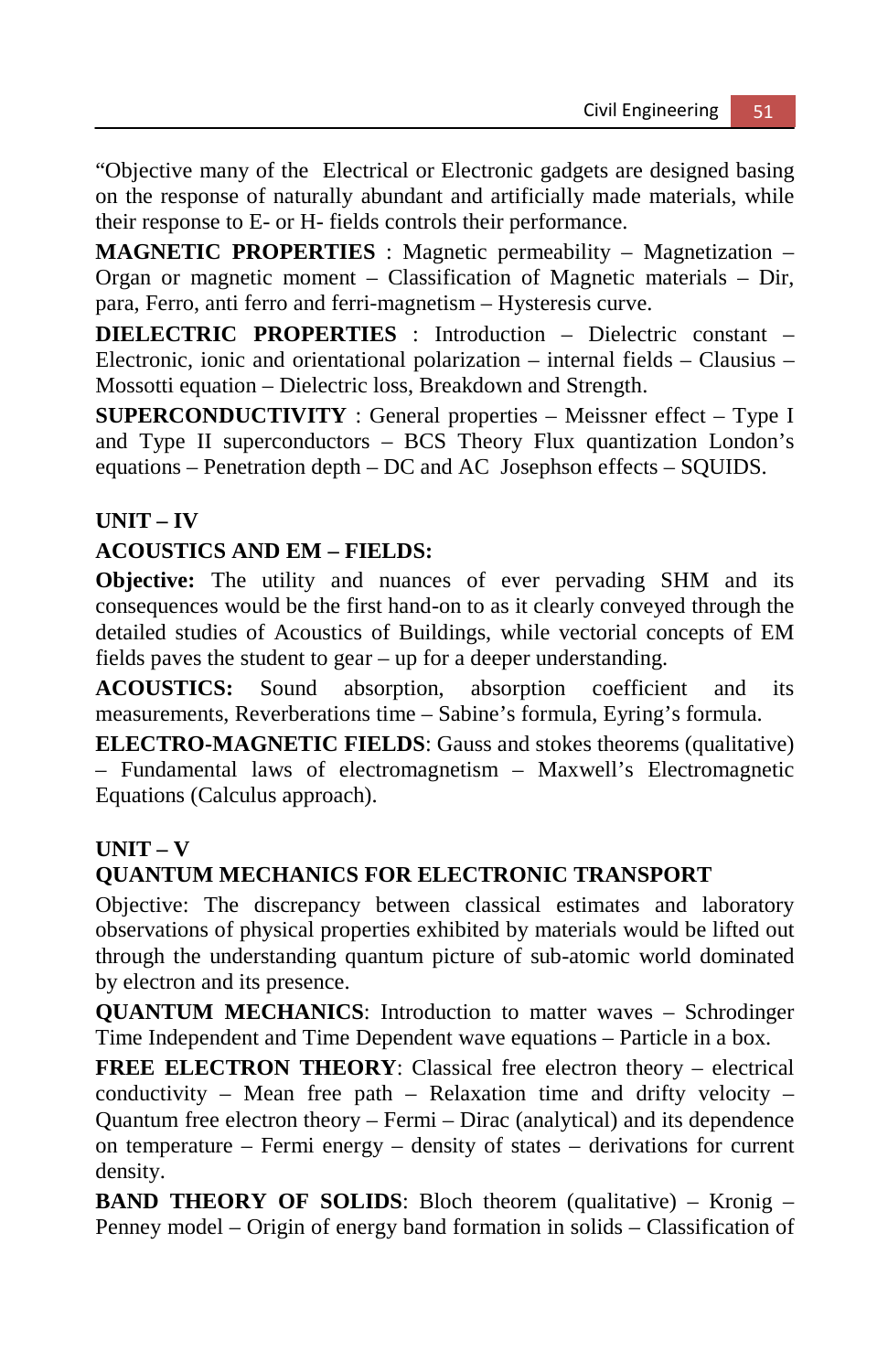"Objective many of the Electrical or Electronic gadgets are designed basing on the response of naturally abundant and artificially made materials, while their response to E- or H- fields controls their performance.

**MAGNETIC PROPERTIES** : Magnetic permeability – Magnetization – Organ or magnetic moment – Classification of Magnetic materials – Dir, para, Ferro, anti ferro and ferri-magnetism – Hysteresis curve.

**DIELECTRIC PROPERTIES** : Introduction – Dielectric constant – Electronic, ionic and orientational polarization – internal fields – Clausius – Mossotti equation – Dielectric loss, Breakdown and Strength.

**SUPERCONDUCTIVITY** : General properties – Meissner effect – Type I and Type II superconductors – BCS Theory Flux quantization London's equations – Penetration depth – DC and AC Josephson effects – SQUIDS.

## **UNIT – IV**

## **ACOUSTICS AND EM – FIELDS:**

**Objective:** The utility and nuances of ever pervading SHM and its consequences would be the first hand-on to as it clearly conveyed through the detailed studies of Acoustics of Buildings, while vectorial concepts of EM fields paves the student to gear – up for a deeper understanding.

**ACOUSTICS:** Sound absorption, absorption coefficient and its measurements, Reverberations time – Sabine's formula, Eyring's formula.

**ELECTRO-MAGNETIC FIELDS**: Gauss and stokes theorems (qualitative) – Fundamental laws of electromagnetism – Maxwell's Electromagnetic Equations (Calculus approach).

## **UNIT – V**

## **QUANTUM MECHANICS FOR ELECTRONIC TRANSPORT**

Objective: The discrepancy between classical estimates and laboratory observations of physical properties exhibited by materials would be lifted out through the understanding quantum picture of sub-atomic world dominated by electron and its presence.

**QUANTUM MECHANICS**: Introduction to matter waves – Schrodinger Time Independent and Time Dependent wave equations – Particle in a box.

**FREE ELECTRON THEORY**: Classical free electron theory – electrical conductivity – Mean free path – Relaxation time and drifty velocity – Quantum free electron theory – Fermi – Dirac (analytical) and its dependence on temperature – Fermi energy – density of states – derivations for current density.

**BAND THEORY OF SOLIDS:** Bloch theorem (qualitative) – Kronig – Penney model – Origin of energy band formation in solids – Classification of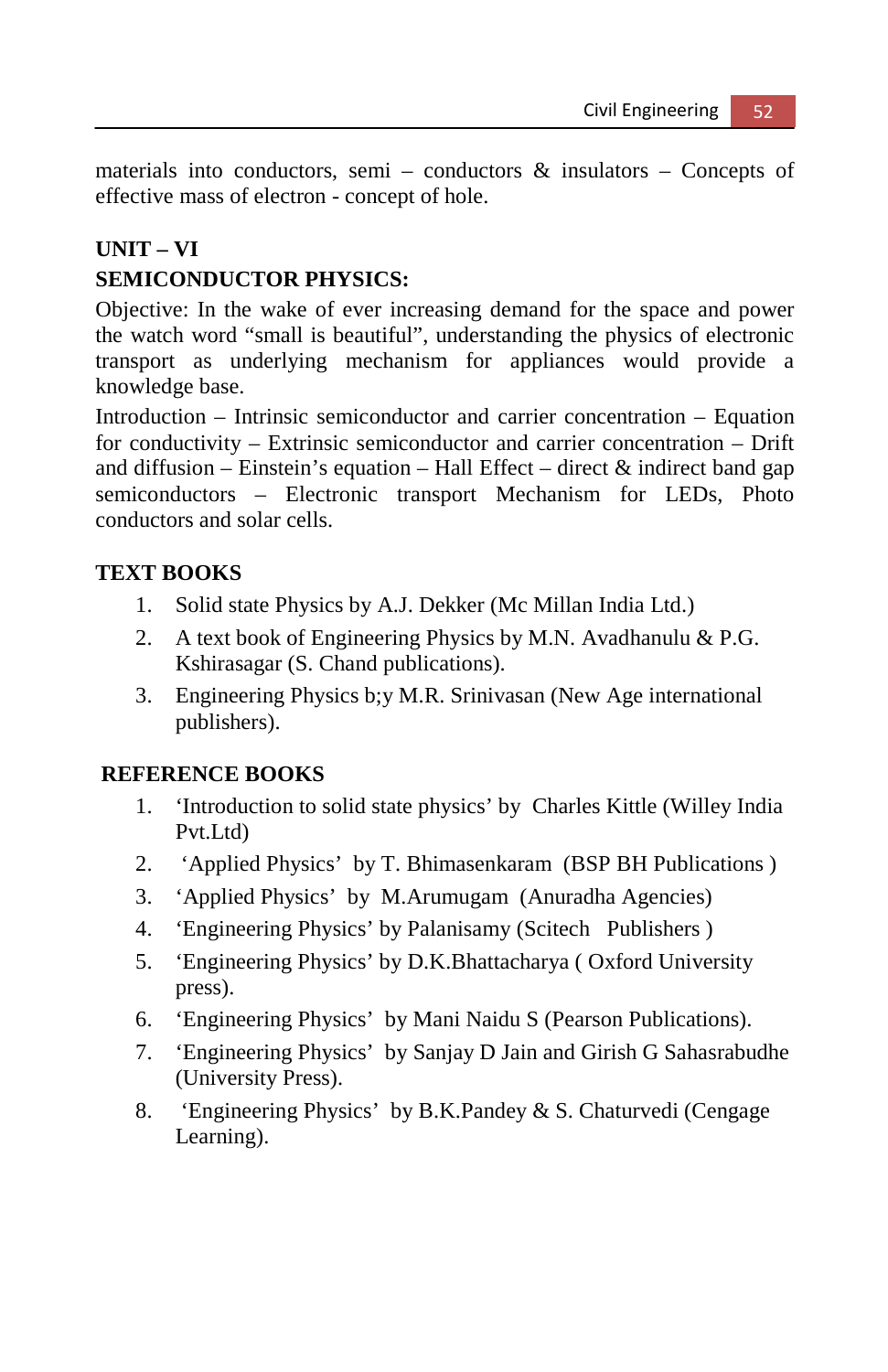materials into conductors, semi – conductors  $\&$  insulators – Concepts of effective mass of electron - concept of hole.

# **UNIT – VI SEMICONDUCTOR PHYSICS:**

Objective: In the wake of ever increasing demand for the space and power the watch word "small is beautiful", understanding the physics of electronic transport as underlying mechanism for appliances would provide a knowledge base.

Introduction – Intrinsic semiconductor and carrier concentration – Equation for conductivity – Extrinsic semiconductor and carrier concentration – Drift and diffusion – Einstein's equation – Hall Effect – direct  $\&$  indirect band gap semiconductors – Electronic transport Mechanism for LEDs, Photo conductors and solar cells.

# **TEXT BOOKS**

- 1. Solid state Physics by A.J. Dekker (Mc Millan India Ltd.)
- 2. A text book of Engineering Physics by M.N. Avadhanulu & P.G. Kshirasagar (S. Chand publications).
- 3. Engineering Physics b;y M.R. Srinivasan (New Age international publishers).

## **REFERENCE BOOKS**

- 1. 'Introduction to solid state physics' by Charles Kittle (Willey India Pvt.Ltd)
- 2. 'Applied Physics' by T. Bhimasenkaram (BSP BH Publications )
- 3. 'Applied Physics' by M.Arumugam (Anuradha Agencies)
- 4. 'Engineering Physics' by Palanisamy (Scitech Publishers )
- 5. 'Engineering Physics' by D.K.Bhattacharya ( Oxford University press).
- 6. 'Engineering Physics' by Mani Naidu S (Pearson Publications).
- 7. 'Engineering Physics' by Sanjay D Jain and Girish G Sahasrabudhe (University Press).
- 8. 'Engineering Physics' by B.K.Pandey & S. Chaturvedi (Cengage Learning).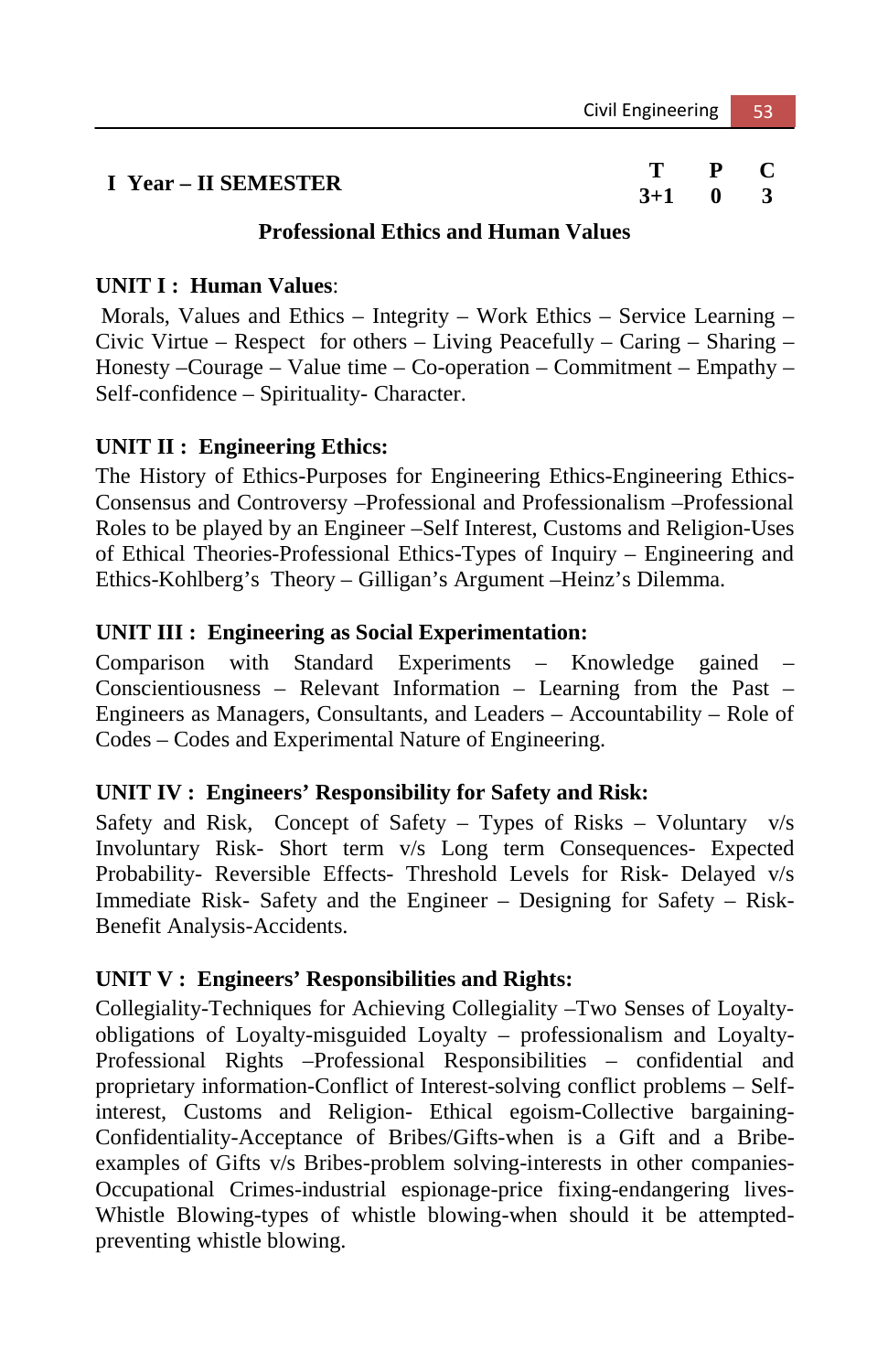|                      | Civil Engineering   53 |  |
|----------------------|------------------------|--|
| I Year - II SEMESTER | $\mathbf{P}$           |  |
|                      |                        |  |

#### **Professional Ethics and Human Values**

#### **UNIT I : Human Values**:

 Morals, Values and Ethics – Integrity – Work Ethics – Service Learning – Civic Virtue – Respect for others – Living Peacefully – Caring – Sharing – Honesty –Courage – Value time – Co-operation – Commitment – Empathy – Self-confidence – Spirituality- Character.

## **UNIT II : Engineering Ethics:**

The History of Ethics-Purposes for Engineering Ethics-Engineering Ethics-Consensus and Controversy –Professional and Professionalism –Professional Roles to be played by an Engineer –Self Interest, Customs and Religion-Uses of Ethical Theories-Professional Ethics-Types of Inquiry – Engineering and Ethics-Kohlberg's Theory – Gilligan's Argument –Heinz's Dilemma.

## **UNIT III : Engineering as Social Experimentation:**

Comparison with Standard Experiments – Knowledge gained – Conscientiousness – Relevant Information – Learning from the Past – Engineers as Managers, Consultants, and Leaders – Accountability – Role of Codes – Codes and Experimental Nature of Engineering.

#### **UNIT IV : Engineers' Responsibility for Safety and Risk:**

Safety and Risk, Concept of Safety – Types of Risks – Voluntary  $v/s$ Involuntary Risk- Short term v/s Long term Consequences- Expected Probability- Reversible Effects- Threshold Levels for Risk- Delayed v/s Immediate Risk- Safety and the Engineer – Designing for Safety – Risk-Benefit Analysis-Accidents.

## **UNIT V : Engineers' Responsibilities and Rights:**

Collegiality-Techniques for Achieving Collegiality –Two Senses of Loyaltyobligations of Loyalty-misguided Loyalty – professionalism and Loyalty-Professional Rights –Professional Responsibilities – confidential and proprietary information-Conflict of Interest-solving conflict problems – Selfinterest, Customs and Religion- Ethical egoism-Collective bargaining-Confidentiality-Acceptance of Bribes/Gifts-when is a Gift and a Bribeexamples of Gifts v/s Bribes-problem solving-interests in other companies-Occupational Crimes-industrial espionage-price fixing-endangering lives-Whistle Blowing-types of whistle blowing-when should it be attemptedpreventing whistle blowing.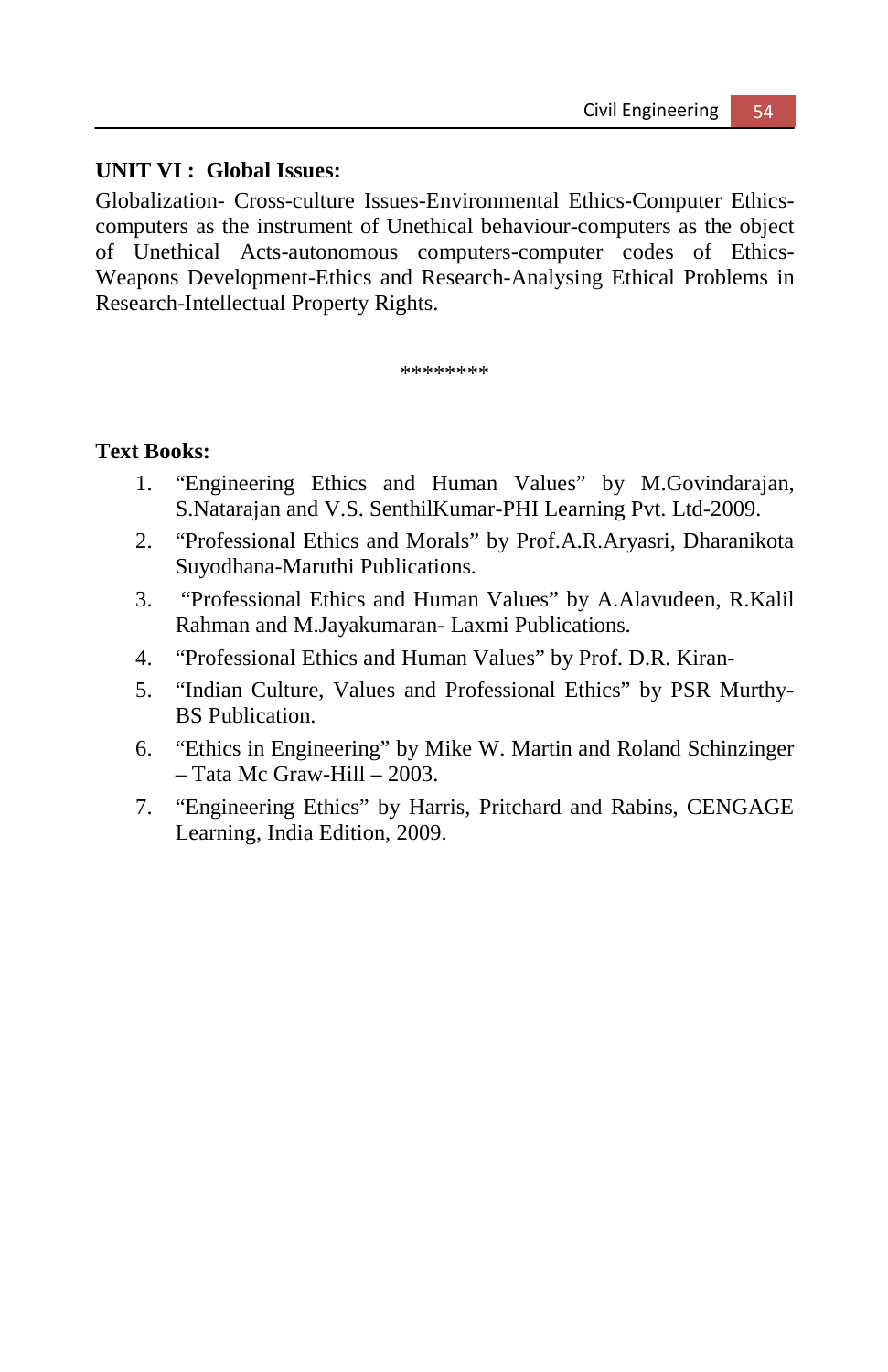### **UNIT VI : Global Issues:**

Globalization- Cross-culture Issues-Environmental Ethics-Computer Ethicscomputers as the instrument of Unethical behaviour-computers as the object of Unethical Acts-autonomous computers-computer codes of Ethics-Weapons Development-Ethics and Research-Analysing Ethical Problems in Research-Intellectual Property Rights.

\*\*\*\*\*\*\*\*

## **Text Books:**

- 1. "Engineering Ethics and Human Values" by M.Govindarajan, S.Natarajan and V.S. SenthilKumar-PHI Learning Pvt. Ltd-2009.
- 2. "Professional Ethics and Morals" by Prof.A.R.Aryasri, Dharanikota Suyodhana-Maruthi Publications.
- 3. "Professional Ethics and Human Values" by A.Alavudeen, R.Kalil Rahman and M.Jayakumaran- Laxmi Publications.
- 4. "Professional Ethics and Human Values" by Prof. D.R. Kiran-
- 5. "Indian Culture, Values and Professional Ethics" by PSR Murthy-BS Publication.
- 6. "Ethics in Engineering" by Mike W. Martin and Roland Schinzinger  $-$  Tata Mc Graw-Hill  $-$  2003.
- 7. "Engineering Ethics" by Harris, Pritchard and Rabins, CENGAGE Learning, India Edition, 2009.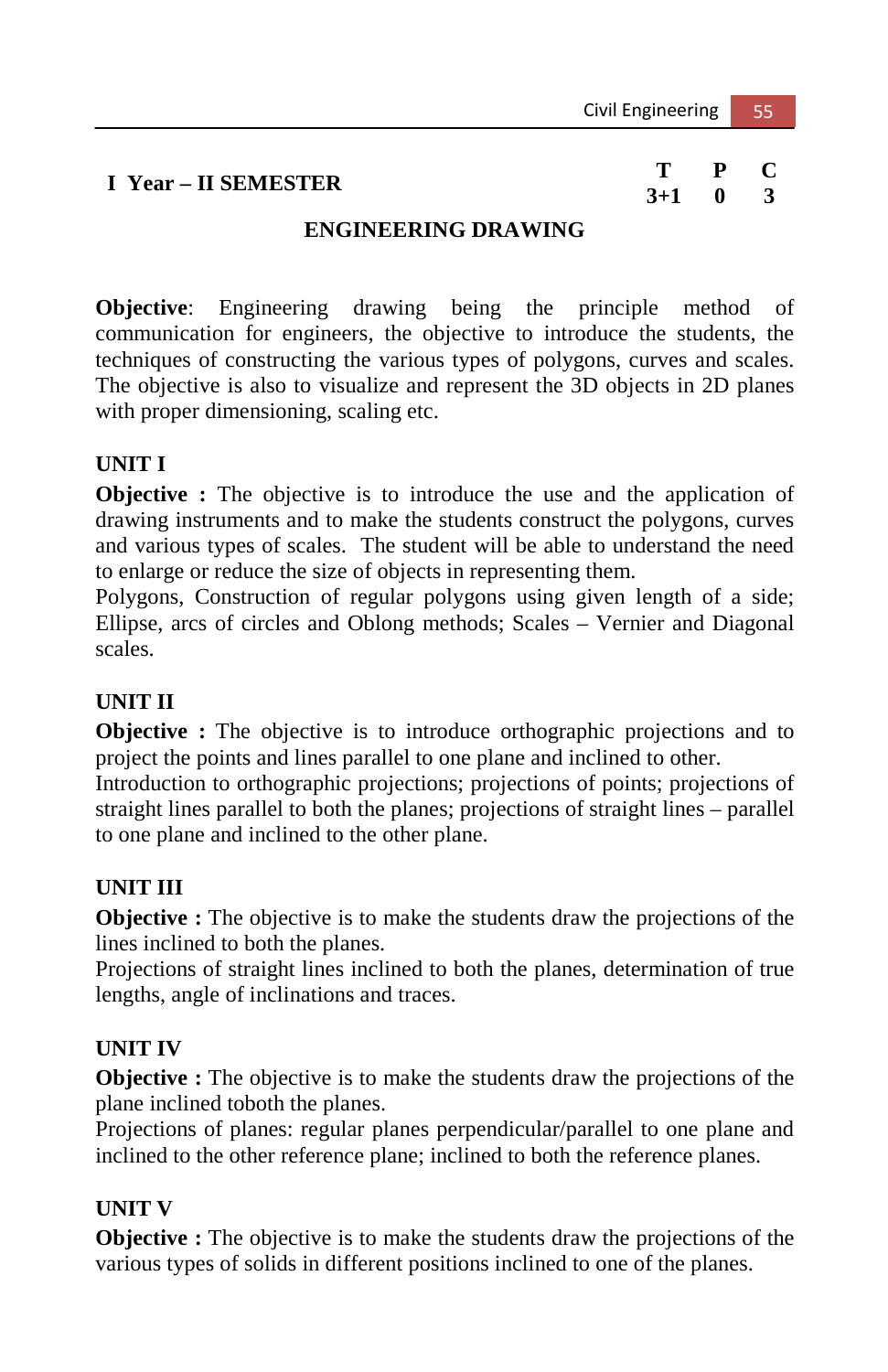# **I Year – II SEMESTER T P C**

 $3 + 1$ 

## **ENGINEERING DRAWING**

**Objective**: Engineering drawing being the principle method of communication for engineers, the objective to introduce the students, the techniques of constructing the various types of polygons, curves and scales. The objective is also to visualize and represent the 3D objects in 2D planes with proper dimensioning, scaling etc.

## **UNIT I**

**Objective :** The objective is to introduce the use and the application of drawing instruments and to make the students construct the polygons, curves and various types of scales. The student will be able to understand the need to enlarge or reduce the size of objects in representing them.

Polygons, Construction of regular polygons using given length of a side; Ellipse, arcs of circles and Oblong methods; Scales – Vernier and Diagonal scales.

## **UNIT II**

**Objective :** The objective is to introduce orthographic projections and to project the points and lines parallel to one plane and inclined to other.

Introduction to orthographic projections; projections of points; projections of straight lines parallel to both the planes; projections of straight lines – parallel to one plane and inclined to the other plane.

# **UNIT III**

**Objective :** The objective is to make the students draw the projections of the lines inclined to both the planes.

Projections of straight lines inclined to both the planes, determination of true lengths, angle of inclinations and traces.

# **UNIT IV**

**Objective :** The objective is to make the students draw the projections of the plane inclined toboth the planes.

Projections of planes: regular planes perpendicular/parallel to one plane and inclined to the other reference plane; inclined to both the reference planes.

# **UNIT V**

**Objective :** The objective is to make the students draw the projections of the various types of solids in different positions inclined to one of the planes.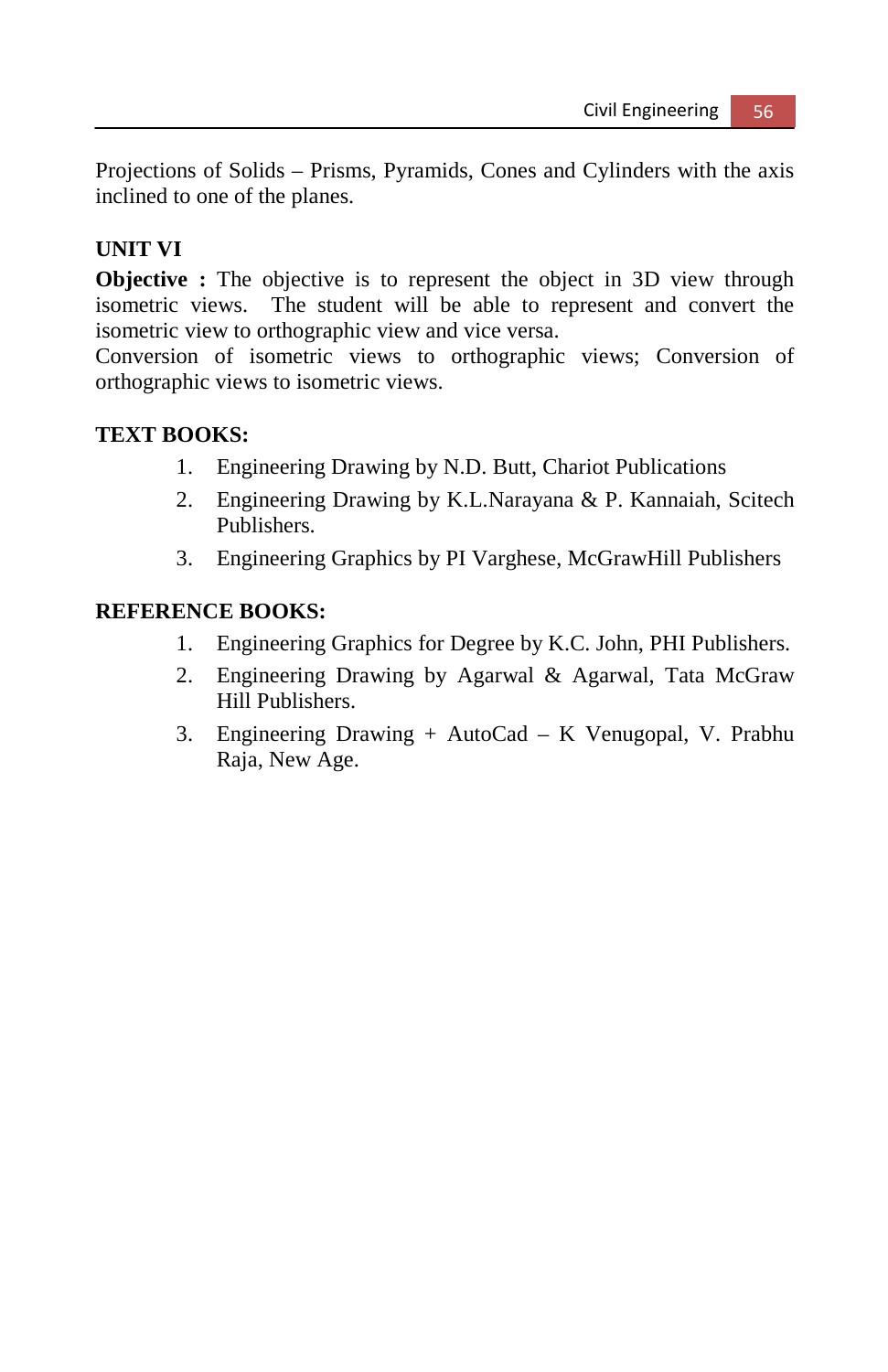Projections of Solids – Prisms, Pyramids, Cones and Cylinders with the axis inclined to one of the planes.

# **UNIT VI**

**Objective :** The objective is to represent the object in 3D view through isometric views. The student will be able to represent and convert the isometric view to orthographic view and vice versa.

Conversion of isometric views to orthographic views; Conversion of orthographic views to isometric views.

## **TEXT BOOKS:**

- 1. Engineering Drawing by N.D. Butt, Chariot Publications
- 2. Engineering Drawing by K.L.Narayana & P. Kannaiah, Scitech Publishers.
- 3. Engineering Graphics by PI Varghese, McGrawHill Publishers

## **REFERENCE BOOKS:**

- 1. Engineering Graphics for Degree by K.C. John, PHI Publishers.
- 2. Engineering Drawing by Agarwal & Agarwal, Tata McGraw Hill Publishers.
- 3. Engineering Drawing + AutoCad K Venugopal, V. Prabhu Raja, New Age.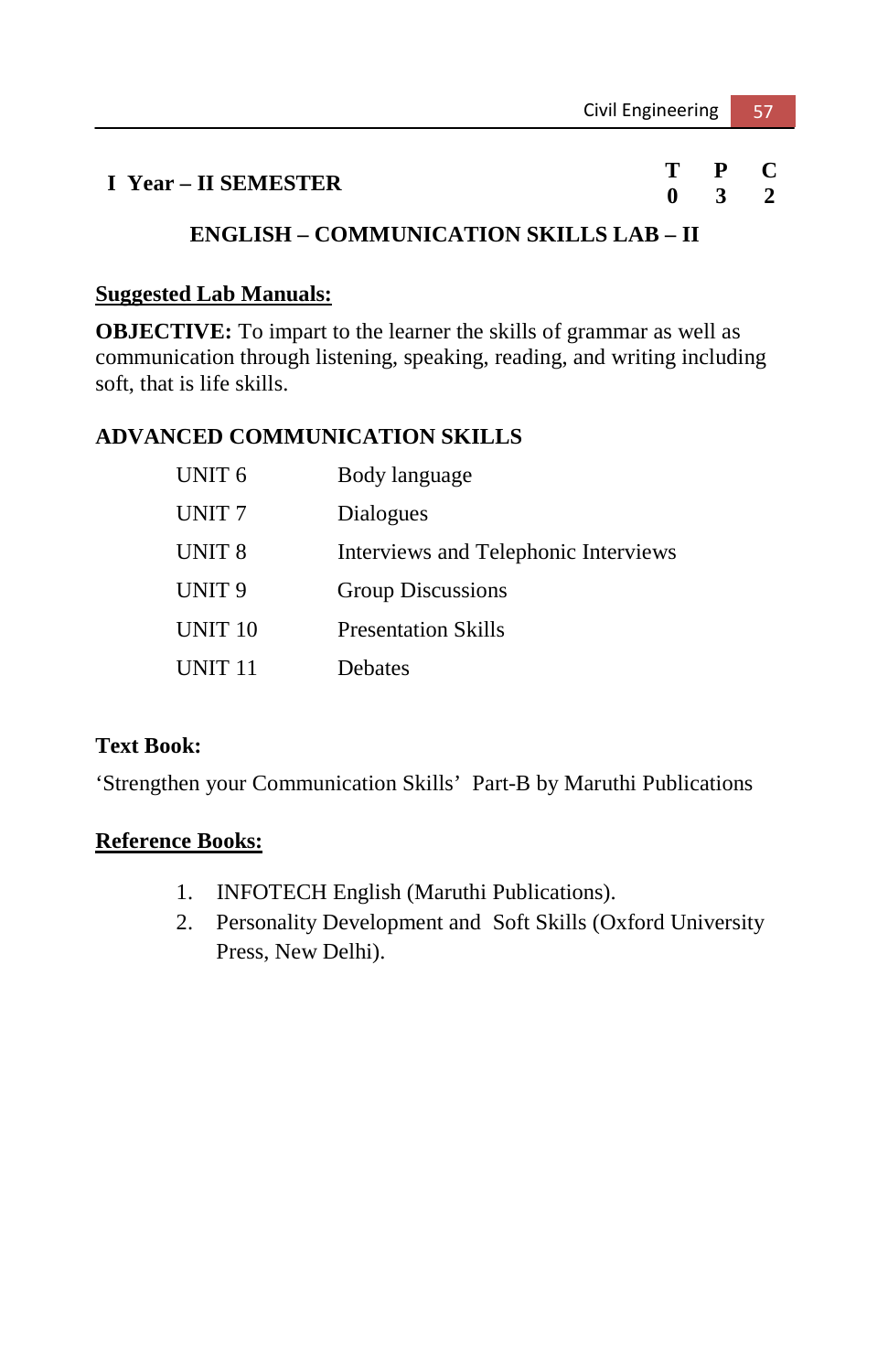|  | I Year – II SEMESTER |  |  |
|--|----------------------|--|--|
|  |                      |  |  |

## **ENGLISH – COMMUNICATION SKILLS LAB – II**

#### **Suggested Lab Manuals:**

**OBJECTIVE:** To impart to the learner the skills of grammar as well as communication through listening, speaking, reading, and writing including soft, that is life skills.

## **ADVANCED COMMUNICATION SKILLS**

| <b>UNIT 7</b><br>Dialogues<br>UNIT <sub>8</sub><br>Interviews and Telephonic Interviews<br>UNIT <sub>9</sub><br>Group Discussions<br><b>UNIT 10</b><br><b>Presentation Skills</b><br><b>UNIT 11</b><br><b>Debates</b> | UNIT <sub>6</sub> | Body language |
|-----------------------------------------------------------------------------------------------------------------------------------------------------------------------------------------------------------------------|-------------------|---------------|
|                                                                                                                                                                                                                       |                   |               |
|                                                                                                                                                                                                                       |                   |               |
|                                                                                                                                                                                                                       |                   |               |
|                                                                                                                                                                                                                       |                   |               |
|                                                                                                                                                                                                                       |                   |               |

# **Text Book:**

'Strengthen your Communication Skills' Part-B by Maruthi Publications

#### **Reference Books:**

- 1. INFOTECH English (Maruthi Publications).
- 2. Personality Development and Soft Skills (Oxford University Press, New Delhi).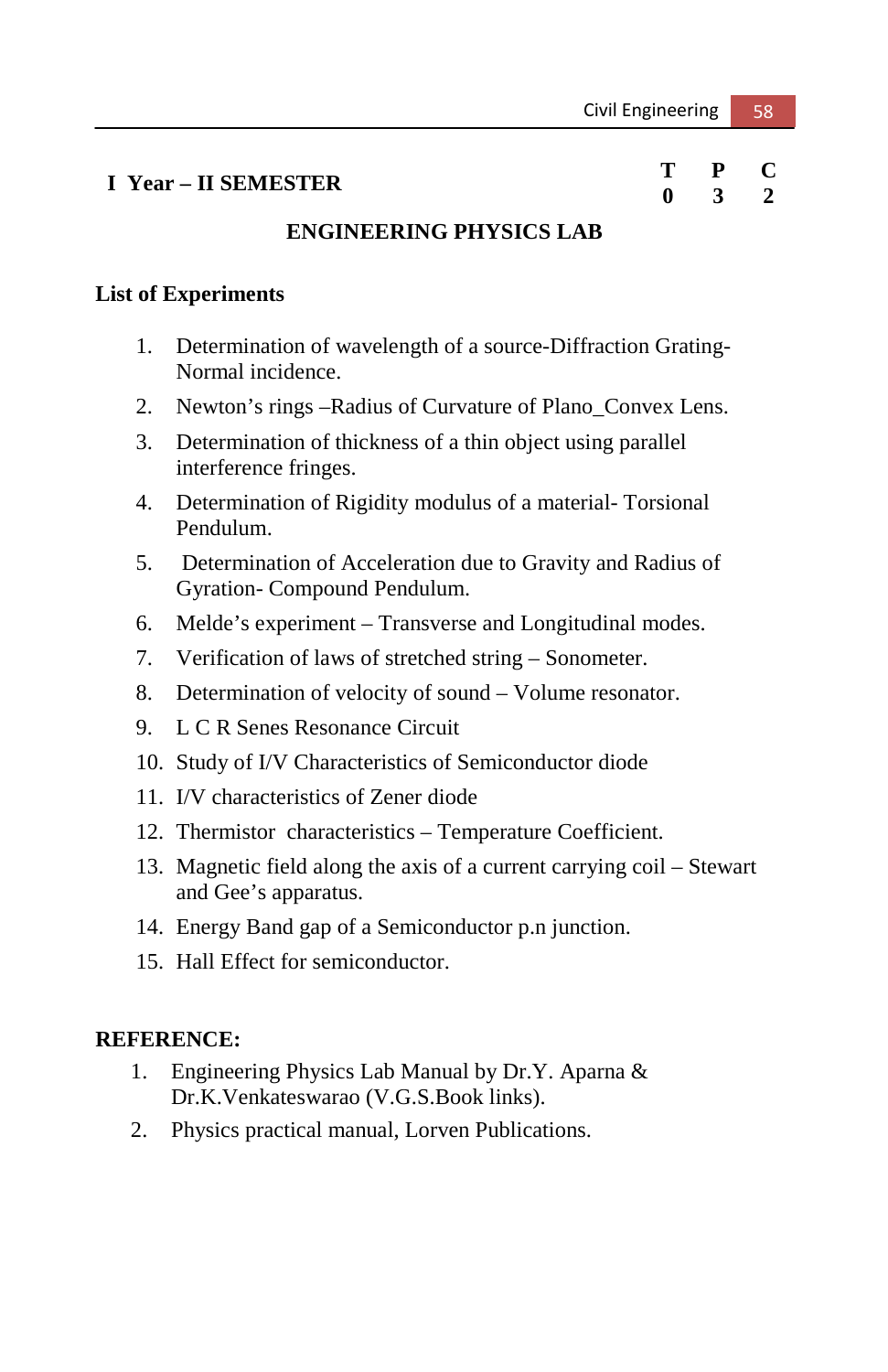# **I Year – II SEMESTER T P C**

# **0 3 2**

## **ENGINEERING PHYSICS LAB**

#### **List of Experiments**

- 1. Determination of wavelength of a source-Diffraction Grating-Normal incidence.
- 2. Newton's rings –Radius of Curvature of Plano\_Convex Lens.
- 3. Determination of thickness of a thin object using parallel interference fringes.
- 4. Determination of Rigidity modulus of a material- Torsional Pendulum.
- 5. Determination of Acceleration due to Gravity and Radius of Gyration- Compound Pendulum.
- 6. Melde's experiment Transverse and Longitudinal modes.
- 7. Verification of laws of stretched string Sonometer.
- 8. Determination of velocity of sound Volume resonator.
- 9. L C R Senes Resonance Circuit
- 10. Study of I/V Characteristics of Semiconductor diode
- 11. I/V characteristics of Zener diode
- 12. Thermistor characteristics Temperature Coefficient.
- 13. Magnetic field along the axis of a current carrying coil Stewart and Gee's apparatus.
- 14. Energy Band gap of a Semiconductor p.n junction.
- 15. Hall Effect for semiconductor.

#### **REFERENCE:**

- 1. Engineering Physics Lab Manual by Dr.Y. Aparna & Dr.K.Venkateswarao (V.G.S.Book links).
- 2. Physics practical manual, Lorven Publications.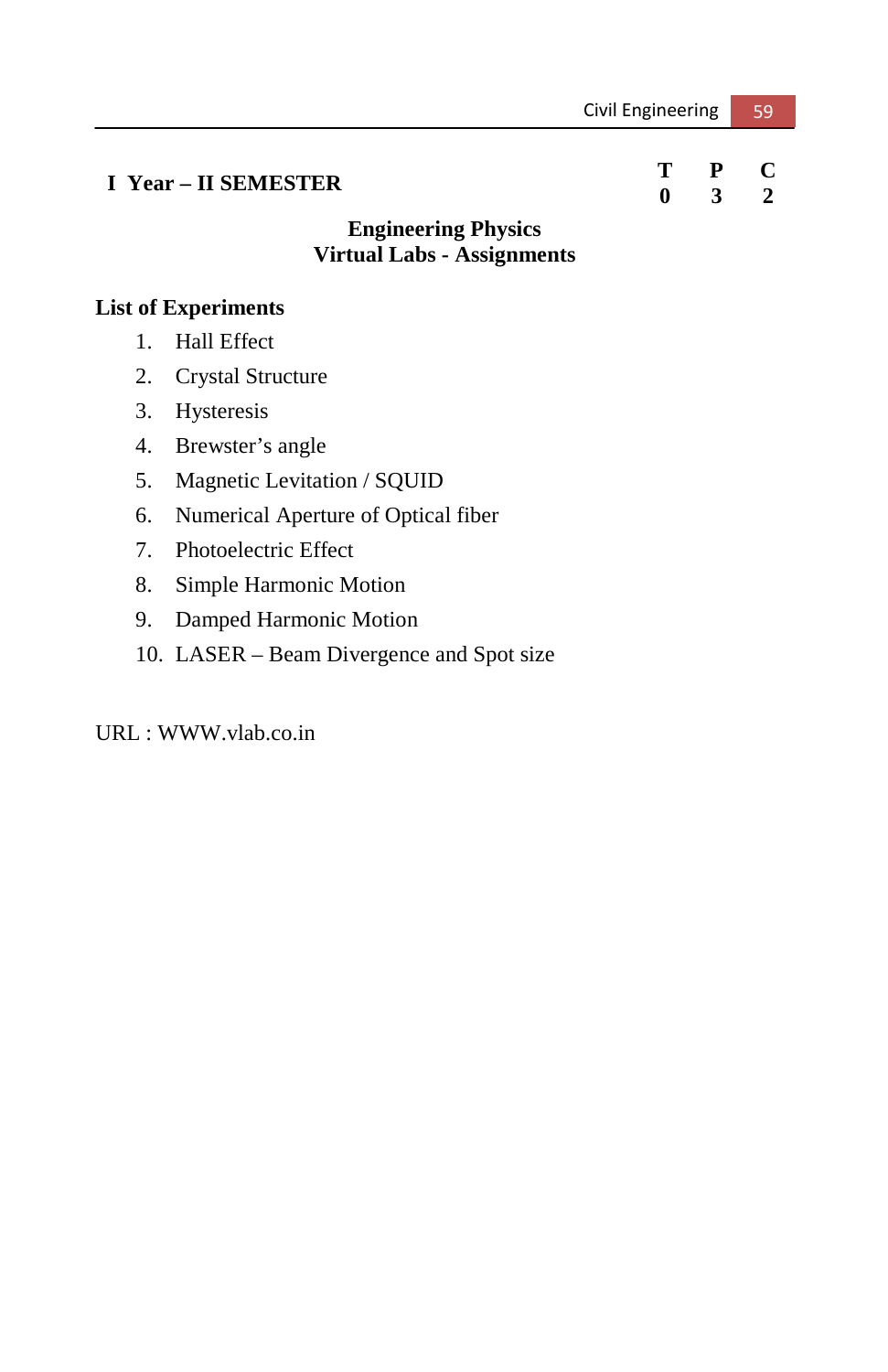# **I Year – II SEMESTER T P C 0 3 2**

## **Engineering Physics Virtual Labs - Assignments**

## **List of Experiments**

- 1. Hall Effect
- 2. Crystal Structure
- 3. Hysteresis
- 4. Brewster's angle
- 5. Magnetic Levitation / SQUID
- 6. Numerical Aperture of Optical fiber
- 7. Photoelectric Effect
- 8. Simple Harmonic Motion
- 9. Damped Harmonic Motion
- 10. LASER Beam Divergence and Spot size

## URL : WWW.vlab.co.in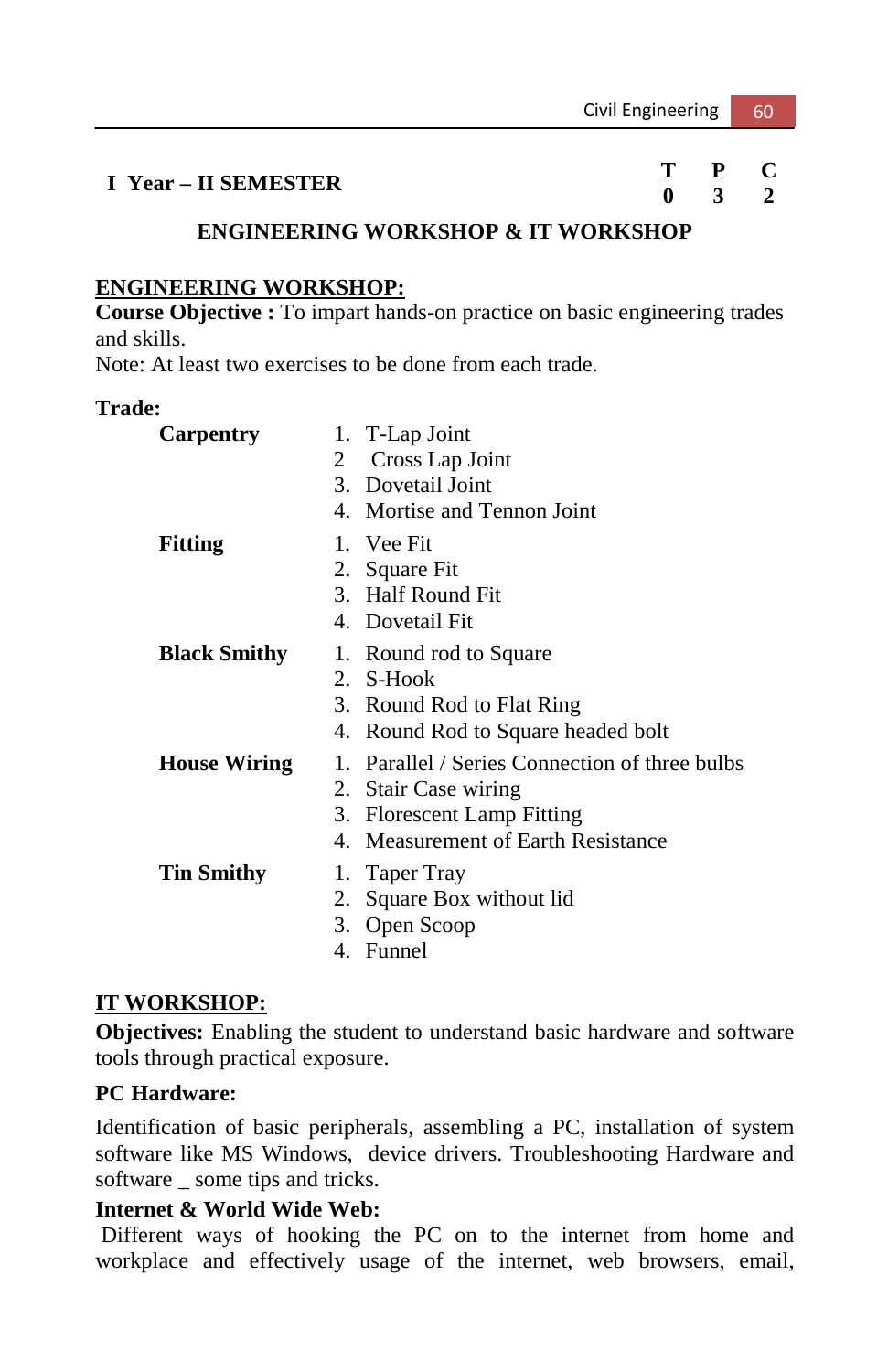#### **I** Year – II SEMESTER  $\begin{array}{ccc} T & P & C \\ 0 & 3 & 2 \end{array}$ **0 3 2**

## **ENGINEERING WORKSHOP & IT WORKSHOP**

## **ENGINEERING WORKSHOP:**

**Course Objective :** To impart hands-on practice on basic engineering trades and skills.

Note: At least two exercises to be done from each trade.

#### **Trade:**

| Carpentry           | 1. T-Lap Joint                                 |
|---------------------|------------------------------------------------|
|                     | Cross Lap Joint<br>2                           |
|                     | 3. Dovetail Joint                              |
|                     | 4. Mortise and Tennon Joint                    |
| <b>Fitting</b>      | 1. Vee Fit                                     |
|                     | 2. Square Fit                                  |
|                     | 3. Half Round Fit.                             |
|                     | 4. Dovetail Fit                                |
| <b>Black Smithy</b> | 1. Round rod to Square                         |
|                     | 2. S-Hook                                      |
|                     | 3. Round Rod to Flat Ring                      |
|                     | 4. Round Rod to Square headed bolt             |
| <b>House Wiring</b> | 1. Parallel / Series Connection of three bulbs |
|                     | 2. Stair Case wiring                           |
|                     | 3. Florescent Lamp Fitting                     |
|                     | 4. Measurement of Earth Resistance             |
| <b>Tin Smithy</b>   | 1. Taper Tray                                  |
|                     | 2. Square Box without lid                      |
|                     | 3. Open Scoop                                  |
|                     | 4. Funnel                                      |

# **IT WORKSHOP:**

**Objectives:** Enabling the student to understand basic hardware and software tools through practical exposure.

#### **PC Hardware:**

Identification of basic peripherals, assembling a PC, installation of system software like MS Windows, device drivers. Troubleshooting Hardware and software \_ some tips and tricks.

#### **Internet & World Wide Web:**

 Different ways of hooking the PC on to the internet from home and workplace and effectively usage of the internet, web browsers, email,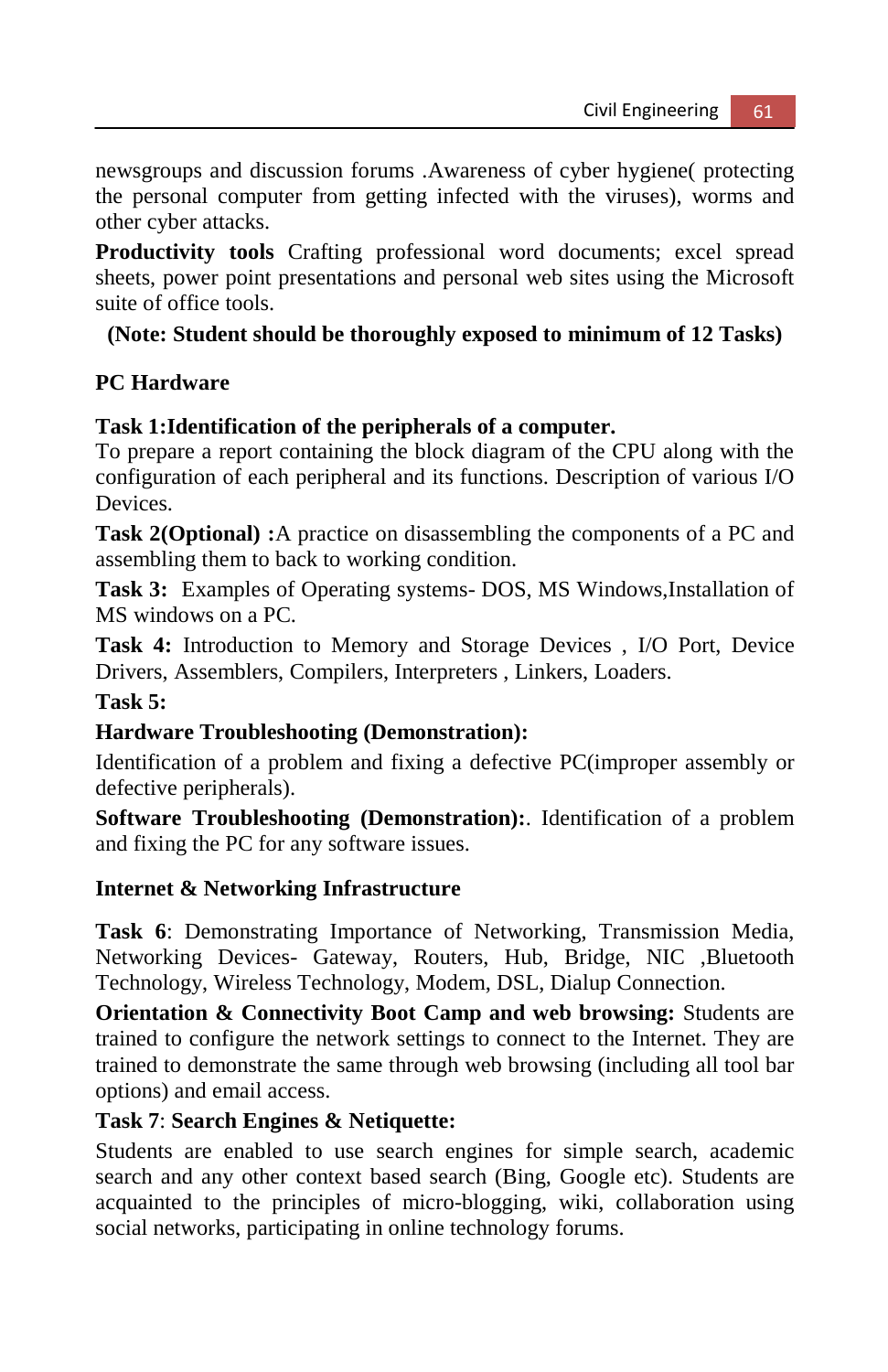newsgroups and discussion forums .Awareness of cyber hygiene( protecting the personal computer from getting infected with the viruses), worms and other cyber attacks.

**Productivity tools** Crafting professional word documents; excel spread sheets, power point presentations and personal web sites using the Microsoft suite of office tools.

# **(Note: Student should be thoroughly exposed to minimum of 12 Tasks)**

## **PC Hardware**

## **Task 1:Identification of the peripherals of a computer.**

To prepare a report containing the block diagram of the CPU along with the configuration of each peripheral and its functions. Description of various I/O Devices.

**Task 2(Optional) :**A practice on disassembling the components of a PC and assembling them to back to working condition.

**Task 3:** Examples of Operating systems- DOS, MS Windows,Installation of MS windows on a PC.

**Task 4:** Introduction to Memory and Storage Devices , I/O Port, Device Drivers, Assemblers, Compilers, Interpreters , Linkers, Loaders.

**Task 5:** 

#### **Hardware Troubleshooting (Demonstration):**

Identification of a problem and fixing a defective PC(improper assembly or defective peripherals).

**Software Troubleshooting (Demonstration):**. Identification of a problem and fixing the PC for any software issues.

#### **Internet & Networking Infrastructure**

**Task 6**: Demonstrating Importance of Networking, Transmission Media, Networking Devices- Gateway, Routers, Hub, Bridge, NIC ,Bluetooth Technology, Wireless Technology, Modem, DSL, Dialup Connection.

**Orientation & Connectivity Boot Camp and web browsing:** Students are trained to configure the network settings to connect to the Internet. They are trained to demonstrate the same through web browsing (including all tool bar options) and email access.

#### **Task 7**: **Search Engines & Netiquette:**

Students are enabled to use search engines for simple search, academic search and any other context based search (Bing, Google etc). Students are acquainted to the principles of micro-blogging, wiki, collaboration using social networks, participating in online technology forums.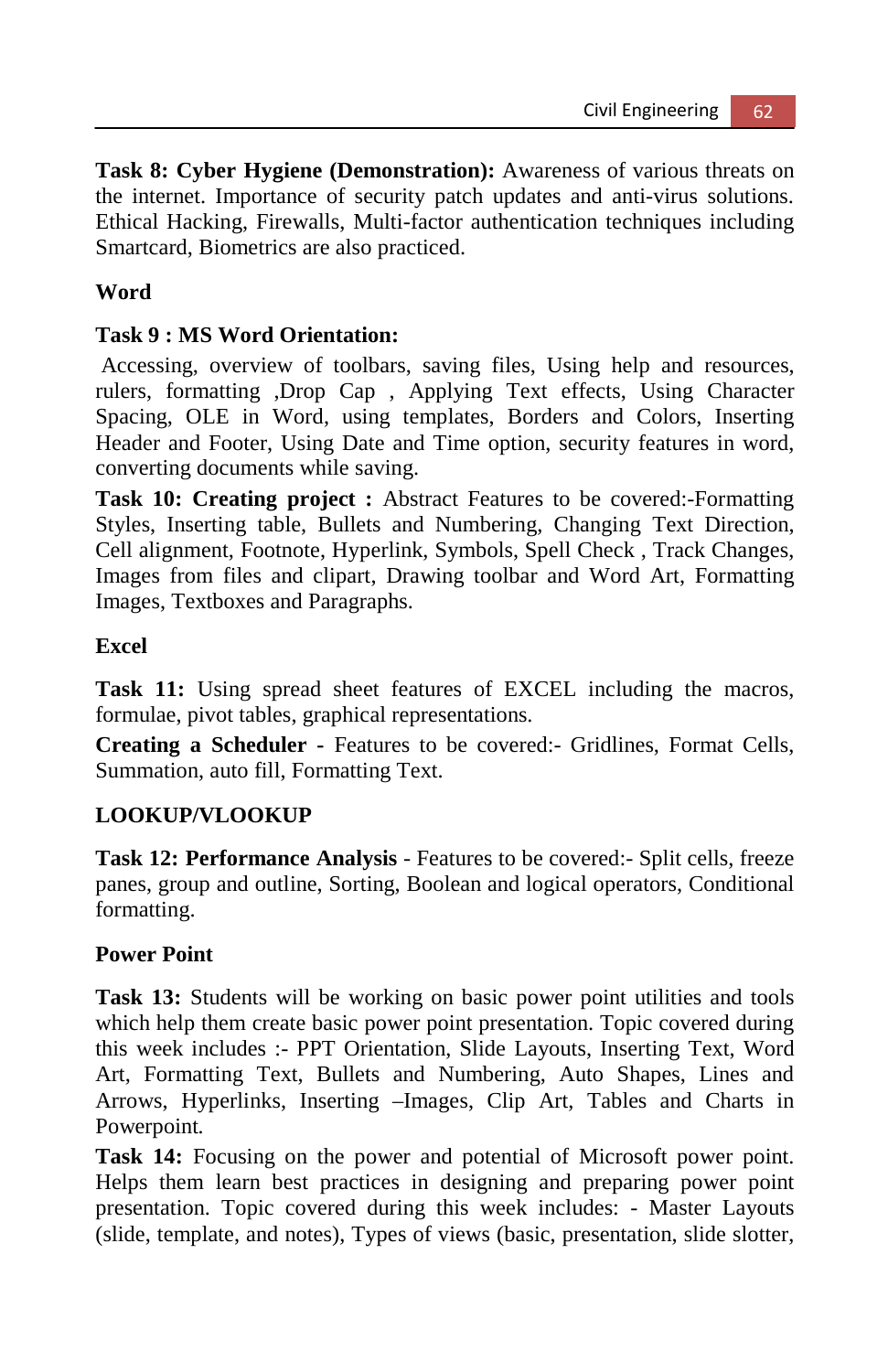**Task 8: Cyber Hygiene (Demonstration):** Awareness of various threats on the internet. Importance of security patch updates and anti-virus solutions. Ethical Hacking, Firewalls, Multi-factor authentication techniques including Smartcard, Biometrics are also practiced.

## **Word**

### **Task 9 : MS Word Orientation:**

 Accessing, overview of toolbars, saving files, Using help and resources, rulers, formatting ,Drop Cap , Applying Text effects, Using Character Spacing, OLE in Word, using templates, Borders and Colors, Inserting Header and Footer, Using Date and Time option, security features in word, converting documents while saving.

**Task 10: Creating project :** Abstract Features to be covered:-Formatting Styles, Inserting table, Bullets and Numbering, Changing Text Direction, Cell alignment, Footnote, Hyperlink, Symbols, Spell Check , Track Changes, Images from files and clipart, Drawing toolbar and Word Art, Formatting Images, Textboxes and Paragraphs.

## **Excel**

Task 11: Using spread sheet features of EXCEL including the macros, formulae, pivot tables, graphical representations.

**Creating a Scheduler -** Features to be covered:- Gridlines, Format Cells, Summation, auto fill, Formatting Text.

## **LOOKUP/VLOOKUP**

**Task 12: Performance Analysis** - Features to be covered:- Split cells, freeze panes, group and outline, Sorting, Boolean and logical operators, Conditional formatting.

#### **Power Point**

**Task 13:** Students will be working on basic power point utilities and tools which help them create basic power point presentation. Topic covered during this week includes :- PPT Orientation, Slide Layouts, Inserting Text, Word Art, Formatting Text, Bullets and Numbering, Auto Shapes, Lines and Arrows, Hyperlinks, Inserting –Images, Clip Art, Tables and Charts in Powerpoint*.* 

**Task 14:** Focusing on the power and potential of Microsoft power point. Helps them learn best practices in designing and preparing power point presentation. Topic covered during this week includes: - Master Layouts (slide, template, and notes), Types of views (basic, presentation, slide slotter,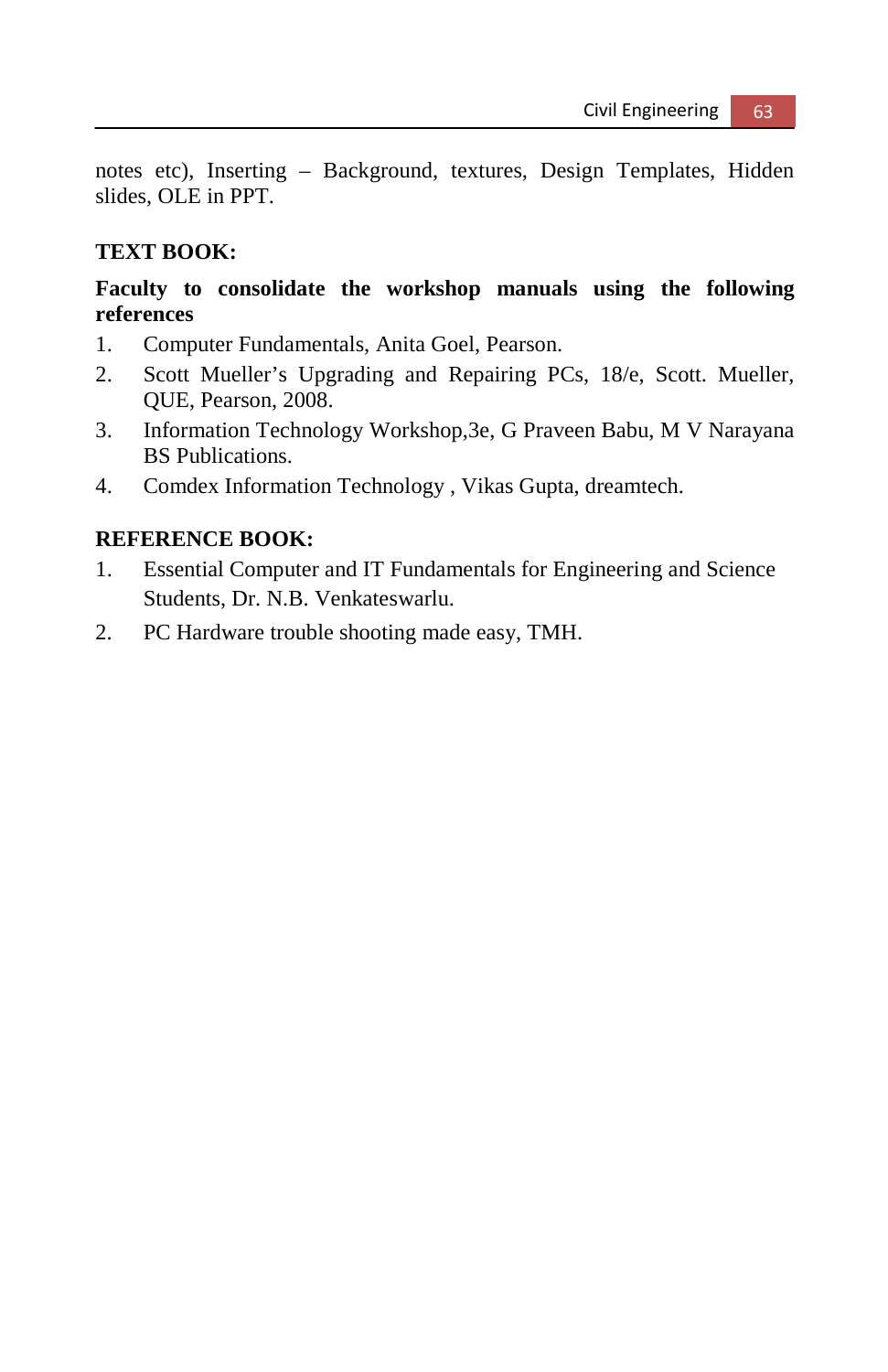notes etc), Inserting – Background, textures, Design Templates, Hidden slides, OLE in PPT.

## **TEXT BOOK:**

# **Faculty to consolidate the workshop manuals using the following references**

- 1. Computer Fundamentals, Anita Goel, Pearson.
- 2. Scott Mueller's Upgrading and Repairing PCs, 18/e, Scott. Mueller, QUE, Pearson, 2008.
- 3. Information Technology Workshop,3e, G Praveen Babu, M V Narayana BS Publications.
- 4. Comdex Information Technology , Vikas Gupta, dreamtech.

## **REFERENCE BOOK:**

- 1. Essential Computer and IT Fundamentals for Engineering and Science Students, Dr. N.B. Venkateswarlu.
- 2. PC Hardware trouble shooting made easy, TMH.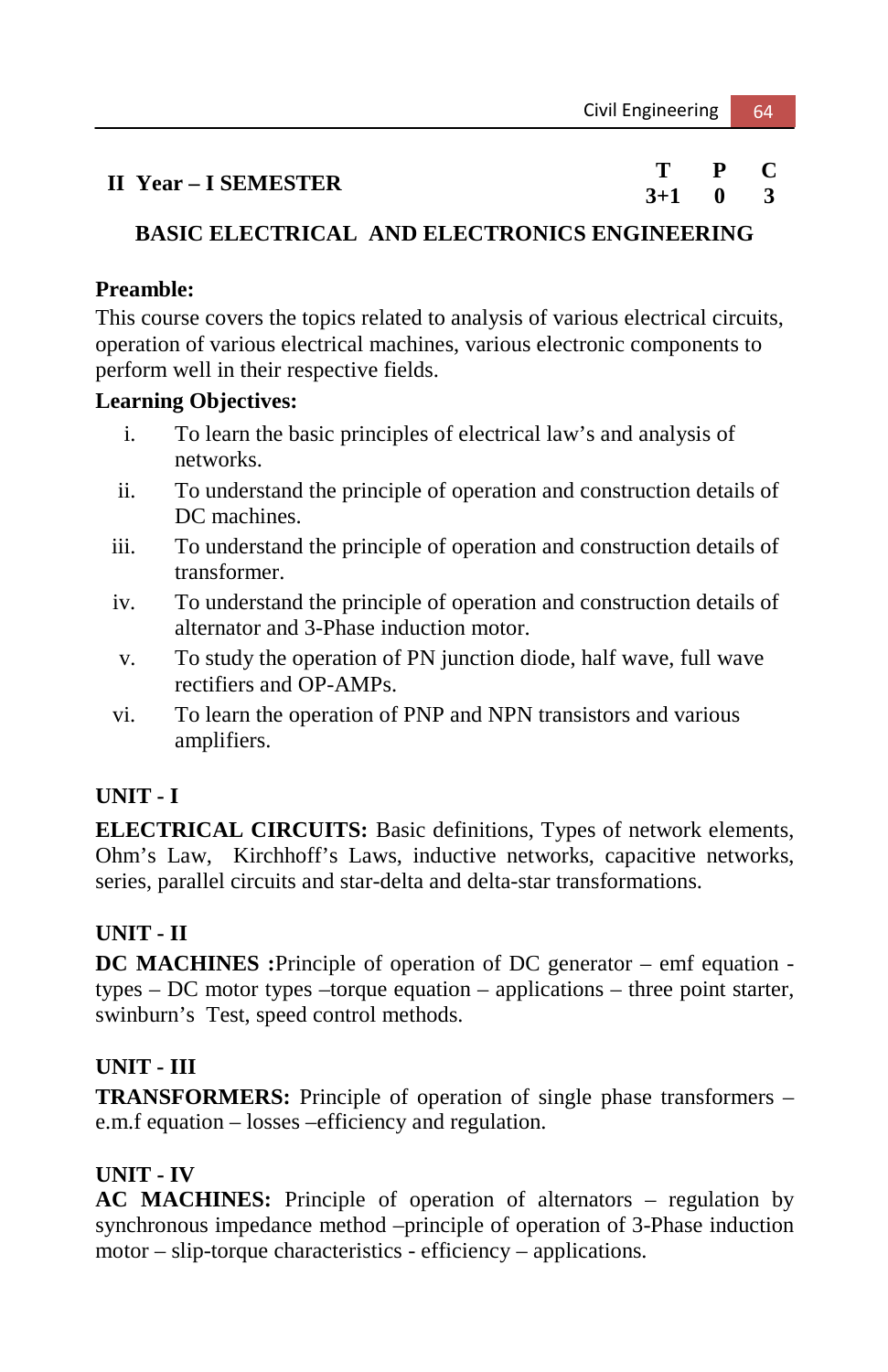| II Year - I SEMESTER |           |  |
|----------------------|-----------|--|
|                      | $3+1$ 0 3 |  |

## **BASIC ELECTRICAL AND ELECTRONICS ENGINEERING**

## **Preamble:**

This course covers the topics related to analysis of various electrical circuits, operation of various electrical machines, various electronic components to perform well in their respective fields.

# **Learning Objectives:**

- i. To learn the basic principles of electrical law's and analysis of networks.
- ii. To understand the principle of operation and construction details of DC machines.
- iii. To understand the principle of operation and construction details of transformer.
- iv. To understand the principle of operation and construction details of alternator and 3-Phase induction motor.
- v. To study the operation of PN junction diode, half wave, full wave rectifiers and OP-AMPs.
- vi. To learn the operation of PNP and NPN transistors and various amplifiers.

# **UNIT - I**

**ELECTRICAL CIRCUITS:** Basic definitions, Types of network elements, Ohm's Law, Kirchhoff's Laws, inductive networks, capacitive networks, series, parallel circuits and star-delta and delta-star transformations.

# **UNIT - II**

**DC MACHINES :**Principle of operation of DC generator – emf equation types – DC motor types –torque equation – applications – three point starter, swinburn's Test, speed control methods.

# **UNIT - III**

**TRANSFORMERS:** Principle of operation of single phase transformers – e.m.f equation – losses –efficiency and regulation.

# **UNIT - IV**

**AC MACHINES:** Principle of operation of alternators – regulation by synchronous impedance method –principle of operation of 3-Phase induction motor – slip-torque characteristics - efficiency – applications.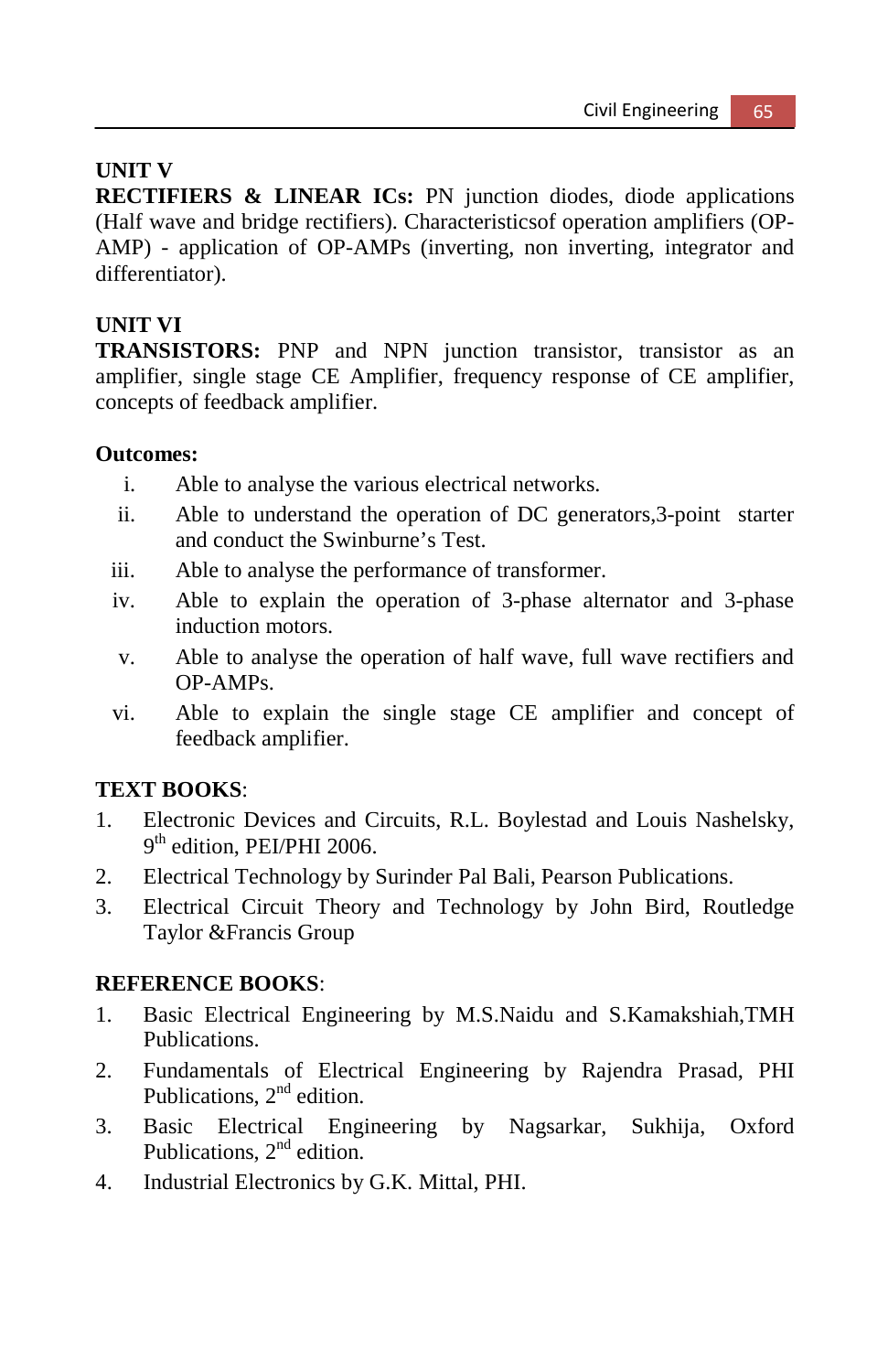## **UNIT V**

**RECTIFIERS & LINEAR ICs:** PN junction diodes, diode applications (Half wave and bridge rectifiers). Characteristicsof operation amplifiers (OP-AMP) - application of OP-AMPs (inverting, non inverting, integrator and differentiator).

## **UNIT VI**

**TRANSISTORS:** PNP and NPN junction transistor, transistor as an amplifier, single stage CE Amplifier, frequency response of CE amplifier, concepts of feedback amplifier.

#### **Outcomes:**

- i. Able to analyse the various electrical networks.
- ii. Able to understand the operation of DC generators,3-point starter and conduct the Swinburne's Test.
- iii. Able to analyse the performance of transformer.
- iv. Able to explain the operation of 3-phase alternator and 3-phase induction motors.
- v. Able to analyse the operation of half wave, full wave rectifiers and OP-AMPs.
- vi. Able to explain the single stage CE amplifier and concept of feedback amplifier.

## **TEXT BOOKS**:

- 1. Electronic Devices and Circuits, R.L. Boylestad and Louis Nashelsky,  $9<sup>th</sup>$  edition, PEI/PHI 2006.
- 2. Electrical Technology by Surinder Pal Bali, Pearson Publications.
- 3. Electrical Circuit Theory and Technology by John Bird, Routledge Taylor &Francis Group

#### **REFERENCE BOOKS**:

- 1. Basic Electrical Engineering by M.S.Naidu and S.Kamakshiah,TMH Publications.
- 2. Fundamentals of Electrical Engineering by Rajendra Prasad, PHI Publications,  $2<sup>nd</sup>$  edition.
- 3. Basic Electrical Engineering by Nagsarkar, Sukhija, Oxford Publications, 2<sup>nd</sup> edition.
- 4. Industrial Electronics by G.K. Mittal, PHI.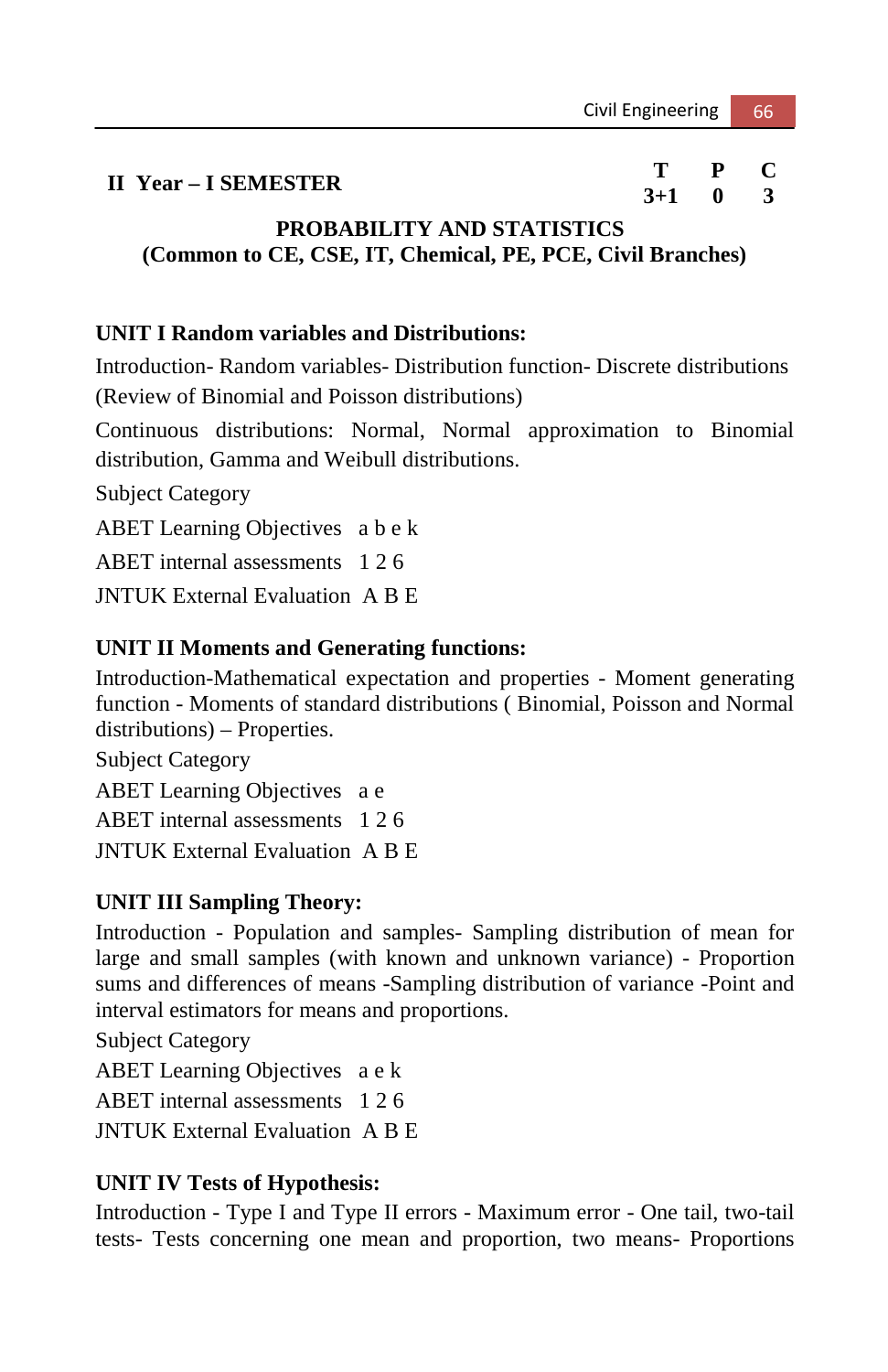# **II Year – I SEMESTER T P C**

# $3 + 1$

# **PROBABILITY AND STATISTICS (Common to CE, CSE, IT, Chemical, PE, PCE, Civil Branches)**

# **UNIT I Random variables and Distributions:**

Introduction- Random variables- Distribution function- Discrete distributions (Review of Binomial and Poisson distributions)

Continuous distributions: Normal, Normal approximation to Binomial distribution, Gamma and Weibull distributions.

Subject Category

ABET Learning Objectives a b e k

ABET internal assessments 1 2 6

JNTUK External Evaluation A B E

# **UNIT II Moments and Generating functions:**

Introduction-Mathematical expectation and properties - Moment generating function - Moments of standard distributions ( Binomial, Poisson and Normal distributions) – Properties.

Subject Category

ABET Learning Objectives a e

ABET internal assessments 1 2 6

JNTUK External Evaluation A B E

# **UNIT III Sampling Theory:**

Introduction - Population and samples- Sampling distribution of mean for large and small samples (with known and unknown variance) - Proportion sums and differences of means -Sampling distribution of variance -Point and interval estimators for means and proportions.

Subject Category

ABET Learning Objectives a e k

ABET internal assessments 1 2 6

JNTUK External Evaluation A B E

# **UNIT IV Tests of Hypothesis:**

Introduction - Type I and Type II errors - Maximum error - One tail, two-tail tests- Tests concerning one mean and proportion, two means- Proportions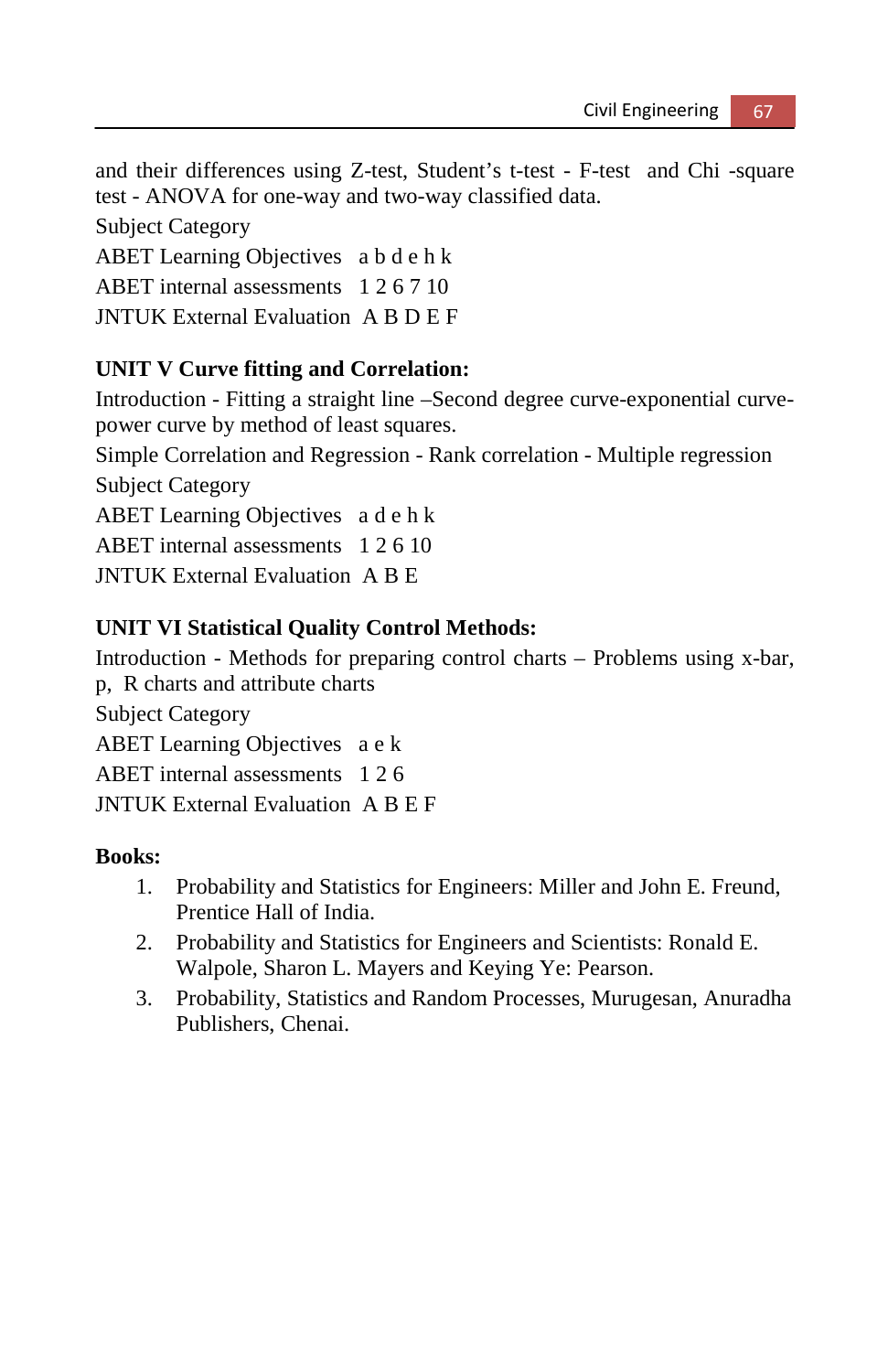and their differences using Z-test, Student's t-test - F-test and Chi -square test - ANOVA for one-way and two-way classified data.

Subject Category

ABET Learning Objectives a b d e h k

ABET internal assessments 1 2 6 7 10

JNTUK External Evaluation A B D E F

# **UNIT V Curve fitting and Correlation:**

Introduction - Fitting a straight line –Second degree curve-exponential curvepower curve by method of least squares.

Simple Correlation and Regression - Rank correlation - Multiple regression Subject Category

ABET Learning Objectives a d e h k

ABET internal assessments 1 2 6 10

JNTUK External Evaluation A B E

# **UNIT VI Statistical Quality Control Methods:**

Introduction - Methods for preparing control charts – Problems using x-bar, p, R charts and attribute charts

Subject Category

ABET Learning Objectives a e k

ABET internal assessments 1 2 6

JNTUK External Evaluation A B E F

## **Books:**

- 1. Probability and Statistics for Engineers: Miller and John E. Freund, Prentice Hall of India.
- 2. Probability and Statistics for Engineers and Scientists: Ronald E. Walpole, Sharon L. Mayers and Keying Ye: Pearson.
- 3. Probability, Statistics and Random Processes, Murugesan, Anuradha Publishers, Chenai.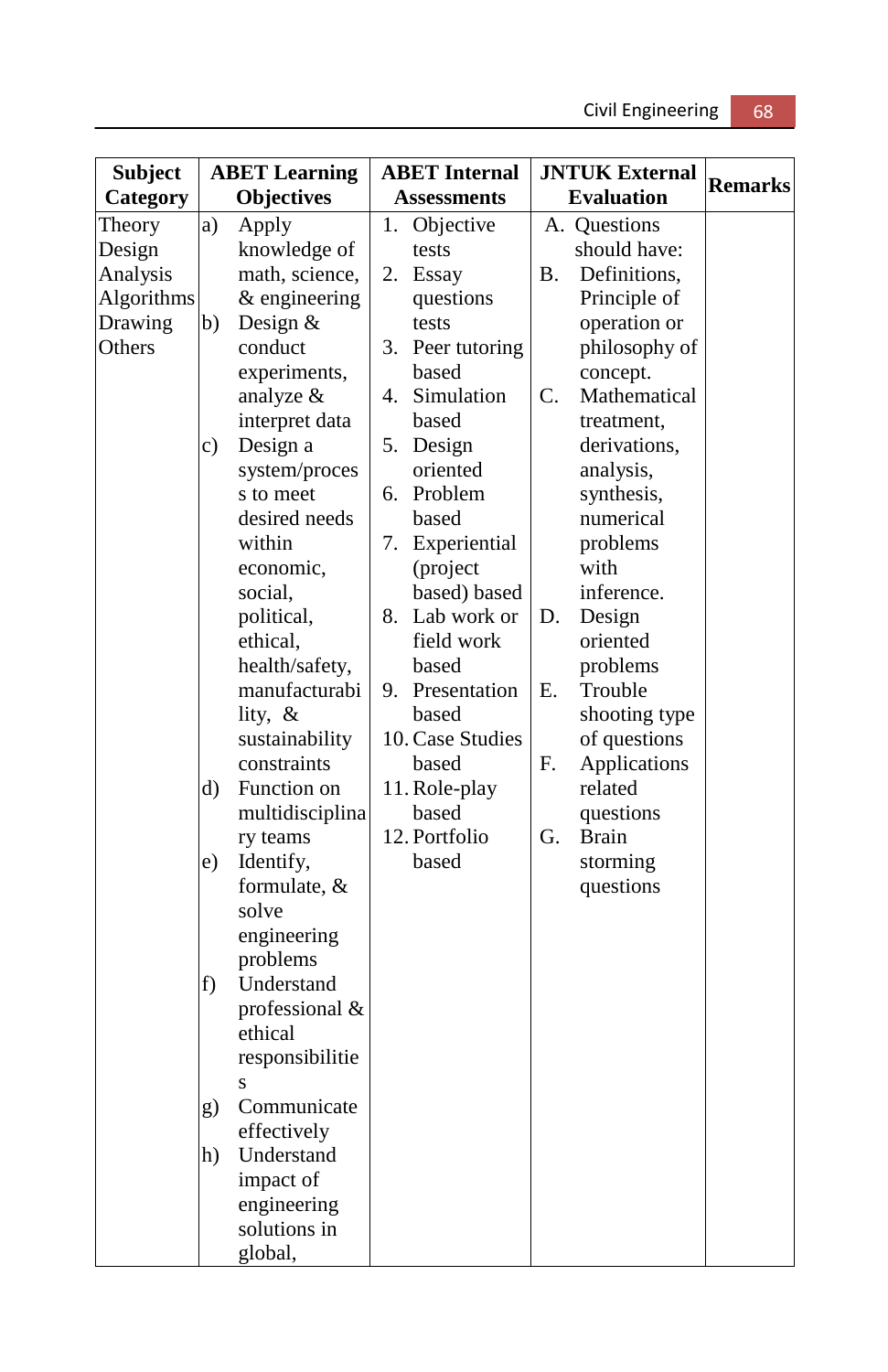| <b>Subject</b> |               | <b>ABET Learning</b> |    | <b>ABET</b> Internal |    | <b>JNTUK External</b> | <b>Remarks</b> |
|----------------|---------------|----------------------|----|----------------------|----|-----------------------|----------------|
| Category       |               | <b>Objectives</b>    |    | <b>Assessments</b>   |    | <b>Evaluation</b>     |                |
| Theory         | a)            | Apply                |    | 1. Objective         |    | A. Questions          |                |
| Design         |               | knowledge of         |    | tests                |    | should have:          |                |
| Analysis       |               | math, science,       |    | 2. Essay             | В. | Definitions,          |                |
| Algorithms     |               | & engineering        |    | questions            |    | Principle of          |                |
| Drawing        | b)            | Design $&$           |    | tests                |    | operation or          |                |
| Others         |               | conduct              |    | 3. Peer tutoring     |    | philosophy of         |                |
|                |               | experiments,         |    | based                |    | concept.              |                |
|                |               | analyze &            |    | 4. Simulation        | C. | Mathematical          |                |
|                |               | interpret data       |    | based                |    | treatment,            |                |
|                | $\mathbf{c})$ | Design a             |    | 5. Design            |    | derivations,          |                |
|                |               | system/proces        |    | oriented             |    | analysis,             |                |
|                |               | s to meet            |    | 6. Problem           |    | synthesis,            |                |
|                |               | desired needs        |    | based                |    | numerical             |                |
|                |               | within               | 7. | Experiential         |    | problems              |                |
|                |               | economic,            |    | (project             |    | with                  |                |
|                |               | social,              |    | based) based         |    | inference.            |                |
|                |               | political,           |    | 8. Lab work or       | D. | Design                |                |
|                |               | ethical,             |    | field work           |    | oriented              |                |
|                |               | health/safety,       |    | based                |    | problems              |                |
|                |               | manufacturabi        |    | 9. Presentation      | Ε. | Trouble               |                |
|                |               | lity, &              |    | based                |    | shooting type         |                |
|                |               | sustainability       |    | 10. Case Studies     |    | of questions          |                |
|                |               | constraints          |    | based                | F. | Applications          |                |
|                | $\rm (d)$     | Function on          |    | 11. Role-play        |    | related               |                |
|                |               | multidisciplina      |    | based                |    | questions             |                |
|                |               | ry teams             |    | 12. Portfolio        | G. | <b>Brain</b>          |                |
|                | e)            | Identify,            |    | based                |    | storming              |                |
|                |               | formulate, &         |    |                      |    | questions             |                |
|                |               | solve                |    |                      |    |                       |                |
|                |               | engineering          |    |                      |    |                       |                |
|                |               | problems             |    |                      |    |                       |                |
|                | f)            | Understand           |    |                      |    |                       |                |
|                |               | professional &       |    |                      |    |                       |                |
|                |               | ethical              |    |                      |    |                       |                |
|                |               | responsibilitie      |    |                      |    |                       |                |
|                |               | S                    |    |                      |    |                       |                |
|                | g)            | Communicate          |    |                      |    |                       |                |
|                |               | effectively          |    |                      |    |                       |                |
|                | h)            | Understand           |    |                      |    |                       |                |
|                |               | impact of            |    |                      |    |                       |                |
|                |               | engineering          |    |                      |    |                       |                |
|                |               | solutions in         |    |                      |    |                       |                |
|                |               | global,              |    |                      |    |                       |                |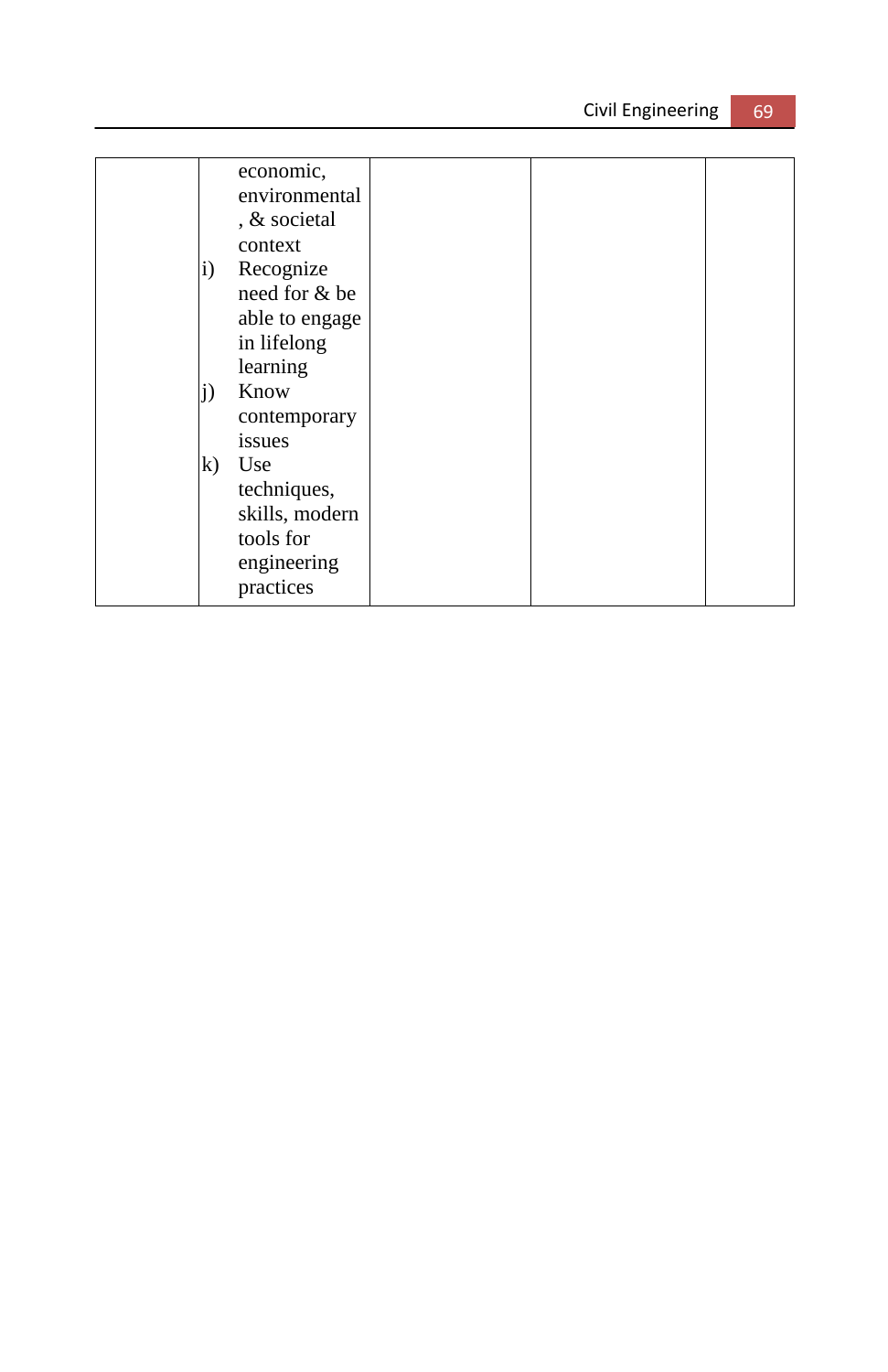| Civil Engineering | 69 |
|-------------------|----|
|-------------------|----|

|                   | economic,      |  |  |
|-------------------|----------------|--|--|
|                   | environmental  |  |  |
|                   | , & societal   |  |  |
|                   | context        |  |  |
| $\ddot{\text{i}}$ | Recognize      |  |  |
|                   | need for & be  |  |  |
|                   | able to engage |  |  |
|                   | in lifelong    |  |  |
|                   | learning       |  |  |
| j)                | Know           |  |  |
|                   | contemporary   |  |  |
|                   | issues         |  |  |
| k)                | Use            |  |  |
|                   | techniques,    |  |  |
|                   | skills, modern |  |  |
|                   | tools for      |  |  |
|                   | engineering    |  |  |
|                   | practices      |  |  |
|                   |                |  |  |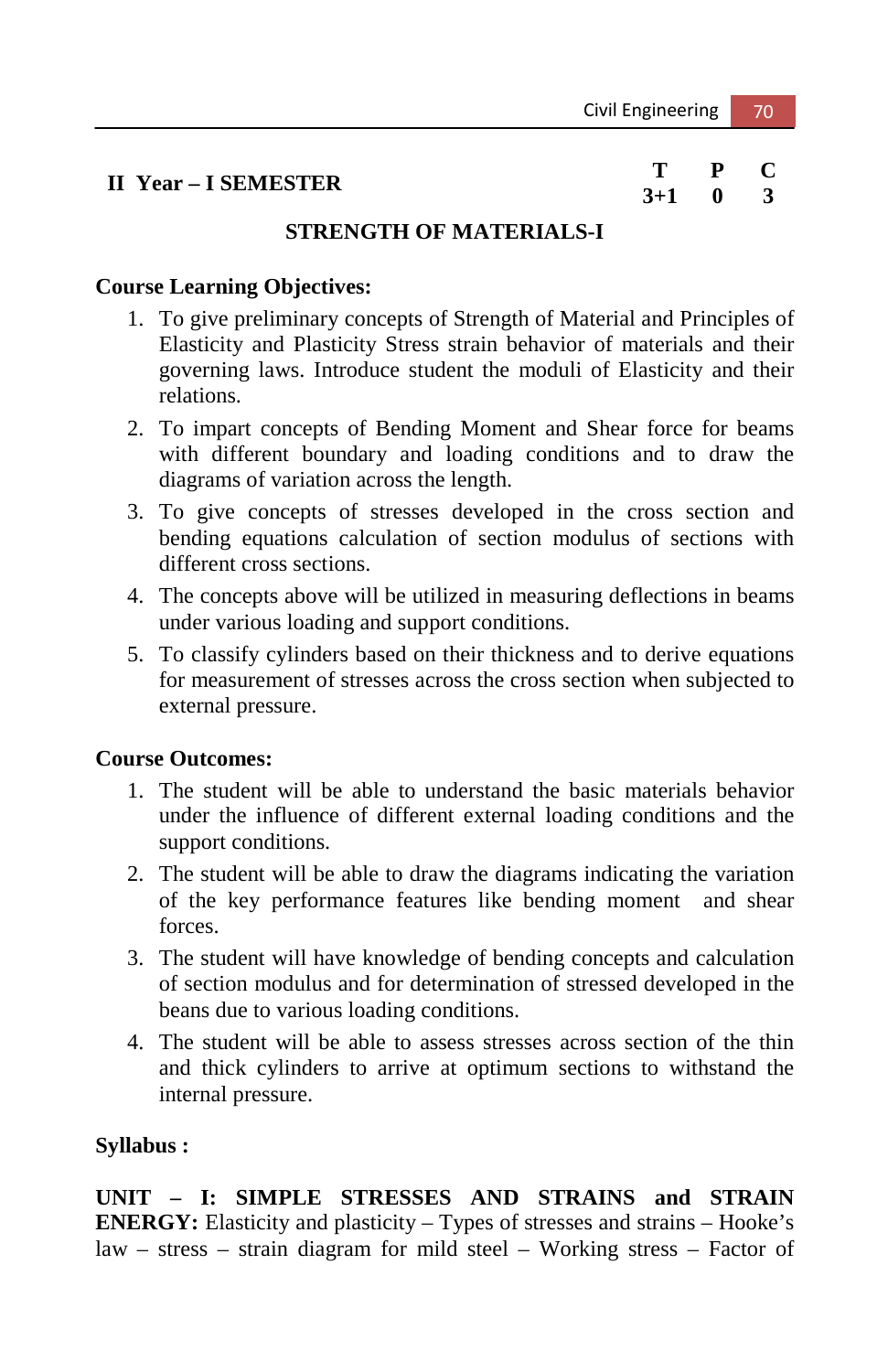# **II Year – I SEMESTER T P C**

 $3 + 1$ 

## **STRENGTH OF MATERIALS-I**

### **Course Learning Objectives:**

- 1. To give preliminary concepts of Strength of Material and Principles of Elasticity and Plasticity Stress strain behavior of materials and their governing laws. Introduce student the moduli of Elasticity and their relations.
- 2. To impart concepts of Bending Moment and Shear force for beams with different boundary and loading conditions and to draw the diagrams of variation across the length.
- 3. To give concepts of stresses developed in the cross section and bending equations calculation of section modulus of sections with different cross sections.
- 4. The concepts above will be utilized in measuring deflections in beams under various loading and support conditions.
- 5. To classify cylinders based on their thickness and to derive equations for measurement of stresses across the cross section when subjected to external pressure.

#### **Course Outcomes:**

- 1. The student will be able to understand the basic materials behavior under the influence of different external loading conditions and the support conditions.
- 2. The student will be able to draw the diagrams indicating the variation of the key performance features like bending moment and shear forces.
- 3. The student will have knowledge of bending concepts and calculation of section modulus and for determination of stressed developed in the beans due to various loading conditions.
- 4. The student will be able to assess stresses across section of the thin and thick cylinders to arrive at optimum sections to withstand the internal pressure.

## **Syllabus :**

**UNIT – I: SIMPLE STRESSES AND STRAINS and STRAIN ENERGY:** Elasticity and plasticity – Types of stresses and strains – Hooke's law – stress – strain diagram for mild steel – Working stress – Factor of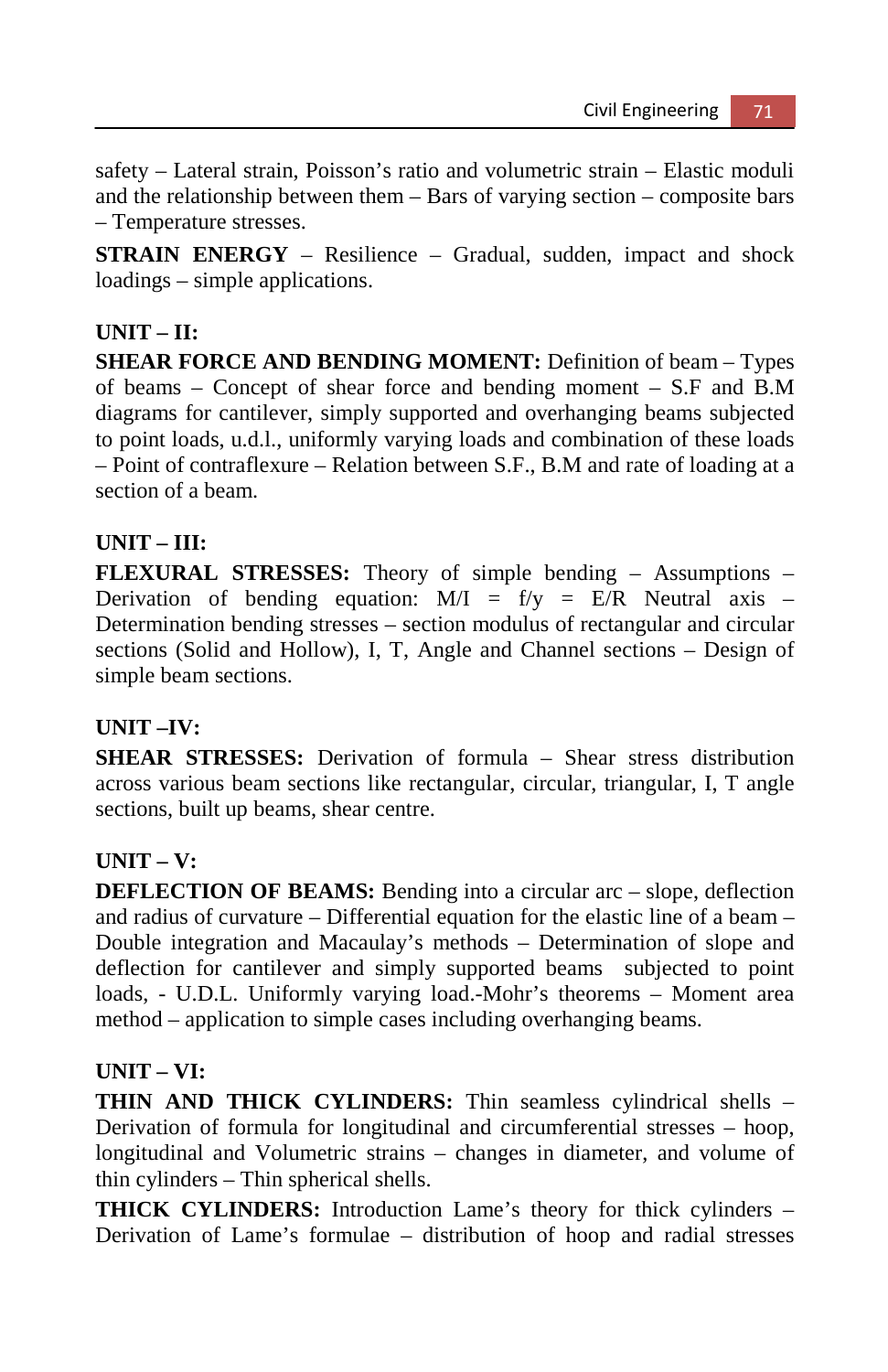safety – Lateral strain, Poisson's ratio and volumetric strain – Elastic moduli and the relationship between them – Bars of varying section – composite bars – Temperature stresses.

**STRAIN ENERGY** – Resilience – Gradual, sudden, impact and shock loadings – simple applications.

# **UNIT – II:**

**SHEAR FORCE AND BENDING MOMENT:** Definition of beam – Types of beams – Concept of shear force and bending moment – S.F and B.M diagrams for cantilever, simply supported and overhanging beams subjected to point loads, u.d.l., uniformly varying loads and combination of these loads – Point of contraflexure – Relation between S.F., B.M and rate of loading at a section of a beam.

# **UNIT – III:**

**FLEXURAL STRESSES:** Theory of simple bending – Assumptions – Derivation of bending equation:  $M/I = f/y = E/R$  Neutral axis – Determination bending stresses – section modulus of rectangular and circular sections (Solid and Hollow), I, T, Angle and Channel sections – Design of simple beam sections.

## **UNIT –IV:**

**SHEAR STRESSES:** Derivation of formula – Shear stress distribution across various beam sections like rectangular, circular, triangular, I, T angle sections, built up beams, shear centre.

# **UNIT – V:**

**DEFLECTION OF BEAMS:** Bending into a circular arc – slope, deflection and radius of curvature – Differential equation for the elastic line of a beam – Double integration and Macaulay's methods – Determination of slope and deflection for cantilever and simply supported beams subjected to point loads, - U.D.L. Uniformly varying load.-Mohr's theorems – Moment area method – application to simple cases including overhanging beams.

## **UNIT – VI:**

**THIN AND THICK CYLINDERS:** Thin seamless cylindrical shells – Derivation of formula for longitudinal and circumferential stresses – hoop, longitudinal and Volumetric strains – changes in diameter, and volume of thin cylinders – Thin spherical shells.

**THICK CYLINDERS:** Introduction Lame's theory for thick cylinders – Derivation of Lame's formulae – distribution of hoop and radial stresses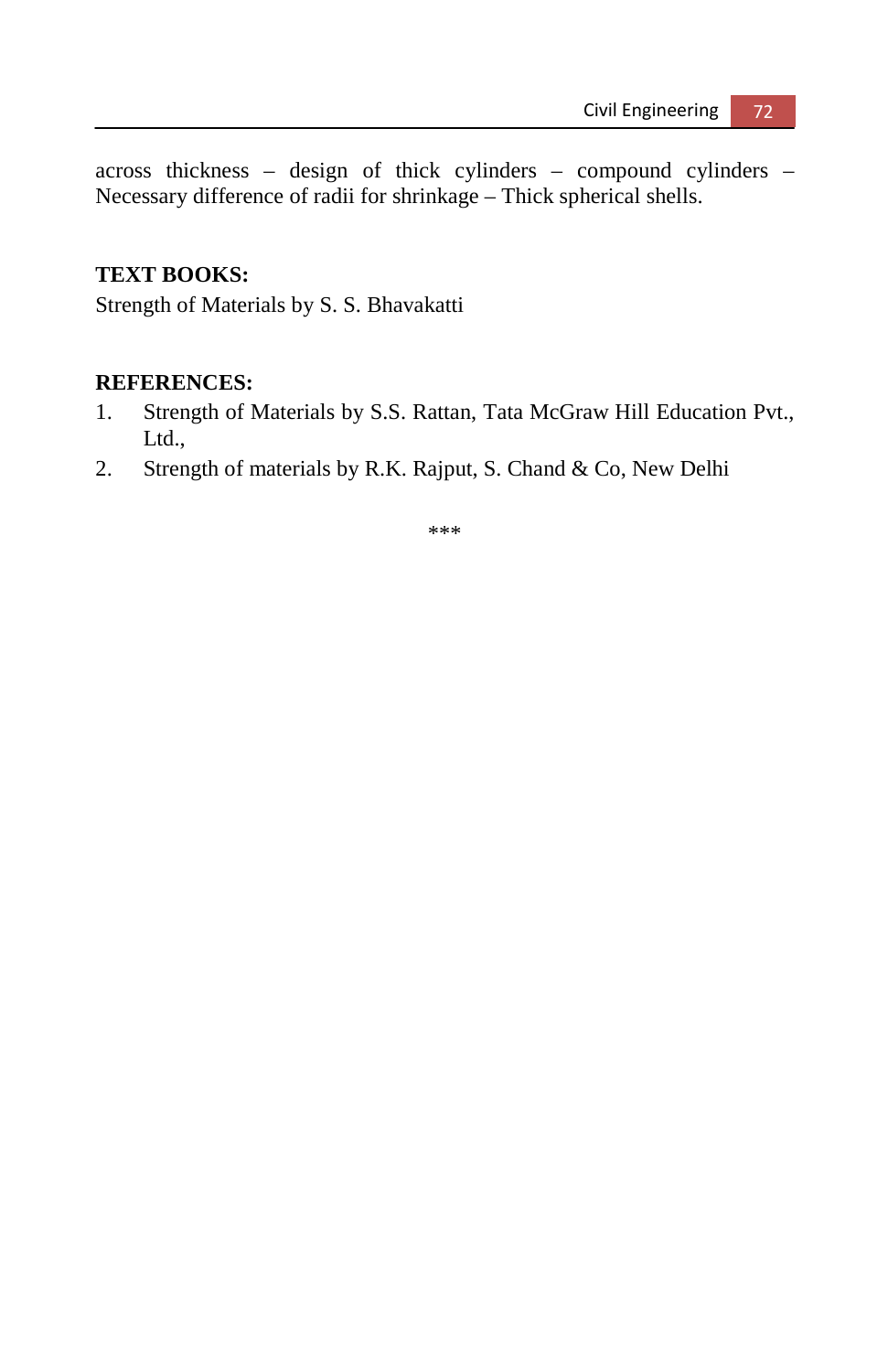across thickness – design of thick cylinders – compound cylinders – Necessary difference of radii for shrinkage – Thick spherical shells.

#### **TEXT BOOKS:**

Strength of Materials by S. S. Bhavakatti

## **REFERENCES:**

- 1. Strength of Materials by S.S. Rattan, Tata McGraw Hill Education Pvt., Ltd.,
- 2. Strength of materials by R.K. Rajput, S. Chand & Co, New Delhi

\*\*\*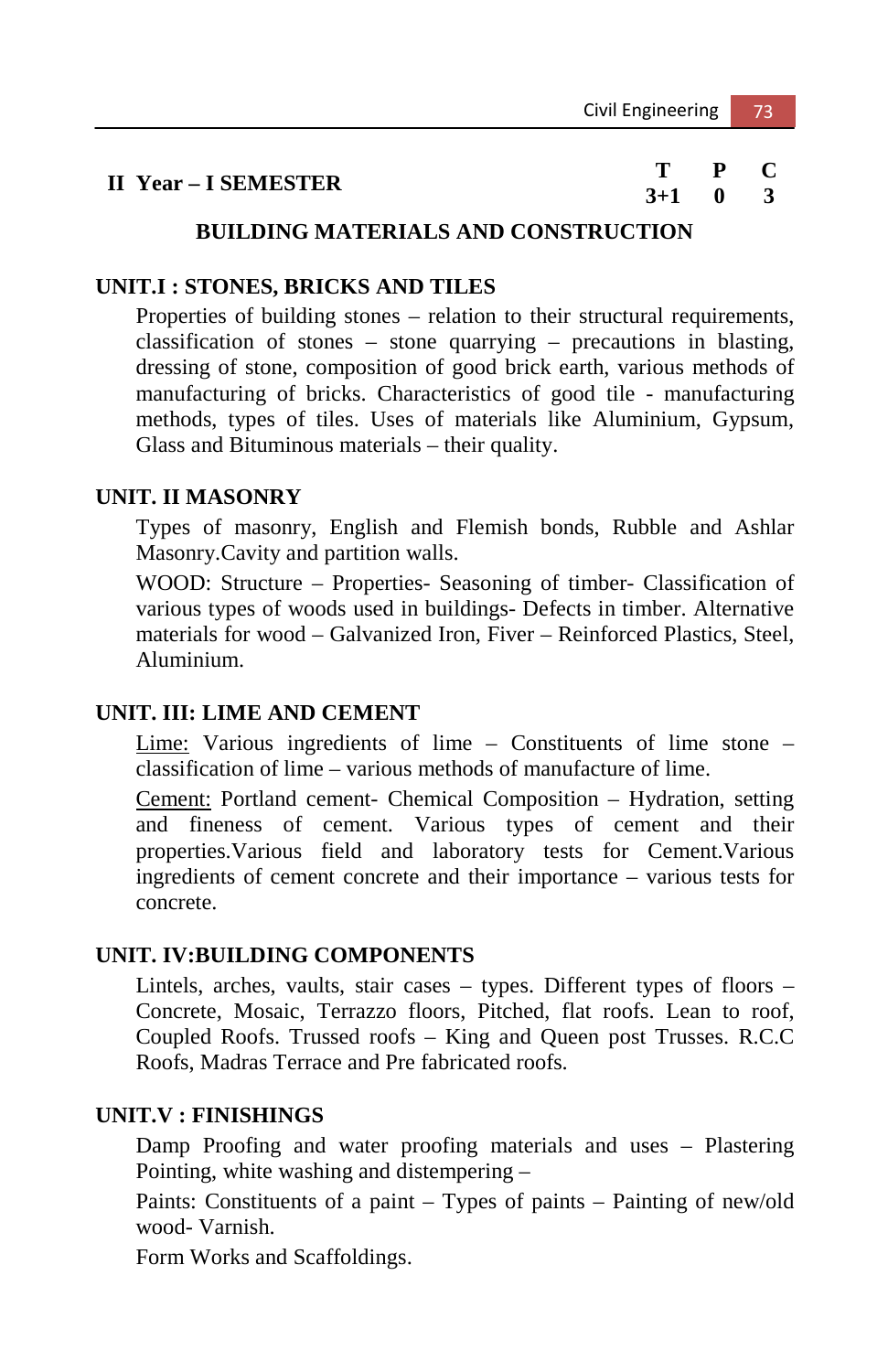|  | <b>II</b> Year – I SEMESTER |           |  |
|--|-----------------------------|-----------|--|
|  |                             | $3+1$ 0 3 |  |

#### **BUILDING MATERIALS AND CONSTRUCTION**

#### **UNIT.I : STONES, BRICKS AND TILES**

Properties of building stones – relation to their structural requirements, classification of stones – stone quarrying – precautions in blasting, dressing of stone, composition of good brick earth, various methods of manufacturing of bricks. Characteristics of good tile - manufacturing methods, types of tiles. Uses of materials like Aluminium, Gypsum, Glass and Bituminous materials – their quality.

#### **UNIT. II MASONRY**

Types of masonry, English and Flemish bonds, Rubble and Ashlar Masonry.Cavity and partition walls.

WOOD: Structure – Properties- Seasoning of timber- Classification of various types of woods used in buildings- Defects in timber. Alternative materials for wood – Galvanized Iron, Fiver – Reinforced Plastics, Steel, Aluminium.

#### **UNIT. III: LIME AND CEMENT**

Lime: Various ingredients of lime – Constituents of lime stone – classification of lime – various methods of manufacture of lime.

Cement: Portland cement- Chemical Composition – Hydration, setting and fineness of cement. Various types of cement and their properties.Various field and laboratory tests for Cement.Various ingredients of cement concrete and their importance – various tests for concrete.

#### **UNIT. IV:BUILDING COMPONENTS**

Lintels, arches, vaults, stair cases – types. Different types of floors – Concrete, Mosaic, Terrazzo floors, Pitched, flat roofs. Lean to roof, Coupled Roofs. Trussed roofs – King and Queen post Trusses. R.C.C Roofs, Madras Terrace and Pre fabricated roofs.

#### **UNIT.V : FINISHINGS**

Damp Proofing and water proofing materials and uses – Plastering Pointing, white washing and distempering –

Paints: Constituents of a paint – Types of paints – Painting of new/old wood- Varnish.

Form Works and Scaffoldings.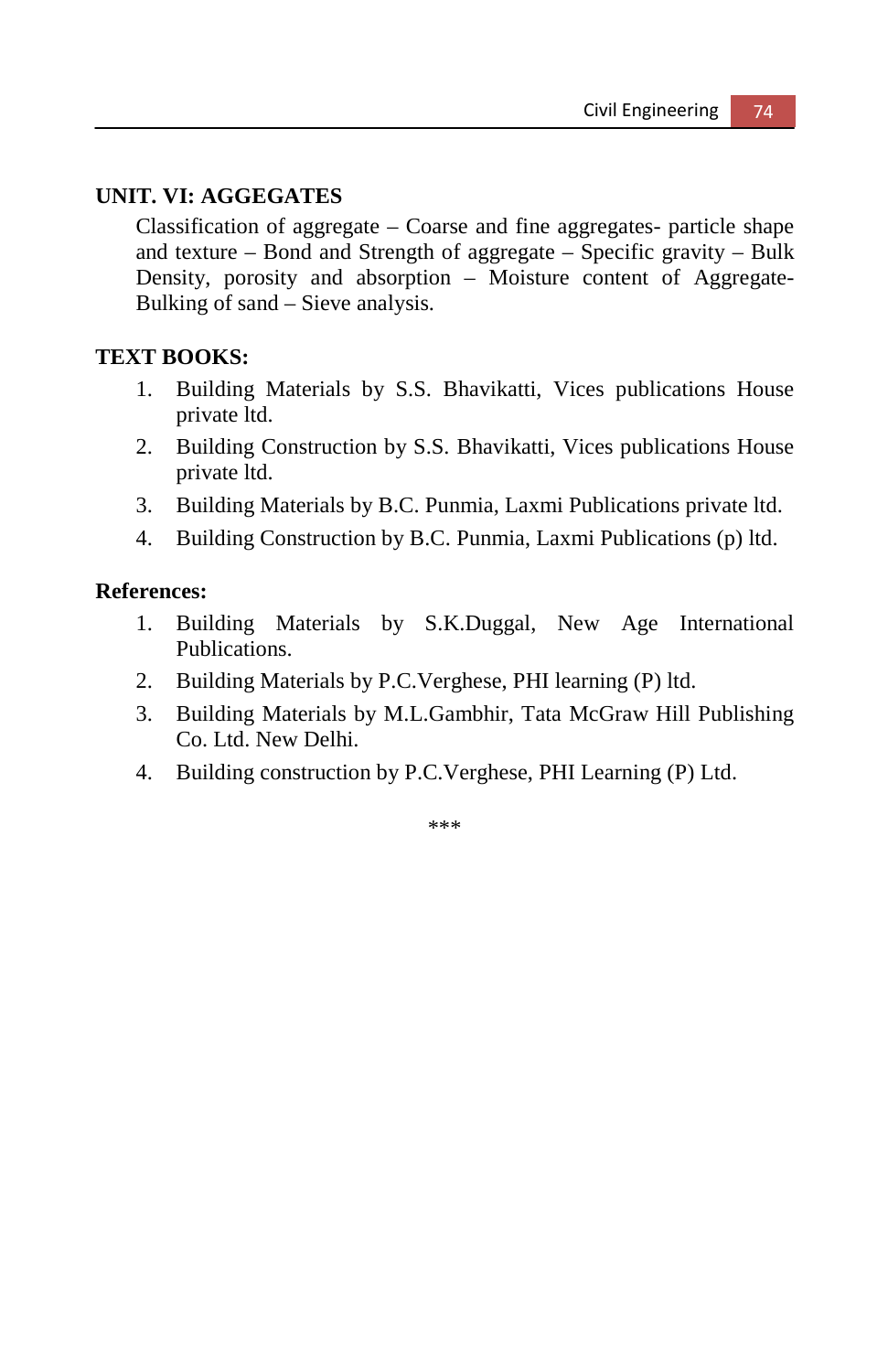## **UNIT. VI: AGGEGATES**

Classification of aggregate – Coarse and fine aggregates- particle shape and texture – Bond and Strength of aggregate – Specific gravity – Bulk Density, porosity and absorption – Moisture content of Aggregate-Bulking of sand – Sieve analysis.

#### **TEXT BOOKS:**

- 1. Building Materials by S.S. Bhavikatti, Vices publications House private ltd.
- 2. Building Construction by S.S. Bhavikatti, Vices publications House private ltd.
- 3. Building Materials by B.C. Punmia, Laxmi Publications private ltd.
- 4. Building Construction by B.C. Punmia, Laxmi Publications (p) ltd.

#### **References:**

- 1. Building Materials by S.K.Duggal, New Age International Publications.
- 2. Building Materials by P.C.Verghese, PHI learning (P) ltd.
- 3. Building Materials by M.L.Gambhir, Tata McGraw Hill Publishing Co. Ltd. New Delhi.
- 4. Building construction by P.C.Verghese, PHI Learning (P) Ltd.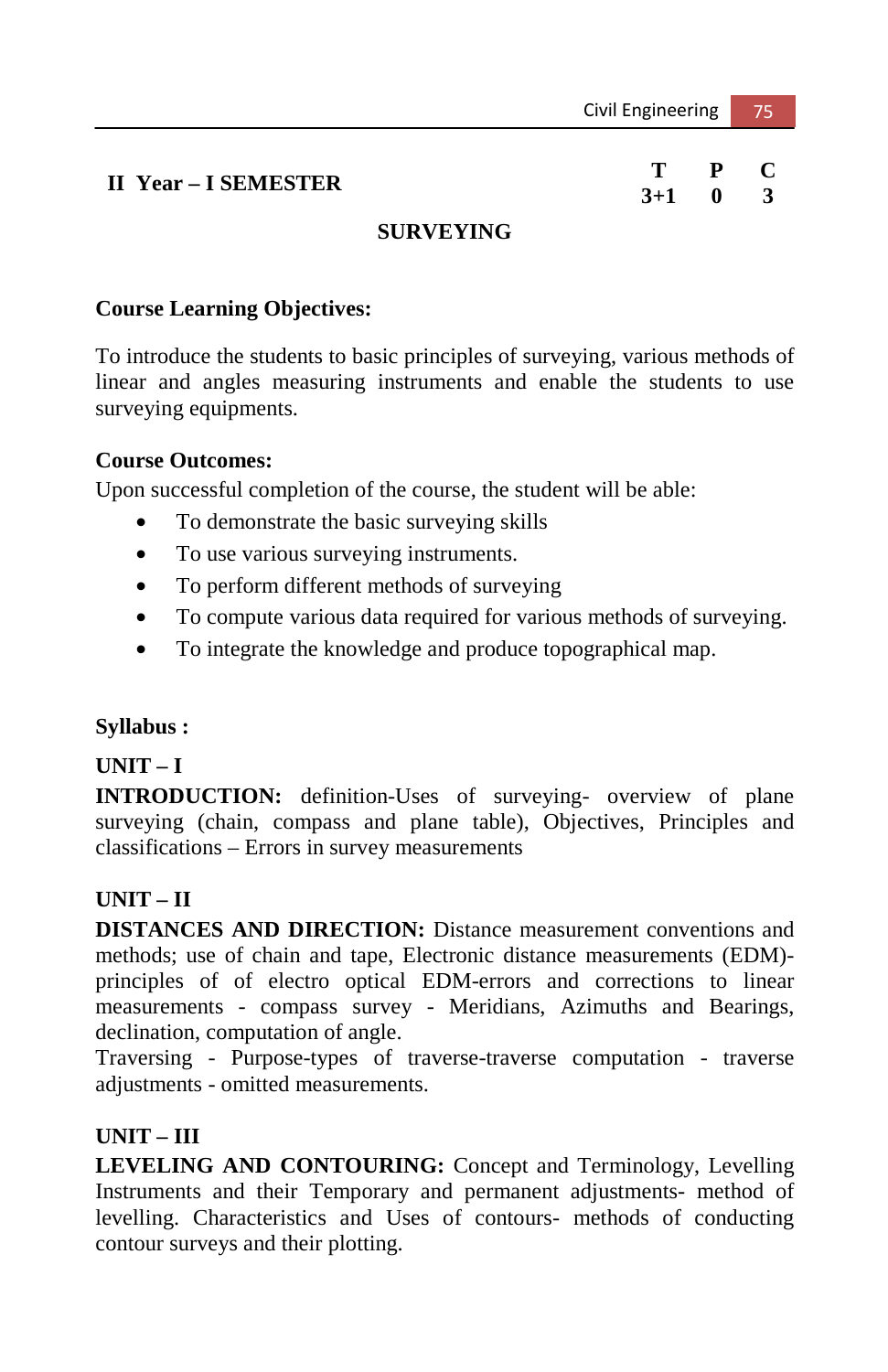|                      | Civil Engineering 75 |  |
|----------------------|----------------------|--|
| II Year - I SEMESTER | T P C<br>$3+1$ 0     |  |

#### **SURVEYING**

#### **Course Learning Objectives:**

To introduce the students to basic principles of surveying, various methods of linear and angles measuring instruments and enable the students to use surveying equipments.

#### **Course Outcomes:**

Upon successful completion of the course, the student will be able:

- To demonstrate the basic surveying skills
- To use various surveying instruments.
- To perform different methods of surveying
- To compute various data required for various methods of surveying.
- To integrate the knowledge and produce topographical map.

#### **Syllabus :**

### **UNIT – I**

**INTRODUCTION:** definition-Uses of surveying- overview of plane surveying (chain, compass and plane table), Objectives, Principles and classifications – Errors in survey measurements

### **UNIT – II**

**DISTANCES AND DIRECTION:** Distance measurement conventions and methods; use of chain and tape, Electronic distance measurements (EDM) principles of of electro optical EDM-errors and corrections to linear measurements - compass survey - Meridians, Azimuths and Bearings, declination, computation of angle.

Traversing - Purpose-types of traverse-traverse computation - traverse adjustments - omitted measurements.

## **UNIT – III**

**LEVELING AND CONTOURING:** Concept and Terminology, Levelling Instruments and their Temporary and permanent adjustments- method of levelling. Characteristics and Uses of contours- methods of conducting contour surveys and their plotting.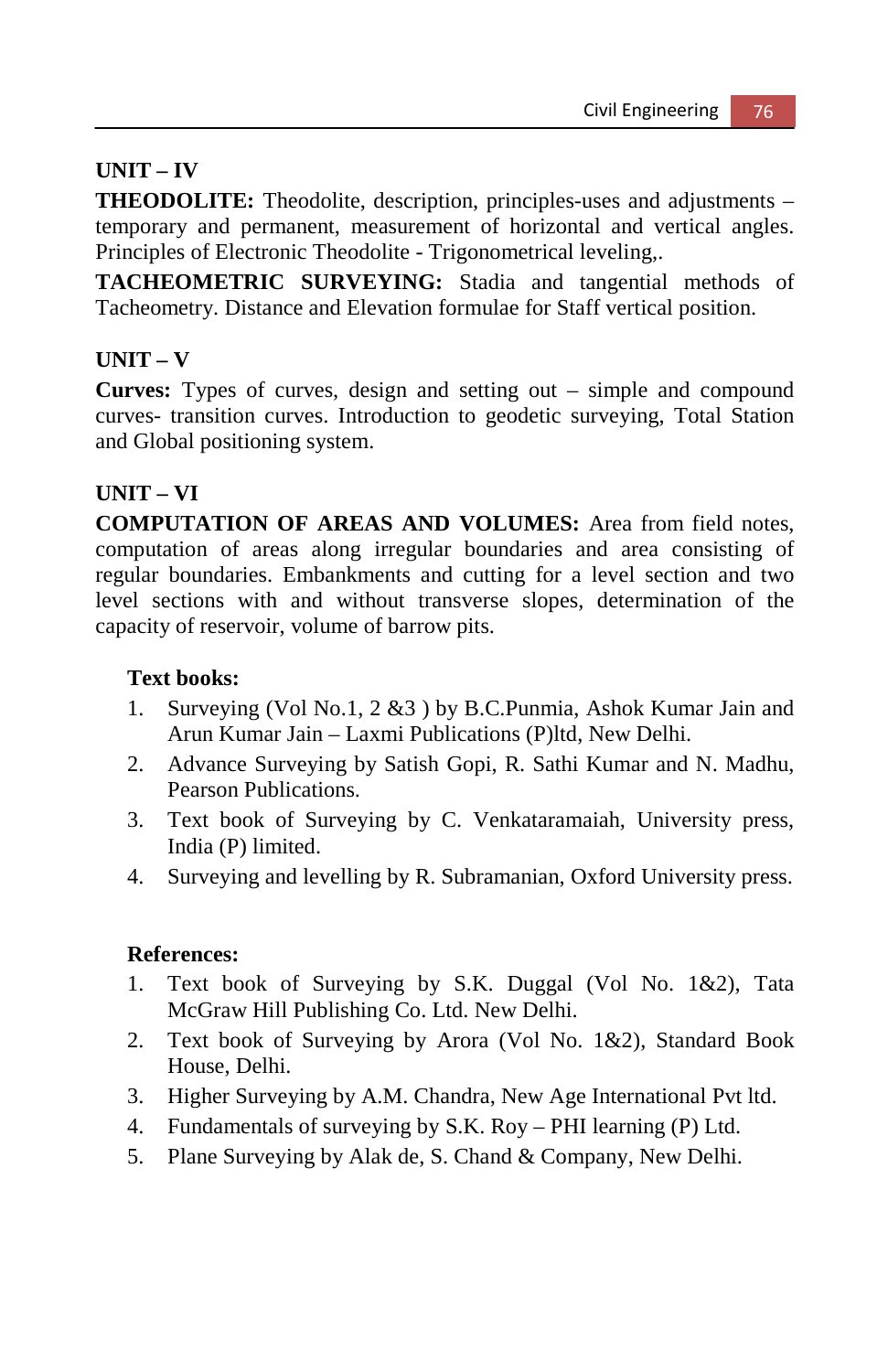## **UNIT – IV**

**THEODOLITE:** Theodolite, description, principles-uses and adjustments – temporary and permanent, measurement of horizontal and vertical angles. Principles of Electronic Theodolite - Trigonometrical leveling,.

**TACHEOMETRIC SURVEYING:** Stadia and tangential methods of Tacheometry. Distance and Elevation formulae for Staff vertical position.

## **UNIT – V**

**Curves:** Types of curves, design and setting out – simple and compound curves- transition curves. Introduction to geodetic surveying, Total Station and Global positioning system.

## **UNIT – VI**

**COMPUTATION OF AREAS AND VOLUMES:** Area from field notes, computation of areas along irregular boundaries and area consisting of regular boundaries. Embankments and cutting for a level section and two level sections with and without transverse slopes, determination of the capacity of reservoir, volume of barrow pits.

## **Text books:**

- 1. Surveying (Vol No.1, 2 &3 ) by B.C.Punmia, Ashok Kumar Jain and Arun Kumar Jain – Laxmi Publications (P)ltd, New Delhi.
- 2. Advance Surveying by Satish Gopi, R. Sathi Kumar and N. Madhu, Pearson Publications.
- 3. Text book of Surveying by C. Venkataramaiah, University press, India (P) limited.
- 4. Surveying and levelling by R. Subramanian, Oxford University press.

### **References:**

- 1. Text book of Surveying by S.K. Duggal (Vol No. 1&2), Tata McGraw Hill Publishing Co. Ltd. New Delhi.
- 2. Text book of Surveying by Arora (Vol No. 1&2), Standard Book House, Delhi.
- 3. Higher Surveying by A.M. Chandra, New Age International Pvt ltd.
- 4. Fundamentals of surveying by S.K. Roy PHI learning (P) Ltd.
- 5. Plane Surveying by Alak de, S. Chand & Company, New Delhi.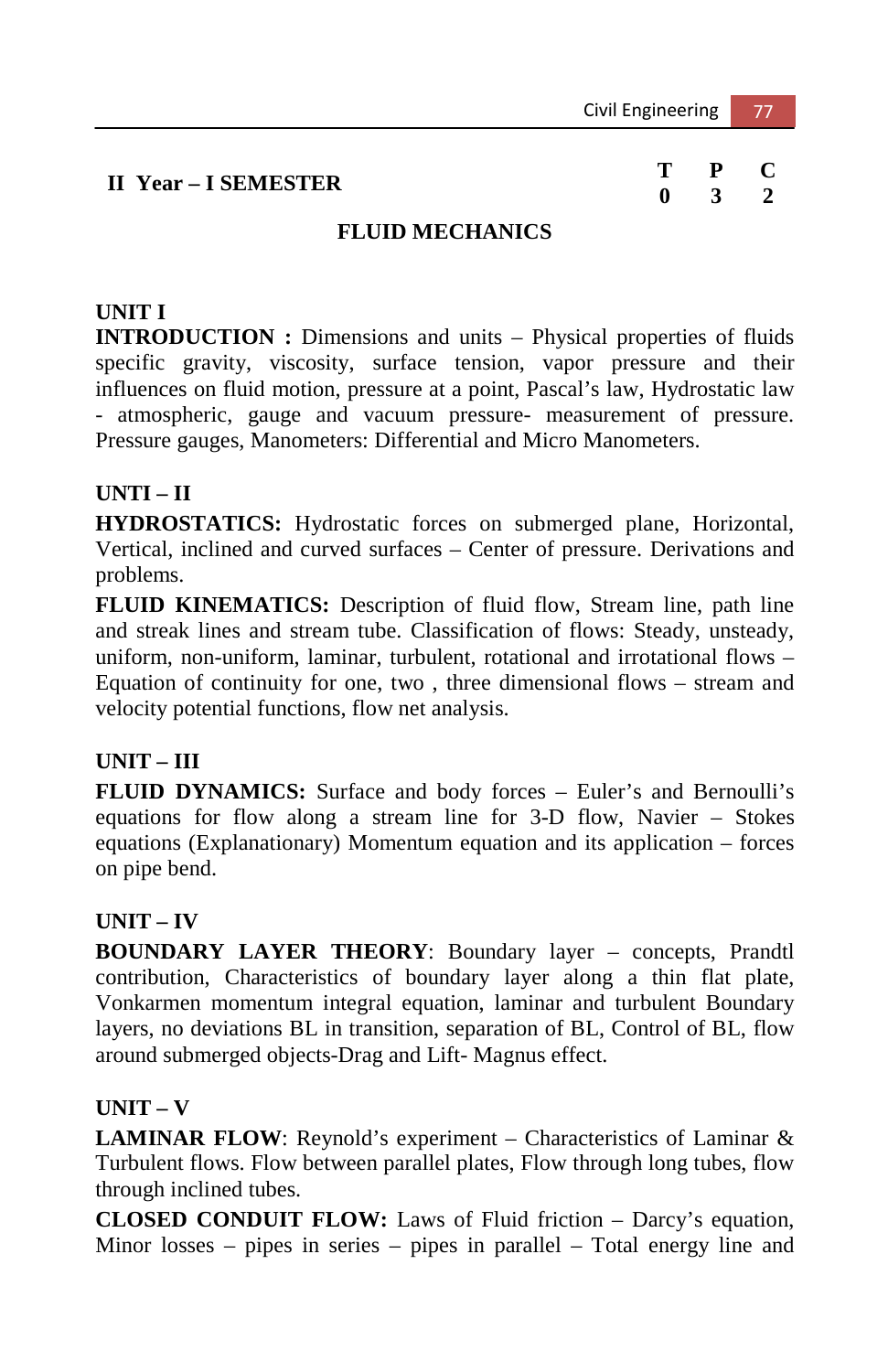# **II** Year – I SEMESTER  $\begin{array}{ccc} T & P & C \\ 0 & 3 & 2 \end{array}$

# **0 3 2**

#### **FLUID MECHANICS**

## **UNIT I**

**INTRODUCTION :** Dimensions and units – Physical properties of fluids specific gravity, viscosity, surface tension, vapor pressure and their influences on fluid motion, pressure at a point, Pascal's law, Hydrostatic law - atmospheric, gauge and vacuum pressure- measurement of pressure. Pressure gauges, Manometers: Differential and Micro Manometers.

### **UNTI – II**

**HYDROSTATICS:** Hydrostatic forces on submerged plane, Horizontal, Vertical, inclined and curved surfaces – Center of pressure. Derivations and problems.

**FLUID KINEMATICS:** Description of fluid flow, Stream line, path line and streak lines and stream tube. Classification of flows: Steady, unsteady, uniform, non-uniform, laminar, turbulent, rotational and irrotational flows – Equation of continuity for one, two , three dimensional flows – stream and velocity potential functions, flow net analysis.

### **UNIT – III**

**FLUID DYNAMICS:** Surface and body forces – Euler's and Bernoulli's equations for flow along a stream line for 3-D flow, Navier – Stokes equations (Explanationary) Momentum equation and its application – forces on pipe bend.

### **UNIT – IV**

**BOUNDARY LAYER THEORY**: Boundary layer – concepts, Prandtl contribution, Characteristics of boundary layer along a thin flat plate, Vonkarmen momentum integral equation, laminar and turbulent Boundary layers, no deviations BL in transition, separation of BL, Control of BL, flow around submerged objects-Drag and Lift- Magnus effect.

## **UNIT – V**

**LAMINAR FLOW**: Reynold's experiment – Characteristics of Laminar & Turbulent flows. Flow between parallel plates, Flow through long tubes, flow through inclined tubes.

**CLOSED CONDUIT FLOW:** Laws of Fluid friction – Darcy's equation, Minor losses – pipes in series – pipes in parallel – Total energy line and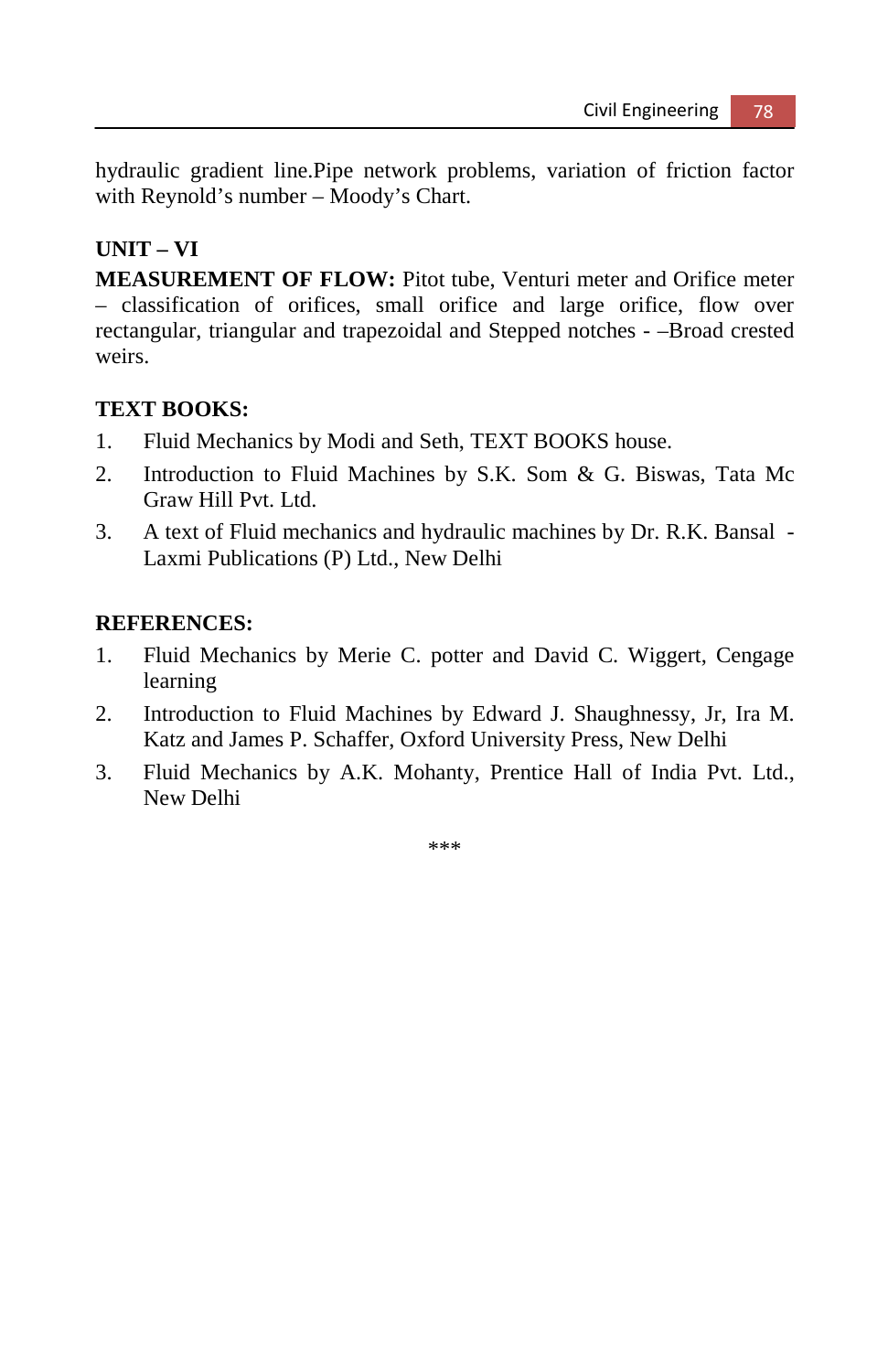hydraulic gradient line.Pipe network problems, variation of friction factor with Reynold's number – Moody's Chart.

## **UNIT – VI**

**MEASUREMENT OF FLOW:** Pitot tube, Venturi meter and Orifice meter – classification of orifices, small orifice and large orifice, flow over rectangular, triangular and trapezoidal and Stepped notches - –Broad crested weirs.

#### **TEXT BOOKS:**

- 1. Fluid Mechanics by Modi and Seth, TEXT BOOKS house.
- 2. Introduction to Fluid Machines by S.K. Som & G. Biswas, Tata Mc Graw Hill Pvt. Ltd.
- 3. A text of Fluid mechanics and hydraulic machines by Dr. R.K. Bansal Laxmi Publications (P) Ltd., New Delhi

### **REFERENCES:**

- 1. Fluid Mechanics by Merie C. potter and David C. Wiggert, Cengage learning
- 2. Introduction to Fluid Machines by Edward J. Shaughnessy, Jr, Ira M. Katz and James P. Schaffer, Oxford University Press, New Delhi
- 3. Fluid Mechanics by A.K. Mohanty, Prentice Hall of India Pvt. Ltd., New Delhi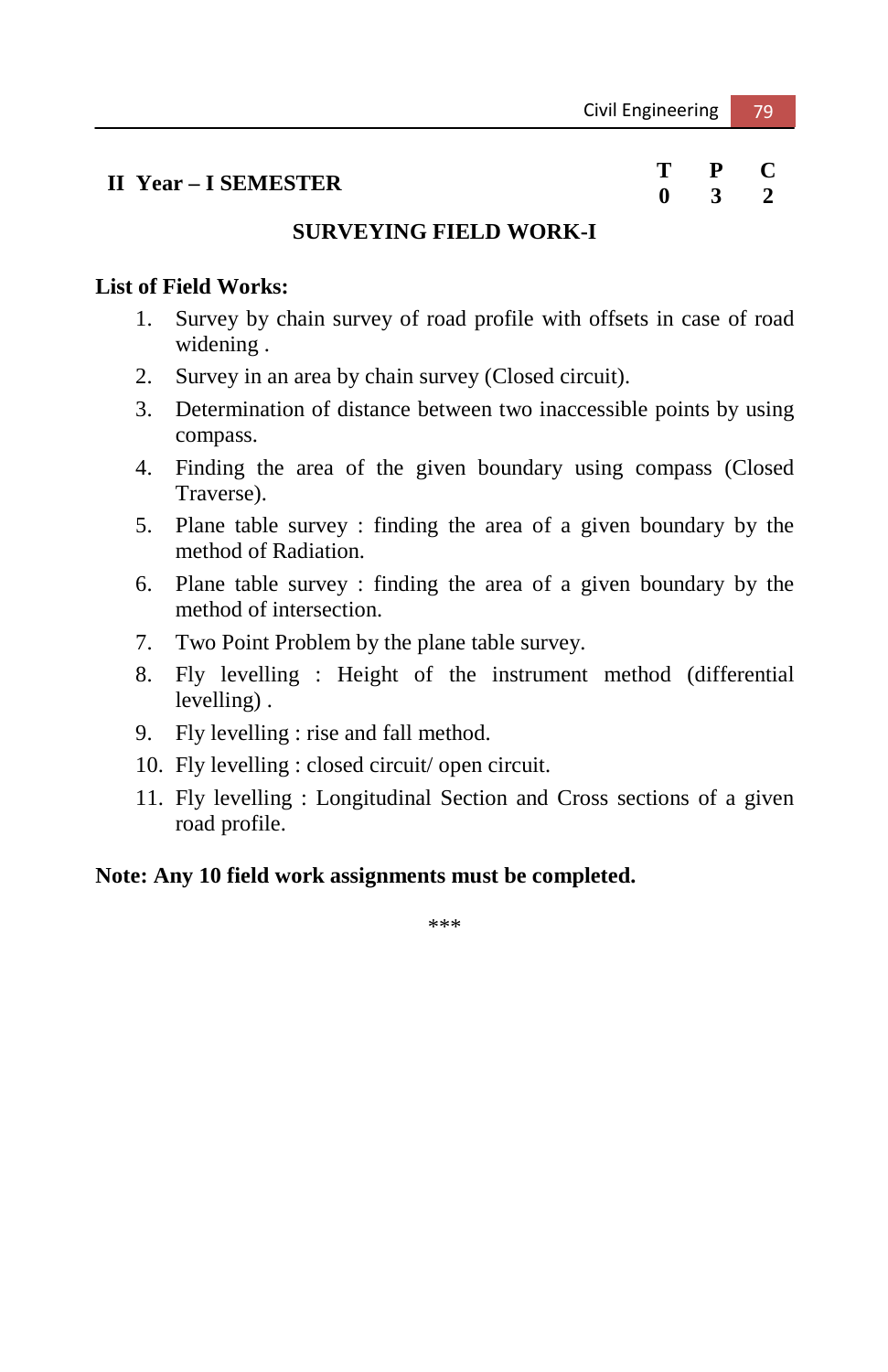# **II Year – I SEMESTER T P C**

# **0 3 2**

#### **SURVEYING FIELD WORK-I**

#### **List of Field Works:**

- 1. Survey by chain survey of road profile with offsets in case of road widening .
- 2. Survey in an area by chain survey (Closed circuit).
- 3. Determination of distance between two inaccessible points by using compass.
- 4. Finding the area of the given boundary using compass (Closed Traverse).
- 5. Plane table survey : finding the area of a given boundary by the method of Radiation.
- 6. Plane table survey : finding the area of a given boundary by the method of intersection.
- 7. Two Point Problem by the plane table survey.
- 8. Fly levelling : Height of the instrument method (differential levelling) .
- 9. Fly levelling : rise and fall method.
- 10. Fly levelling : closed circuit/ open circuit.
- 11. Fly levelling : Longitudinal Section and Cross sections of a given road profile.

#### **Note: Any 10 field work assignments must be completed.**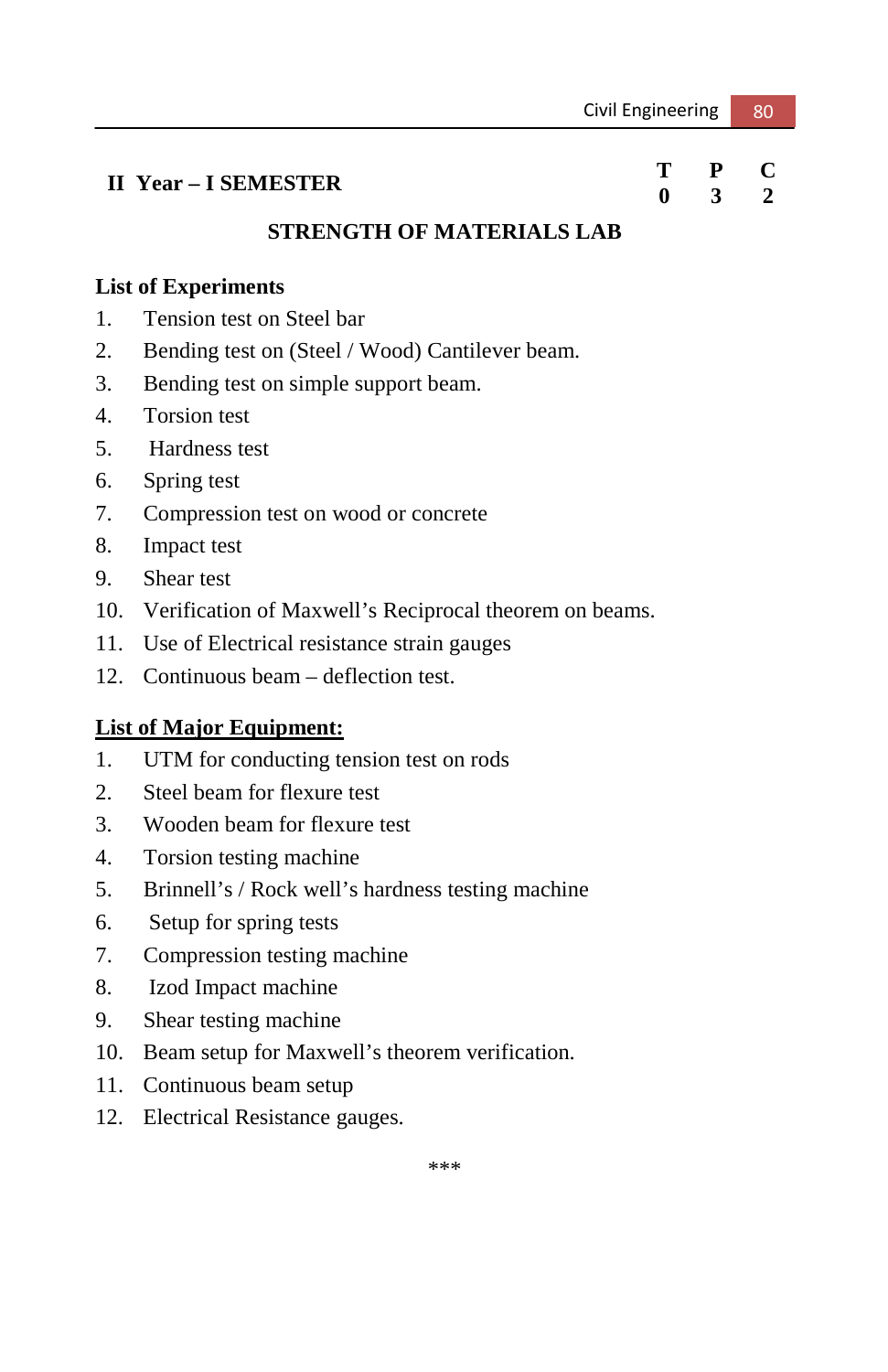# **II Year – I SEMESTER T P C**

# **3**

## **STRENGTH OF MATERIALS LAB**

#### **List of Experiments**

- 1. Tension test on Steel bar
- 2. Bending test on (Steel / Wood) Cantilever beam.
- 3. Bending test on simple support beam.
- 4. Torsion test
- 5. Hardness test
- 6. Spring test
- 7. Compression test on wood or concrete
- 8. Impact test
- 9. Shear test
- 10. Verification of Maxwell's Reciprocal theorem on beams.
- 11. Use of Electrical resistance strain gauges
- 12. Continuous beam deflection test.

#### **List of Major Equipment:**

- 1. UTM for conducting tension test on rods
- 2. Steel beam for flexure test
- 3. Wooden beam for flexure test
- 4. Torsion testing machine
- 5. Brinnell's / Rock well's hardness testing machine
- 6. Setup for spring tests
- 7. Compression testing machine
- 8. Izod Impact machine
- 9. Shear testing machine
- 10. Beam setup for Maxwell's theorem verification.
- 11. Continuous beam setup
- 12. Electrical Resistance gauges.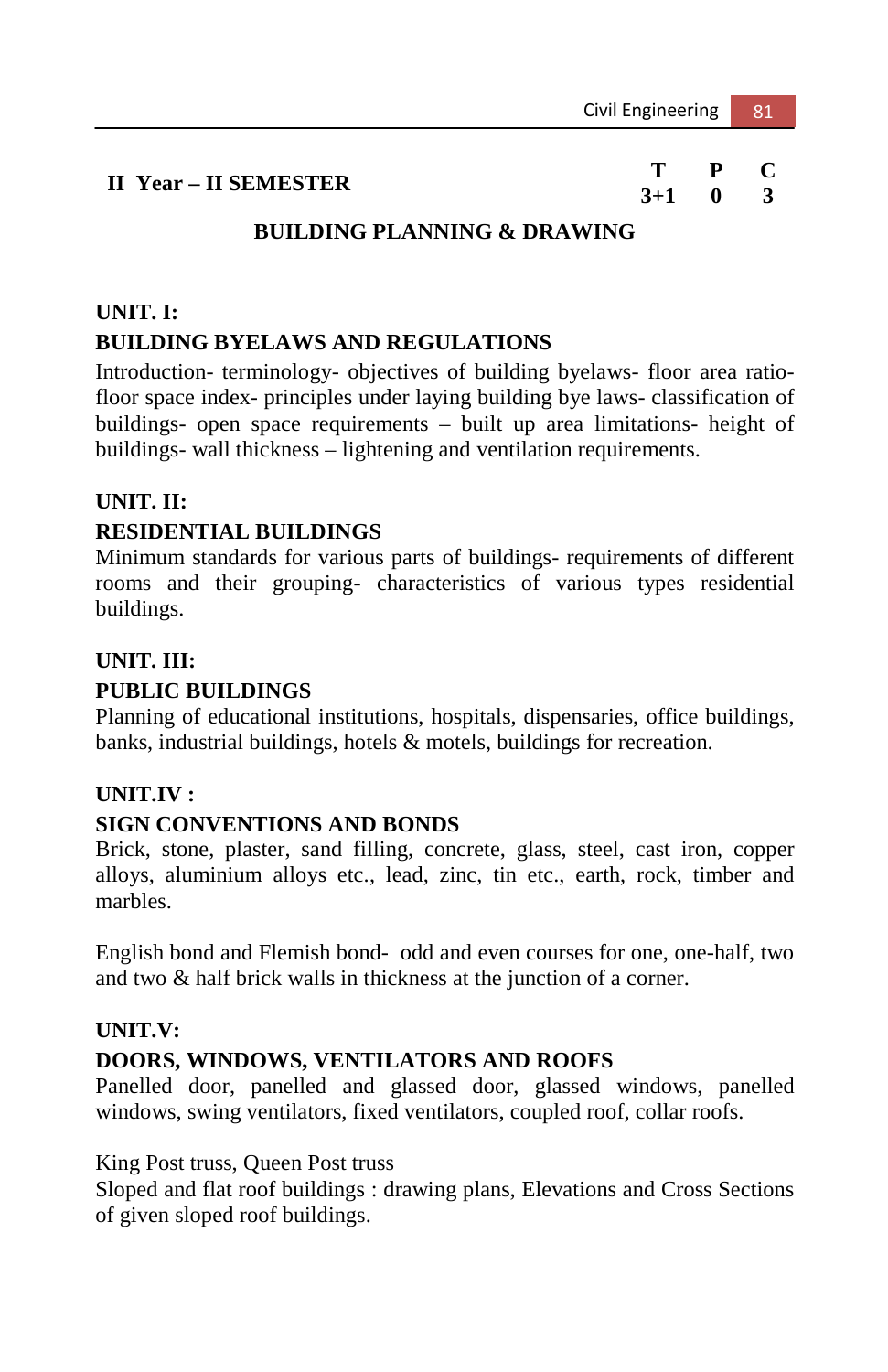# **II** Year – **II** SEMESTER **T** P C  $\begin{array}{ccc} 3+1 & 0 & 3 \end{array}$

 $3 + 1$ 

## **BUILDING PLANNING & DRAWING**

## **UNIT. I: BUILDING BYELAWS AND REGULATIONS**

Introduction- terminology- objectives of building byelaws- floor area ratiofloor space index- principles under laying building bye laws- classification of buildings- open space requirements – built up area limitations- height of buildings- wall thickness – lightening and ventilation requirements.

### **UNIT. II:**

#### **RESIDENTIAL BUILDINGS**

Minimum standards for various parts of buildings- requirements of different rooms and their grouping- characteristics of various types residential buildings.

### **UNIT. III:**

### **PUBLIC BUILDINGS**

Planning of educational institutions, hospitals, dispensaries, office buildings, banks, industrial buildings, hotels & motels, buildings for recreation.

### **UNIT.IV :**

#### **SIGN CONVENTIONS AND BONDS**

Brick, stone, plaster, sand filling, concrete, glass, steel, cast iron, copper alloys, aluminium alloys etc., lead, zinc, tin etc., earth, rock, timber and marbles.

English bond and Flemish bond- odd and even courses for one, one-half, two and two & half brick walls in thickness at the junction of a corner.

#### **UNIT.V:**

### **DOORS, WINDOWS, VENTILATORS AND ROOFS**

Panelled door, panelled and glassed door, glassed windows, panelled windows, swing ventilators, fixed ventilators, coupled roof, collar roofs.

#### King Post truss, Queen Post truss

Sloped and flat roof buildings : drawing plans, Elevations and Cross Sections of given sloped roof buildings.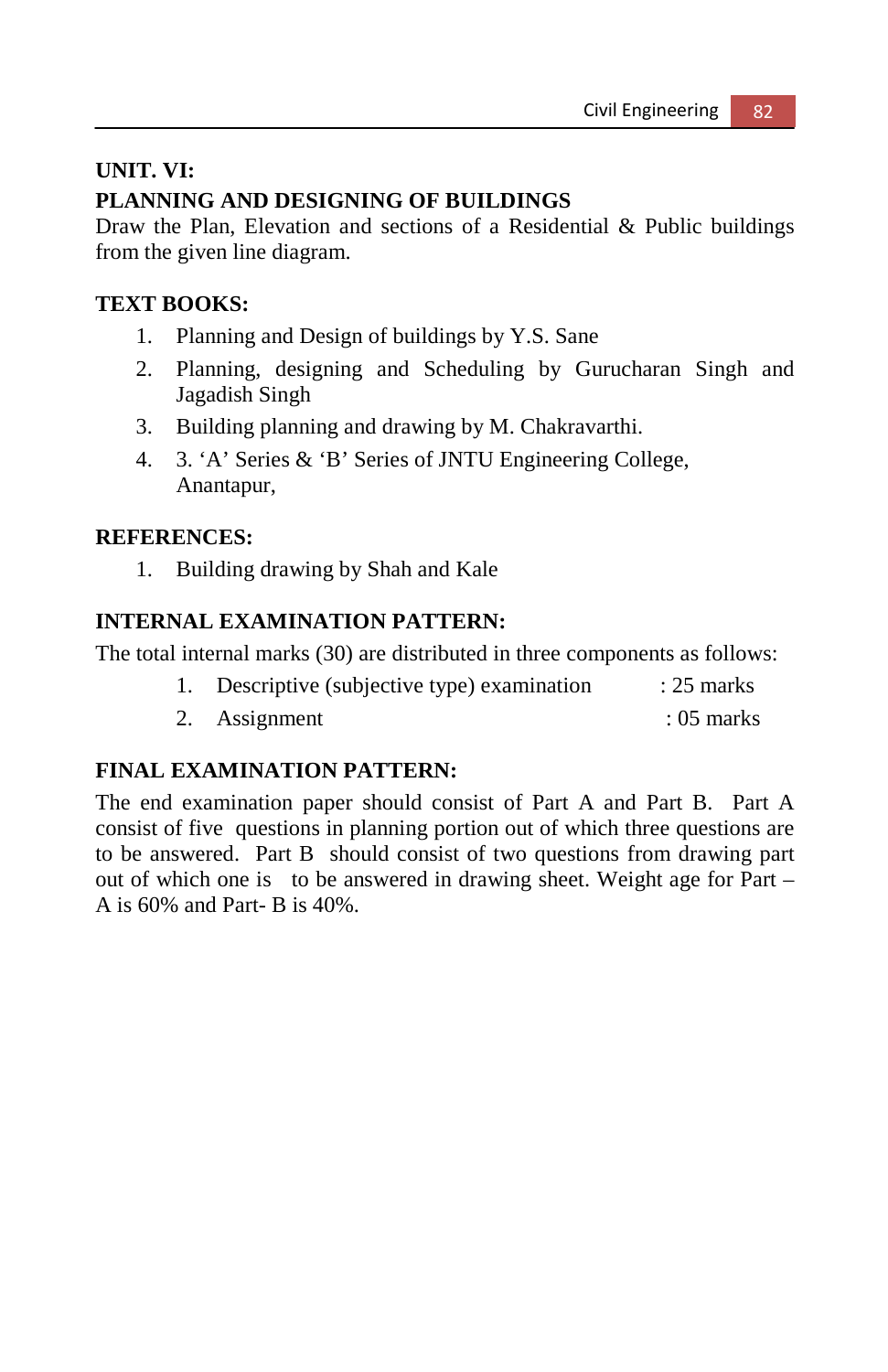## **UNIT. VI:**

## **PLANNING AND DESIGNING OF BUILDINGS**

Draw the Plan, Elevation and sections of a Residential & Public buildings from the given line diagram.

## **TEXT BOOKS:**

- 1. Planning and Design of buildings by Y.S. Sane
- 2. Planning, designing and Scheduling by Gurucharan Singh and Jagadish Singh
- 3. Building planning and drawing by M. Chakravarthi.
- 4. 3. 'A' Series & 'B' Series of JNTU Engineering College, Anantapur,

## **REFERENCES:**

1. Building drawing by Shah and Kale

## **INTERNAL EXAMINATION PATTERN:**

The total internal marks (30) are distributed in three components as follows:

- 1. Descriptive (subjective type) examination : 25 marks
- 2. Assignment : 05 marks

## **FINAL EXAMINATION PATTERN:**

The end examination paper should consist of Part A and Part B. Part A consist of five questions in planning portion out of which three questions are to be answered. Part B should consist of two questions from drawing part out of which one is to be answered in drawing sheet. Weight age for Part – A is 60% and Part- B is 40%.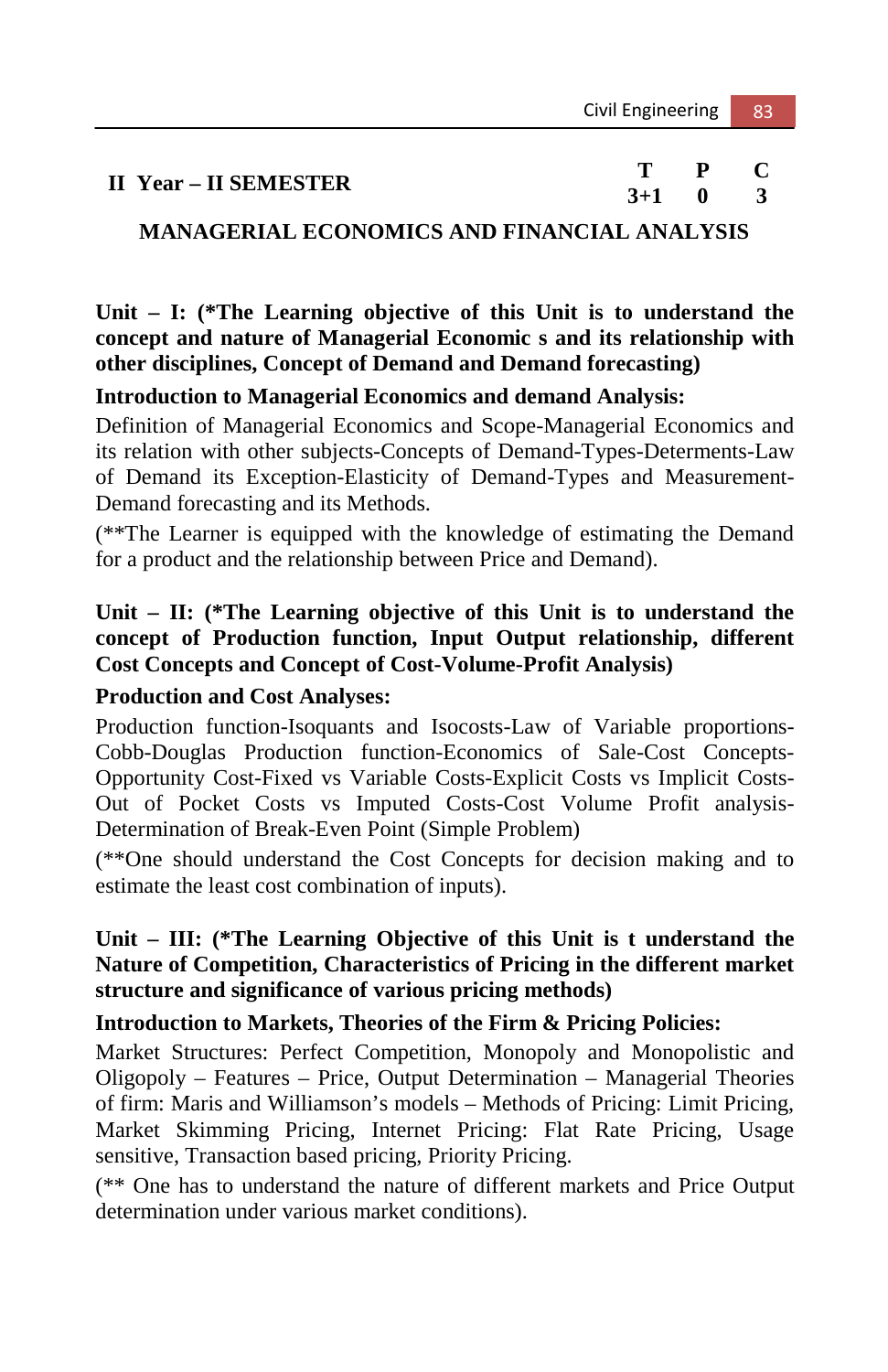|  | II Year - II SEMESTER |           | P C |  |
|--|-----------------------|-----------|-----|--|
|  |                       | $3+1$ 0 3 |     |  |

#### **MANAGERIAL ECONOMICS AND FINANCIAL ANALYSIS**

**Unit – I: (\*The Learning objective of this Unit is to understand the concept and nature of Managerial Economic s and its relationship with other disciplines, Concept of Demand and Demand forecasting)** 

#### **Introduction to Managerial Economics and demand Analysis:**

Definition of Managerial Economics and Scope-Managerial Economics and its relation with other subjects-Concepts of Demand-Types-Determents-Law of Demand its Exception-Elasticity of Demand-Types and Measurement-Demand forecasting and its Methods.

(\*\*The Learner is equipped with the knowledge of estimating the Demand for a product and the relationship between Price and Demand).

#### **Unit – II: (\*The Learning objective of this Unit is to understand the concept of Production function, Input Output relationship, different Cost Concepts and Concept of Cost-Volume-Profit Analysis)**

#### **Production and Cost Analyses:**

Production function-Isoquants and Isocosts-Law of Variable proportions-Cobb-Douglas Production function-Economics of Sale-Cost Concepts-Opportunity Cost-Fixed vs Variable Costs-Explicit Costs vs Implicit Costs-Out of Pocket Costs vs Imputed Costs-Cost Volume Profit analysis-Determination of Break-Even Point (Simple Problem)

(\*\*One should understand the Cost Concepts for decision making and to estimate the least cost combination of inputs).

## **Unit – III: (\*The Learning Objective of this Unit is t understand the Nature of Competition, Characteristics of Pricing in the different market structure and significance of various pricing methods)**

### **Introduction to Markets, Theories of the Firm & Pricing Policies:**

Market Structures: Perfect Competition, Monopoly and Monopolistic and Oligopoly – Features – Price, Output Determination – Managerial Theories of firm: Maris and Williamson's models – Methods of Pricing: Limit Pricing, Market Skimming Pricing, Internet Pricing: Flat Rate Pricing, Usage sensitive, Transaction based pricing, Priority Pricing.

(\*\* One has to understand the nature of different markets and Price Output determination under various market conditions).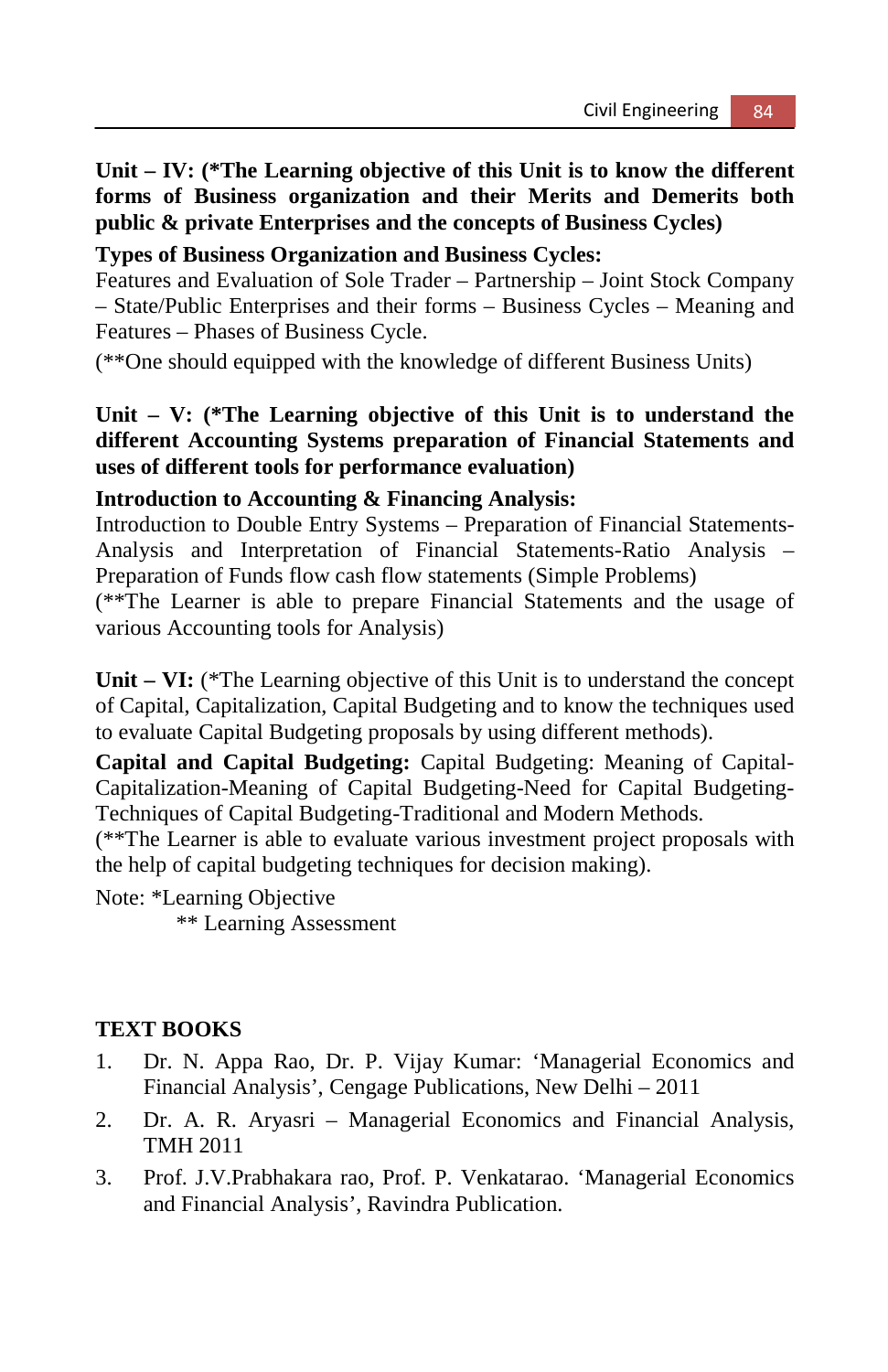## **Unit – IV: (\*The Learning objective of this Unit is to know the different forms of Business organization and their Merits and Demerits both public & private Enterprises and the concepts of Business Cycles)**

#### **Types of Business Organization and Business Cycles:**

Features and Evaluation of Sole Trader – Partnership – Joint Stock Company – State/Public Enterprises and their forms – Business Cycles – Meaning and Features – Phases of Business Cycle.

(\*\*One should equipped with the knowledge of different Business Units)

### **Unit – V: (\*The Learning objective of this Unit is to understand the different Accounting Systems preparation of Financial Statements and uses of different tools for performance evaluation)**

#### **Introduction to Accounting & Financing Analysis:**

Introduction to Double Entry Systems – Preparation of Financial Statements-Analysis and Interpretation of Financial Statements-Ratio Analysis – Preparation of Funds flow cash flow statements (Simple Problems)

(\*\*The Learner is able to prepare Financial Statements and the usage of various Accounting tools for Analysis)

Unit – VI: <sup>\*</sup>The Learning objective of this Unit is to understand the concept of Capital, Capitalization, Capital Budgeting and to know the techniques used to evaluate Capital Budgeting proposals by using different methods).

**Capital and Capital Budgeting:** Capital Budgeting: Meaning of Capital-Capitalization-Meaning of Capital Budgeting-Need for Capital Budgeting-Techniques of Capital Budgeting-Traditional and Modern Methods.

(\*\*The Learner is able to evaluate various investment project proposals with the help of capital budgeting techniques for decision making).

Note: \*Learning Objective

\*\* Learning Assessment

### **TEXT BOOKS**

- 1. Dr. N. Appa Rao, Dr. P. Vijay Kumar: 'Managerial Economics and Financial Analysis', Cengage Publications, New Delhi – 2011
- 2. Dr. A. R. Aryasri Managerial Economics and Financial Analysis, TMH 2011
- 3. Prof. J.V.Prabhakara rao, Prof. P. Venkatarao. 'Managerial Economics and Financial Analysis', Ravindra Publication.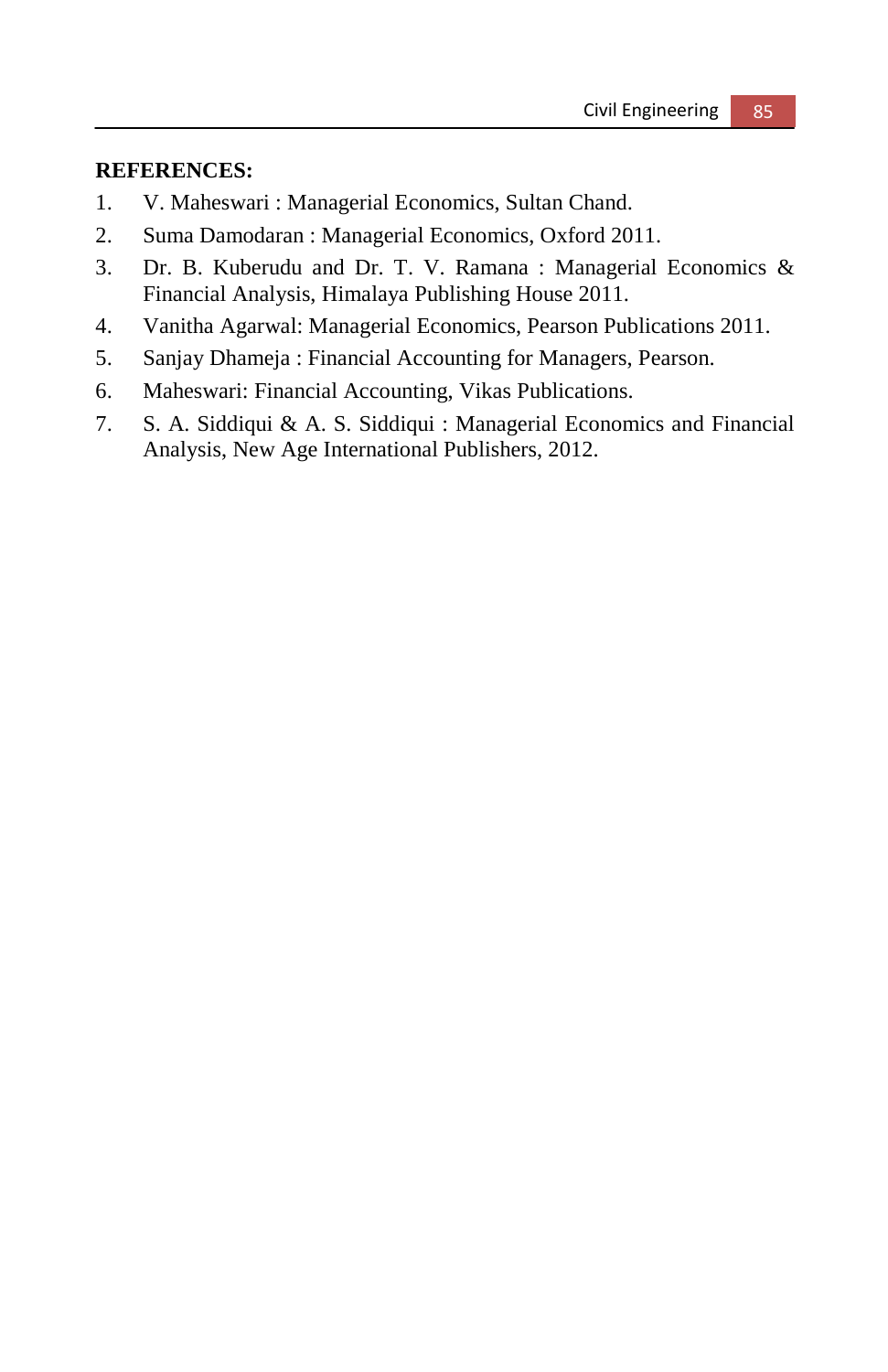#### **REFERENCES:**

- 1. V. Maheswari : Managerial Economics, Sultan Chand.
- 2. Suma Damodaran : Managerial Economics, Oxford 2011.
- 3. Dr. B. Kuberudu and Dr. T. V. Ramana : Managerial Economics & Financial Analysis, Himalaya Publishing House 2011.
- 4. Vanitha Agarwal: Managerial Economics, Pearson Publications 2011.
- 5. Sanjay Dhameja : Financial Accounting for Managers, Pearson.
- 6. Maheswari: Financial Accounting, Vikas Publications.
- 7. S. A. Siddiqui & A. S. Siddiqui : Managerial Economics and Financial Analysis, New Age International Publishers, 2012.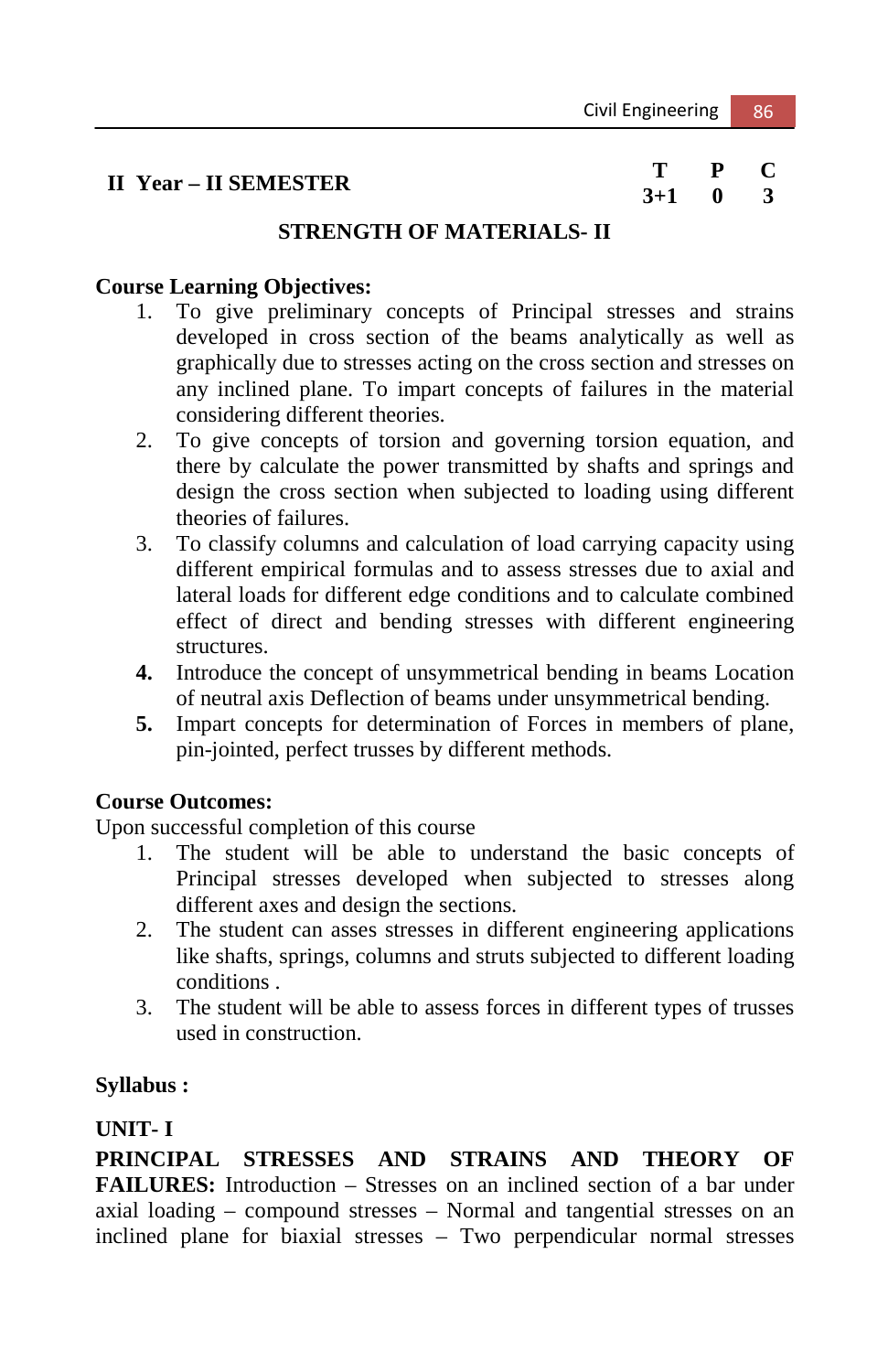# **II** Year – **II** SEMESTER **T** P C  $\begin{array}{ccc} 3+1 & 0 & 3 \end{array}$

 $3 + 1$ 

## **STRENGTH OF MATERIALS- II**

## **Course Learning Objectives:**

- 1. To give preliminary concepts of Principal stresses and strains developed in cross section of the beams analytically as well as graphically due to stresses acting on the cross section and stresses on any inclined plane. To impart concepts of failures in the material considering different theories.
- 2. To give concepts of torsion and governing torsion equation, and there by calculate the power transmitted by shafts and springs and design the cross section when subjected to loading using different theories of failures.
- 3. To classify columns and calculation of load carrying capacity using different empirical formulas and to assess stresses due to axial and lateral loads for different edge conditions and to calculate combined effect of direct and bending stresses with different engineering structures.
- **4.** Introduce the concept of unsymmetrical bending in beams Location of neutral axis Deflection of beams under unsymmetrical bending.
- **5.** Impart concepts for determination of Forces in members of plane, pin-jointed, perfect trusses by different methods.

## **Course Outcomes:**

Upon successful completion of this course

- 1. The student will be able to understand the basic concepts of Principal stresses developed when subjected to stresses along different axes and design the sections.
- 2. The student can asses stresses in different engineering applications like shafts, springs, columns and struts subjected to different loading conditions .
- 3. The student will be able to assess forces in different types of trusses used in construction.

## **Syllabus :**

## **UNIT- I**

**PRINCIPAL STRESSES AND STRAINS AND THEORY OF FAILURES:** Introduction – Stresses on an inclined section of a bar under axial loading – compound stresses – Normal and tangential stresses on an inclined plane for biaxial stresses – Two perpendicular normal stresses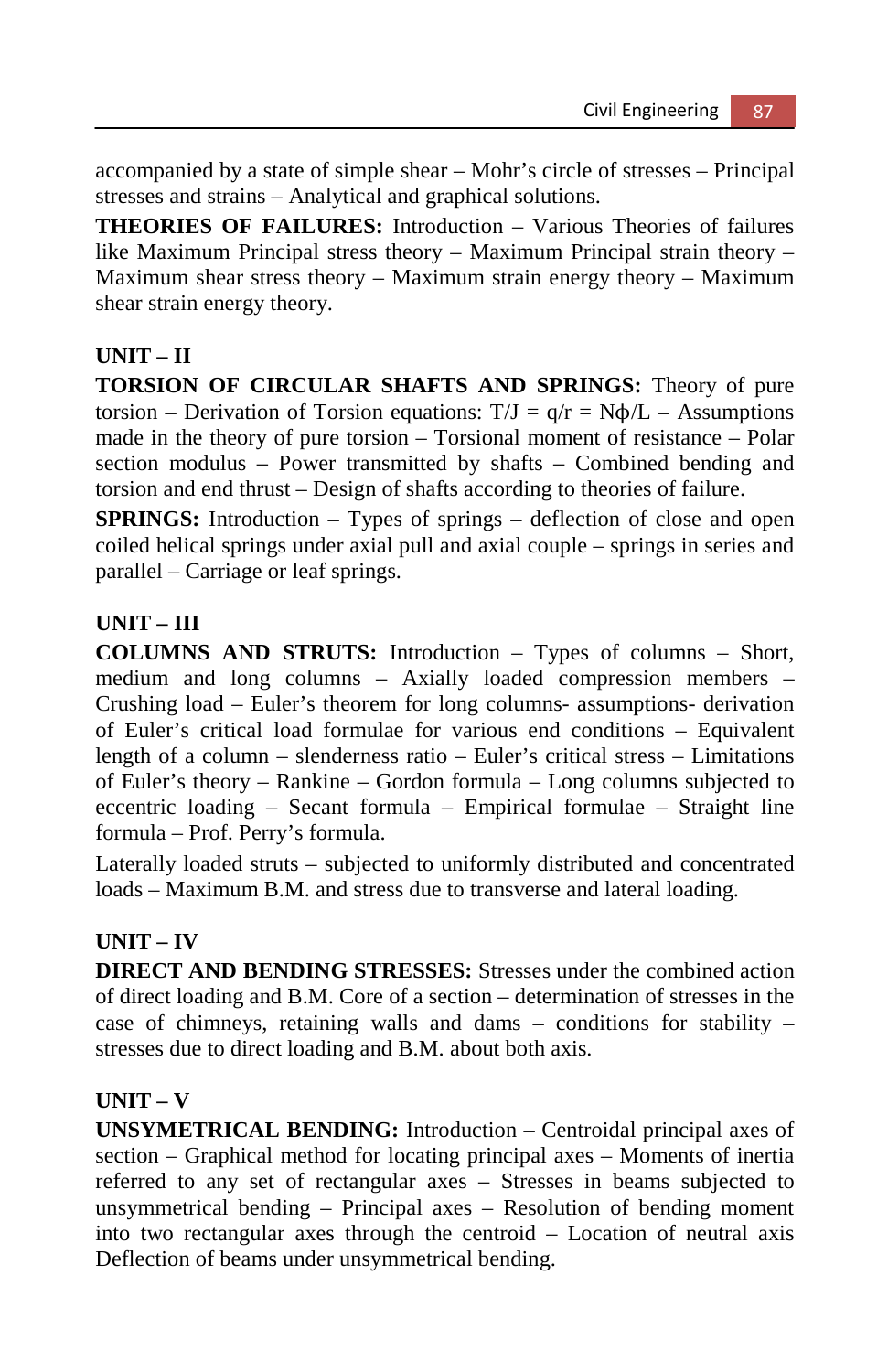accompanied by a state of simple shear – Mohr's circle of stresses – Principal stresses and strains – Analytical and graphical solutions.

**THEORIES OF FAILURES:** Introduction – Various Theories of failures like Maximum Principal stress theory – Maximum Principal strain theory – Maximum shear stress theory – Maximum strain energy theory – Maximum shear strain energy theory.

## **UNIT – II**

**TORSION OF CIRCULAR SHAFTS AND SPRINGS:** Theory of pure torsion – Derivation of Torsion equations:  $T/J = q/r = N\phi/L$  – Assumptions made in the theory of pure torsion – Torsional moment of resistance – Polar section modulus – Power transmitted by shafts – Combined bending and torsion and end thrust – Design of shafts according to theories of failure.

**SPRINGS:** Introduction – Types of springs – deflection of close and open coiled helical springs under axial pull and axial couple – springs in series and parallel – Carriage or leaf springs.

## **UNIT – III**

**COLUMNS AND STRUTS:** Introduction – Types of columns – Short, medium and long columns – Axially loaded compression members – Crushing load – Euler's theorem for long columns- assumptions- derivation of Euler's critical load formulae for various end conditions – Equivalent length of a column – slenderness ratio – Euler's critical stress – Limitations of Euler's theory – Rankine – Gordon formula – Long columns subjected to eccentric loading – Secant formula – Empirical formulae – Straight line formula – Prof. Perry's formula.

Laterally loaded struts – subjected to uniformly distributed and concentrated loads – Maximum B.M. and stress due to transverse and lateral loading.

## **UNIT – IV**

**DIRECT AND BENDING STRESSES:** Stresses under the combined action of direct loading and B.M. Core of a section – determination of stresses in the case of chimneys, retaining walls and dams – conditions for stability – stresses due to direct loading and B.M. about both axis.

## **UNIT – V**

**UNSYMETRICAL BENDING:** Introduction – Centroidal principal axes of section – Graphical method for locating principal axes – Moments of inertia referred to any set of rectangular axes – Stresses in beams subjected to unsymmetrical bending – Principal axes – Resolution of bending moment into two rectangular axes through the centroid – Location of neutral axis Deflection of beams under unsymmetrical bending.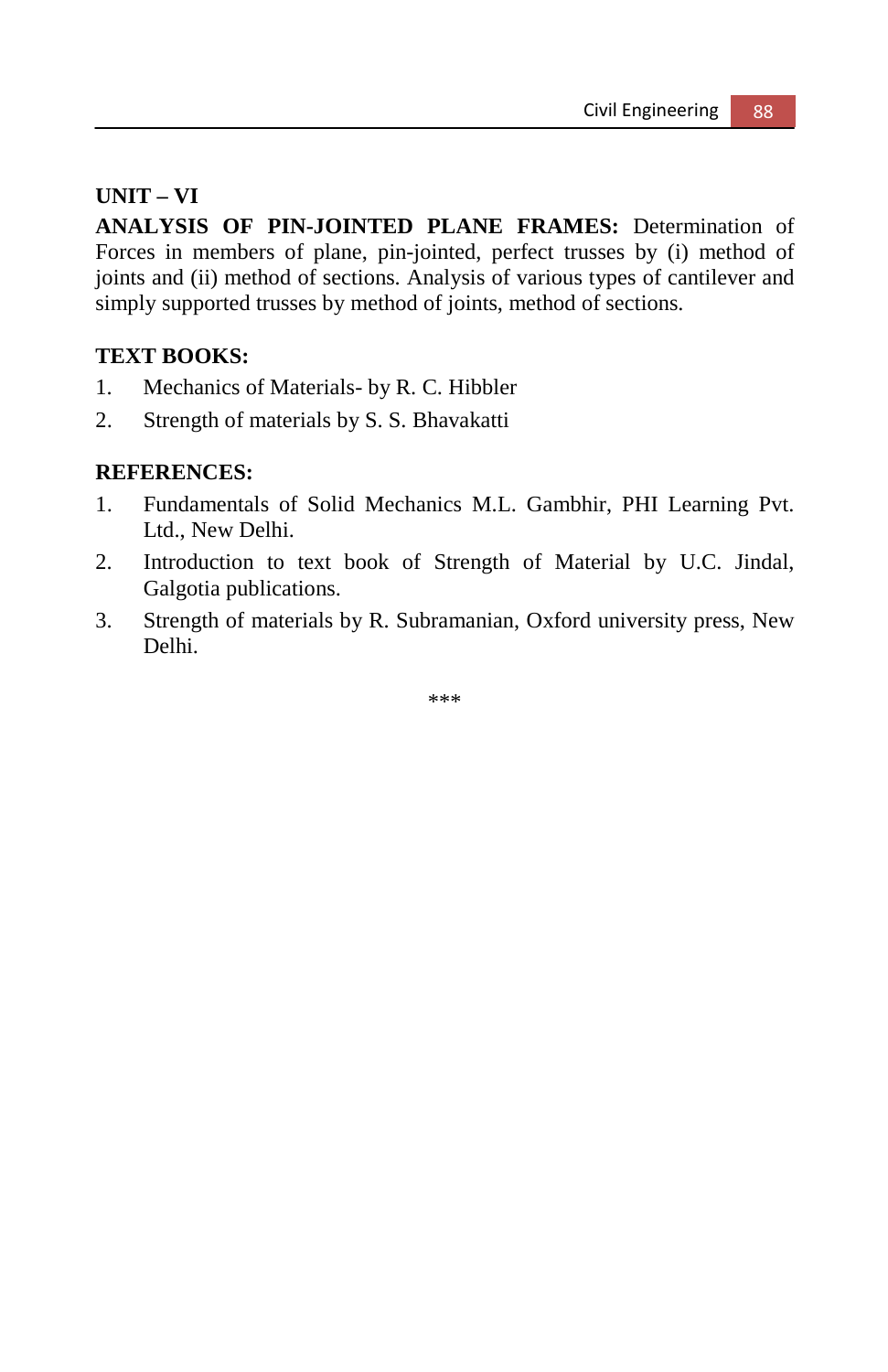#### **UNIT – VI**

**ANALYSIS OF PIN-JOINTED PLANE FRAMES:** Determination of Forces in members of plane, pin-jointed, perfect trusses by (i) method of joints and (ii) method of sections. Analysis of various types of cantilever and simply supported trusses by method of joints, method of sections.

### **TEXT BOOKS:**

- 1. Mechanics of Materials- by R. C. Hibbler
- 2. Strength of materials by S. S. Bhavakatti

#### **REFERENCES:**

- 1. Fundamentals of Solid Mechanics M.L. Gambhir, PHI Learning Pvt. Ltd., New Delhi.
- 2. Introduction to text book of Strength of Material by U.C. Jindal, Galgotia publications.
- 3. Strength of materials by R. Subramanian, Oxford university press, New Delhi.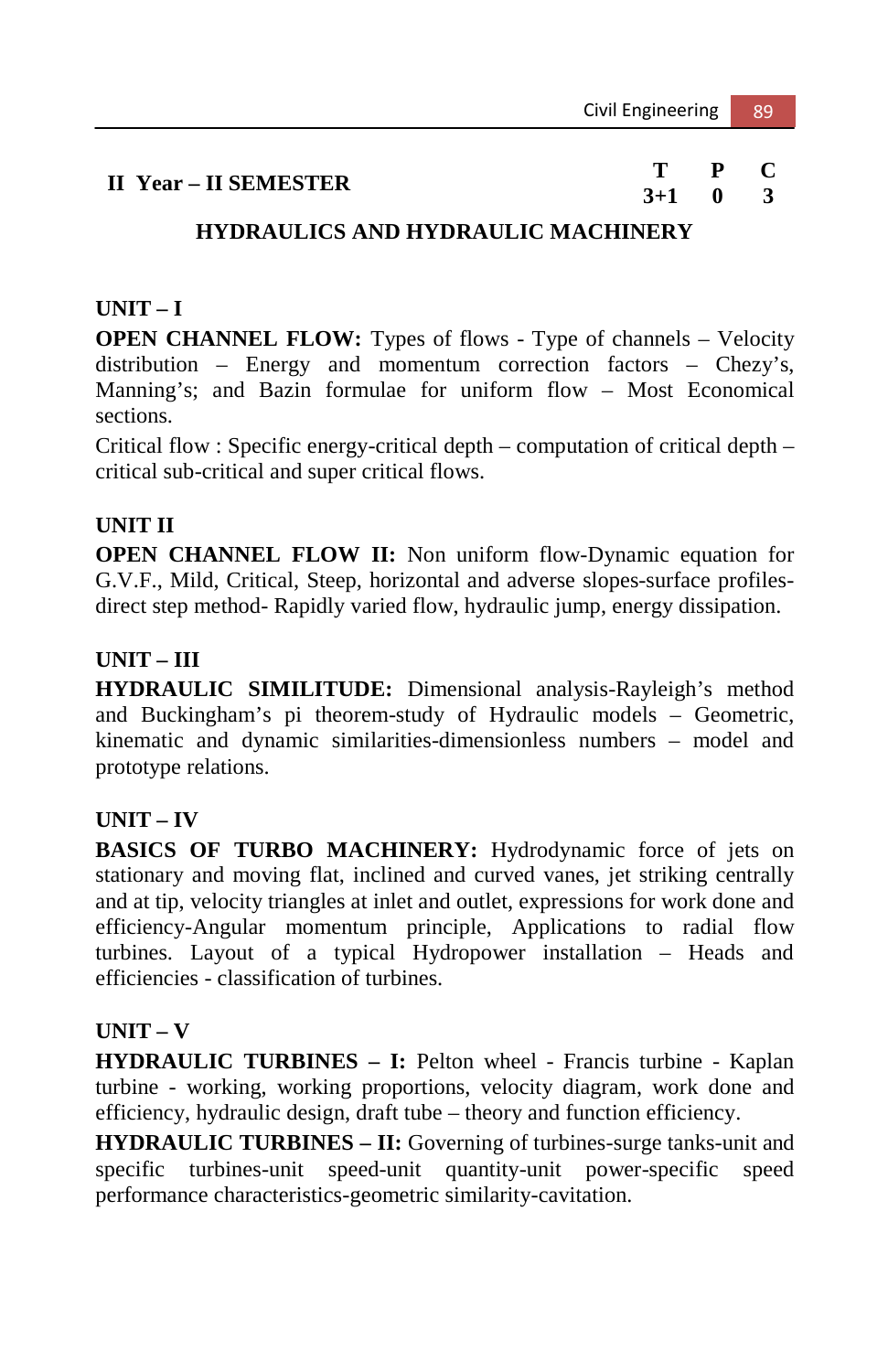# **II Year – II SEMESTER T P C**

 $3 + 1$ 

## **HYDRAULICS AND HYDRAULIC MACHINERY**

### **UNIT – I**

**OPEN CHANNEL FLOW:** Types of flows - Type of channels – Velocity distribution – Energy and momentum correction factors – Chezy's, Manning's; and Bazin formulae for uniform flow – Most Economical sections.

Critical flow : Specific energy-critical depth – computation of critical depth – critical sub-critical and super critical flows.

#### **UNIT II**

**OPEN CHANNEL FLOW II:** Non uniform flow-Dynamic equation for G.V.F., Mild, Critical, Steep, horizontal and adverse slopes-surface profilesdirect step method- Rapidly varied flow, hydraulic jump, energy dissipation.

#### **UNIT – III**

**HYDRAULIC SIMILITUDE:** Dimensional analysis-Rayleigh's method and Buckingham's pi theorem-study of Hydraulic models – Geometric, kinematic and dynamic similarities-dimensionless numbers – model and prototype relations.

### **UNIT – IV**

**BASICS OF TURBO MACHINERY:** Hydrodynamic force of jets on stationary and moving flat, inclined and curved vanes, jet striking centrally and at tip, velocity triangles at inlet and outlet, expressions for work done and efficiency-Angular momentum principle, Applications to radial flow turbines. Layout of a typical Hydropower installation – Heads and efficiencies - classification of turbines.

#### **UNIT – V**

**HYDRAULIC TURBINES – I:** Pelton wheel - Francis turbine - Kaplan turbine - working, working proportions, velocity diagram, work done and efficiency, hydraulic design, draft tube – theory and function efficiency.

**HYDRAULIC TURBINES – II:** Governing of turbines-surge tanks-unit and specific turbines-unit speed-unit quantity-unit power-specific speed performance characteristics-geometric similarity-cavitation.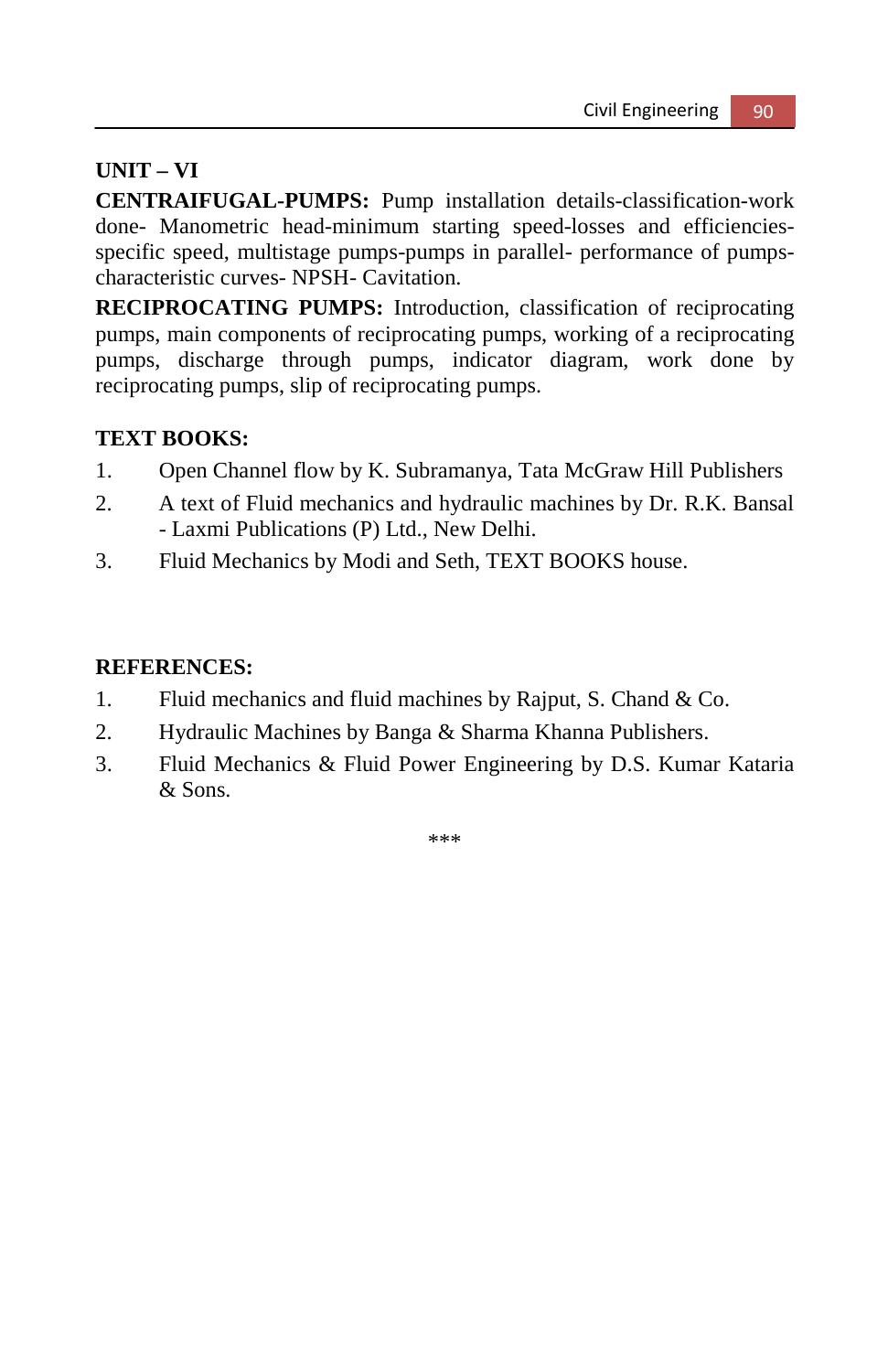## **UNIT – VI**

**CENTRAIFUGAL-PUMPS:** Pump installation details-classification-work done- Manometric head-minimum starting speed-losses and efficienciesspecific speed, multistage pumps-pumps in parallel- performance of pumpscharacteristic curves- NPSH- Cavitation.

**RECIPROCATING PUMPS:** Introduction, classification of reciprocating pumps, main components of reciprocating pumps, working of a reciprocating pumps, discharge through pumps, indicator diagram, work done by reciprocating pumps, slip of reciprocating pumps.

### **TEXT BOOKS:**

- 1. Open Channel flow by K. Subramanya, Tata McGraw Hill Publishers
- 2. A text of Fluid mechanics and hydraulic machines by Dr. R.K. Bansal - Laxmi Publications (P) Ltd., New Delhi.
- 3. Fluid Mechanics by Modi and Seth, TEXT BOOKS house.

#### **REFERENCES:**

- 1. Fluid mechanics and fluid machines by Rajput, S. Chand & Co.
- 2. Hydraulic Machines by Banga & Sharma Khanna Publishers.
- 3. Fluid Mechanics & Fluid Power Engineering by D.S. Kumar Kataria & Sons.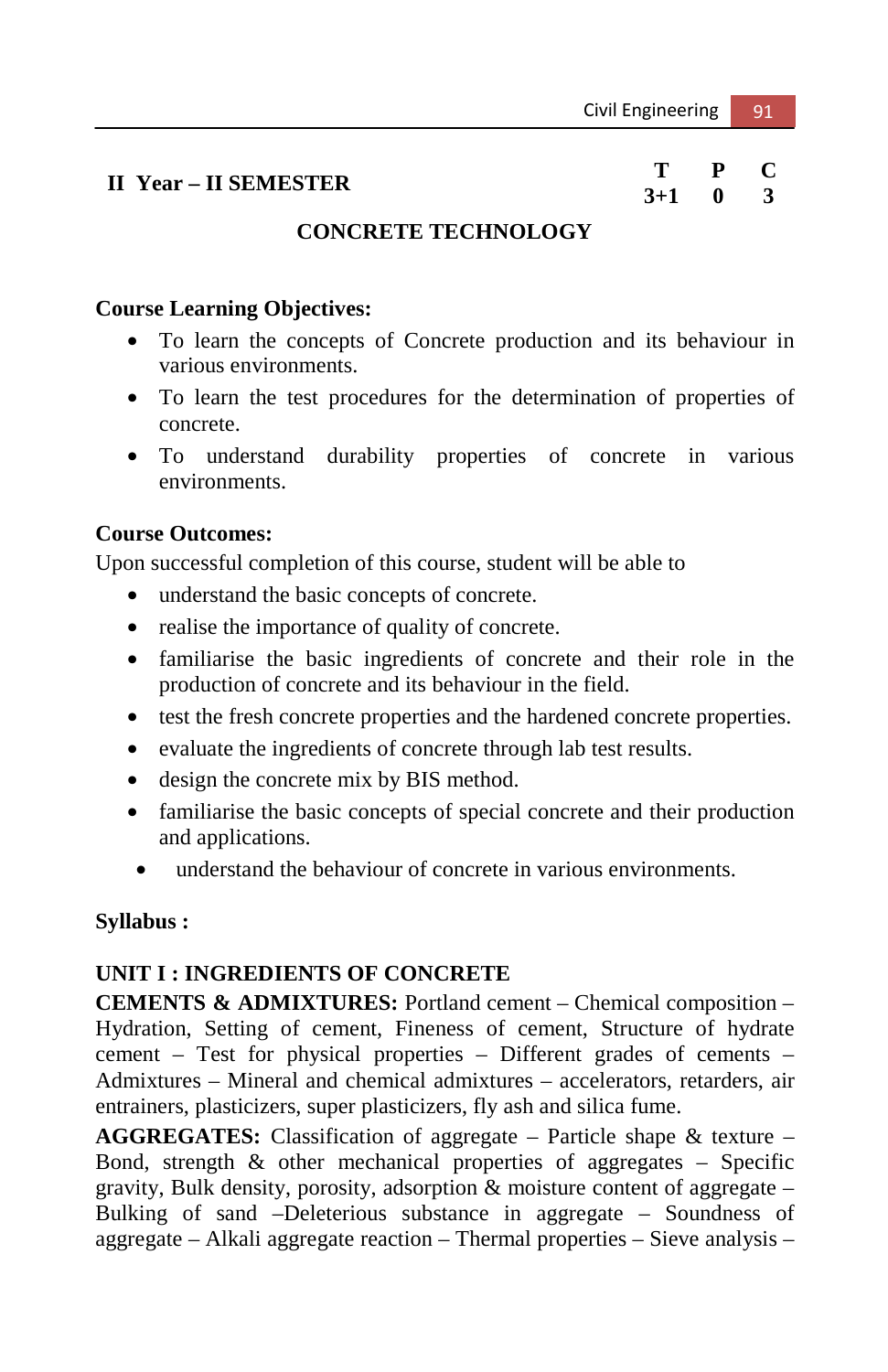# **II Year – II SEMESTER T P C**

 $3 + 1$ 

### **CONCRETE TECHNOLOGY**

#### **Course Learning Objectives:**

- To learn the concepts of Concrete production and its behaviour in various environments.
- To learn the test procedures for the determination of properties of concrete.
- To understand durability properties of concrete in various environments.

#### **Course Outcomes:**

Upon successful completion of this course, student will be able to

- understand the basic concepts of concrete.
- realise the importance of quality of concrete.
- familiarise the basic ingredients of concrete and their role in the production of concrete and its behaviour in the field.
- test the fresh concrete properties and the hardened concrete properties.
- evaluate the ingredients of concrete through lab test results.
- design the concrete mix by BIS method.
- familiarise the basic concepts of special concrete and their production and applications.
- understand the behaviour of concrete in various environments.

#### **Syllabus :**

#### **UNIT I : INGREDIENTS OF CONCRETE**

**CEMENTS & ADMIXTURES:** Portland cement – Chemical composition – Hydration, Setting of cement, Fineness of cement, Structure of hydrate cement – Test for physical properties – Different grades of cements – Admixtures – Mineral and chemical admixtures – accelerators, retarders, air entrainers, plasticizers, super plasticizers, fly ash and silica fume.

**AGGREGATES:** Classification of aggregate – Particle shape & texture – Bond, strength  $\&$  other mechanical properties of aggregates – Specific gravity, Bulk density, porosity, adsorption  $\&$  moisture content of aggregate – Bulking of sand –Deleterious substance in aggregate – Soundness of aggregate – Alkali aggregate reaction – Thermal properties – Sieve analysis –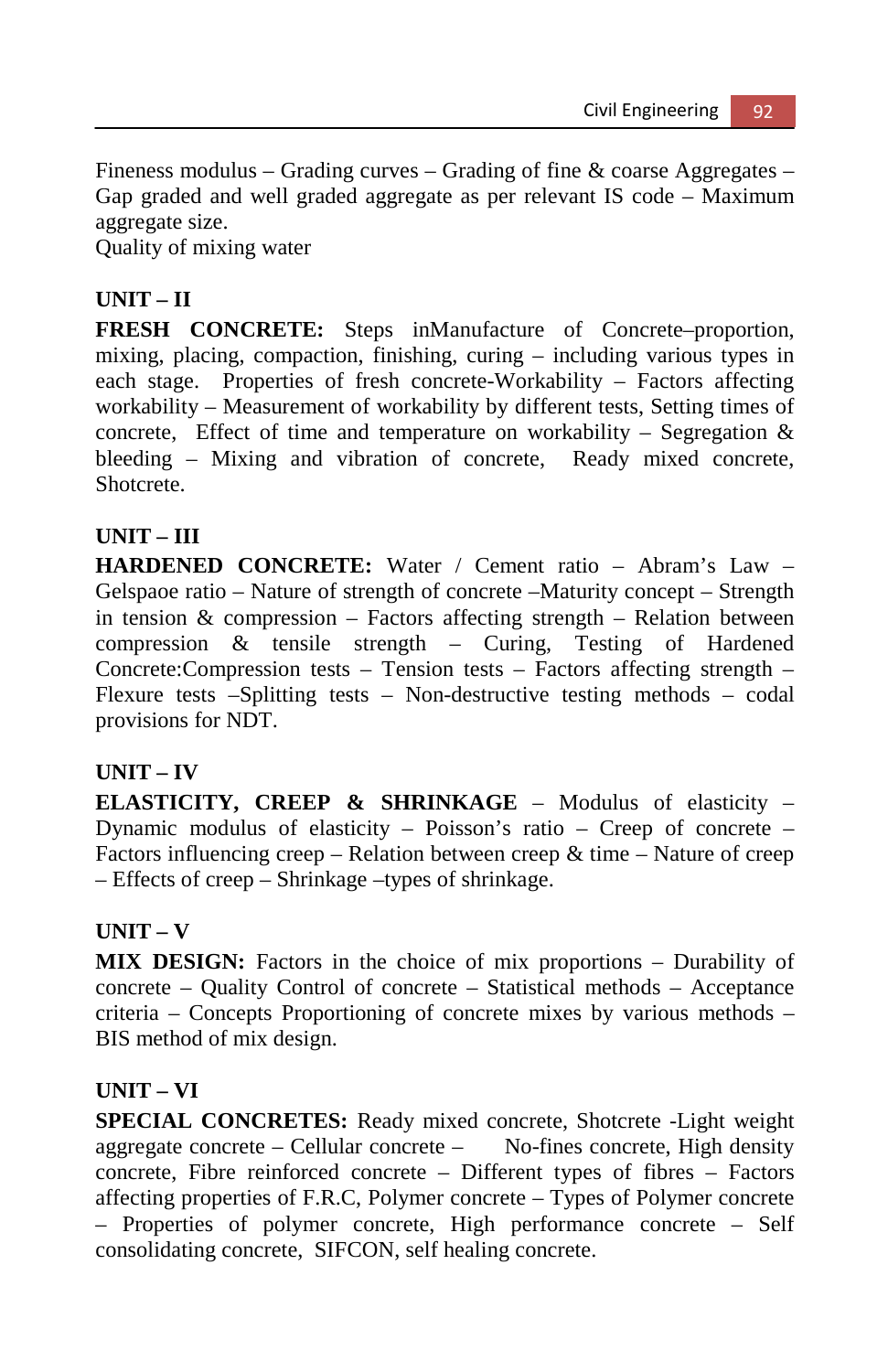Fineness modulus – Grading curves – Grading of fine  $\&$  coarse Aggregates – Gap graded and well graded aggregate as per relevant IS code – Maximum aggregate size.

Quality of mixing water

## **UNIT – II**

**FRESH CONCRETE:** Steps inManufacture of Concrete–proportion, mixing, placing, compaction, finishing, curing – including various types in each stage. Properties of fresh concrete-Workability – Factors affecting workability – Measurement of workability by different tests, Setting times of concrete, Effect of time and temperature on workability – Segregation  $\&$ bleeding – Mixing and vibration of concrete, Ready mixed concrete, Shotcrete.

## **UNIT – III**

**HARDENED CONCRETE:** Water / Cement ratio – Abram's Law – Gelspaoe ratio – Nature of strength of concrete –Maturity concept – Strength in tension  $&$  compression – Factors affecting strength – Relation between compression & tensile strength – Curing, Testing of Hardened Concrete:Compression tests – Tension tests – Factors affecting strength – Flexure tests –Splitting tests – Non-destructive testing methods – codal provisions for NDT.

### **UNIT – IV**

**ELASTICITY, CREEP & SHRINKAGE** – Modulus of elasticity – Dynamic modulus of elasticity – Poisson's ratio – Creep of concrete – Factors influencing creep – Relation between creep  $\&$  time – Nature of creep – Effects of creep – Shrinkage –types of shrinkage.

### **UNIT – V**

**MIX DESIGN:** Factors in the choice of mix proportions – Durability of concrete – Quality Control of concrete – Statistical methods – Acceptance criteria – Concepts Proportioning of concrete mixes by various methods – BIS method of mix design.

### **UNIT – VI**

**SPECIAL CONCRETES:** Ready mixed concrete, Shotcrete -Light weight aggregate concrete – Cellular concrete – No-fines concrete, High density concrete, Fibre reinforced concrete – Different types of fibres – Factors affecting properties of F.R.C, Polymer concrete – Types of Polymer concrete – Properties of polymer concrete, High performance concrete – Self consolidating concrete, SIFCON, self healing concrete.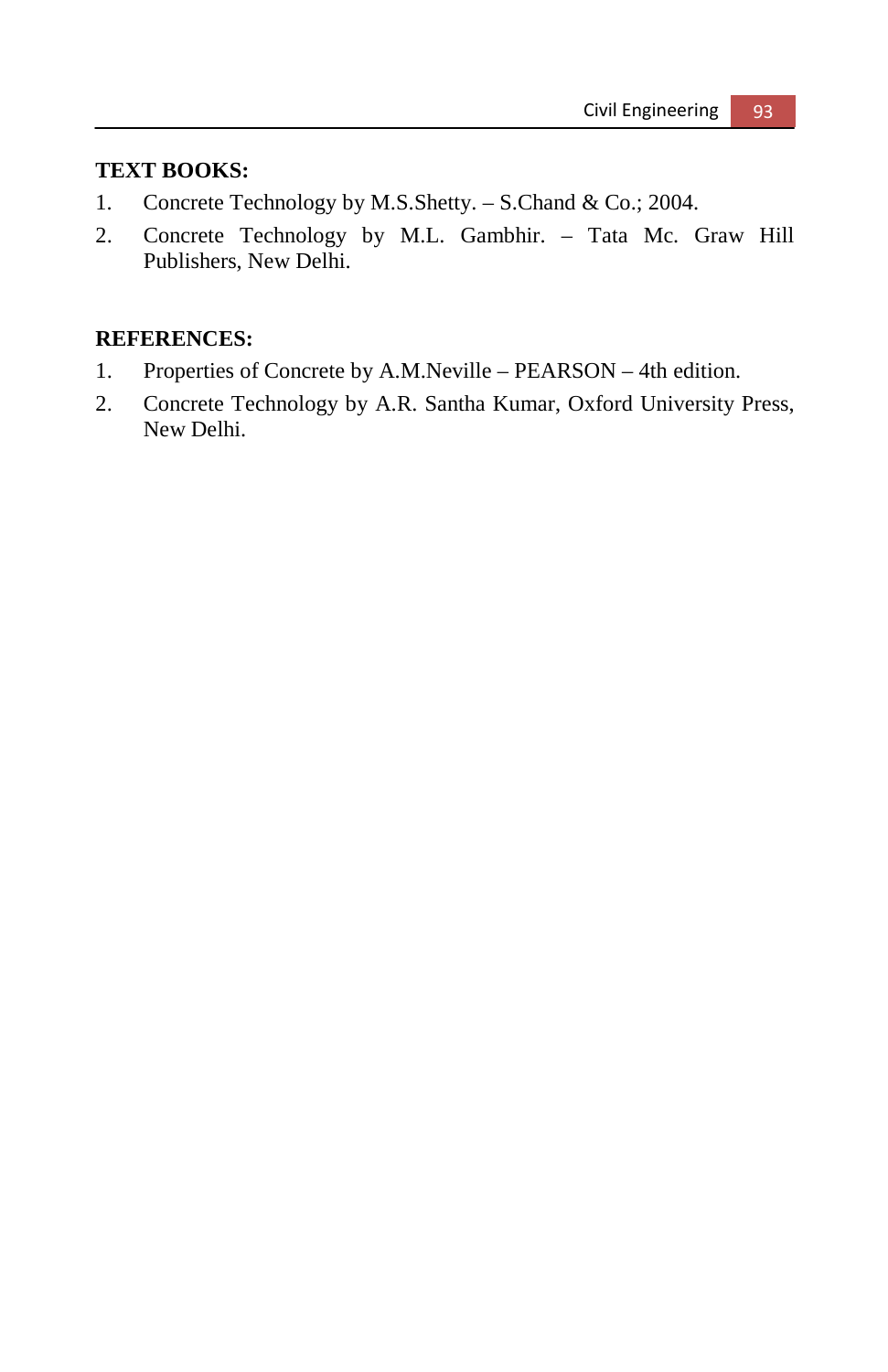## **TEXT BOOKS:**

- 1. Concrete Technology by M.S.Shetty. S.Chand & Co.; 2004.
- 2. Concrete Technology by M.L. Gambhir. Tata Mc. Graw Hill Publishers, New Delhi.

#### **REFERENCES:**

- 1. Properties of Concrete by A.M.Neville PEARSON 4th edition.
- 2. Concrete Technology by A.R. Santha Kumar, Oxford University Press, New Delhi.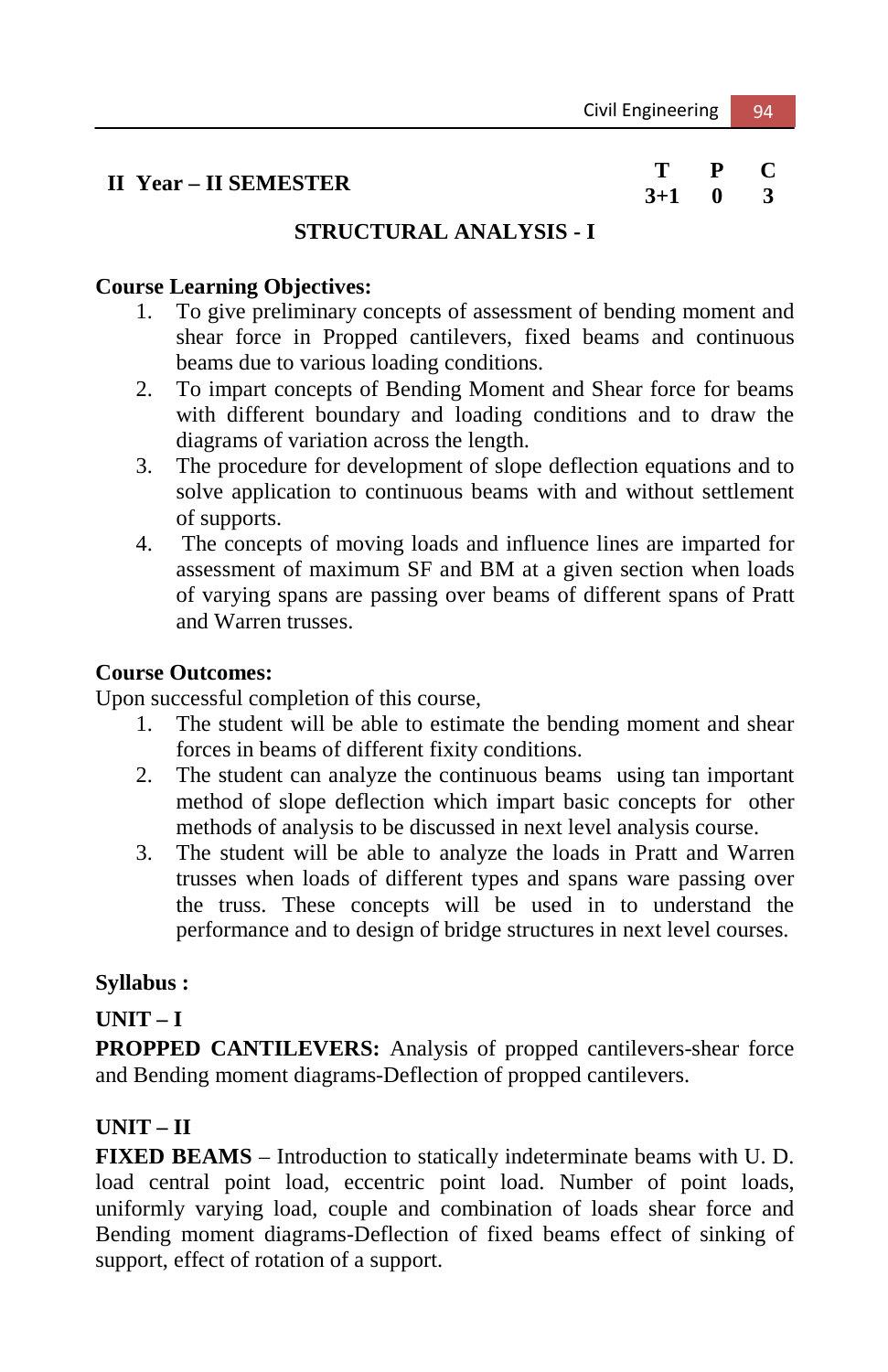# **II Year – II SEMESTER T P C**

 $3 + 1$ 

## **STRUCTURAL ANALYSIS - I**

#### **Course Learning Objectives:**

- 1. To give preliminary concepts of assessment of bending moment and shear force in Propped cantilevers, fixed beams and continuous beams due to various loading conditions.
- 2. To impart concepts of Bending Moment and Shear force for beams with different boundary and loading conditions and to draw the diagrams of variation across the length.
- 3. The procedure for development of slope deflection equations and to solve application to continuous beams with and without settlement of supports.
- 4. The concepts of moving loads and influence lines are imparted for assessment of maximum SF and BM at a given section when loads of varying spans are passing over beams of different spans of Pratt and Warren trusses.

#### **Course Outcomes:**

Upon successful completion of this course,

- 1. The student will be able to estimate the bending moment and shear forces in beams of different fixity conditions.
- 2. The student can analyze the continuous beams using tan important method of slope deflection which impart basic concepts for other methods of analysis to be discussed in next level analysis course.
- 3. The student will be able to analyze the loads in Pratt and Warren trusses when loads of different types and spans ware passing over the truss. These concepts will be used in to understand the performance and to design of bridge structures in next level courses.

### **Syllabus :**

## **UNIT – I**

**PROPPED CANTILEVERS:** Analysis of propped cantilevers-shear force and Bending moment diagrams-Deflection of propped cantilevers.

### **UNIT – II**

**FIXED BEAMS** – Introduction to statically indeterminate beams with U. D. load central point load, eccentric point load. Number of point loads, uniformly varying load, couple and combination of loads shear force and Bending moment diagrams-Deflection of fixed beams effect of sinking of support, effect of rotation of a support.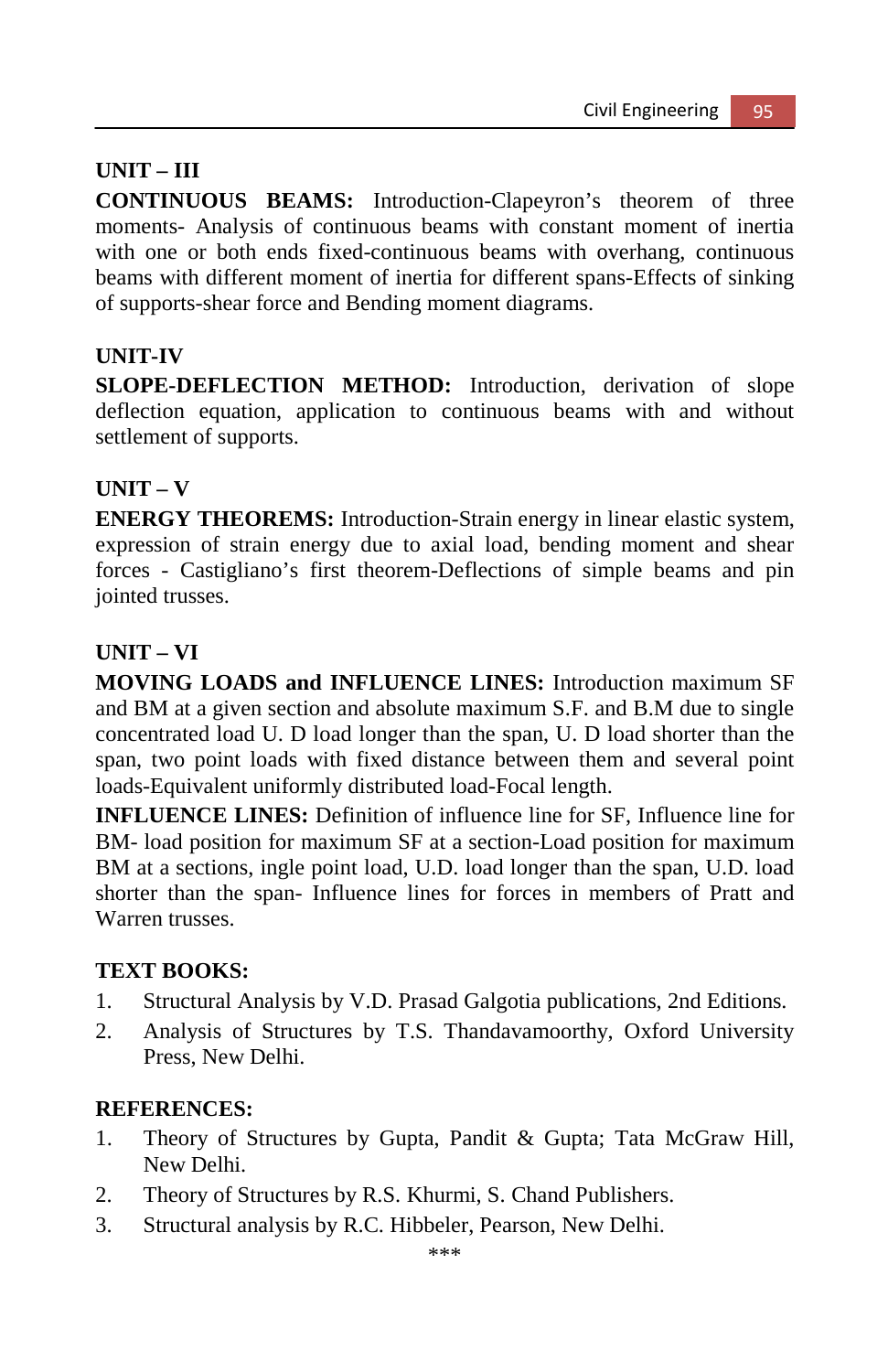## **UNIT – III**

**CONTINUOUS BEAMS:** Introduction-Clapeyron's theorem of three moments- Analysis of continuous beams with constant moment of inertia with one or both ends fixed-continuous beams with overhang, continuous beams with different moment of inertia for different spans-Effects of sinking of supports-shear force and Bending moment diagrams.

### **UNIT-IV**

**SLOPE-DEFLECTION METHOD:** Introduction, derivation of slope deflection equation, application to continuous beams with and without settlement of supports.

### **UNIT – V**

**ENERGY THEOREMS:** Introduction-Strain energy in linear elastic system, expression of strain energy due to axial load, bending moment and shear forces - Castigliano's first theorem-Deflections of simple beams and pin jointed trusses.

## **UNIT – VI**

**MOVING LOADS and INFLUENCE LINES:** Introduction maximum SF and BM at a given section and absolute maximum S.F. and B.M due to single concentrated load U. D load longer than the span, U. D load shorter than the span, two point loads with fixed distance between them and several point loads-Equivalent uniformly distributed load-Focal length.

**INFLUENCE LINES:** Definition of influence line for SF, Influence line for BM- load position for maximum SF at a section-Load position for maximum BM at a sections, ingle point load, U.D. load longer than the span, U.D. load shorter than the span- Influence lines for forces in members of Pratt and Warren trusses.

### **TEXT BOOKS:**

- 1. Structural Analysis by V.D. Prasad Galgotia publications, 2nd Editions.
- 2. Analysis of Structures by T.S. Thandavamoorthy, Oxford University Press, New Delhi.

#### **REFERENCES:**

- 1. Theory of Structures by Gupta, Pandit & Gupta; Tata McGraw Hill, New Delhi.
- 2. Theory of Structures by R.S. Khurmi, S. Chand Publishers.
- 3. Structural analysis by R.C. Hibbeler, Pearson, New Delhi.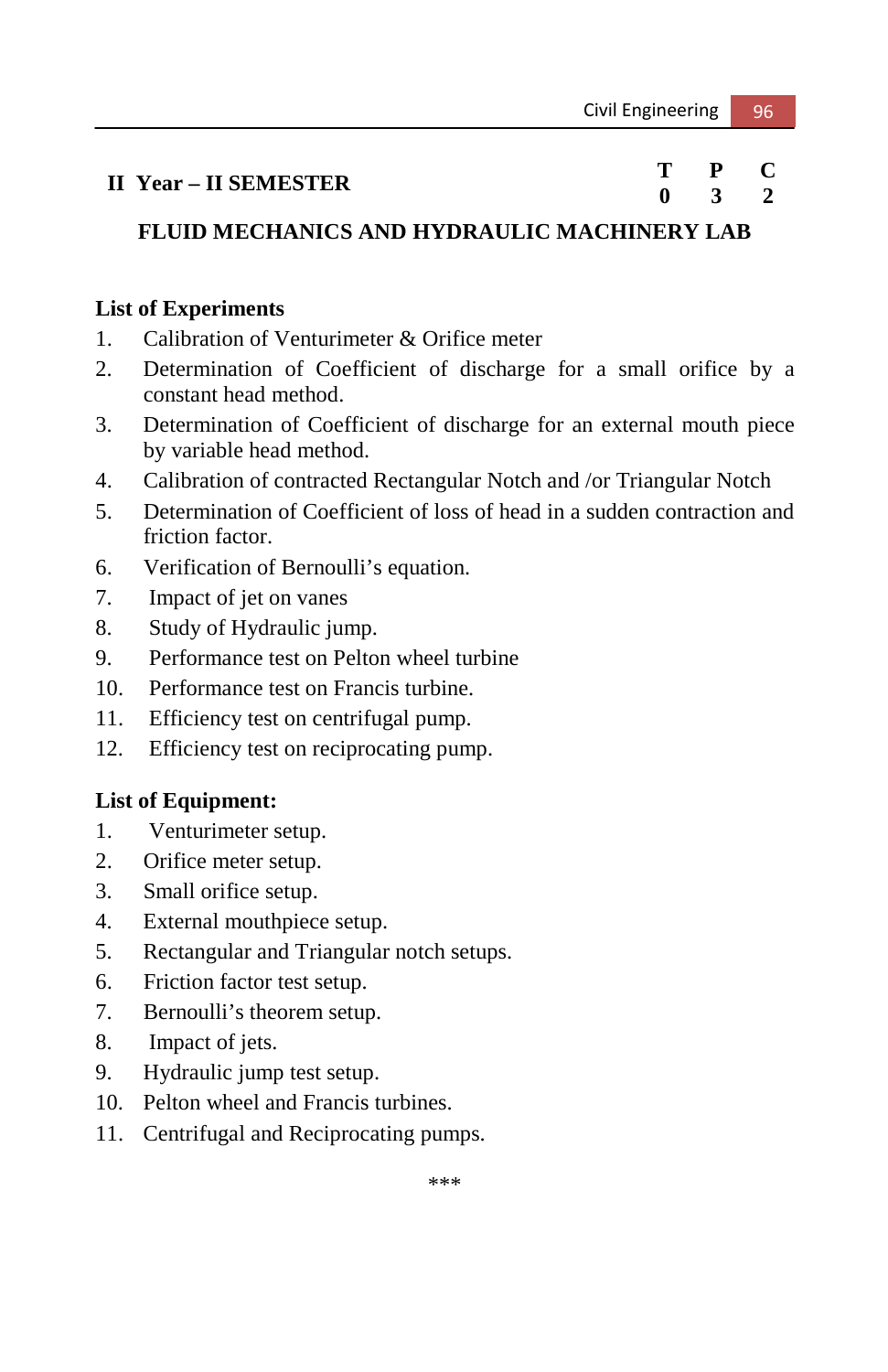#### **II** Year – **II** SEMESTER **T** P C **0 3 2**

## **FLUID MECHANICS AND HYDRAULIC MACHINERY LAB**

#### **List of Experiments**

- 1. Calibration of Venturimeter & Orifice meter
- 2. Determination of Coefficient of discharge for a small orifice by a constant head method.
- 3. Determination of Coefficient of discharge for an external mouth piece by variable head method.
- 4. Calibration of contracted Rectangular Notch and /or Triangular Notch
- 5. Determination of Coefficient of loss of head in a sudden contraction and friction factor.
- 6. Verification of Bernoulli's equation.
- 7. Impact of jet on vanes
- 8. Study of Hydraulic jump.
- 9. Performance test on Pelton wheel turbine
- 10. Performance test on Francis turbine.
- 11. Efficiency test on centrifugal pump.
- 12. Efficiency test on reciprocating pump.

### **List of Equipment:**

- 1. Venturimeter setup.
- 2. Orifice meter setup.
- 3. Small orifice setup.
- 4. External mouthpiece setup.
- 5. Rectangular and Triangular notch setups.
- 6. Friction factor test setup.
- 7. Bernoulli's theorem setup.
- 8. Impact of jets.
- 9. Hydraulic jump test setup.
- 10. Pelton wheel and Francis turbines.
- 11. Centrifugal and Reciprocating pumps.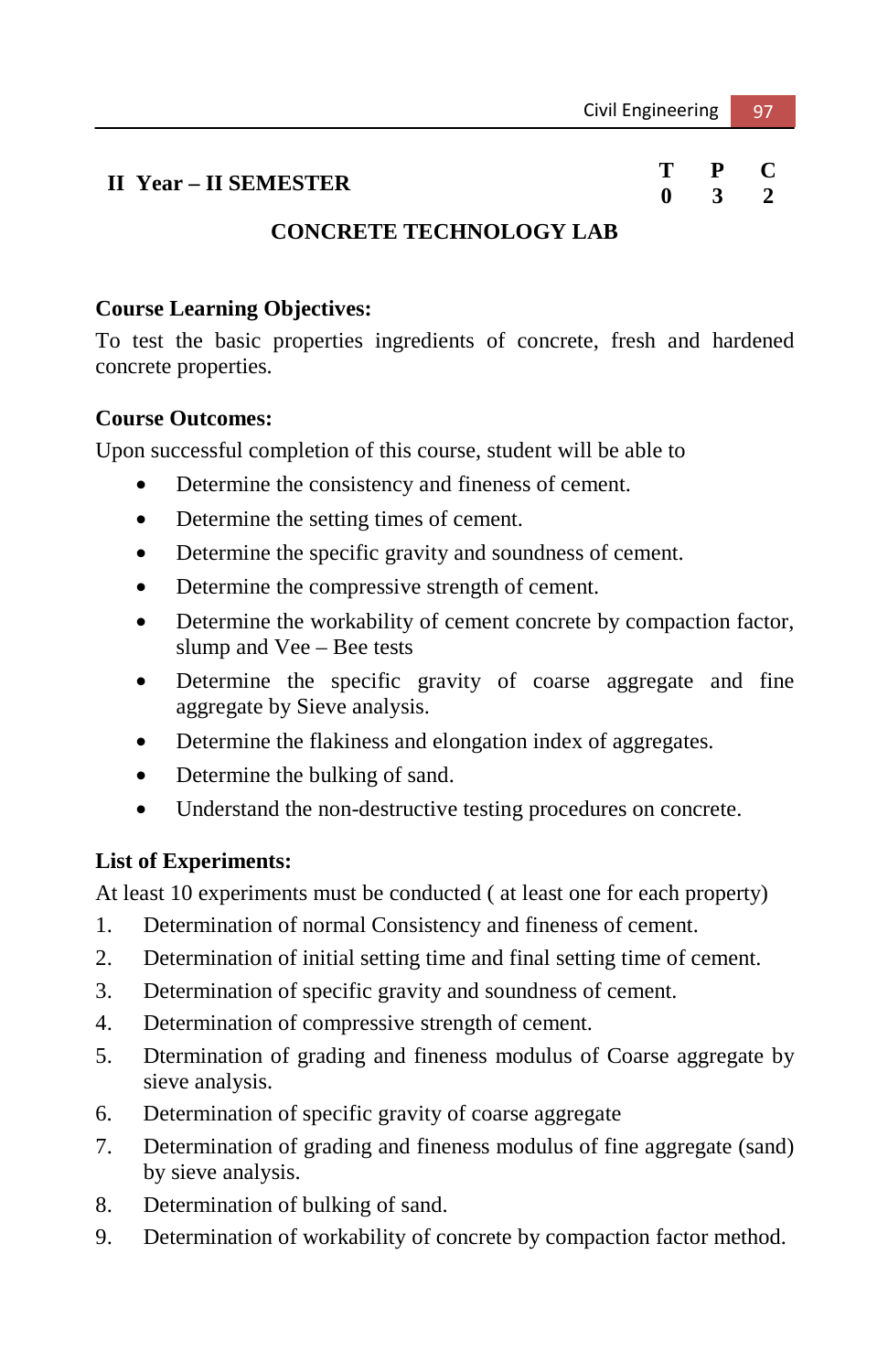# **II** Year – **II** SEMESTER **T** P C

# **0 3 2**

## **CONCRETE TECHNOLOGY LAB**

#### **Course Learning Objectives:**

To test the basic properties ingredients of concrete, fresh and hardened concrete properties.

#### **Course Outcomes:**

Upon successful completion of this course, student will be able to

- Determine the consistency and fineness of cement.
- Determine the setting times of cement.
- Determine the specific gravity and soundness of cement.
- Determine the compressive strength of cement.
- Determine the workability of cement concrete by compaction factor, slump and Vee – Bee tests
- Determine the specific gravity of coarse aggregate and fine aggregate by Sieve analysis.
- Determine the flakiness and elongation index of aggregates.
- Determine the bulking of sand.
- Understand the non-destructive testing procedures on concrete.

### **List of Experiments:**

At least 10 experiments must be conducted ( at least one for each property)

- 1. Determination of normal Consistency and fineness of cement.
- 2. Determination of initial setting time and final setting time of cement.
- 3. Determination of specific gravity and soundness of cement.
- 4. Determination of compressive strength of cement.
- 5. Dtermination of grading and fineness modulus of Coarse aggregate by sieve analysis.
- 6. Determination of specific gravity of coarse aggregate
- 7. Determination of grading and fineness modulus of fine aggregate (sand) by sieve analysis.
- 8. Determination of bulking of sand.
- 9. Determination of workability of concrete by compaction factor method.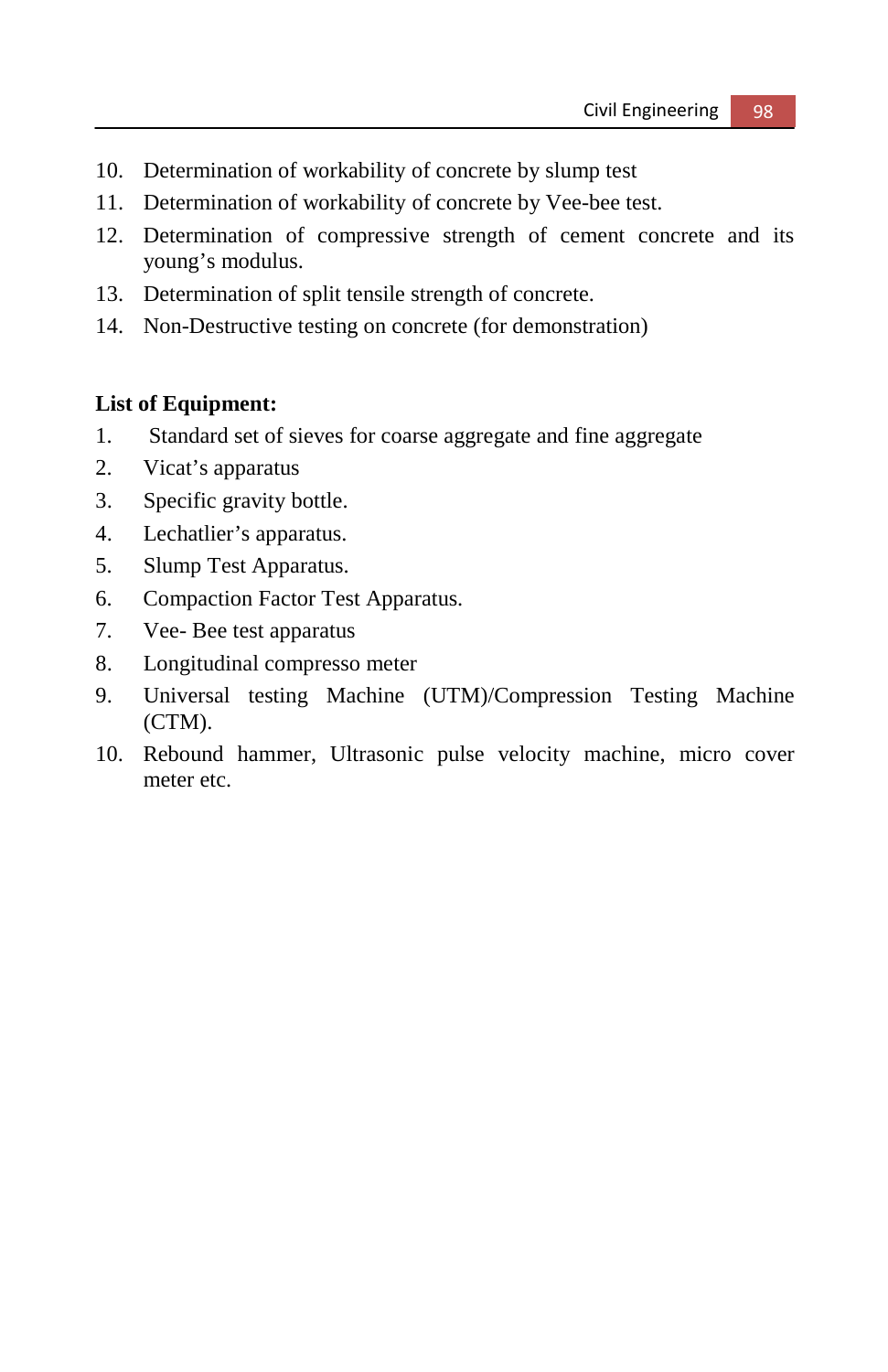- 10. Determination of workability of concrete by slump test
- 11. Determination of workability of concrete by Vee-bee test.
- 12. Determination of compressive strength of cement concrete and its young's modulus.
- 13. Determination of split tensile strength of concrete.
- 14. Non-Destructive testing on concrete (for demonstration)

#### **List of Equipment:**

- 1. Standard set of sieves for coarse aggregate and fine aggregate
- 2. Vicat's apparatus
- 3. Specific gravity bottle.
- 4. Lechatlier's apparatus.
- 5. Slump Test Apparatus.
- 6. Compaction Factor Test Apparatus.
- 7. Vee- Bee test apparatus
- 8. Longitudinal compresso meter
- 9. Universal testing Machine (UTM)/Compression Testing Machine (CTM).
- 10. Rebound hammer, Ultrasonic pulse velocity machine, micro cover meter etc.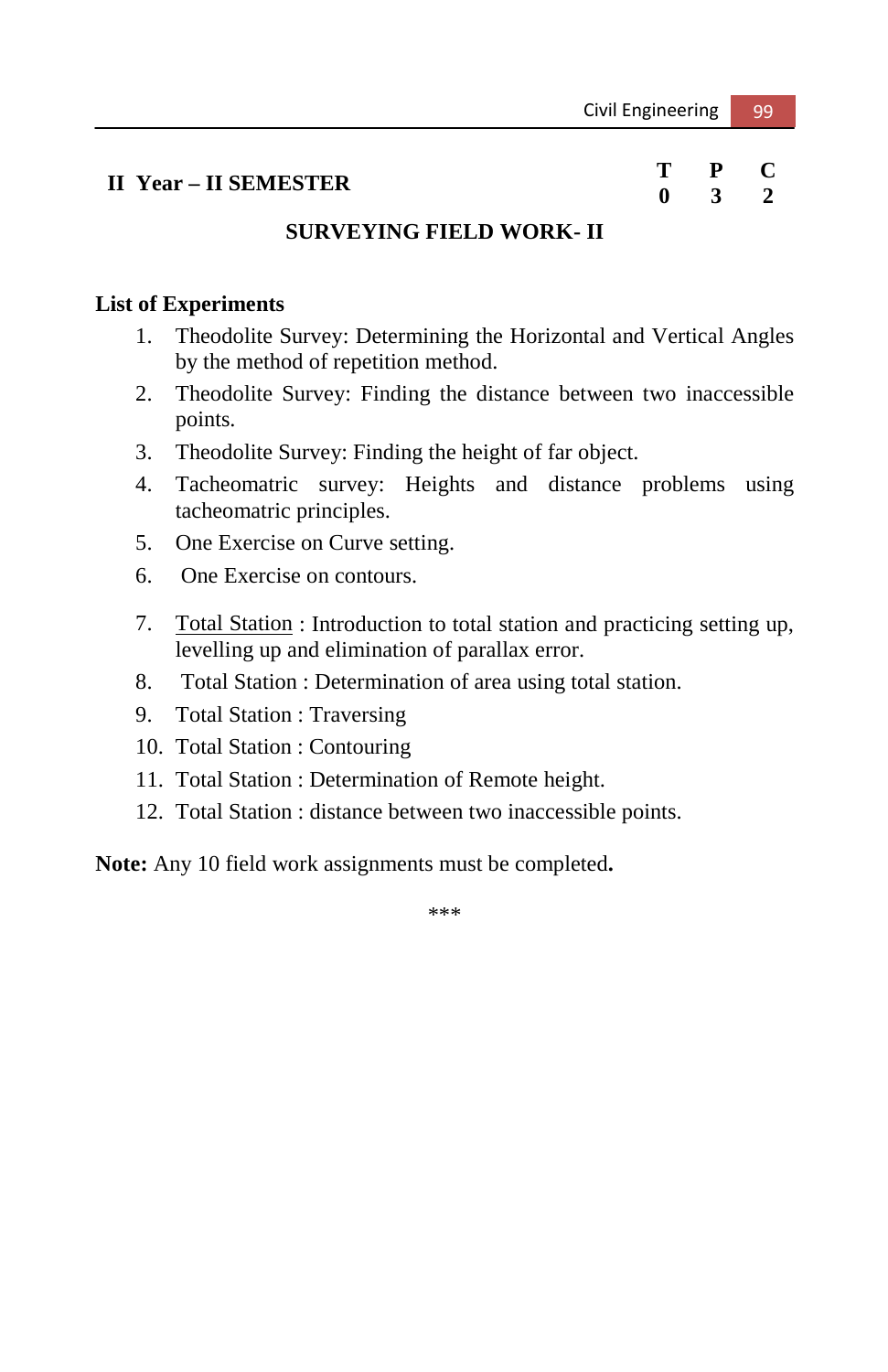# **II** Year – **II** SEMESTER **T** P C <br>0 3 2

# **0 3 2**

#### **SURVEYING FIELD WORK- II**

#### **List of Experiments**

- 1. Theodolite Survey: Determining the Horizontal and Vertical Angles by the method of repetition method.
- 2. Theodolite Survey: Finding the distance between two inaccessible points.
- 3. Theodolite Survey: Finding the height of far object.
- 4. Tacheomatric survey: Heights and distance problems using tacheomatric principles.
- 5. One Exercise on Curve setting.
- 6. One Exercise on contours.
- 7. Total Station : Introduction to total station and practicing setting up, levelling up and elimination of parallax error.
- 8. Total Station : Determination of area using total station.
- 9. Total Station : Traversing
- 10. Total Station : Contouring
- 11. Total Station : Determination of Remote height.
- 12. Total Station : distance between two inaccessible points.

**Note:** Any 10 field work assignments must be completed**.**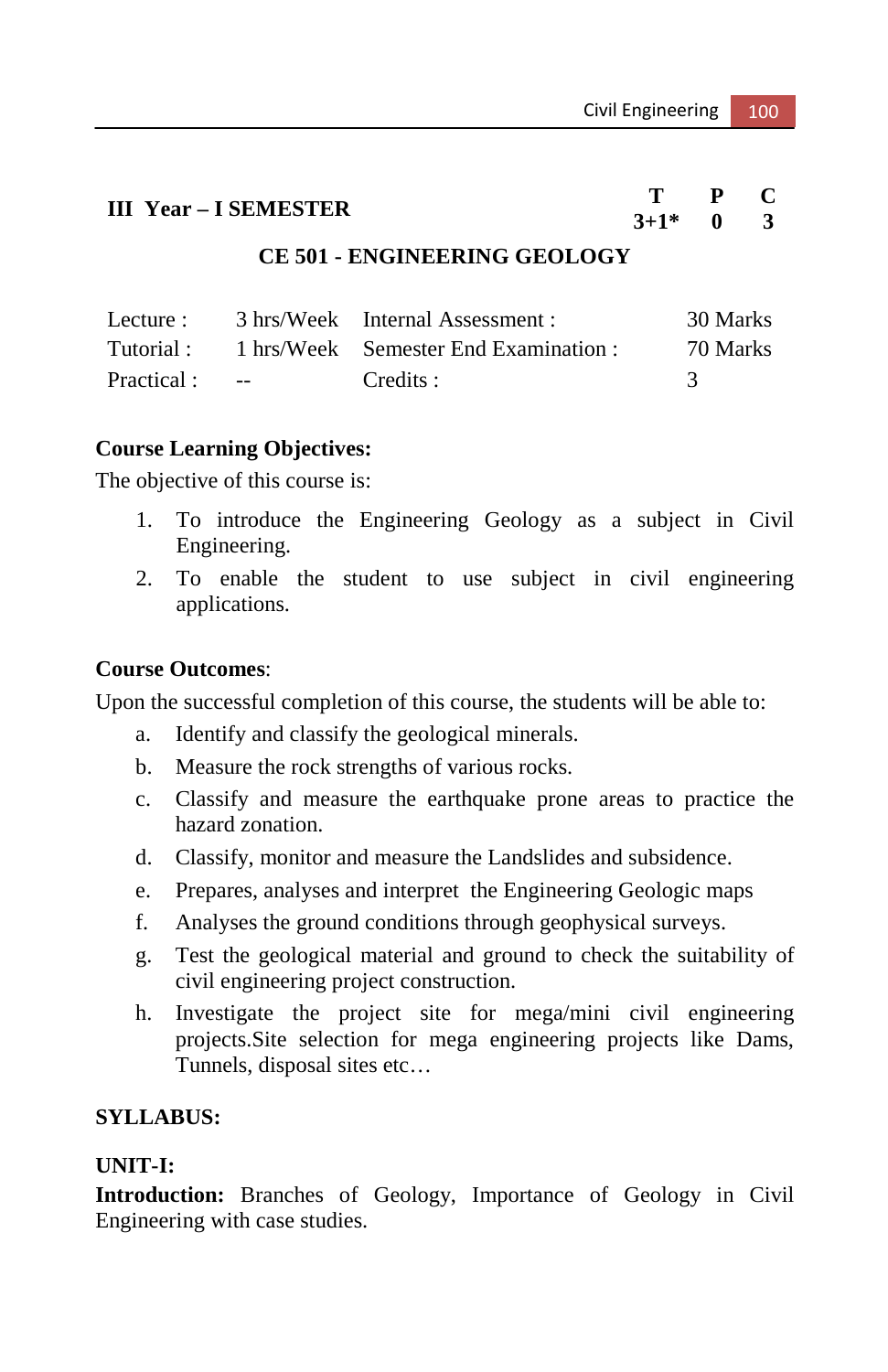|  | <b>III</b> Year – I SEMESTER |           |  |
|--|------------------------------|-----------|--|
|  |                              | $3+1^*$ 0 |  |

#### **CE 501 - ENGINEERING GEOLOGY**

| Lecture :   |                         | 3 hrs/Week Internal Assessment :      | 30 Marks |
|-------------|-------------------------|---------------------------------------|----------|
| Tutorial :  |                         | 1 hrs/Week Semester End Examination : | 70 Marks |
| Practical : | <b>Service Contract</b> | Credits :                             |          |

#### **Course Learning Objectives:**

The objective of this course is:

- 1. To introduce the Engineering Geology as a subject in Civil Engineering.
- 2. To enable the student to use subject in civil engineering applications.

#### **Course Outcomes**:

Upon the successful completion of this course, the students will be able to:

- a. Identify and classify the geological minerals.
- b. Measure the rock strengths of various rocks.
- c. Classify and measure the earthquake prone areas to practice the hazard zonation.
- d. Classify, monitor and measure the Landslides and subsidence.
- e. Prepares, analyses and interpret the Engineering Geologic maps
- f. Analyses the ground conditions through geophysical surveys.
- g. Test the geological material and ground to check the suitability of civil engineering project construction.
- h. Investigate the project site for mega/mini civil engineering projects.Site selection for mega engineering projects like Dams, Tunnels, disposal sites etc…

#### **SYLLABUS:**

#### **UNIT-I:**

**Introduction:** Branches of Geology, Importance of Geology in Civil Engineering with case studies.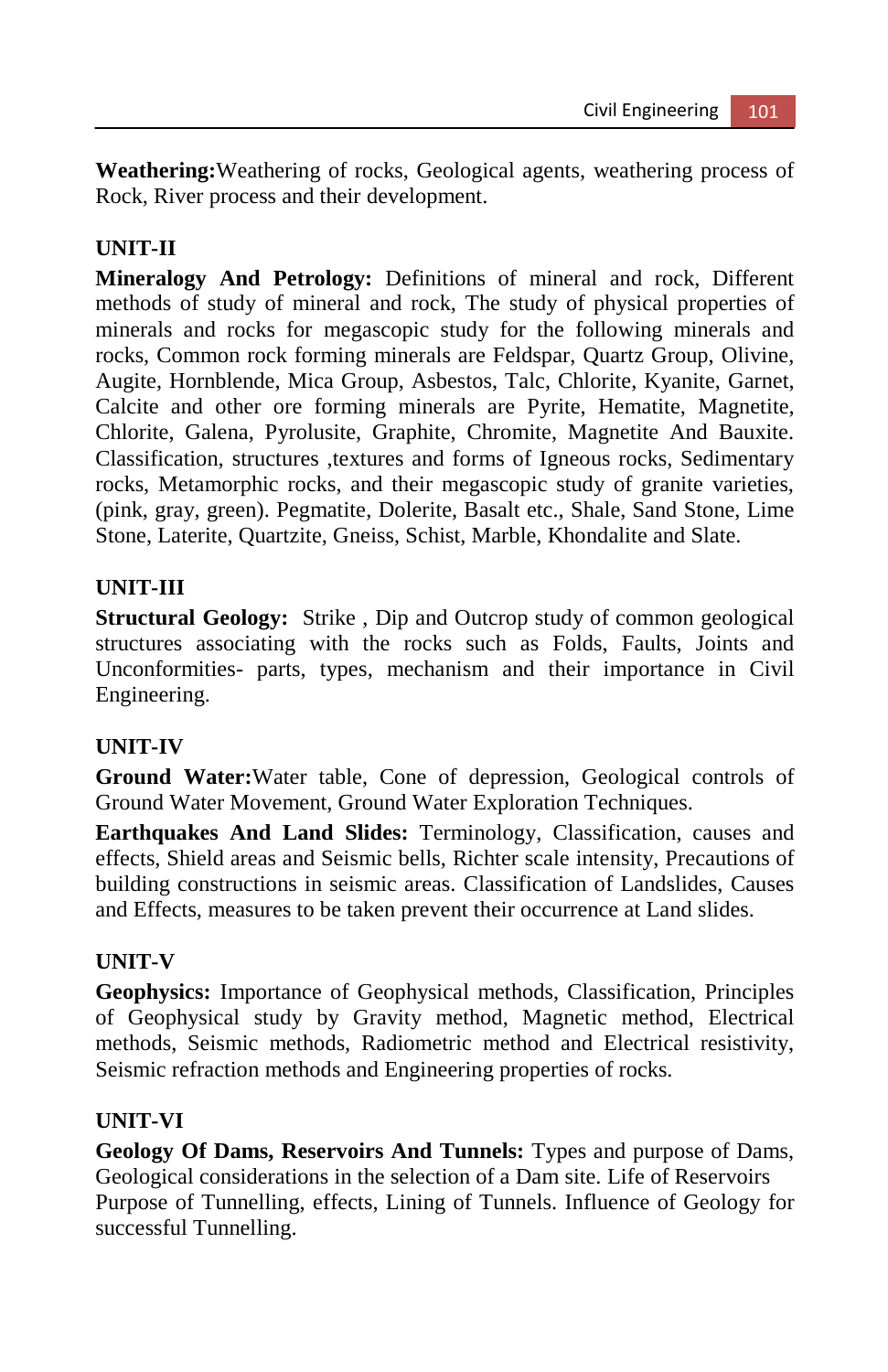**Weathering:**Weathering of rocks, Geological agents, weathering process of Rock, River process and their development.

## **UNIT-II**

**Mineralogy And Petrology:** Definitions of mineral and rock, Different methods of study of mineral and rock, The study of physical properties of minerals and rocks for megascopic study for the following minerals and rocks, Common rock forming minerals are Feldspar, Quartz Group, Olivine, Augite, Hornblende, Mica Group, Asbestos, Talc, Chlorite, Kyanite, Garnet, Calcite and other ore forming minerals are Pyrite, Hematite, Magnetite, Chlorite, Galena, Pyrolusite, Graphite, Chromite, Magnetite And Bauxite. Classification, structures ,textures and forms of Igneous rocks, Sedimentary rocks, Metamorphic rocks, and their megascopic study of granite varieties, (pink, gray, green). Pegmatite, Dolerite, Basalt etc., Shale, Sand Stone, Lime Stone, Laterite, Quartzite, Gneiss, Schist, Marble, Khondalite and Slate.

### **UNIT-III**

**Structural Geology:** Strike , Dip and Outcrop study of common geological structures associating with the rocks such as Folds, Faults, Joints and Unconformities- parts, types, mechanism and their importance in Civil Engineering.

### **UNIT-IV**

**Ground Water:**Water table, Cone of depression, Geological controls of Ground Water Movement, Ground Water Exploration Techniques.

**Earthquakes And Land Slides:** Terminology, Classification, causes and effects, Shield areas and Seismic bells, Richter scale intensity, Precautions of building constructions in seismic areas. Classification of Landslides, Causes and Effects, measures to be taken prevent their occurrence at Land slides.

## **UNIT-V**

**Geophysics:** Importance of Geophysical methods, Classification, Principles of Geophysical study by Gravity method, Magnetic method, Electrical methods, Seismic methods, Radiometric method and Electrical resistivity, Seismic refraction methods and Engineering properties of rocks.

### **UNIT-VI**

**Geology Of Dams, Reservoirs And Tunnels:** Types and purpose of Dams, Geological considerations in the selection of a Dam site. Life of Reservoirs Purpose of Tunnelling, effects, Lining of Tunnels. Influence of Geology for successful Tunnelling.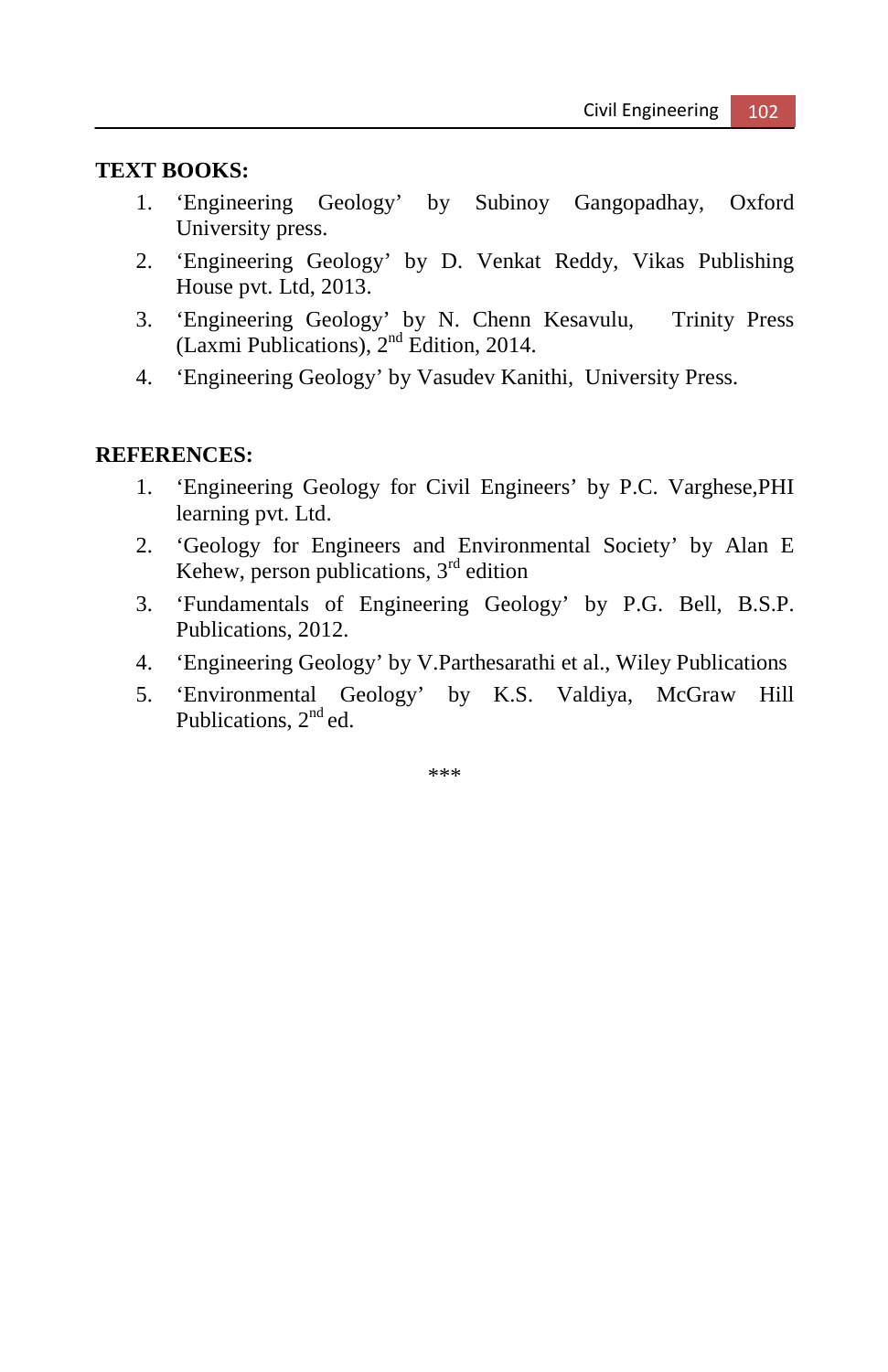#### **TEXT BOOKS:**

- 1. 'Engineering Geology' by Subinoy Gangopadhay, Oxford University press.
- 2. 'Engineering Geology' by D. Venkat Reddy, Vikas Publishing House pvt. Ltd, 2013.
- 3. 'Engineering Geology' by N. Chenn Kesavulu, Trinity Press (Laxmi Publications), 2nd Edition, 2014.
- 4. 'Engineering Geology' by Vasudev Kanithi, University Press.

#### **REFERENCES:**

- 1. 'Engineering Geology for Civil Engineers' by P.C. Varghese,PHI learning pvt. Ltd.
- 2. 'Geology for Engineers and Environmental Society' by Alan E Kehew, person publications,  $3<sup>rd</sup>$  edition
- 3. 'Fundamentals of Engineering Geology' by P.G. Bell, B.S.P. Publications, 2012.
- 4. 'Engineering Geology' by V.Parthesarathi et al., Wiley Publications
- 5. 'Environmental Geology' by K.S. Valdiya, McGraw Hill Publications, 2<sup>nd</sup> ed.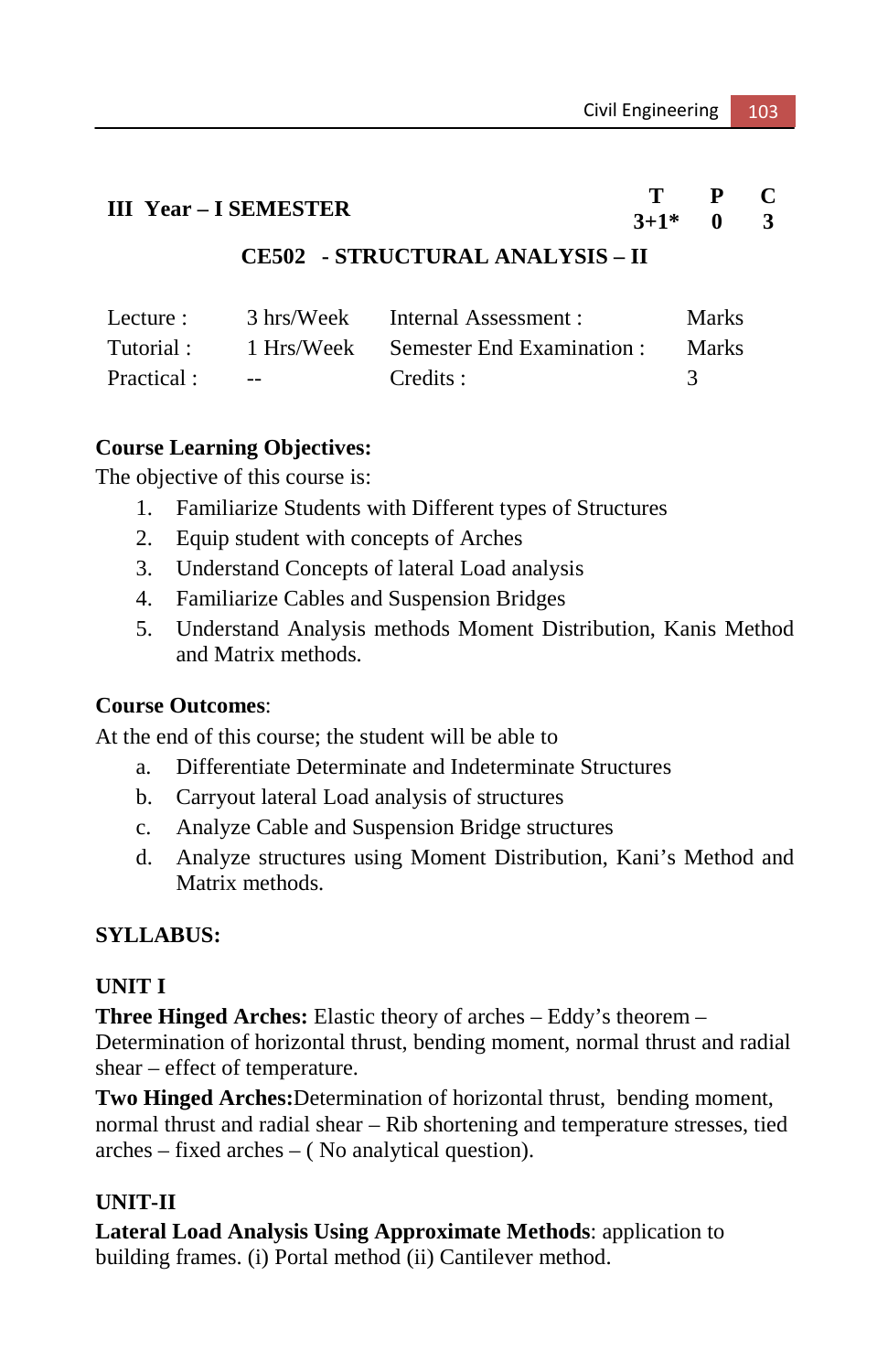## **III** Year – I SEMESTER  $\begin{array}{ccc} T & P & C \\ 3+1^* & 0 & 3 \end{array}$

 $3+1*$ 

## **CE502 - STRUCTURAL ANALYSIS – II**

| Lecture :   | 3 hrs/Week | Internal Assessment :     | <b>Marks</b> |
|-------------|------------|---------------------------|--------------|
| Tutorial :  | 1 Hrs/Week | Semester End Examination: | <b>Marks</b> |
| Practical : | $ -$       | Credits :                 |              |

#### **Course Learning Objectives:**

The objective of this course is:

- 1. Familiarize Students with Different types of Structures
- 2. Equip student with concepts of Arches
- 3. Understand Concepts of lateral Load analysis
- 4. Familiarize Cables and Suspension Bridges
- 5. Understand Analysis methods Moment Distribution, Kanis Method and Matrix methods.

#### **Course Outcomes**:

At the end of this course; the student will be able to

- a. Differentiate Determinate and Indeterminate Structures
- b. Carryout lateral Load analysis of structures
- c. Analyze Cable and Suspension Bridge structures
- d. Analyze structures using Moment Distribution, Kani's Method and Matrix methods.

### **SYLLABUS:**

#### **UNIT I**

**Three Hinged Arches:** Elastic theory of arches – Eddy's theorem – Determination of horizontal thrust, bending moment, normal thrust and radial shear – effect of temperature.

**Two Hinged Arches:**Determination of horizontal thrust, bending moment, normal thrust and radial shear – Rib shortening and temperature stresses, tied arches – fixed arches – ( No analytical question).

### **UNIT-II**

**Lateral Load Analysis Using Approximate Methods**: application to building frames. (i) Portal method (ii) Cantilever method.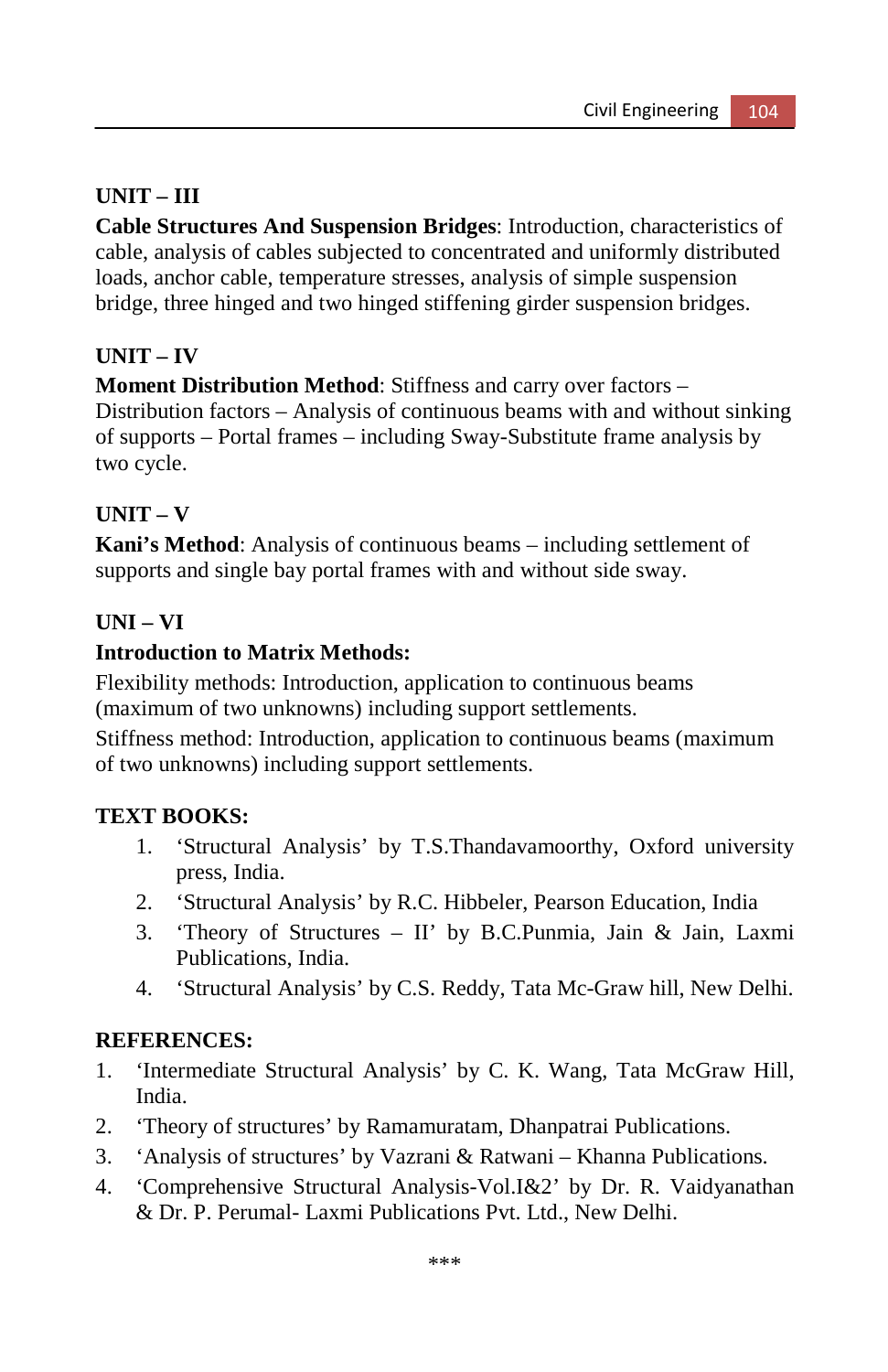## **UNIT – III**

**Cable Structures And Suspension Bridges**: Introduction, characteristics of cable, analysis of cables subjected to concentrated and uniformly distributed loads, anchor cable, temperature stresses, analysis of simple suspension bridge, three hinged and two hinged stiffening girder suspension bridges.

## **UNIT – IV**

#### **Moment Distribution Method**: Stiffness and carry over factors –

Distribution factors – Analysis of continuous beams with and without sinking of supports – Portal frames – including Sway-Substitute frame analysis by two cycle.

## **UNIT – V**

**Kani's Method**: Analysis of continuous beams – including settlement of supports and single bay portal frames with and without side sway.

## **UNI – VI**

### **Introduction to Matrix Methods:**

Flexibility methods: Introduction, application to continuous beams (maximum of two unknowns) including support settlements.

Stiffness method: Introduction, application to continuous beams (maximum of two unknowns) including support settlements.

### **TEXT BOOKS:**

- 1. 'Structural Analysis' by T.S.Thandavamoorthy, Oxford university press, India.
- 2. 'Structural Analysis' by R.C. Hibbeler, Pearson Education, India
- 3. 'Theory of Structures II' by B.C.Punmia, Jain & Jain, Laxmi Publications, India.
- 4. 'Structural Analysis' by C.S. Reddy, Tata Mc-Graw hill, New Delhi.

### **REFERENCES:**

- 1. 'Intermediate Structural Analysis' by C. K. Wang, Tata McGraw Hill, India.
- 2. 'Theory of structures' by Ramamuratam, Dhanpatrai Publications.
- 3. 'Analysis of structures' by Vazrani & Ratwani Khanna Publications.
- 4. 'Comprehensive Structural Analysis-Vol.I&2' by Dr. R. Vaidyanathan & Dr. P. Perumal- Laxmi Publications Pvt. Ltd., New Delhi.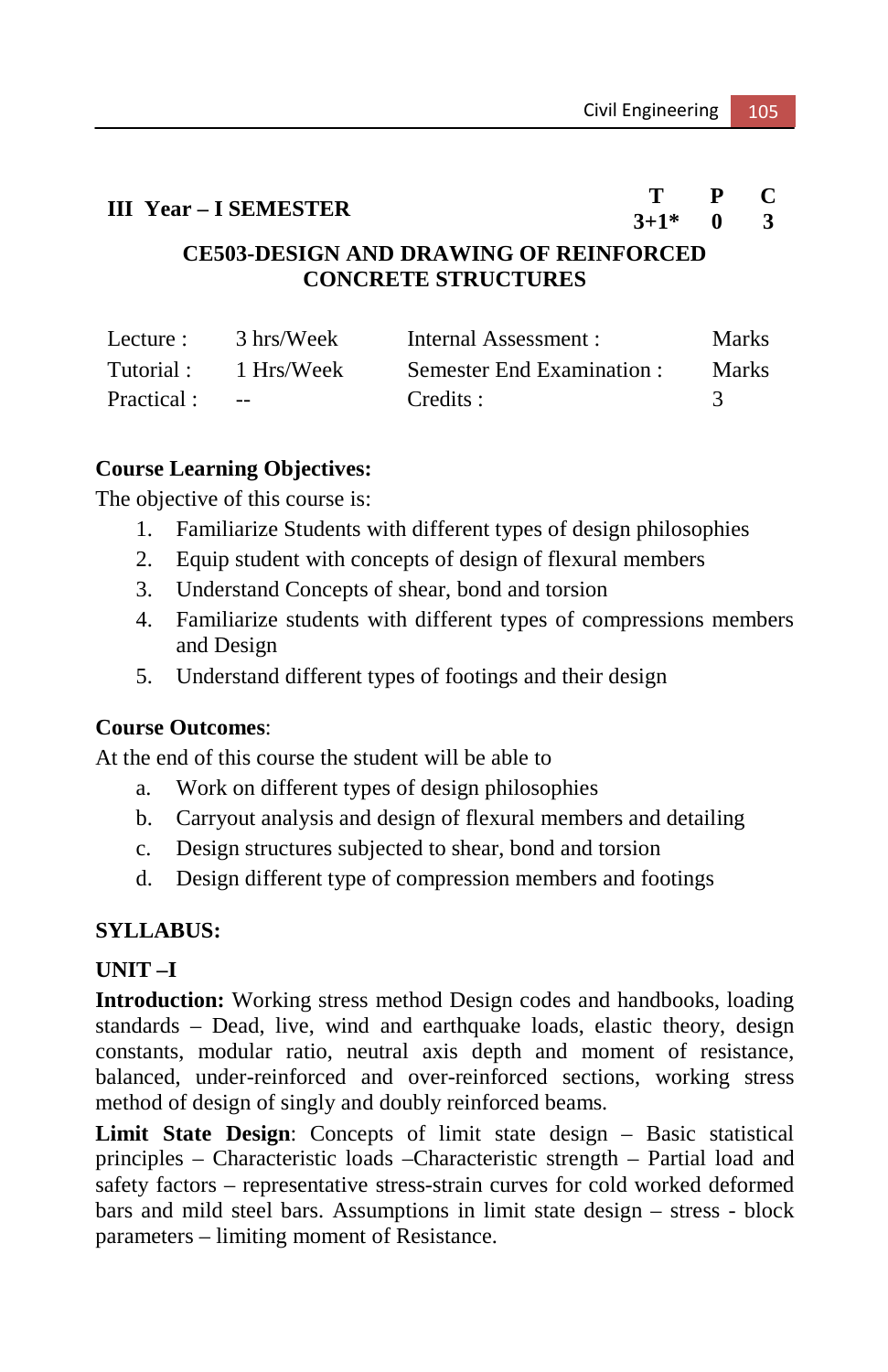## **III** Year – I SEMESTER  $\begin{array}{ccc} T & P & C \\ 3+1^* & 0 & 3 \end{array}$

 $3+1*$ 

## **CE503-DESIGN AND DRAWING OF REINFORCED CONCRETE STRUCTURES**

| Lecture :   | 3 hrs/Week                        | Internal Assessment :      | <b>Marks</b> |
|-------------|-----------------------------------|----------------------------|--------------|
| Tutorial :  | 1 Hrs/Week                        | Semester End Examination : | <b>Marks</b> |
| Practical : | <b>Contract Contract Contract</b> | Credits :                  |              |

#### **Course Learning Objectives:**

The objective of this course is:

- 1. Familiarize Students with different types of design philosophies
- 2. Equip student with concepts of design of flexural members
- 3. Understand Concepts of shear, bond and torsion
- 4. Familiarize students with different types of compressions members and Design
- 5. Understand different types of footings and their design

#### **Course Outcomes**:

At the end of this course the student will be able to

- a. Work on different types of design philosophies
- b. Carryout analysis and design of flexural members and detailing
- c. Design structures subjected to shear, bond and torsion
- d. Design different type of compression members and footings

### **SYLLABUS:**

### **UNIT –I**

**Introduction:** Working stress method Design codes and handbooks, loading standards – Dead, live, wind and earthquake loads, elastic theory, design constants, modular ratio, neutral axis depth and moment of resistance, balanced, under-reinforced and over-reinforced sections, working stress method of design of singly and doubly reinforced beams.

**Limit State Design**: Concepts of limit state design – Basic statistical principles – Characteristic loads –Characteristic strength – Partial load and safety factors – representative stress-strain curves for cold worked deformed bars and mild steel bars. Assumptions in limit state design – stress - block parameters – limiting moment of Resistance.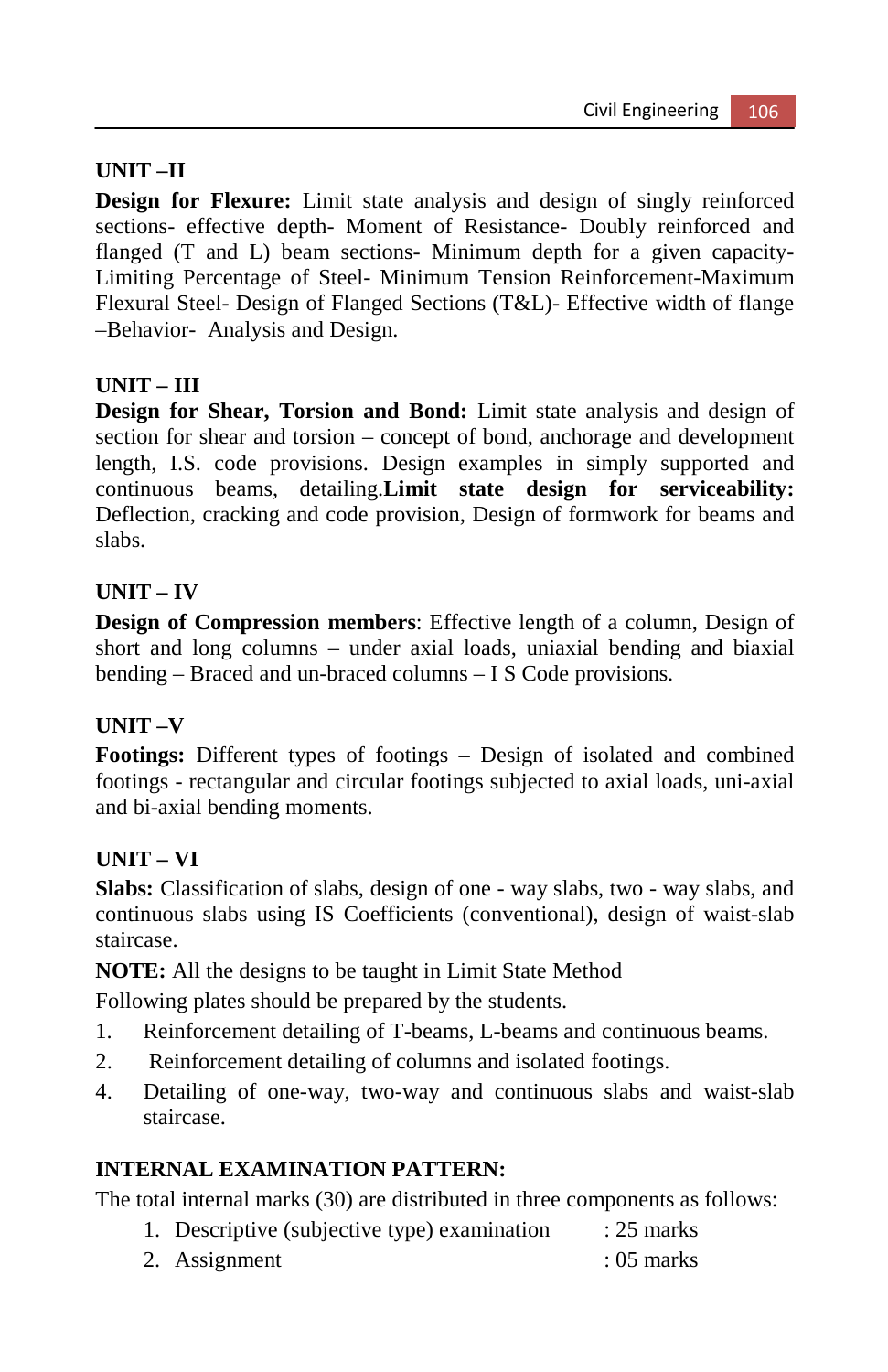## **UNIT –II**

**Design for Flexure:** Limit state analysis and design of singly reinforced sections- effective depth- Moment of Resistance- Doubly reinforced and flanged (T and L) beam sections- Minimum depth for a given capacity-Limiting Percentage of Steel- Minimum Tension Reinforcement-Maximum Flexural Steel- Design of Flanged Sections (T&L)- Effective width of flange –Behavior- Analysis and Design.

## **UNIT – III**

**Design for Shear, Torsion and Bond:** Limit state analysis and design of section for shear and torsion – concept of bond, anchorage and development length, I.S. code provisions. Design examples in simply supported and continuous beams, detailing.**Limit state design for serviceability:** Deflection, cracking and code provision, Design of formwork for beams and slabs.

### **UNIT – IV**

**Design of Compression members**: Effective length of a column, Design of short and long columns – under axial loads, uniaxial bending and biaxial bending – Braced and un-braced columns – I S Code provisions.

### **UNIT –V**

**Footings:** Different types of footings – Design of isolated and combined footings - rectangular and circular footings subjected to axial loads, uni-axial and bi-axial bending moments.

### **UNIT – VI**

**Slabs:** Classification of slabs, design of one - way slabs, two - way slabs, and continuous slabs using IS Coefficients (conventional), design of waist-slab staircase.

**NOTE:** All the designs to be taught in Limit State Method

Following plates should be prepared by the students.

- 1. Reinforcement detailing of T-beams, L-beams and continuous beams.
- 2. Reinforcement detailing of columns and isolated footings.
- 4. Detailing of one-way, two-way and continuous slabs and waist-slab staircase.

### **INTERNAL EXAMINATION PATTERN:**

The total internal marks (30) are distributed in three components as follows:

- 1. Descriptive (subjective type) examination : 25 marks
- 2. Assignment : 05 marks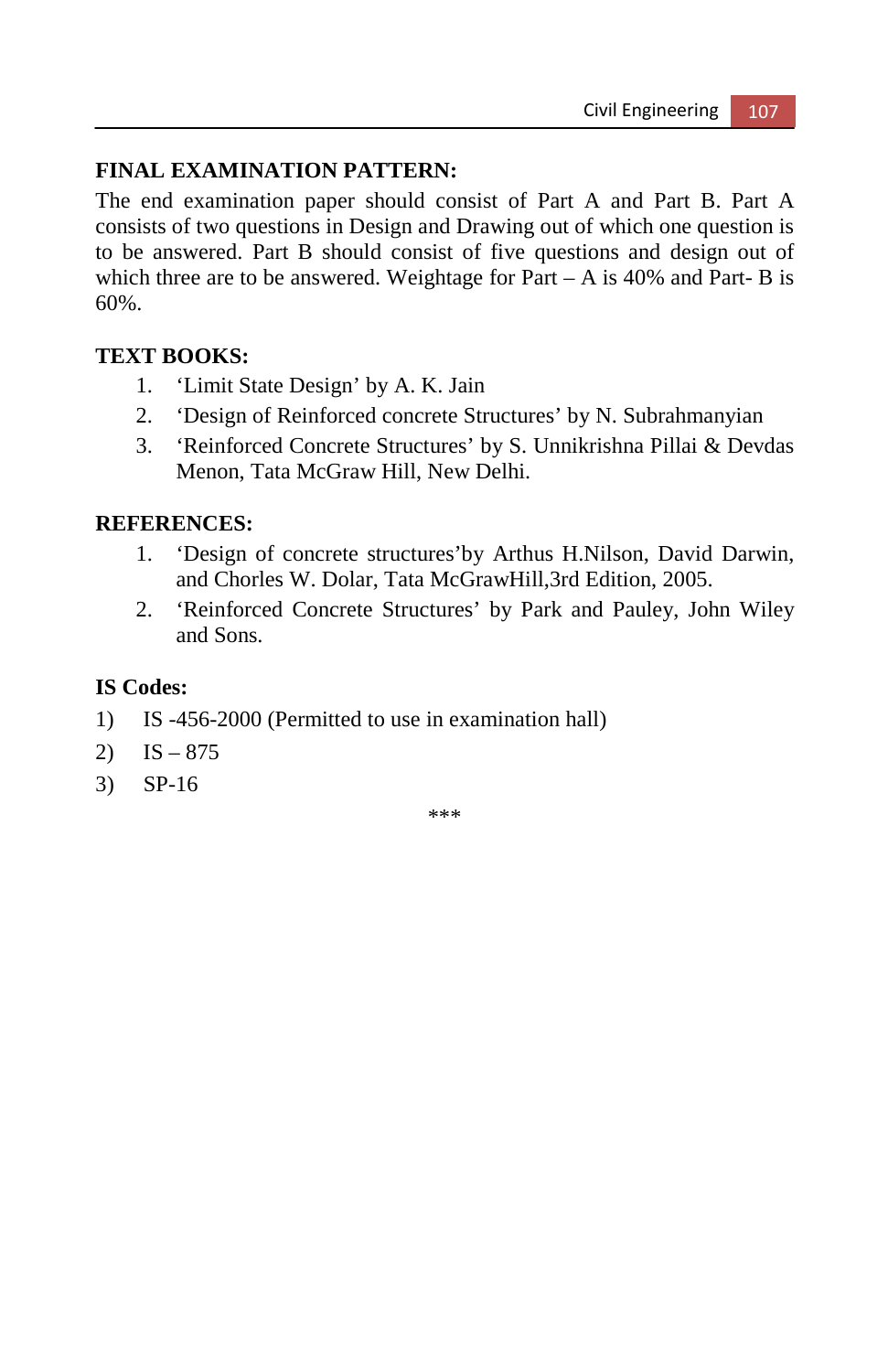## **FINAL EXAMINATION PATTERN:**

The end examination paper should consist of Part A and Part B. Part A consists of two questions in Design and Drawing out of which one question is to be answered. Part B should consist of five questions and design out of which three are to be answered. Weightage for  $Part - A$  is 40% and Part-B is 60%.

## **TEXT BOOKS:**

- 1. 'Limit State Design' by A. K. Jain
- 2. 'Design of Reinforced concrete Structures' by N. Subrahmanyian
- 3. 'Reinforced Concrete Structures' by S. Unnikrishna Pillai & Devdas Menon, Tata McGraw Hill, New Delhi.

## **REFERENCES:**

- 1. 'Design of concrete structures'by Arthus H.Nilson, David Darwin, and Chorles W. Dolar, Tata McGrawHill,3rd Edition, 2005.
- 2. 'Reinforced Concrete Structures' by Park and Pauley, John Wiley and Sons.

## **IS Codes:**

- 1) IS -456-2000 (Permitted to use in examination hall)
- 2)  $IS 875$
- 3) SP-16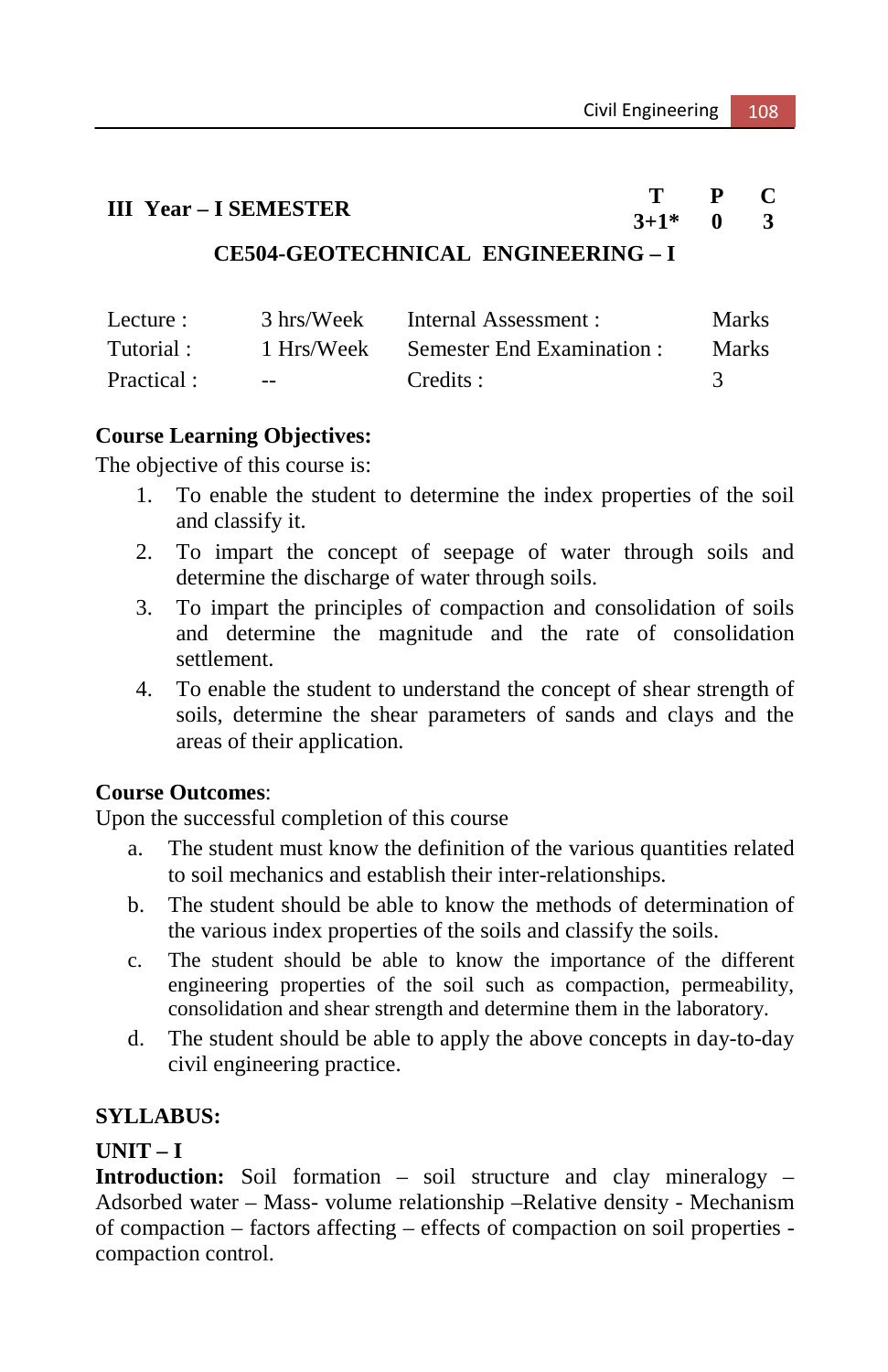# **III** Year – I SEMESTER  $\begin{array}{ccc} T & P & C \\ 3+1^* & 0 & 3 \end{array}$

 $3+1*$ 

## **CE504-GEOTECHNICAL ENGINEERING – I**

| Lecture :   | 3 hrs/Week | Internal Assessment :      | <b>Marks</b> |
|-------------|------------|----------------------------|--------------|
| Tutorial:   | 1 Hrs/Week | Semester End Examination : | <b>Marks</b> |
| Practical : | $-1$       | Credits :                  |              |

## **Course Learning Objectives:**

The objective of this course is:

- 1. To enable the student to determine the index properties of the soil and classify it.
- 2. To impart the concept of seepage of water through soils and determine the discharge of water through soils.
- 3. To impart the principles of compaction and consolidation of soils and determine the magnitude and the rate of consolidation settlement.
- 4. To enable the student to understand the concept of shear strength of soils, determine the shear parameters of sands and clays and the areas of their application.

## **Course Outcomes**:

Upon the successful completion of this course

- a. The student must know the definition of the various quantities related to soil mechanics and establish their inter-relationships.
- b. The student should be able to know the methods of determination of the various index properties of the soils and classify the soils.
- c. The student should be able to know the importance of the different engineering properties of the soil such as compaction, permeability, consolidation and shear strength and determine them in the laboratory.
- d. The student should be able to apply the above concepts in day-to-day civil engineering practice.

## **SYLLABUS:**

## **UNIT – I**

**Introduction:** Soil formation – soil structure and clay mineralogy – Adsorbed water – Mass- volume relationship –Relative density - Mechanism of compaction – factors affecting – effects of compaction on soil properties compaction control.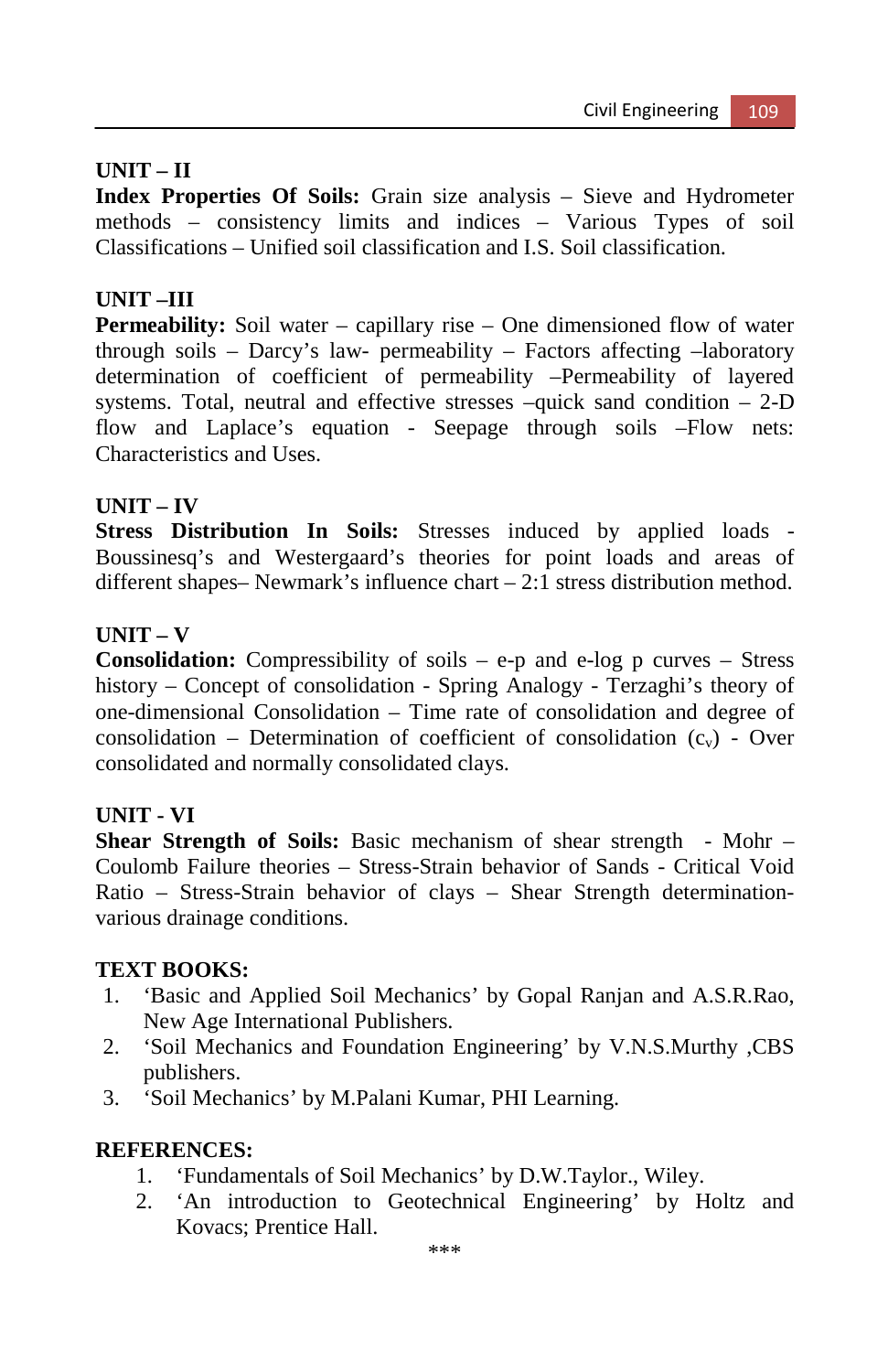# **UNIT – II**

**Index Properties Of Soils:** Grain size analysis – Sieve and Hydrometer methods – consistency limits and indices – Various Types of soil Classifications – Unified soil classification and I.S. Soil classification.

# **UNIT –III**

**Permeability:** Soil water – capillary rise – One dimensioned flow of water through soils – Darcy's law- permeability – Factors affecting –laboratory determination of coefficient of permeability –Permeability of layered systems. Total, neutral and effective stresses –quick sand condition – 2-D flow and Laplace's equation - Seepage through soils -Flow nets: Characteristics and Uses.

# **UNIT – IV**

**Stress Distribution In Soils:** Stresses induced by applied loads - Boussinesq's and Westergaard's theories for point loads and areas of different shapes– Newmark's influence chart – 2:1 stress distribution method.

# **UNIT – V**

**Consolidation:** Compressibility of soils – e-p and e-log p curves – Stress history – Concept of consolidation - Spring Analogy - Terzaghi's theory of one-dimensional Consolidation – Time rate of consolidation and degree of consolidation – Determination of coefficient of consolidation  $(c_v)$  - Over consolidated and normally consolidated clays.

# **UNIT - VI**

**Shear Strength of Soils:** Basic mechanism of shear strength - Mohr – Coulomb Failure theories – Stress-Strain behavior of Sands - Critical Void Ratio – Stress-Strain behavior of clays – Shear Strength determinationvarious drainage conditions.

# **TEXT BOOKS:**

- 1. 'Basic and Applied Soil Mechanics' by Gopal Ranjan and A.S.R.Rao, New Age International Publishers.
- 2. 'Soil Mechanics and Foundation Engineering' by V.N.S.Murthy ,CBS publishers.
- 3. 'Soil Mechanics' by M.Palani Kumar, PHI Learning.

# **REFERENCES:**

- 1. 'Fundamentals of Soil Mechanics' by D.W.Taylor., Wiley.
- 2. 'An introduction to Geotechnical Engineering' by Holtz and Kovacs; Prentice Hall.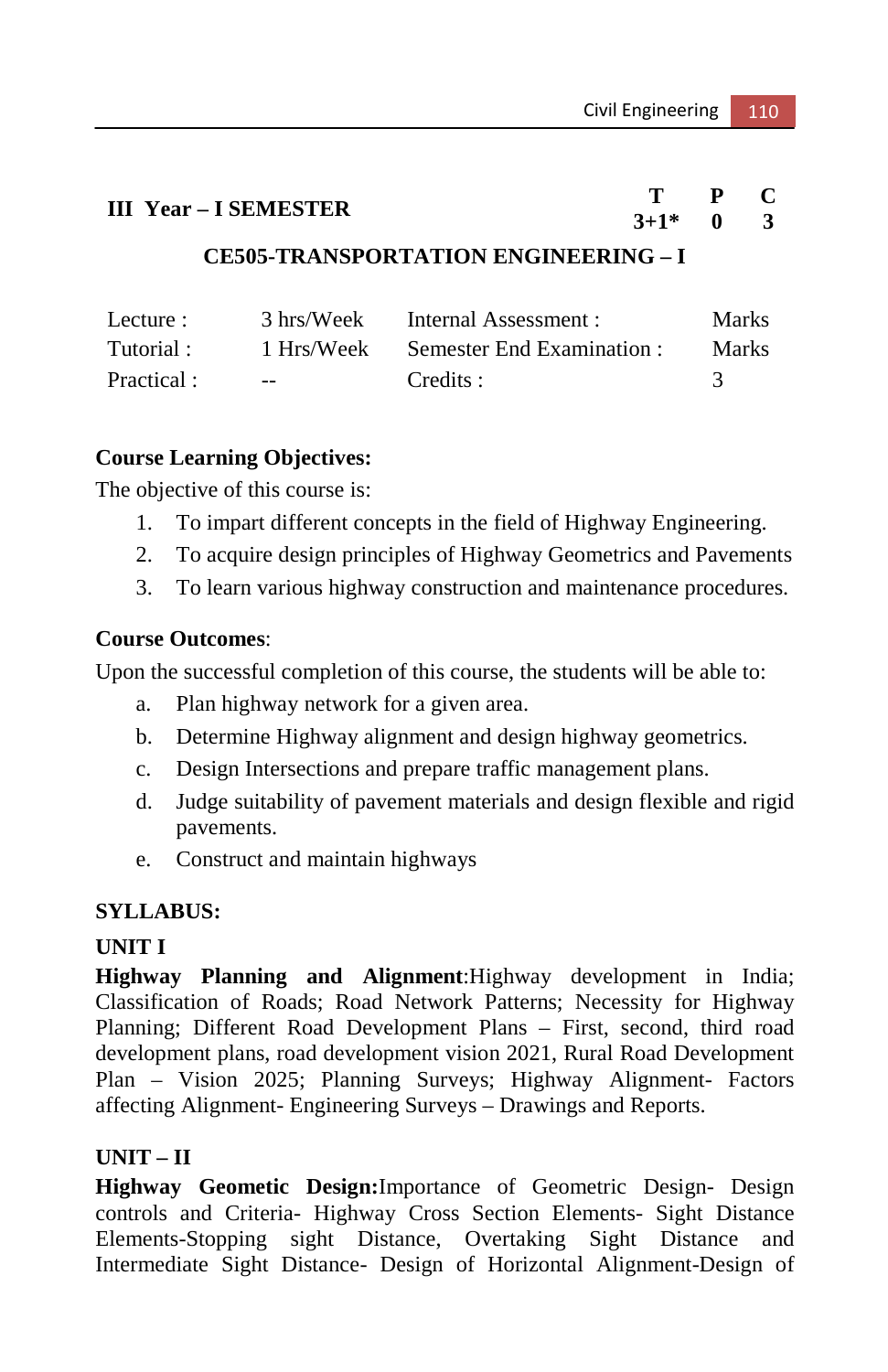# **III** Year – I SEMESTER  $\begin{array}{ccc} T & P & C \\ 3+1^* & 0 & 3 \end{array}$

 $3+1*$ 

# **CE505-TRANSPORTATION ENGINEERING – I**

| Lecture :   | 3 hrs/Week | Internal Assessment :      | <b>Marks</b> |
|-------------|------------|----------------------------|--------------|
| Tutorial:   | 1 Hrs/Week | Semester End Examination : | <b>Marks</b> |
| Practical : | $- -$      | Credits :                  |              |

### **Course Learning Objectives:**

The objective of this course is:

- 1. To impart different concepts in the field of Highway Engineering.
- 2. To acquire design principles of Highway Geometrics and Pavements
- 3. To learn various highway construction and maintenance procedures.

#### **Course Outcomes**:

Upon the successful completion of this course, the students will be able to:

- a. Plan highway network for a given area.
- b. Determine Highway alignment and design highway geometrics.
- c. Design Intersections and prepare traffic management plans.
- d. Judge suitability of pavement materials and design flexible and rigid pavements.
- e. Construct and maintain highways

#### **SYLLABUS:**

#### **UNIT I**

**Highway Planning and Alignment**:Highway development in India; Classification of Roads; Road Network Patterns; Necessity for Highway Planning; Different Road Development Plans – First, second, third road development plans, road development vision 2021, Rural Road Development Plan – Vision 2025; Planning Surveys; Highway Alignment- Factors affecting Alignment- Engineering Surveys – Drawings and Reports.

#### **UNIT – II**

**Highway Geometic Design:**Importance of Geometric Design- Design controls and Criteria- Highway Cross Section Elements- Sight Distance Elements-Stopping sight Distance, Overtaking Sight Distance and Intermediate Sight Distance- Design of Horizontal Alignment-Design of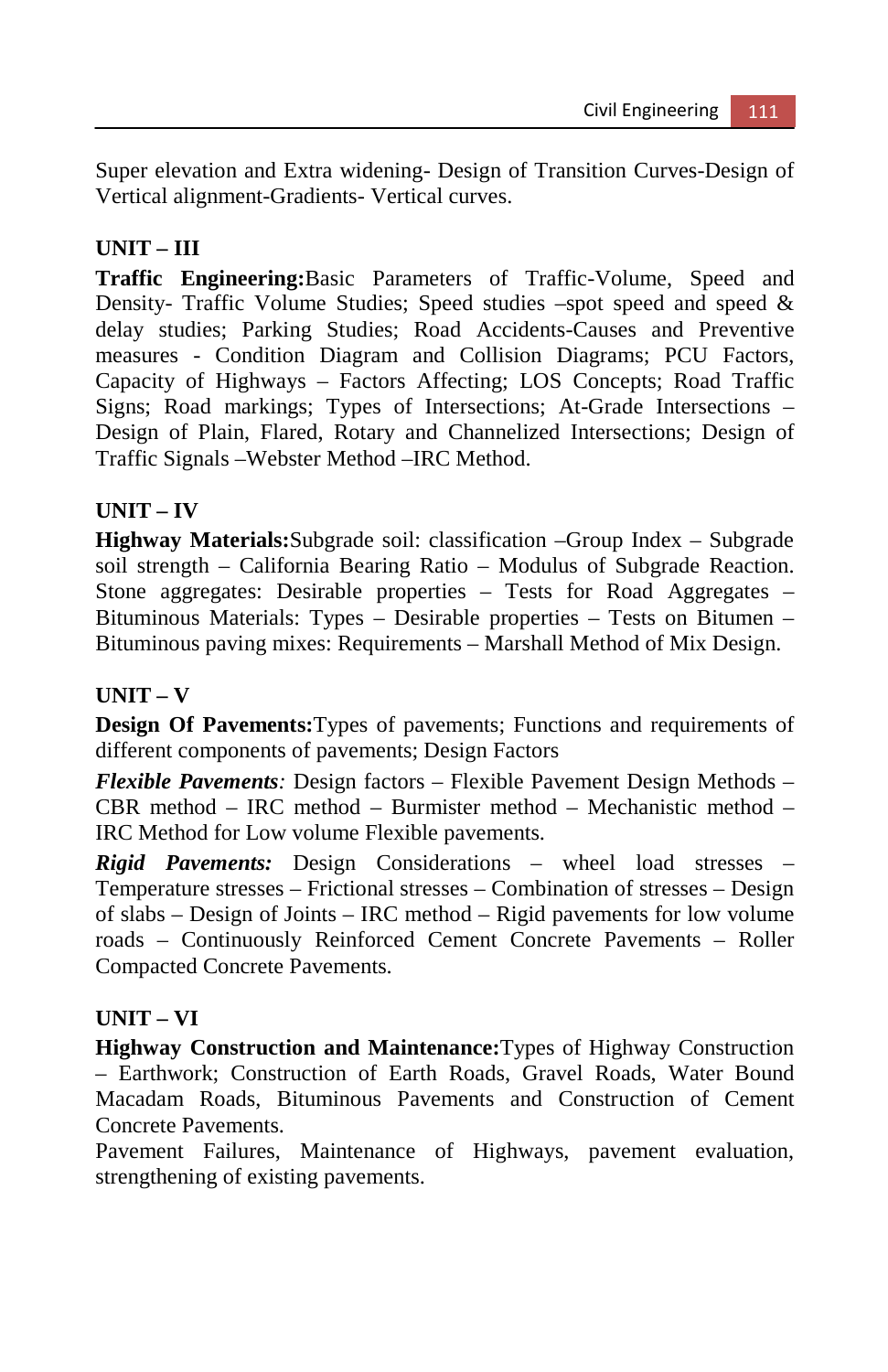Super elevation and Extra widening- Design of Transition Curves-Design of Vertical alignment-Gradients- Vertical curves.

# **UNIT – III**

**Traffic Engineering:**Basic Parameters of Traffic-Volume, Speed and Density- Traffic Volume Studies; Speed studies –spot speed and speed & delay studies; Parking Studies; Road Accidents-Causes and Preventive measures - Condition Diagram and Collision Diagrams; PCU Factors, Capacity of Highways – Factors Affecting; LOS Concepts; Road Traffic Signs; Road markings; Types of Intersections; At-Grade Intersections – Design of Plain, Flared, Rotary and Channelized Intersections; Design of Traffic Signals –Webster Method –IRC Method.

# **UNIT – IV**

**Highway Materials:**Subgrade soil: classification –Group Index – Subgrade soil strength – California Bearing Ratio – Modulus of Subgrade Reaction. Stone aggregates: Desirable properties – Tests for Road Aggregates – Bituminous Materials: Types – Desirable properties – Tests on Bitumen – Bituminous paving mixes: Requirements – Marshall Method of Mix Design.

# **UNIT – V**

**Design Of Pavements:**Types of pavements; Functions and requirements of different components of pavements; Design Factors

*Flexible Pavements:* Design factors – Flexible Pavement Design Methods – CBR method – IRC method – Burmister method – Mechanistic method – IRC Method for Low volume Flexible pavements.

*Rigid Pavements:* Design Considerations – wheel load stresses – Temperature stresses – Frictional stresses – Combination of stresses – Design of slabs – Design of Joints – IRC method – Rigid pavements for low volume roads – Continuously Reinforced Cement Concrete Pavements – Roller Compacted Concrete Pavements.

# **UNIT – VI**

**Highway Construction and Maintenance:**Types of Highway Construction – Earthwork; Construction of Earth Roads, Gravel Roads, Water Bound Macadam Roads, Bituminous Pavements and Construction of Cement Concrete Pavements.

Pavement Failures, Maintenance of Highways, pavement evaluation, strengthening of existing pavements.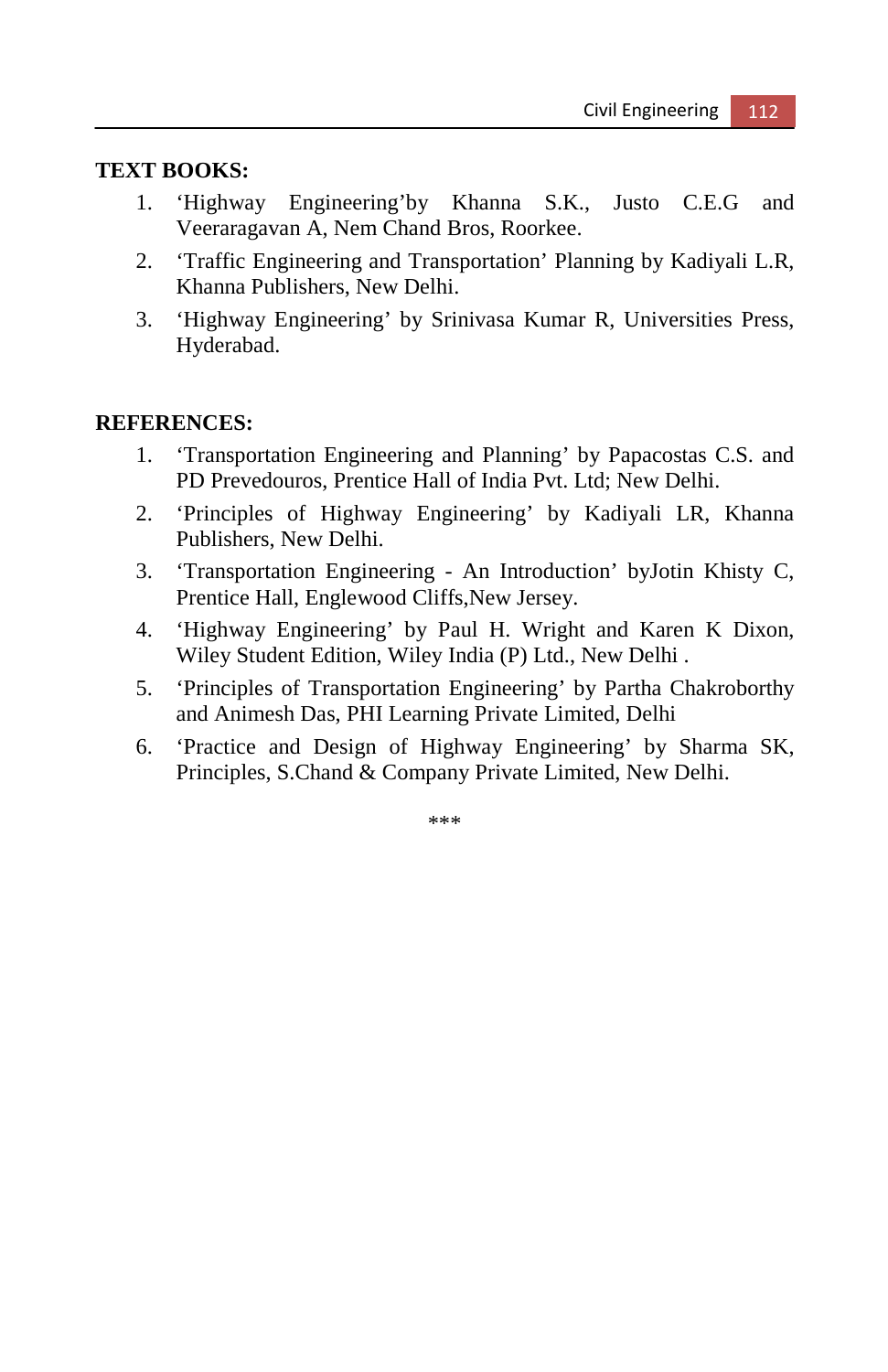### **TEXT BOOKS:**

- 1. 'Highway Engineering'by Khanna S.K., Justo C.E.G and Veeraragavan A, Nem Chand Bros, Roorkee.
- 2. 'Traffic Engineering and Transportation' Planning by Kadiyali L.R, Khanna Publishers, New Delhi.
- 3. 'Highway Engineering' by Srinivasa Kumar R, Universities Press, Hyderabad.

#### **REFERENCES:**

- 1. 'Transportation Engineering and Planning' by Papacostas C.S. and PD Prevedouros, Prentice Hall of India Pvt. Ltd; New Delhi.
- 2. 'Principles of Highway Engineering' by Kadiyali LR, Khanna Publishers, New Delhi.
- 3. 'Transportation Engineering An Introduction' byJotin Khisty C, Prentice Hall, Englewood Cliffs,New Jersey.
- 4. 'Highway Engineering' by Paul H. Wright and Karen K Dixon, Wiley Student Edition, Wiley India (P) Ltd., New Delhi .
- 5. 'Principles of Transportation Engineering' by Partha Chakroborthy and Animesh Das, PHI Learning Private Limited, Delhi
- 6. 'Practice and Design of Highway Engineering' by Sharma SK, Principles, S.Chand & Company Private Limited, New Delhi.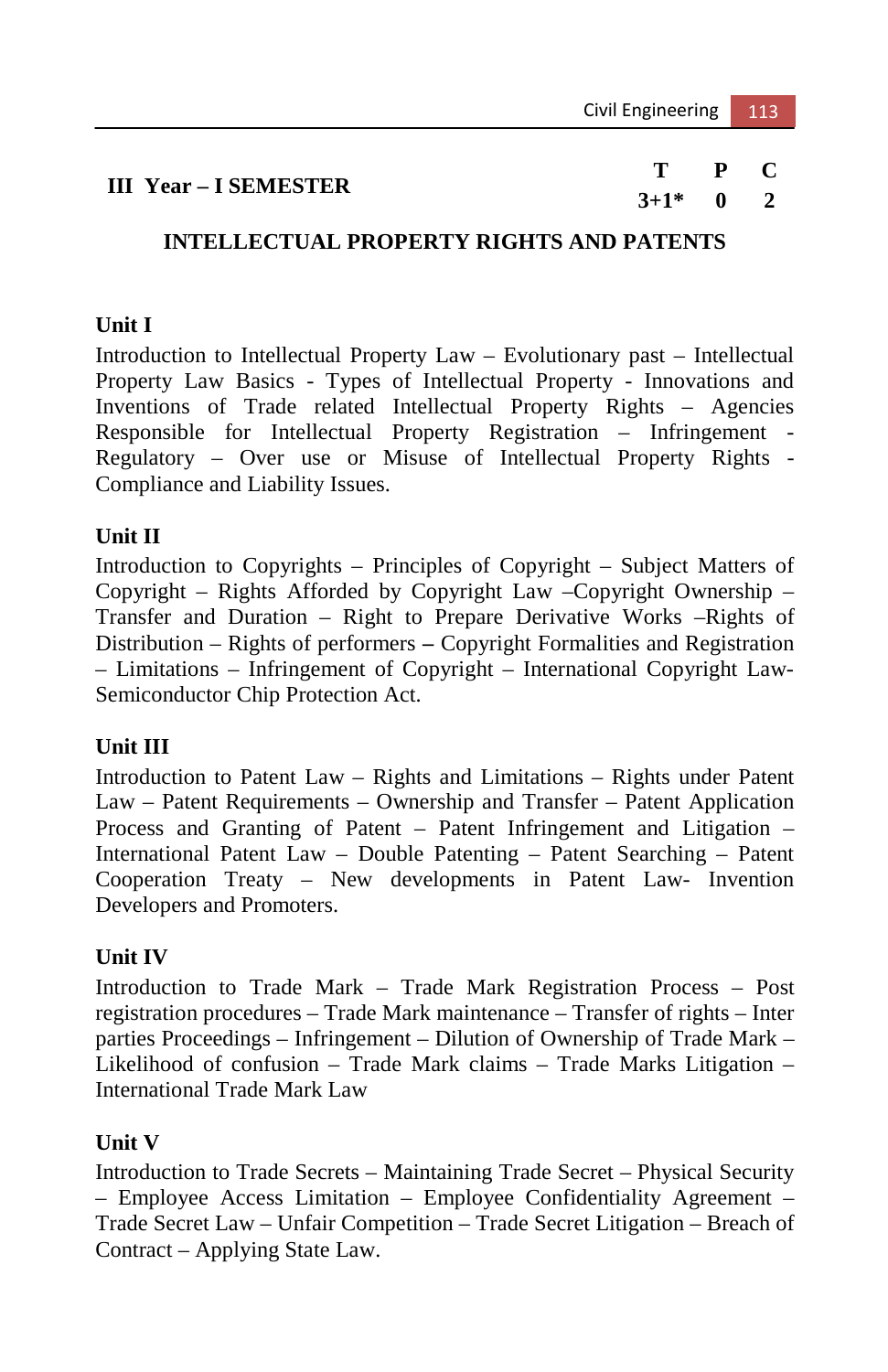| <b>III</b> Year – I SEMESTER |          |  |
|------------------------------|----------|--|
|                              | $3+1*$ 0 |  |

#### **INTELLECTUAL PROPERTY RIGHTS AND PATENTS**

#### **Unit I**

Introduction to Intellectual Property Law – Evolutionary past – Intellectual Property Law Basics - Types of Intellectual Property - Innovations and Inventions of Trade related Intellectual Property Rights – Agencies Responsible for Intellectual Property Registration – Infringement - Regulatory – Over use or Misuse of Intellectual Property Rights - Compliance and Liability Issues.

#### **Unit II**

Introduction to Copyrights – Principles of Copyright – Subject Matters of Copyright – Rights Afforded by Copyright Law –Copyright Ownership – Transfer and Duration – Right to Prepare Derivative Works –Rights of Distribution – Rights of performers **–** Copyright Formalities and Registration – Limitations – Infringement of Copyright – International Copyright Law-Semiconductor Chip Protection Act.

#### **Unit III**

Introduction to Patent Law – Rights and Limitations – Rights under Patent Law – Patent Requirements – Ownership and Transfer – Patent Application Process and Granting of Patent – Patent Infringement and Litigation – International Patent Law – Double Patenting – Patent Searching – Patent Cooperation Treaty – New developments in Patent Law- Invention Developers and Promoters.

#### **Unit IV**

Introduction to Trade Mark – Trade Mark Registration Process – Post registration procedures – Trade Mark maintenance – Transfer of rights – Inter parties Proceedings – Infringement – Dilution of Ownership of Trade Mark – Likelihood of confusion – Trade Mark claims – Trade Marks Litigation – International Trade Mark Law

#### **Unit V**

Introduction to Trade Secrets – Maintaining Trade Secret – Physical Security – Employee Access Limitation – Employee Confidentiality Agreement – Trade Secret Law – Unfair Competition – Trade Secret Litigation – Breach of Contract – Applying State Law.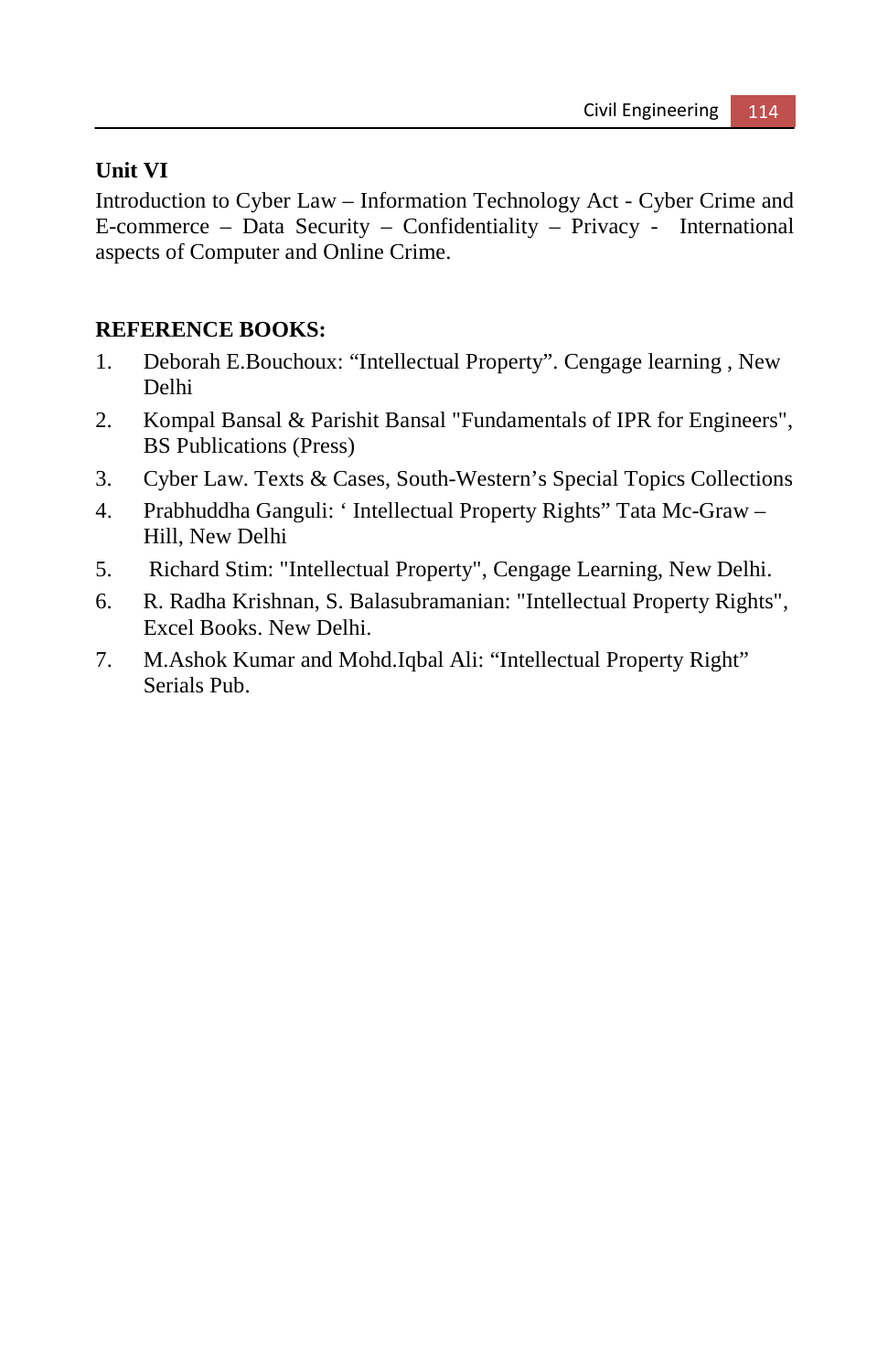### **Unit VI**

Introduction to Cyber Law – Information Technology Act - Cyber Crime and E-commerce – Data Security – Confidentiality – Privacy - International aspects of Computer and Online Crime.

#### **REFERENCE BOOKS:**

- 1. Deborah E.Bouchoux: "Intellectual Property". Cengage learning , New Delhi
- 2. Kompal Bansal & Parishit Bansal "Fundamentals of IPR for Engineers", BS Publications (Press)
- 3. Cyber Law. Texts & Cases, South-Western's Special Topics Collections
- 4. Prabhuddha Ganguli: ' Intellectual Property Rights" Tata Mc-Graw Hill, New Delhi
- 5. Richard Stim: "Intellectual Property", Cengage Learning, New Delhi.
- 6. R. Radha Krishnan, S. Balasubramanian: "Intellectual Property Rights", Excel Books. New Delhi.
- 7. M.Ashok Kumar and Mohd.Iqbal Ali: "Intellectual Property Right" Serials Pub.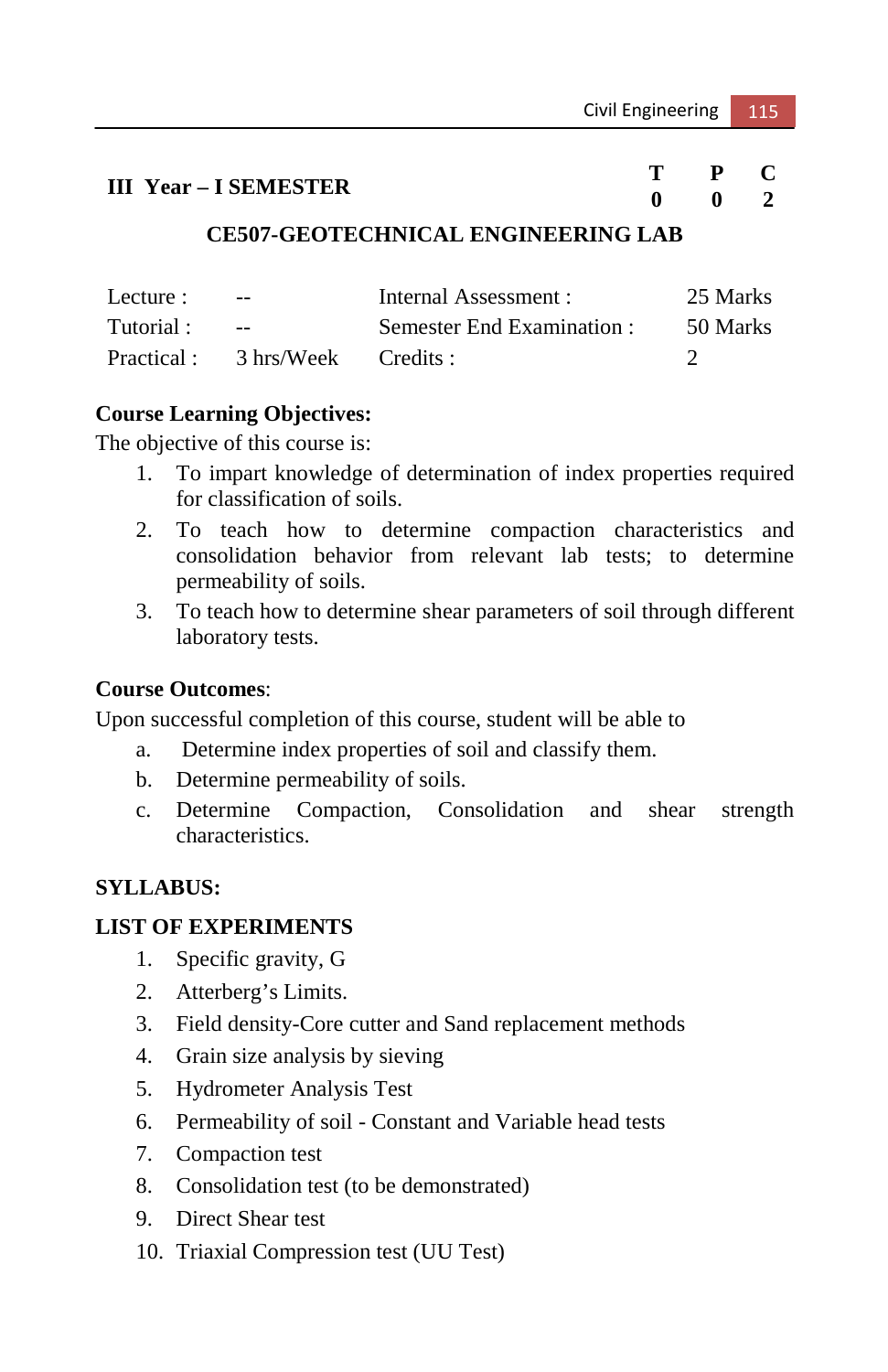# **III** Year – I SEMESTER  $\begin{array}{ccc} T & P & C \\ 0 & 0 & 2 \end{array}$

**0 0 2** 

### **CE507-GEOTECHNICAL ENGINEERING LAB**

| Lecture :   | $- -$               | Internal Assessment:       | 25 Marks |
|-------------|---------------------|----------------------------|----------|
| Tutorial:   | $\sim$ $\sim$       | Semester End Examination : | 50 Marks |
| Practical : | 3 hrs/Week Credits: |                            |          |

#### **Course Learning Objectives:**

The objective of this course is:

- 1. To impart knowledge of determination of index properties required for classification of soils.
- 2. To teach how to determine compaction characteristics and consolidation behavior from relevant lab tests; to determine permeability of soils.
- 3. To teach how to determine shear parameters of soil through different laboratory tests.

#### **Course Outcomes**:

Upon successful completion of this course, student will be able to

- a. Determine index properties of soil and classify them.
- b. Determine permeability of soils.
- c. Determine Compaction, Consolidation and shear strength characteristics.

#### **SYLLABUS:**

#### **LIST OF EXPERIMENTS**

- 1. Specific gravity, G
- 2. Atterberg's Limits.
- 3. Field density-Core cutter and Sand replacement methods
- 4. Grain size analysis by sieving
- 5. Hydrometer Analysis Test
- 6. Permeability of soil Constant and Variable head tests
- 7. Compaction test
- 8. Consolidation test (to be demonstrated)
- 9. Direct Shear test
- 10. Triaxial Compression test (UU Test)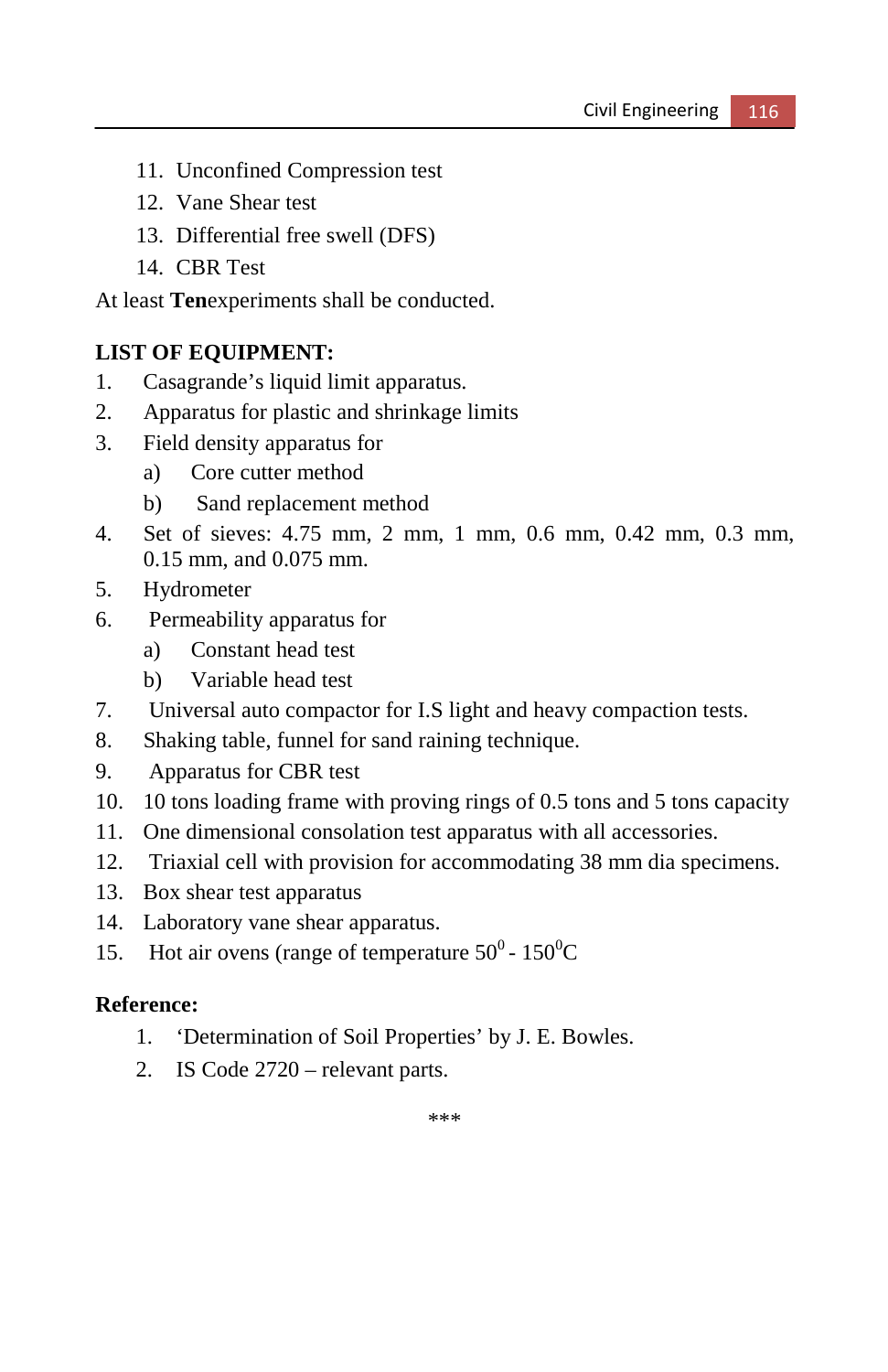- 11. Unconfined Compression test
- 12. Vane Shear test
- 13. Differential free swell (DFS)
- 14. CBR Test

At least **Ten**experiments shall be conducted.

# **LIST OF EQUIPMENT:**

- 1. Casagrande's liquid limit apparatus.
- 2. Apparatus for plastic and shrinkage limits
- 3. Field density apparatus for
	- a) Core cutter method
	- b) Sand replacement method
- 4. Set of sieves: 4.75 mm, 2 mm, 1 mm, 0.6 mm, 0.42 mm, 0.3 mm, 0.15 mm, and 0.075 mm.
- 5. Hydrometer
- 6. Permeability apparatus for
	- a) Constant head test
	- b) Variable head test
- 7. Universal auto compactor for I.S light and heavy compaction tests.
- 8. Shaking table, funnel for sand raining technique.
- 9. Apparatus for CBR test
- 10. 10 tons loading frame with proving rings of 0.5 tons and 5 tons capacity
- 11. One dimensional consolation test apparatus with all accessories.
- 12. Triaxial cell with provision for accommodating 38 mm dia specimens.
- 13. Box shear test apparatus
- 14. Laboratory vane shear apparatus.
- 15. Hot air ovens (range of temperature  $50^0$   $150^0$ C

#### **Reference:**

- 1. 'Determination of Soil Properties' by J. E. Bowles.
- 2. IS Code 2720 relevant parts.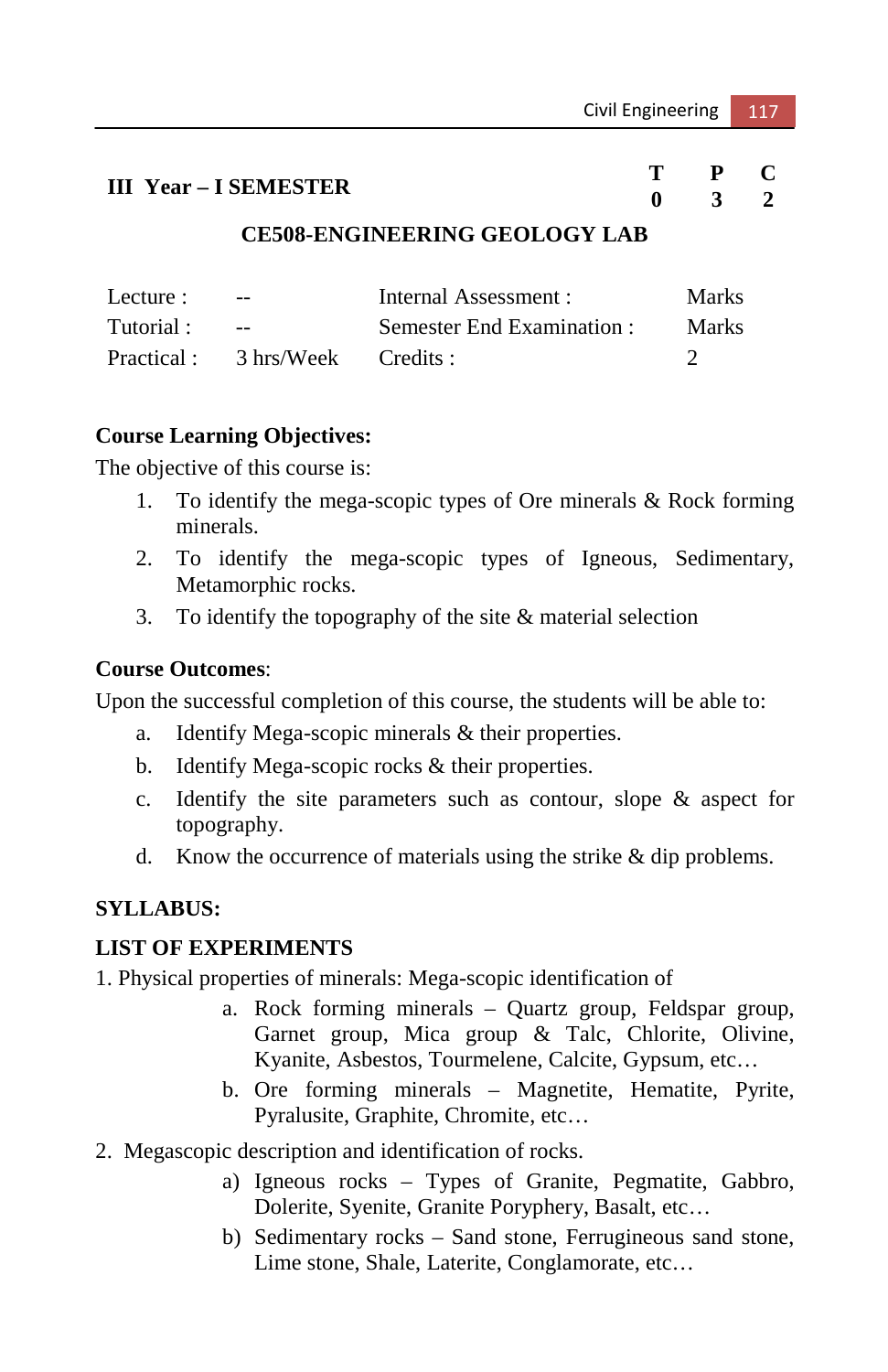# **III** Year – I SEMESTER  $\begin{array}{ccc} T & P & C \\ 0 & 3 & 2 \end{array}$

**0 3 2** 

#### **CE508-ENGINEERING GEOLOGY LAB**

| Lecture :  | $\sim$ $-$           | Internal Assessment :      | <b>Marks</b> |
|------------|----------------------|----------------------------|--------------|
| Tutorial : | $\sim$ $\sim$ $\sim$ | Semester End Examination : | <b>Marks</b> |
| Practical: | 3 hrs/Week Credits:  |                            |              |

#### **Course Learning Objectives:**

The objective of this course is:

- 1. To identify the mega-scopic types of Ore minerals & Rock forming minerals.
- 2. To identify the mega-scopic types of Igneous, Sedimentary, Metamorphic rocks.
- 3. To identify the topography of the site  $&$  material selection

#### **Course Outcomes**:

Upon the successful completion of this course, the students will be able to:

- a. Identify Mega-scopic minerals & their properties.
- b. Identify Mega-scopic rocks & their properties.
- c. Identify the site parameters such as contour, slope & aspect for topography.
- d. Know the occurrence of materials using the strike & dip problems.

#### **SYLLABUS:**

#### **LIST OF EXPERIMENTS**

1. Physical properties of minerals: Mega-scopic identification of

- a. Rock forming minerals Quartz group, Feldspar group, Garnet group, Mica group & Talc, Chlorite, Olivine, Kyanite, Asbestos, Tourmelene, Calcite, Gypsum, etc…
- b. Ore forming minerals Magnetite, Hematite, Pyrite, Pyralusite, Graphite, Chromite, etc…
- 2. Megascopic description and identification of rocks.
	- a) Igneous rocks Types of Granite, Pegmatite, Gabbro, Dolerite, Syenite, Granite Poryphery, Basalt, etc…
	- b) Sedimentary rocks Sand stone, Ferrugineous sand stone, Lime stone, Shale, Laterite, Conglamorate, etc…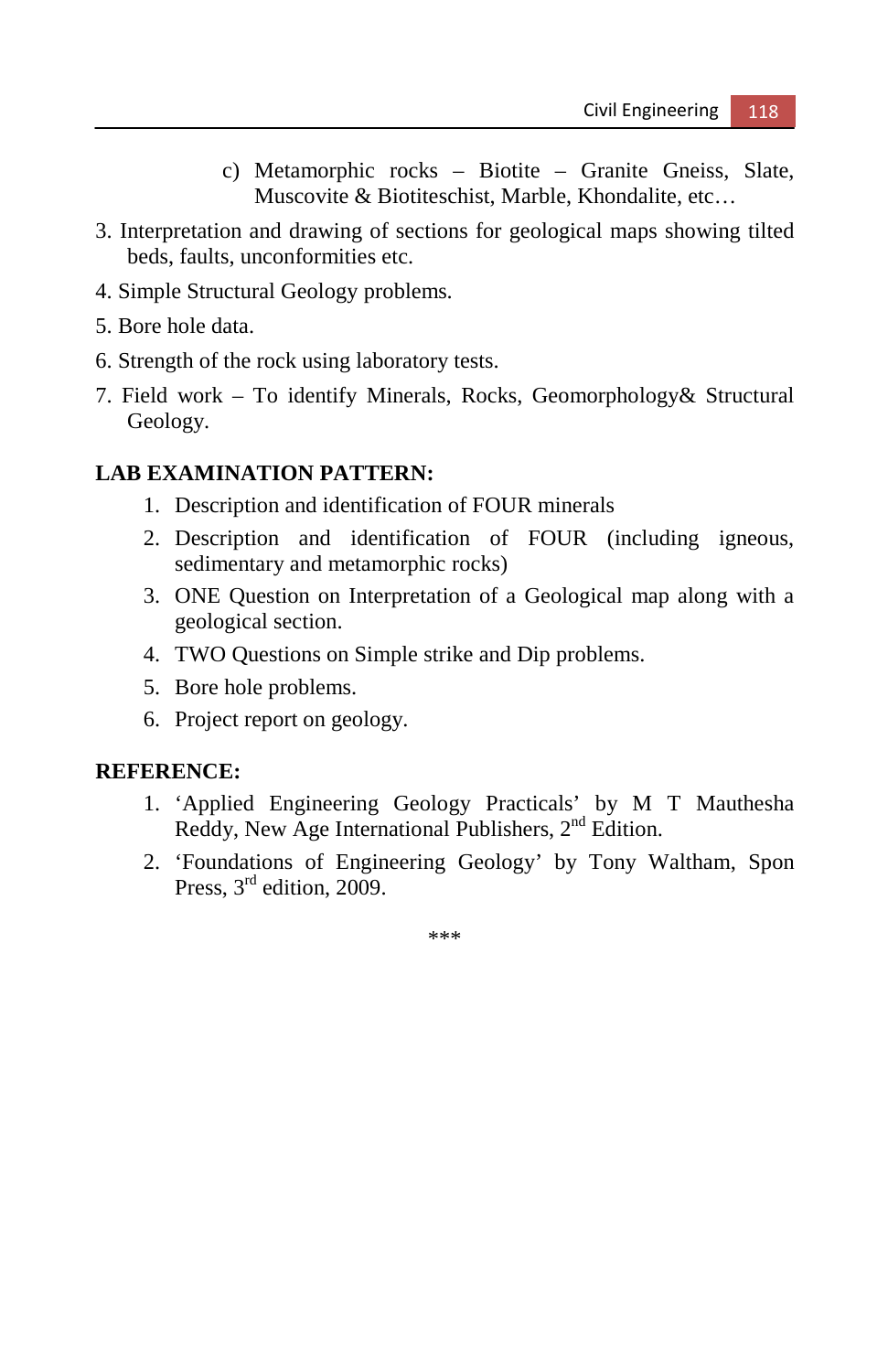- c) Metamorphic rocks Biotite Granite Gneiss, Slate, Muscovite & Biotiteschist, Marble, Khondalite, etc…
- 3. Interpretation and drawing of sections for geological maps showing tilted beds, faults, unconformities etc.
- 4. Simple Structural Geology problems.
- 5. Bore hole data.
- 6. Strength of the rock using laboratory tests.
- 7. Field work To identify Minerals, Rocks, Geomorphology& Structural Geology.

#### **LAB EXAMINATION PATTERN:**

- 1. Description and identification of FOUR minerals
- 2. Description and identification of FOUR (including igneous, sedimentary and metamorphic rocks)
- 3. ONE Question on Interpretation of a Geological map along with a geological section.
- 4. TWO Questions on Simple strike and Dip problems.
- 5. Bore hole problems.
- 6. Project report on geology.

#### **REFERENCE:**

- 1. 'Applied Engineering Geology Practicals' by M T Mauthesha Reddy, New Age International Publishers,  $2<sup>nd</sup>$  Edition.
- 2. 'Foundations of Engineering Geology' by Tony Waltham, Spon Press, 3<sup>rd</sup> edition, 2009.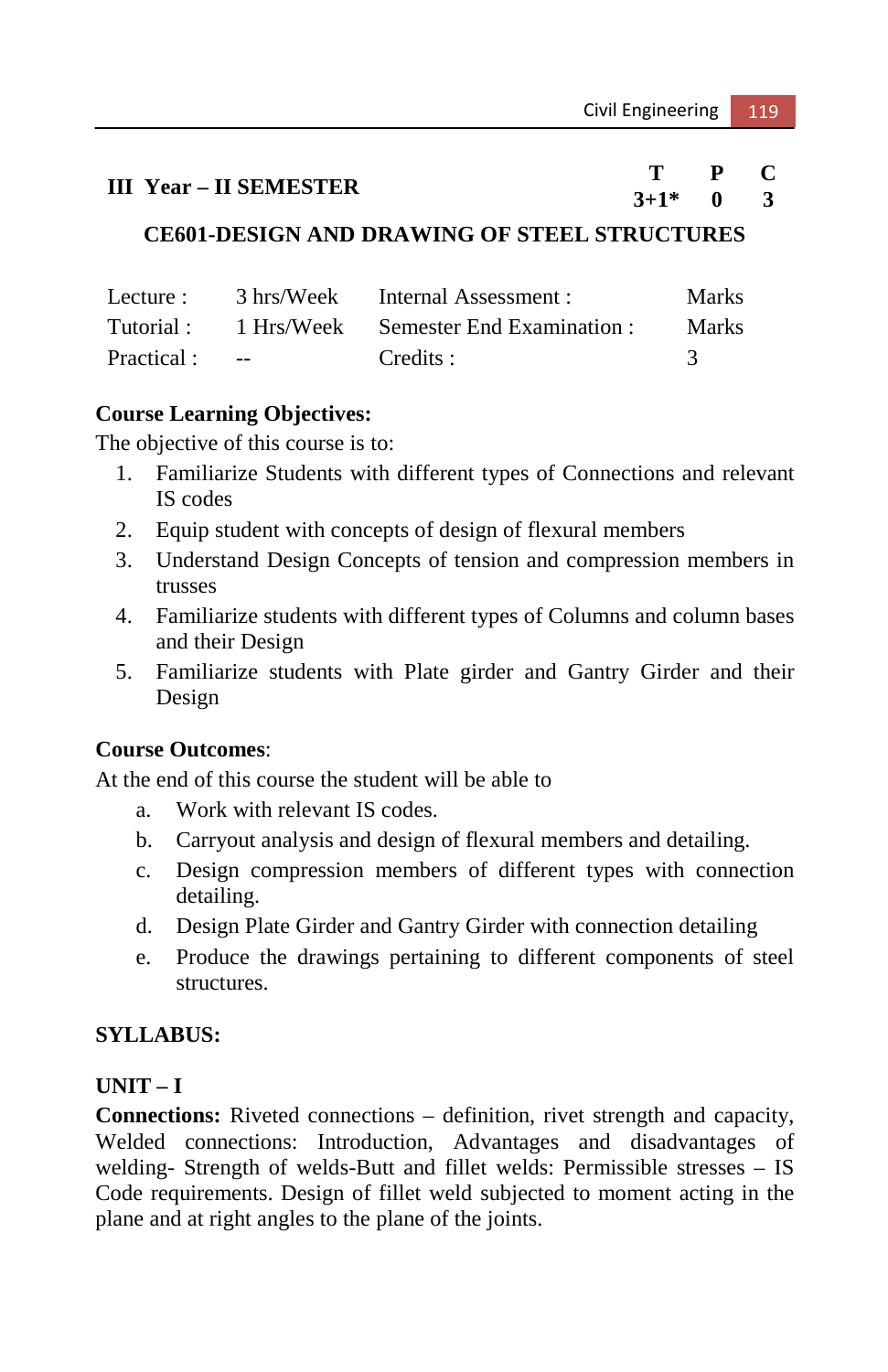# **III** Year – **II** SEMESTER **T** P C  $3+1^* = 0$  3

 $3+1*$ 

### **CE601-DESIGN AND DRAWING OF STEEL STRUCTURES**

| Lecture :   |                | 3 hrs/Week Internal Assessment :               | <b>Marks</b> |
|-------------|----------------|------------------------------------------------|--------------|
|             |                | Tutorial: 1 Hrs/Week Semester End Examination: | <b>Marks</b> |
| Practical : | <b>Service</b> | Credits :                                      |              |

#### **Course Learning Objectives:**

The objective of this course is to:

- 1. Familiarize Students with different types of Connections and relevant IS codes
- 2. Equip student with concepts of design of flexural members
- 3. Understand Design Concepts of tension and compression members in trusses
- 4. Familiarize students with different types of Columns and column bases and their Design
- 5. Familiarize students with Plate girder and Gantry Girder and their Design

#### **Course Outcomes**:

At the end of this course the student will be able to

- a. Work with relevant IS codes.
- b. Carryout analysis and design of flexural members and detailing.
- c. Design compression members of different types with connection detailing.
- d. Design Plate Girder and Gantry Girder with connection detailing
- e. Produce the drawings pertaining to different components of steel structures.

# **SYLLABUS:**

# **UNIT – I**

**Connections:** Riveted connections – definition, rivet strength and capacity, Welded connections: Introduction, Advantages and disadvantages of welding- Strength of welds-Butt and fillet welds: Permissible stresses – IS Code requirements. Design of fillet weld subjected to moment acting in the plane and at right angles to the plane of the joints.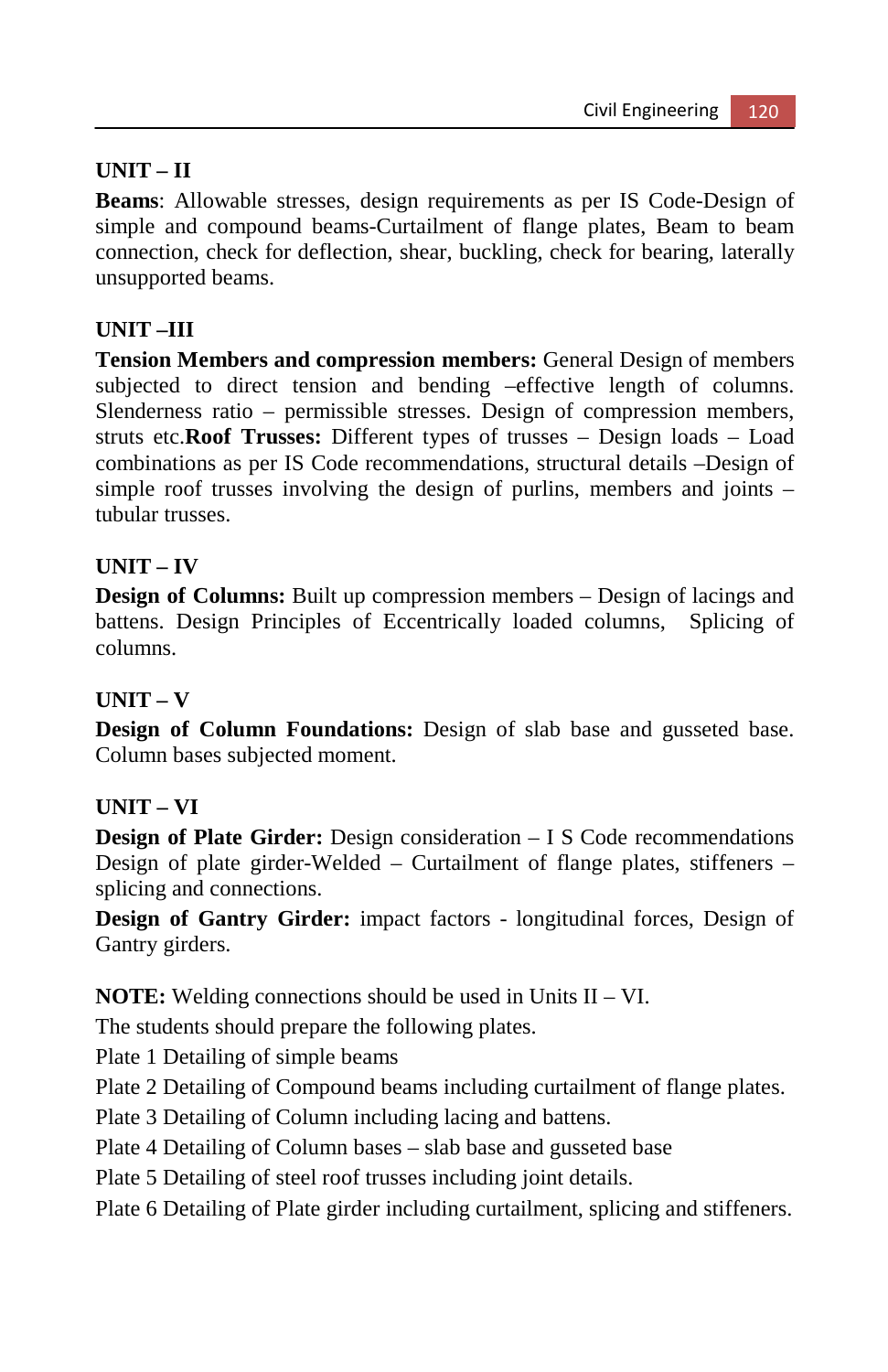# **UNIT – II**

**Beams**: Allowable stresses, design requirements as per IS Code-Design of simple and compound beams-Curtailment of flange plates, Beam to beam connection, check for deflection, shear, buckling, check for bearing, laterally unsupported beams.

# **UNIT –III**

**Tension Members and compression members:** General Design of members subjected to direct tension and bending –effective length of columns. Slenderness ratio – permissible stresses. Design of compression members, struts etc.**Roof Trusses:** Different types of trusses – Design loads – Load combinations as per IS Code recommendations, structural details –Design of simple roof trusses involving the design of purlins, members and joints – tubular trusses.

# **UNIT – IV**

**Design of Columns:** Built up compression members – Design of lacings and battens. Design Principles of Eccentrically loaded columns, Splicing of columns.

# **UNIT – V**

**Design of Column Foundations:** Design of slab base and gusseted base. Column bases subjected moment.

# **UNIT – VI**

**Design of Plate Girder:** Design consideration – I S Code recommendations Design of plate girder-Welded – Curtailment of flange plates, stiffeners – splicing and connections.

**Design of Gantry Girder:** impact factors - longitudinal forces, Design of Gantry girders.

**NOTE:** Welding connections should be used in Units II – VI.

The students should prepare the following plates.

Plate 1 Detailing of simple beams

Plate 2 Detailing of Compound beams including curtailment of flange plates.

Plate 3 Detailing of Column including lacing and battens.

Plate 4 Detailing of Column bases – slab base and gusseted base

Plate 5 Detailing of steel roof trusses including joint details.

Plate 6 Detailing of Plate girder including curtailment, splicing and stiffeners.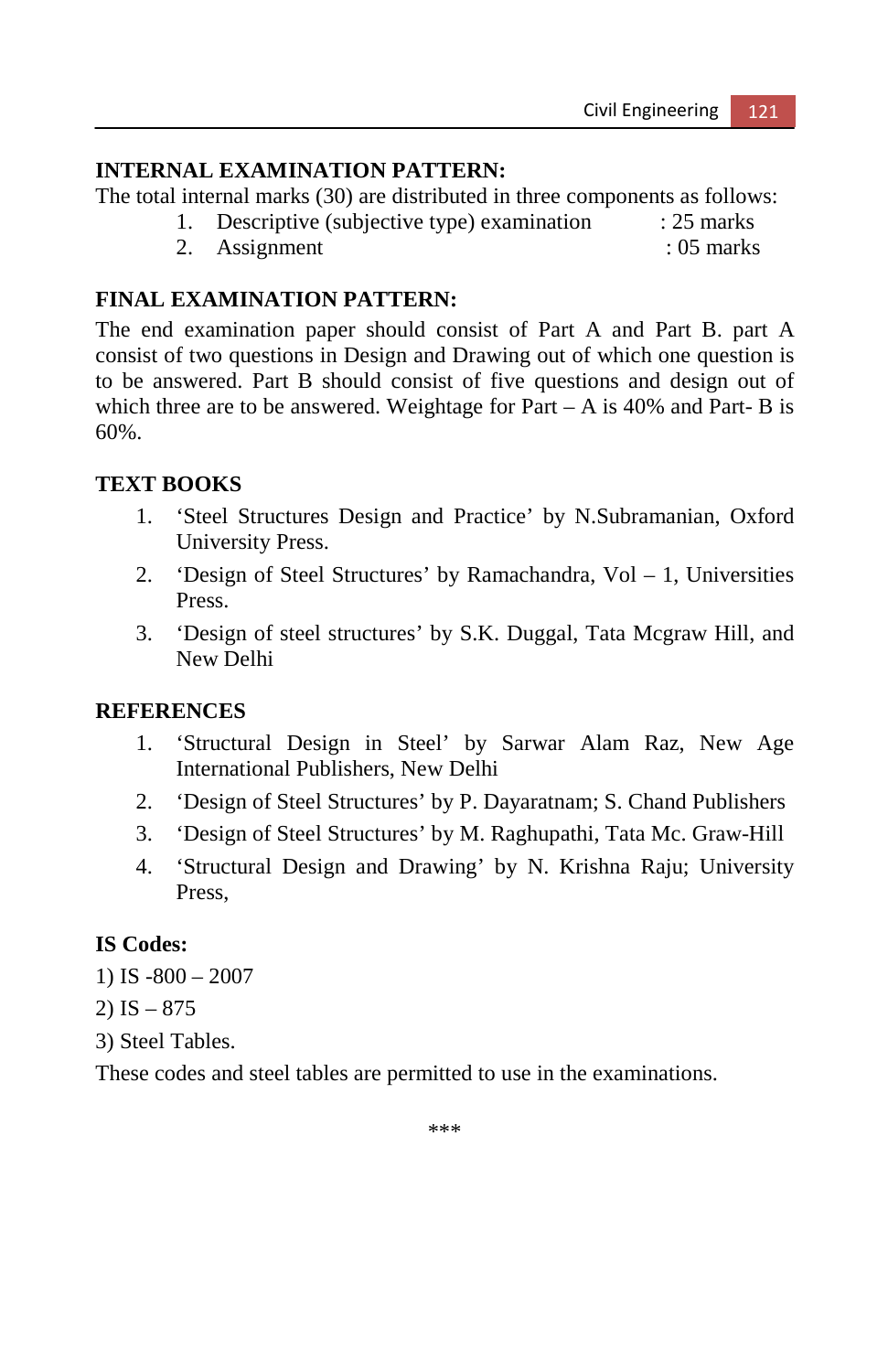### **INTERNAL EXAMINATION PATTERN:**

The total internal marks (30) are distributed in three components as follows:

- 1. Descriptive (subjective type) examination : 25 marks
- 2. Assignment : 05 marks
- 

# **FINAL EXAMINATION PATTERN:**

The end examination paper should consist of Part A and Part B. part A consist of two questions in Design and Drawing out of which one question is to be answered. Part B should consist of five questions and design out of which three are to be answered. Weightage for  $Part - A$  is 40% and Part- B is 60%.

# **TEXT BOOKS**

- 1. 'Steel Structures Design and Practice' by N.Subramanian, Oxford University Press.
- 2. 'Design of Steel Structures' by Ramachandra, Vol 1, Universities Press.
- 3. 'Design of steel structures' by S.K. Duggal, Tata Mcgraw Hill, and New Delhi

# **REFERENCES**

- 1. 'Structural Design in Steel' by Sarwar Alam Raz, New Age International Publishers, New Delhi
- 2. 'Design of Steel Structures' by P. Dayaratnam; S. Chand Publishers
- 3. 'Design of Steel Structures' by M. Raghupathi, Tata Mc. Graw-Hill
- 4. 'Structural Design and Drawing' by N. Krishna Raju; University Press,

# **IS Codes:**

- 1) IS -800 2007
- 2) IS  $-875$
- 3) Steel Tables.

These codes and steel tables are permitted to use in the examinations.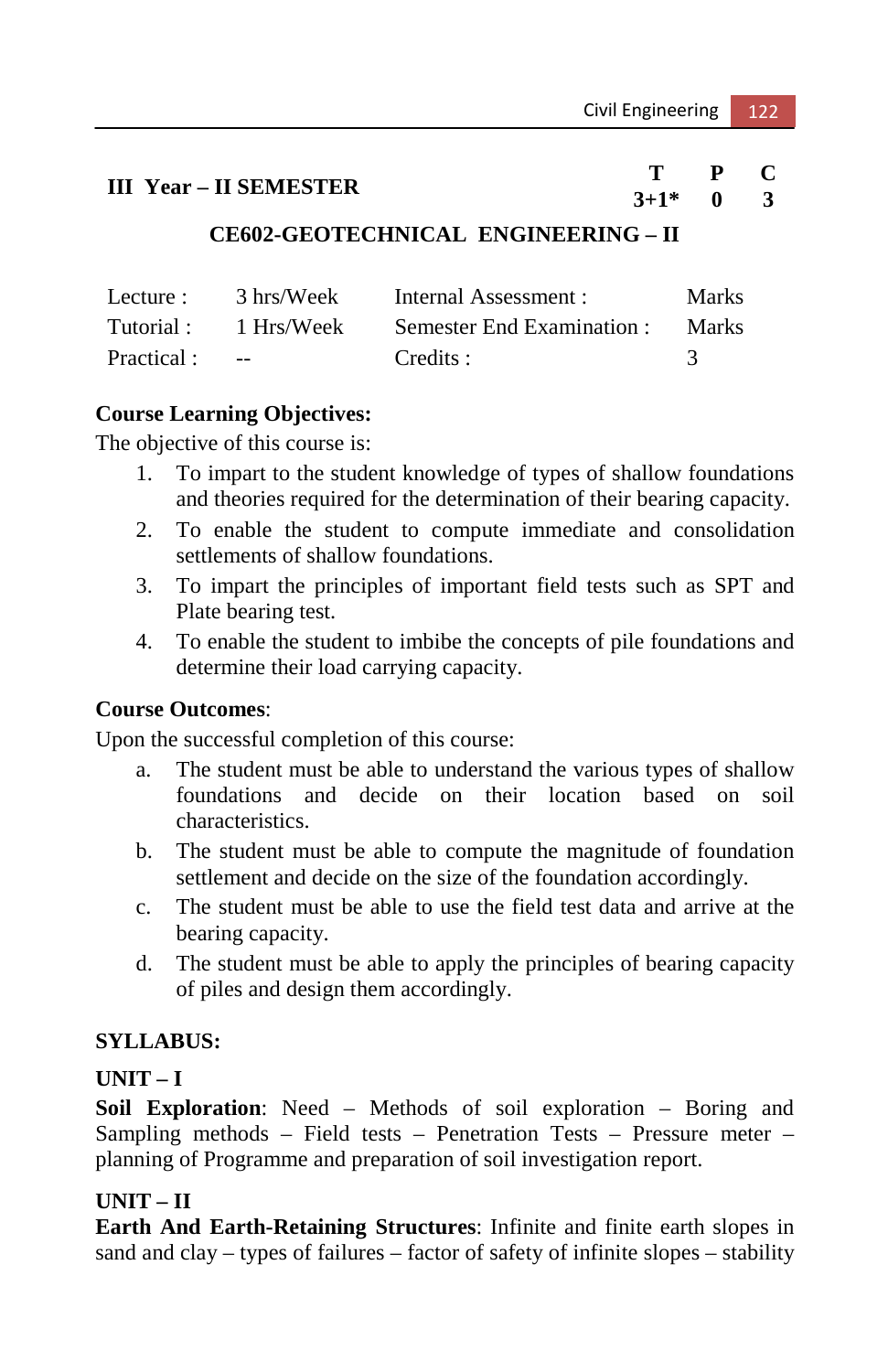# **III** Year – **II** SEMESTER **T** P C  $3+1^* = 0$  3

 $3+1*$ 

# **CE602-GEOTECHNICAL ENGINEERING – II**

| Lecture :  | 3 hrs/Week | Internal Assessment :      | <b>Marks</b> |
|------------|------------|----------------------------|--------------|
| Tutorial : | 1 Hrs/Week | Semester End Examination : | <b>Marks</b> |
| Practical: | $\sim$ $-$ | Credits :                  |              |

# **Course Learning Objectives:**

The objective of this course is:

- 1. To impart to the student knowledge of types of shallow foundations and theories required for the determination of their bearing capacity.
- 2. To enable the student to compute immediate and consolidation settlements of shallow foundations.
- 3. To impart the principles of important field tests such as SPT and Plate bearing test.
- 4. To enable the student to imbibe the concepts of pile foundations and determine their load carrying capacity.

# **Course Outcomes**:

Upon the successful completion of this course:

- a. The student must be able to understand the various types of shallow foundations and decide on their location based on soil characteristics.
- b. The student must be able to compute the magnitude of foundation settlement and decide on the size of the foundation accordingly.
- c. The student must be able to use the field test data and arrive at the bearing capacity.
- d. The student must be able to apply the principles of bearing capacity of piles and design them accordingly.

# **SYLLABUS:**

# **UNIT – I**

**Soil Exploration**: Need – Methods of soil exploration – Boring and Sampling methods – Field tests – Penetration Tests – Pressure meter – planning of Programme and preparation of soil investigation report.

# **UNIT – II**

**Earth And Earth-Retaining Structures**: Infinite and finite earth slopes in sand and clay – types of failures – factor of safety of infinite slopes – stability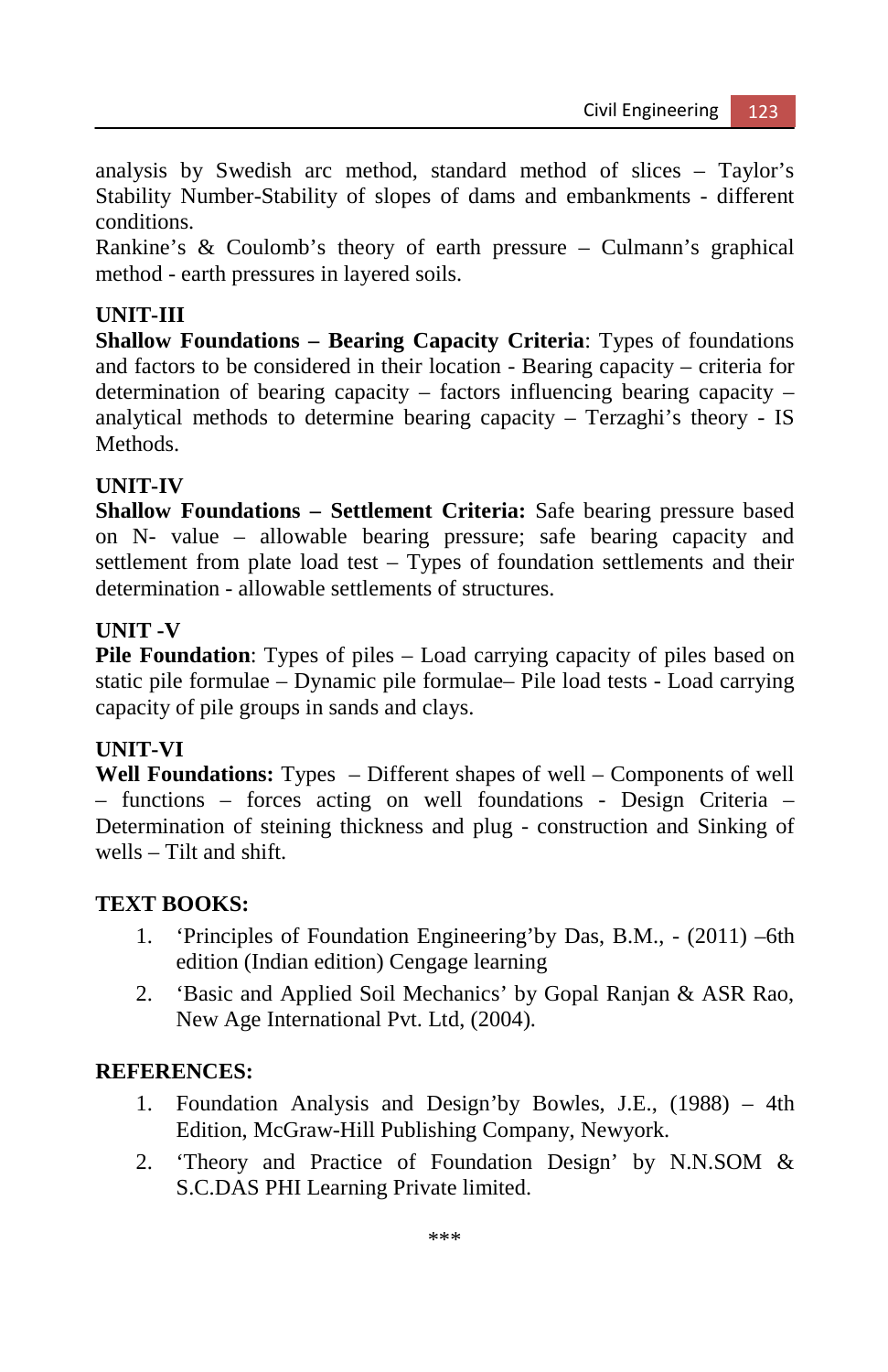analysis by Swedish arc method, standard method of slices – Taylor's Stability Number-Stability of slopes of dams and embankments - different conditions.

Rankine's & Coulomb's theory of earth pressure – Culmann's graphical method - earth pressures in layered soils.

# **UNIT-III**

**Shallow Foundations – Bearing Capacity Criteria**: Types of foundations and factors to be considered in their location - Bearing capacity – criteria for determination of bearing capacity – factors influencing bearing capacity – analytical methods to determine bearing capacity – Terzaghi's theory - IS **Methods** 

# **UNIT-IV**

**Shallow Foundations – Settlement Criteria:** Safe bearing pressure based on N- value – allowable bearing pressure; safe bearing capacity and settlement from plate load test – Types of foundation settlements and their determination - allowable settlements of structures.

# **UNIT -V**

**Pile Foundation**: Types of piles – Load carrying capacity of piles based on static pile formulae – Dynamic pile formulae– Pile load tests - Load carrying capacity of pile groups in sands and clays.

# **UNIT-VI**

**Well Foundations:** Types – Different shapes of well – Components of well – functions – forces acting on well foundations - Design Criteria – Determination of steining thickness and plug - construction and Sinking of wells – Tilt and shift.

# **TEXT BOOKS:**

- 1. 'Principles of Foundation Engineering'by Das, B.M., (2011) –6th edition (Indian edition) Cengage learning
- 2. 'Basic and Applied Soil Mechanics' by Gopal Ranjan & ASR Rao, New Age International Pvt. Ltd, (2004).

# **REFERENCES:**

- 1. Foundation Analysis and Design'by Bowles, J.E., (1988) 4th Edition, McGraw-Hill Publishing Company, Newyork.
- 2. 'Theory and Practice of Foundation Design' by N.N.SOM & S.C.DAS PHI Learning Private limited.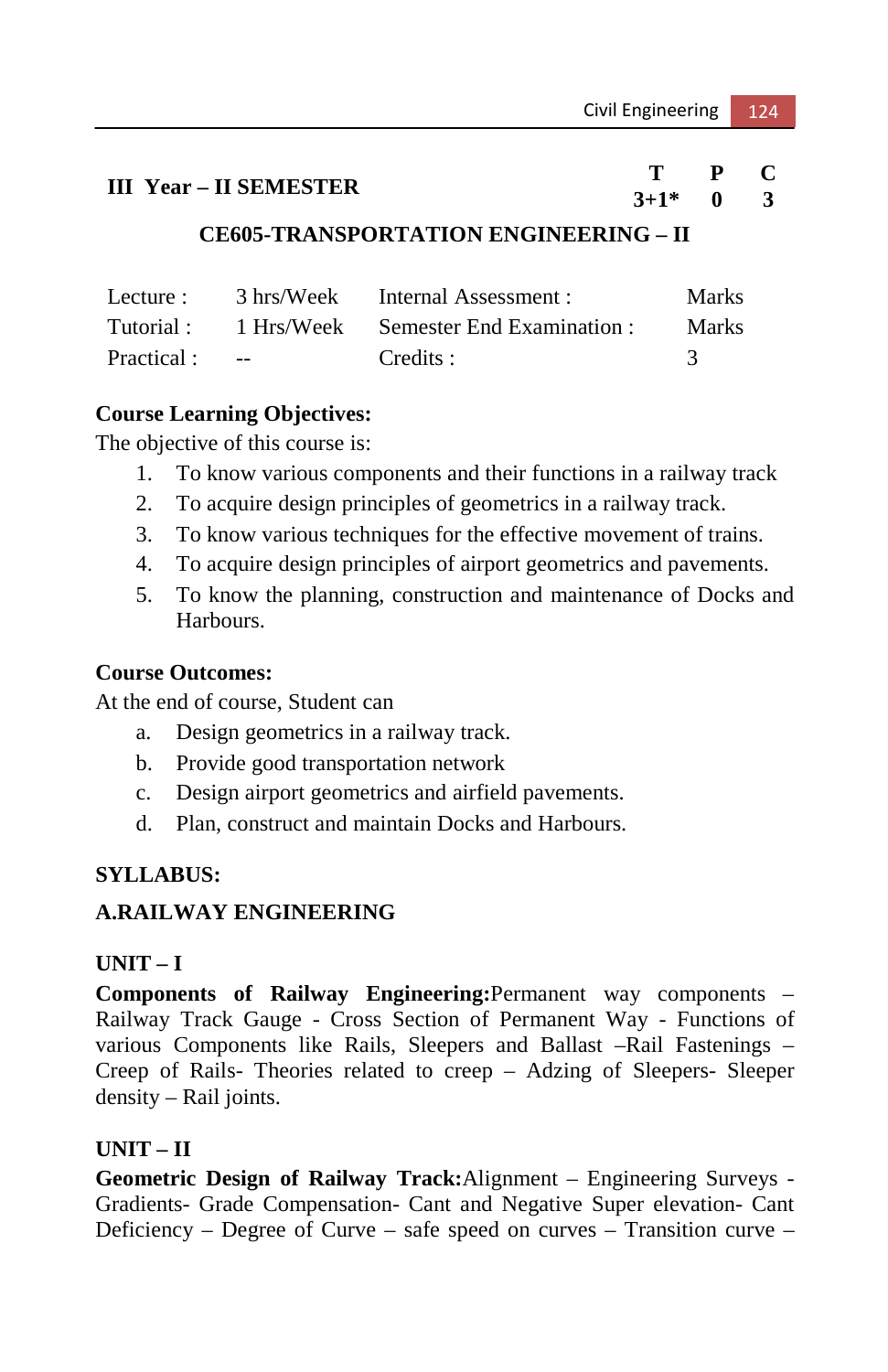# **III** Year – **II** SEMESTER **T** P C  $3+1^* = 0$  3

 $3+1*$ 

# **CE605-TRANSPORTATION ENGINEERING – II**

| Lecture :  | 3 hrs/Week               | Internal Assessment :                 | <b>Marks</b> |
|------------|--------------------------|---------------------------------------|--------------|
| Tutorial : |                          | 1 Hrs/Week Semester End Examination : | <b>Marks</b> |
| Practical: | <b>Contract Contract</b> | Credits :                             |              |

# **Course Learning Objectives:**

The objective of this course is:

- 1. To know various components and their functions in a railway track
- 2. To acquire design principles of geometrics in a railway track.
- 3. To know various techniques for the effective movement of trains.
- 4. To acquire design principles of airport geometrics and pavements.
- 5. To know the planning, construction and maintenance of Docks and **Harbours**

#### **Course Outcomes:**

At the end of course, Student can

- a. Design geometrics in a railway track.
- b. Provide good transportation network
- c. Design airport geometrics and airfield pavements.
- d. Plan, construct and maintain Docks and Harbours.

# **SYLLABUS:**

# **A.RAILWAY ENGINEERING**

# **UNIT – I**

**Components of Railway Engineering:**Permanent way components – Railway Track Gauge - Cross Section of Permanent Way - Functions of various Components like Rails, Sleepers and Ballast –Rail Fastenings – Creep of Rails- Theories related to creep – Adzing of Sleepers- Sleeper density – Rail joints.

# **UNIT – II**

**Geometric Design of Railway Track:**Alignment – Engineering Surveys - Gradients- Grade Compensation- Cant and Negative Super elevation- Cant Deficiency – Degree of Curve – safe speed on curves – Transition curve –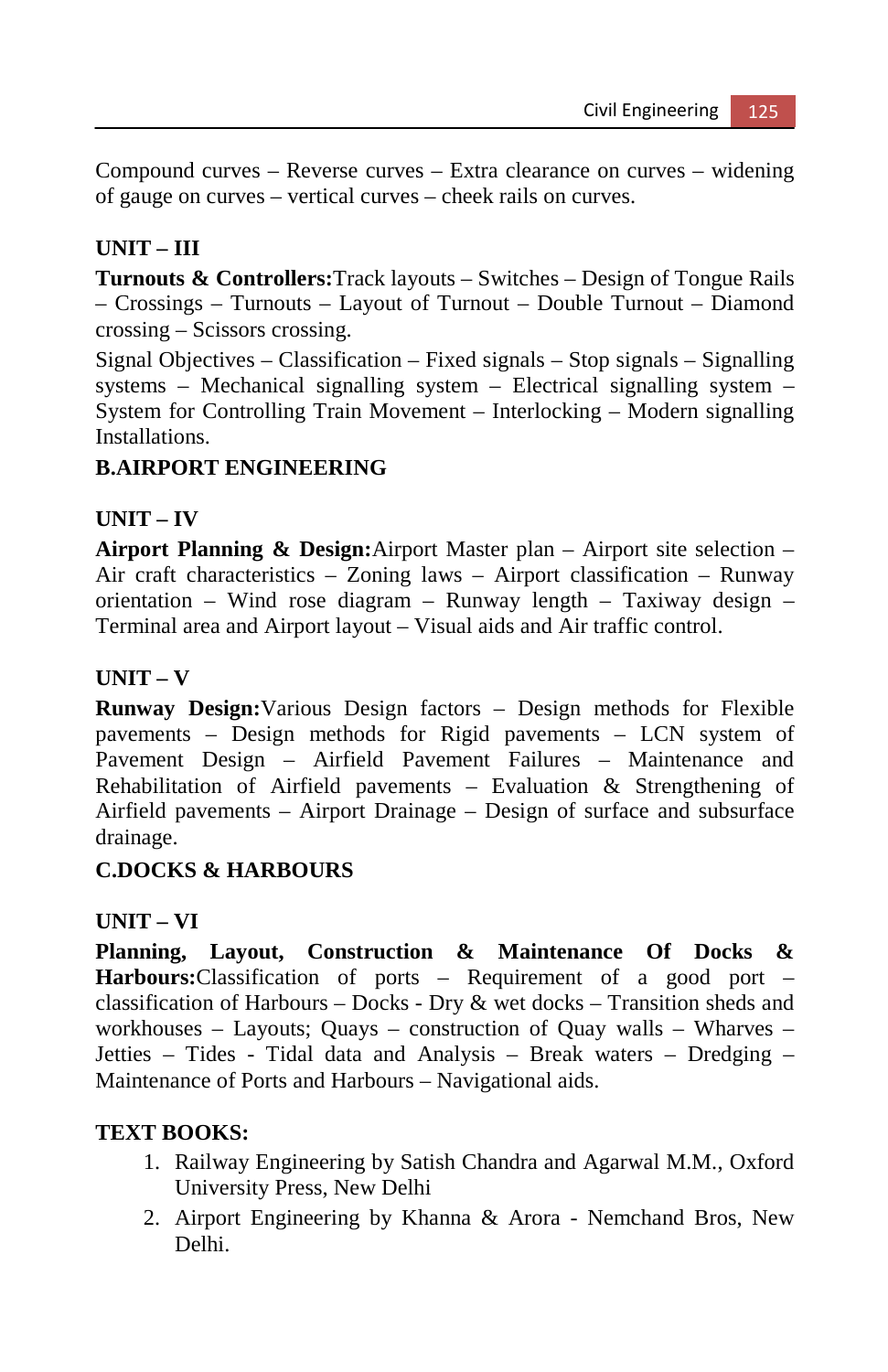Compound curves – Reverse curves – Extra clearance on curves – widening of gauge on curves – vertical curves – cheek rails on curves.

# **UNIT – III**

**Turnouts & Controllers:**Track layouts – Switches – Design of Tongue Rails – Crossings – Turnouts – Layout of Turnout – Double Turnout – Diamond crossing – Scissors crossing.

Signal Objectives – Classification – Fixed signals – Stop signals – Signalling systems – Mechanical signalling system – Electrical signalling system – System for Controlling Train Movement – Interlocking – Modern signalling Installations.

# **B.AIRPORT ENGINEERING**

# **UNIT – IV**

**Airport Planning & Design:**Airport Master plan – Airport site selection – Air craft characteristics – Zoning laws – Airport classification – Runway orientation – Wind rose diagram – Runway length – Taxiway design – Terminal area and Airport layout – Visual aids and Air traffic control.

# **UNIT – V**

**Runway Design:**Various Design factors – Design methods for Flexible pavements – Design methods for Rigid pavements – LCN system of Pavement Design – Airfield Pavement Failures – Maintenance and Rehabilitation of Airfield pavements – Evaluation & Strengthening of Airfield pavements – Airport Drainage – Design of surface and subsurface drainage.

# **C.DOCKS & HARBOURS**

# **UNIT – VI**

**Planning, Layout, Construction & Maintenance Of Docks & Harbours:**Classification of ports – Requirement of a good port – classification of Harbours – Docks - Dry & wet docks – Transition sheds and workhouses – Layouts; Quays – construction of Quay walls – Wharves – Jetties – Tides - Tidal data and Analysis – Break waters – Dredging – Maintenance of Ports and Harbours – Navigational aids.

# **TEXT BOOKS:**

- 1. Railway Engineering by Satish Chandra and Agarwal M.M., Oxford University Press, New Delhi
- 2. Airport Engineering by Khanna & Arora Nemchand Bros, New Delhi.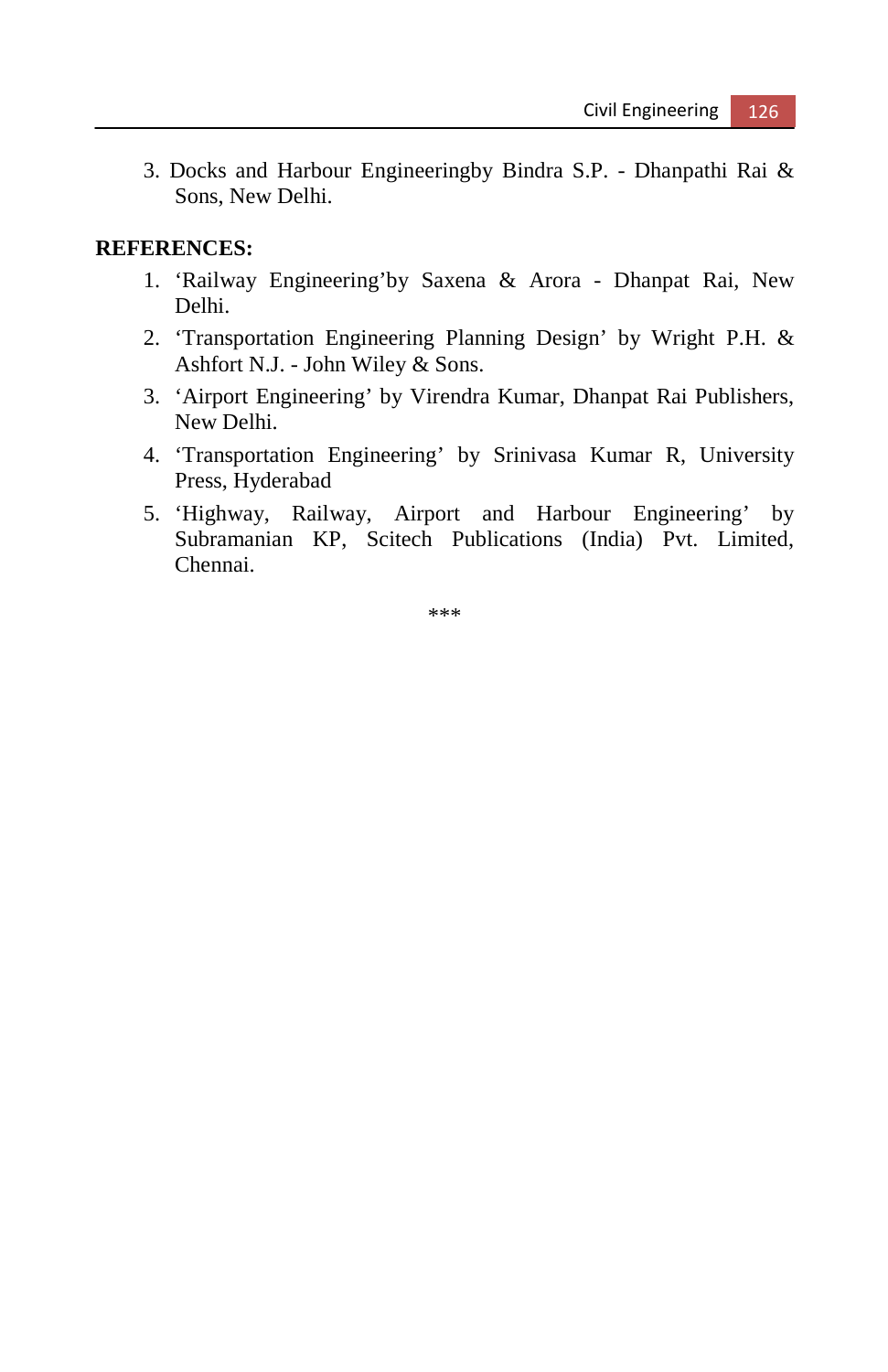3. Docks and Harbour Engineeringby Bindra S.P. - Dhanpathi Rai & Sons, New Delhi.

#### **REFERENCES:**

- 1. 'Railway Engineering'by Saxena & Arora Dhanpat Rai, New Delhi.
- 2. 'Transportation Engineering Planning Design' by Wright P.H. & Ashfort N.J. - John Wiley & Sons.
- 3. 'Airport Engineering' by Virendra Kumar, Dhanpat Rai Publishers, New Delhi.
- 4. 'Transportation Engineering' by Srinivasa Kumar R, University Press, Hyderabad
- 5. 'Highway, Railway, Airport and Harbour Engineering' by Subramanian KP, Scitech Publications (India) Pvt. Limited, Chennai.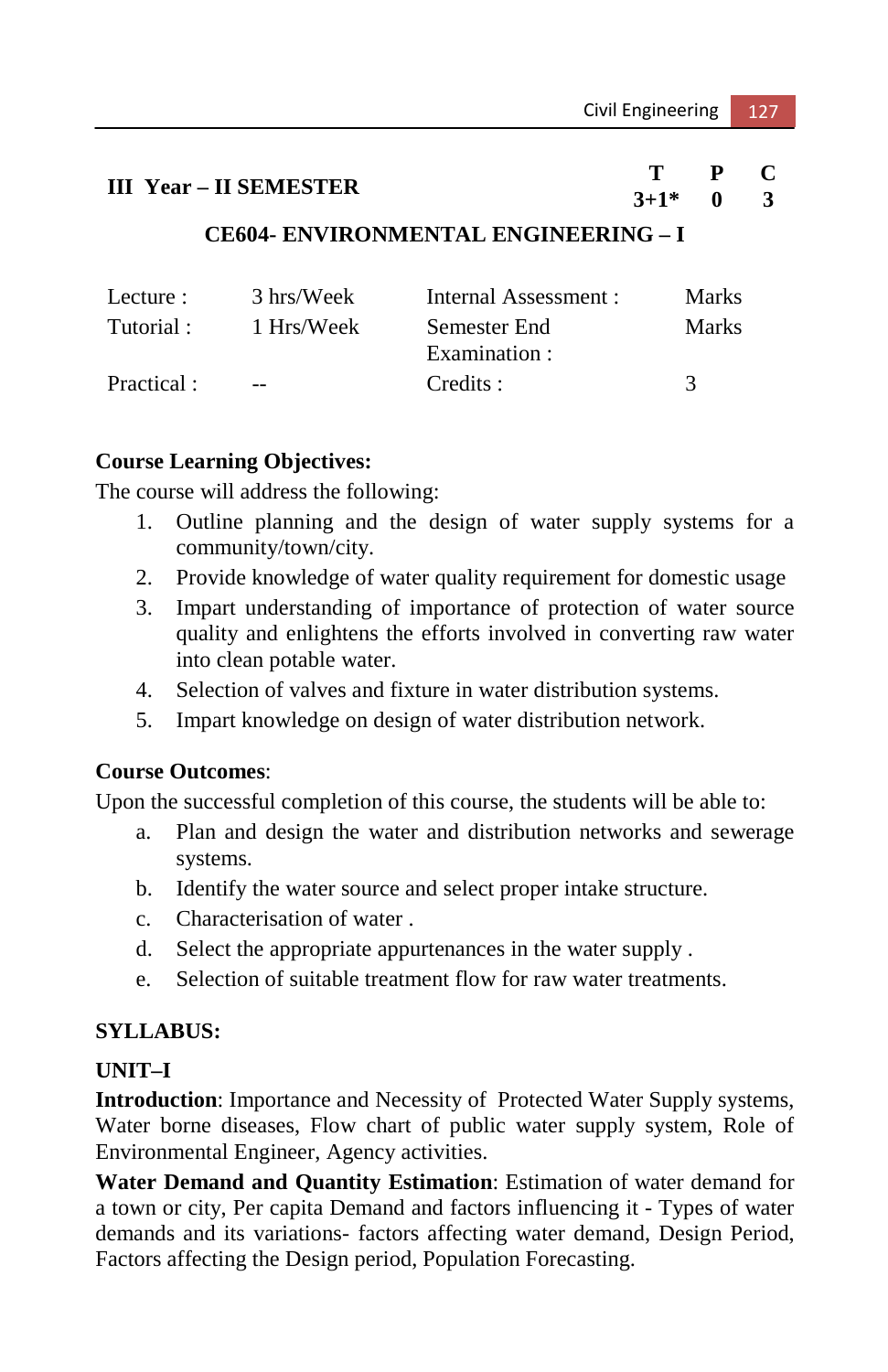# **III** Year – **II** SEMESTER **T** P C  $3+1^* = 0$  3

 $3+1*$ 

# **CE604- ENVIRONMENTAL ENGINEERING – I**

| Lecture :   | 3 hrs/Week | Internal Assessment : | <b>Marks</b> |
|-------------|------------|-----------------------|--------------|
| Tutorial :  | 1 Hrs/Week | Semester End          | <b>Marks</b> |
|             |            | Examination :         |              |
| Practical : | $- -$      | Credits :             | 3            |

# **Course Learning Objectives:**

The course will address the following:

- 1. Outline planning and the design of water supply systems for a community/town/city.
- 2. Provide knowledge of water quality requirement for domestic usage
- 3. Impart understanding of importance of protection of water source quality and enlightens the efforts involved in converting raw water into clean potable water.
- 4. Selection of valves and fixture in water distribution systems.
- 5. Impart knowledge on design of water distribution network.

# **Course Outcomes**:

Upon the successful completion of this course, the students will be able to:

- a. Plan and design the water and distribution networks and sewerage systems.
- b. Identify the water source and select proper intake structure.
- c. Characterisation of water .
- d. Select the appropriate appurtenances in the water supply .
- e. Selection of suitable treatment flow for raw water treatments.

# **SYLLABUS:**

# **UNIT–I**

**Introduction**: Importance and Necessity of Protected Water Supply systems, Water borne diseases, Flow chart of public water supply system, Role of Environmental Engineer, Agency activities.

**Water Demand and Quantity Estimation**: Estimation of water demand for a town or city, Per capita Demand and factors influencing it - Types of water demands and its variations- factors affecting water demand, Design Period, Factors affecting the Design period, Population Forecasting.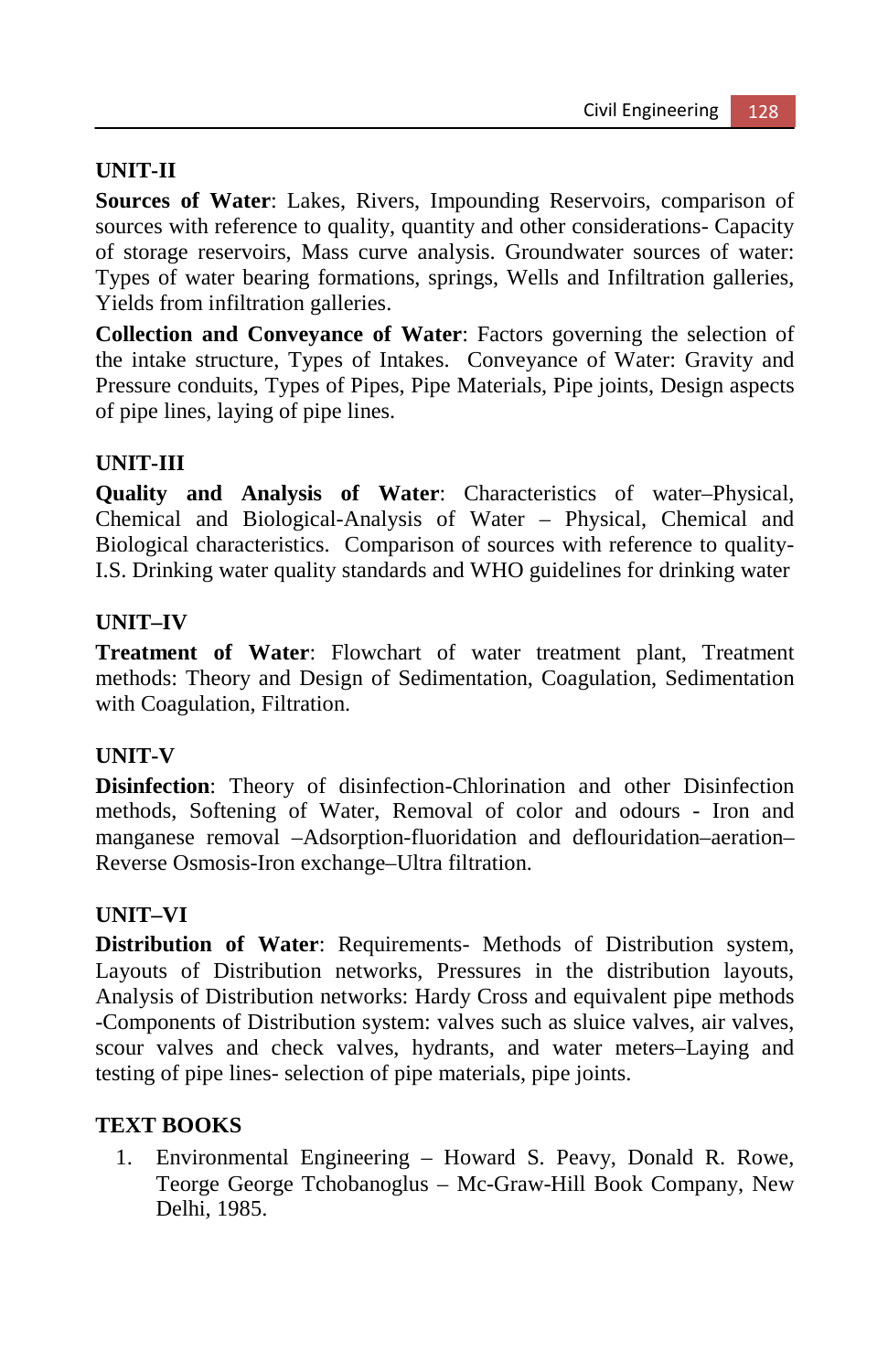# **UNIT-II**

**Sources of Water**: Lakes, Rivers, Impounding Reservoirs, comparison of sources with reference to quality, quantity and other considerations- Capacity of storage reservoirs, Mass curve analysis. Groundwater sources of water: Types of water bearing formations, springs, Wells and Infiltration galleries, Yields from infiltration galleries.

**Collection and Conveyance of Water**: Factors governing the selection of the intake structure, Types of Intakes. Conveyance of Water: Gravity and Pressure conduits, Types of Pipes, Pipe Materials, Pipe joints, Design aspects of pipe lines, laying of pipe lines.

# **UNIT-III**

**Quality and Analysis of Water**: Characteristics of water–Physical, Chemical and Biological-Analysis of Water – Physical, Chemical and Biological characteristics. Comparison of sources with reference to quality-I.S. Drinking water quality standards and WHO guidelines for drinking water

# **UNIT–IV**

**Treatment of Water**: Flowchart of water treatment plant, Treatment methods: Theory and Design of Sedimentation, Coagulation, Sedimentation with Coagulation, Filtration.

# **UNIT-V**

**Disinfection**: Theory of disinfection-Chlorination and other Disinfection methods, Softening of Water, Removal of color and odours - Iron and manganese removal –Adsorption-fluoridation and deflouridation–aeration– Reverse Osmosis-Iron exchange–Ultra filtration.

# **UNIT–VI**

**Distribution of Water**: Requirements- Methods of Distribution system, Layouts of Distribution networks, Pressures in the distribution layouts, Analysis of Distribution networks: Hardy Cross and equivalent pipe methods -Components of Distribution system: valves such as sluice valves, air valves, scour valves and check valves, hydrants, and water meters–Laying and testing of pipe lines- selection of pipe materials, pipe joints.

# **TEXT BOOKS**

1. Environmental Engineering – Howard S. Peavy, Donald R. Rowe, Teorge George Tchobanoglus – Mc-Graw-Hill Book Company, New Delhi, 1985.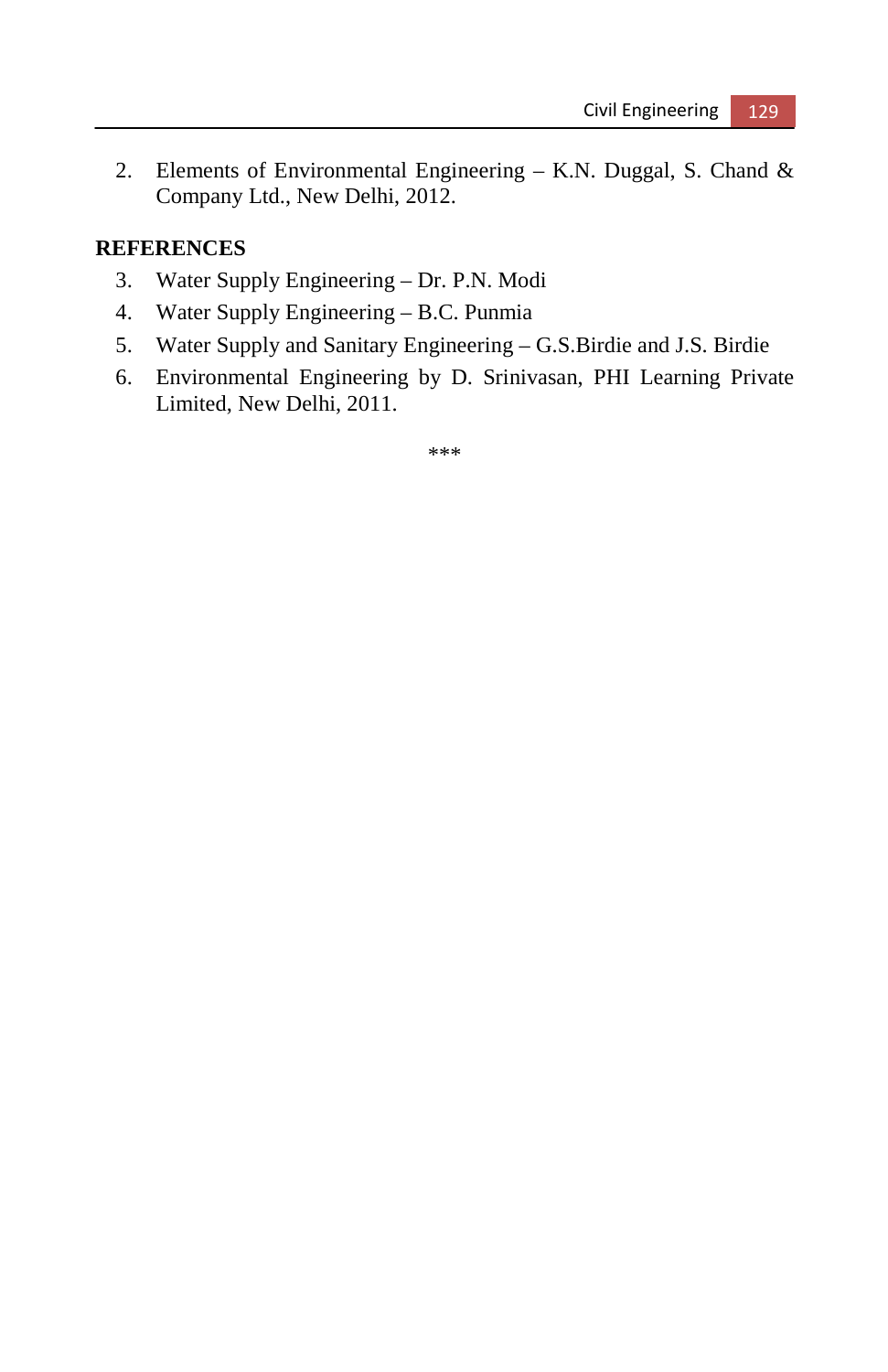2. Elements of Environmental Engineering – K.N. Duggal, S. Chand & Company Ltd., New Delhi, 2012.

#### **REFERENCES**

- 3. Water Supply Engineering Dr. P.N. Modi
- 4. Water Supply Engineering B.C. Punmia
- 5. Water Supply and Sanitary Engineering G.S.Birdie and J.S. Birdie
- 6. Environmental Engineering by D. Srinivasan, PHI Learning Private Limited, New Delhi, 2011.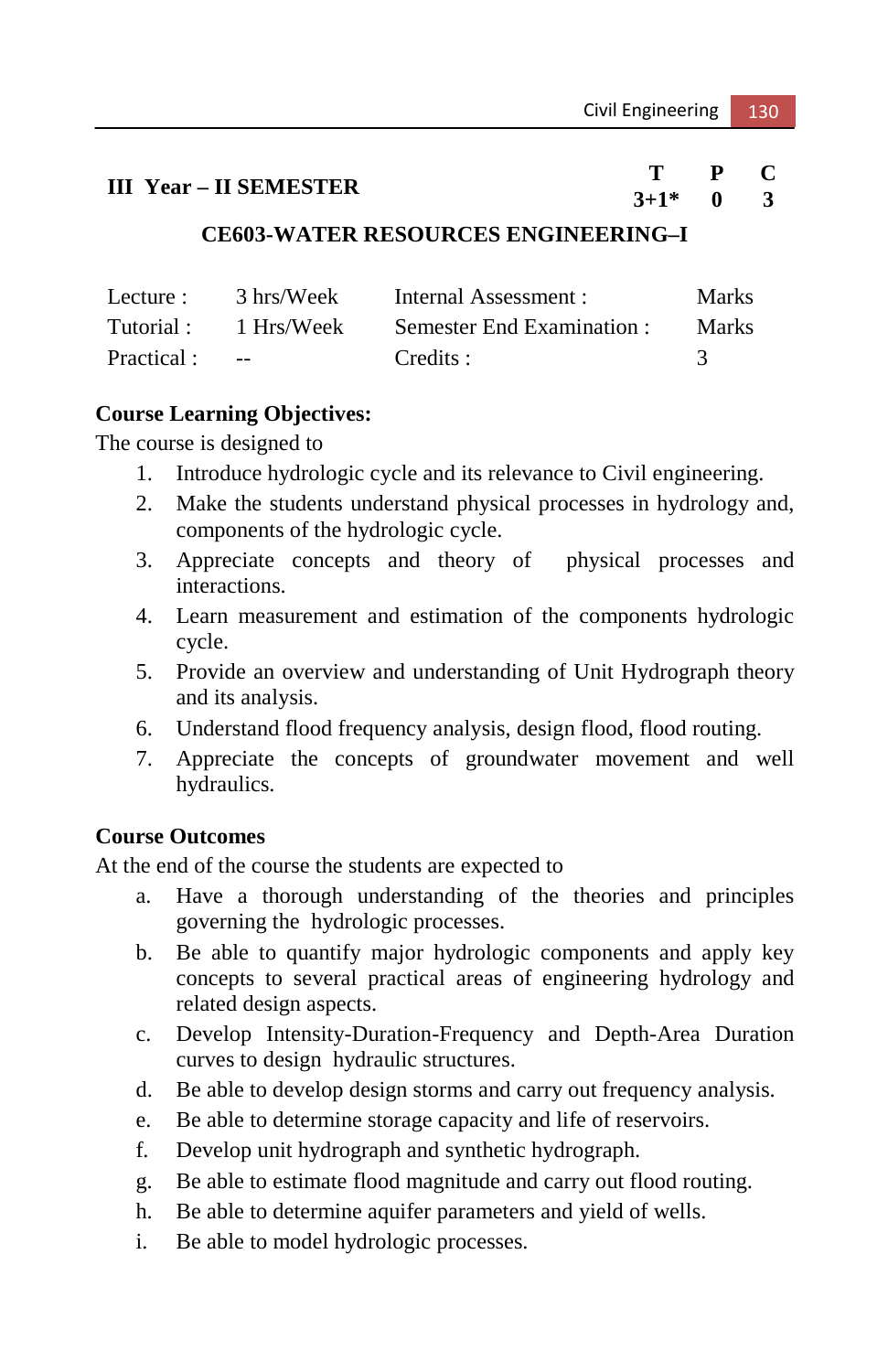# **III** Year – **II** SEMESTER **T** P C  $3+1^* = 0$  3

 $3+1*$ 

# **CE603-WATER RESOURCES ENGINEERING–I**

| Lecture :  | 3 hrs/Week                      | Internal Assessment :      | <b>Marks</b> |
|------------|---------------------------------|----------------------------|--------------|
| Tutorial : | 1 Hrs/Week                      | Semester End Examination : | <b>Marks</b> |
| Practical: | <b>Contract Contract Street</b> | Credits :                  |              |

# **Course Learning Objectives:**

The course is designed to

- 1. Introduce hydrologic cycle and its relevance to Civil engineering.
- 2. Make the students understand physical processes in hydrology and, components of the hydrologic cycle.
- 3. Appreciate concepts and theory of physical processes and interactions.
- 4. Learn measurement and estimation of the components hydrologic cycle.
- 5. Provide an overview and understanding of Unit Hydrograph theory and its analysis.
- 6. Understand flood frequency analysis, design flood, flood routing.
- 7. Appreciate the concepts of groundwater movement and well hydraulics.

# **Course Outcomes**

At the end of the course the students are expected to

- a. Have a thorough understanding of the theories and principles governing the hydrologic processes.
- b. Be able to quantify major hydrologic components and apply key concepts to several practical areas of engineering hydrology and related design aspects.
- c. Develop Intensity-Duration-Frequency and Depth-Area Duration curves to design hydraulic structures.
- d. Be able to develop design storms and carry out frequency analysis.
- e. Be able to determine storage capacity and life of reservoirs.
- f. Develop unit hydrograph and synthetic hydrograph.
- g. Be able to estimate flood magnitude and carry out flood routing.
- h. Be able to determine aquifer parameters and yield of wells.
- i. Be able to model hydrologic processes.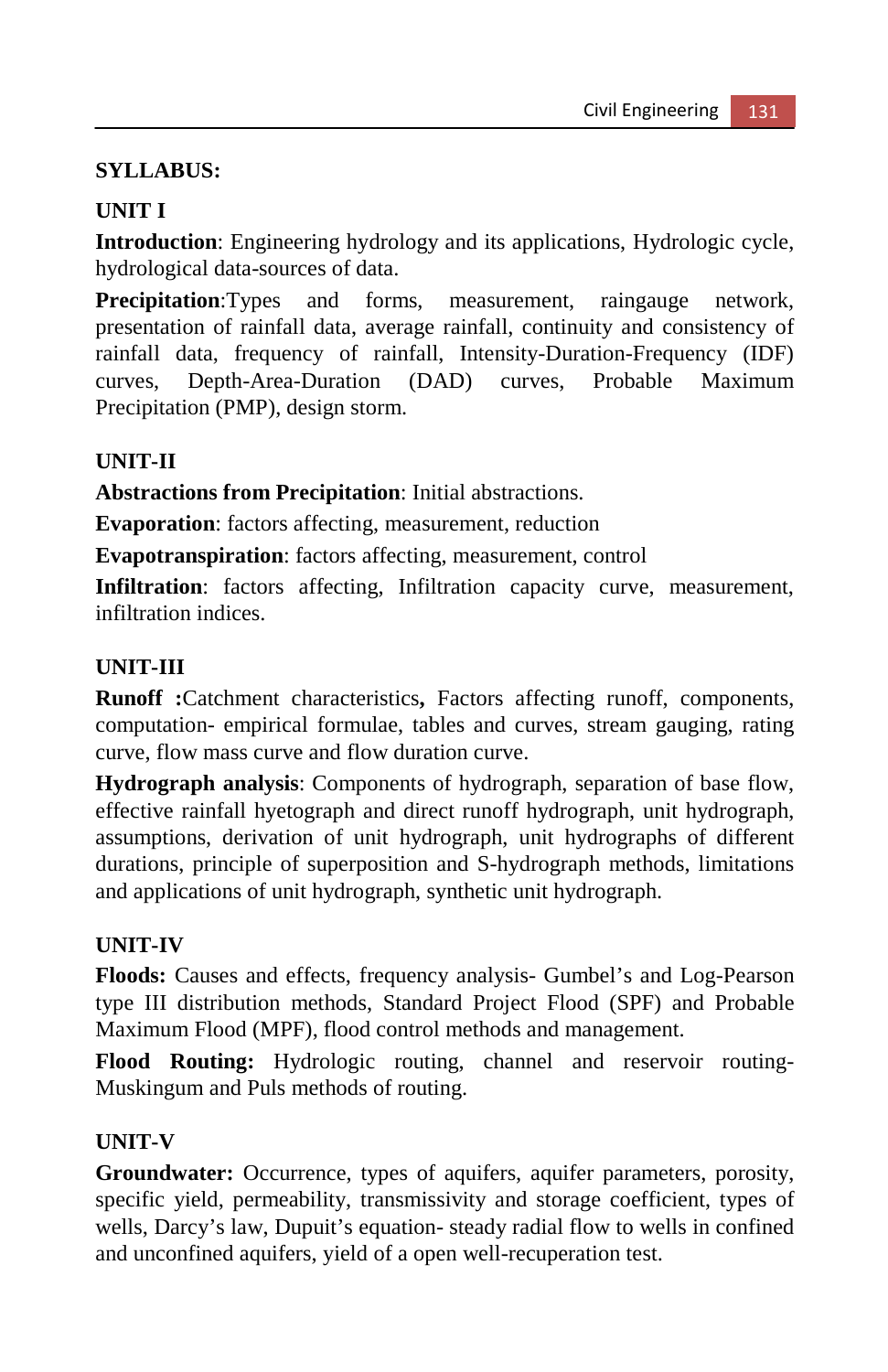### **SYLLABUS:**

#### **UNIT I**

**Introduction**: Engineering hydrology and its applications, Hydrologic cycle, hydrological data-sources of data.

**Precipitation:**Types and forms, measurement, raingauge network, presentation of rainfall data, average rainfall, continuity and consistency of rainfall data, frequency of rainfall, Intensity-Duration-Frequency (IDF) curves, Depth-Area-Duration (DAD) curves, Probable Maximum Precipitation (PMP), design storm.

### **UNIT-II**

**Abstractions from Precipitation**: Initial abstractions.

**Evaporation**: factors affecting, measurement, reduction

**Evapotranspiration**: factors affecting, measurement, control

**Infiltration**: factors affecting, Infiltration capacity curve, measurement, infiltration indices.

# **UNIT-III**

**Runoff :**Catchment characteristics**,** Factors affecting runoff, components, computation- empirical formulae, tables and curves, stream gauging, rating curve, flow mass curve and flow duration curve.

**Hydrograph analysis**: Components of hydrograph, separation of base flow, effective rainfall hyetograph and direct runoff hydrograph, unit hydrograph, assumptions, derivation of unit hydrograph, unit hydrographs of different durations, principle of superposition and S-hydrograph methods, limitations and applications of unit hydrograph, synthetic unit hydrograph.

# **UNIT-IV**

**Floods:** Causes and effects, frequency analysis- Gumbel's and Log-Pearson type III distribution methods, Standard Project Flood (SPF) and Probable Maximum Flood (MPF), flood control methods and management.

**Flood Routing:** Hydrologic routing, channel and reservoir routing-Muskingum and Puls methods of routing.

#### **UNIT-V**

**Groundwater:** Occurrence, types of aquifers, aquifer parameters, porosity, specific yield, permeability, transmissivity and storage coefficient, types of wells, Darcy's law, Dupuit's equation- steady radial flow to wells in confined and unconfined aquifers, yield of a open well-recuperation test.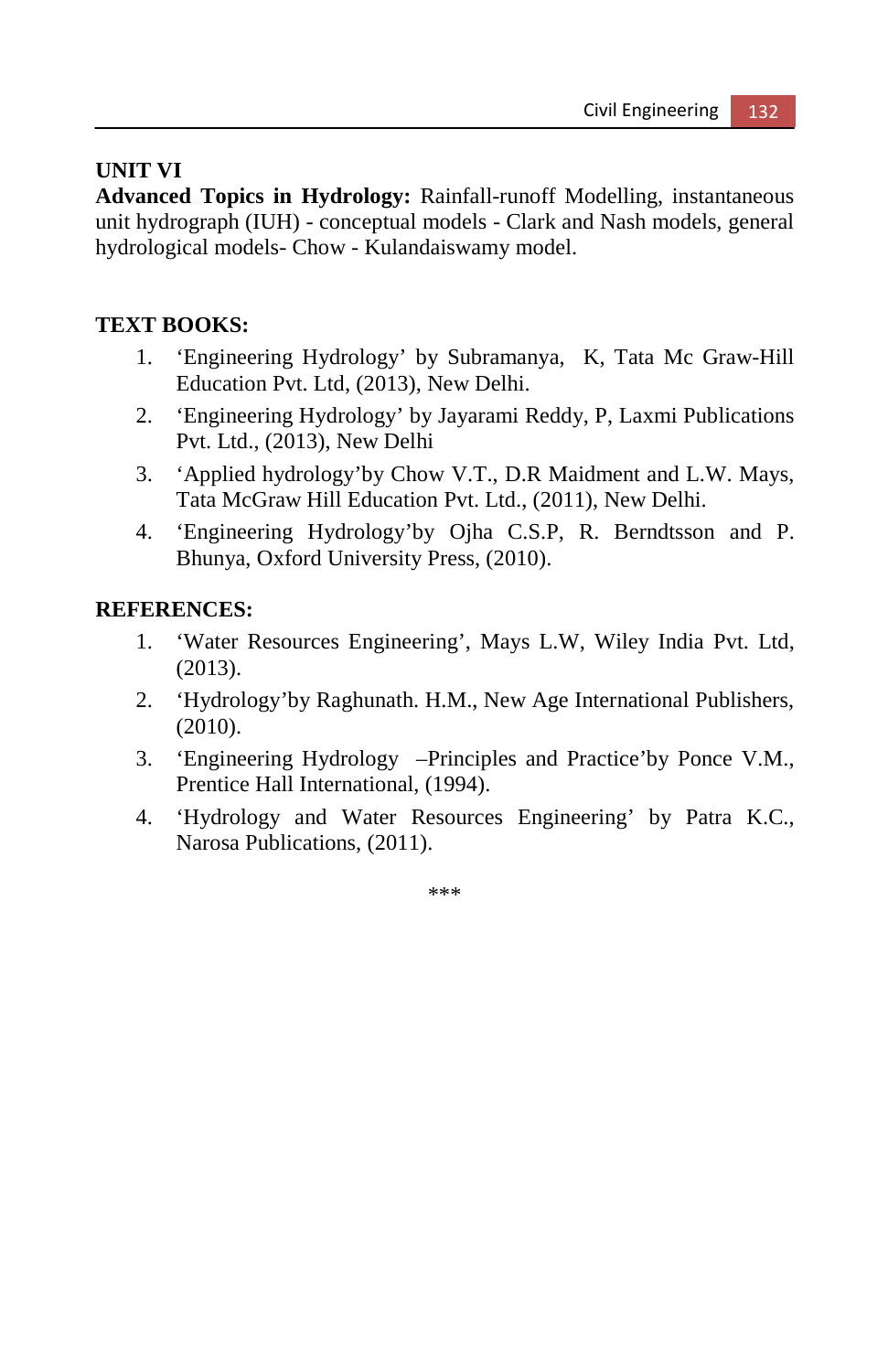# **UNIT VI**

**Advanced Topics in Hydrology:** Rainfall-runoff Modelling, instantaneous unit hydrograph (IUH) - conceptual models - Clark and Nash models, general hydrological models- Chow - Kulandaiswamy model.

# **TEXT BOOKS:**

- 1. 'Engineering Hydrology' by Subramanya, K, Tata Mc Graw-Hill Education Pvt. Ltd, (2013), New Delhi.
- 2. 'Engineering Hydrology' by Jayarami Reddy, P, Laxmi Publications Pvt. Ltd., (2013), New Delhi
- 3. 'Applied hydrology'by Chow V.T., D.R Maidment and L.W. Mays, Tata McGraw Hill Education Pvt. Ltd., (2011), New Delhi.
- 4. 'Engineering Hydrology'by Ojha C.S.P, R. Berndtsson and P. Bhunya, Oxford University Press, (2010).

#### **REFERENCES:**

- 1. 'Water Resources Engineering', Mays L.W, Wiley India Pvt. Ltd, (2013).
- 2. 'Hydrology'by Raghunath. H.M., New Age International Publishers, (2010).
- 3. 'Engineering Hydrology –Principles and Practice'by Ponce V.M., Prentice Hall International, (1994).
- 4. 'Hydrology and Water Resources Engineering' by Patra K.C., Narosa Publications, (2011).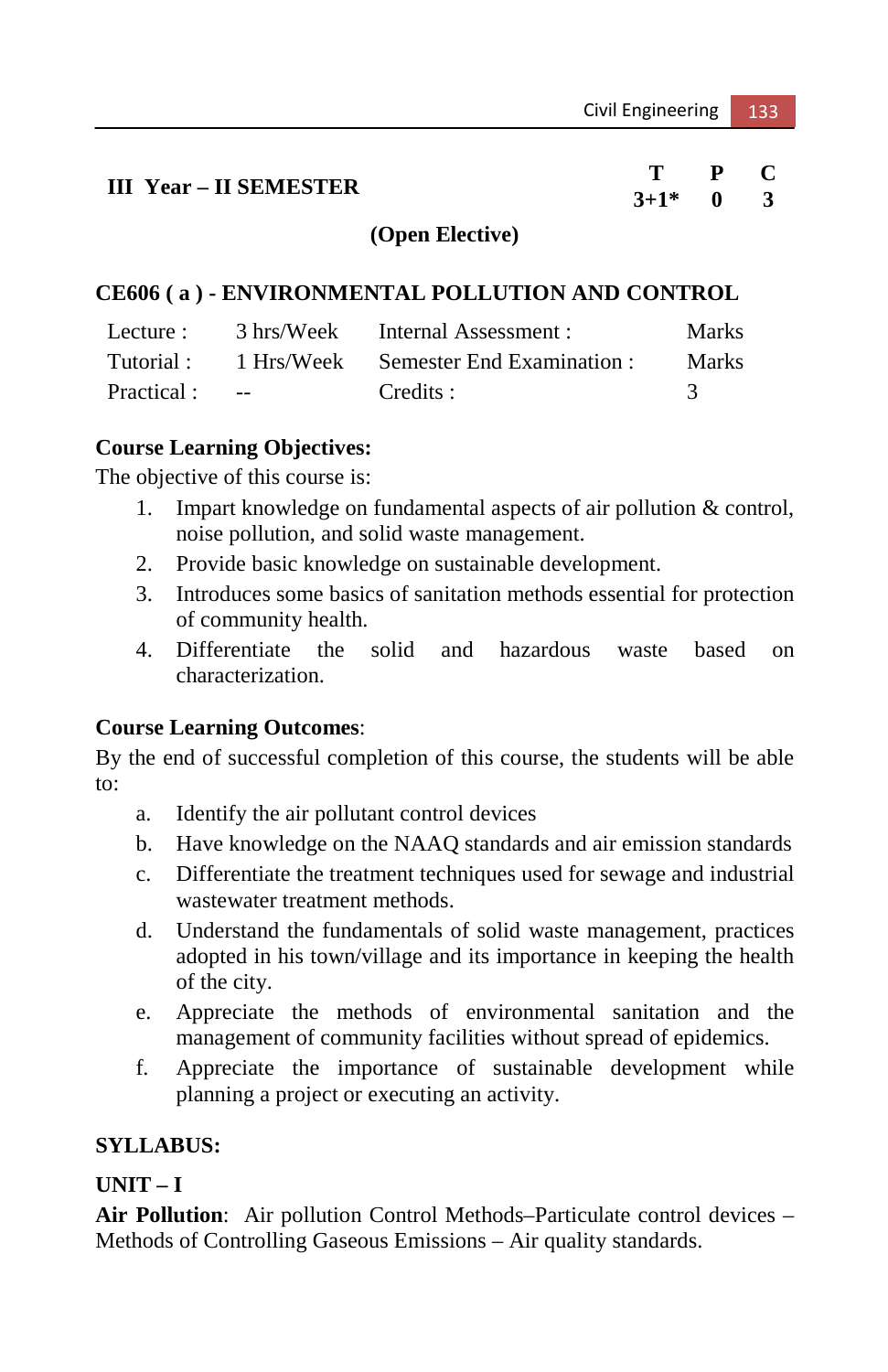| <b>III</b> Year – <b>II</b> SEMESTER | T P C<br>$3+1^*$ 0 3 |  |
|--------------------------------------|----------------------|--|
| (Open Elective)                      |                      |  |

#### **CE606 ( a ) - ENVIRONMENTAL POLLUTION AND CONTROL**

| Lecture :     | 3 hrs/Week Internal Assessment :               | <b>Marks</b> |
|---------------|------------------------------------------------|--------------|
|               | Tutorial: 1 Hrs/Week Semester End Examination: | <b>Marks</b> |
| Practical : - | Credits :                                      |              |

### **Course Learning Objectives:**

The objective of this course is:

- 1. Impart knowledge on fundamental aspects of air pollution & control, noise pollution, and solid waste management.
- 2. Provide basic knowledge on sustainable development.
- 3. Introduces some basics of sanitation methods essential for protection of community health.
- 4. Differentiate the solid and hazardous waste based on characterization.

#### **Course Learning Outcomes**:

By the end of successful completion of this course, the students will be able to:

- a. Identify the air pollutant control devices
- b. Have knowledge on the NAAQ standards and air emission standards
- c. Differentiate the treatment techniques used for sewage and industrial wastewater treatment methods.
- d. Understand the fundamentals of solid waste management, practices adopted in his town/village and its importance in keeping the health of the city.
- e. Appreciate the methods of environmental sanitation and the management of community facilities without spread of epidemics.
- f. Appreciate the importance of sustainable development while planning a project or executing an activity.

# **SYLLABUS:**

# **UNIT – I**

**Air Pollution**: Air pollution Control Methods–Particulate control devices – Methods of Controlling Gaseous Emissions – Air quality standards.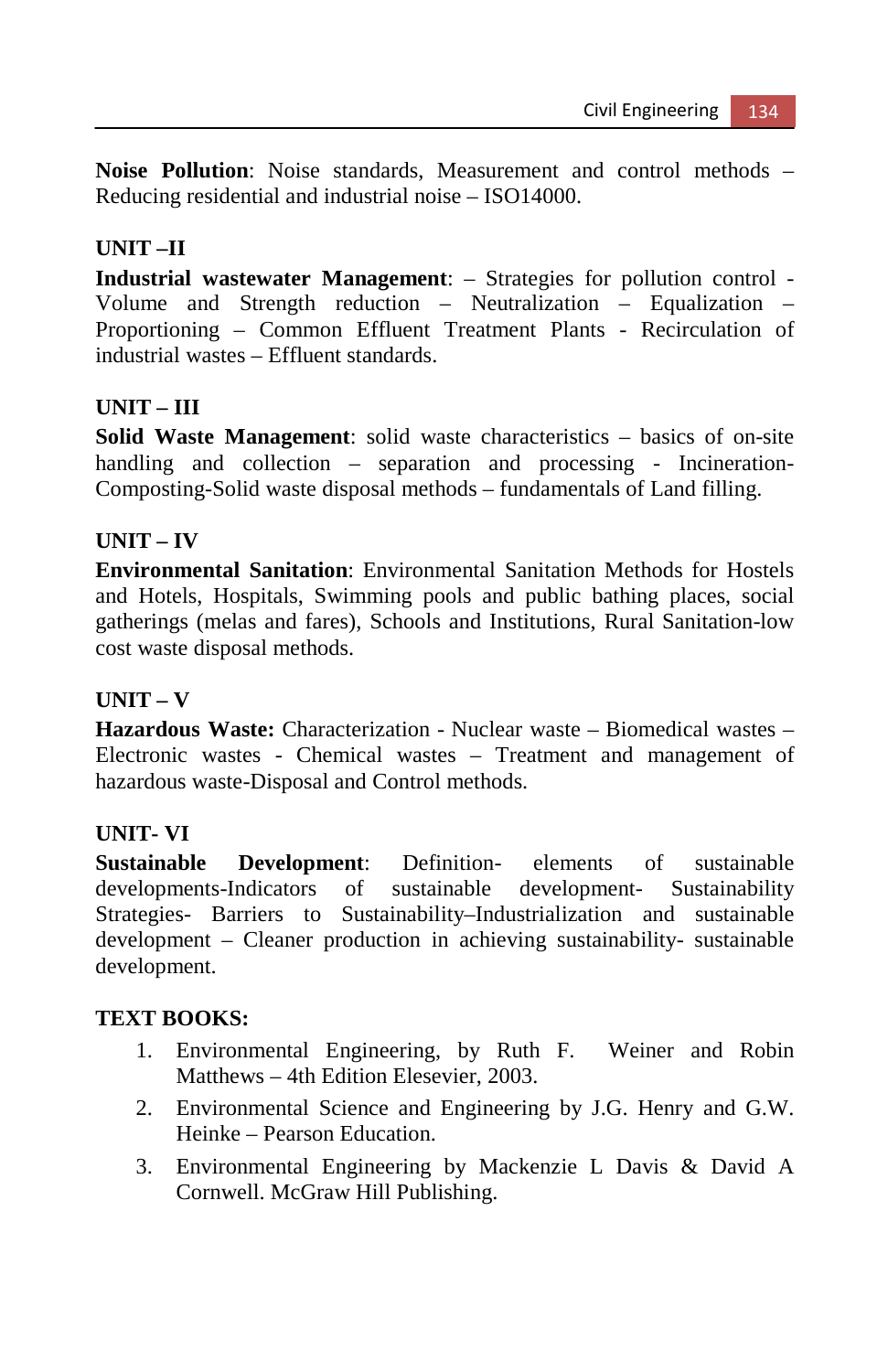**Noise Pollution**: Noise standards, Measurement and control methods – Reducing residential and industrial noise – ISO14000.

# **UNIT –II**

**Industrial wastewater Management**: – Strategies for pollution control - Volume and Strength reduction – Neutralization – Equalization – Proportioning – Common Effluent Treatment Plants - Recirculation of industrial wastes – Effluent standards.

# **UNIT – III**

**Solid Waste Management**: solid waste characteristics – basics of on-site handling and collection – separation and processing - Incineration-Composting-Solid waste disposal methods – fundamentals of Land filling.

# **UNIT – IV**

**Environmental Sanitation**: Environmental Sanitation Methods for Hostels and Hotels, Hospitals, Swimming pools and public bathing places, social gatherings (melas and fares), Schools and Institutions, Rural Sanitation-low cost waste disposal methods.

# **UNIT – V**

**Hazardous Waste:** Characterization - Nuclear waste – Biomedical wastes – Electronic wastes - Chemical wastes – Treatment and management of hazardous waste-Disposal and Control methods.

# **UNIT- VI**

**Sustainable Development**: Definition- elements of sustainable developments-Indicators of sustainable development- Sustainability Strategies- Barriers to Sustainability–Industrialization and sustainable development – Cleaner production in achieving sustainability- sustainable development.

# **TEXT BOOKS:**

- 1. Environmental Engineering, by Ruth F. Weiner and Robin Matthews – 4th Edition Elesevier, 2003.
- 2. Environmental Science and Engineering by J.G. Henry and G.W. Heinke – Pearson Education.
- 3. Environmental Engineering by Mackenzie L Davis & David A Cornwell. McGraw Hill Publishing.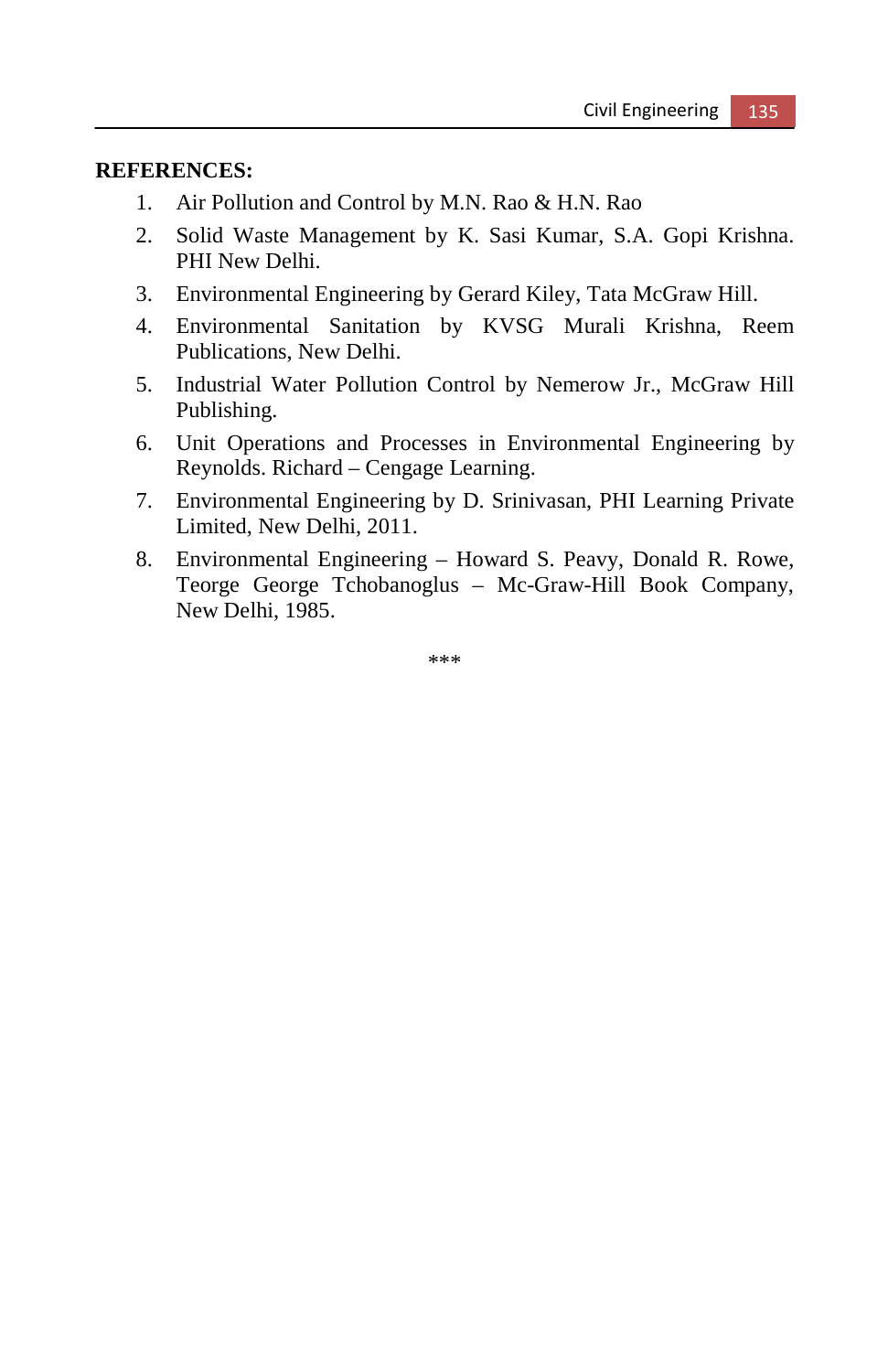#### **REFERENCES:**

- 1. Air Pollution and Control by M.N. Rao & H.N. Rao
- 2. Solid Waste Management by K. Sasi Kumar, S.A. Gopi Krishna. PHI New Delhi.
- 3. Environmental Engineering by Gerard Kiley, Tata McGraw Hill.
- 4. Environmental Sanitation by KVSG Murali Krishna, Reem Publications, New Delhi.
- 5. Industrial Water Pollution Control by Nemerow Jr., McGraw Hill Publishing.
- 6. Unit Operations and Processes in Environmental Engineering by Reynolds. Richard – Cengage Learning.
- 7. Environmental Engineering by D. Srinivasan, PHI Learning Private Limited, New Delhi, 2011.
- 8. Environmental Engineering Howard S. Peavy, Donald R. Rowe, Teorge George Tchobanoglus – Mc-Graw-Hill Book Company, New Delhi, 1985.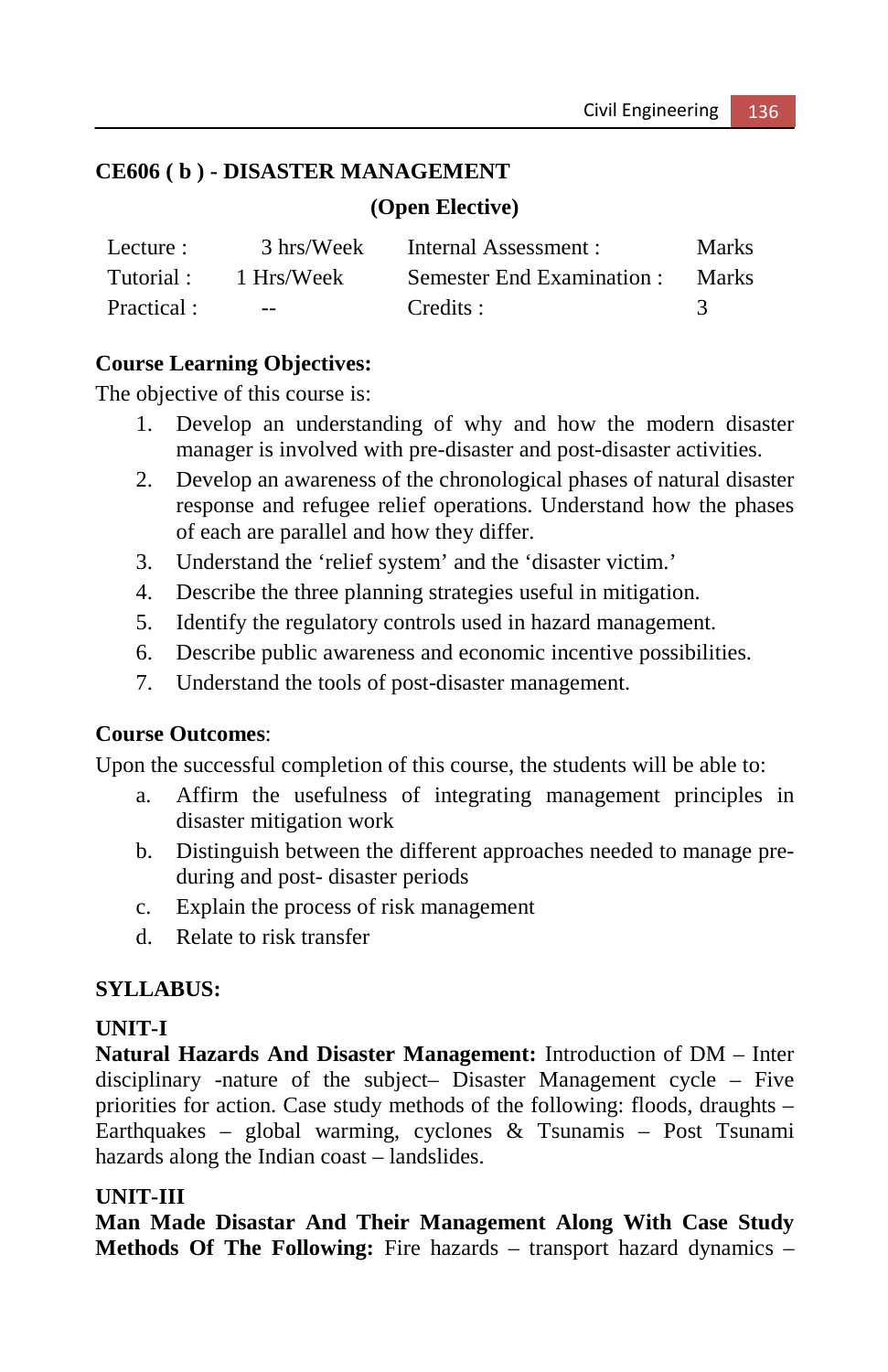# **CE606 ( b ) - DISASTER MANAGEMENT**

**(Open Elective)** 

| Lecture :   | 3 hrs/Week    | Internal Assessment :      | <b>Marks</b> |
|-------------|---------------|----------------------------|--------------|
| Tutorial :  | 1 Hrs/Week    | Semester End Examination : | Marks        |
| Practical : | $\sim$ $\sim$ | Credits :                  |              |

# **Course Learning Objectives:**

The objective of this course is:

- 1. Develop an understanding of why and how the modern disaster manager is involved with pre-disaster and post-disaster activities.
- 2. Develop an awareness of the chronological phases of natural disaster response and refugee relief operations. Understand how the phases of each are parallel and how they differ.
- 3. Understand the 'relief system' and the 'disaster victim.'
- 4. Describe the three planning strategies useful in mitigation.
- 5. Identify the regulatory controls used in hazard management.
- 6. Describe public awareness and economic incentive possibilities.
- 7. Understand the tools of post-disaster management.

# **Course Outcomes**:

Upon the successful completion of this course, the students will be able to:

- a. Affirm the usefulness of integrating management principles in disaster mitigation work
- b. Distinguish between the different approaches needed to manage preduring and post- disaster periods
- c. Explain the process of risk management
- d. Relate to risk transfer

# **SYLLABUS:**

# **UNIT-I**

**Natural Hazards And Disaster Management:** Introduction of DM – Inter disciplinary -nature of the subject– Disaster Management cycle – Five priorities for action. Case study methods of the following: floods, draughts – Earthquakes – global warming, cyclones & Tsunamis – Post Tsunami hazards along the Indian coast – landslides.

# **UNIT-III**

**Man Made Disastar And Their Management Along With Case Study Methods Of The Following:** Fire hazards – transport hazard dynamics –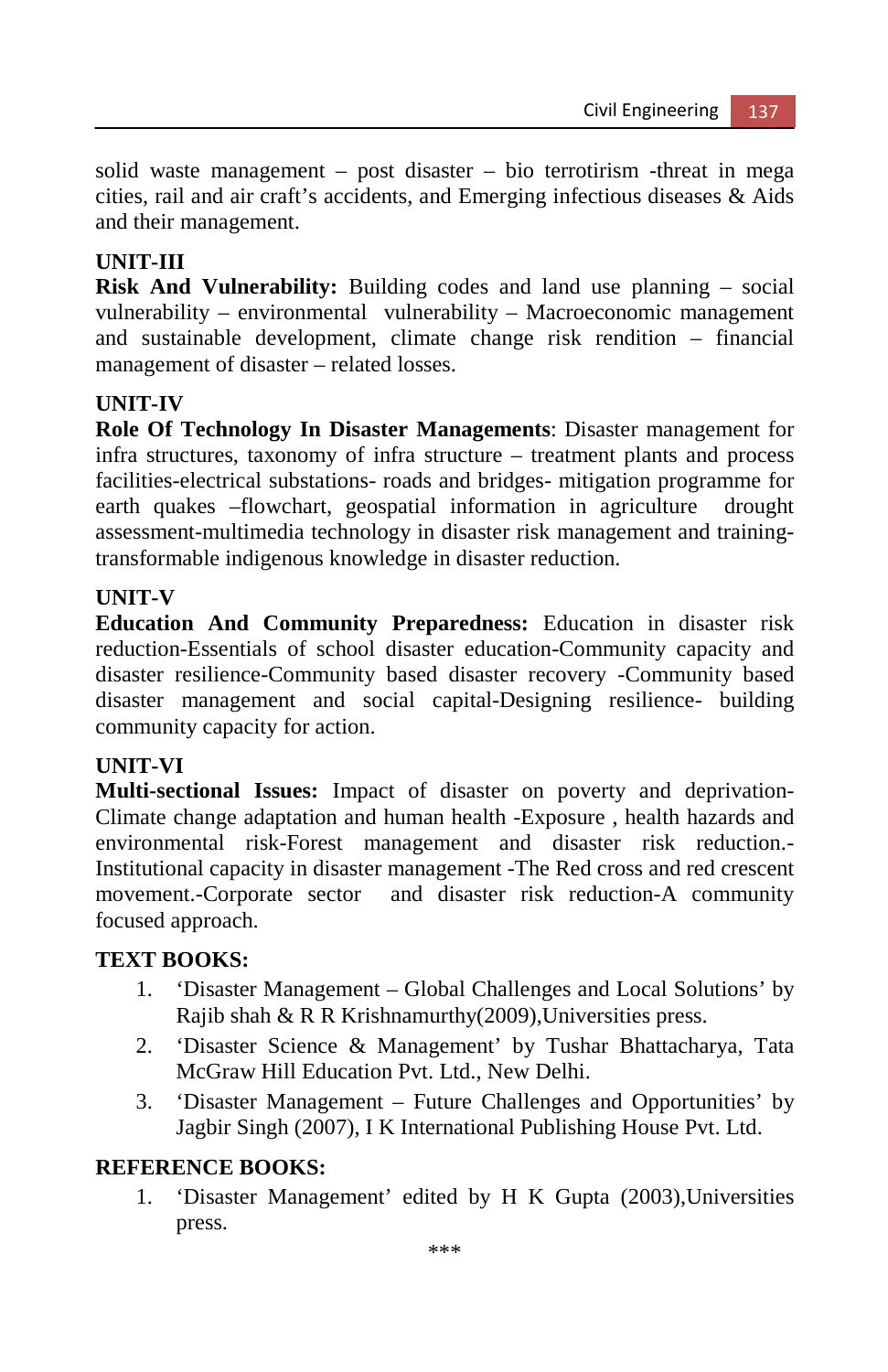solid waste management – post disaster – bio terrotirism -threat in mega cities, rail and air craft's accidents, and Emerging infectious diseases & Aids and their management.

# **UNIT-III**

**Risk And Vulnerability:** Building codes and land use planning – social vulnerability – environmental vulnerability – Macroeconomic management and sustainable development, climate change risk rendition – financial management of disaster – related losses.

# **UNIT-IV**

**Role Of Technology In Disaster Managements**: Disaster management for infra structures, taxonomy of infra structure – treatment plants and process facilities-electrical substations- roads and bridges- mitigation programme for earth quakes –flowchart, geospatial information in agriculture drought assessment-multimedia technology in disaster risk management and trainingtransformable indigenous knowledge in disaster reduction.

# **UNIT-V**

**Education And Community Preparedness:** Education in disaster risk reduction-Essentials of school disaster education-Community capacity and disaster resilience-Community based disaster recovery -Community based disaster management and social capital-Designing resilience- building community capacity for action.

# **UNIT-VI**

**Multi-sectional Issues:** Impact of disaster on poverty and deprivation-Climate change adaptation and human health -Exposure , health hazards and environmental risk-Forest management and disaster risk reduction.- Institutional capacity in disaster management -The Red cross and red crescent movement.-Corporate sector and disaster risk reduction-A community focused approach.

# **TEXT BOOKS:**

- 1. 'Disaster Management Global Challenges and Local Solutions' by Rajib shah & R R Krishnamurthy(2009),Universities press.
- 2. 'Disaster Science & Management' by Tushar Bhattacharya, Tata McGraw Hill Education Pvt. Ltd., New Delhi.
- 3. 'Disaster Management Future Challenges and Opportunities' by Jagbir Singh (2007), I K International Publishing House Pvt. Ltd.

# **REFERENCE BOOKS:**

1. 'Disaster Management' edited by H K Gupta (2003),Universities press.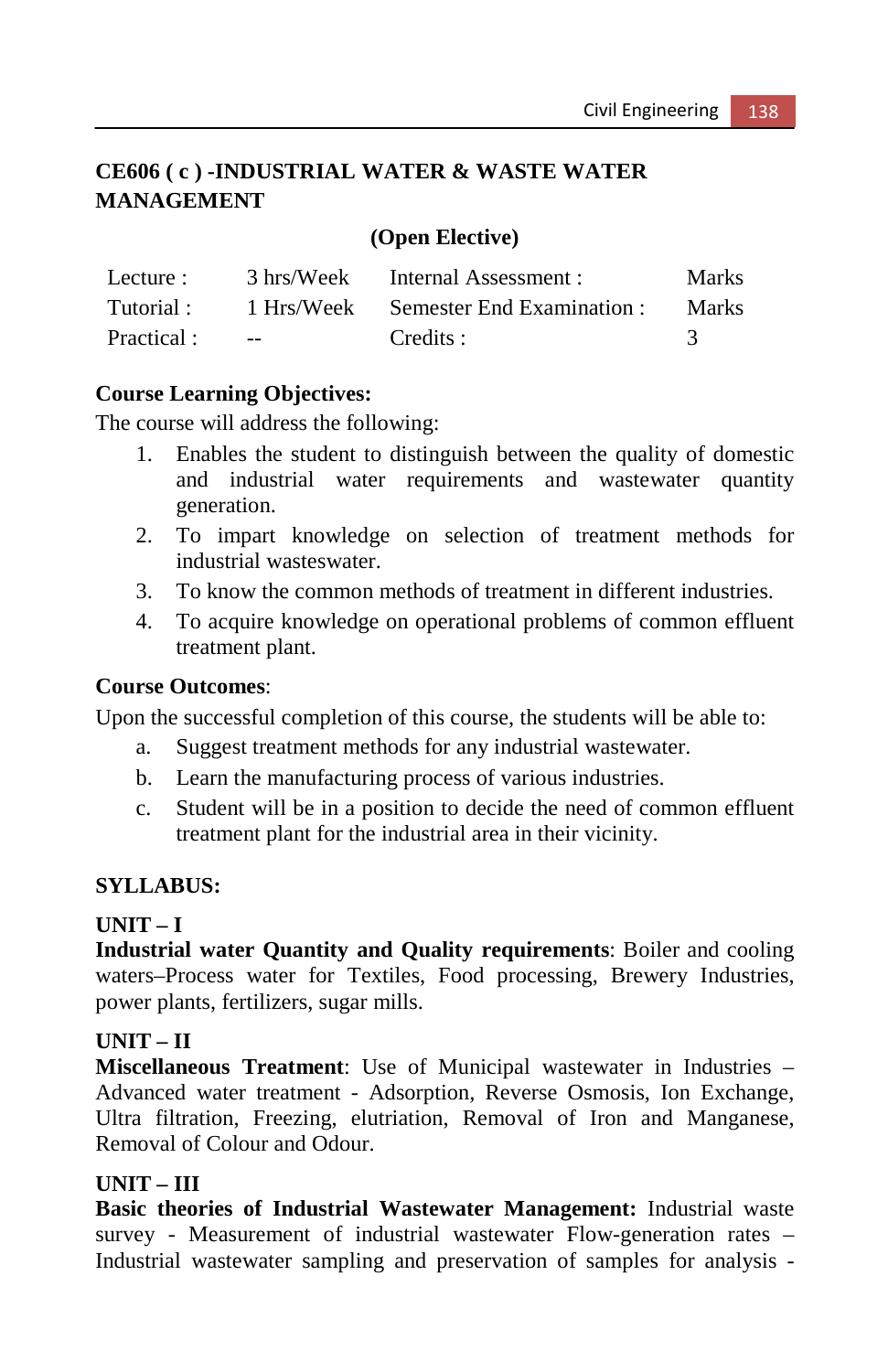# **CE606 ( c ) -INDUSTRIAL WATER & WASTE WATER MANAGEMENT**

#### **(Open Elective)**

| Lecture :   | 3 hrs/Week    | Internal Assessment :     | <b>Marks</b> |
|-------------|---------------|---------------------------|--------------|
| Tutorial :  | 1 Hrs/Week    | Semester End Examination: | <b>Marks</b> |
| Practical : | $\sim$ $\sim$ | Credits :                 |              |

# **Course Learning Objectives:**

The course will address the following:

- 1. Enables the student to distinguish between the quality of domestic and industrial water requirements and wastewater quantity generation.
- 2. To impart knowledge on selection of treatment methods for industrial wasteswater.
- 3. To know the common methods of treatment in different industries.
- 4. To acquire knowledge on operational problems of common effluent treatment plant.

#### **Course Outcomes**:

Upon the successful completion of this course, the students will be able to:

- a. Suggest treatment methods for any industrial wastewater.
- b. Learn the manufacturing process of various industries.
- c. Student will be in a position to decide the need of common effluent treatment plant for the industrial area in their vicinity.

# **SYLLABUS:**

# **UNIT – I**

**Industrial water Quantity and Quality requirements**: Boiler and cooling waters–Process water for Textiles, Food processing, Brewery Industries, power plants, fertilizers, sugar mills.

# **UNIT – II**

**Miscellaneous Treatment**: Use of Municipal wastewater in Industries – Advanced water treatment - Adsorption, Reverse Osmosis, Ion Exchange, Ultra filtration, Freezing, elutriation, Removal of Iron and Manganese, Removal of Colour and Odour.

# **UNIT – III**

**Basic theories of Industrial Wastewater Management:** Industrial waste survey - Measurement of industrial wastewater Flow-generation rates – Industrial wastewater sampling and preservation of samples for analysis -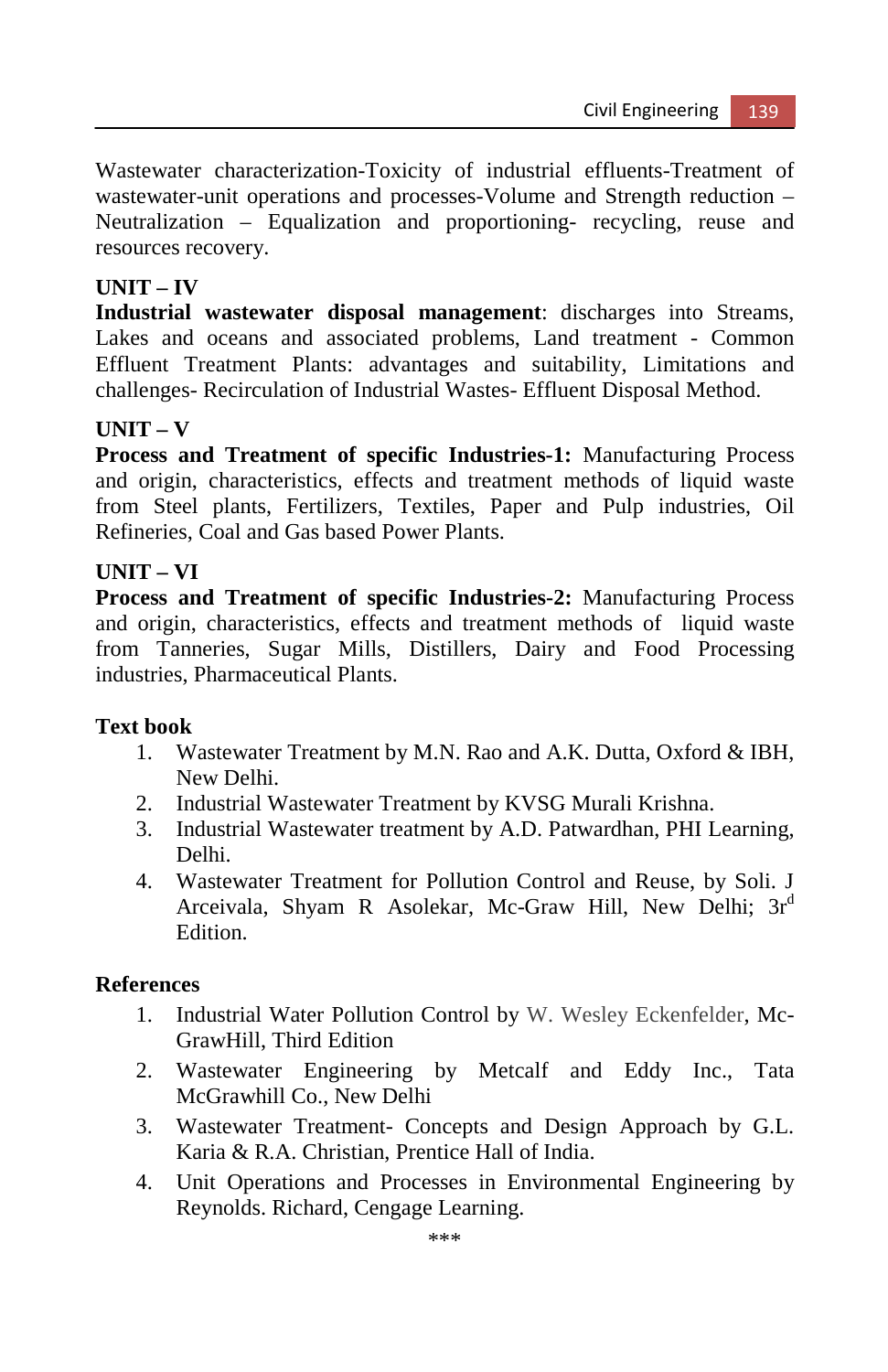Wastewater characterization-Toxicity of industrial effluents-Treatment of wastewater-unit operations and processes-Volume and Strength reduction – Neutralization – Equalization and proportioning- recycling, reuse and resources recovery.

# **UNIT – IV**

**Industrial wastewater disposal management**: discharges into Streams, Lakes and oceans and associated problems, Land treatment - Common Effluent Treatment Plants: advantages and suitability, Limitations and challenges- Recirculation of Industrial Wastes- Effluent Disposal Method.

# **UNIT – V**

**Process and Treatment of specific Industries-1:** Manufacturing Process and origin, characteristics, effects and treatment methods of liquid waste from Steel plants, Fertilizers, Textiles, Paper and Pulp industries, Oil Refineries, Coal and Gas based Power Plants.

# **UNIT – VI**

**Process and Treatment of specific Industries-2:** Manufacturing Process and origin, characteristics, effects and treatment methods of liquid waste from Tanneries, Sugar Mills, Distillers, Dairy and Food Processing industries, Pharmaceutical Plants.

# **Text book**

- 1. Wastewater Treatment by M.N. Rao and A.K. Dutta, Oxford & IBH, New Delhi.
- 2. Industrial Wastewater Treatment by KVSG Murali Krishna.
- 3. Industrial Wastewater treatment by A.D. Patwardhan, PHI Learning, Delhi.
- 4. Wastewater Treatment for Pollution Control and Reuse, by Soli. J Arceivala, Shyam R Asolekar, Mc-Graw Hill, New Delhi; 3r<sup>d</sup> Edition.

# **References**

- 1. Industrial Water Pollution Control by W. Wesley Eckenfelder, Mc-GrawHill, Third Edition
- 2. Wastewater Engineering by Metcalf and Eddy Inc., Tata McGrawhill Co., New Delhi
- 3. Wastewater Treatment- Concepts and Design Approach by G.L. Karia & R.A. Christian, Prentice Hall of India.
- 4. Unit Operations and Processes in Environmental Engineering by Reynolds. Richard, Cengage Learning.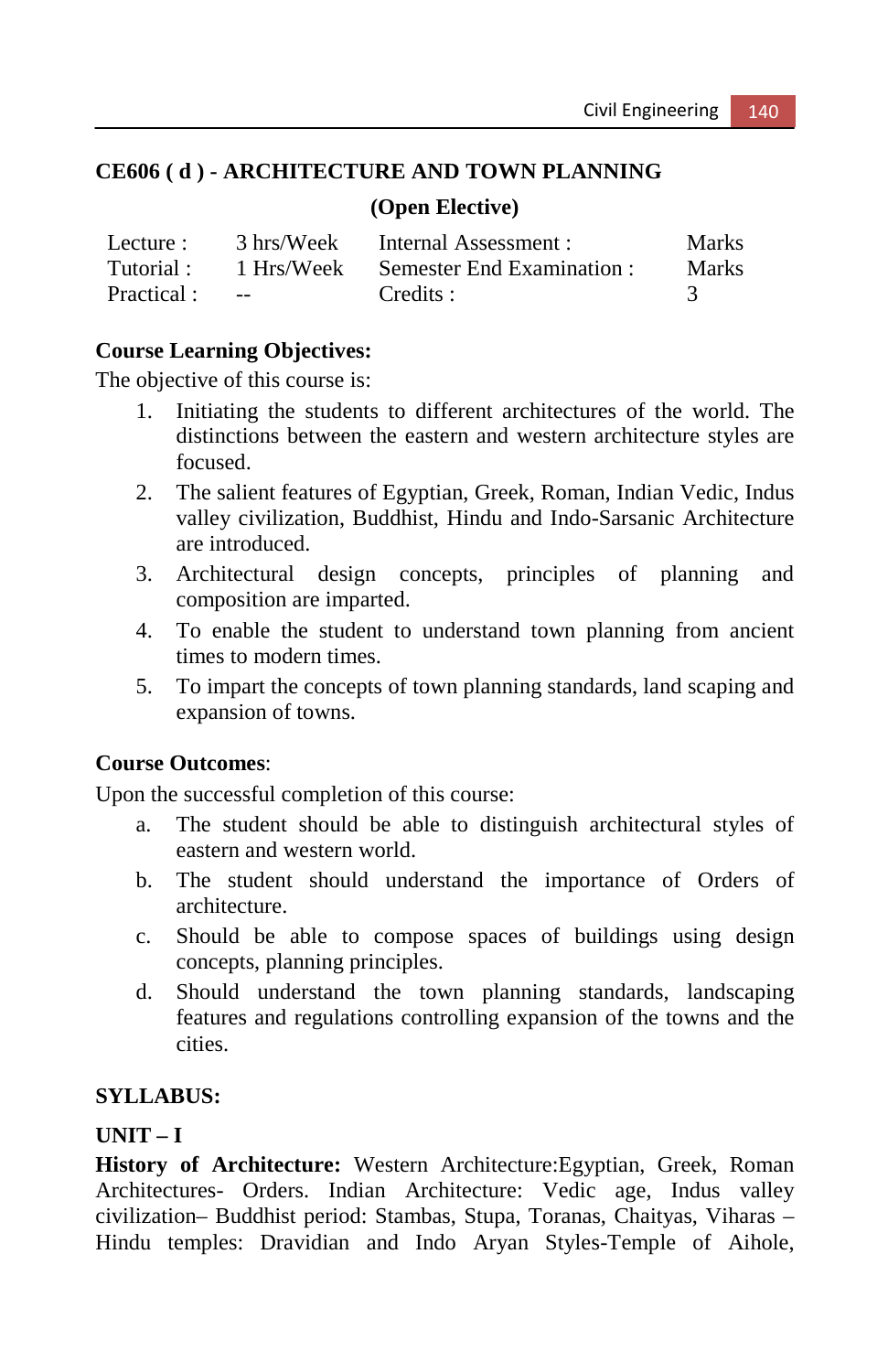# **CE606 ( d ) - ARCHITECTURE AND TOWN PLANNING**

**(Open Elective)** 

| Lecture :  | 3 hrs/Week                        | Internal Assessment :      | <b>Marks</b> |
|------------|-----------------------------------|----------------------------|--------------|
| Tutorial : | 1 Hrs/Week                        | Semester End Examination : | <b>Marks</b> |
| Practical: | <b>Contract Contract Contract</b> | Credits :                  |              |

#### **Course Learning Objectives:**

The objective of this course is:

- 1. Initiating the students to different architectures of the world. The distinctions between the eastern and western architecture styles are focused.
- 2. The salient features of Egyptian, Greek, Roman, Indian Vedic, Indus valley civilization, Buddhist, Hindu and Indo-Sarsanic Architecture are introduced.
- 3. Architectural design concepts, principles of planning and composition are imparted.
- 4. To enable the student to understand town planning from ancient times to modern times.
- 5. To impart the concepts of town planning standards, land scaping and expansion of towns.

#### **Course Outcomes**:

Upon the successful completion of this course:

- a. The student should be able to distinguish architectural styles of eastern and western world.
- b. The student should understand the importance of Orders of architecture.
- c. Should be able to compose spaces of buildings using design concepts, planning principles.
- d. Should understand the town planning standards, landscaping features and regulations controlling expansion of the towns and the cities.

# **SYLLABUS:**

# **UNIT – I**

**History of Architecture:** Western Architecture:Egyptian, Greek, Roman Architectures- Orders. Indian Architecture: Vedic age, Indus valley civilization– Buddhist period: Stambas, Stupa, Toranas, Chaityas, Viharas – Hindu temples: Dravidian and Indo Aryan Styles-Temple of Aihole,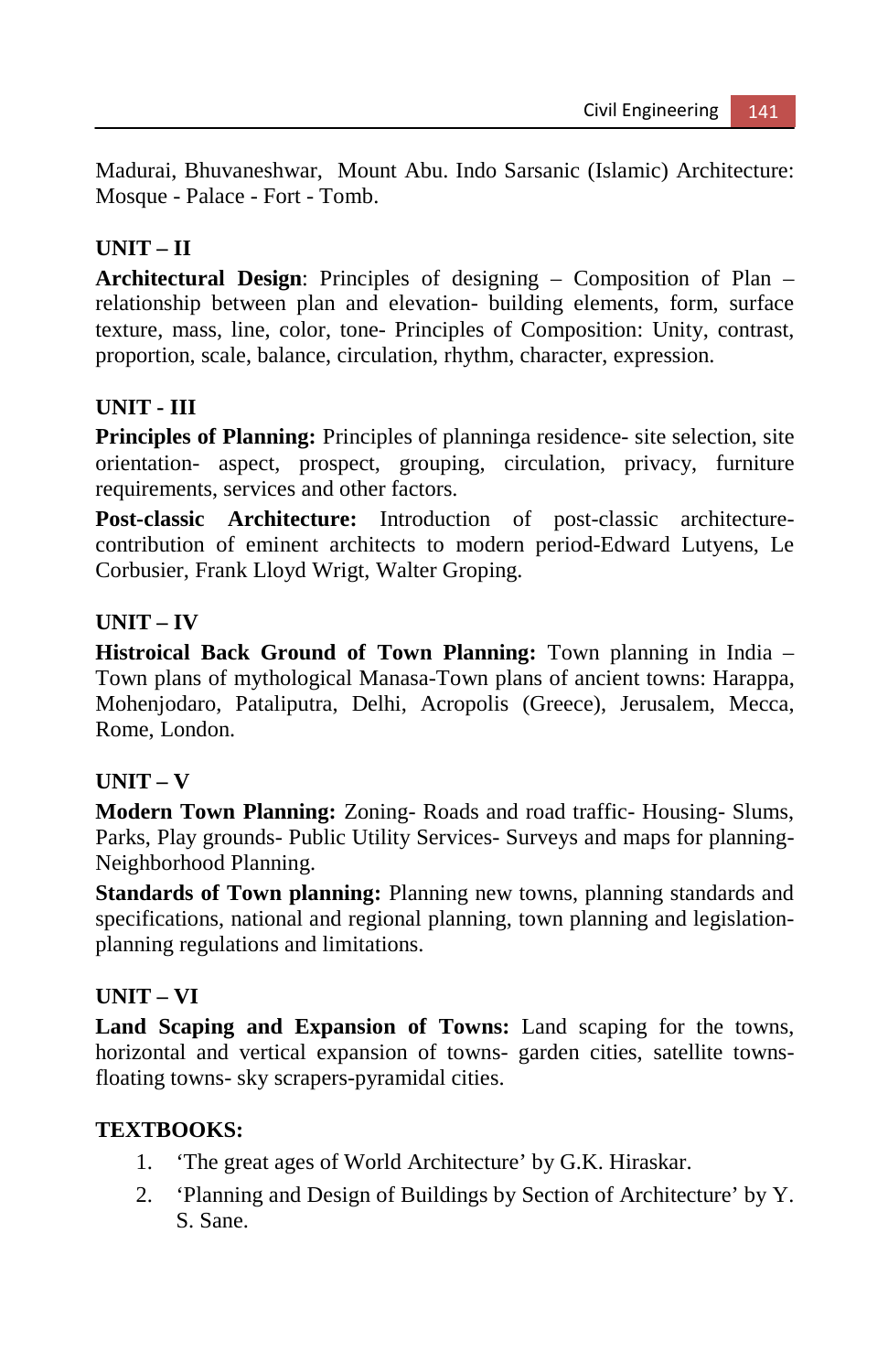Madurai, Bhuvaneshwar, Mount Abu. Indo Sarsanic (Islamic) Architecture: Mosque - Palace - Fort - Tomb.

# **UNIT – II**

**Architectural Design**: Principles of designing – Composition of Plan – relationship between plan and elevation- building elements, form, surface texture, mass, line, color, tone- Principles of Composition: Unity, contrast, proportion, scale, balance, circulation, rhythm, character, expression.

# **UNIT - III**

**Principles of Planning:** Principles of planninga residence- site selection, site orientation- aspect, prospect, grouping, circulation, privacy, furniture requirements, services and other factors.

**Post-classic Architecture:** Introduction of post-classic architecturecontribution of eminent architects to modern period-Edward Lutyens, Le Corbusier, Frank Lloyd Wrigt, Walter Groping.

# **UNIT – IV**

**Histroical Back Ground of Town Planning:** Town planning in India – Town plans of mythological Manasa-Town plans of ancient towns: Harappa, Mohenjodaro, Pataliputra, Delhi, Acropolis (Greece), Jerusalem, Mecca, Rome, London.

# **UNIT – V**

**Modern Town Planning:** Zoning- Roads and road traffic- Housing- Slums, Parks, Play grounds- Public Utility Services- Surveys and maps for planning-Neighborhood Planning.

**Standards of Town planning:** Planning new towns, planning standards and specifications, national and regional planning, town planning and legislationplanning regulations and limitations.

# **UNIT – VI**

**Land Scaping and Expansion of Towns:** Land scaping for the towns, horizontal and vertical expansion of towns- garden cities, satellite townsfloating towns- sky scrapers-pyramidal cities.

# **TEXTBOOKS:**

- 1. 'The great ages of World Architecture' by G.K. Hiraskar.
- 2. 'Planning and Design of Buildings by Section of Architecture' by Y. S. Sane.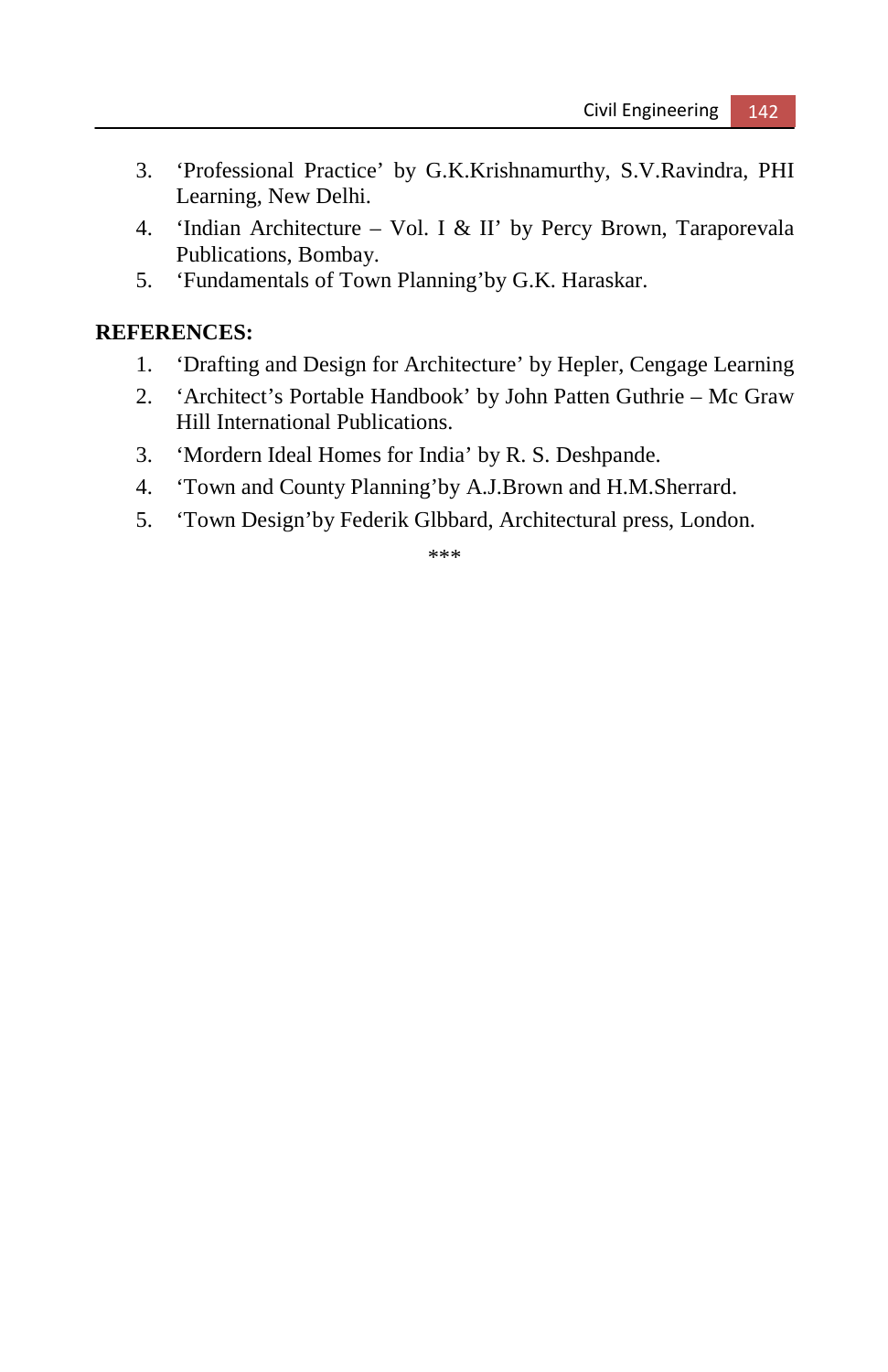- 3. 'Professional Practice' by G.K.Krishnamurthy, S.V.Ravindra, PHI Learning, New Delhi.
- 4. 'Indian Architecture Vol. I & II' by Percy Brown, Taraporevala Publications, Bombay.
- 5. 'Fundamentals of Town Planning'by G.K. Haraskar.

#### **REFERENCES:**

- 1. 'Drafting and Design for Architecture' by Hepler, Cengage Learning
- 2. 'Architect's Portable Handbook' by John Patten Guthrie Mc Graw Hill International Publications.
- 3. 'Mordern Ideal Homes for India' by R. S. Deshpande.
- 4. 'Town and County Planning'by A.J.Brown and H.M.Sherrard.
- 5. 'Town Design'by Federik Glbbard, Architectural press, London.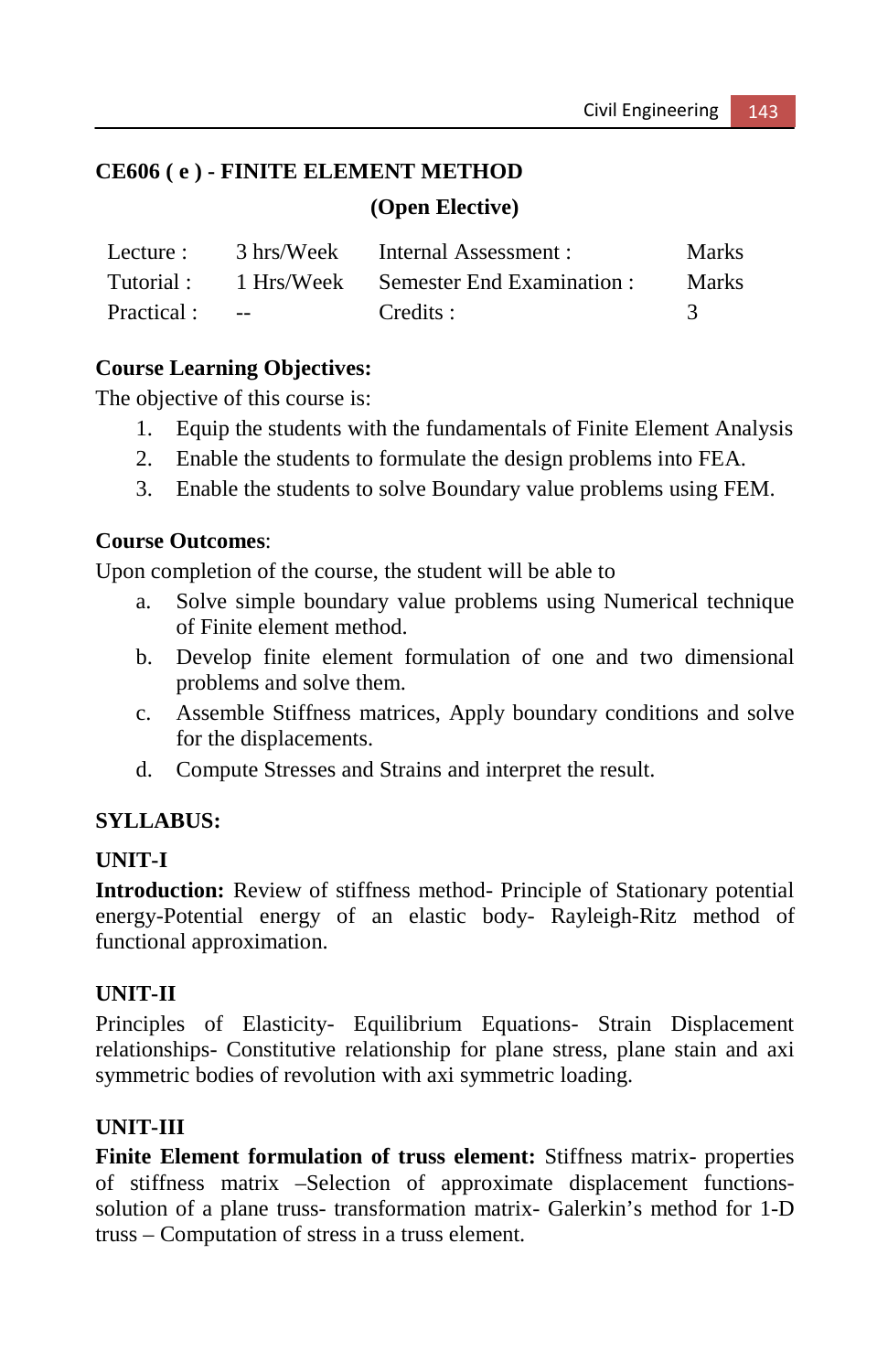# **CE606 ( e ) - FINITE ELEMENT METHOD**

#### **(Open Elective)**

| Lecture :   | 3 hrs/Week           | Internal Assessment :                          | <b>Marks</b> |
|-------------|----------------------|------------------------------------------------|--------------|
|             |                      | Tutorial: 1 Hrs/Week Semester End Examination: | <b>Marks</b> |
| Practical : | <b>Service</b> State | Credits :                                      |              |

# **Course Learning Objectives:**

The objective of this course is:

- 1. Equip the students with the fundamentals of Finite Element Analysis
- 2. Enable the students to formulate the design problems into FEA.
- 3. Enable the students to solve Boundary value problems using FEM.

### **Course Outcomes**:

Upon completion of the course, the student will be able to

- a. Solve simple boundary value problems using Numerical technique of Finite element method.
- b. Develop finite element formulation of one and two dimensional problems and solve them.
- c. Assemble Stiffness matrices, Apply boundary conditions and solve for the displacements.
- d. Compute Stresses and Strains and interpret the result.

# **SYLLABUS:**

# **UNIT-I**

**Introduction:** Review of stiffness method- Principle of Stationary potential energy-Potential energy of an elastic body- Rayleigh-Ritz method of functional approximation.

# **UNIT-II**

Principles of Elasticity- Equilibrium Equations- Strain Displacement relationships- Constitutive relationship for plane stress, plane stain and axi symmetric bodies of revolution with axi symmetric loading.

# **UNIT-III**

**Finite Element formulation of truss element:** Stiffness matrix- properties of stiffness matrix –Selection of approximate displacement functionssolution of a plane truss- transformation matrix- Galerkin's method for 1-D truss – Computation of stress in a truss element.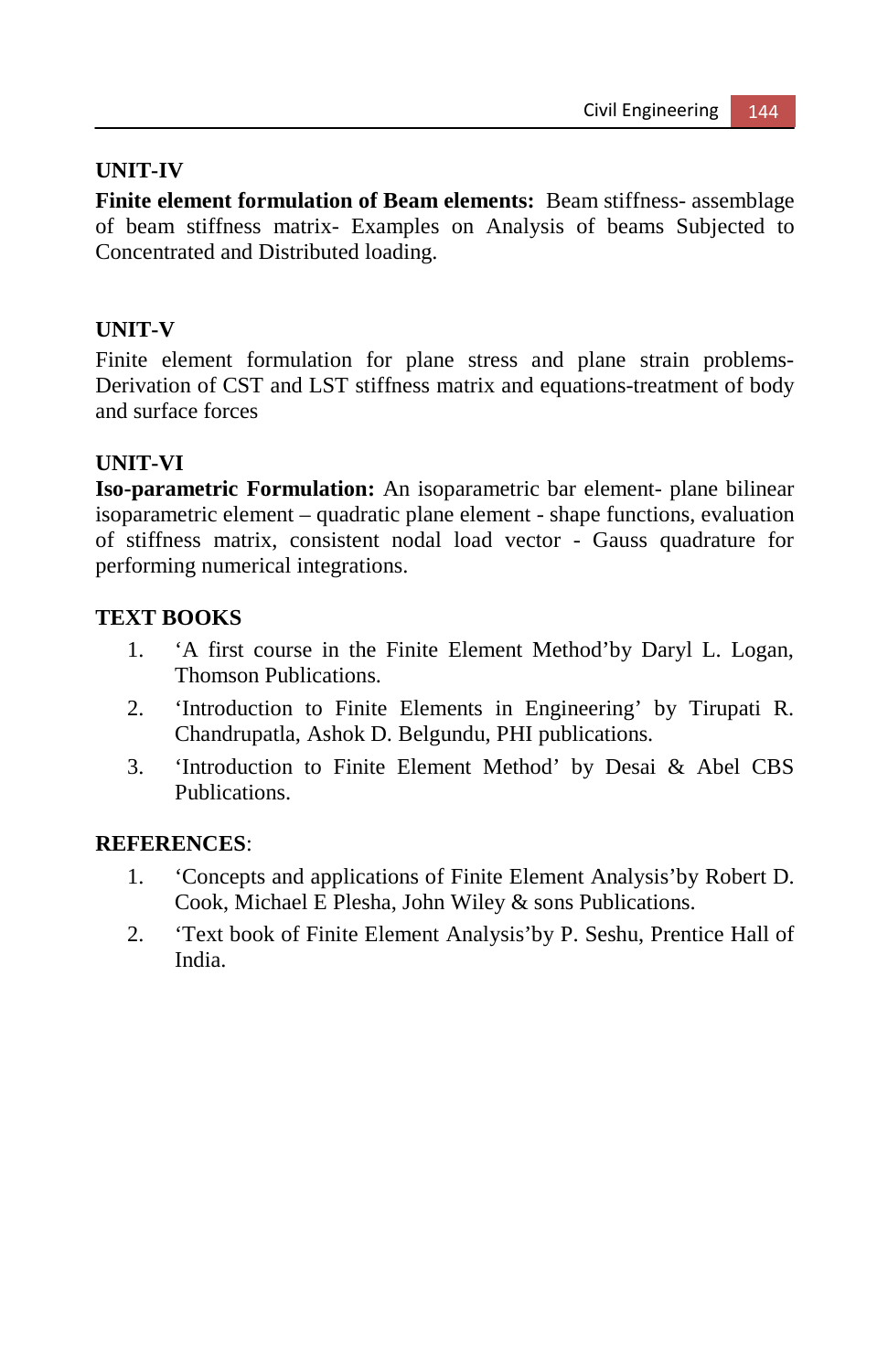# **UNIT-IV**

**Finite element formulation of Beam elements:** Beam stiffness- assemblage of beam stiffness matrix- Examples on Analysis of beams Subjected to Concentrated and Distributed loading.

### **UNIT-V**

Finite element formulation for plane stress and plane strain problems-Derivation of CST and LST stiffness matrix and equations-treatment of body and surface forces

### **UNIT-VI**

**Iso-parametric Formulation:** An isoparametric bar element- plane bilinear isoparametric element – quadratic plane element - shape functions, evaluation of stiffness matrix, consistent nodal load vector - Gauss quadrature for performing numerical integrations.

### **TEXT BOOKS**

- 1. 'A first course in the Finite Element Method'by Daryl L. Logan, Thomson Publications.
- 2. 'Introduction to Finite Elements in Engineering' by Tirupati R. Chandrupatla, Ashok D. Belgundu, PHI publications.
- 3. 'Introduction to Finite Element Method' by Desai & Abel CBS Publications.

#### **REFERENCES**:

- 1. 'Concepts and applications of Finite Element Analysis'by Robert D. Cook, Michael E Plesha, John Wiley & sons Publications.
- 2. 'Text book of Finite Element Analysis'by P. Seshu, Prentice Hall of India.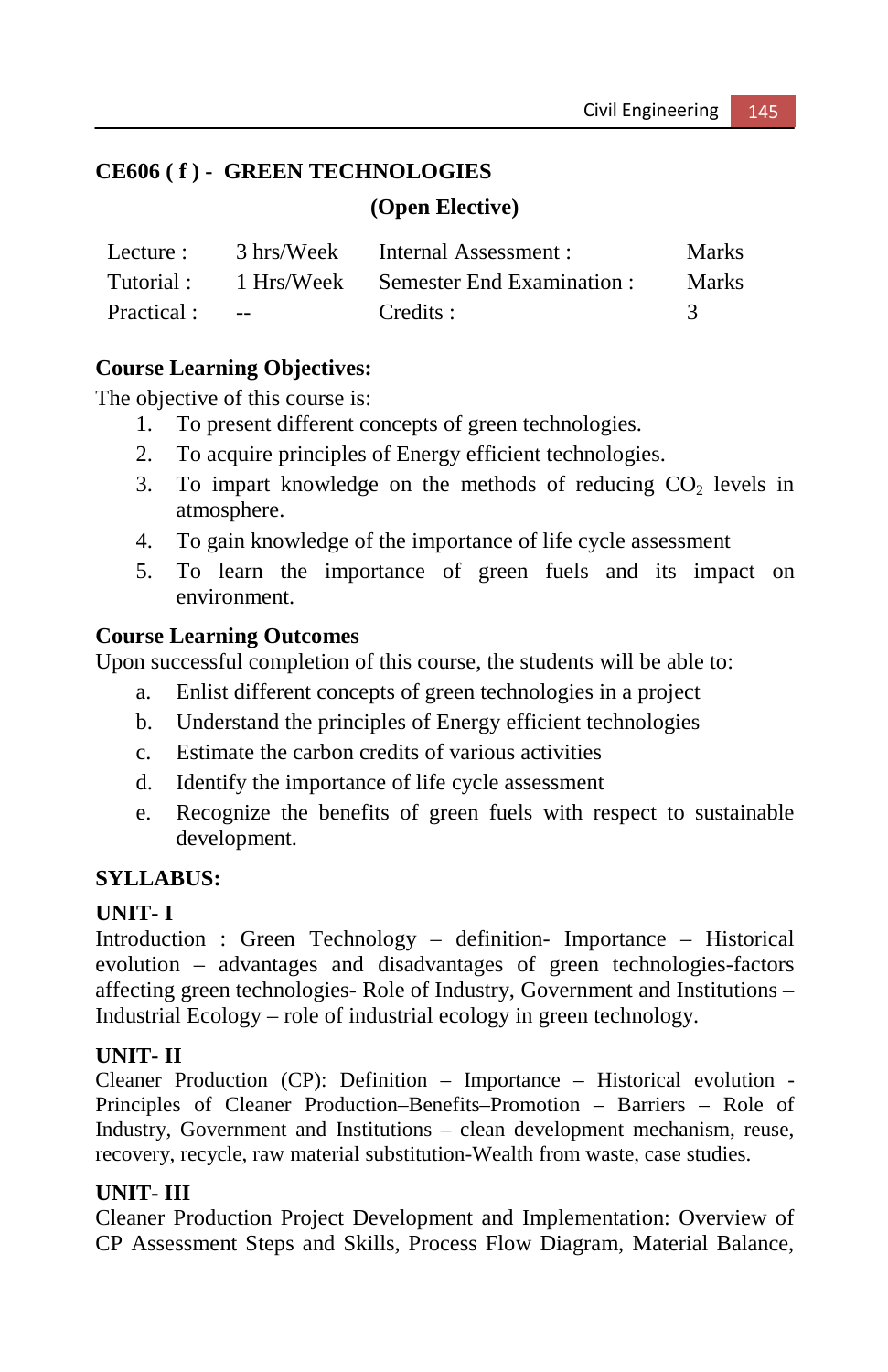# **CE606 ( f ) - GREEN TECHNOLOGIES**

#### **(Open Elective)**

| Lecture :   | 3 hrs/Week               | Internal Assessment :                          | <b>Marks</b> |
|-------------|--------------------------|------------------------------------------------|--------------|
|             |                          | Tutorial: 1 Hrs/Week Semester End Examination: | <b>Marks</b> |
| Practical : | <b>Contract Contract</b> | Credits :                                      |              |

#### **Course Learning Objectives:**

The objective of this course is:

- 1. To present different concepts of green technologies.
- 2. To acquire principles of Energy efficient technologies.
- 3. To impart knowledge on the methods of reducing  $CO<sub>2</sub>$  levels in atmosphere.
- 4. To gain knowledge of the importance of life cycle assessment
- 5. To learn the importance of green fuels and its impact on environment.

#### **Course Learning Outcomes**

Upon successful completion of this course, the students will be able to:

- a. Enlist different concepts of green technologies in a project
- b. Understand the principles of Energy efficient technologies
- c. Estimate the carbon credits of various activities
- d. Identify the importance of life cycle assessment
- e. Recognize the benefits of green fuels with respect to sustainable development.

#### **SYLLABUS:**

#### **UNIT- I**

Introduction : Green Technology – definition- Importance – Historical evolution – advantages and disadvantages of green technologies-factors affecting green technologies- Role of Industry, Government and Institutions – Industrial Ecology – role of industrial ecology in green technology.

#### **UNIT- II**

Cleaner Production (CP): Definition – Importance – Historical evolution - Principles of Cleaner Production–Benefits–Promotion – Barriers – Role of Industry, Government and Institutions – clean development mechanism, reuse, recovery, recycle, raw material substitution-Wealth from waste, case studies.

# **UNIT- III**

Cleaner Production Project Development and Implementation: Overview of CP Assessment Steps and Skills, Process Flow Diagram, Material Balance,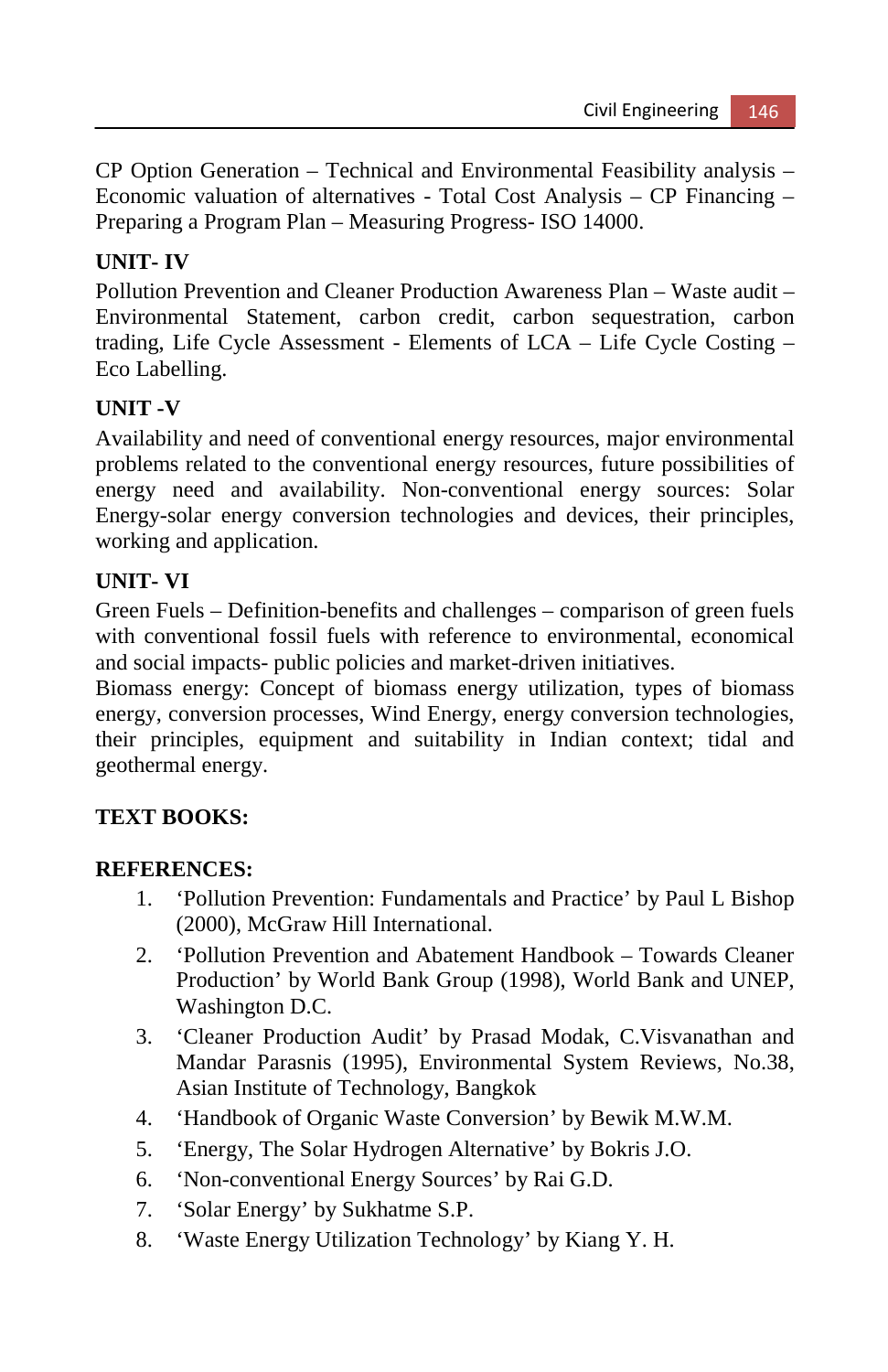CP Option Generation – Technical and Environmental Feasibility analysis – Economic valuation of alternatives - Total Cost Analysis – CP Financing – Preparing a Program Plan – Measuring Progress- ISO 14000.

### **UNIT- IV**

Pollution Prevention and Cleaner Production Awareness Plan – Waste audit – Environmental Statement, carbon credit, carbon sequestration, carbon trading, Life Cycle Assessment - Elements of LCA – Life Cycle Costing – Eco Labelling.

#### **UNIT -V**

Availability and need of conventional energy resources, major environmental problems related to the conventional energy resources, future possibilities of energy need and availability. Non-conventional energy sources: Solar Energy-solar energy conversion technologies and devices, their principles, working and application.

#### **UNIT- VI**

Green Fuels – Definition-benefits and challenges – comparison of green fuels with conventional fossil fuels with reference to environmental, economical and social impacts- public policies and market-driven initiatives.

Biomass energy: Concept of biomass energy utilization, types of biomass energy, conversion processes, Wind Energy, energy conversion technologies, their principles, equipment and suitability in Indian context; tidal and geothermal energy.

#### **TEXT BOOKS:**

#### **REFERENCES:**

- 1. 'Pollution Prevention: Fundamentals and Practice' by Paul L Bishop (2000), McGraw Hill International.
- 2. 'Pollution Prevention and Abatement Handbook Towards Cleaner Production' by World Bank Group (1998), World Bank and UNEP, Washington D.C.
- 3. 'Cleaner Production Audit' by Prasad Modak, C.Visvanathan and Mandar Parasnis (1995), Environmental System Reviews, No.38, Asian Institute of Technology, Bangkok
- 4. 'Handbook of Organic Waste Conversion' by Bewik M.W.M.
- 5. 'Energy, The Solar Hydrogen Alternative' by Bokris J.O.
- 6. 'Non-conventional Energy Sources' by Rai G.D.
- 7. 'Solar Energy' by Sukhatme S.P.
- 8. 'Waste Energy Utilization Technology' by Kiang Y. H.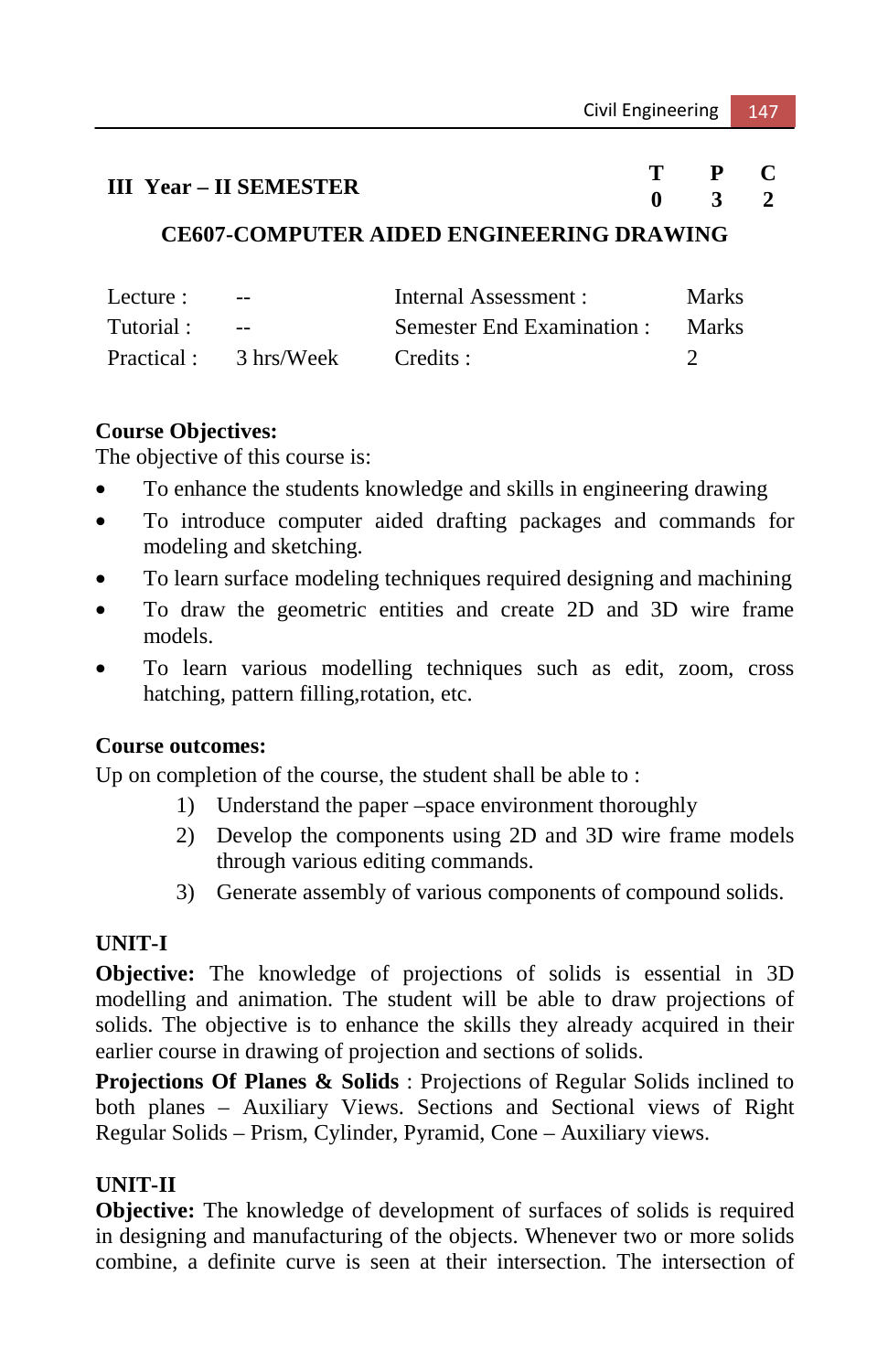# **III** Year – **II** SEMESTER **T** P C **0** 3 2

**0 3 2** 

#### **CE607-COMPUTER AIDED ENGINEERING DRAWING**

| Lecture :  | $\overline{\phantom{a}}$ | Internal Assessment:       | <b>Marks</b> |
|------------|--------------------------|----------------------------|--------------|
| Tutorial : | $-$                      | Semester End Examination : | <b>Marks</b> |
| Practical: | 3 hrs/Week               | Credits :                  |              |

#### **Course Objectives:**

The objective of this course is:

- To enhance the students knowledge and skills in engineering drawing
- To introduce computer aided drafting packages and commands for modeling and sketching.
- To learn surface modeling techniques required designing and machining
- To draw the geometric entities and create 2D and 3D wire frame models.
- To learn various modelling techniques such as edit, zoom, cross hatching, pattern filling,rotation, etc.

#### **Course outcomes:**

Up on completion of the course, the student shall be able to :

- 1) Understand the paper –space environment thoroughly
- 2) Develop the components using 2D and 3D wire frame models through various editing commands.
- 3) Generate assembly of various components of compound solids.

#### **UNIT-I**

**Objective:** The knowledge of projections of solids is essential in 3D modelling and animation. The student will be able to draw projections of solids. The objective is to enhance the skills they already acquired in their earlier course in drawing of projection and sections of solids.

**Projections Of Planes & Solids**: Projections of Regular Solids inclined to both planes – Auxiliary Views. Sections and Sectional views of Right Regular Solids – Prism, Cylinder, Pyramid, Cone – Auxiliary views.

#### **UNIT-II**

**Objective:** The knowledge of development of surfaces of solids is required in designing and manufacturing of the objects. Whenever two or more solids combine, a definite curve is seen at their intersection. The intersection of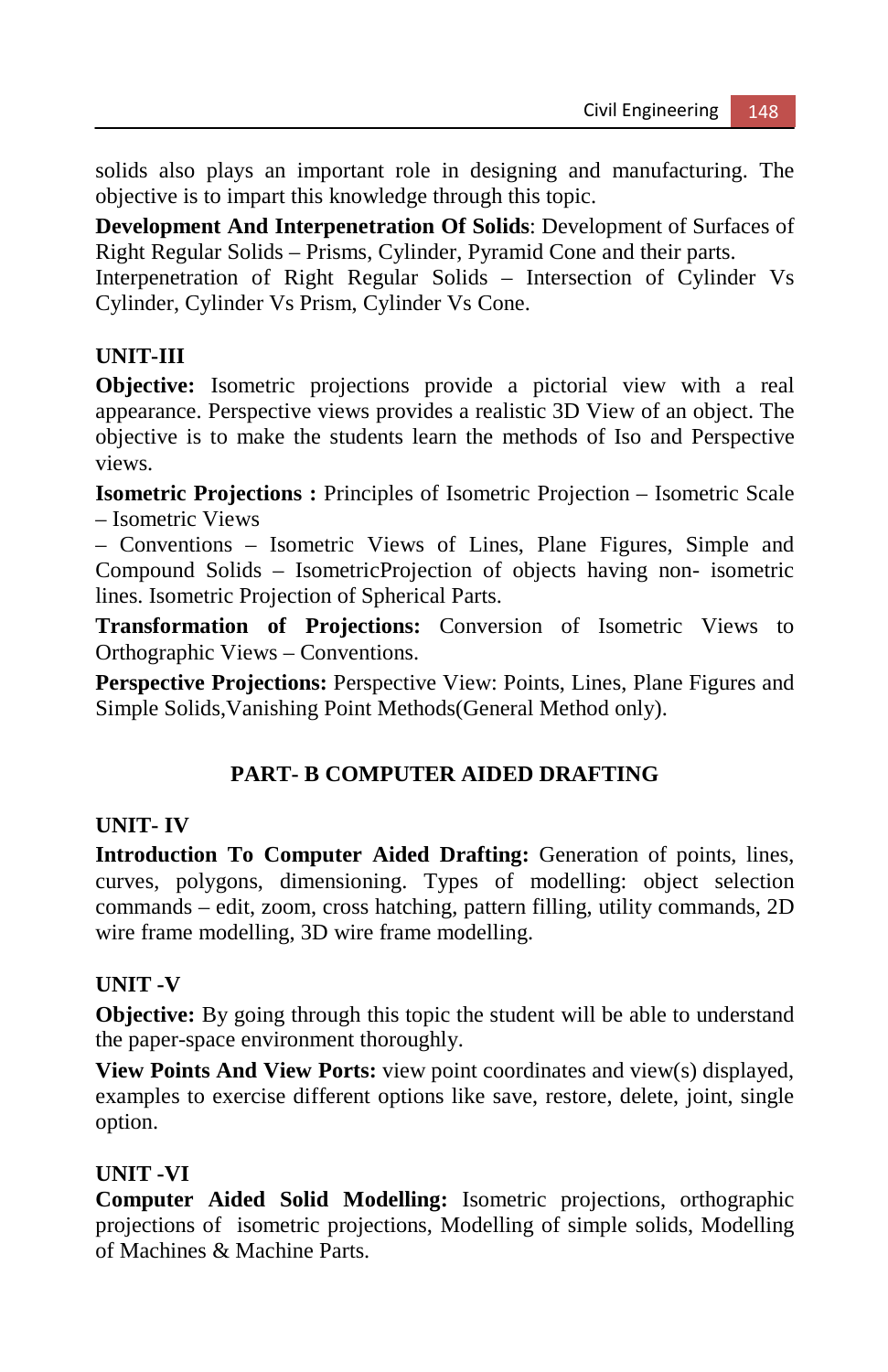solids also plays an important role in designing and manufacturing. The objective is to impart this knowledge through this topic.

**Development And Interpenetration Of Solids**: Development of Surfaces of Right Regular Solids – Prisms, Cylinder, Pyramid Cone and their parts.

Interpenetration of Right Regular Solids – Intersection of Cylinder Vs Cylinder, Cylinder Vs Prism, Cylinder Vs Cone.

# **UNIT-III**

**Objective:** Isometric projections provide a pictorial view with a real appearance. Perspective views provides a realistic 3D View of an object. The objective is to make the students learn the methods of Iso and Perspective views.

**Isometric Projections :** Principles of Isometric Projection – Isometric Scale – Isometric Views

– Conventions – Isometric Views of Lines, Plane Figures, Simple and Compound Solids – IsometricProjection of objects having non- isometric lines. Isometric Projection of Spherical Parts.

**Transformation of Projections:** Conversion of Isometric Views to Orthographic Views – Conventions.

**Perspective Projections:** Perspective View: Points, Lines, Plane Figures and Simple Solids,Vanishing Point Methods(General Method only).

# **PART- B COMPUTER AIDED DRAFTING**

# **UNIT- IV**

**Introduction To Computer Aided Drafting:** Generation of points, lines, curves, polygons, dimensioning. Types of modelling: object selection commands – edit, zoom, cross hatching, pattern filling, utility commands, 2D wire frame modelling, 3D wire frame modelling.

#### **UNIT -V**

**Objective:** By going through this topic the student will be able to understand the paper-space environment thoroughly.

**View Points And View Ports:** view point coordinates and view(s) displayed, examples to exercise different options like save, restore, delete, joint, single option.

# **UNIT -VI**

**Computer Aided Solid Modelling:** Isometric projections, orthographic projections of isometric projections, Modelling of simple solids, Modelling of Machines & Machine Parts.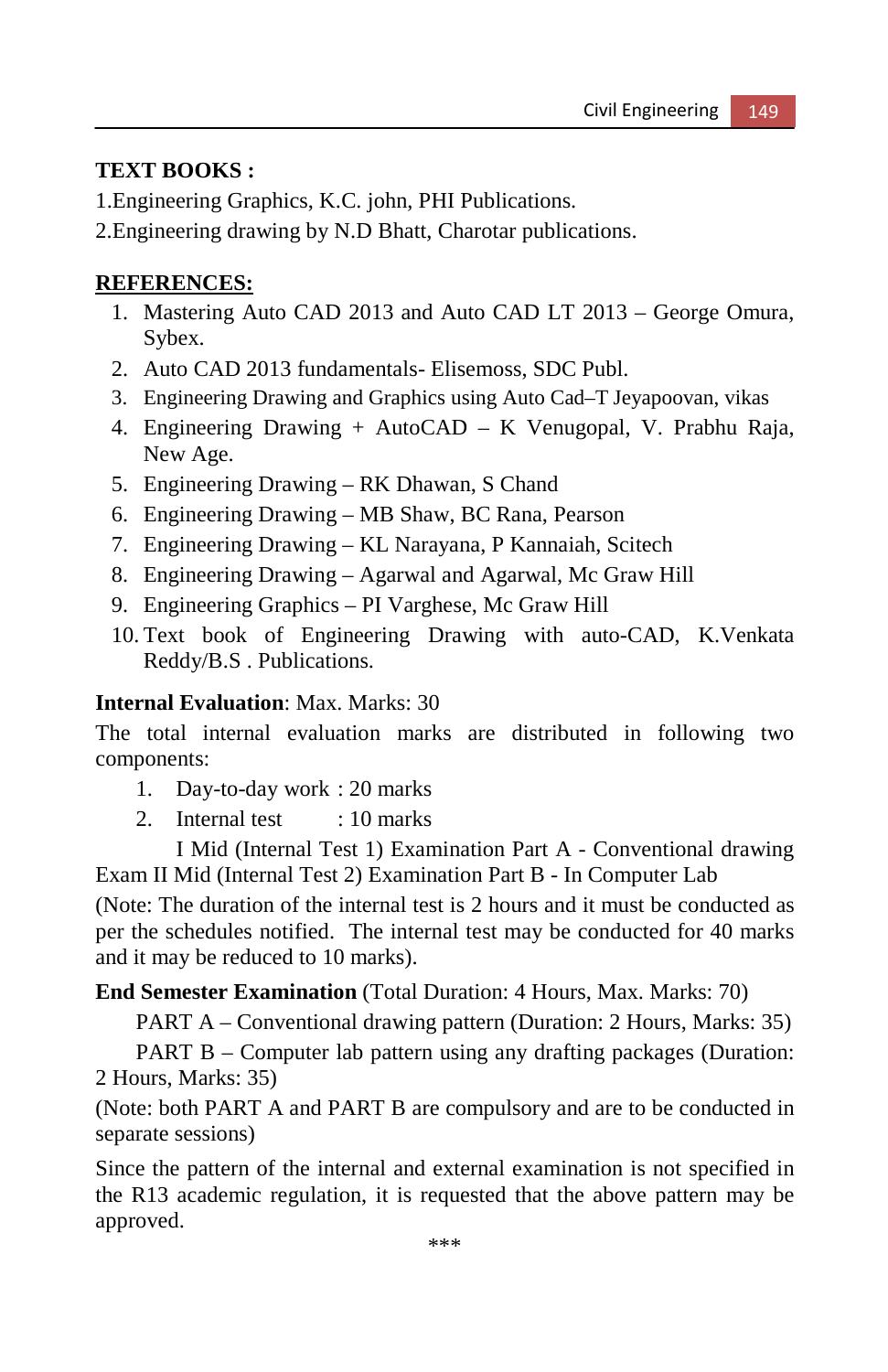### **TEXT BOOKS :**

1.Engineering Graphics, K.C. john, PHI Publications.

2.Engineering drawing by N.D Bhatt, Charotar publications.

# **REFERENCES:**

- 1. Mastering Auto CAD 2013 and Auto CAD LT 2013 George Omura, Sybex.
- 2. Auto CAD 2013 fundamentals- Elisemoss, SDC Publ.
- 3. Engineering Drawing and Graphics using Auto Cad–T Jeyapoovan, vikas
- 4. Engineering Drawing + AutoCAD K Venugopal, V. Prabhu Raja, New Age.
- 5. Engineering Drawing RK Dhawan, S Chand
- 6. Engineering Drawing MB Shaw, BC Rana, Pearson
- 7. Engineering Drawing KL Narayana, P Kannaiah, Scitech
- 8. Engineering Drawing Agarwal and Agarwal, Mc Graw Hill
- 9. Engineering Graphics PI Varghese, Mc Graw Hill
- 10. Text book of Engineering Drawing with auto-CAD, K.Venkata Reddy/B.S . Publications.

# **Internal Evaluation**: Max. Marks: 30

The total internal evaluation marks are distributed in following two components:

- 1. Day-to-day work : 20 marks
- 2. Internal test  $: 10$  marks

I Mid (Internal Test 1) Examination Part A - Conventional drawing Exam II Mid (Internal Test 2) Examination Part B - In Computer Lab

(Note: The duration of the internal test is 2 hours and it must be conducted as per the schedules notified. The internal test may be conducted for 40 marks and it may be reduced to 10 marks).

# **End Semester Examination** (Total Duration: 4 Hours, Max. Marks: 70)

PART A – Conventional drawing pattern (Duration: 2 Hours, Marks: 35)

PART B – Computer lab pattern using any drafting packages (Duration: 2 Hours, Marks: 35)

(Note: both PART A and PART B are compulsory and are to be conducted in separate sessions)

Since the pattern of the internal and external examination is not specified in the R13 academic regulation, it is requested that the above pattern may be approved.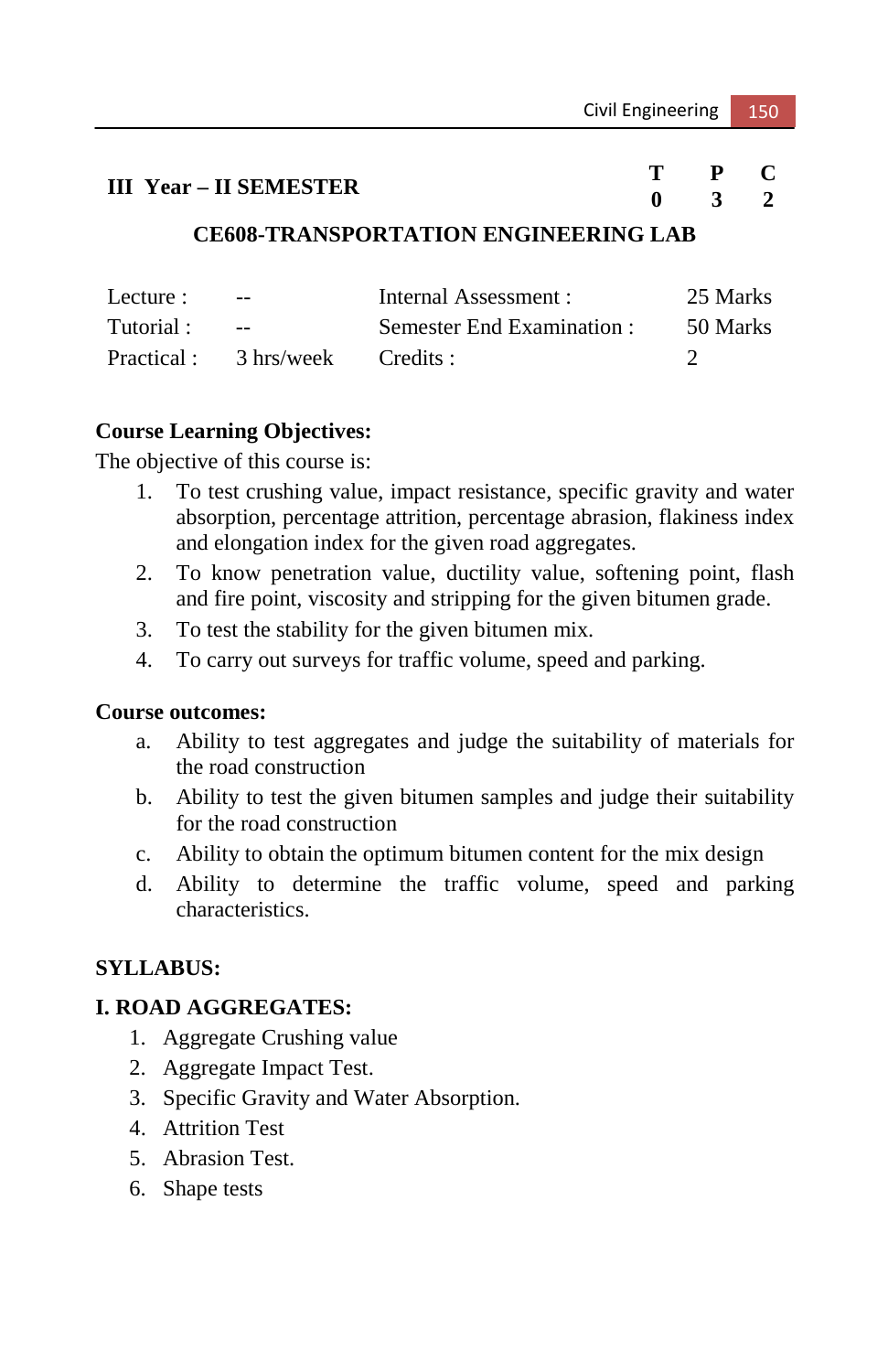# **III** Year – **II** SEMESTER **T** P C **0** 3 2

**0 3 2** 

#### **CE608-TRANSPORTATION ENGINEERING LAB**

| Lecture :  | $- -$                 | Internal Assessment:       | 25 Marks |
|------------|-----------------------|----------------------------|----------|
| Tutorial : | $\sim$ $\sim$         | Semester End Examination : | 50 Marks |
|            | Practical: 3 hrs/week | Credits :                  |          |

#### **Course Learning Objectives:**

The objective of this course is:

- 1. To test crushing value, impact resistance, specific gravity and water absorption, percentage attrition, percentage abrasion, flakiness index and elongation index for the given road aggregates.
- 2. To know penetration value, ductility value, softening point, flash and fire point, viscosity and stripping for the given bitumen grade.
- 3. To test the stability for the given bitumen mix.
- 4. To carry out surveys for traffic volume, speed and parking.

#### **Course outcomes:**

- a. Ability to test aggregates and judge the suitability of materials for the road construction
- b. Ability to test the given bitumen samples and judge their suitability for the road construction
- c. Ability to obtain the optimum bitumen content for the mix design
- d. Ability to determine the traffic volume, speed and parking characteristics.

#### **SYLLABUS:**

#### **I. ROAD AGGREGATES:**

- 1. Aggregate Crushing value
- 2. Aggregate Impact Test.
- 3. Specific Gravity and Water Absorption.
- 4. Attrition Test
- 5. Abrasion Test.
- 6. Shape tests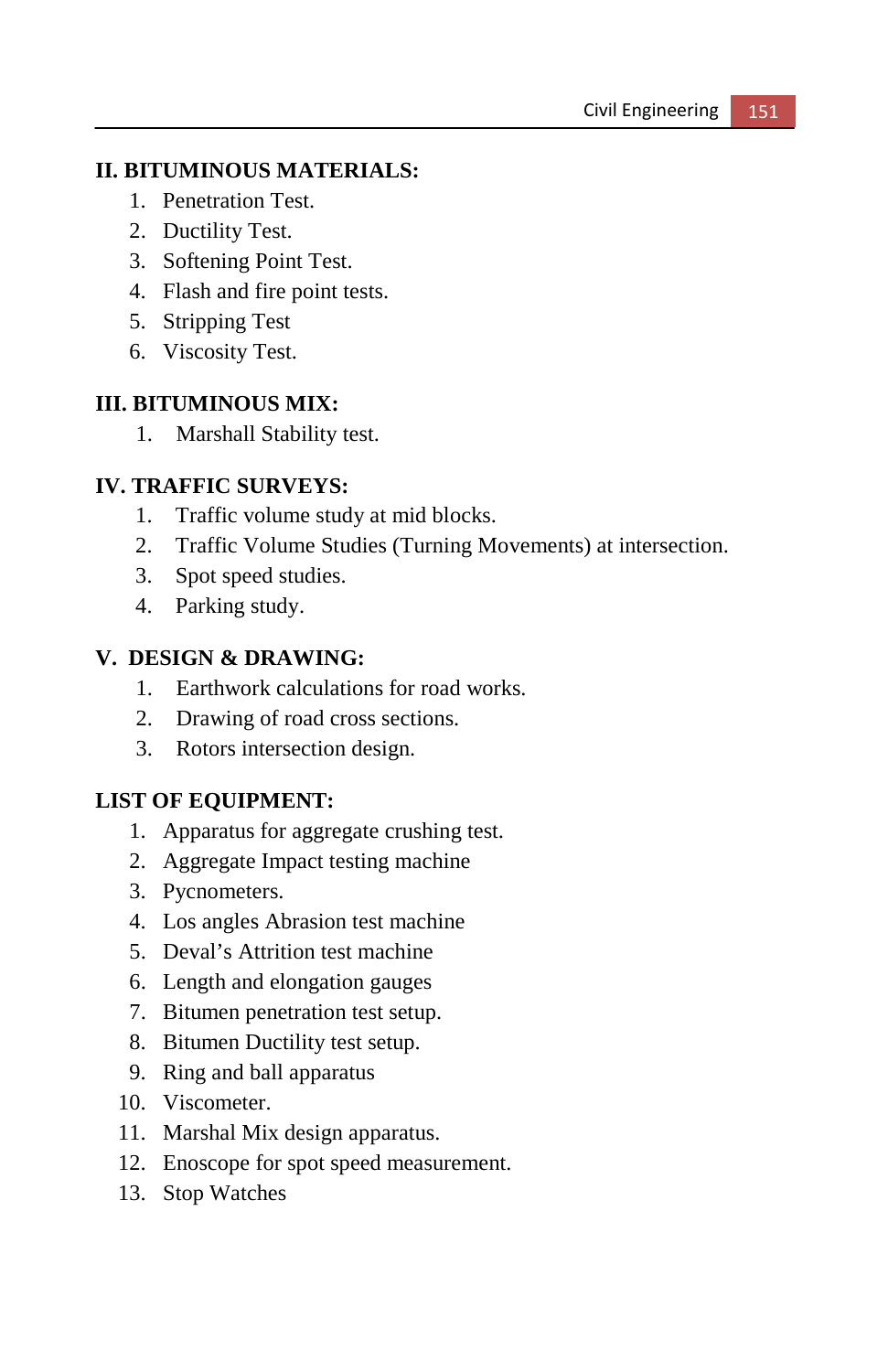### **II. BITUMINOUS MATERIALS:**

- 1. Penetration Test.
- 2. Ductility Test.
- 3. Softening Point Test.
- 4. Flash and fire point tests.
- 5. Stripping Test
- 6. Viscosity Test.

#### **III. BITUMINOUS MIX:**

1. Marshall Stability test.

### **IV. TRAFFIC SURVEYS:**

- 1. Traffic volume study at mid blocks.
- 2. Traffic Volume Studies (Turning Movements) at intersection.
- 3. Spot speed studies.
- 4. Parking study.

### **V. DESIGN & DRAWING:**

- 1. Earthwork calculations for road works.
- 2. Drawing of road cross sections.
- 3. Rotors intersection design.

# **LIST OF EQUIPMENT:**

- 1. Apparatus for aggregate crushing test.
- 2. Aggregate Impact testing machine
- 3. Pycnometers.
- 4. Los angles Abrasion test machine
- 5. Deval's Attrition test machine
- 6. Length and elongation gauges
- 7. Bitumen penetration test setup.
- 8. Bitumen Ductility test setup.
- 9. Ring and ball apparatus
- 10. Viscometer.
- 11. Marshal Mix design apparatus.
- 12. Enoscope for spot speed measurement.
- 13. Stop Watches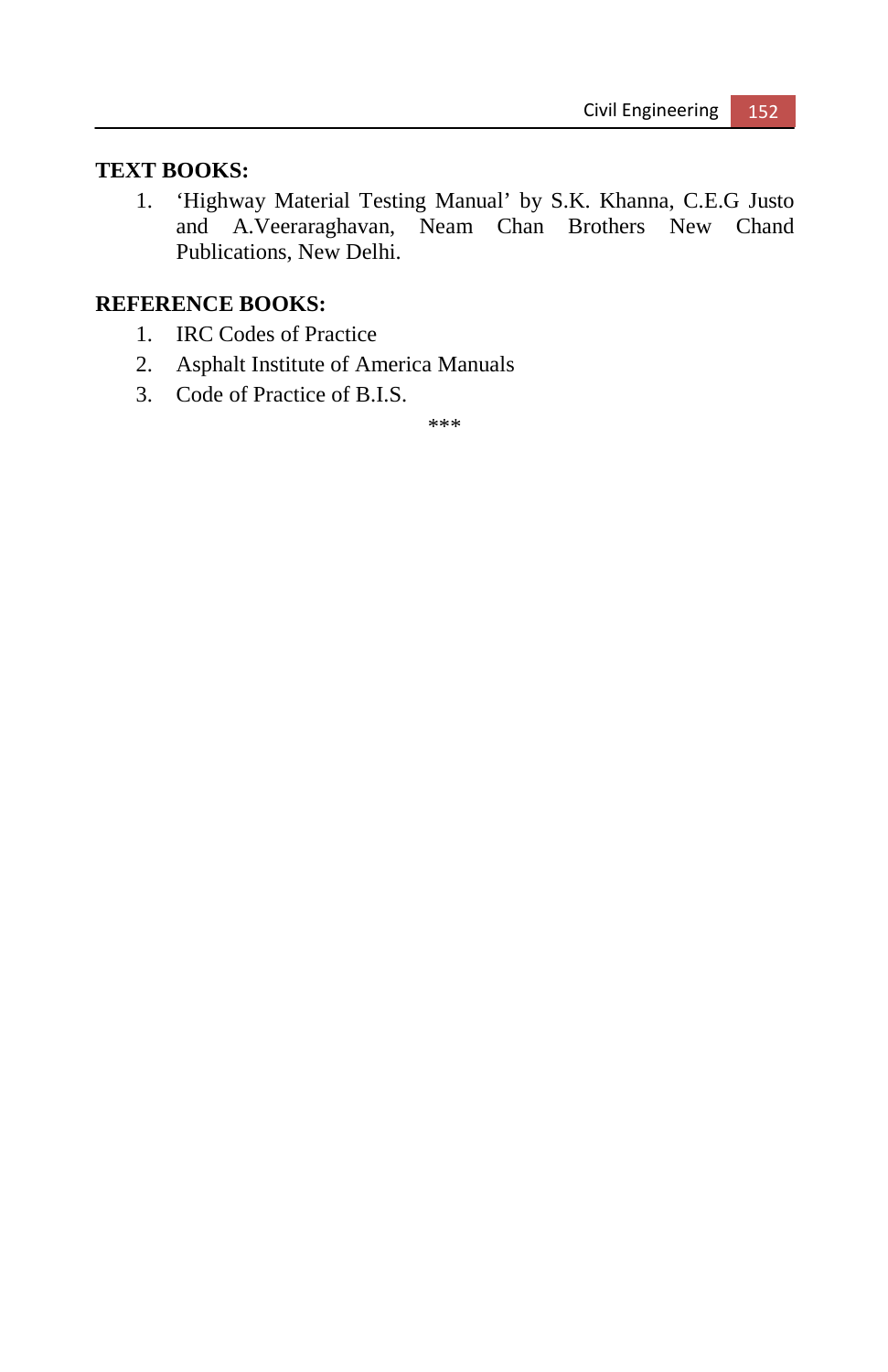### **TEXT BOOKS:**

1. 'Highway Material Testing Manual' by S.K. Khanna, C.E.G Justo and A.Veeraraghavan, Neam Chan Brothers New Chand Publications, New Delhi.

## **REFERENCE BOOKS:**

- 1. IRC Codes of Practice
- 2. Asphalt Institute of America Manuals
- 3. Code of Practice of B.I.S.

\*\*\*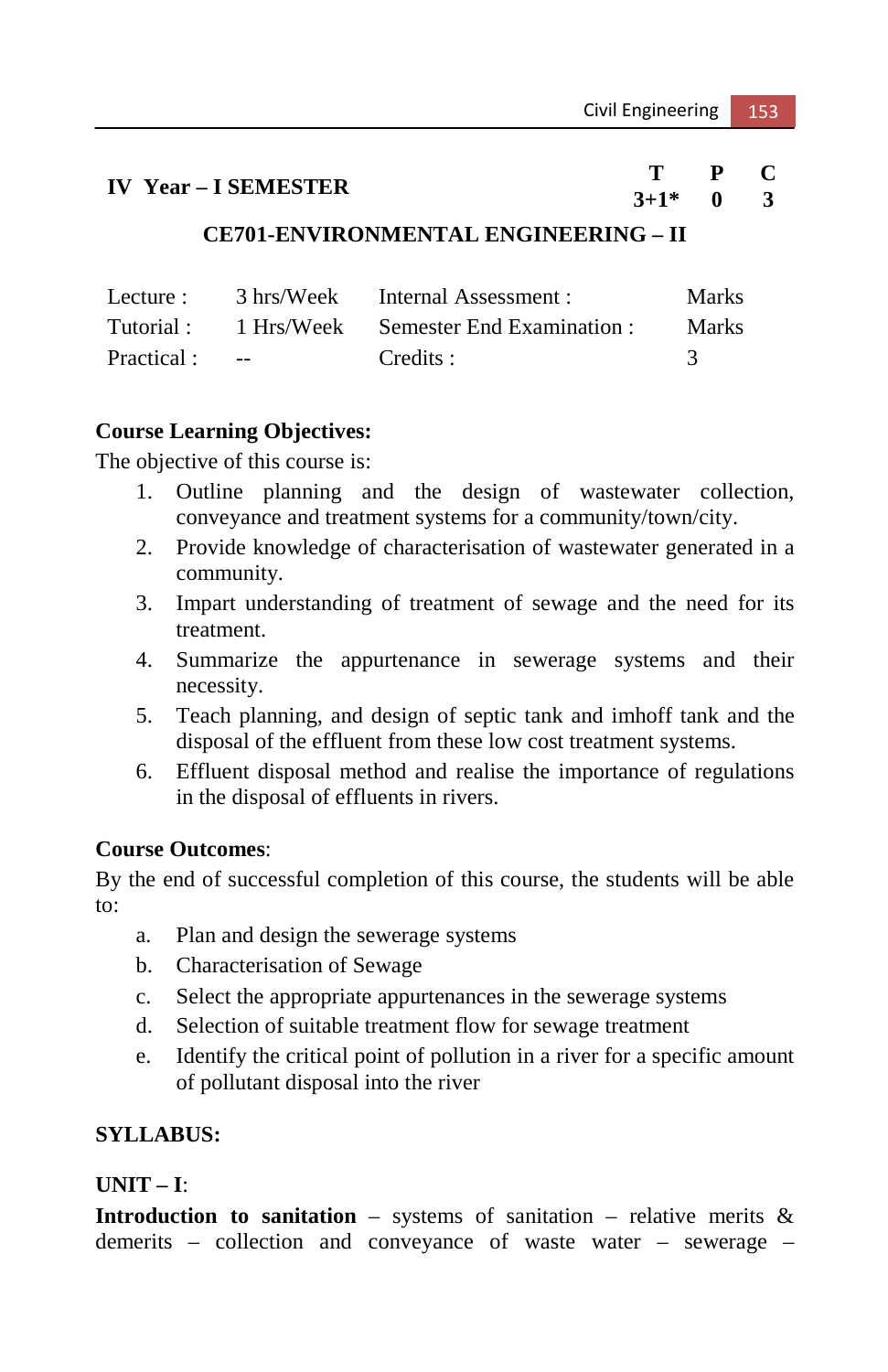# **IV Year – I SEMESTER T P C**

 $3+1*$ 

# **CE701-ENVIRONMENTAL ENGINEERING – II**

| Lecture :  |                                   | 3 hrs/Week Internal Assessment :      | <b>Marks</b> |
|------------|-----------------------------------|---------------------------------------|--------------|
| Tutorial : |                                   | 1 Hrs/Week Semester End Examination : | <b>Marks</b> |
| Practical: | <b>Contract Contract Contract</b> | Credits :                             |              |

# **Course Learning Objectives:**

The objective of this course is:

- 1. Outline planning and the design of wastewater collection, conveyance and treatment systems for a community/town/city.
- 2. Provide knowledge of characterisation of wastewater generated in a community.
- 3. Impart understanding of treatment of sewage and the need for its treatment.
- 4. Summarize the appurtenance in sewerage systems and their necessity.
- 5. Teach planning, and design of septic tank and imhoff tank and the disposal of the effluent from these low cost treatment systems.
- 6. Effluent disposal method and realise the importance of regulations in the disposal of effluents in rivers.

# **Course Outcomes**:

By the end of successful completion of this course, the students will be able to:

- a. Plan and design the sewerage systems
- b. Characterisation of Sewage
- c. Select the appropriate appurtenances in the sewerage systems
- d. Selection of suitable treatment flow for sewage treatment
- e. Identify the critical point of pollution in a river for a specific amount of pollutant disposal into the river

# **SYLLABUS:**

# **UNIT – I**:

**Introduction to sanitation** – systems of sanitation – relative merits  $\&$ demerits – collection and conveyance of waste water – sewerage –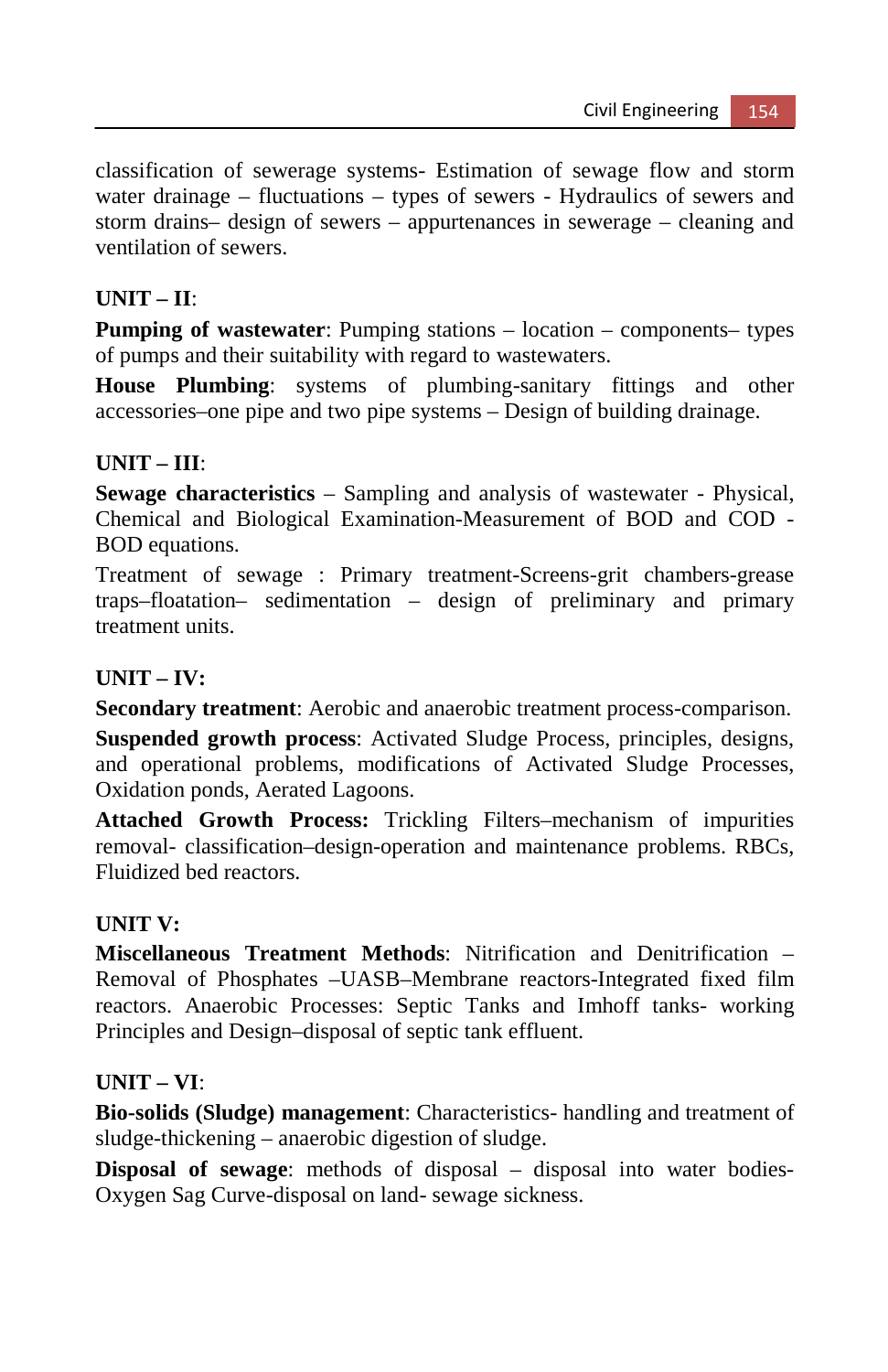classification of sewerage systems- Estimation of sewage flow and storm water drainage – fluctuations – types of sewers - Hydraulics of sewers and storm drains– design of sewers – appurtenances in sewerage – cleaning and ventilation of sewers.

### **UNIT – II**:

**Pumping of wastewater:** Pumping stations – location – components– types of pumps and their suitability with regard to wastewaters.

**House Plumbing**: systems of plumbing-sanitary fittings and other accessories–one pipe and two pipe systems – Design of building drainage.

### **UNIT – III**:

**Sewage characteristics** – Sampling and analysis of wastewater - Physical, Chemical and Biological Examination-Measurement of BOD and COD - BOD equations.

Treatment of sewage : Primary treatment-Screens-grit chambers-grease traps–floatation– sedimentation – design of preliminary and primary treatment units.

# **UNIT – IV:**

**Secondary treatment**: Aerobic and anaerobic treatment process-comparison.

**Suspended growth process**: Activated Sludge Process, principles, designs, and operational problems, modifications of Activated Sludge Processes, Oxidation ponds, Aerated Lagoons.

**Attached Growth Process:** Trickling Filters–mechanism of impurities removal- classification–design-operation and maintenance problems. RBCs, Fluidized bed reactors.

#### **UNIT V:**

**Miscellaneous Treatment Methods**: Nitrification and Denitrification – Removal of Phosphates –UASB–Membrane reactors-Integrated fixed film reactors. Anaerobic Processes: Septic Tanks and Imhoff tanks- working Principles and Design–disposal of septic tank effluent.

# **UNIT – VI**:

**Bio-solids (Sludge) management**: Characteristics- handling and treatment of sludge-thickening – anaerobic digestion of sludge.

**Disposal of sewage**: methods of disposal – disposal into water bodies-Oxygen Sag Curve-disposal on land- sewage sickness.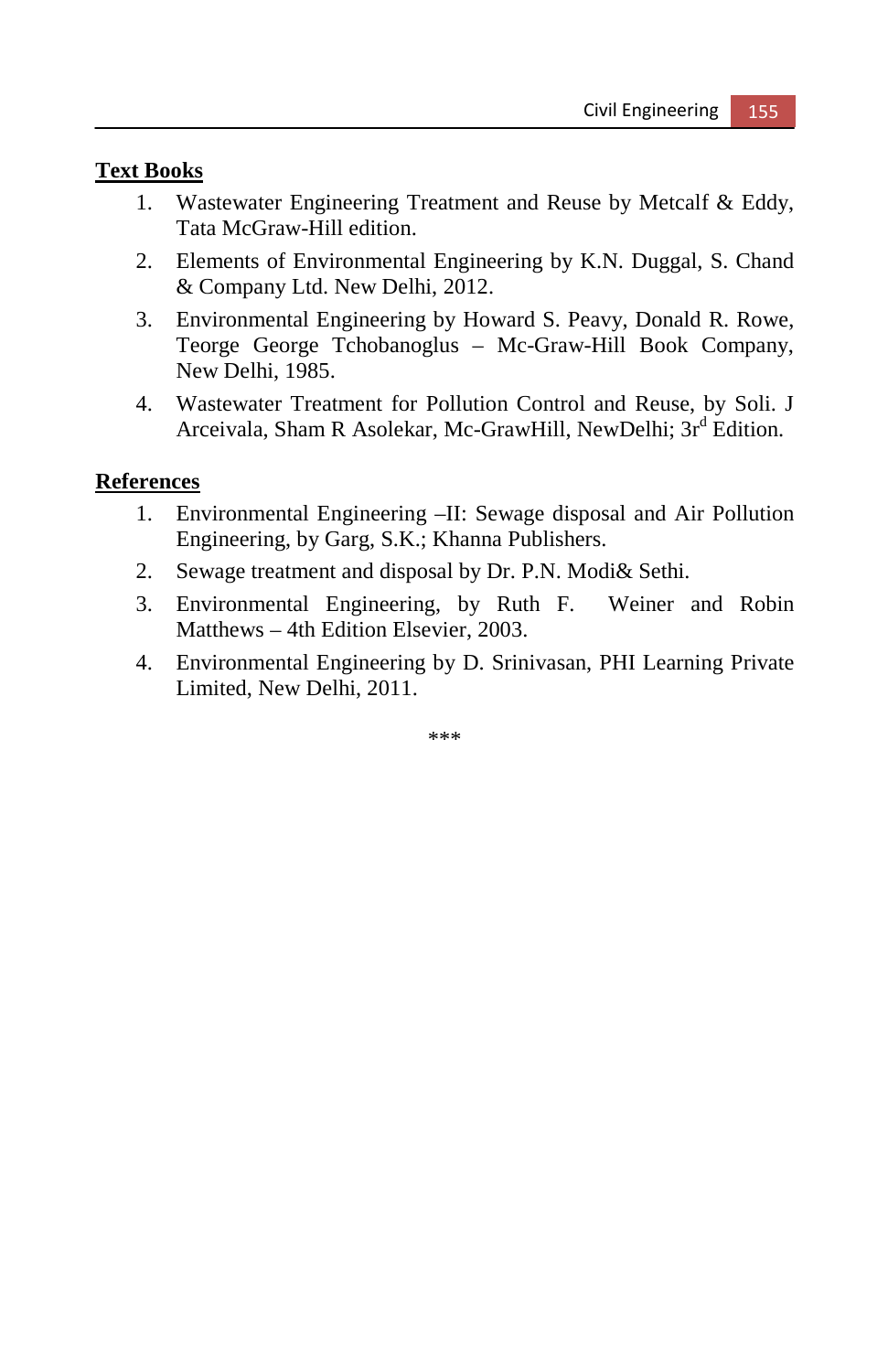#### **Text Books**

- 1. Wastewater Engineering Treatment and Reuse by Metcalf & Eddy, Tata McGraw-Hill edition.
- 2. Elements of Environmental Engineering by K.N. Duggal, S. Chand & Company Ltd. New Delhi, 2012.
- 3. Environmental Engineering by Howard S. Peavy, Donald R. Rowe, Teorge George Tchobanoglus – Mc-Graw-Hill Book Company, New Delhi, 1985.
- 4. Wastewater Treatment for Pollution Control and Reuse, by Soli. J Arceivala, Sham R Asolekar, Mc-GrawHill, NewDelhi; 3r<sup>d</sup> Edition.

#### **References**

- 1. Environmental Engineering –II: Sewage disposal and Air Pollution Engineering, by Garg, S.K.; Khanna Publishers.
- 2. Sewage treatment and disposal by Dr. P.N. Modi& Sethi.
- 3. Environmental Engineering, by Ruth F. Weiner and Robin Matthews – 4th Edition Elsevier, 2003.
- 4. Environmental Engineering by D. Srinivasan, PHI Learning Private Limited, New Delhi, 2011.

\*\*\*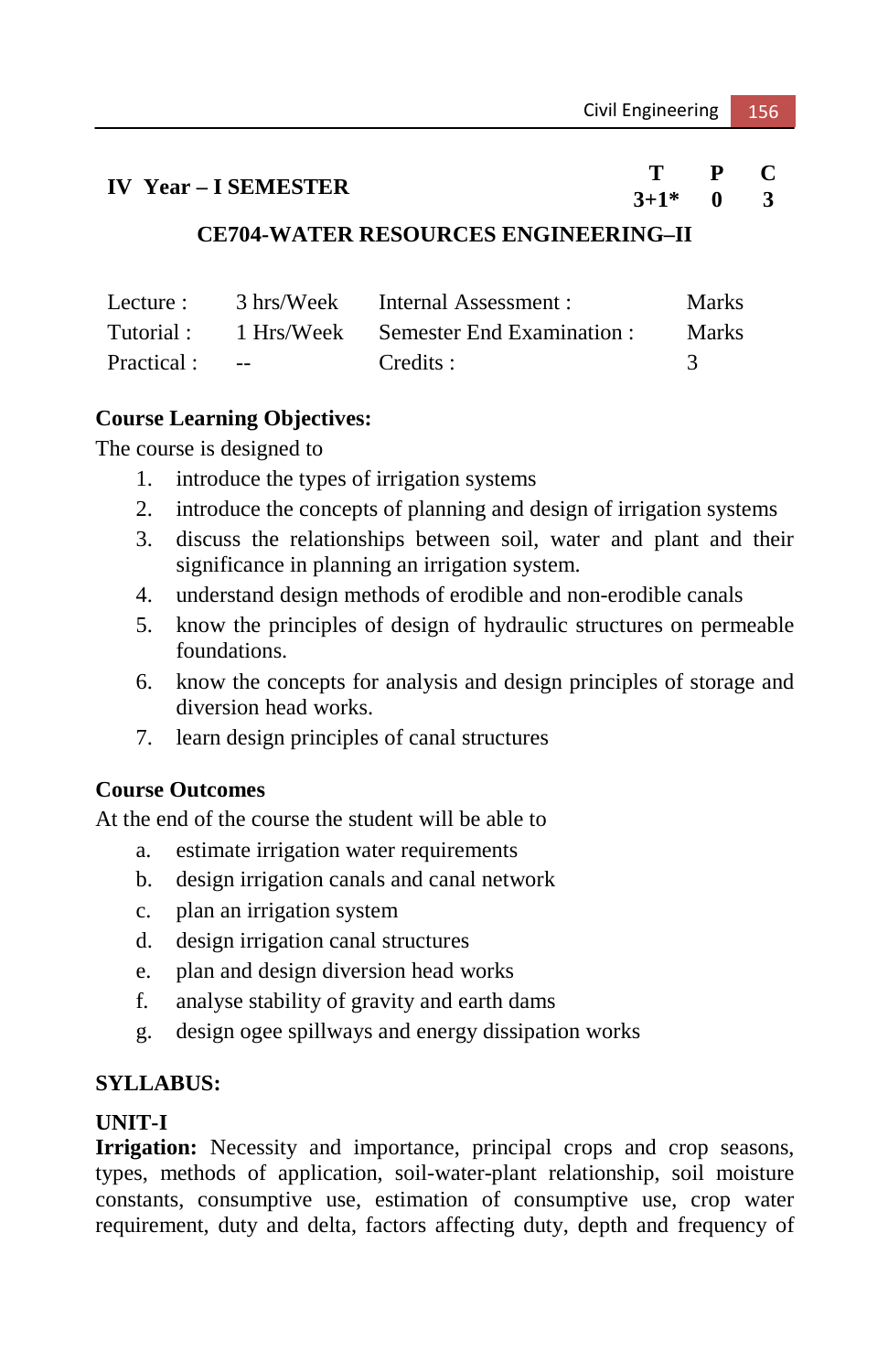# **IV Year – I SEMESTER T P C**

 $3+1*$ 

#### **CE704-WATER RESOURCES ENGINEERING–II**

| Lecture :  | 3 hrs/Week               | Internal Assessment :                 | <b>Marks</b> |
|------------|--------------------------|---------------------------------------|--------------|
| Tutorial:  |                          | 1 Hrs/Week Semester End Examination : | <b>Marks</b> |
| Practical: | <b>Contract Contract</b> | Credits :                             |              |

#### **Course Learning Objectives:**

The course is designed to

- 1. introduce the types of irrigation systems
- 2. introduce the concepts of planning and design of irrigation systems
- 3. discuss the relationships between soil, water and plant and their significance in planning an irrigation system.
- 4. understand design methods of erodible and non-erodible canals
- 5. know the principles of design of hydraulic structures on permeable foundations.
- 6. know the concepts for analysis and design principles of storage and diversion head works.
- 7. learn design principles of canal structures

#### **Course Outcomes**

At the end of the course the student will be able to

- a. estimate irrigation water requirements
- b. design irrigation canals and canal network
- c. plan an irrigation system
- d. design irrigation canal structures
- e. plan and design diversion head works
- f. analyse stability of gravity and earth dams
- g. design ogee spillways and energy dissipation works

#### **SYLLABUS:**

#### **UNIT-I**

**Irrigation:** Necessity and importance, principal crops and crop seasons, types, methods of application, soil-water-plant relationship, soil moisture constants, consumptive use, estimation of consumptive use, crop water requirement, duty and delta, factors affecting duty, depth and frequency of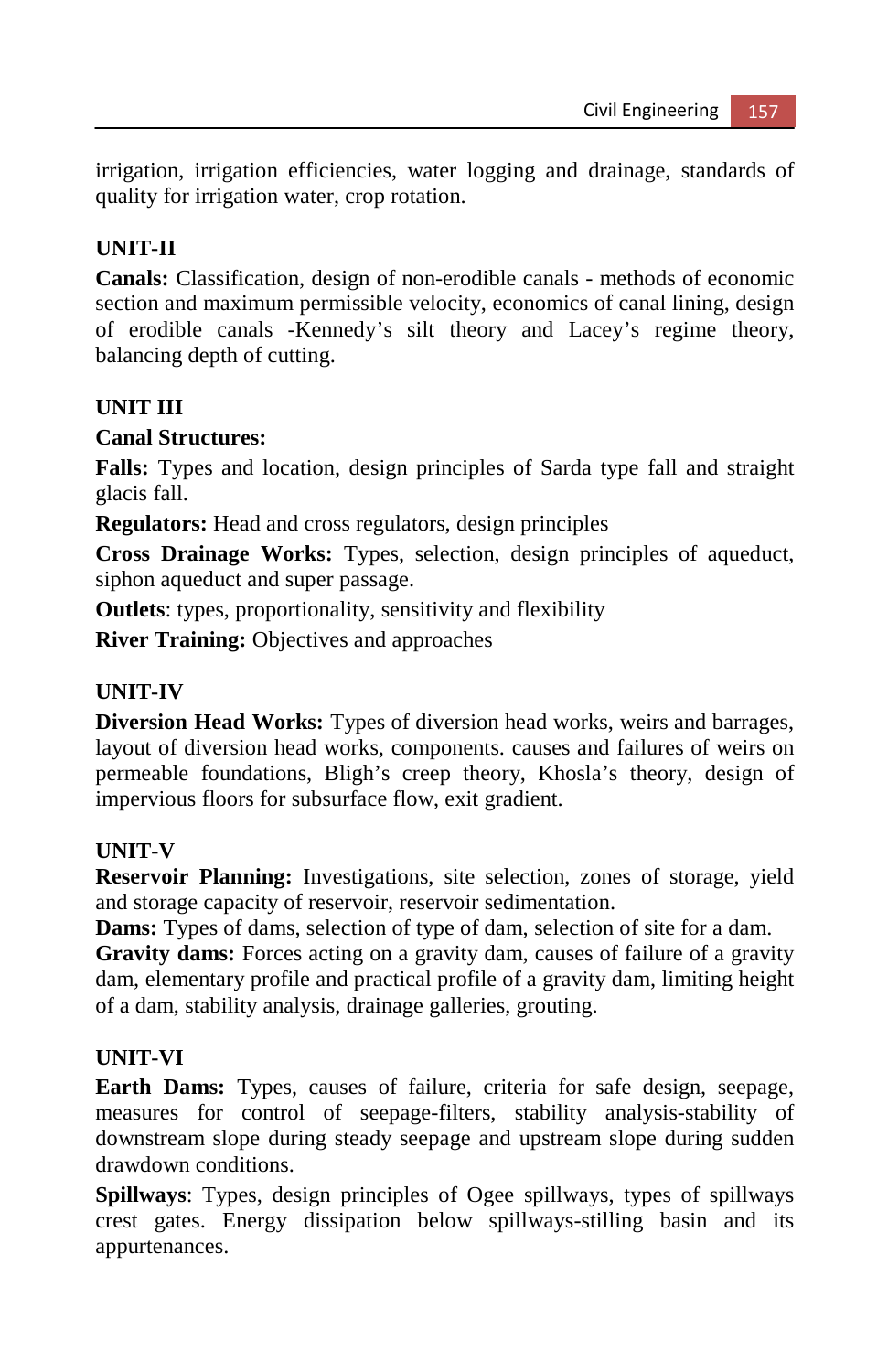irrigation, irrigation efficiencies, water logging and drainage, standards of quality for irrigation water, crop rotation.

## **UNIT-II**

**Canals:** Classification, design of non-erodible canals - methods of economic section and maximum permissible velocity, economics of canal lining, design of erodible canals -Kennedy's silt theory and Lacey's regime theory, balancing depth of cutting.

#### **UNIT III**

#### **Canal Structures:**

**Falls:** Types and location, design principles of Sarda type fall and straight glacis fall.

**Regulators:** Head and cross regulators, design principles

**Cross Drainage Works:** Types, selection, design principles of aqueduct, siphon aqueduct and super passage.

**Outlets**: types, proportionality, sensitivity and flexibility

**River Training:** Objectives and approaches

#### **UNIT-IV**

**Diversion Head Works:** Types of diversion head works, weirs and barrages, layout of diversion head works, components. causes and failures of weirs on permeable foundations, Bligh's creep theory, Khosla's theory, design of impervious floors for subsurface flow, exit gradient.

#### **UNIT-V**

**Reservoir Planning:** Investigations, site selection, zones of storage, yield and storage capacity of reservoir, reservoir sedimentation.

**Dams:** Types of dams, selection of type of dam, selection of site for a dam.

**Gravity dams:** Forces acting on a gravity dam, causes of failure of a gravity dam, elementary profile and practical profile of a gravity dam, limiting height of a dam, stability analysis, drainage galleries, grouting.

#### **UNIT-VI**

**Earth Dams:** Types, causes of failure, criteria for safe design, seepage, measures for control of seepage-filters, stability analysis-stability of downstream slope during steady seepage and upstream slope during sudden drawdown conditions.

**Spillways**: Types, design principles of Ogee spillways, types of spillways crest gates. Energy dissipation below spillways-stilling basin and its appurtenances.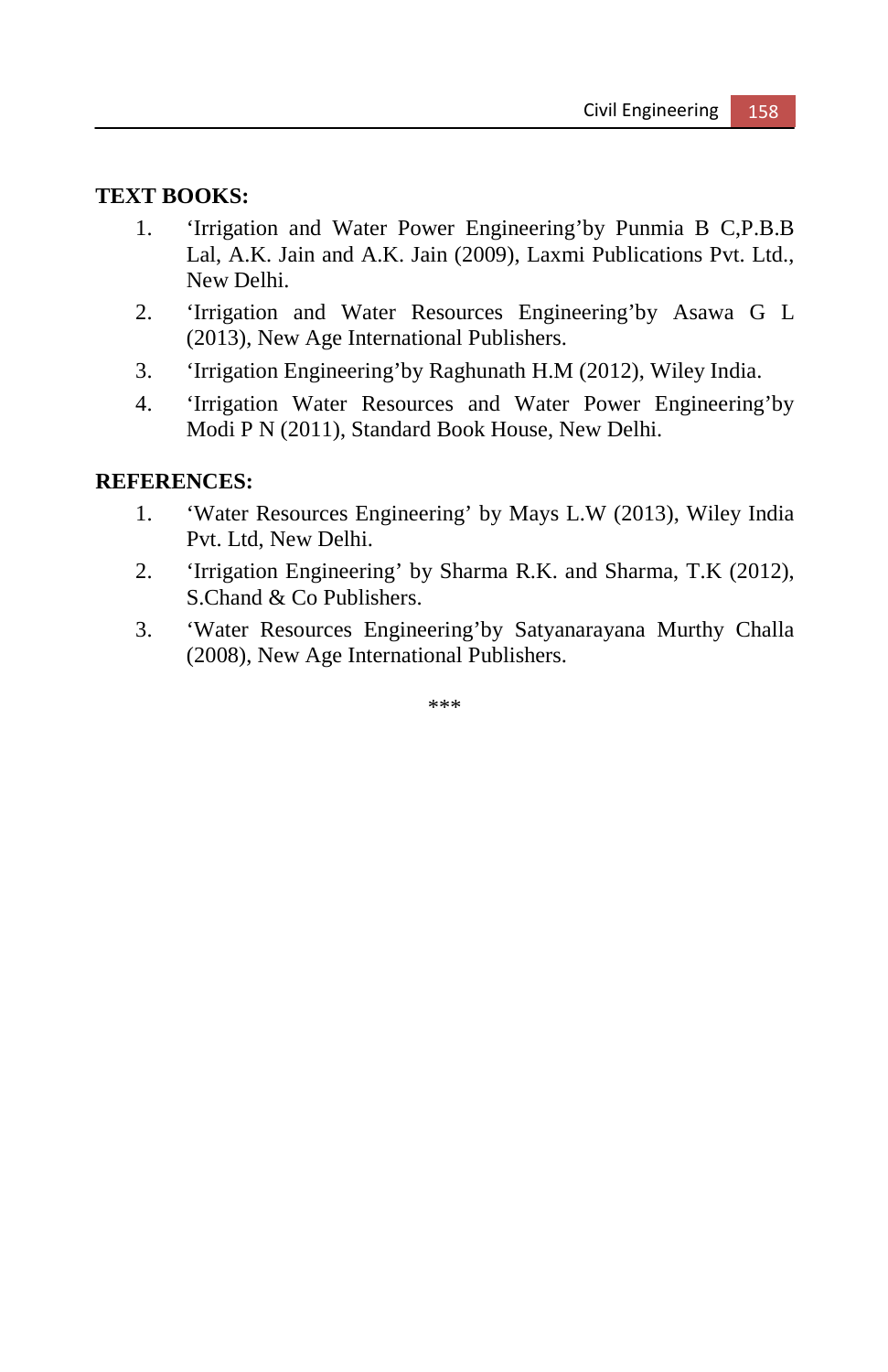# **TEXT BOOKS:**

- 1. 'Irrigation and Water Power Engineering'by Punmia B C,P.B.B Lal, A.K. Jain and A.K. Jain (2009), Laxmi Publications Pvt. Ltd., New Delhi.
- 2. 'Irrigation and Water Resources Engineering'by Asawa G L (2013), New Age International Publishers.
- 3. 'Irrigation Engineering'by Raghunath H.M (2012), Wiley India.
- 4. 'Irrigation Water Resources and Water Power Engineering'by Modi P N (2011), Standard Book House, New Delhi.

#### **REFERENCES:**

- 1. 'Water Resources Engineering' by Mays L.W (2013), Wiley India Pvt. Ltd, New Delhi.
- 2. 'Irrigation Engineering' by Sharma R.K. and Sharma, T.K (2012), S.Chand & Co Publishers.
- 3. 'Water Resources Engineering'by Satyanarayana Murthy Challa (2008), New Age International Publishers.

\*\*\*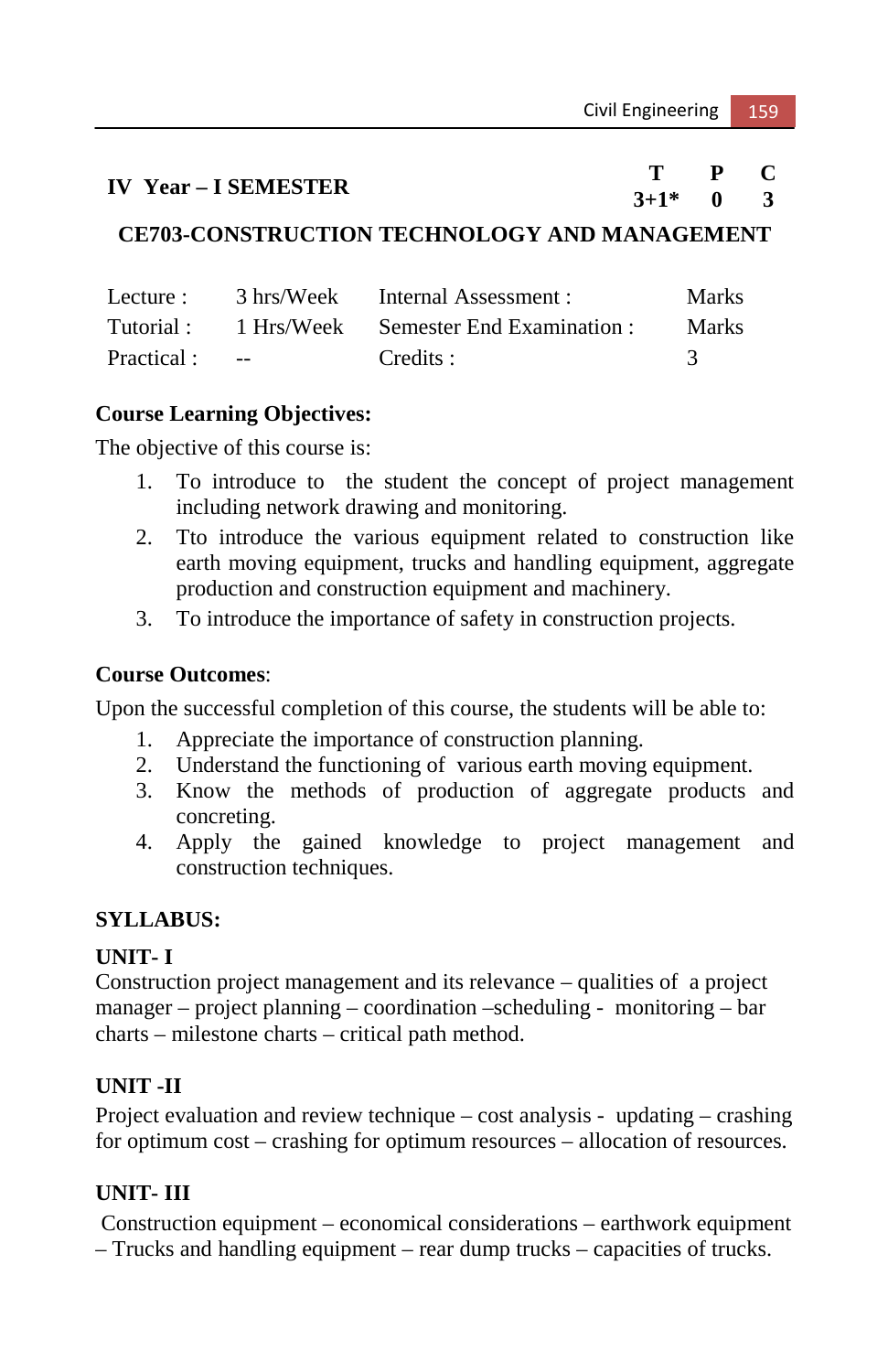# **IV Year – I SEMESTER**  $\begin{array}{ccc}\nT & P & C \\
3+1^* & 0 & 3\n\end{array}$

 $3+1*$ 

#### **CE703-CONSTRUCTION TECHNOLOGY AND MANAGEMENT**

| Lecture :   | 3 hrs/Week     | Internal Assessment :                 | <b>Marks</b> |
|-------------|----------------|---------------------------------------|--------------|
| Tutorial :  |                | 1 Hrs/Week Semester End Examination : | <b>Marks</b> |
| Practical : | <b>Service</b> | Credits :                             |              |

#### **Course Learning Objectives:**

The objective of this course is:

- 1. To introduce to the student the concept of project management including network drawing and monitoring.
- 2. Tto introduce the various equipment related to construction like earth moving equipment, trucks and handling equipment, aggregate production and construction equipment and machinery.
- 3. To introduce the importance of safety in construction projects.

#### **Course Outcomes**:

Upon the successful completion of this course, the students will be able to:

- 1. Appreciate the importance of construction planning.
- 2. Understand the functioning of various earth moving equipment.
- 3. Know the methods of production of aggregate products and concreting.
- 4. Apply the gained knowledge to project management and construction techniques.

#### **SYLLABUS:**

#### **UNIT- I**

Construction project management and its relevance – qualities of a project manager – project planning – coordination –scheduling - monitoring – bar charts – milestone charts – critical path method.

#### **UNIT -II**

Project evaluation and review technique – cost analysis - updating – crashing for optimum cost – crashing for optimum resources – allocation of resources.

# **UNIT- III**

 Construction equipment – economical considerations – earthwork equipment – Trucks and handling equipment – rear dump trucks – capacities of trucks.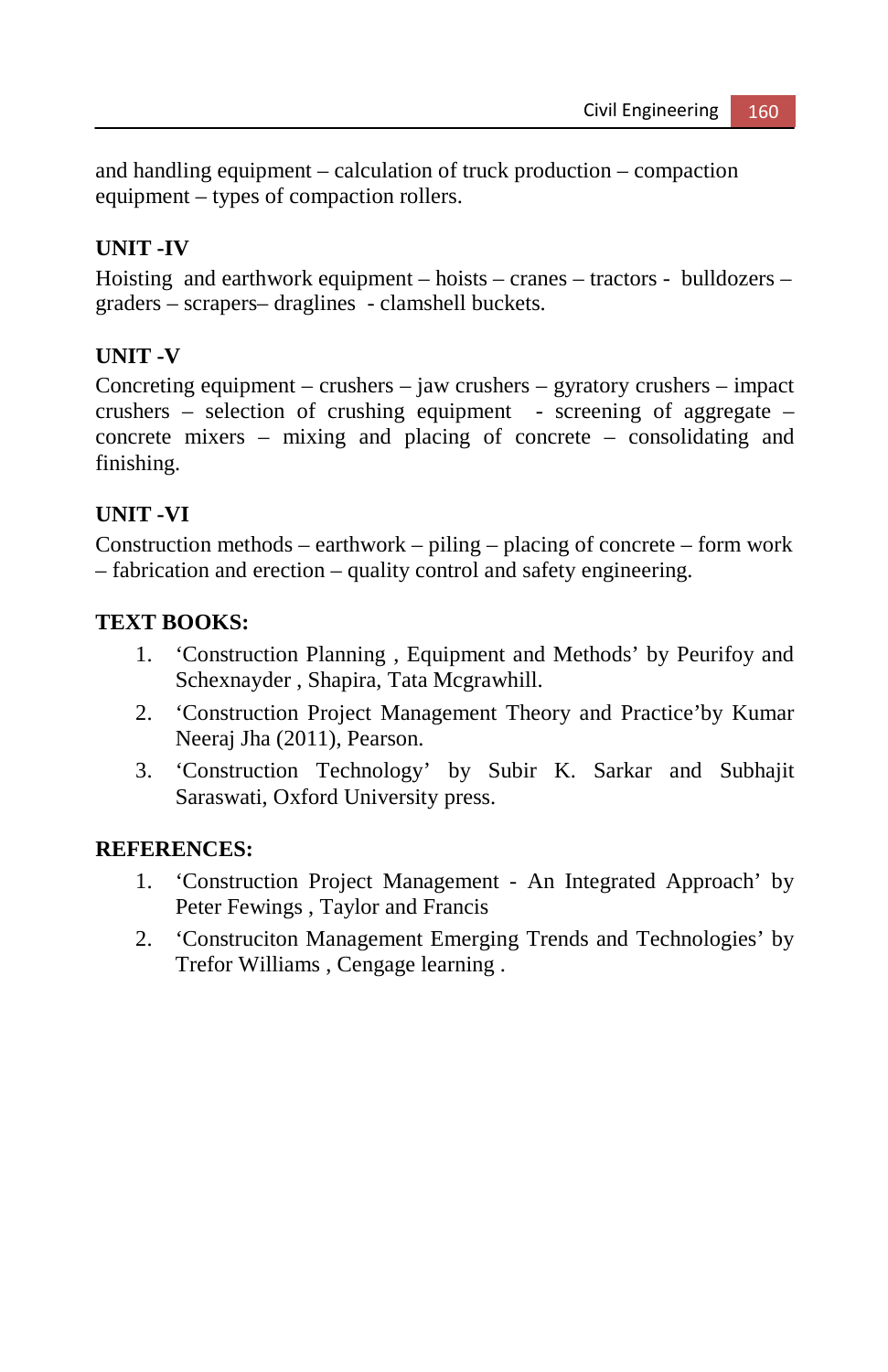and handling equipment – calculation of truck production – compaction equipment – types of compaction rollers.

# **UNIT -IV**

Hoisting and earthwork equipment – hoists – cranes – tractors - bulldozers – graders – scrapers– draglines - clamshell buckets.

# **UNIT -V**

Concreting equipment – crushers – jaw crushers – gyratory crushers – impact crushers – selection of crushing equipment - screening of aggregate – concrete mixers – mixing and placing of concrete – consolidating and finishing.

# **UNIT -VI**

Construction methods – earthwork – piling – placing of concrete – form work – fabrication and erection – quality control and safety engineering.

### **TEXT BOOKS:**

- 1. 'Construction Planning , Equipment and Methods' by Peurifoy and Schexnayder , Shapira, Tata Mcgrawhill.
- 2. 'Construction Project Management Theory and Practice'by Kumar Neeraj Jha (2011), Pearson.
- 3. 'Construction Technology' by Subir K. Sarkar and Subhajit Saraswati, Oxford University press.

#### **REFERENCES:**

- 1. 'Construction Project Management An Integrated Approach' by Peter Fewings , Taylor and Francis
- 2. 'Construciton Management Emerging Trends and Technologies' by Trefor Williams , Cengage learning .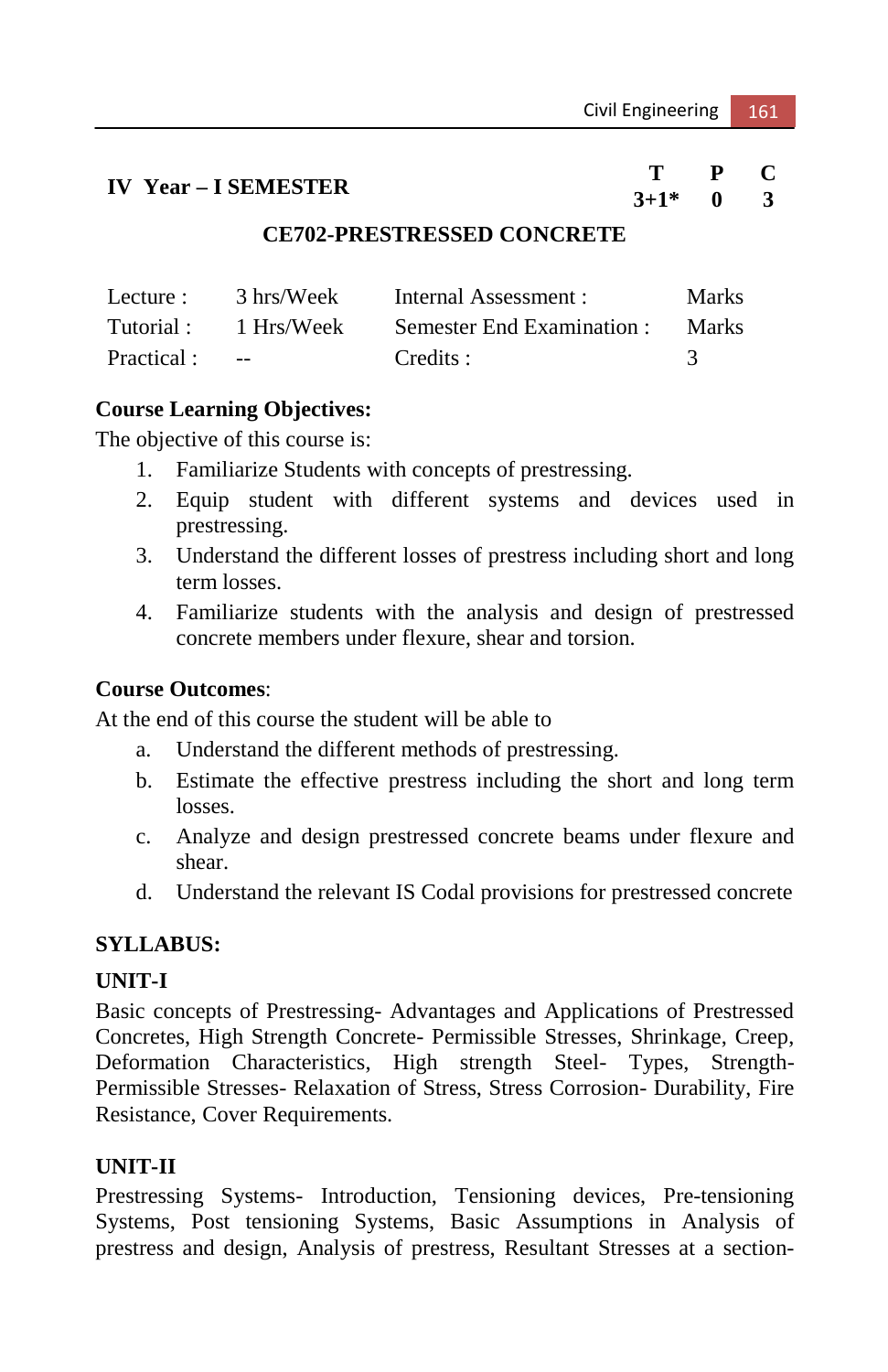# **IV Year – I SEMESTER T P C**

 $3+1*$ 

#### **CE702-PRESTRESSED CONCRETE**

| Lecture :   | 3 hrs/Week | Internal Assessment :      | <b>Marks</b> |
|-------------|------------|----------------------------|--------------|
| Tutorial :  | 1 Hrs/Week | Semester End Examination : | <b>Marks</b> |
| Practical : | $ -$       | Credits :                  |              |

#### **Course Learning Objectives:**

The objective of this course is:

- 1. Familiarize Students with concepts of prestressing.
- 2. Equip student with different systems and devices used in prestressing.
- 3. Understand the different losses of prestress including short and long term losses.
- 4. Familiarize students with the analysis and design of prestressed concrete members under flexure, shear and torsion.

#### **Course Outcomes**:

At the end of this course the student will be able to

- a. Understand the different methods of prestressing.
- b. Estimate the effective prestress including the short and long term losses.
- c. Analyze and design prestressed concrete beams under flexure and shear.
- d. Understand the relevant IS Codal provisions for prestressed concrete

#### **SYLLABUS:**

#### **UNIT-I**

Basic concepts of Prestressing- Advantages and Applications of Prestressed Concretes, High Strength Concrete- Permissible Stresses, Shrinkage, Creep, Deformation Characteristics, High strength Steel- Types, Strength-Permissible Stresses- Relaxation of Stress, Stress Corrosion- Durability, Fire Resistance, Cover Requirements.

# **UNIT-II**

Prestressing Systems- Introduction, Tensioning devices, Pre-tensioning Systems, Post tensioning Systems, Basic Assumptions in Analysis of prestress and design, Analysis of prestress, Resultant Stresses at a section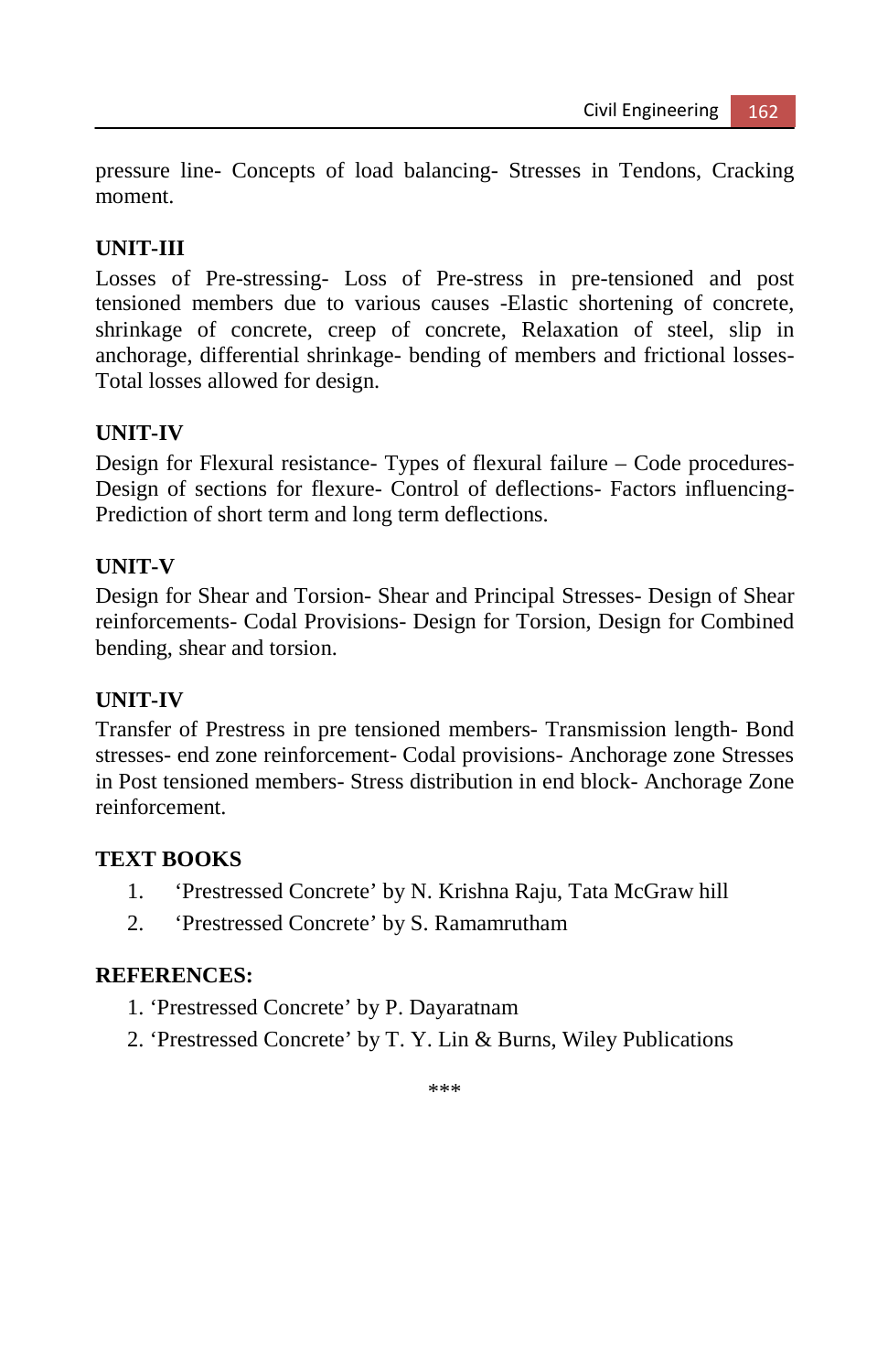pressure line- Concepts of load balancing- Stresses in Tendons, Cracking moment.

### **UNIT-III**

Losses of Pre-stressing- Loss of Pre-stress in pre-tensioned and post tensioned members due to various causes -Elastic shortening of concrete, shrinkage of concrete, creep of concrete, Relaxation of steel, slip in anchorage, differential shrinkage- bending of members and frictional losses-Total losses allowed for design.

#### **UNIT-IV**

Design for Flexural resistance- Types of flexural failure – Code procedures-Design of sections for flexure- Control of deflections- Factors influencing-Prediction of short term and long term deflections.

#### **UNIT-V**

Design for Shear and Torsion- Shear and Principal Stresses- Design of Shear reinforcements- Codal Provisions- Design for Torsion, Design for Combined bending, shear and torsion.

#### **UNIT-IV**

Transfer of Prestress in pre tensioned members- Transmission length- Bond stresses- end zone reinforcement- Codal provisions- Anchorage zone Stresses in Post tensioned members- Stress distribution in end block- Anchorage Zone reinforcement.

#### **TEXT BOOKS**

- 1. 'Prestressed Concrete' by N. Krishna Raju, Tata McGraw hill
- 2. 'Prestressed Concrete' by S. Ramamrutham

#### **REFERENCES:**

- 1. 'Prestressed Concrete' by P. Dayaratnam
- 2. 'Prestressed Concrete' by T. Y. Lin & Burns, Wiley Publications

\*\*\*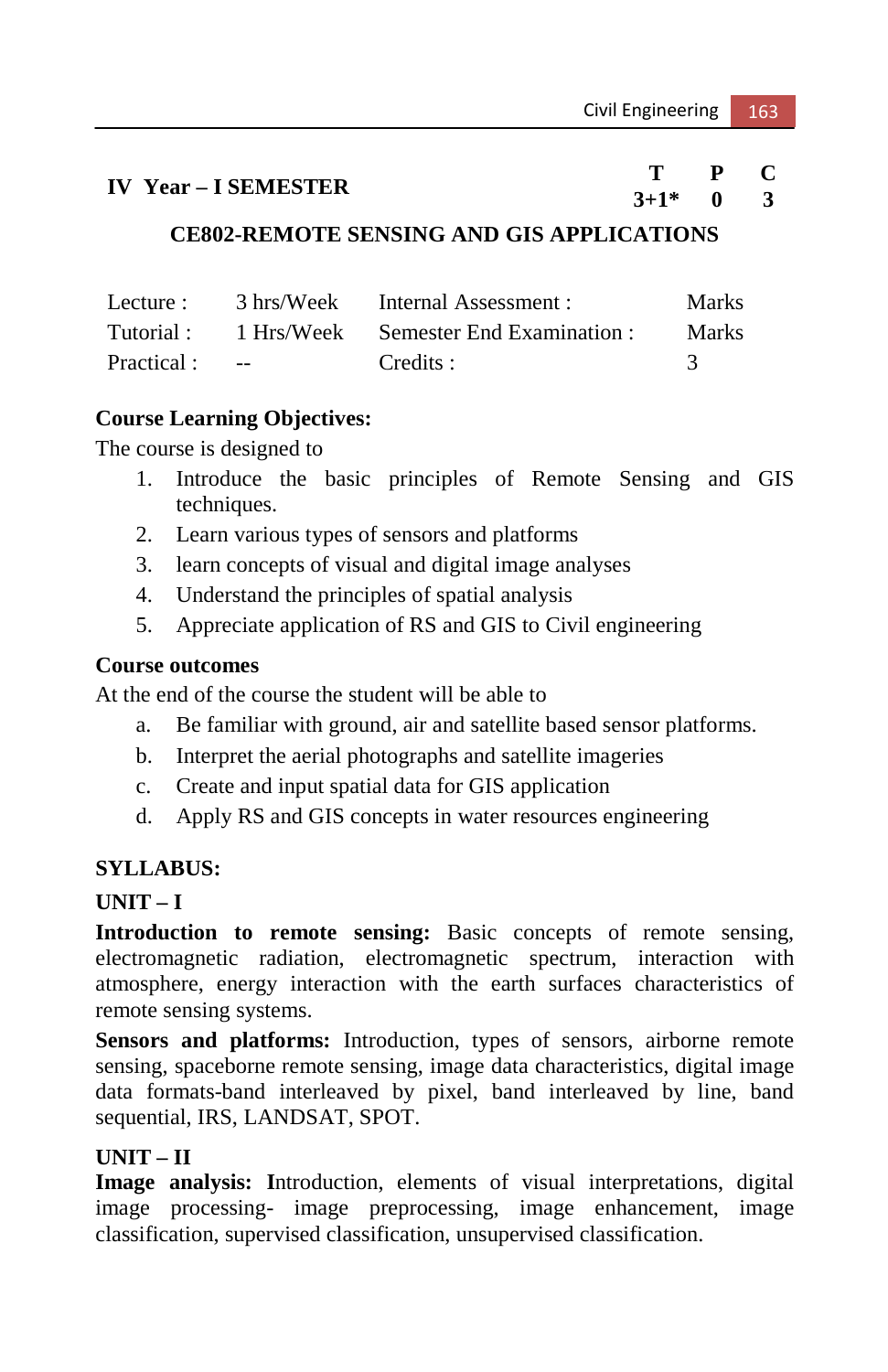# **IV Year – I SEMESTER T P C**

 $3+1*$ 

# **CE802-REMOTE SENSING AND GIS APPLICATIONS**

| Lecture :  | 3 hrs/Week               | Internal Assessment :                          | <b>Marks</b> |
|------------|--------------------------|------------------------------------------------|--------------|
|            |                          | Tutorial: 1 Hrs/Week Semester End Examination: | <b>Marks</b> |
| Practical: | <b>Service Contracts</b> | Credits :                                      |              |

# **Course Learning Objectives:**

The course is designed to

- 1. Introduce the basic principles of Remote Sensing and GIS techniques.
- 2. Learn various types of sensors and platforms
- 3. learn concepts of visual and digital image analyses
- 4. Understand the principles of spatial analysis
- 5. Appreciate application of RS and GIS to Civil engineering

### **Course outcomes**

At the end of the course the student will be able to

- a. Be familiar with ground, air and satellite based sensor platforms.
- b. Interpret the aerial photographs and satellite imageries
- c. Create and input spatial data for GIS application
- d. Apply RS and GIS concepts in water resources engineering

# **SYLLABUS:**

# **UNIT – I**

**Introduction to remote sensing:** Basic concepts of remote sensing, electromagnetic radiation, electromagnetic spectrum, interaction with atmosphere, energy interaction with the earth surfaces characteristics of remote sensing systems.

**Sensors and platforms:** Introduction, types of sensors, airborne remote sensing, spaceborne remote sensing, image data characteristics, digital image data formats-band interleaved by pixel, band interleaved by line, band sequential, IRS, LANDSAT, SPOT.

# **UNIT – II**

**Image analysis: I**ntroduction, elements of visual interpretations, digital image processing- image preprocessing, image enhancement, image classification, supervised classification, unsupervised classification.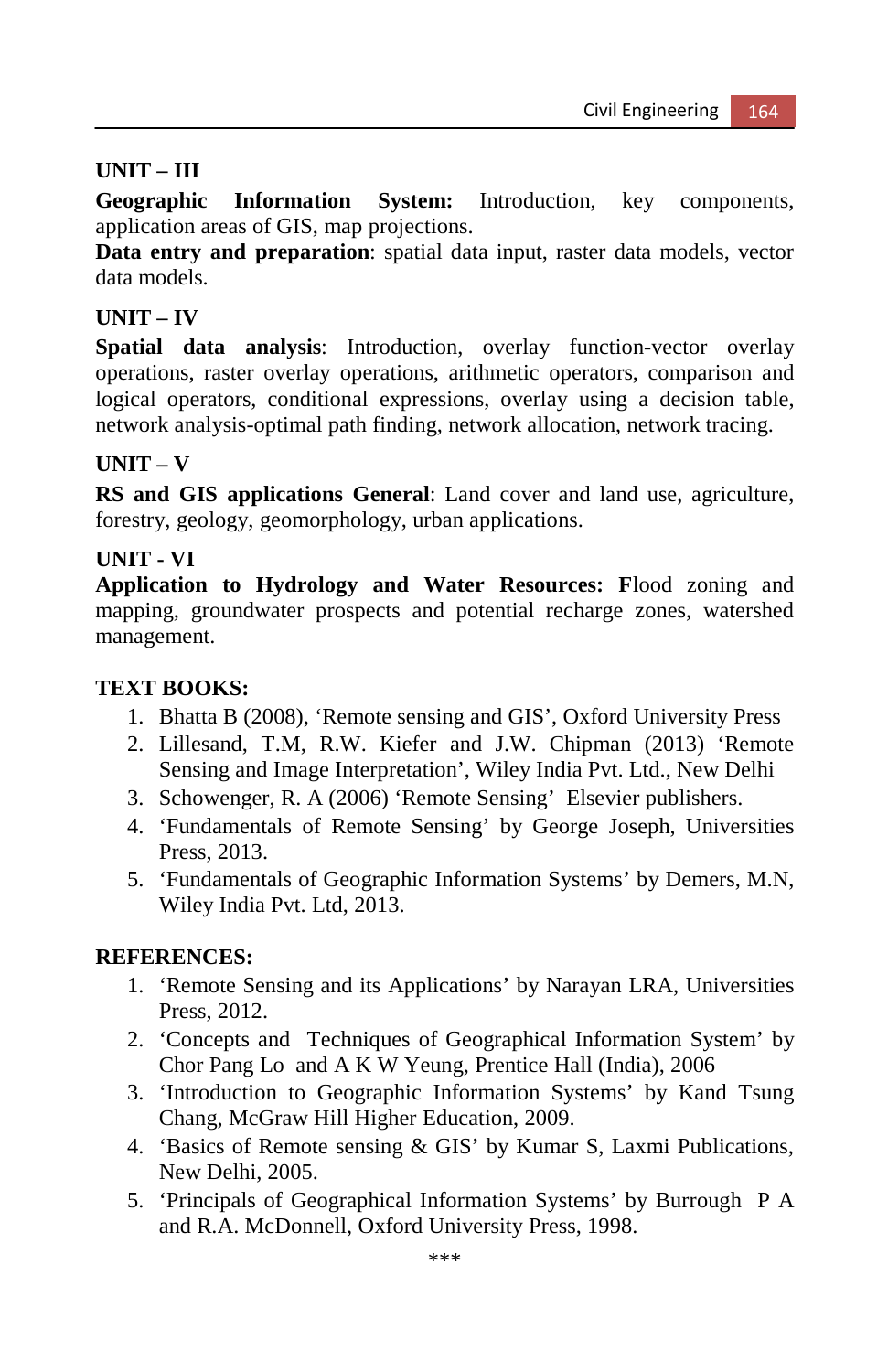# **UNIT – III**

**Geographic Information System:** Introduction, key components, application areas of GIS, map projections.

**Data entry and preparation**: spatial data input, raster data models, vector data models.

### **UNIT – IV**

**Spatial data analysis**: Introduction, overlay function-vector overlay operations, raster overlay operations, arithmetic operators, comparison and logical operators, conditional expressions, overlay using a decision table, network analysis-optimal path finding, network allocation, network tracing.

#### **UNIT – V**

**RS and GIS applications General**: Land cover and land use, agriculture, forestry, geology, geomorphology, urban applications.

#### **UNIT - VI**

**Application to Hydrology and Water Resources: F**lood zoning and mapping, groundwater prospects and potential recharge zones, watershed management.

#### **TEXT BOOKS:**

- 1. Bhatta B (2008), 'Remote sensing and GIS', Oxford University Press
- 2. Lillesand, T.M, R.W. Kiefer and J.W. Chipman (2013) 'Remote Sensing and Image Interpretation', Wiley India Pvt. Ltd., New Delhi
- 3. Schowenger, R. A (2006) 'Remote Sensing' Elsevier publishers.
- 4. 'Fundamentals of Remote Sensing' by George Joseph, Universities Press, 2013.
- 5. 'Fundamentals of Geographic Information Systems' by Demers, M.N, Wiley India Pvt. Ltd, 2013.

#### **REFERENCES:**

- 1. 'Remote Sensing and its Applications' by Narayan LRA, Universities Press, 2012.
- 2. 'Concepts and Techniques of Geographical Information System' by Chor Pang Lo and A K W Yeung, Prentice Hall (India), 2006
- 3. 'Introduction to Geographic Information Systems' by Kand Tsung Chang, McGraw Hill Higher Education, 2009.
- 4. 'Basics of Remote sensing & GIS' by Kumar S, Laxmi Publications, New Delhi, 2005.
- 5. 'Principals of Geographical Information Systems' by Burrough P A and R.A. McDonnell, Oxford University Press, 1998.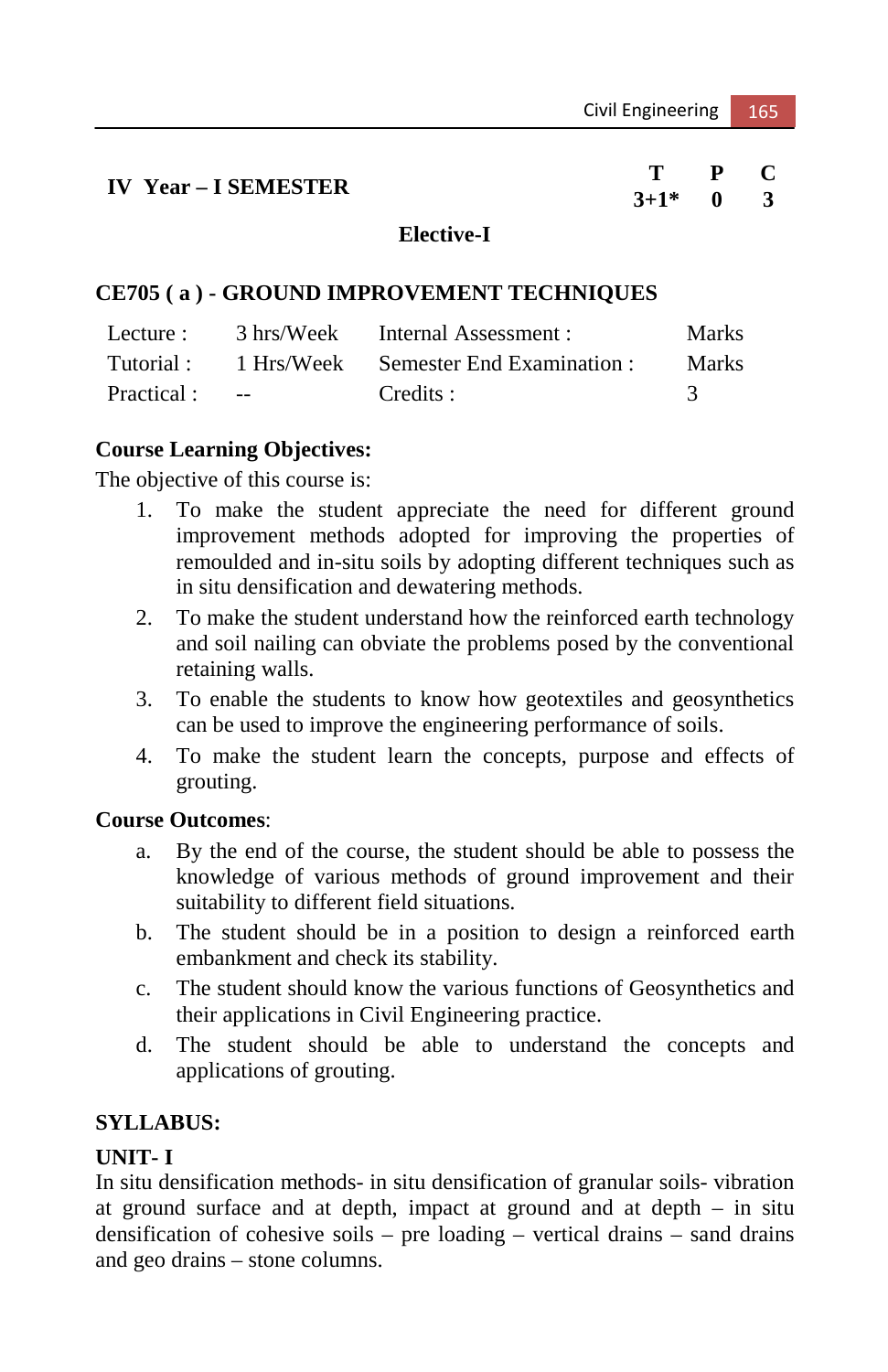| IV Year – I SEMESTER |            | T P C<br>$3+1^*$ 0 3 |  |
|----------------------|------------|----------------------|--|
|                      | Elective-I |                      |  |

#### **CE705 ( a ) - GROUND IMPROVEMENT TECHNIQUES**

| Lecture :   | 3 hrs/Week               | Internal Assessment :                          | <b>Marks</b> |
|-------------|--------------------------|------------------------------------------------|--------------|
|             |                          | Tutorial: 1 Hrs/Week Semester End Examination: | <b>Marks</b> |
| Practical : | <b>Service Contracts</b> | Credits :                                      |              |

#### **Course Learning Objectives:**

The objective of this course is:

- 1. To make the student appreciate the need for different ground improvement methods adopted for improving the properties of remoulded and in-situ soils by adopting different techniques such as in situ densification and dewatering methods.
- 2. To make the student understand how the reinforced earth technology and soil nailing can obviate the problems posed by the conventional retaining walls.
- 3. To enable the students to know how geotextiles and geosynthetics can be used to improve the engineering performance of soils.
- 4. To make the student learn the concepts, purpose and effects of grouting.

#### **Course Outcomes**:

- a. By the end of the course, the student should be able to possess the knowledge of various methods of ground improvement and their suitability to different field situations.
- b. The student should be in a position to design a reinforced earth embankment and check its stability.
- c. The student should know the various functions of Geosynthetics and their applications in Civil Engineering practice.
- d. The student should be able to understand the concepts and applications of grouting.

#### **SYLLABUS:**

#### **UNIT- I**

In situ densification methods- in situ densification of granular soils- vibration at ground surface and at depth, impact at ground and at depth – in situ densification of cohesive soils – pre loading – vertical drains – sand drains and geo drains – stone columns.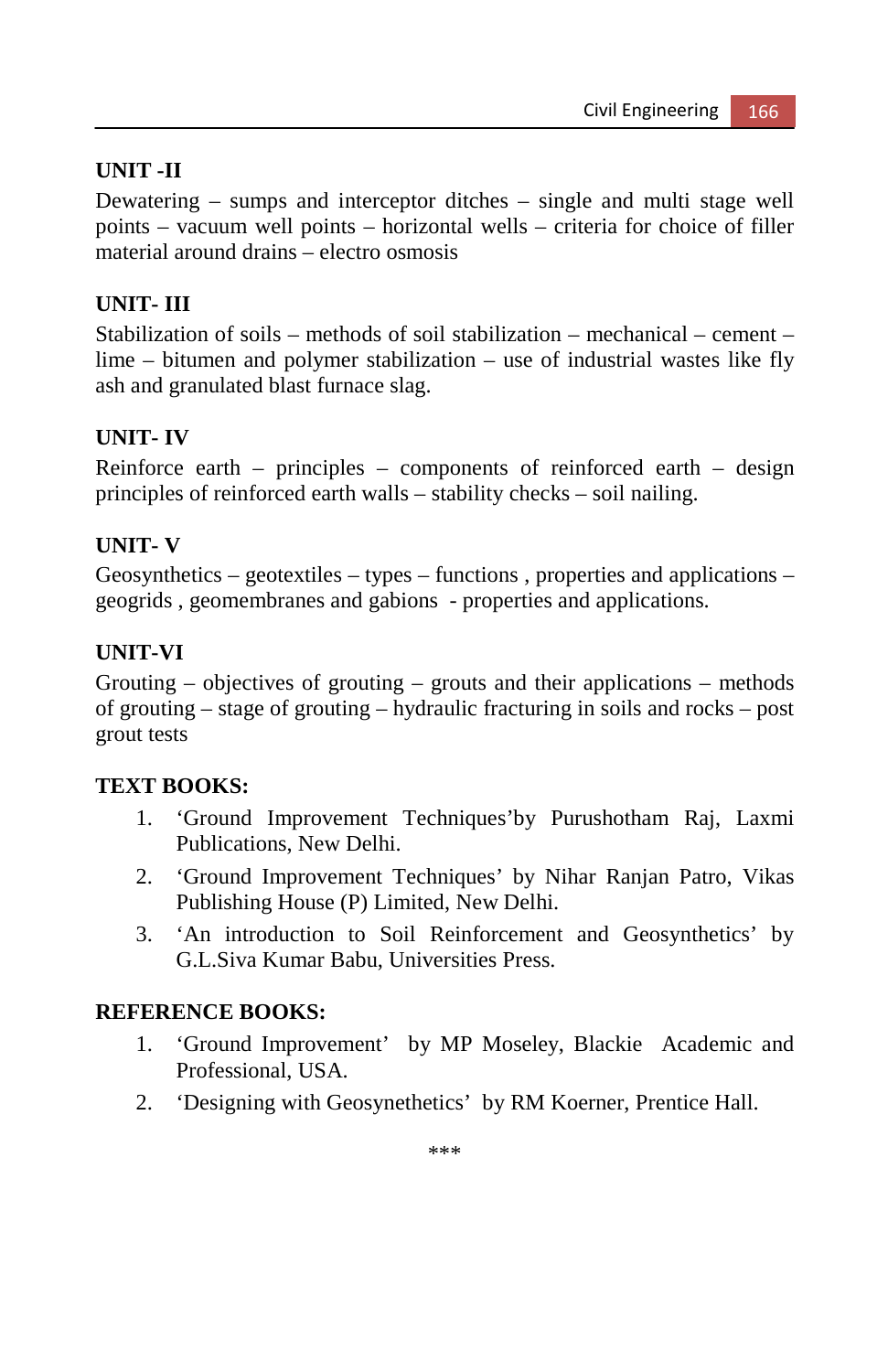# **UNIT -II**

Dewatering – sumps and interceptor ditches – single and multi stage well points – vacuum well points – horizontal wells – criteria for choice of filler material around drains – electro osmosis

# **UNIT- III**

Stabilization of soils – methods of soil stabilization – mechanical – cement – lime – bitumen and polymer stabilization – use of industrial wastes like fly ash and granulated blast furnace slag.

# **UNIT- IV**

Reinforce earth – principles – components of reinforced earth – design principles of reinforced earth walls – stability checks – soil nailing.

# **UNIT- V**

Geosynthetics – geotextiles – types – functions , properties and applications – geogrids , geomembranes and gabions - properties and applications.

# **UNIT-VI**

Grouting – objectives of grouting – grouts and their applications – methods of grouting – stage of grouting – hydraulic fracturing in soils and rocks – post grout tests

# **TEXT BOOKS:**

- 1. 'Ground Improvement Techniques'by Purushotham Raj, Laxmi Publications, New Delhi.
- 2. 'Ground Improvement Techniques' by Nihar Ranjan Patro, Vikas Publishing House (P) Limited, New Delhi.
- 3. 'An introduction to Soil Reinforcement and Geosynthetics' by G.L.Siva Kumar Babu, Universities Press.

# **REFERENCE BOOKS:**

- 1. 'Ground Improvement' by MP Moseley, Blackie Academic and Professional, USA.
- 2. 'Designing with Geosynethetics' by RM Koerner, Prentice Hall.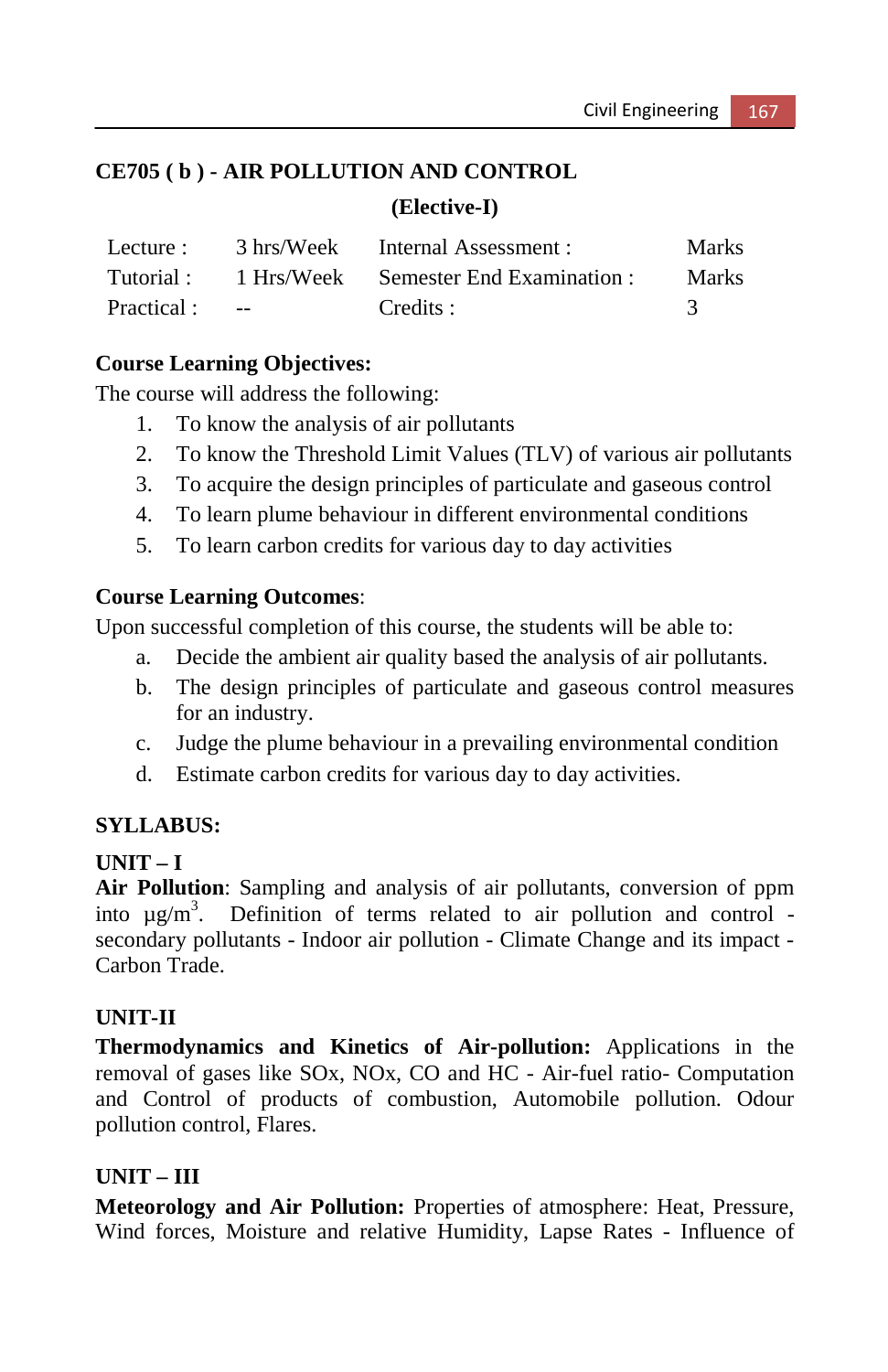# **CE705 ( b ) - AIR POLLUTION AND CONTROL**

**(Elective-I)** 

| Lecture :   | 3 hrs/Week               | Internal Assessment :                 | <b>Marks</b> |
|-------------|--------------------------|---------------------------------------|--------------|
| Tutorial :  |                          | 1 Hrs/Week Semester End Examination : | <b>Marks</b> |
| Practical : | <b>Service Contracts</b> | Credits :                             |              |

### **Course Learning Objectives:**

The course will address the following:

- 1. To know the analysis of air pollutants
- 2. To know the Threshold Limit Values (TLV) of various air pollutants
- 3. To acquire the design principles of particulate and gaseous control
- 4. To learn plume behaviour in different environmental conditions
- 5. To learn carbon credits for various day to day activities

#### **Course Learning Outcomes**:

Upon successful completion of this course, the students will be able to:

- a. Decide the ambient air quality based the analysis of air pollutants.
- b. The design principles of particulate and gaseous control measures for an industry.
- c. Judge the plume behaviour in a prevailing environmental condition
- d. Estimate carbon credits for various day to day activities.

# **SYLLABUS:**

#### **UNIT – I**

**Air Pollution**: Sampling and analysis of air pollutants, conversion of ppm into  $\mu$ g/m<sup>3</sup>. Definition of terms related to air pollution and control secondary pollutants - Indoor air pollution - Climate Change and its impact - Carbon Trade.

#### **UNIT-II**

**Thermodynamics and Kinetics of Air-pollution:** Applications in the removal of gases like SOx, NOx, CO and HC - Air-fuel ratio- Computation and Control of products of combustion, Automobile pollution. Odour pollution control, Flares.

# **UNIT – III**

**Meteorology and Air Pollution:** Properties of atmosphere: Heat, Pressure, Wind forces, Moisture and relative Humidity, Lapse Rates - Influence of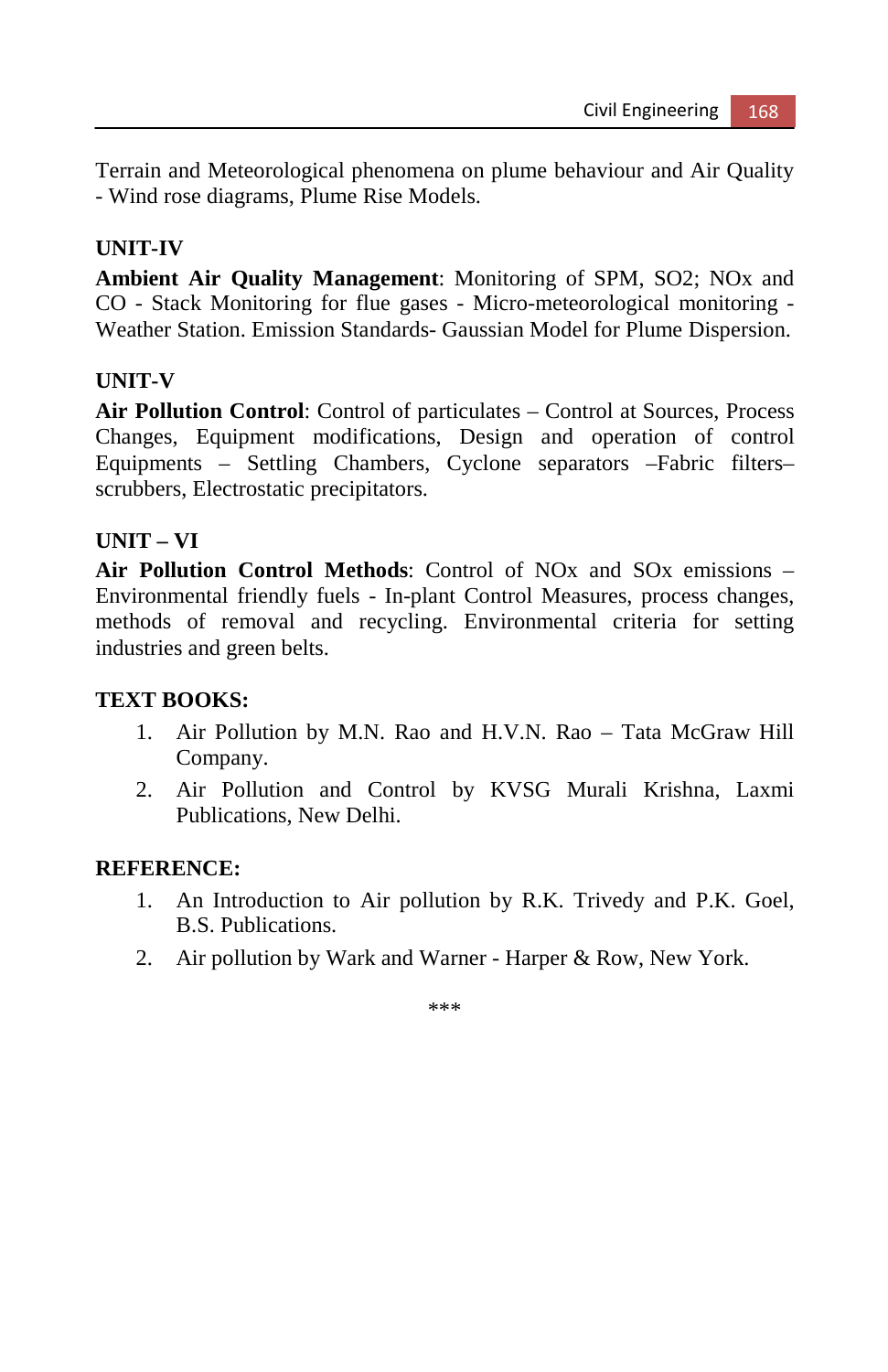Terrain and Meteorological phenomena on plume behaviour and Air Quality - Wind rose diagrams, Plume Rise Models.

#### **UNIT-IV**

**Ambient Air Quality Management**: Monitoring of SPM, SO2; NOx and CO - Stack Monitoring for flue gases - Micro-meteorological monitoring - Weather Station. Emission Standards- Gaussian Model for Plume Dispersion.

#### **UNIT-V**

**Air Pollution Control**: Control of particulates – Control at Sources, Process Changes, Equipment modifications, Design and operation of control Equipments – Settling Chambers, Cyclone separators –Fabric filters– scrubbers, Electrostatic precipitators.

#### **UNIT – VI**

**Air Pollution Control Methods**: Control of NOx and SOx emissions – Environmental friendly fuels - In-plant Control Measures, process changes, methods of removal and recycling. Environmental criteria for setting industries and green belts.

#### **TEXT BOOKS:**

- 1. Air Pollution by M.N. Rao and H.V.N. Rao Tata McGraw Hill Company.
- 2. Air Pollution and Control by KVSG Murali Krishna, Laxmi Publications, New Delhi.

#### **REFERENCE:**

- 1. An Introduction to Air pollution by R.K. Trivedy and P.K. Goel, B.S. Publications.
- 2. Air pollution by Wark and Warner Harper & Row, New York.

\*\*\*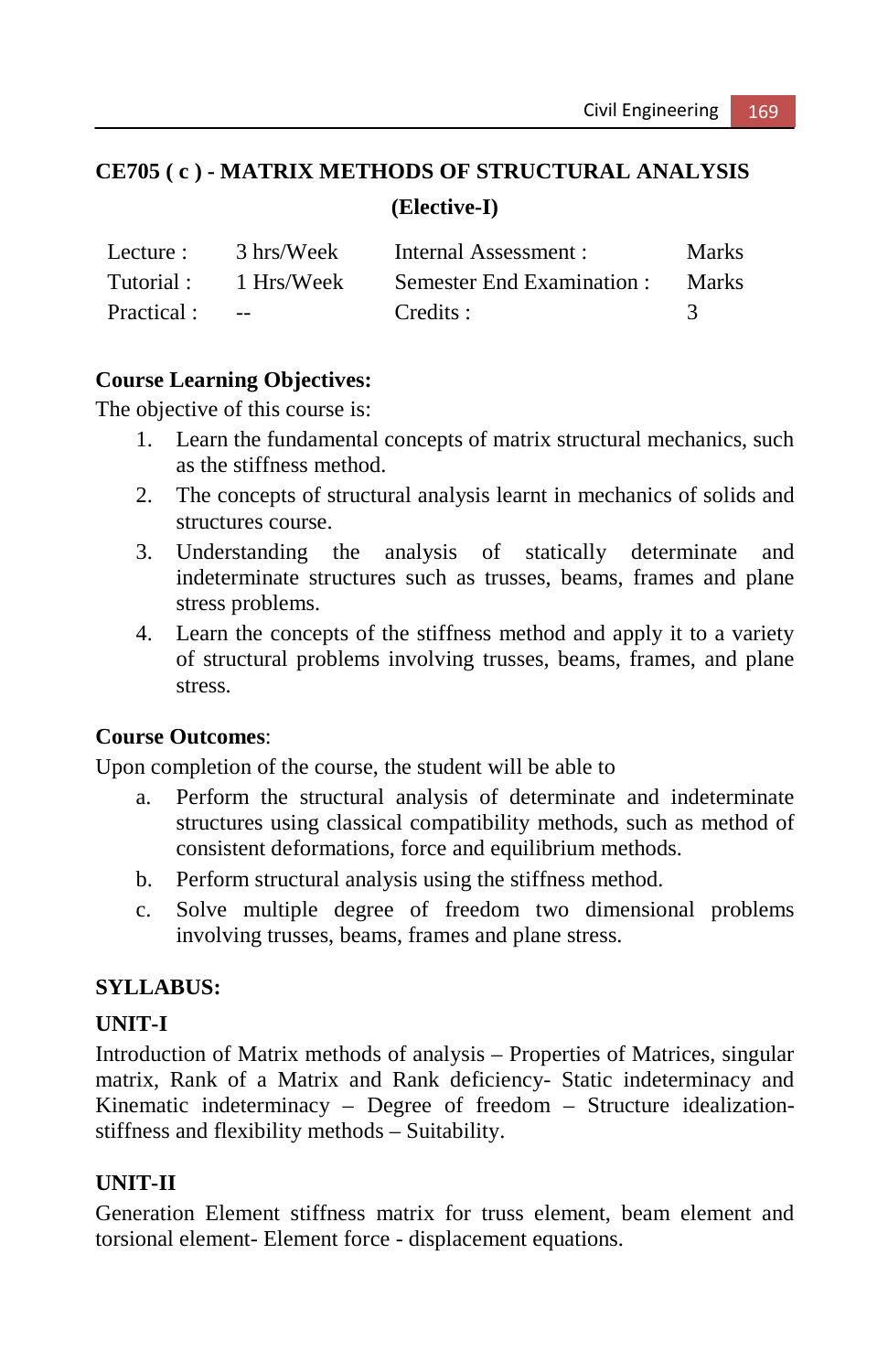# **CE705 ( c ) - MATRIX METHODS OF STRUCTURAL ANALYSIS (Elective-I)**

| Lecture :   | 3 hrs/Week | Internal Assessment :      | <b>Marks</b> |
|-------------|------------|----------------------------|--------------|
| Tutorial :  | 1 Hrs/Week | Semester End Examination : | <b>Marks</b> |
| Practical : | $\sim$ $-$ | Credits :                  |              |

#### **Course Learning Objectives:**

The objective of this course is:

- 1. Learn the fundamental concepts of matrix structural mechanics, such as the stiffness method.
- 2. The concepts of structural analysis learnt in mechanics of solids and structures course.
- 3. Understanding the analysis of statically determinate and indeterminate structures such as trusses, beams, frames and plane stress problems.
- 4. Learn the concepts of the stiffness method and apply it to a variety of structural problems involving trusses, beams, frames, and plane stress.

#### **Course Outcomes**:

Upon completion of the course, the student will be able to

- a. Perform the structural analysis of determinate and indeterminate structures using classical compatibility methods, such as method of consistent deformations, force and equilibrium methods.
- b. Perform structural analysis using the stiffness method.
- c. Solve multiple degree of freedom two dimensional problems involving trusses, beams, frames and plane stress.

#### **SYLLABUS:**

#### **UNIT-I**

Introduction of Matrix methods of analysis – Properties of Matrices, singular matrix, Rank of a Matrix and Rank deficiency- Static indeterminacy and Kinematic indeterminacy – Degree of freedom – Structure idealizationstiffness and flexibility methods – Suitability.

#### **UNIT-II**

Generation Element stiffness matrix for truss element, beam element and torsional element- Element force - displacement equations.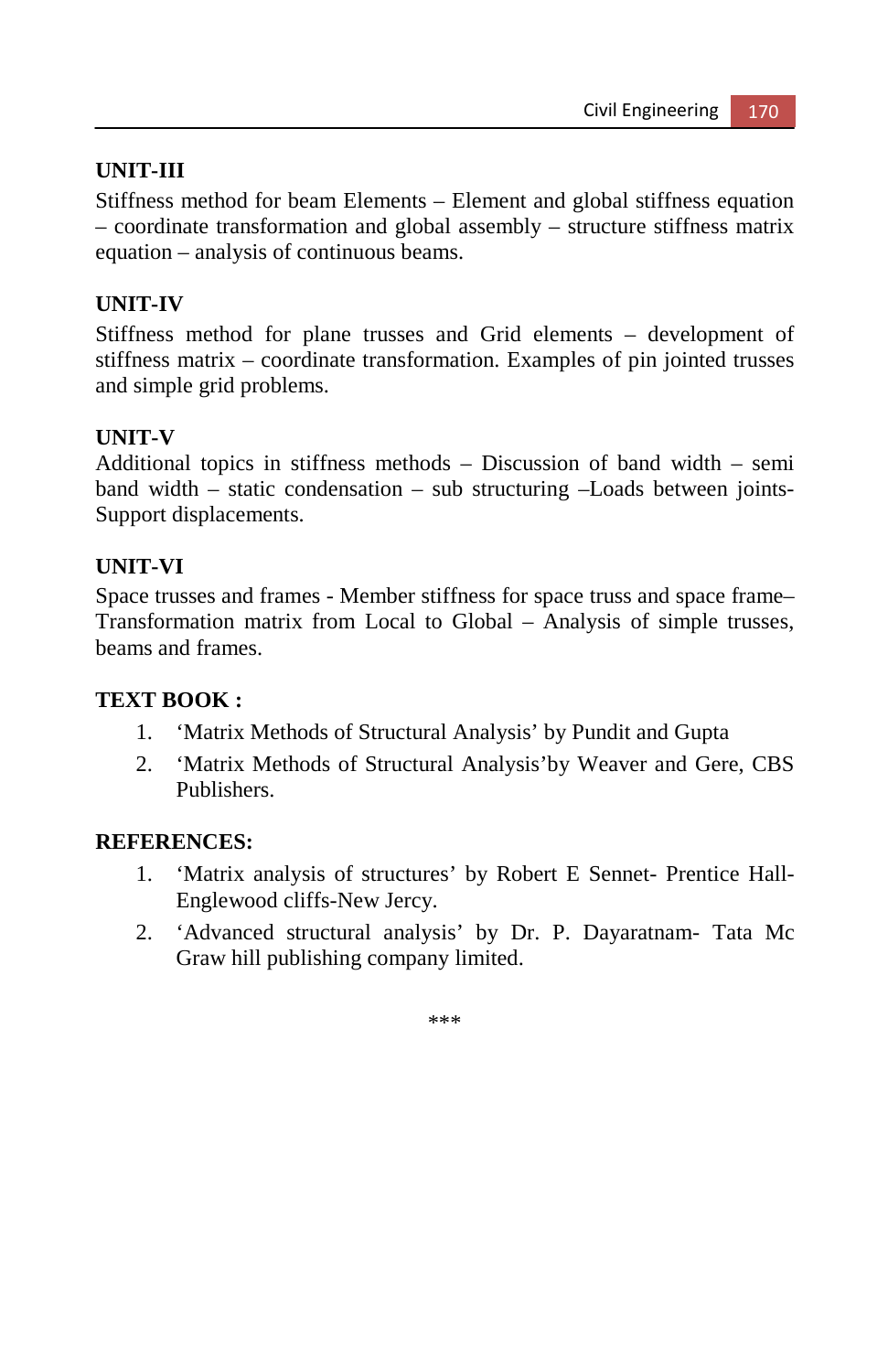# **UNIT-III**

Stiffness method for beam Elements – Element and global stiffness equation – coordinate transformation and global assembly – structure stiffness matrix equation – analysis of continuous beams.

# **UNIT-IV**

Stiffness method for plane trusses and Grid elements – development of stiffness matrix – coordinate transformation. Examples of pin jointed trusses and simple grid problems.

### **UNIT-V**

Additional topics in stiffness methods – Discussion of band width – semi band width – static condensation – sub structuring –Loads between joints-Support displacements.

# **UNIT-VI**

Space trusses and frames - Member stiffness for space truss and space frame– Transformation matrix from Local to Global – Analysis of simple trusses, beams and frames.

# **TEXT BOOK :**

- 1. 'Matrix Methods of Structural Analysis' by Pundit and Gupta
- 2. 'Matrix Methods of Structural Analysis'by Weaver and Gere, CBS Publishers.

#### **REFERENCES:**

- 1. 'Matrix analysis of structures' by Robert E Sennet- Prentice Hall-Englewood cliffs-New Jercy.
- 2. 'Advanced structural analysis' by Dr. P. Dayaratnam- Tata Mc Graw hill publishing company limited.

\*\*\*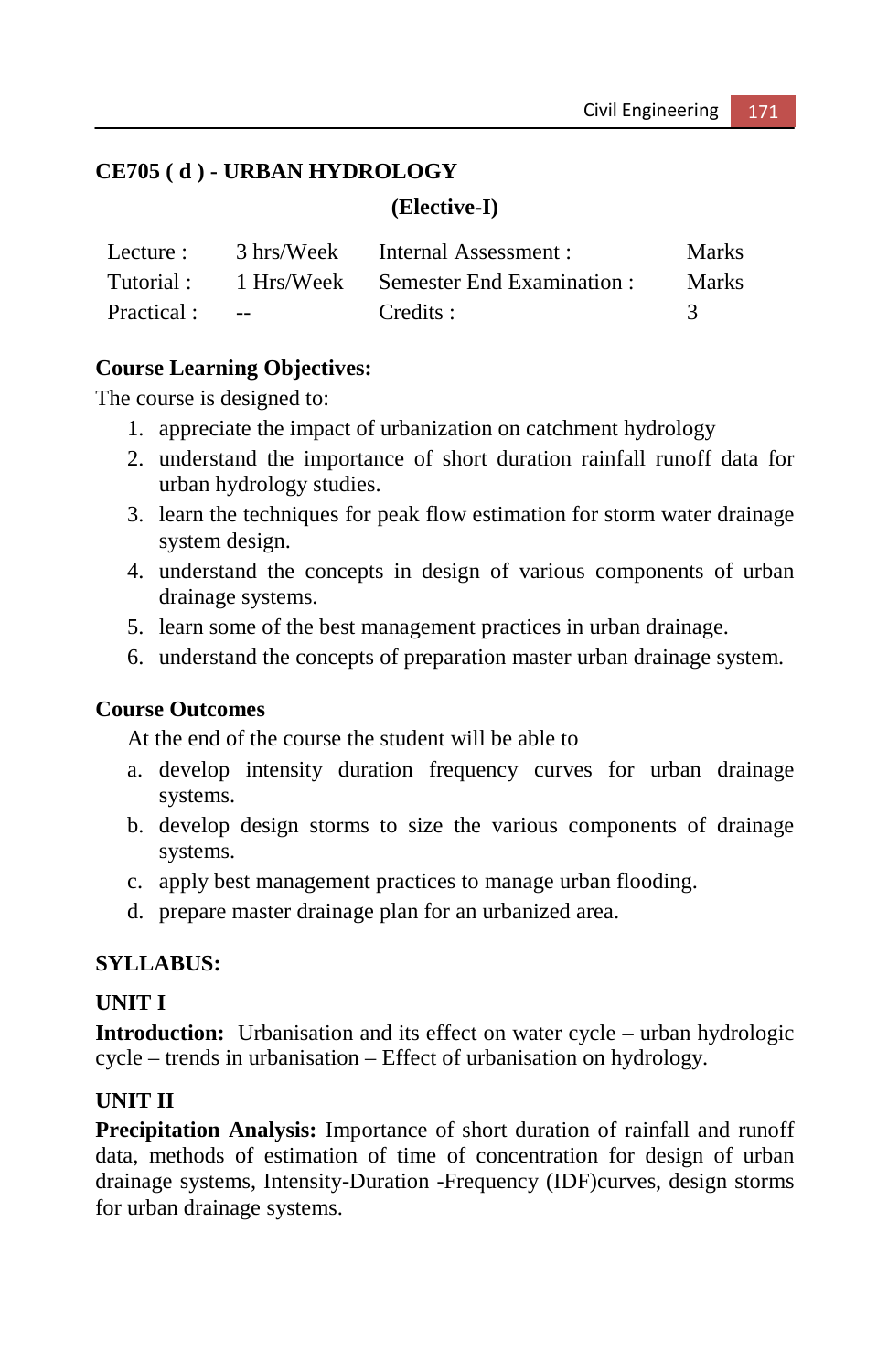### **CE705 ( d ) - URBAN HYDROLOGY**

#### **(Elective-I)**

| Lecture :  | 3 hrs/Week                     | Internal Assessment :                          | <b>Marks</b> |
|------------|--------------------------------|------------------------------------------------|--------------|
|            |                                | Tutorial: 1 Hrs/Week Semester End Examination: | <b>Marks</b> |
| Practical: | <b>Contract Contract State</b> | Credits :                                      |              |

#### **Course Learning Objectives:**

The course is designed to:

- 1. appreciate the impact of urbanization on catchment hydrology
- 2. understand the importance of short duration rainfall runoff data for urban hydrology studies.
- 3. learn the techniques for peak flow estimation for storm water drainage system design.
- 4. understand the concepts in design of various components of urban drainage systems.
- 5. learn some of the best management practices in urban drainage.
- 6. understand the concepts of preparation master urban drainage system.

#### **Course Outcomes**

At the end of the course the student will be able to

- a. develop intensity duration frequency curves for urban drainage systems.
- b. develop design storms to size the various components of drainage systems.
- c. apply best management practices to manage urban flooding.
- d. prepare master drainage plan for an urbanized area.

#### **SYLLABUS:**

#### **UNIT I**

**Introduction:** Urbanisation and its effect on water cycle – urban hydrologic cycle – trends in urbanisation – Effect of urbanisation on hydrology.

#### **UNIT II**

**Precipitation Analysis:** Importance of short duration of rainfall and runoff data, methods of estimation of time of concentration for design of urban drainage systems, Intensity-Duration -Frequency (IDF)curves, design storms for urban drainage systems.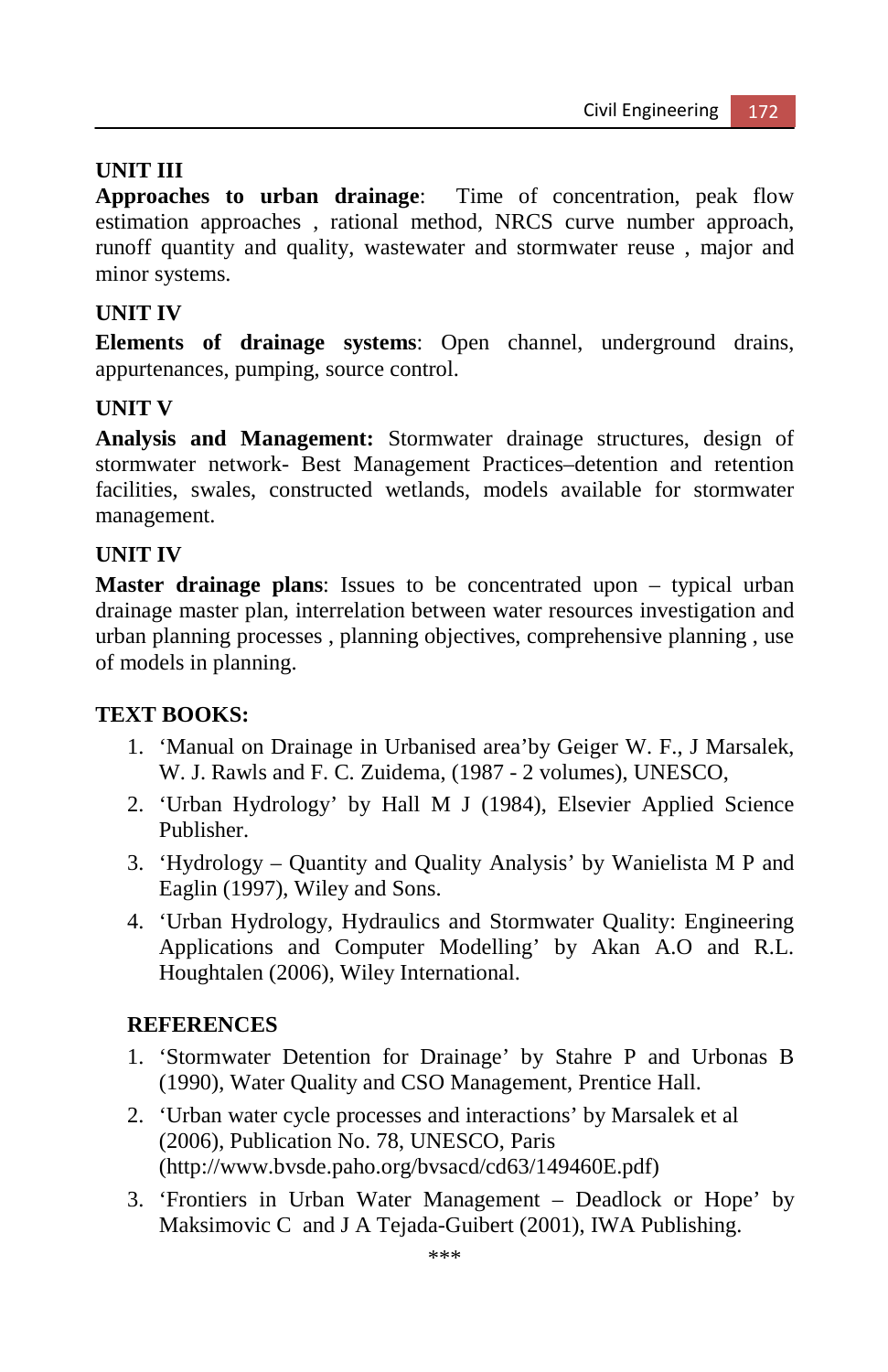# **UNIT III**

**Approaches to urban drainage**: Time of concentration, peak flow estimation approaches , rational method, NRCS curve number approach, runoff quantity and quality, wastewater and stormwater reuse , major and minor systems.

## **UNIT IV**

**Elements of drainage systems**: Open channel, underground drains, appurtenances, pumping, source control.

### **UNIT V**

**Analysis and Management:** Stormwater drainage structures, design of stormwater network- Best Management Practices–detention and retention facilities, swales, constructed wetlands, models available for stormwater management.

#### **UNIT IV**

**Master drainage plans**: Issues to be concentrated upon – typical urban drainage master plan, interrelation between water resources investigation and urban planning processes , planning objectives, comprehensive planning , use of models in planning.

#### **TEXT BOOKS:**

- 1. 'Manual on Drainage in Urbanised area'by Geiger W. F., J Marsalek, W. J. Rawls and F. C. Zuidema, (1987 - 2 volumes), UNESCO,
- 2. 'Urban Hydrology' by Hall M J (1984), Elsevier Applied Science Publisher.
- 3. 'Hydrology Quantity and Quality Analysis' by Wanielista M P and Eaglin (1997), Wiley and Sons.
- 4. 'Urban Hydrology, Hydraulics and Stormwater Quality: Engineering Applications and Computer Modelling' by Akan A.O and R.L. Houghtalen (2006), Wiley International.

# **REFERENCES**

- 1. 'Stormwater Detention for Drainage' by Stahre P and Urbonas B (1990), Water Quality and CSO Management, Prentice Hall.
- 2. 'Urban water cycle processes and interactions' by Marsalek et al (2006), Publication No. 78, UNESCO, Paris (http://www.bvsde.paho.org/bvsacd/cd63/149460E.pdf)
- 3. 'Frontiers in Urban Water Management Deadlock or Hope' by Maksimovic C and J A Tejada-Guibert (2001), IWA Publishing.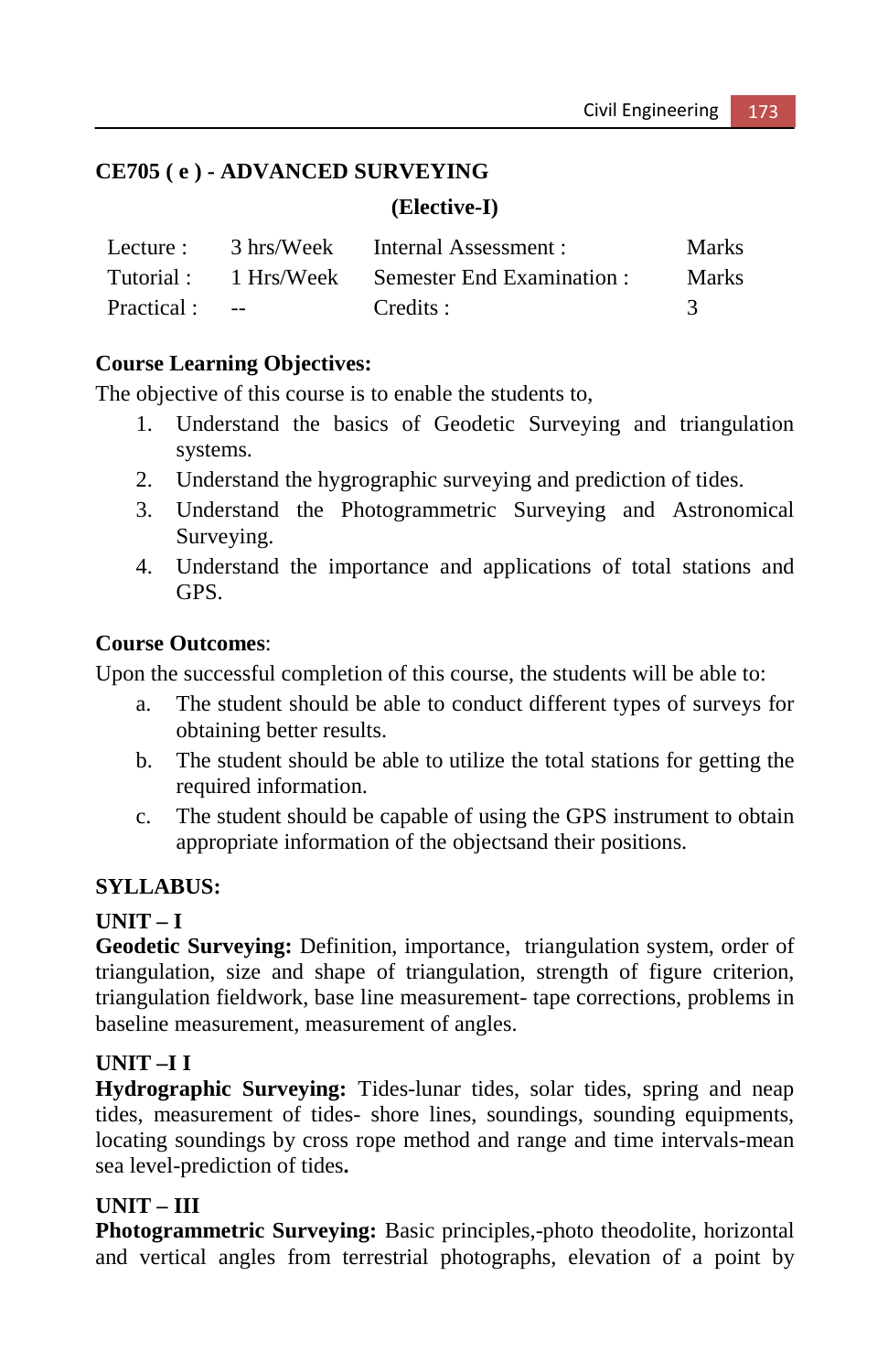# **CE705 ( e ) - ADVANCED SURVEYING**

#### **(Elective-I)**

| Lecture :     | 3 hrs/Week | Internal Assessment :                          | <b>Marks</b> |
|---------------|------------|------------------------------------------------|--------------|
|               |            | Tutorial: 1 Hrs/Week Semester End Examination: | <b>Marks</b> |
| Practical : - |            | Credits :                                      |              |

#### **Course Learning Objectives:**

The objective of this course is to enable the students to,

- 1. Understand the basics of Geodetic Surveying and triangulation systems.
- 2. Understand the hygrographic surveying and prediction of tides.
- 3. Understand the Photogrammetric Surveying and Astronomical Surveying.
- 4. Understand the importance and applications of total stations and GPS.

#### **Course Outcomes**:

Upon the successful completion of this course, the students will be able to:

- a. The student should be able to conduct different types of surveys for obtaining better results.
- b. The student should be able to utilize the total stations for getting the required information.
- c. The student should be capable of using the GPS instrument to obtain appropriate information of the objectsand their positions.

# **SYLLABUS:**

#### **UNIT – I**

**Geodetic Surveying:** Definition, importance, triangulation system, order of triangulation, size and shape of triangulation, strength of figure criterion, triangulation fieldwork, base line measurement- tape corrections, problems in baseline measurement, measurement of angles.

#### **UNIT –I I**

**Hydrographic Surveying:** Tides-lunar tides, solar tides, spring and neap tides, measurement of tides- shore lines, soundings, sounding equipments, locating soundings by cross rope method and range and time intervals-mean sea level-prediction of tides**.** 

#### **UNIT – III**

**Photogrammetric Surveying:** Basic principles,-photo theodolite, horizontal and vertical angles from terrestrial photographs, elevation of a point by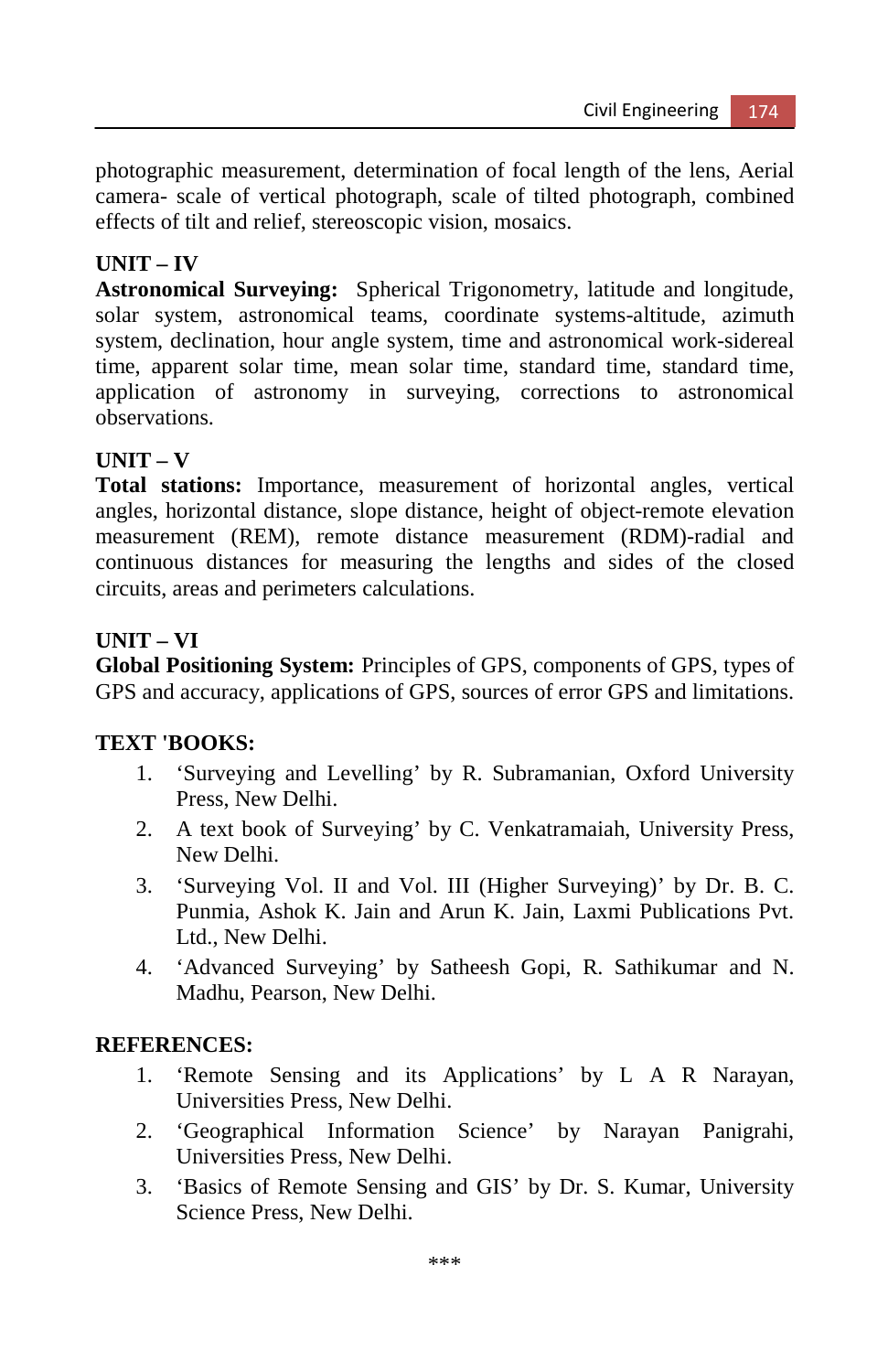photographic measurement, determination of focal length of the lens, Aerial camera- scale of vertical photograph, scale of tilted photograph, combined effects of tilt and relief, stereoscopic vision, mosaics.

# **UNIT – IV**

**Astronomical Surveying:** Spherical Trigonometry, latitude and longitude, solar system, astronomical teams, coordinate systems-altitude, azimuth system, declination, hour angle system, time and astronomical work-sidereal time, apparent solar time, mean solar time, standard time, standard time, application of astronomy in surveying, corrections to astronomical observations.

#### **UNIT – V**

**Total stations:** Importance, measurement of horizontal angles, vertical angles, horizontal distance, slope distance, height of object-remote elevation measurement (REM), remote distance measurement (RDM)-radial and continuous distances for measuring the lengths and sides of the closed circuits, areas and perimeters calculations.

#### **UNIT – VI**

**Global Positioning System:** Principles of GPS, components of GPS, types of GPS and accuracy, applications of GPS, sources of error GPS and limitations.

#### **TEXT 'BOOKS:**

- 1. 'Surveying and Levelling' by R. Subramanian, Oxford University Press, New Delhi.
- 2. A text book of Surveying' by C. Venkatramaiah, University Press, New Delhi.
- 3. 'Surveying Vol. II and Vol. III (Higher Surveying)' by Dr. B. C. Punmia, Ashok K. Jain and Arun K. Jain, Laxmi Publications Pvt. Ltd., New Delhi.
- 4. 'Advanced Surveying' by Satheesh Gopi, R. Sathikumar and N. Madhu, Pearson, New Delhi.

#### **REFERENCES:**

- 1. 'Remote Sensing and its Applications' by L A R Narayan, Universities Press, New Delhi.
- 2. 'Geographical Information Science' by Narayan Panigrahi, Universities Press, New Delhi.
- 3. 'Basics of Remote Sensing and GIS' by Dr. S. Kumar, University Science Press, New Delhi.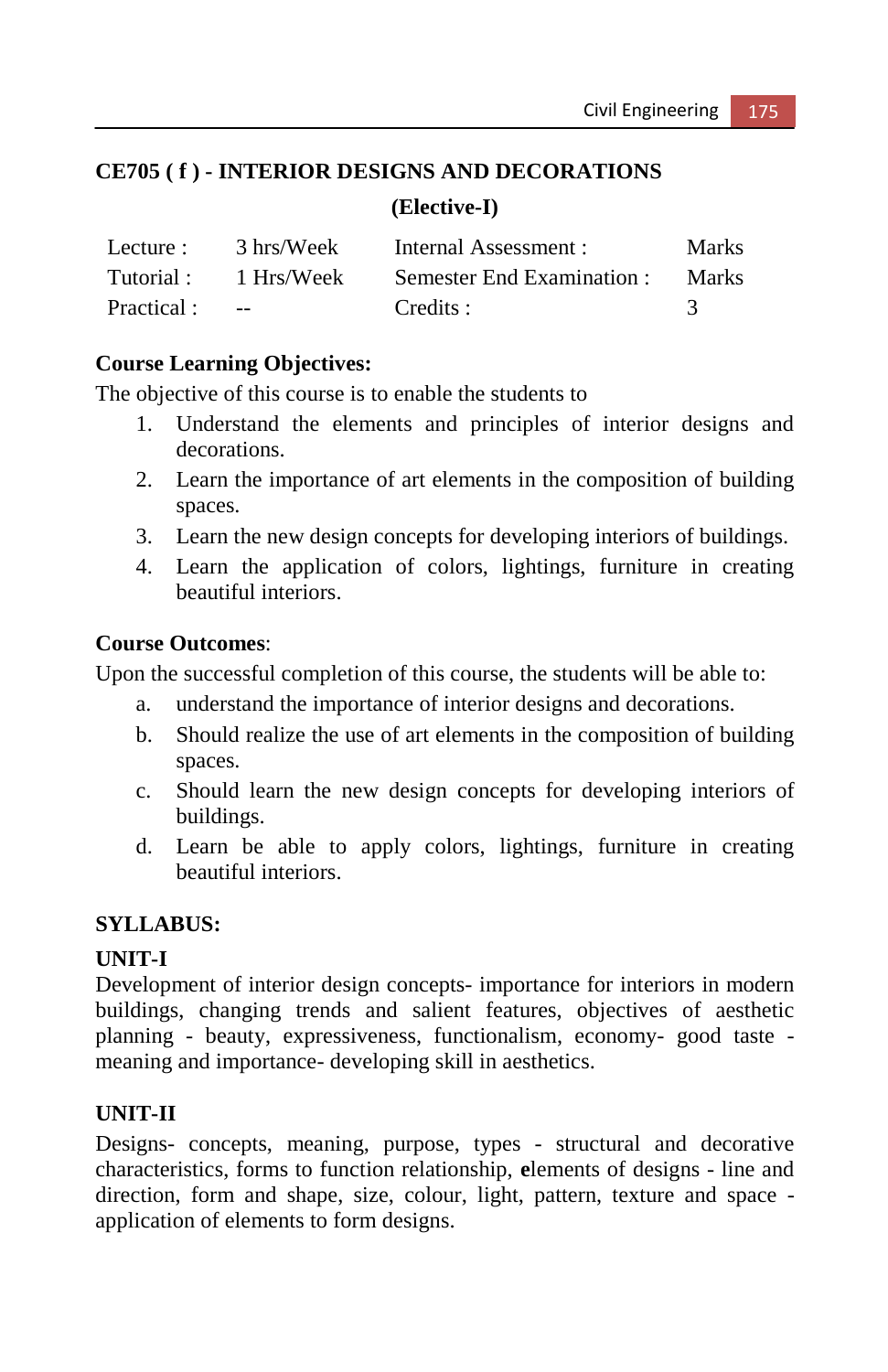# **CE705 ( f ) - INTERIOR DESIGNS AND DECORATIONS (Elective-I)**

| Lecture :  | 3 hrs/Week | Internal Assessment :      | <b>Marks</b> |
|------------|------------|----------------------------|--------------|
| Tutorial : | 1 Hrs/Week | Semester End Examination : | <b>Marks</b> |
| Practical: | $\sim$ $-$ | Credits :                  |              |

#### **Course Learning Objectives:**

The objective of this course is to enable the students to

- 1. Understand the elements and principles of interior designs and decorations.
- 2. Learn the importance of art elements in the composition of building spaces.
- 3. Learn the new design concepts for developing interiors of buildings.
- 4. Learn the application of colors, lightings, furniture in creating beautiful interiors.

#### **Course Outcomes**:

Upon the successful completion of this course, the students will be able to:

- a. understand the importance of interior designs and decorations.
- b. Should realize the use of art elements in the composition of building spaces.
- c. Should learn the new design concepts for developing interiors of buildings.
- d. Learn be able to apply colors, lightings, furniture in creating beautiful interiors.

#### **SYLLABUS:**

#### **UNIT-I**

Development of interior design concepts- importance for interiors in modern buildings, changing trends and salient features, objectives of aesthetic planning - beauty, expressiveness, functionalism, economy- good taste meaning and importance- developing skill in aesthetics.

# **UNIT-II**

Designs- concepts, meaning, purpose, types - structural and decorative characteristics, forms to function relationship, **e**lements of designs - line and direction, form and shape, size, colour, light, pattern, texture and space application of elements to form designs.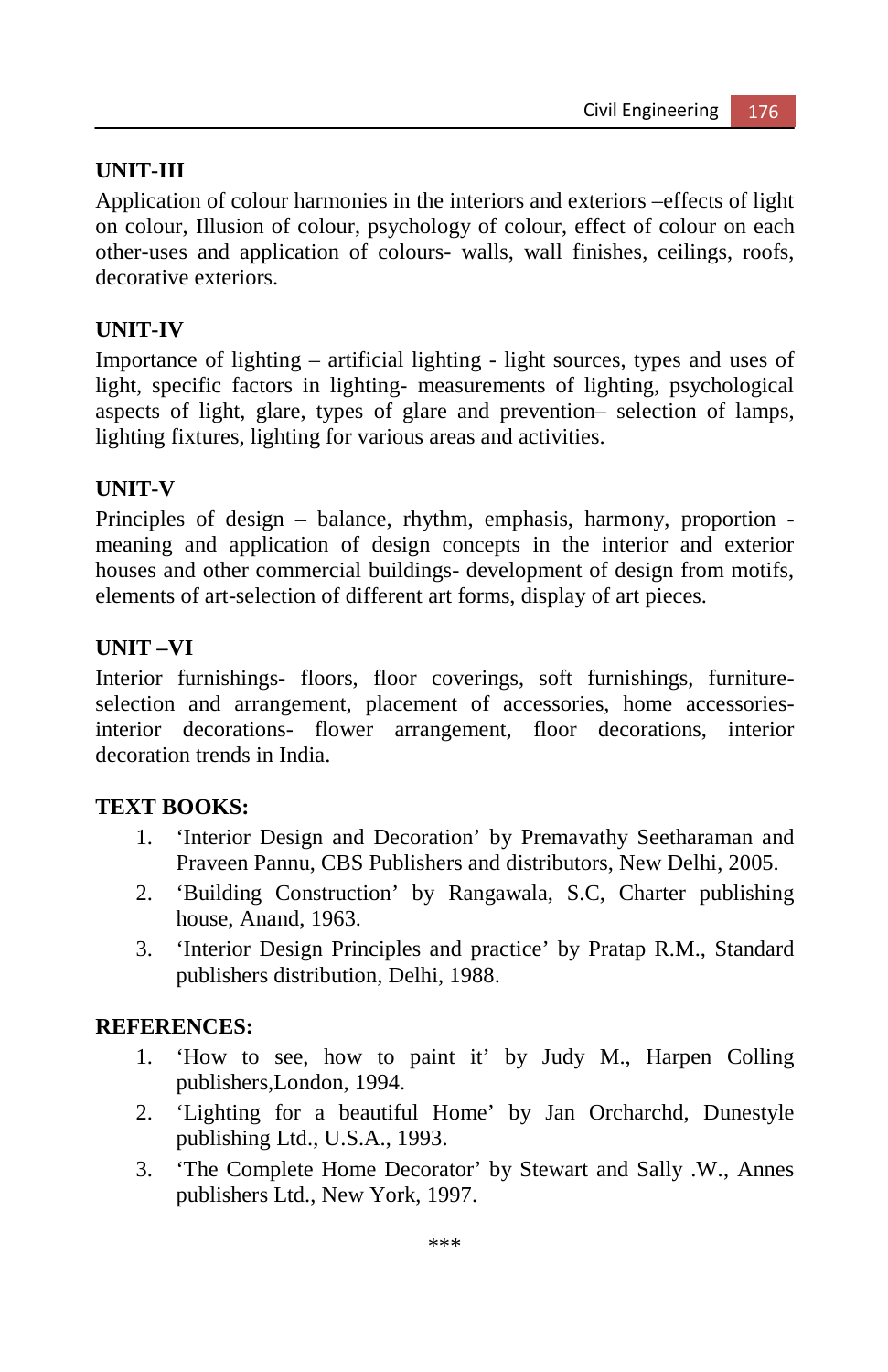# **UNIT-III**

Application of colour harmonies in the interiors and exteriors –effects of light on colour, Illusion of colour, psychology of colour, effect of colour on each other-uses and application of colours- walls, wall finishes, ceilings, roofs, decorative exteriors.

### **UNIT-IV**

Importance of lighting – artificial lighting - light sources, types and uses of light, specific factors in lighting- measurements of lighting, psychological aspects of light, glare, types of glare and prevention– selection of lamps, lighting fixtures, lighting for various areas and activities.

### **UNIT-V**

Principles of design – balance, rhythm, emphasis, harmony, proportion meaning and application of design concepts in the interior and exterior houses and other commercial buildings- development of design from motifs, elements of art-selection of different art forms, display of art pieces.

### **UNIT –VI**

Interior furnishings- floors, floor coverings, soft furnishings, furnitureselection and arrangement, placement of accessories, home accessoriesinterior decorations- flower arrangement, floor decorations, interior decoration trends in India.

#### **TEXT BOOKS:**

- 1. 'Interior Design and Decoration' by Premavathy Seetharaman and Praveen Pannu, CBS Publishers and distributors, New Delhi, 2005.
- 2. 'Building Construction' by Rangawala, S.C, Charter publishing house, Anand, 1963.
- 3. 'Interior Design Principles and practice' by Pratap R.M., Standard publishers distribution, Delhi, 1988.

#### **REFERENCES:**

- 1. 'How to see, how to paint it' by Judy M., Harpen Colling publishers,London, 1994.
- 2. 'Lighting for a beautiful Home' by Jan Orcharchd, Dunestyle publishing Ltd., U.S.A., 1993.
- 3. 'The Complete Home Decorator' by Stewart and Sally .W., Annes publishers Ltd., New York, 1997.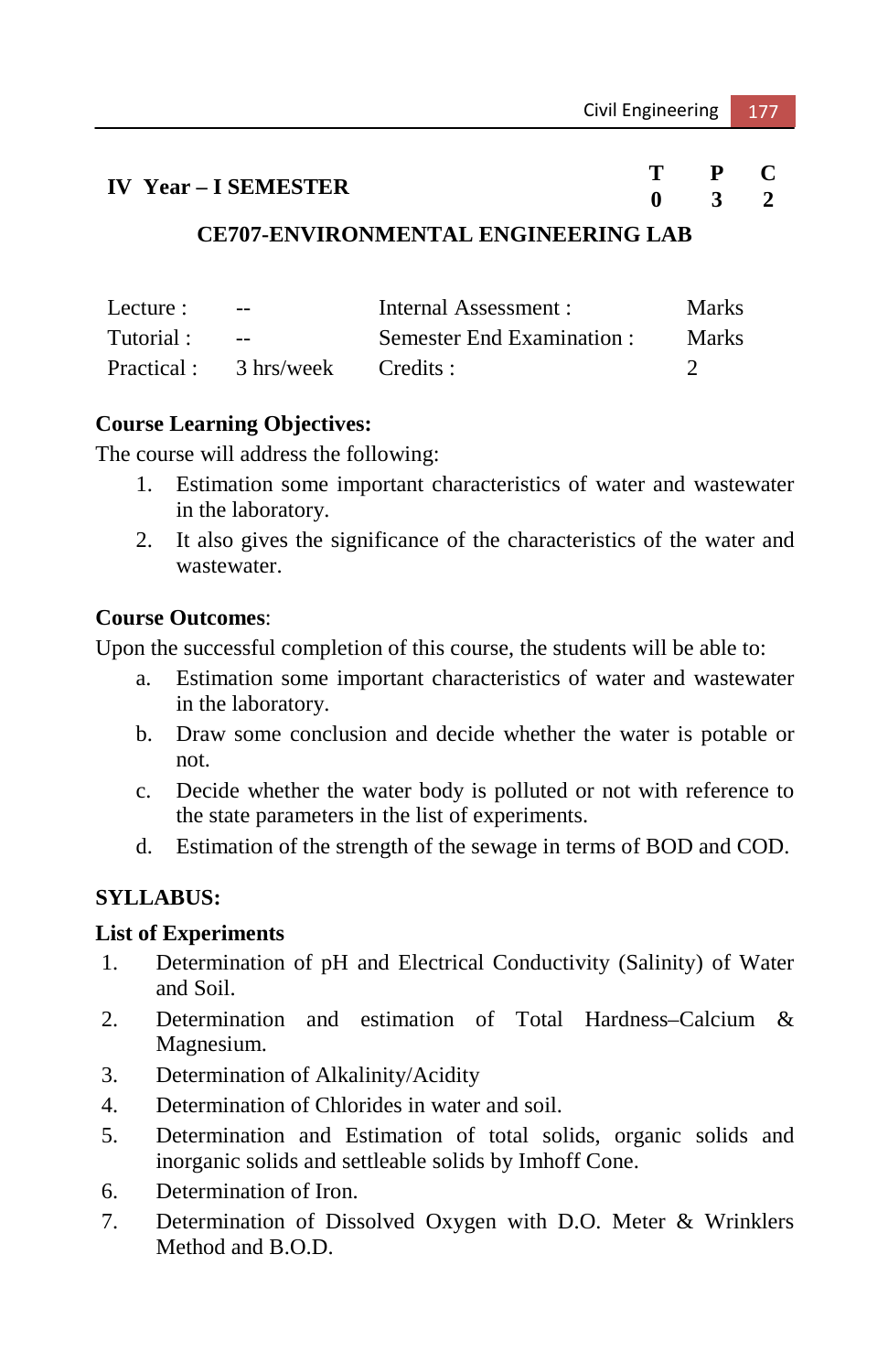# **IV** Year – **I** SEMESTER **T** P C **C**  $\overline{3}$   $\overline{2}$

**0 3 2** 

#### **CE707-ENVIRONMENTAL ENGINEERING LAB**

| Lecture : | $-1$                           | Internal Assessment :      | <b>Marks</b> |
|-----------|--------------------------------|----------------------------|--------------|
| Tutorial: | $\sim$ $\sim$                  | Semester End Examination : | <b>Marks</b> |
|           | Practical: 3 hrs/week Credits: |                            |              |

#### **Course Learning Objectives:**

The course will address the following:

- 1. Estimation some important characteristics of water and wastewater in the laboratory.
- 2. It also gives the significance of the characteristics of the water and wastewater.

#### **Course Outcomes**:

Upon the successful completion of this course, the students will be able to:

- a. Estimation some important characteristics of water and wastewater in the laboratory.
- b. Draw some conclusion and decide whether the water is potable or not.
- c. Decide whether the water body is polluted or not with reference to the state parameters in the list of experiments.
- d. Estimation of the strength of the sewage in terms of BOD and COD.

#### **SYLLABUS:**

#### **List of Experiments**

- 1. Determination of pH and Electrical Conductivity (Salinity) of Water and Soil.
- 2. Determination and estimation of Total Hardness–Calcium & Magnesium.
- 3. Determination of Alkalinity/Acidity
- 4. Determination of Chlorides in water and soil.
- 5. Determination and Estimation of total solids, organic solids and inorganic solids and settleable solids by Imhoff Cone.
- 6. Determination of Iron.
- 7. Determination of Dissolved Oxygen with D.O. Meter & Wrinklers Method and B.O.D.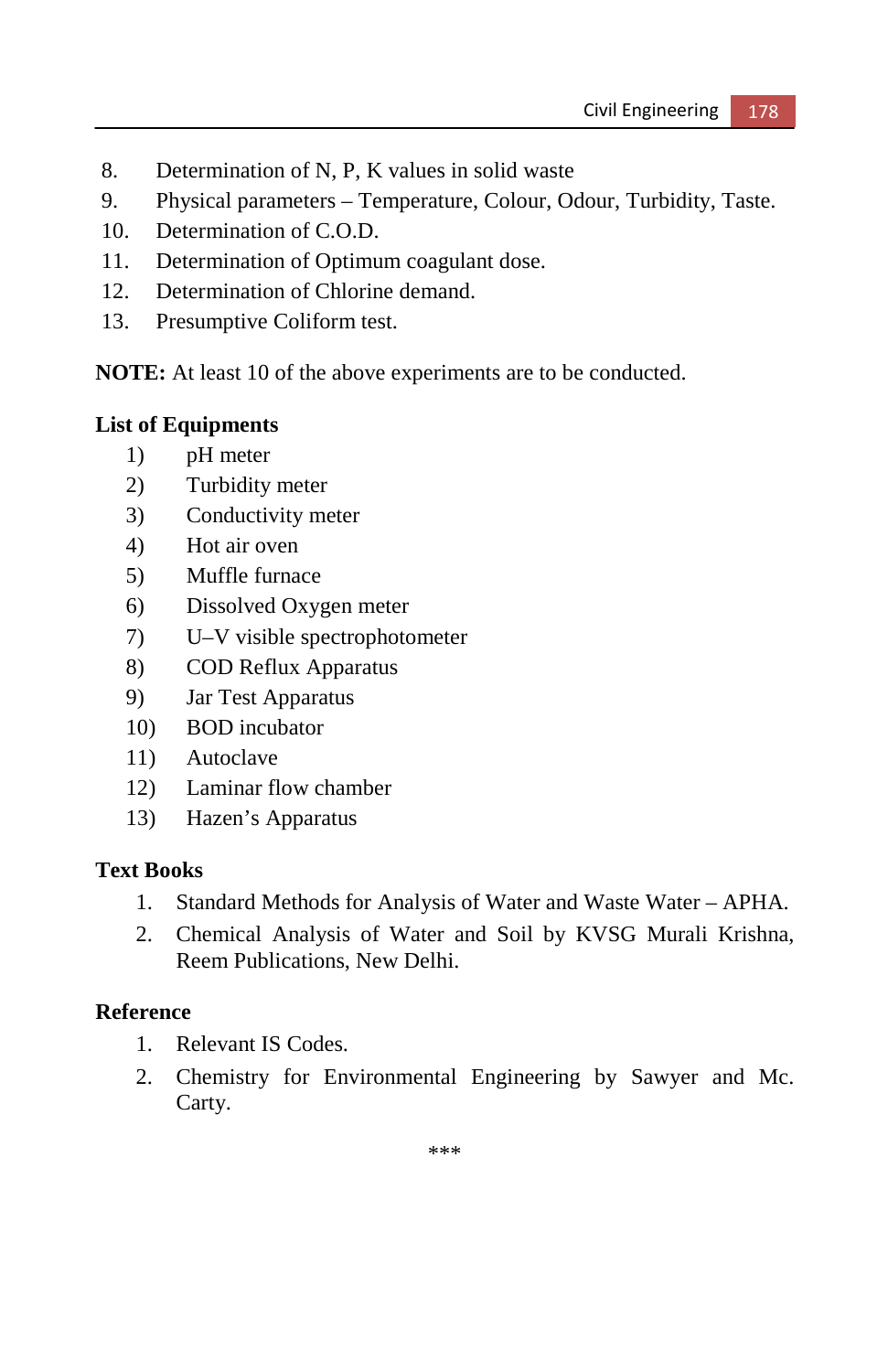- 8. Determination of N, P, K values in solid waste
- 9. Physical parameters Temperature, Colour, Odour, Turbidity, Taste.
- 10. Determination of C.O.D.
- 11. Determination of Optimum coagulant dose.
- 12. Determination of Chlorine demand.
- 13. Presumptive Coliform test.

**NOTE:** At least 10 of the above experiments are to be conducted.

#### **List of Equipments**

- 1) pH meter
- 2) Turbidity meter
- 3) Conductivity meter
- 4) Hot air oven
- 5) Muffle furnace
- 6) Dissolved Oxygen meter
- 7) U–V visible spectrophotometer
- 8) COD Reflux Apparatus
- 9) Jar Test Apparatus
- 10) BOD incubator
- 11) Autoclave
- 12) Laminar flow chamber
- 13) Hazen's Apparatus

#### **Text Books**

- 1. Standard Methods for Analysis of Water and Waste Water APHA.
- 2. Chemical Analysis of Water and Soil by KVSG Murali Krishna, Reem Publications, New Delhi.

#### **Reference**

- 1. Relevant IS Codes.
- 2. Chemistry for Environmental Engineering by Sawyer and Mc. Carty.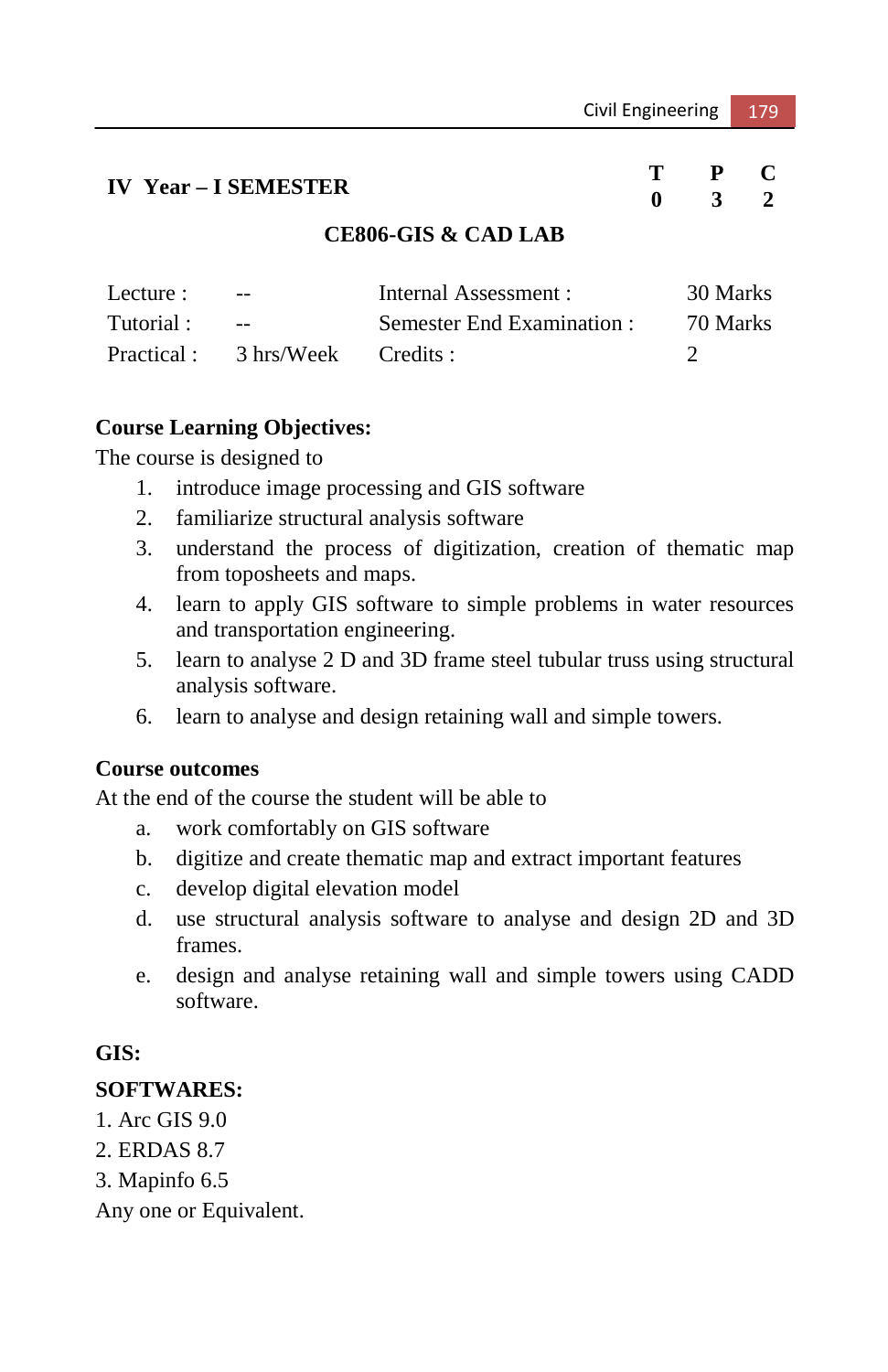#### **IV Year – I SEMESTER T P C 0 3 2**

### **CE806-GIS & CAD LAB**

| Lecture :  | $- -$                          | Internal Assessment :      | 30 Marks |
|------------|--------------------------------|----------------------------|----------|
| Tutorial : | $-$                            | Semester End Examination : | 70 Marks |
|            | Practical: 3 hrs/Week Credits: |                            |          |

#### **Course Learning Objectives:**

The course is designed to

- 1. introduce image processing and GIS software
- 2. familiarize structural analysis software
- 3. understand the process of digitization, creation of thematic map from toposheets and maps.
- 4. learn to apply GIS software to simple problems in water resources and transportation engineering.
- 5. learn to analyse 2 D and 3D frame steel tubular truss using structural analysis software.
- 6. learn to analyse and design retaining wall and simple towers.

#### **Course outcomes**

At the end of the course the student will be able to

- a. work comfortably on GIS software
- b. digitize and create thematic map and extract important features
- c. develop digital elevation model
- d. use structural analysis software to analyse and design 2D and 3D frames.
- e. design and analyse retaining wall and simple towers using CADD software.

#### **GIS:**

#### **SOFTWARES:**

- 1. Arc GIS 9.0
- 2. ERDAS 8.7
- 3. Mapinfo 6.5

Any one or Equivalent.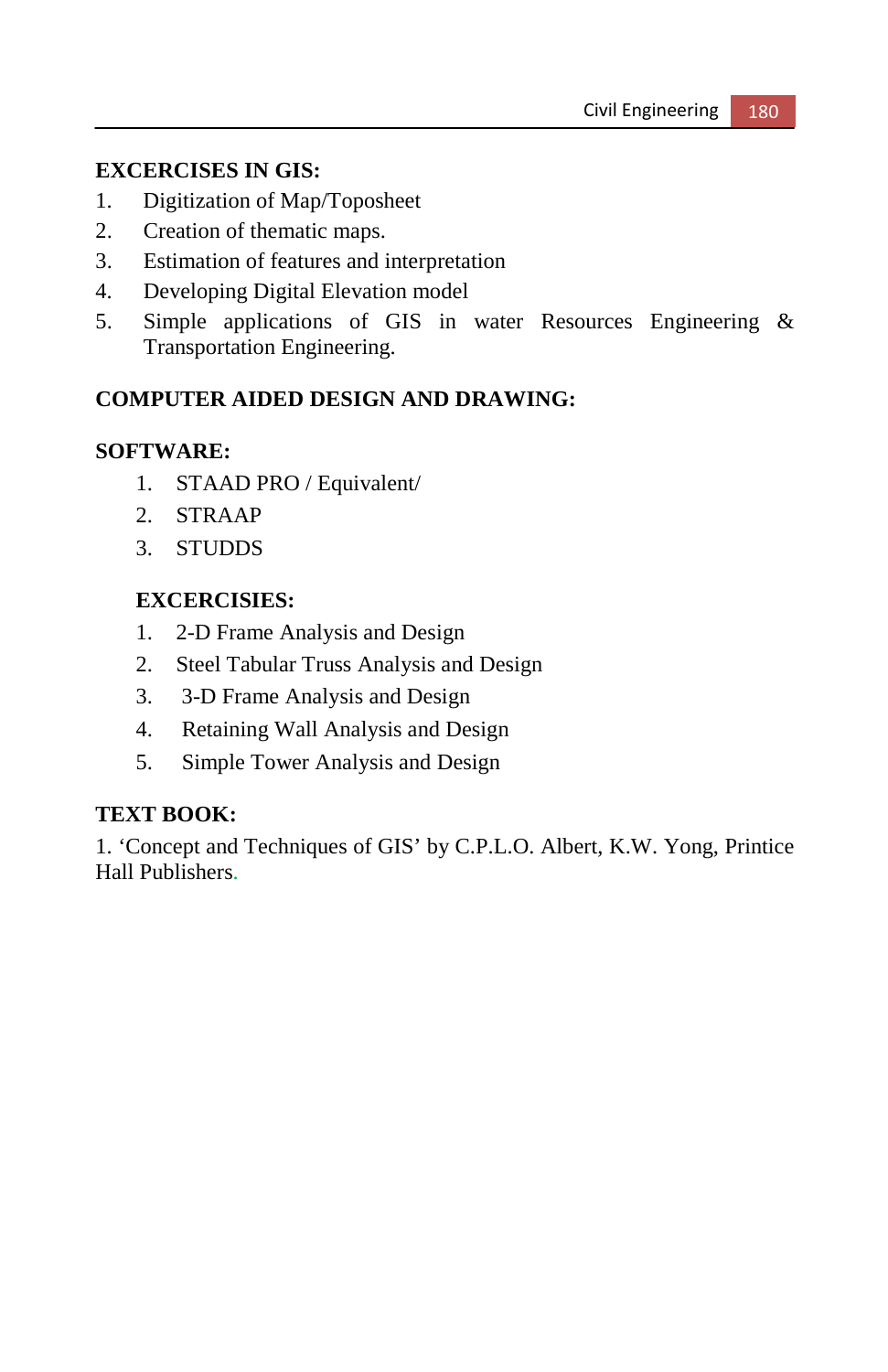#### **EXCERCISES IN GIS:**

- 1. Digitization of Map/Toposheet
- 2. Creation of thematic maps.
- 3. Estimation of features and interpretation
- 4. Developing Digital Elevation model
- 5. Simple applications of GIS in water Resources Engineering & Transportation Engineering.

# **COMPUTER AIDED DESIGN AND DRAWING:**

#### **SOFTWARE:**

- 1. STAAD PRO / Equivalent/
- 2. STRAAP
- 3. STUDDS

# **EXCERCISIES:**

- 1. 2-D Frame Analysis and Design
- 2. Steel Tabular Truss Analysis and Design
- 3. 3-D Frame Analysis and Design
- 4. Retaining Wall Analysis and Design
- 5. Simple Tower Analysis and Design

# **TEXT BOOK:**

1. 'Concept and Techniques of GIS' by C.P.L.O. Albert, K.W. Yong, Printice Hall Publishers.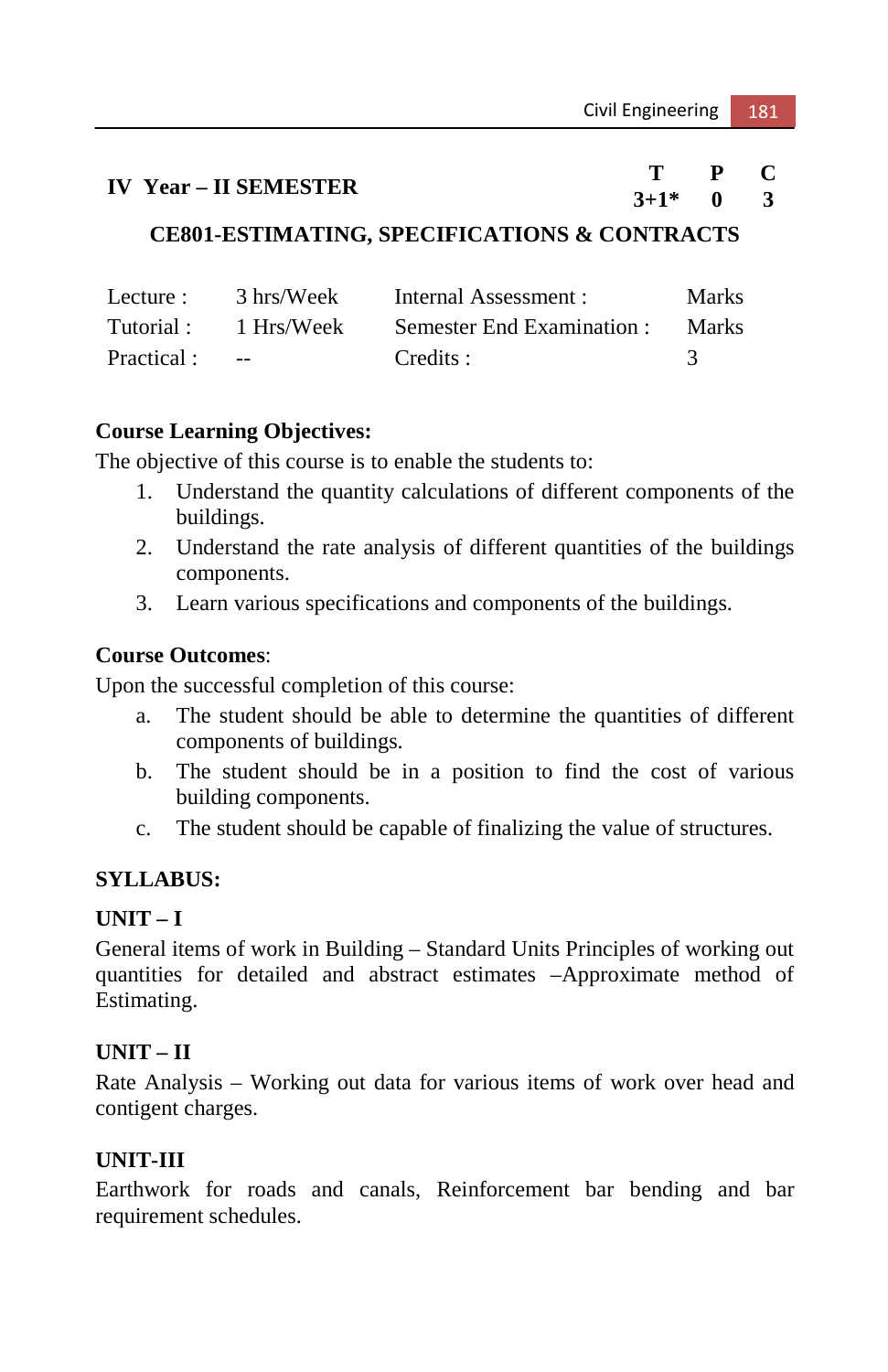# **IV Year – II SEMESTER**  $\begin{array}{ccc} T & P & C \\ 3+1^* & 0 & 3 \end{array}$

 $3+1*$ 

# **CE801-ESTIMATING, SPECIFICATIONS & CONTRACTS**

| Lecture :   | 3 hrs/Week  | Internal Assessment :      | <b>Marks</b> |
|-------------|-------------|----------------------------|--------------|
| Tutorial :  | 1 Hrs/Week  | Semester End Examination : | <b>Marks</b> |
| Practical : | $\sim$ $ -$ | Credits :                  |              |

# **Course Learning Objectives:**

The objective of this course is to enable the students to:

- 1. Understand the quantity calculations of different components of the buildings.
- 2. Understand the rate analysis of different quantities of the buildings components.
- 3. Learn various specifications and components of the buildings.

# **Course Outcomes**:

Upon the successful completion of this course:

- a. The student should be able to determine the quantities of different components of buildings.
- b. The student should be in a position to find the cost of various building components.
- c. The student should be capable of finalizing the value of structures.

# **SYLLABUS:**

# **UNIT – I**

General items of work in Building – Standard Units Principles of working out quantities for detailed and abstract estimates –Approximate method of Estimating.

# **UNIT – II**

Rate Analysis – Working out data for various items of work over head and contigent charges.

# **UNIT-III**

Earthwork for roads and canals, Reinforcement bar bending and bar requirement schedules.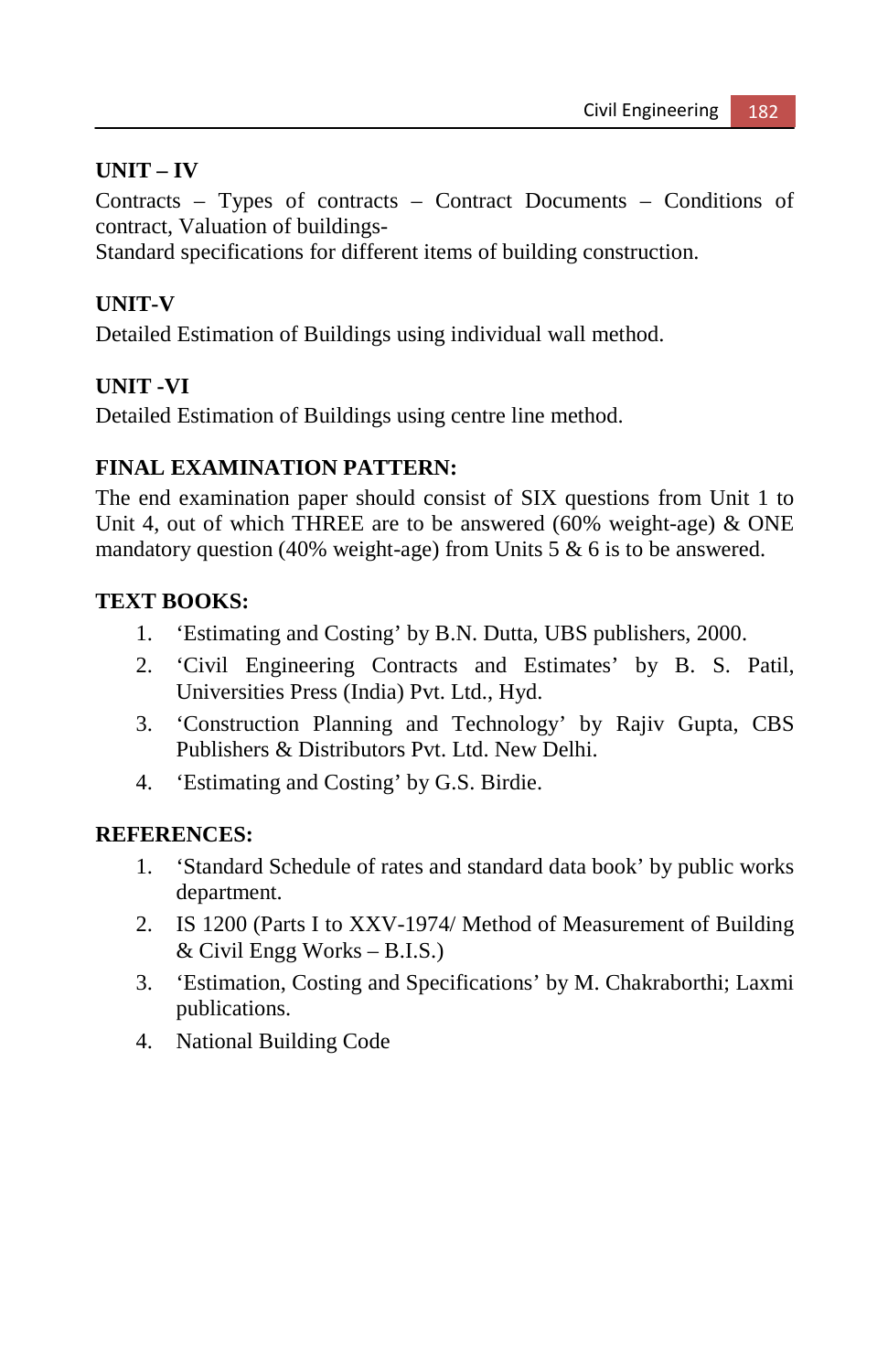## **UNIT – IV**

Contracts – Types of contracts – Contract Documents – Conditions of contract, Valuation of buildings-

Standard specifications for different items of building construction.

# **UNIT-V**

Detailed Estimation of Buildings using individual wall method.

## **UNIT -VI**

Detailed Estimation of Buildings using centre line method.

## **FINAL EXAMINATION PATTERN:**

The end examination paper should consist of SIX questions from Unit 1 to Unit 4, out of which THREE are to be answered (60% weight-age) & ONE mandatory question (40% weight-age) from Units  $5 & 6$  is to be answered.

## **TEXT BOOKS:**

- 1. 'Estimating and Costing' by B.N. Dutta, UBS publishers, 2000.
- 2. 'Civil Engineering Contracts and Estimates' by B. S. Patil, Universities Press (India) Pvt. Ltd., Hyd.
- 3. 'Construction Planning and Technology' by Rajiv Gupta, CBS Publishers & Distributors Pvt. Ltd. New Delhi.
- 4. 'Estimating and Costing' by G.S. Birdie.

## **REFERENCES:**

- 1. 'Standard Schedule of rates and standard data book' by public works department.
- 2. IS 1200 (Parts I to XXV-1974/ Method of Measurement of Building & Civil Engg Works – B.I.S.)
- 3. 'Estimation, Costing and Specifications' by M. Chakraborthi; Laxmi publications.
- 4. National Building Code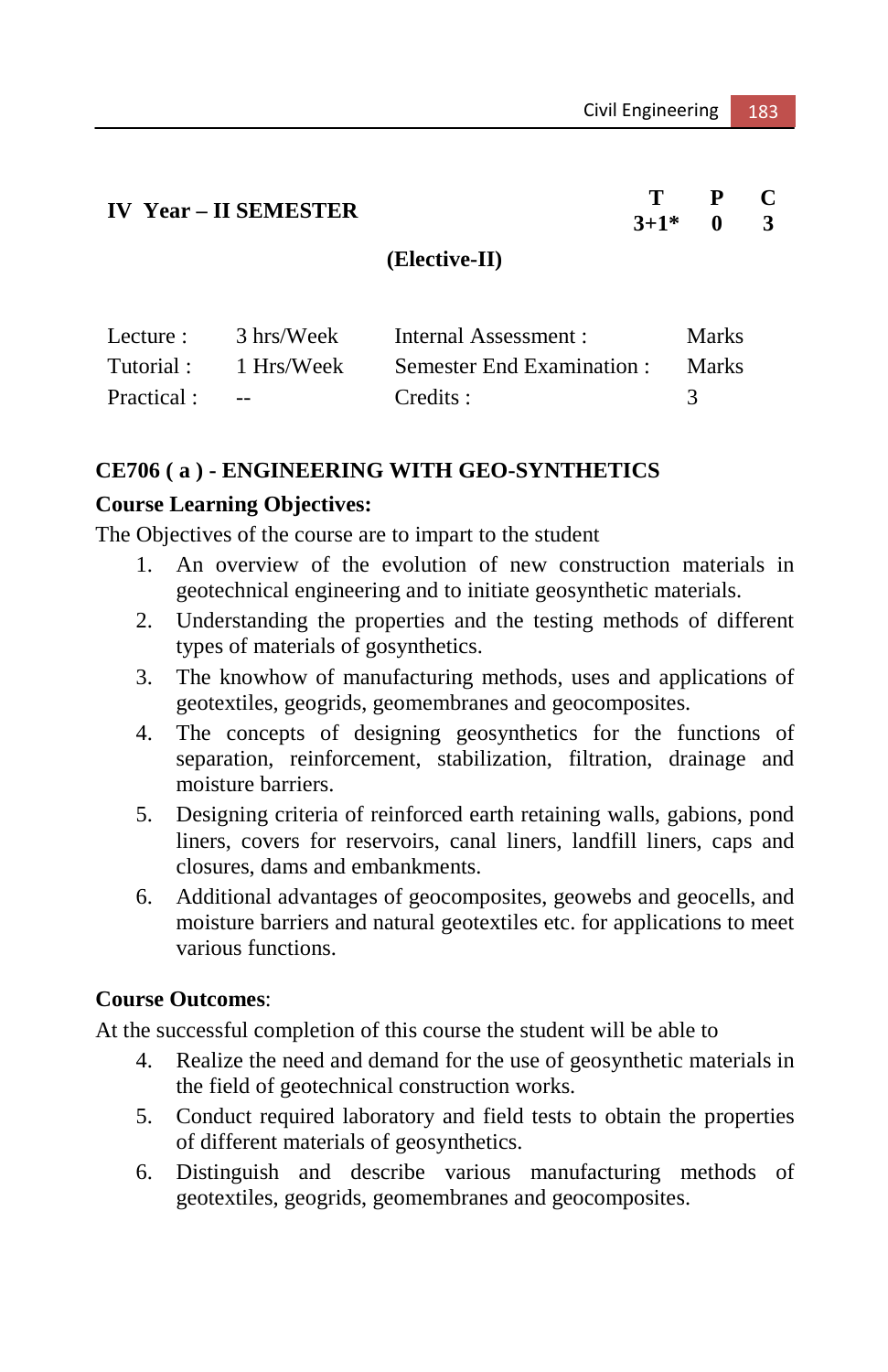# **IV Year – II SEMESTER**  $\begin{array}{ccc} T & P & C \\ 3+1^* & 0 & 3 \end{array}$

 $3+1*$ 

#### **(Elective-II)**

| Lecture :  | 3 hrs/Week                       | Internal Assessment :      | <b>Marks</b> |
|------------|----------------------------------|----------------------------|--------------|
| Tutorial : | 1 Hrs/Week                       | Semester End Examination : | <b>Marks</b> |
| Practical: | <b>Service Contract Contract</b> | Credits :                  |              |

#### **CE706 ( a ) - ENGINEERING WITH GEO-SYNTHETICS**

#### **Course Learning Objectives:**

The Objectives of the course are to impart to the student

- 1. An overview of the evolution of new construction materials in geotechnical engineering and to initiate geosynthetic materials.
- 2. Understanding the properties and the testing methods of different types of materials of gosynthetics.
- 3. The knowhow of manufacturing methods, uses and applications of geotextiles, geogrids, geomembranes and geocomposites.
- 4. The concepts of designing geosynthetics for the functions of separation, reinforcement, stabilization, filtration, drainage and moisture barriers.
- 5. Designing criteria of reinforced earth retaining walls, gabions, pond liners, covers for reservoirs, canal liners, landfill liners, caps and closures, dams and embankments.
- 6. Additional advantages of geocomposites, geowebs and geocells, and moisture barriers and natural geotextiles etc. for applications to meet various functions.

#### **Course Outcomes**:

At the successful completion of this course the student will be able to

- 4. Realize the need and demand for the use of geosynthetic materials in the field of geotechnical construction works.
- 5. Conduct required laboratory and field tests to obtain the properties of different materials of geosynthetics.
- 6. Distinguish and describe various manufacturing methods of geotextiles, geogrids, geomembranes and geocomposites.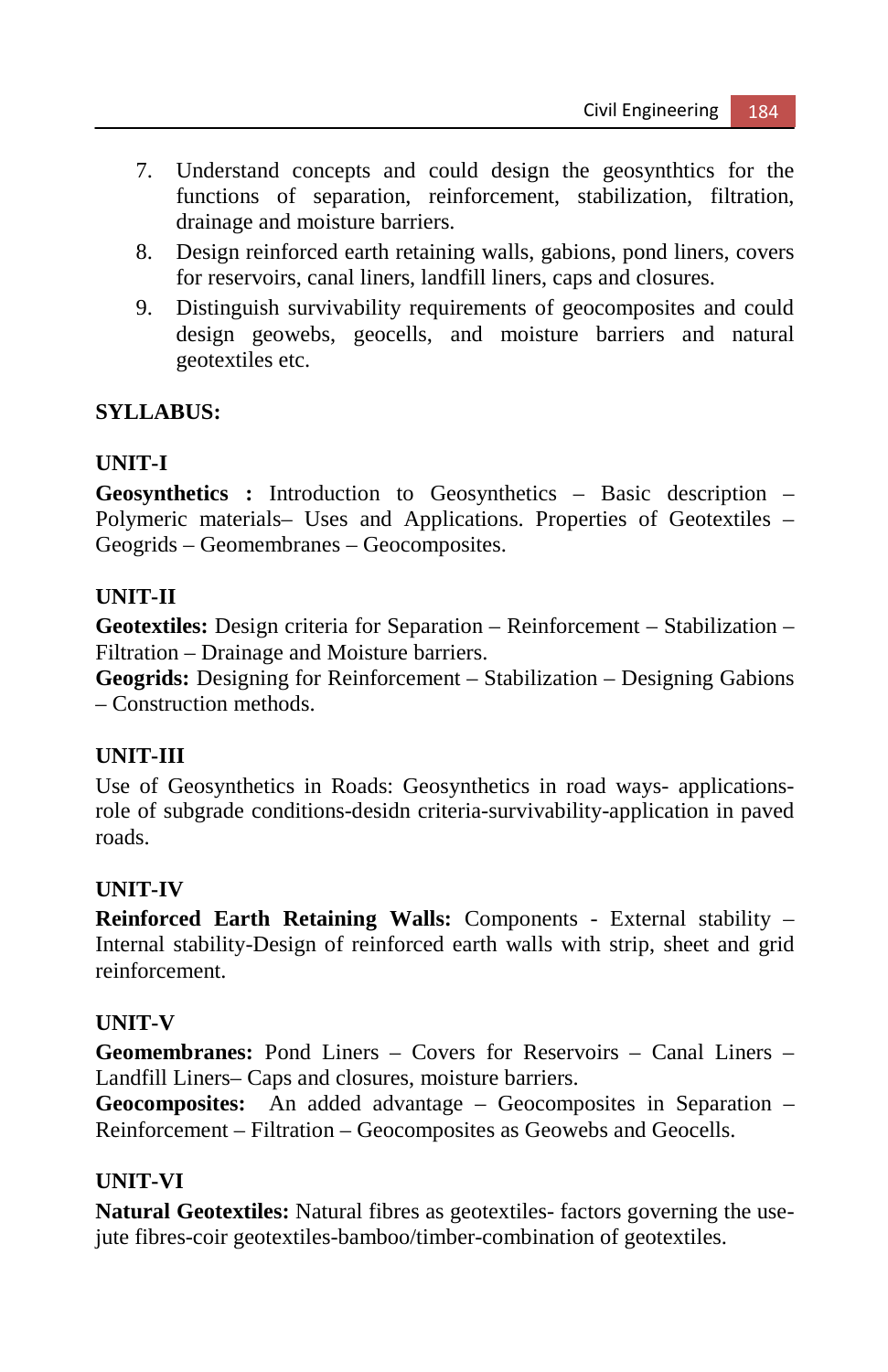- 7. Understand concepts and could design the geosynthtics for the functions of separation, reinforcement, stabilization, filtration, drainage and moisture barriers.
- 8. Design reinforced earth retaining walls, gabions, pond liners, covers for reservoirs, canal liners, landfill liners, caps and closures.
- 9. Distinguish survivability requirements of geocomposites and could design geowebs, geocells, and moisture barriers and natural geotextiles etc.

## **SYLLABUS:**

## **UNIT-I**

**Geosynthetics :** Introduction to Geosynthetics – Basic description – Polymeric materials– Uses and Applications. Properties of Geotextiles – Geogrids – Geomembranes – Geocomposites.

## **UNIT-II**

**Geotextiles:** Design criteria for Separation – Reinforcement – Stabilization – Filtration – Drainage and Moisture barriers.

**Geogrids:** Designing for Reinforcement – Stabilization – Designing Gabions – Construction methods.

## **UNIT-III**

Use of Geosynthetics in Roads: Geosynthetics in road ways- applicationsrole of subgrade conditions-desidn criteria-survivability-application in paved roads.

## **UNIT-IV**

**Reinforced Earth Retaining Walls:** Components - External stability – Internal stability-Design of reinforced earth walls with strip, sheet and grid reinforcement.

# **UNIT-V**

**Geomembranes:** Pond Liners – Covers for Reservoirs – Canal Liners – Landfill Liners– Caps and closures, moisture barriers.

**Geocomposites:** An added advantage – Geocomposites in Separation – Reinforcement – Filtration – Geocomposites as Geowebs and Geocells.

# **UNIT-VI**

**Natural Geotextiles:** Natural fibres as geotextiles- factors governing the usejute fibres-coir geotextiles-bamboo/timber-combination of geotextiles.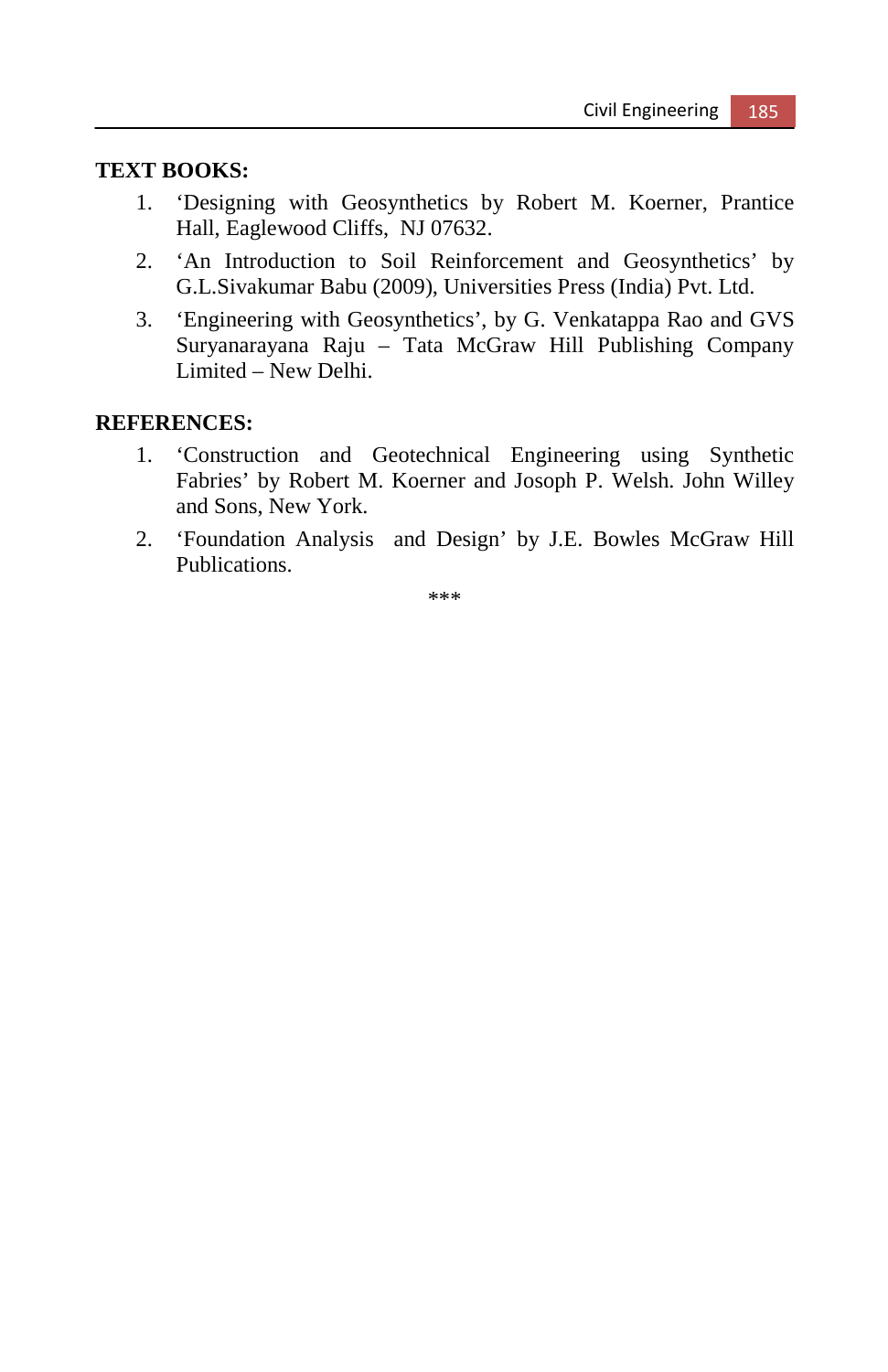#### **TEXT BOOKS:**

- 1. 'Designing with Geosynthetics by Robert M. Koerner, Prantice Hall, Eaglewood Cliffs, NJ 07632.
- 2. 'An Introduction to Soil Reinforcement and Geosynthetics' by G.L.Sivakumar Babu (2009), Universities Press (India) Pvt. Ltd.
- 3. 'Engineering with Geosynthetics', by G. Venkatappa Rao and GVS Suryanarayana Raju – Tata McGraw Hill Publishing Company Limited – New Delhi.

#### **REFERENCES:**

- 1. 'Construction and Geotechnical Engineering using Synthetic Fabries' by Robert M. Koerner and Josoph P. Welsh. John Willey and Sons, New York.
- 2. 'Foundation Analysis and Design' by J.E. Bowles McGraw Hill Publications.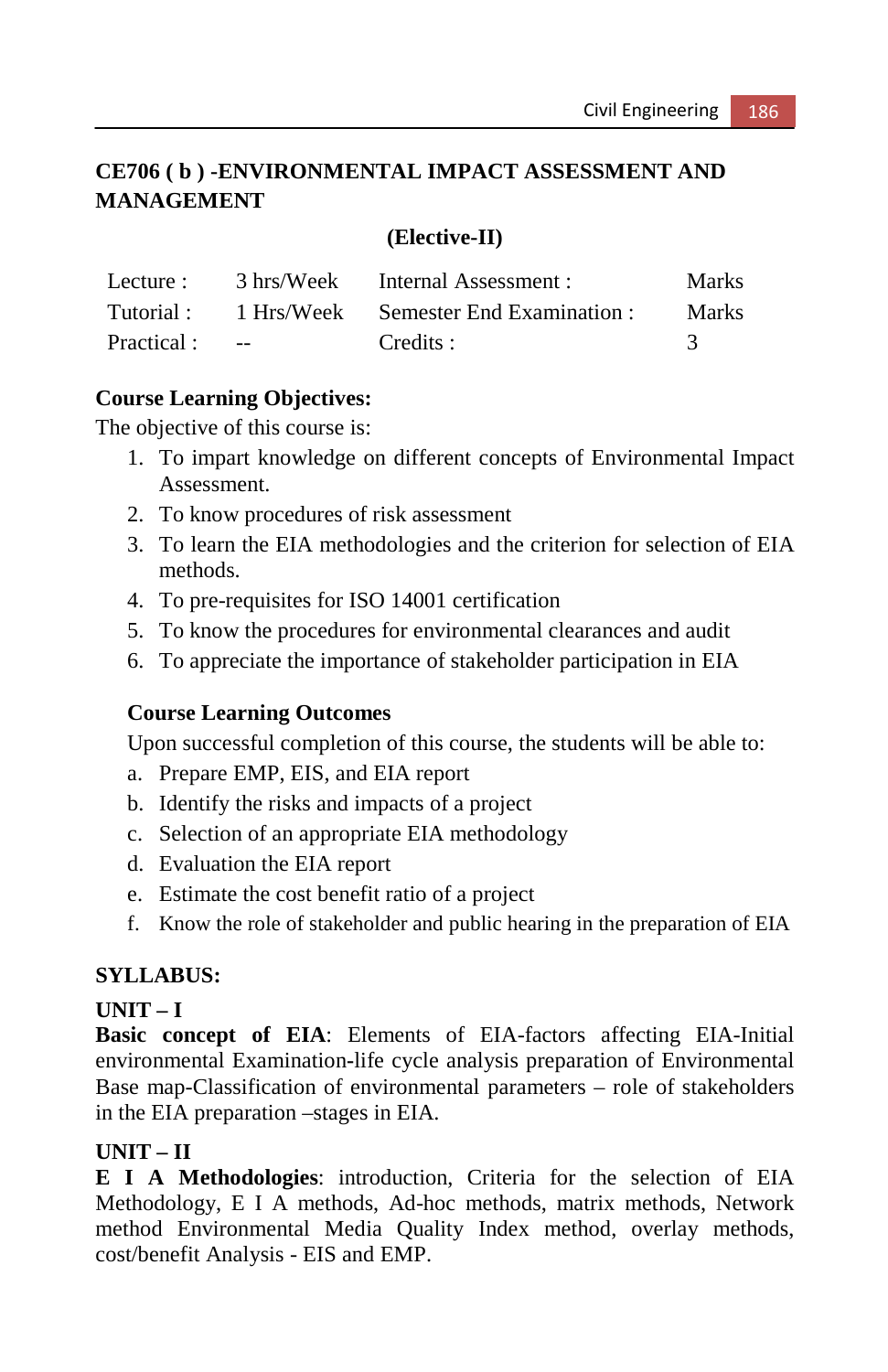# **CE706 ( b ) -ENVIRONMENTAL IMPACT ASSESSMENT AND MANAGEMENT**

## **(Elective-II)**

| Lecture :  | 3 hrs/Week                        | Internal Assessment :                 | <b>Marks</b> |
|------------|-----------------------------------|---------------------------------------|--------------|
| Tutorial : |                                   | 1 Hrs/Week Semester End Examination : | <b>Marks</b> |
| Practical: | <b>Contract Contract Contract</b> | Credits :                             |              |

# **Course Learning Objectives:**

The objective of this course is:

- 1. To impart knowledge on different concepts of Environmental Impact Assessment.
- 2. To know procedures of risk assessment
- 3. To learn the EIA methodologies and the criterion for selection of EIA methods.
- 4. To pre-requisites for ISO 14001 certification
- 5. To know the procedures for environmental clearances and audit
- 6. To appreciate the importance of stakeholder participation in EIA

## **Course Learning Outcomes**

Upon successful completion of this course, the students will be able to:

- a. Prepare EMP, EIS, and EIA report
- b. Identify the risks and impacts of a project
- c. Selection of an appropriate EIA methodology
- d. Evaluation the EIA report
- e. Estimate the cost benefit ratio of a project
- f. Know the role of stakeholder and public hearing in the preparation of EIA

## **SYLLABUS:**

## **UNIT – I**

**Basic concept of EIA**: Elements of EIA-factors affecting EIA-Initial environmental Examination**-**life cycle analysis preparation of Environmental Base map-Classification of environmental parameters – role of stakeholders in the EIA preparation –stages in EIA.

## **UNIT – II**

**E I A Methodologies**: introduction, Criteria for the selection of EIA Methodology, E I A methods, Ad-hoc methods, matrix methods, Network method Environmental Media Quality Index method, overlay methods, cost/benefit Analysis - EIS and EMP.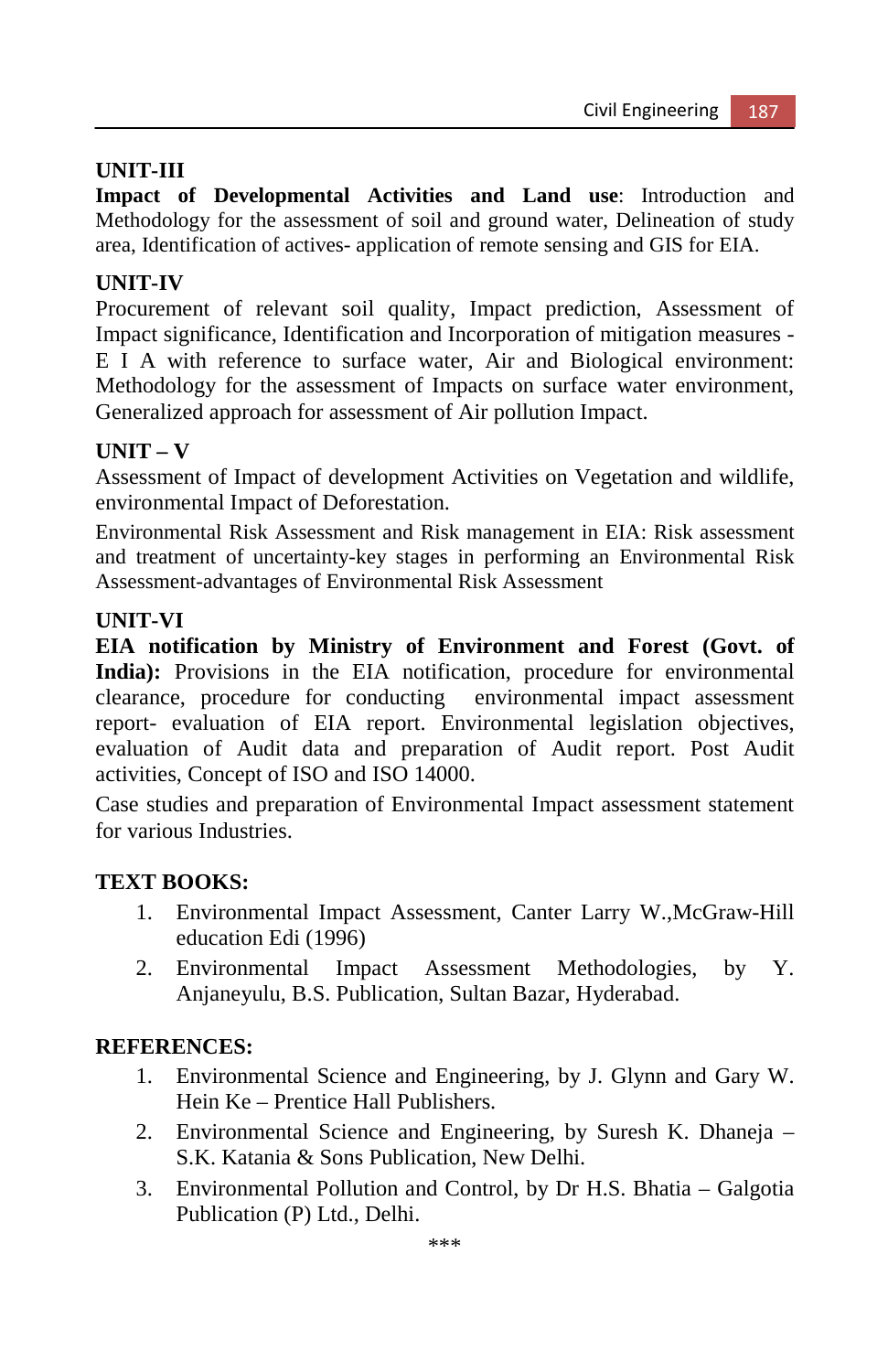# **UNIT-III**

**Impact of Developmental Activities and Land use**: Introduction and Methodology for the assessment of soil and ground water, Delineation of study area, Identification of actives- application of remote sensing and GIS for EIA.

# **UNIT-IV**

Procurement of relevant soil quality, Impact prediction, Assessment of Impact significance, Identification and Incorporation of mitigation measures - E I A with reference to surface water, Air and Biological environment: Methodology for the assessment of Impacts on surface water environment, Generalized approach for assessment of Air pollution Impact.

# **UNIT – V**

Assessment of Impact of development Activities on Vegetation and wildlife, environmental Impact of Deforestation.

Environmental Risk Assessment and Risk management in EIA: Risk assessment and treatment of uncertainty-key stages in performing an Environmental Risk Assessment-advantages of Environmental Risk Assessment

## **UNIT-VI**

**EIA notification by Ministry of Environment and Forest (Govt. of India):** Provisions in the EIA notification, procedure for environmental clearance, procedure for conducting environmental impact assessment report- evaluation of EIA report. Environmental legislation objectives, evaluation of Audit data and preparation of Audit report. Post Audit activities, Concept of ISO and ISO 14000.

Case studies and preparation of Environmental Impact assessment statement for various Industries.

## **TEXT BOOKS:**

- 1. Environmental Impact Assessment, Canter Larry W.,McGraw-Hill education Edi (1996)
- 2. Environmental Impact Assessment Methodologies, by Y. Anjaneyulu, B.S. Publication, Sultan Bazar, Hyderabad.

## **REFERENCES:**

- 1. Environmental Science and Engineering, by J. Glynn and Gary W. Hein Ke – Prentice Hall Publishers.
- 2. Environmental Science and Engineering, by Suresh K. Dhaneja S.K. Katania & Sons Publication, New Delhi.
- 3. Environmental Pollution and Control, by Dr H.S. Bhatia Galgotia Publication (P) Ltd., Delhi.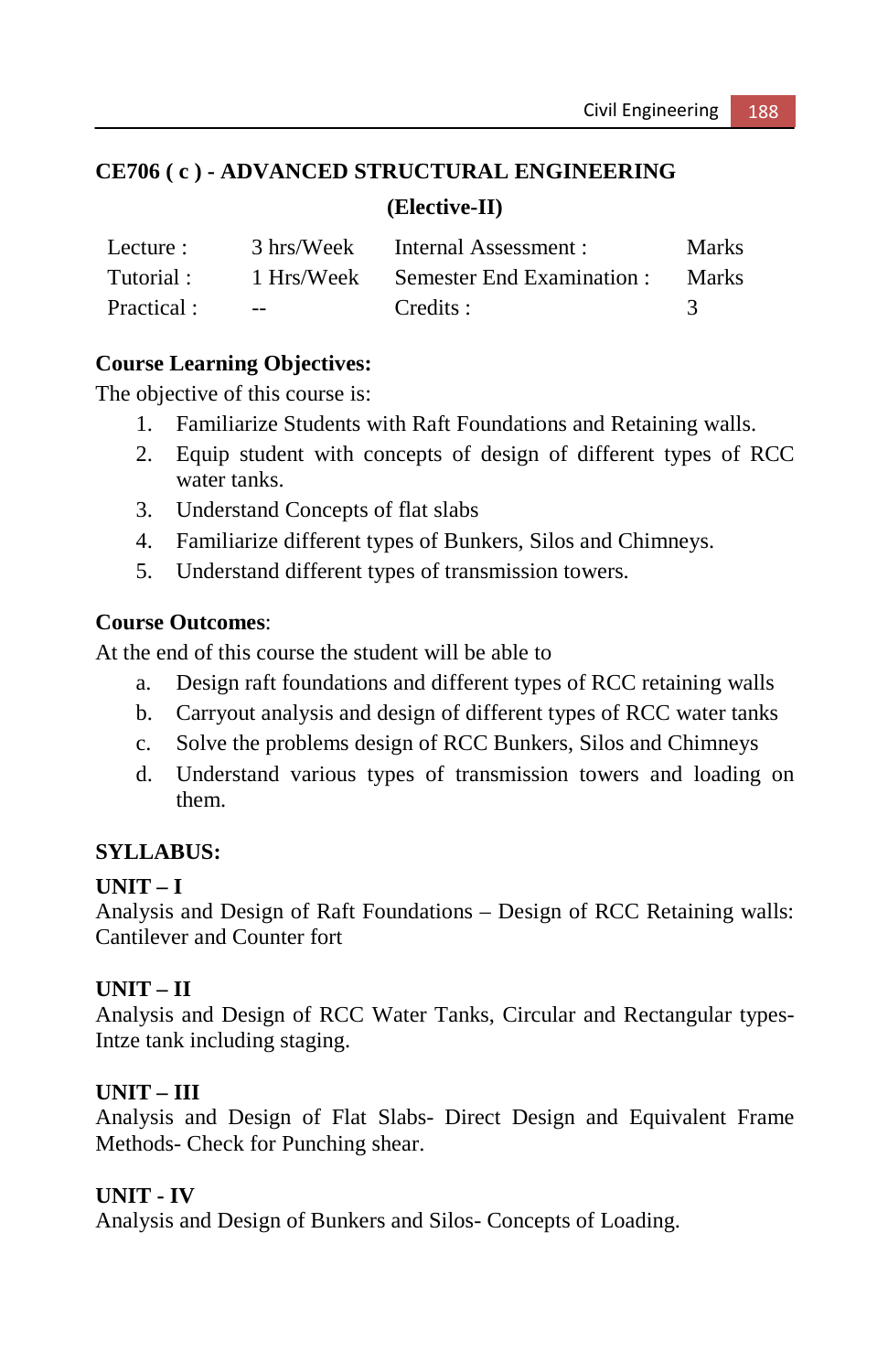# **CE706 ( c ) - ADVANCED STRUCTURAL ENGINEERING (Elective-II)**

| Lecture :   | 3 hrs/Week | Internal Assessment :                 | <b>Marks</b> |
|-------------|------------|---------------------------------------|--------------|
| Tutorial:   |            | 1 Hrs/Week Semester End Examination : | <b>Marks</b> |
| Practical : | $ -$       | Credits :                             |              |

## **Course Learning Objectives:**

The objective of this course is:

- 1. Familiarize Students with Raft Foundations and Retaining walls.
- 2. Equip student with concepts of design of different types of RCC water tanks.
- 3. Understand Concepts of flat slabs
- 4. Familiarize different types of Bunkers, Silos and Chimneys.
- 5. Understand different types of transmission towers.

#### **Course Outcomes**:

At the end of this course the student will be able to

- a. Design raft foundations and different types of RCC retaining walls
- b. Carryout analysis and design of different types of RCC water tanks
- c. Solve the problems design of RCC Bunkers, Silos and Chimneys
- d. Understand various types of transmission towers and loading on them.

## **SYLLABUS:**

## **UNIT – I**

Analysis and Design of Raft Foundations – Design of RCC Retaining walls: Cantilever and Counter fort

## **UNIT – II**

Analysis and Design of RCC Water Tanks, Circular and Rectangular types-Intze tank including staging.

## **UNIT – III**

Analysis and Design of Flat Slabs- Direct Design and Equivalent Frame Methods- Check for Punching shear.

## **UNIT - IV**

Analysis and Design of Bunkers and Silos- Concepts of Loading.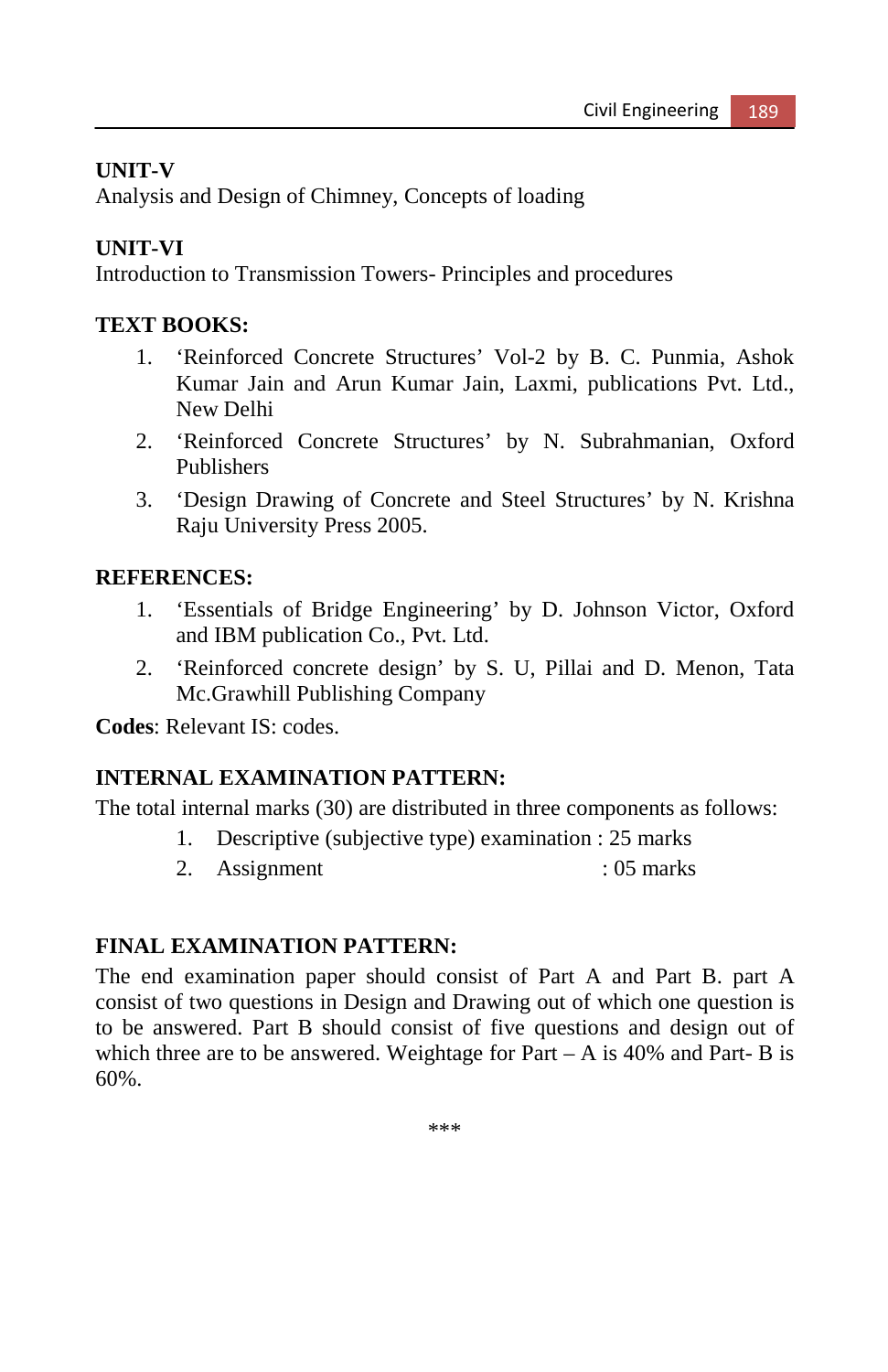## **UNIT-V**

Analysis and Design of Chimney, Concepts of loading

## **UNIT-VI**

Introduction to Transmission Towers- Principles and procedures

## **TEXT BOOKS:**

- 1. 'Reinforced Concrete Structures' Vol-2 by B. C. Punmia, Ashok Kumar Jain and Arun Kumar Jain, Laxmi, publications Pvt. Ltd., New Delhi
- 2. 'Reinforced Concrete Structures' by N. Subrahmanian, Oxford Publishers
- 3. 'Design Drawing of Concrete and Steel Structures' by N. Krishna Raju University Press 2005.

#### **REFERENCES:**

- 1. 'Essentials of Bridge Engineering' by D. Johnson Victor, Oxford and IBM publication Co., Pvt. Ltd.
- 2. 'Reinforced concrete design' by S. U, Pillai and D. Menon, Tata Mc.Grawhill Publishing Company

**Codes**: Relevant IS: codes.

## **INTERNAL EXAMINATION PATTERN:**

The total internal marks (30) are distributed in three components as follows:

- 1. Descriptive (subjective type) examination : 25 marks
- 2. Assignment : 05 marks

## **FINAL EXAMINATION PATTERN:**

The end examination paper should consist of Part A and Part B. part A consist of two questions in Design and Drawing out of which one question is to be answered. Part B should consist of five questions and design out of which three are to be answered. Weightage for  $Part - A$  is 40% and Part-B is 60%.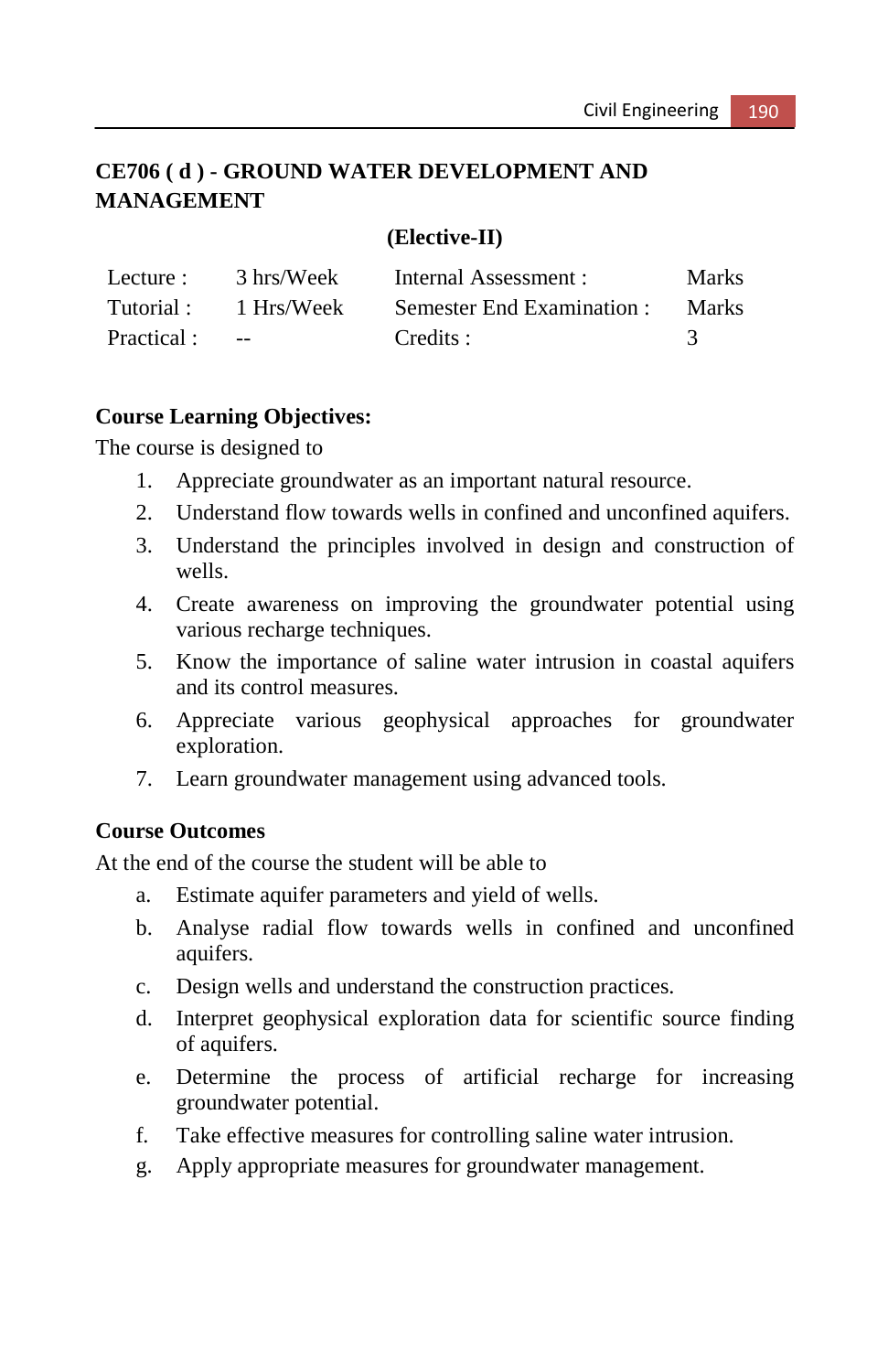# **CE706 ( d ) - GROUND WATER DEVELOPMENT AND MANAGEMENT**

#### **(Elective-II)**

| Lecture :   | 3 hrs/Week | Internal Assessment :      | <b>Marks</b> |
|-------------|------------|----------------------------|--------------|
| Tutorial :  | 1 Hrs/Week | Semester End Examination : | <b>Marks</b> |
| Practical : | $\sim$ $-$ | Credits :                  |              |

#### **Course Learning Objectives:**

The course is designed to

- 1. Appreciate groundwater as an important natural resource.
- 2. Understand flow towards wells in confined and unconfined aquifers.
- 3. Understand the principles involved in design and construction of wells.
- 4. Create awareness on improving the groundwater potential using various recharge techniques.
- 5. Know the importance of saline water intrusion in coastal aquifers and its control measures.
- 6. Appreciate various geophysical approaches for groundwater exploration.
- 7. Learn groundwater management using advanced tools.

#### **Course Outcomes**

At the end of the course the student will be able to

- a. Estimate aquifer parameters and yield of wells.
- b. Analyse radial flow towards wells in confined and unconfined aquifers.
- c. Design wells and understand the construction practices.
- d. Interpret geophysical exploration data for scientific source finding of aquifers.
- e. Determine the process of artificial recharge for increasing groundwater potential.
- f. Take effective measures for controlling saline water intrusion.
- g. Apply appropriate measures for groundwater management.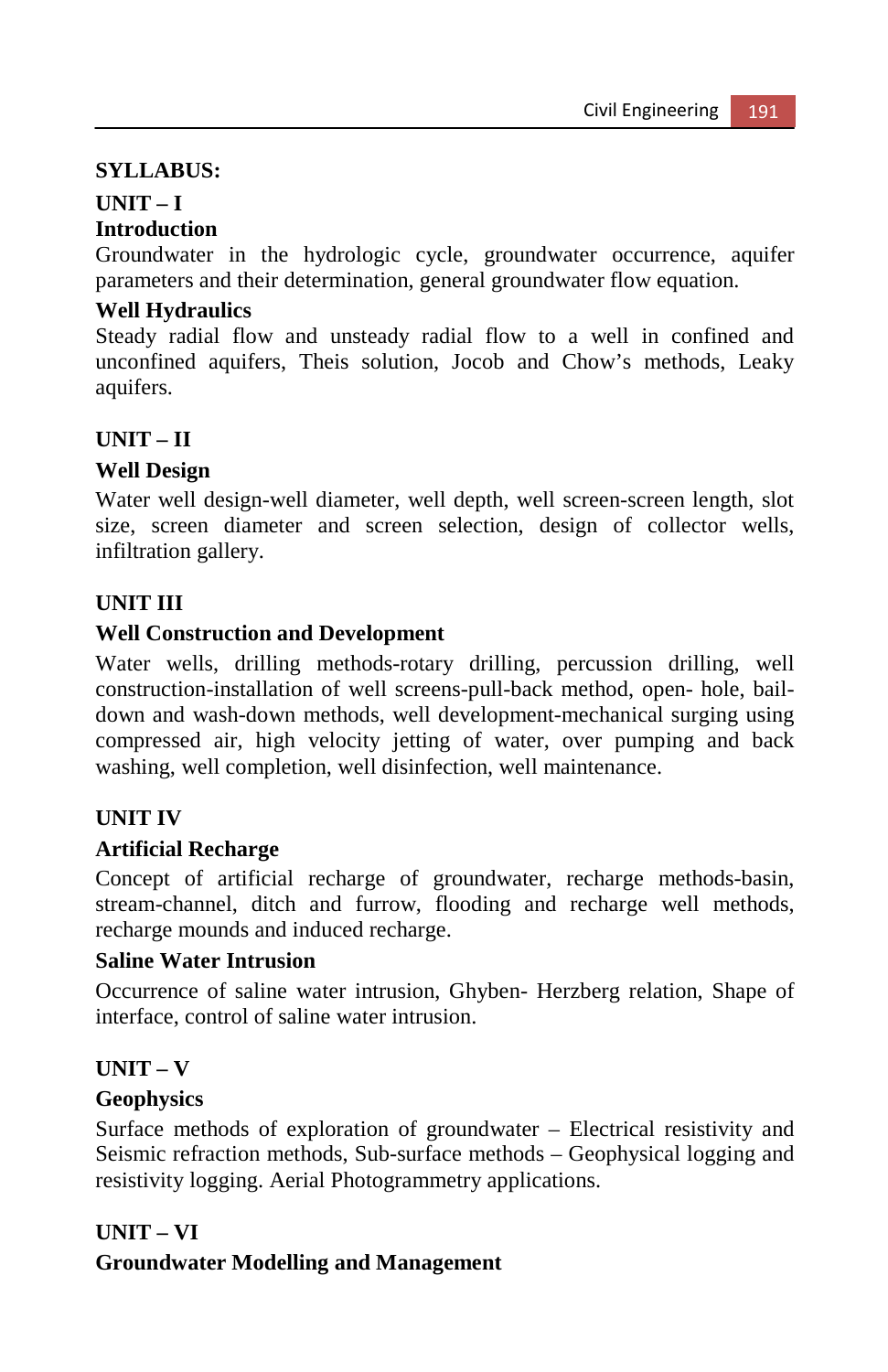#### **SYLLABUS:**

#### **UNIT – I**

#### **Introduction**

Groundwater in the hydrologic cycle, groundwater occurrence, aquifer parameters and their determination, general groundwater flow equation.

#### **Well Hydraulics**

Steady radial flow and unsteady radial flow to a well in confined and unconfined aquifers, Theis solution, Jocob and Chow's methods, Leaky aquifers.

#### **UNIT – II**

#### **Well Design**

Water well design-well diameter, well depth, well screen-screen length, slot size, screen diameter and screen selection, design of collector wells, infiltration gallery.

## **UNIT III**

#### **Well Construction and Development**

Water wells, drilling methods-rotary drilling, percussion drilling, well construction-installation of well screens-pull-back method, open- hole, baildown and wash-down methods, well development-mechanical surging using compressed air, high velocity jetting of water, over pumping and back washing, well completion, well disinfection, well maintenance.

#### **UNIT IV**

#### **Artificial Recharge**

Concept of artificial recharge of groundwater, recharge methods-basin, stream-channel, ditch and furrow, flooding and recharge well methods, recharge mounds and induced recharge.

#### **Saline Water Intrusion**

Occurrence of saline water intrusion, Ghyben- Herzberg relation, Shape of interface, control of saline water intrusion.

#### **UNIT – V**

## **Geophysics**

Surface methods of exploration of groundwater – Electrical resistivity and Seismic refraction methods, Sub-surface methods – Geophysical logging and resistivity logging. Aerial Photogrammetry applications.

#### **UNIT – VI**

## **Groundwater Modelling and Management**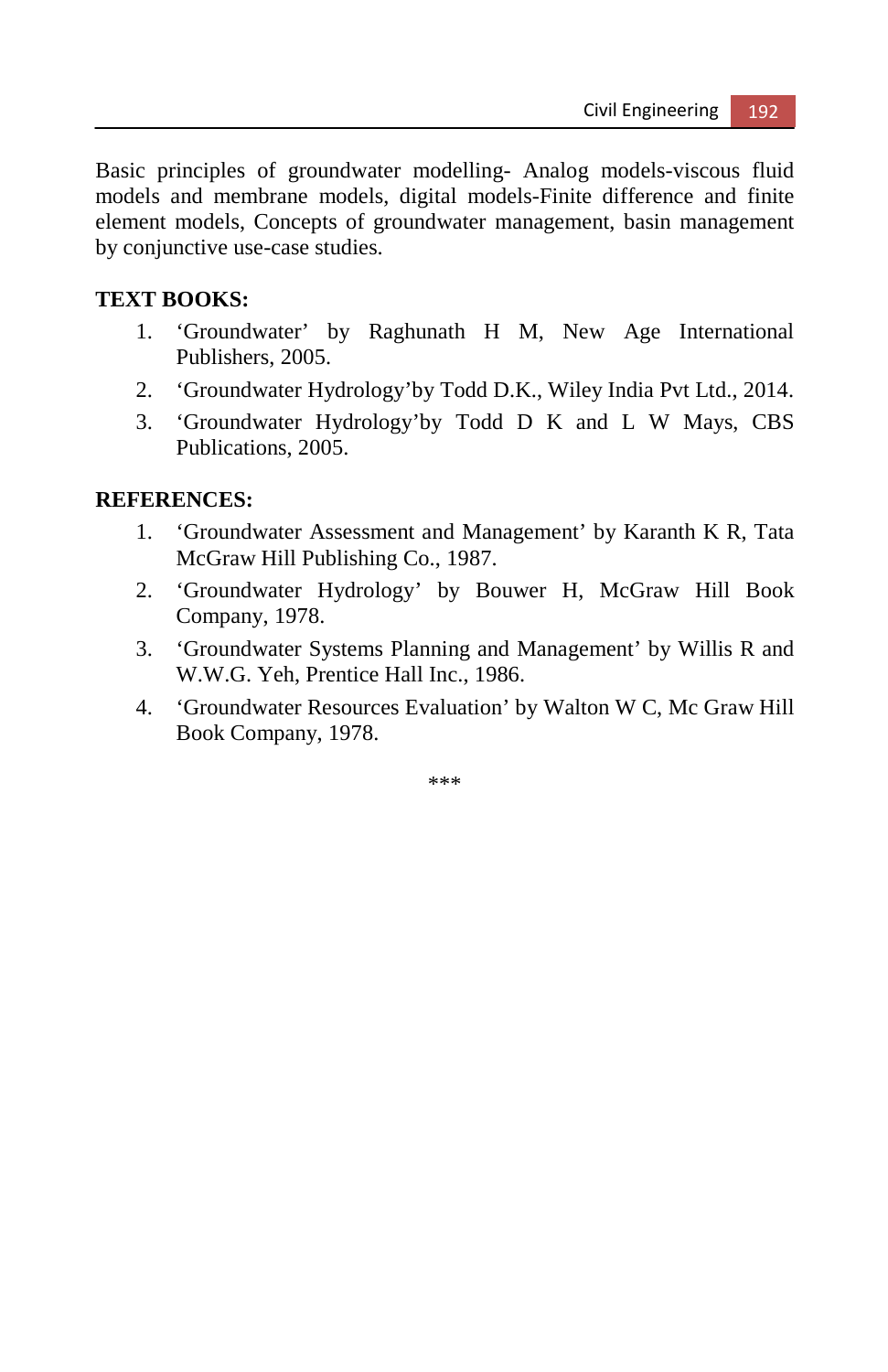Basic principles of groundwater modelling- Analog models-viscous fluid models and membrane models, digital models-Finite difference and finite element models, Concepts of groundwater management, basin management by conjunctive use-case studies.

#### **TEXT BOOKS:**

- 1. 'Groundwater' by Raghunath H M, New Age International Publishers, 2005.
- 2. 'Groundwater Hydrology'by Todd D.K., Wiley India Pvt Ltd., 2014.
- 3. 'Groundwater Hydrology'by Todd D K and L W Mays, CBS Publications, 2005.

#### **REFERENCES:**

- 1. 'Groundwater Assessment and Management' by Karanth K R, Tata McGraw Hill Publishing Co., 1987.
- 2. 'Groundwater Hydrology' by Bouwer H, McGraw Hill Book Company, 1978.
- 3. 'Groundwater Systems Planning and Management' by Willis R and W.W.G. Yeh, Prentice Hall Inc., 1986.
- 4. 'Groundwater Resources Evaluation' by Walton W C, Mc Graw Hill Book Company, 1978.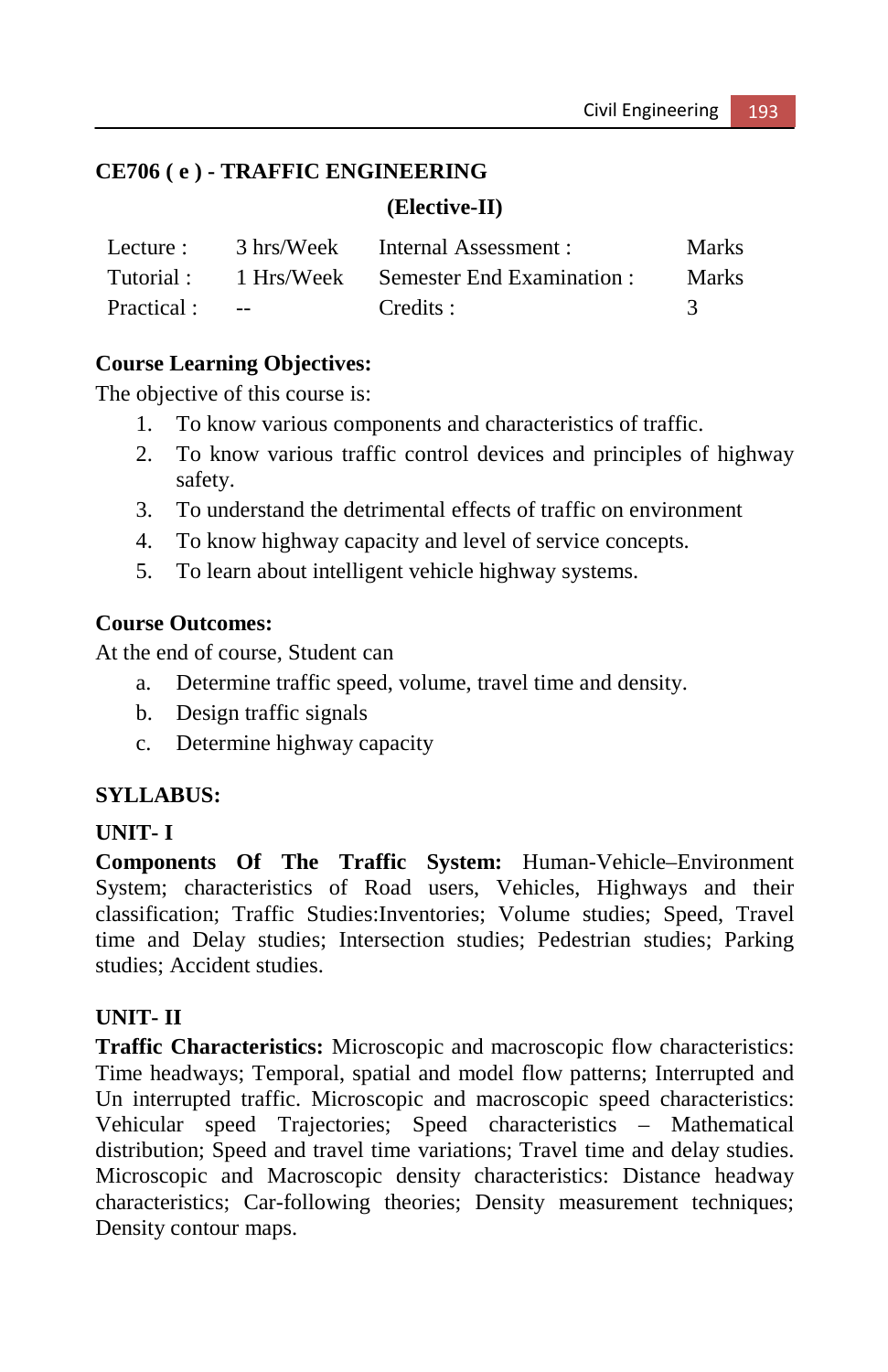## **CE706 ( e ) - TRAFFIC ENGINEERING**

#### **(Elective-II)**

| Lecture :   | 3 hrs/Week               | Internal Assessment :                          | <b>Marks</b> |
|-------------|--------------------------|------------------------------------------------|--------------|
|             |                          | Tutorial: 1 Hrs/Week Semester End Examination: | <b>Marks</b> |
| Practical : | <b>Service Contracts</b> | Credits :                                      |              |

## **Course Learning Objectives:**

The objective of this course is:

- 1. To know various components and characteristics of traffic.
- 2. To know various traffic control devices and principles of highway safety.
- 3. To understand the detrimental effects of traffic on environment
- 4. To know highway capacity and level of service concepts.
- 5. To learn about intelligent vehicle highway systems.

## **Course Outcomes:**

At the end of course, Student can

- a. Determine traffic speed, volume, travel time and density.
- b. Design traffic signals
- c. Determine highway capacity

# **SYLLABUS:**

## **UNIT- I**

**Components Of The Traffic System:** Human-Vehicle–Environment System; characteristics of Road users, Vehicles, Highways and their classification; Traffic Studies:Inventories; Volume studies; Speed, Travel time and Delay studies; Intersection studies; Pedestrian studies; Parking studies; Accident studies.

# **UNIT- II**

**Traffic Characteristics:** Microscopic and macroscopic flow characteristics: Time headways; Temporal, spatial and model flow patterns; Interrupted and Un interrupted traffic. Microscopic and macroscopic speed characteristics: Vehicular speed Trajectories; Speed characteristics – Mathematical distribution; Speed and travel time variations; Travel time and delay studies. Microscopic and Macroscopic density characteristics: Distance headway characteristics; Car-following theories; Density measurement techniques; Density contour maps.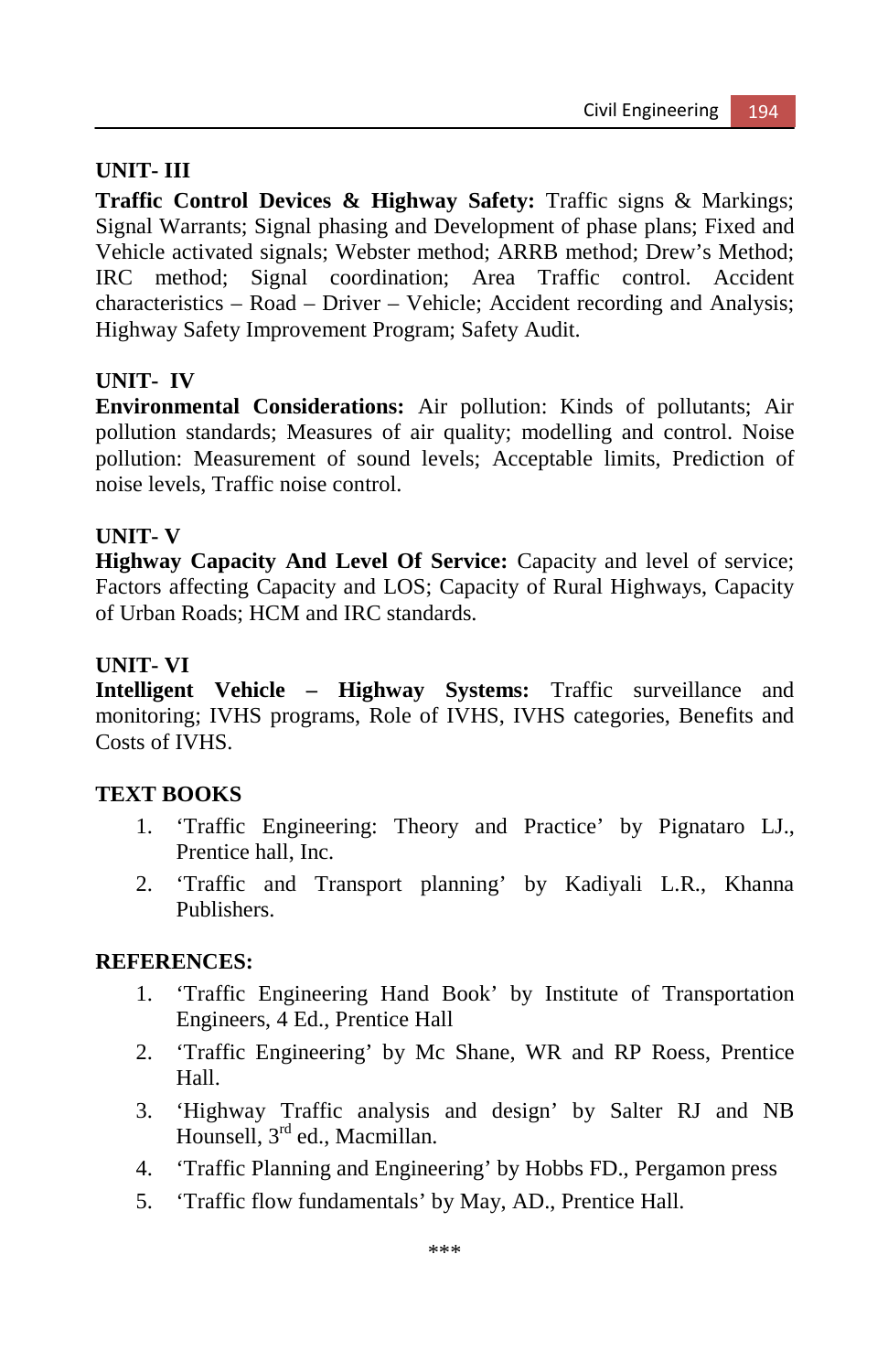## **UNIT- III**

**Traffic Control Devices & Highway Safety:** Traffic signs & Markings; Signal Warrants; Signal phasing and Development of phase plans; Fixed and Vehicle activated signals; Webster method; ARRB method; Drew's Method; IRC method; Signal coordination; Area Traffic control. Accident characteristics – Road – Driver – Vehicle; Accident recording and Analysis; Highway Safety Improvement Program; Safety Audit.

## **UNIT- IV**

**Environmental Considerations:** Air pollution: Kinds of pollutants; Air pollution standards; Measures of air quality; modelling and control. Noise pollution: Measurement of sound levels; Acceptable limits, Prediction of noise levels, Traffic noise control.

#### **UNIT- V**

**Highway Capacity And Level Of Service:** Capacity and level of service; Factors affecting Capacity and LOS; Capacity of Rural Highways, Capacity of Urban Roads; HCM and IRC standards.

#### **UNIT- VI**

**Intelligent Vehicle – Highway Systems:** Traffic surveillance and monitoring; IVHS programs, Role of IVHS, IVHS categories, Benefits and Costs of IVHS.

## **TEXT BOOKS**

- 1. 'Traffic Engineering: Theory and Practice' by Pignataro LJ., Prentice hall, Inc.
- 2. 'Traffic and Transport planning' by Kadiyali L.R., Khanna Publishers.

#### **REFERENCES:**

- 1. 'Traffic Engineering Hand Book' by Institute of Transportation Engineers, 4 Ed., Prentice Hall
- 2. 'Traffic Engineering' by Mc Shane, WR and RP Roess, Prentice Hall.
- 3. 'Highway Traffic analysis and design' by Salter RJ and NB Hounsell, 3<sup>rd</sup> ed., Macmillan.
- 4. 'Traffic Planning and Engineering' by Hobbs FD., Pergamon press
- 5. 'Traffic flow fundamentals' by May, AD., Prentice Hall.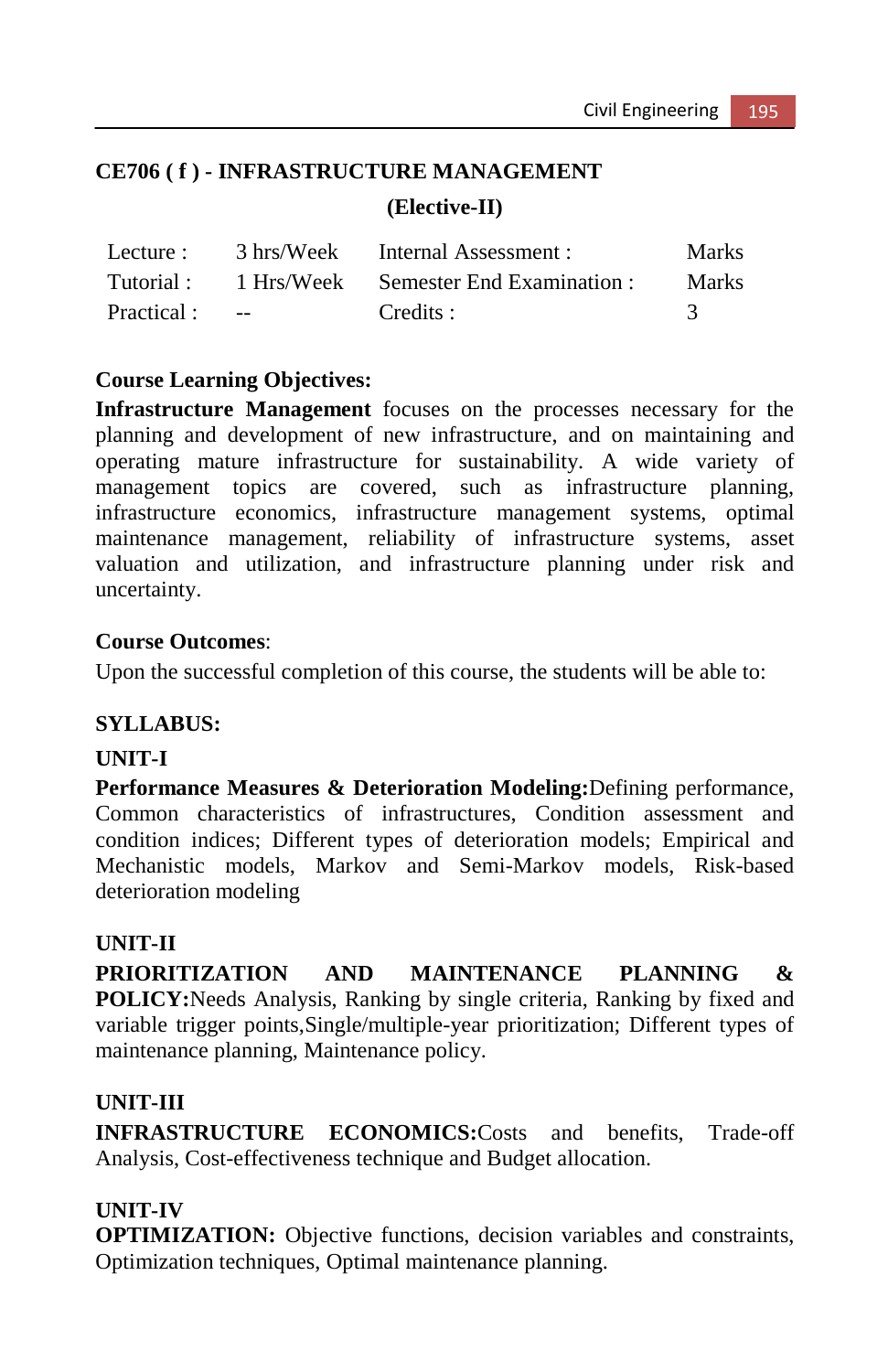# **CE706 ( f ) - INFRASTRUCTURE MANAGEMENT (Elective-II)**

| Lecture :   | 3 hrs/Week           | Internal Assessment :                          | <b>Marks</b> |
|-------------|----------------------|------------------------------------------------|--------------|
|             |                      | Tutorial: 1 Hrs/Week Semester End Examination: | <b>Marks</b> |
| Practical : | <b>Service</b> State | Credits :                                      |              |

## **Course Learning Objectives:**

**Infrastructure Management** focuses on the processes necessary for the planning and development of new infrastructure, and on maintaining and operating mature infrastructure for sustainability. A wide variety of management topics are covered, such as infrastructure planning, infrastructure economics, infrastructure management systems, optimal maintenance management, reliability of infrastructure systems, asset valuation and utilization, and infrastructure planning under risk and uncertainty.

#### **Course Outcomes**:

Upon the successful completion of this course, the students will be able to:

#### **SYLLABUS:**

#### **UNIT-I**

**Performance Measures & Deterioration Modeling:**Defining performance, Common characteristics of infrastructures, Condition assessment and condition indices; Different types of deterioration models; Empirical and Mechanistic models, Markov and Semi-Markov models, Risk-based deterioration modeling

## **UNIT-II**

**PRIORITIZATION AND MAINTENANCE PLANNING & POLICY:**Needs Analysis, Ranking by single criteria, Ranking by fixed and variable trigger points,Single/multiple-year prioritization; Different types of maintenance planning, Maintenance policy.

#### **UNIT-III**

**INFRASTRUCTURE ECONOMICS:**Costs and benefits, Trade-off Analysis, Cost-effectiveness technique and Budget allocation.

## **UNIT-IV**

**OPTIMIZATION:** Objective functions, decision variables and constraints, Optimization techniques, Optimal maintenance planning.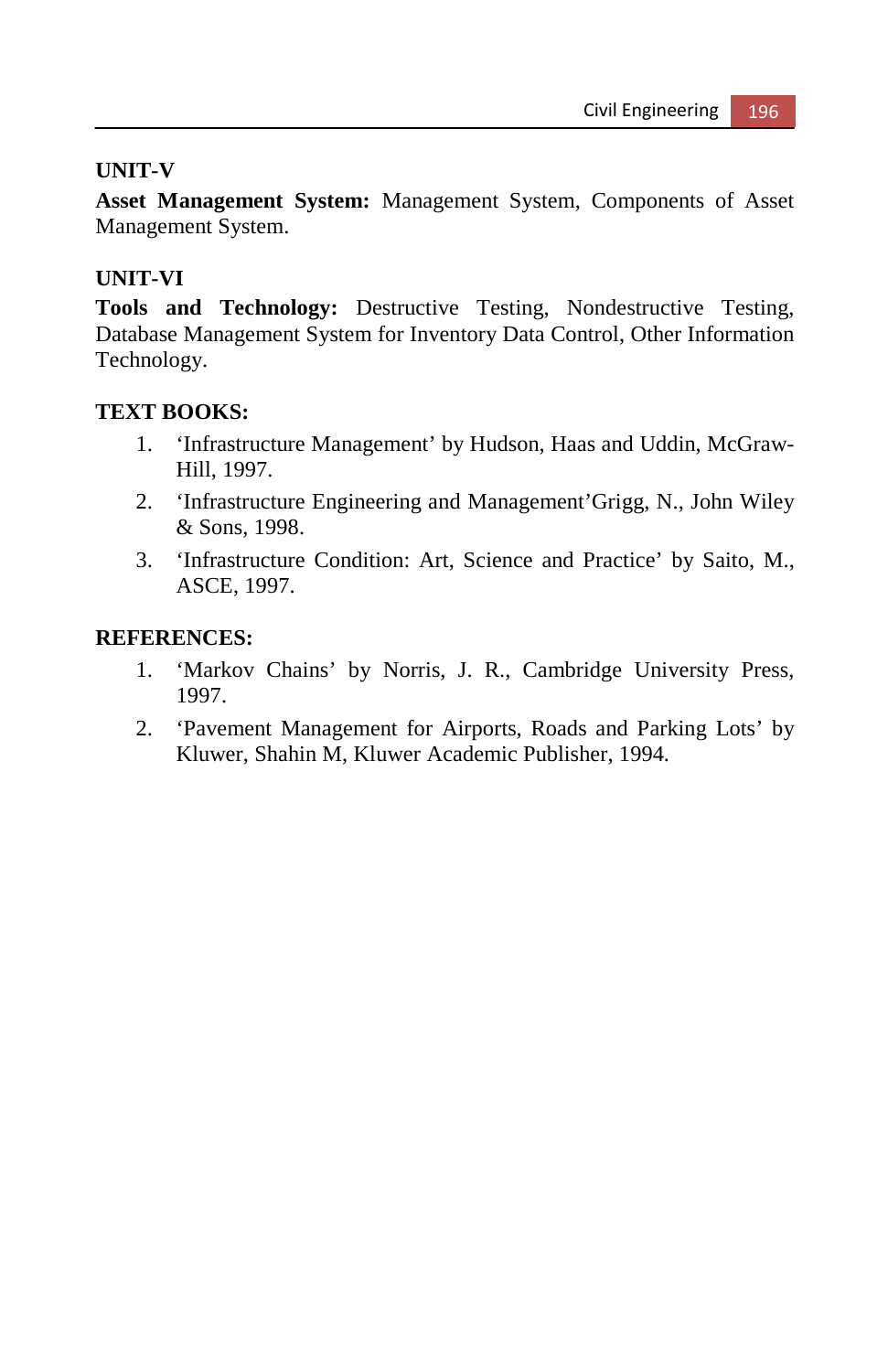#### **UNIT-V**

**Asset Management System:** Management System, Components of Asset Management System.

## **UNIT-VI**

**Tools and Technology:** Destructive Testing, Nondestructive Testing, Database Management System for Inventory Data Control, Other Information Technology.

#### **TEXT BOOKS:**

- 1. 'Infrastructure Management' by Hudson, Haas and Uddin, McGraw-Hill, 1997.
- 2. 'Infrastructure Engineering and Management'Grigg, N., John Wiley & Sons, 1998.
- 3. 'Infrastructure Condition: Art, Science and Practice' by Saito, M., ASCE, 1997.

#### **REFERENCES:**

- 1. 'Markov Chains' by Norris, J. R., Cambridge University Press, 1997.
- 2. 'Pavement Management for Airports, Roads and Parking Lots' by Kluwer, Shahin M, Kluwer Academic Publisher, 1994.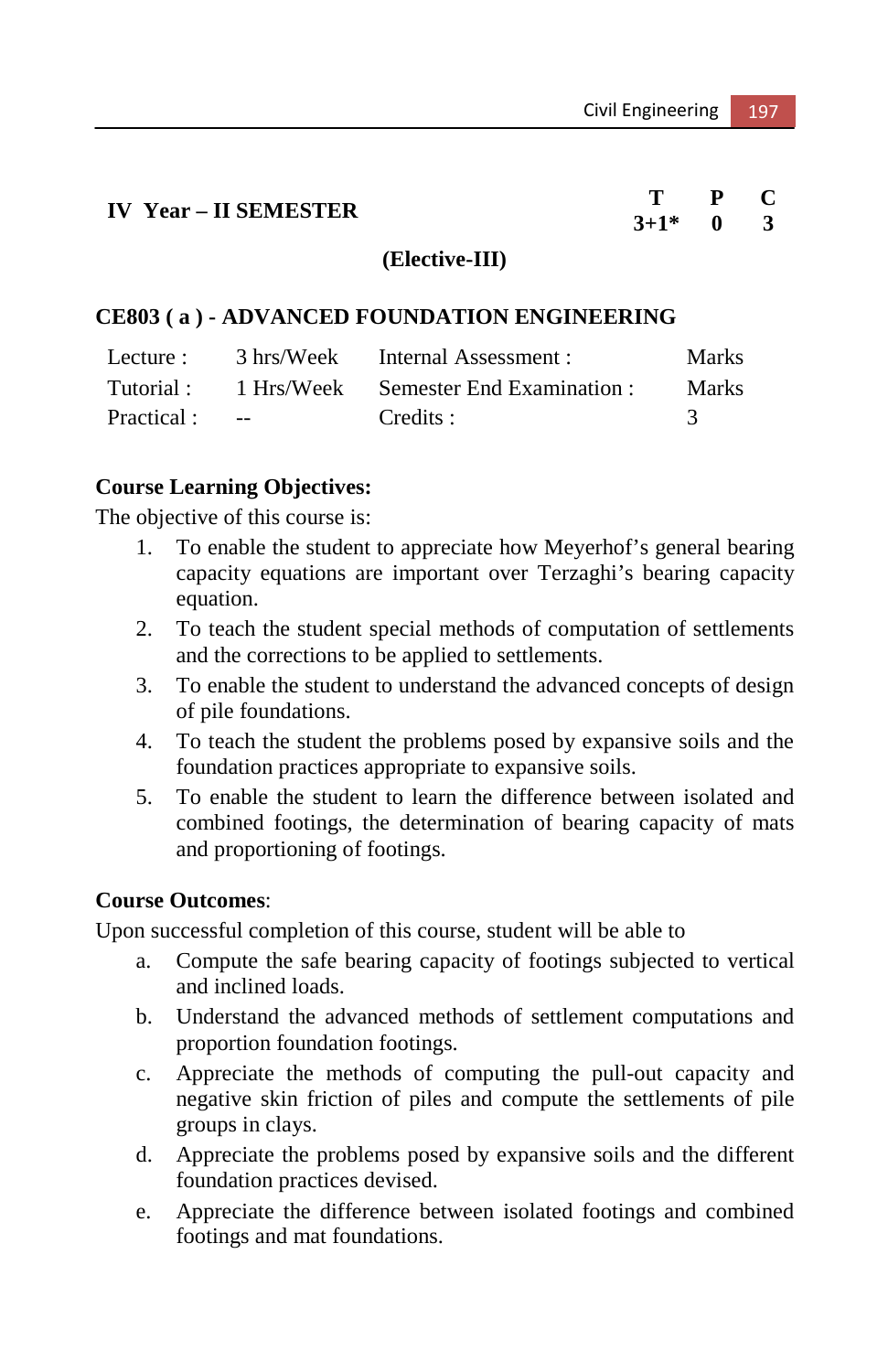| <b>IV Year – II SEMESTER</b> |             |  |
|------------------------------|-------------|--|
|                              | $3+1^*$ 0 3 |  |

#### **(Elective-III)**

#### **CE803 ( a ) - ADVANCED FOUNDATION ENGINEERING**

| Lecture :  |                          | 3 hrs/Week Internal Assessment :      | <b>Marks</b> |
|------------|--------------------------|---------------------------------------|--------------|
| Tutorial:  |                          | 1 Hrs/Week Semester End Examination : | <b>Marks</b> |
| Practical: | <b>Contract Contract</b> | Credits :                             |              |

#### **Course Learning Objectives:**

The objective of this course is:

- 1. To enable the student to appreciate how Meyerhof's general bearing capacity equations are important over Terzaghi's bearing capacity equation.
- 2. To teach the student special methods of computation of settlements and the corrections to be applied to settlements.
- 3. To enable the student to understand the advanced concepts of design of pile foundations.
- 4. To teach the student the problems posed by expansive soils and the foundation practices appropriate to expansive soils.
- 5. To enable the student to learn the difference between isolated and combined footings, the determination of bearing capacity of mats and proportioning of footings.

#### **Course Outcomes**:

Upon successful completion of this course, student will be able to

- a. Compute the safe bearing capacity of footings subjected to vertical and inclined loads.
- b. Understand the advanced methods of settlement computations and proportion foundation footings.
- c. Appreciate the methods of computing the pull-out capacity and negative skin friction of piles and compute the settlements of pile groups in clays.
- d. Appreciate the problems posed by expansive soils and the different foundation practices devised.
- e. Appreciate the difference between isolated footings and combined footings and mat foundations.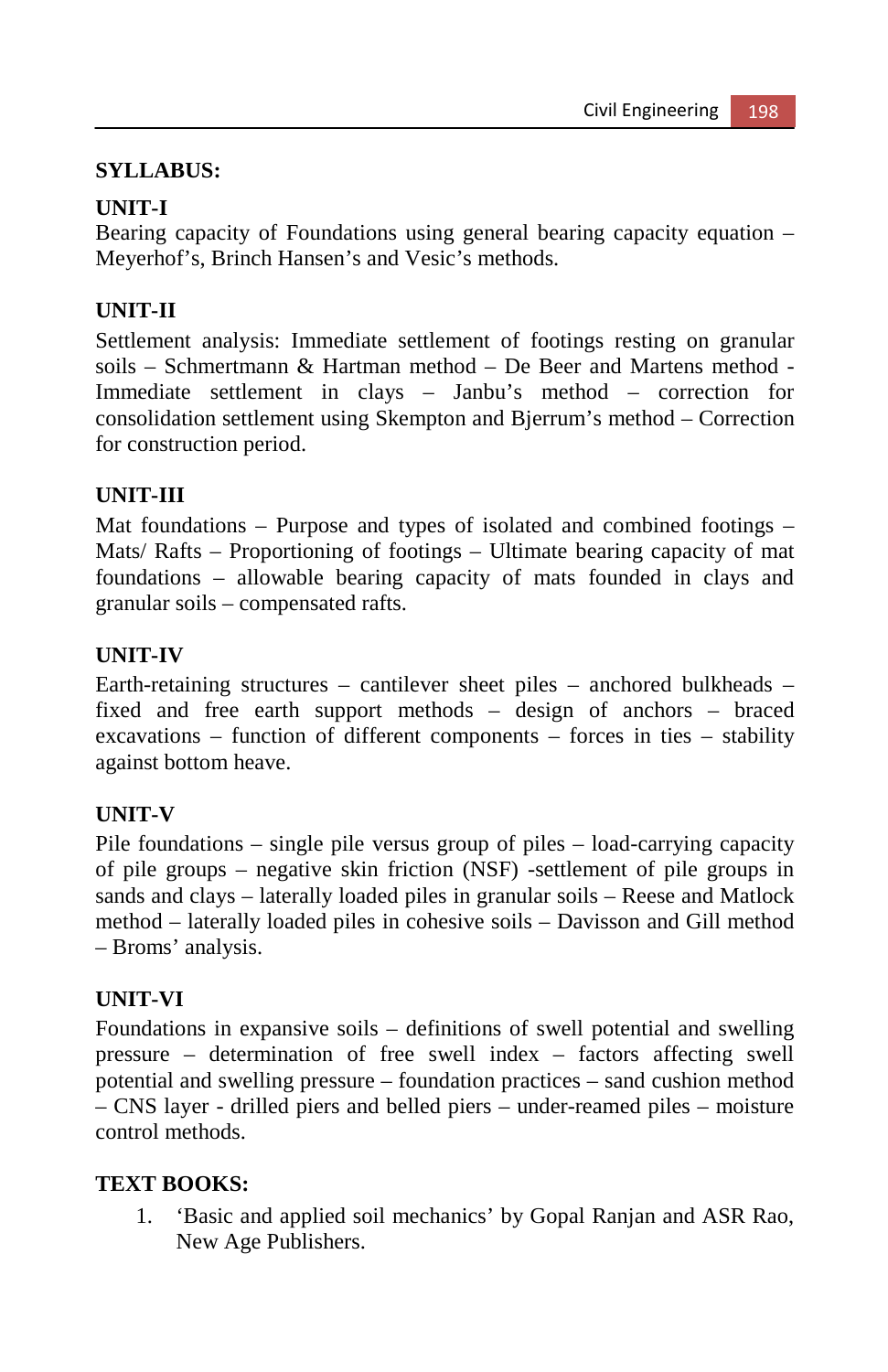## **SYLLABUS:**

#### **UNIT-I**

Bearing capacity of Foundations using general bearing capacity equation – Meyerhof's, Brinch Hansen's and Vesic's methods.

# **UNIT-II**

Settlement analysis: Immediate settlement of footings resting on granular soils – Schmertmann & Hartman method – De Beer and Martens method - Immediate settlement in clays – Janbu's method – correction for consolidation settlement using Skempton and Bjerrum's method – Correction for construction period.

## **UNIT-III**

Mat foundations – Purpose and types of isolated and combined footings – Mats/ Rafts – Proportioning of footings – Ultimate bearing capacity of mat foundations – allowable bearing capacity of mats founded in clays and granular soils – compensated rafts.

## **UNIT-IV**

Earth-retaining structures – cantilever sheet piles – anchored bulkheads – fixed and free earth support methods – design of anchors – braced excavations – function of different components – forces in ties – stability against bottom heave.

## **UNIT-V**

Pile foundations – single pile versus group of piles – load-carrying capacity of pile groups – negative skin friction (NSF) -settlement of pile groups in sands and clays – laterally loaded piles in granular soils – Reese and Matlock method – laterally loaded piles in cohesive soils – Davisson and Gill method – Broms' analysis.

## **UNIT-VI**

Foundations in expansive soils – definitions of swell potential and swelling pressure – determination of free swell index – factors affecting swell potential and swelling pressure – foundation practices – sand cushion method – CNS layer - drilled piers and belled piers – under-reamed piles – moisture control methods.

## **TEXT BOOKS:**

1. 'Basic and applied soil mechanics' by Gopal Ranjan and ASR Rao, New Age Publishers.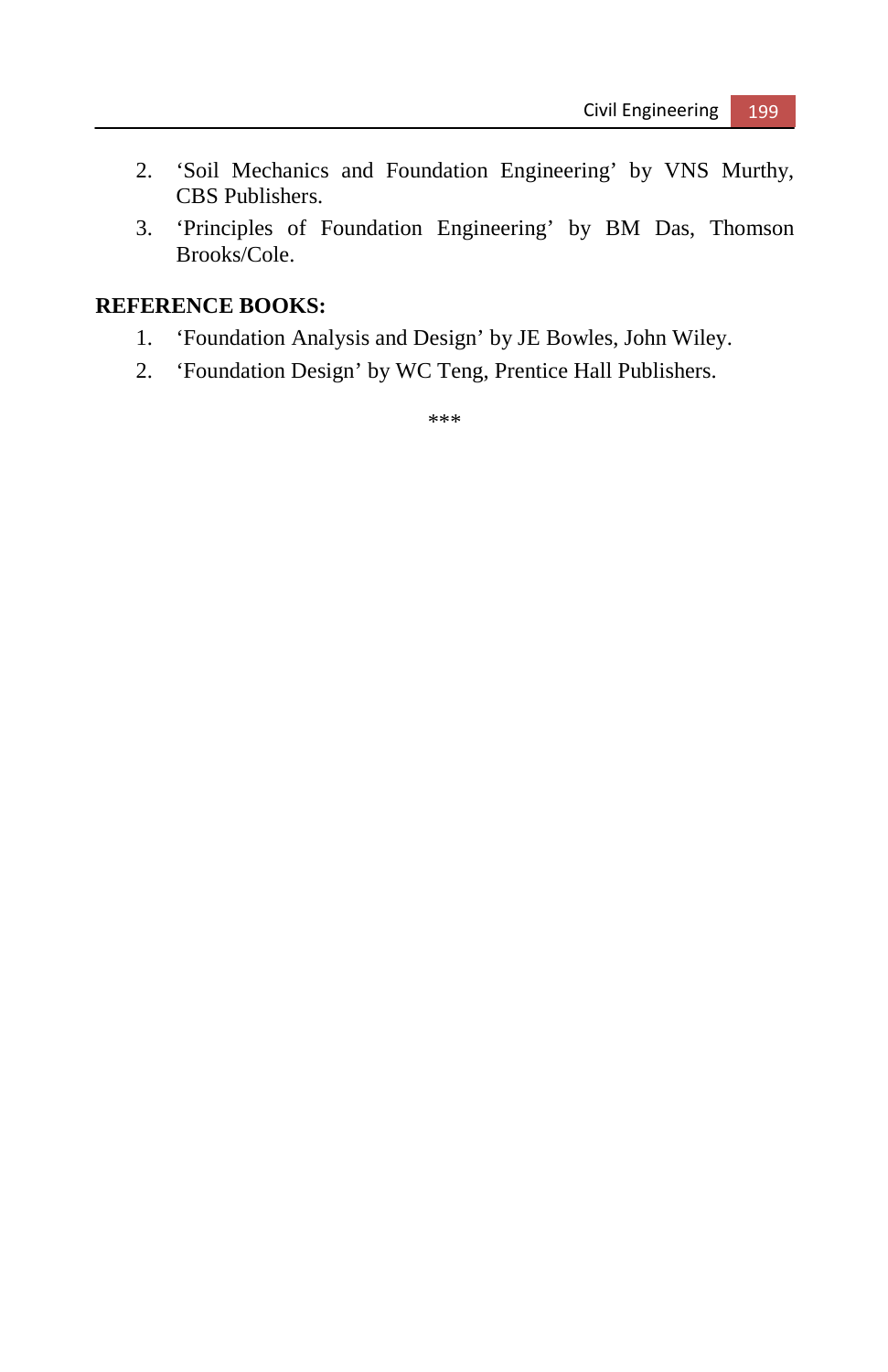- 2. 'Soil Mechanics and Foundation Engineering' by VNS Murthy, CBS Publishers.
- 3. 'Principles of Foundation Engineering' by BM Das, Thomson Brooks/Cole.

## **REFERENCE BOOKS:**

- 1. 'Foundation Analysis and Design' by JE Bowles, John Wiley.
- 2. 'Foundation Design' by WC Teng, Prentice Hall Publishers.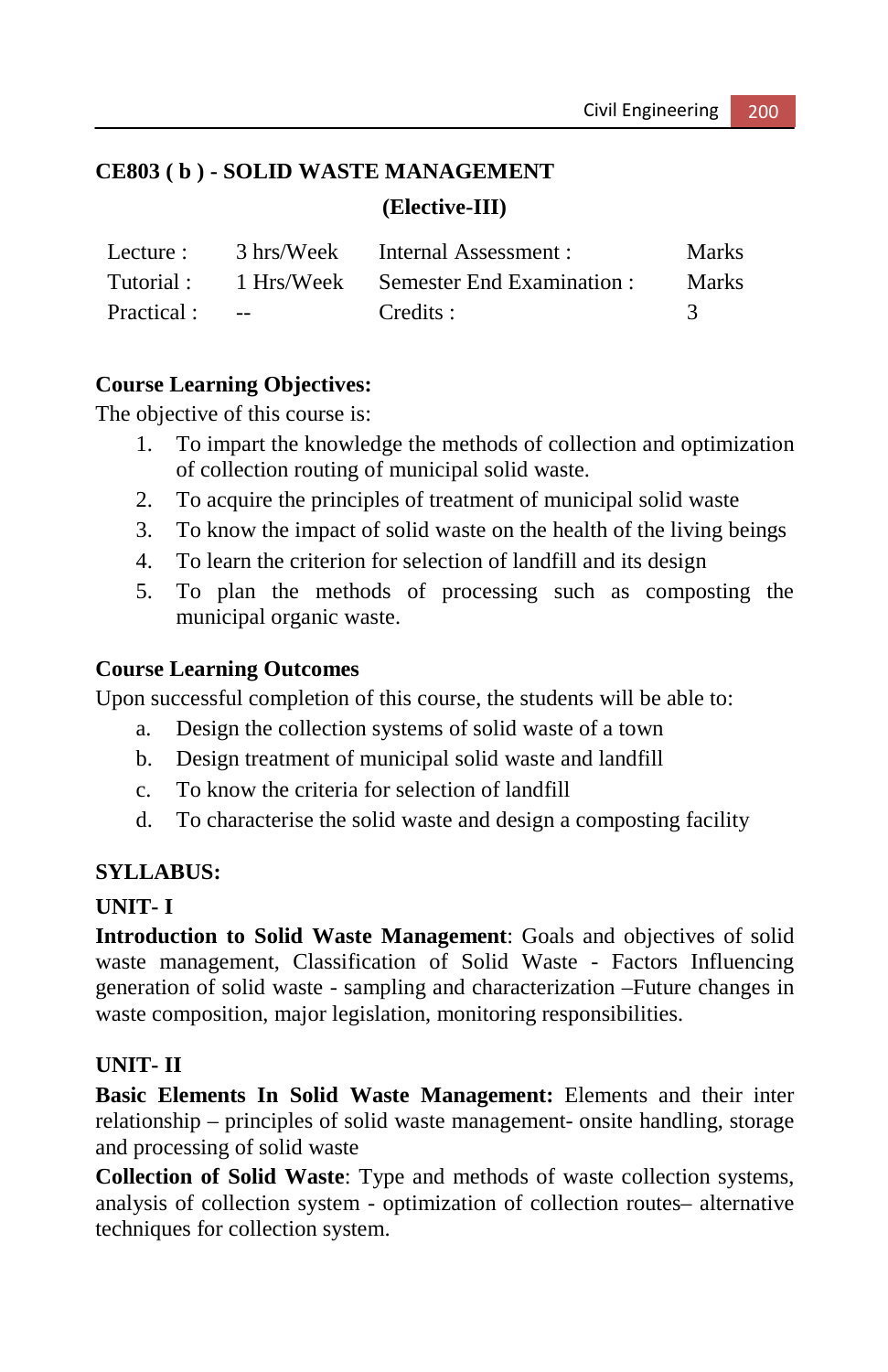# **CE803 ( b ) - SOLID WASTE MANAGEMENT**

**(Elective-III)** 

| Lecture :   | 3 hrs/Week           | Internal Assessment :                          | <b>Marks</b> |
|-------------|----------------------|------------------------------------------------|--------------|
|             |                      | Tutorial: 1 Hrs/Week Semester End Examination: | <b>Marks</b> |
| Practical : | <b>Service</b> State | Credits :                                      |              |

#### **Course Learning Objectives:**

The objective of this course is:

- 1. To impart the knowledge the methods of collection and optimization of collection routing of municipal solid waste.
- 2. To acquire the principles of treatment of municipal solid waste
- 3. To know the impact of solid waste on the health of the living beings
- 4. To learn the criterion for selection of landfill and its design
- 5. To plan the methods of processing such as composting the municipal organic waste.

#### **Course Learning Outcomes**

Upon successful completion of this course, the students will be able to:

- a. Design the collection systems of solid waste of a town
- b. Design treatment of municipal solid waste and landfill
- c. To know the criteria for selection of landfill
- d. To characterise the solid waste and design a composting facility

# **SYLLABUS:**

# **UNIT- I**

**Introduction to Solid Waste Management**: Goals and objectives of solid waste management, Classification of Solid Waste - Factors Influencing generation of solid waste - sampling and characterization –Future changes in waste composition, major legislation, monitoring responsibilities.

# **UNIT- II**

**Basic Elements In Solid Waste Management:** Elements and their inter relationship – principles of solid waste management- onsite handling, storage and processing of solid waste

**Collection of Solid Waste**: Type and methods of waste collection systems, analysis of collection system - optimization of collection routes– alternative techniques for collection system.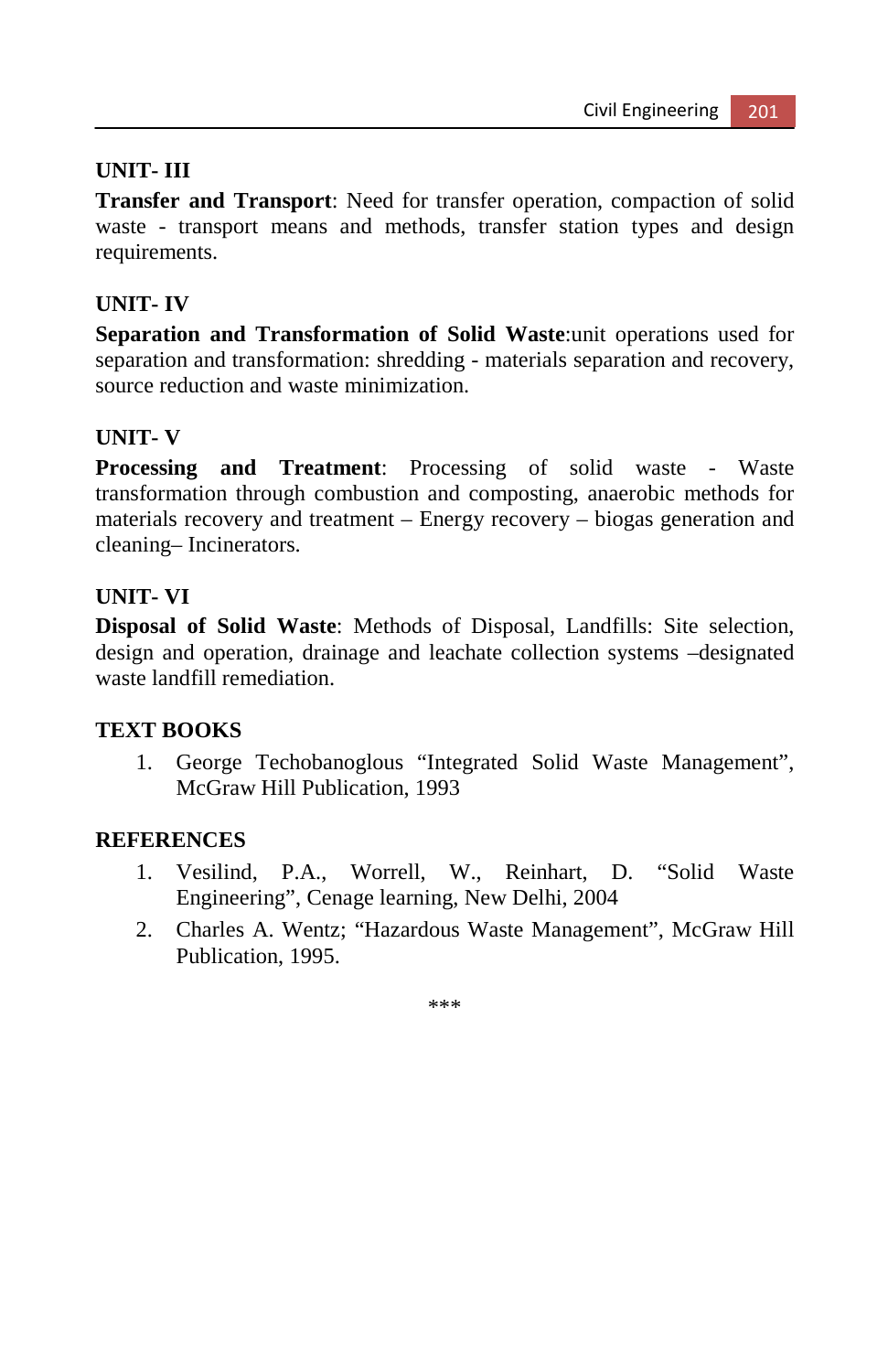## **UNIT- III**

**Transfer and Transport**: Need for transfer operation, compaction of solid waste - transport means and methods, transfer station types and design requirements.

## **UNIT- IV**

**Separation and Transformation of Solid Waste**:unit operations used for separation and transformation: shredding - materials separation and recovery, source reduction and waste minimization.

## **UNIT- V**

**Processing and Treatment**: Processing of solid waste - Waste transformation through combustion and composting, anaerobic methods for materials recovery and treatment – Energy recovery – biogas generation and cleaning– Incinerators.

# **UNIT- VI**

**Disposal of Solid Waste**: Methods of Disposal, Landfills: Site selection, design and operation, drainage and leachate collection systems –designated waste landfill remediation.

## **TEXT BOOKS**

1. George Techobanoglous "Integrated Solid Waste Management", McGraw Hill Publication, 1993

## **REFERENCES**

- 1. Vesilind, P.A., Worrell, W., Reinhart, D. "Solid Waste Engineering", Cenage learning, New Delhi, 2004
- 2. Charles A. Wentz; "Hazardous Waste Management", McGraw Hill Publication, 1995.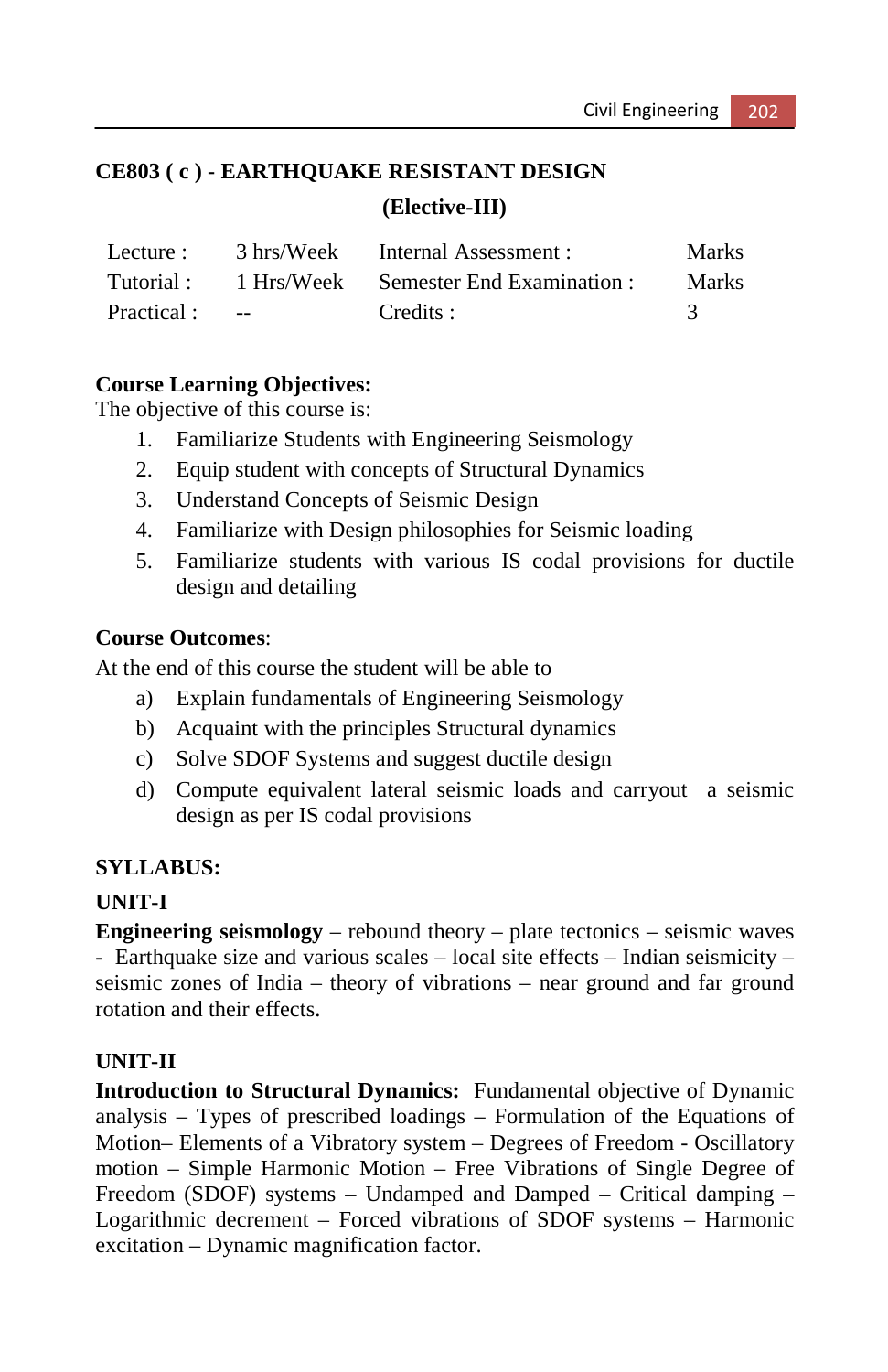# **CE803 ( c ) - EARTHQUAKE RESISTANT DESIGN (Elective-III)**

| Lecture :   | 3 hrs/Week                       | Internal Assessment :                          | <b>Marks</b> |
|-------------|----------------------------------|------------------------------------------------|--------------|
|             |                                  | Tutorial: 1 Hrs/Week Semester End Examination: | <b>Marks</b> |
| Practical : | <b>Service Contract Contract</b> | Credits :                                      |              |

## **Course Learning Objectives:**

The objective of this course is:

- 1. Familiarize Students with Engineering Seismology
- 2. Equip student with concepts of Structural Dynamics
- 3. Understand Concepts of Seismic Design
- 4. Familiarize with Design philosophies for Seismic loading
- 5. Familiarize students with various IS codal provisions for ductile design and detailing

#### **Course Outcomes**:

At the end of this course the student will be able to

- a) Explain fundamentals of Engineering Seismology
- b) Acquaint with the principles Structural dynamics
- c) Solve SDOF Systems and suggest ductile design
- d) Compute equivalent lateral seismic loads and carryout a seismic design as per IS codal provisions

## **SYLLABUS:**

#### **UNIT-I**

**Engineering seismology** – rebound theory – plate tectonics – seismic waves - Earthquake size and various scales – local site effects – Indian seismicity – seismic zones of India – theory of vibrations – near ground and far ground rotation and their effects.

## **UNIT-II**

**Introduction to Structural Dynamics:** Fundamental objective of Dynamic analysis – Types of prescribed loadings – Formulation of the Equations of Motion– Elements of a Vibratory system – Degrees of Freedom - Oscillatory motion – Simple Harmonic Motion – Free Vibrations of Single Degree of Freedom (SDOF) systems – Undamped and Damped – Critical damping – Logarithmic decrement – Forced vibrations of SDOF systems – Harmonic excitation – Dynamic magnification factor.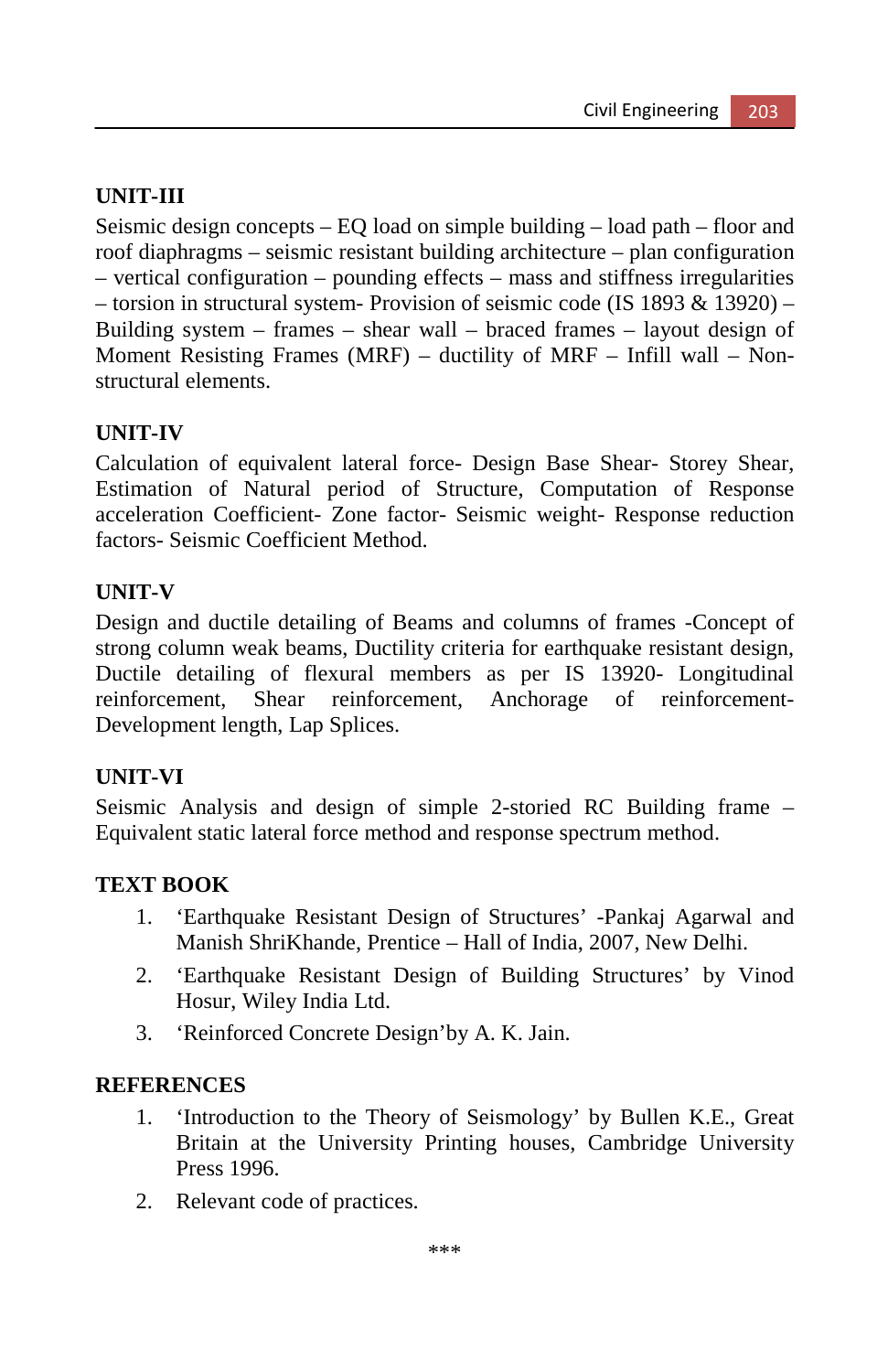# **UNIT-III**

Seismic design concepts – EQ load on simple building – load path – floor and roof diaphragms – seismic resistant building architecture – plan configuration – vertical configuration – pounding effects – mass and stiffness irregularities – torsion in structural system- Provision of seismic code (IS 1893 & 13920) – Building system – frames – shear wall – braced frames – layout design of Moment Resisting Frames (MRF) – ductility of MRF – Infill wall – Nonstructural elements.

## **UNIT-IV**

Calculation of equivalent lateral force- Design Base Shear- Storey Shear, Estimation of Natural period of Structure, Computation of Response acceleration Coefficient- Zone factor- Seismic weight- Response reduction factors- Seismic Coefficient Method.

## **UNIT-V**

Design and ductile detailing of Beams and columns of frames -Concept of strong column weak beams, Ductility criteria for earthquake resistant design, Ductile detailing of flexural members as per IS 13920- Longitudinal reinforcement, Shear reinforcement, Anchorage of reinforcement-Development length, Lap Splices.

#### **UNIT-VI**

Seismic Analysis and design of simple 2-storied RC Building frame – Equivalent static lateral force method and response spectrum method.

## **TEXT BOOK**

- 1. 'Earthquake Resistant Design of Structures' -Pankaj Agarwal and Manish ShriKhande, Prentice – Hall of India, 2007, New Delhi.
- 2. 'Earthquake Resistant Design of Building Structures' by Vinod Hosur, Wiley India Ltd.
- 3. 'Reinforced Concrete Design'by A. K. Jain.

#### **REFERENCES**

- 1. 'Introduction to the Theory of Seismology' by Bullen K.E., Great Britain at the University Printing houses, Cambridge University Press 1996.
- 2. Relevant code of practices.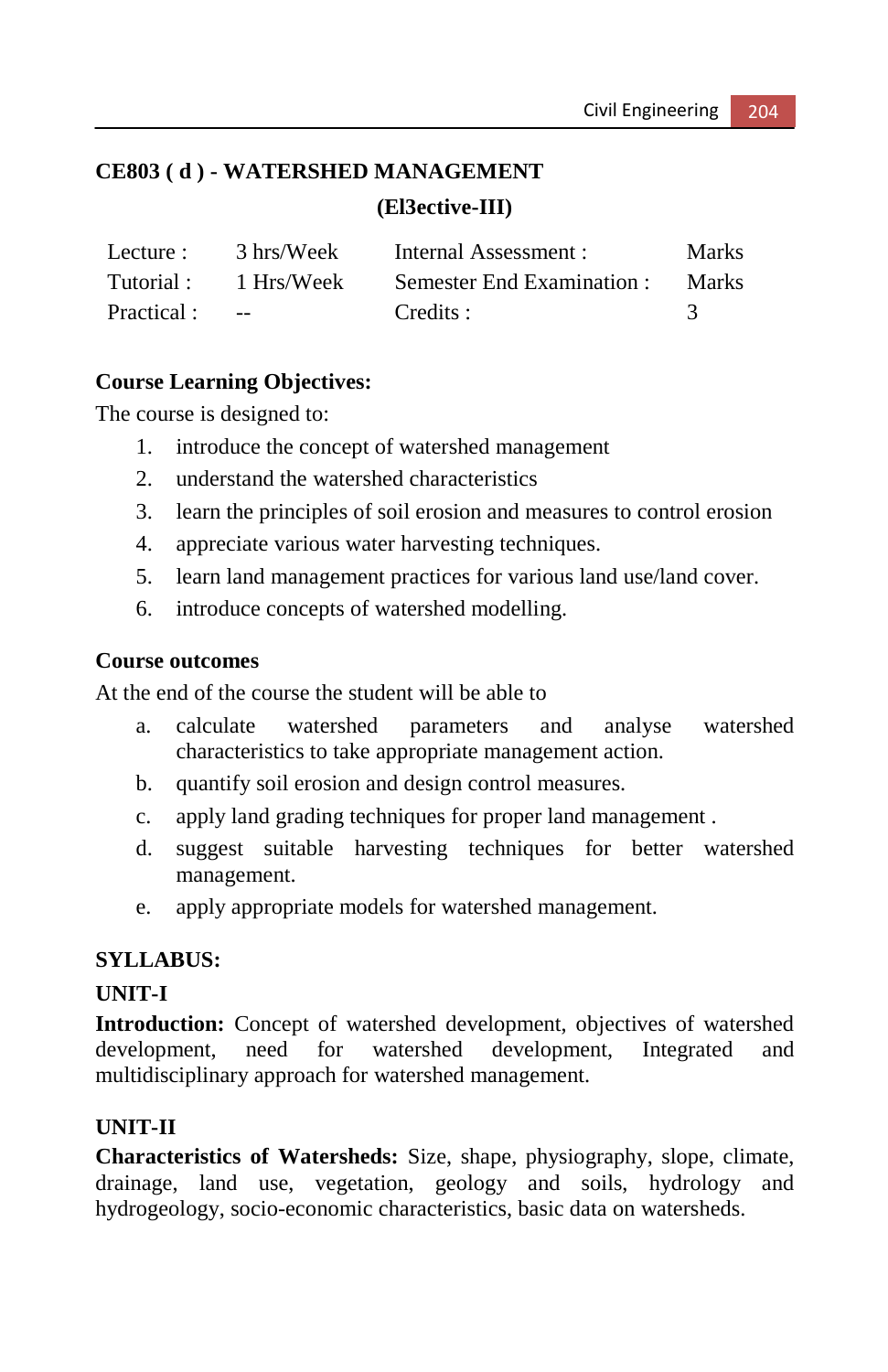# **CE803 ( d ) - WATERSHED MANAGEMENT (El3ective-III)**

| Lecture :   | 3 hrs/Week  | Internal Assessment :      | <b>Marks</b> |
|-------------|-------------|----------------------------|--------------|
| Tutorial :  | 1 Hrs/Week  | Semester End Examination : | <b>Marks</b> |
| Practical : | $\sim$ $ -$ | Credits :                  |              |

#### **Course Learning Objectives:**

The course is designed to:

- 1. introduce the concept of watershed management
- 2. understand the watershed characteristics
- 3. learn the principles of soil erosion and measures to control erosion
- 4. appreciate various water harvesting techniques.
- 5. learn land management practices for various land use/land cover.
- 6. introduce concepts of watershed modelling.

#### **Course outcomes**

At the end of the course the student will be able to

- a. calculate watershed parameters and analyse watershed characteristics to take appropriate management action.
- b. quantify soil erosion and design control measures.
- c. apply land grading techniques for proper land management .
- d. suggest suitable harvesting techniques for better watershed management.
- e. apply appropriate models for watershed management.

## **SYLLABUS:**

## **UNIT-I**

**Introduction:** Concept of watershed development, objectives of watershed development, need for watershed development, Integrated and multidisciplinary approach for watershed management.

## **UNIT-II**

**Characteristics of Watersheds:** Size, shape, physiography, slope, climate, drainage, land use, vegetation, geology and soils, hydrology and hydrogeology, socio-economic characteristics, basic data on watersheds.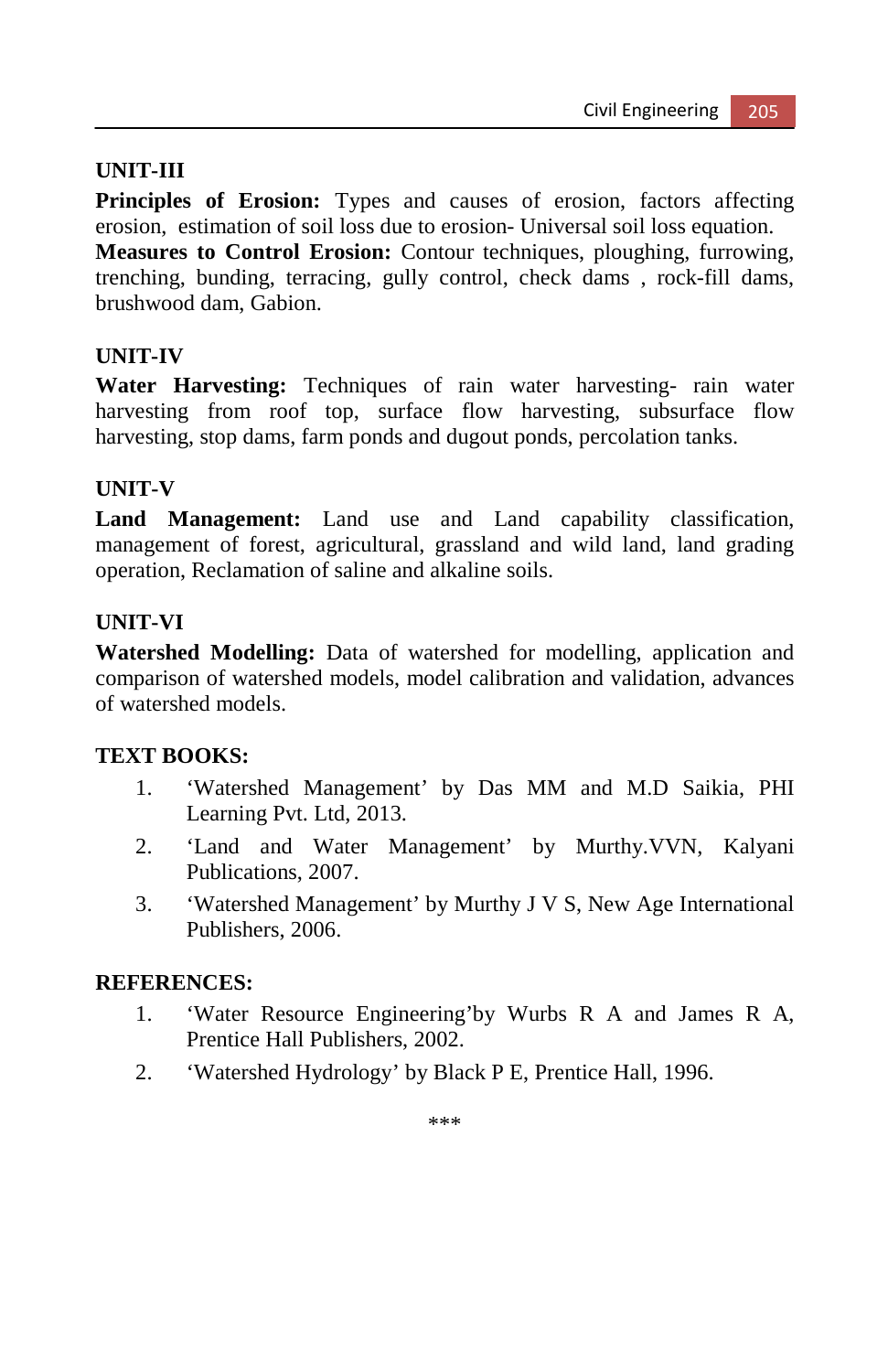#### **UNIT-III**

**Principles of Erosion:** Types and causes of erosion, factors affecting erosion, estimation of soil loss due to erosion- Universal soil loss equation.

**Measures to Control Erosion:** Contour techniques, ploughing, furrowing, trenching, bunding, terracing, gully control, check dams , rock-fill dams, brushwood dam, Gabion.

#### **UNIT-IV**

**Water Harvesting:** Techniques of rain water harvesting- rain water harvesting from roof top, surface flow harvesting, subsurface flow harvesting, stop dams, farm ponds and dugout ponds, percolation tanks.

#### **UNIT-V**

**Land Management:** Land use and Land capability classification, management of forest, agricultural, grassland and wild land, land grading operation, Reclamation of saline and alkaline soils.

## **UNIT-VI**

**Watershed Modelling:** Data of watershed for modelling, application and comparison of watershed models, model calibration and validation, advances of watershed models.

#### **TEXT BOOKS:**

- 1. 'Watershed Management' by Das MM and M.D Saikia, PHI Learning Pvt. Ltd, 2013.
- 2. 'Land and Water Management' by Murthy.VVN, Kalyani Publications, 2007.
- 3. 'Watershed Management' by Murthy J V S, New Age International Publishers, 2006.

#### **REFERENCES:**

- 1. 'Water Resource Engineering'by Wurbs R A and James R A, Prentice Hall Publishers, 2002.
- 2. 'Watershed Hydrology' by Black P E, Prentice Hall, 1996.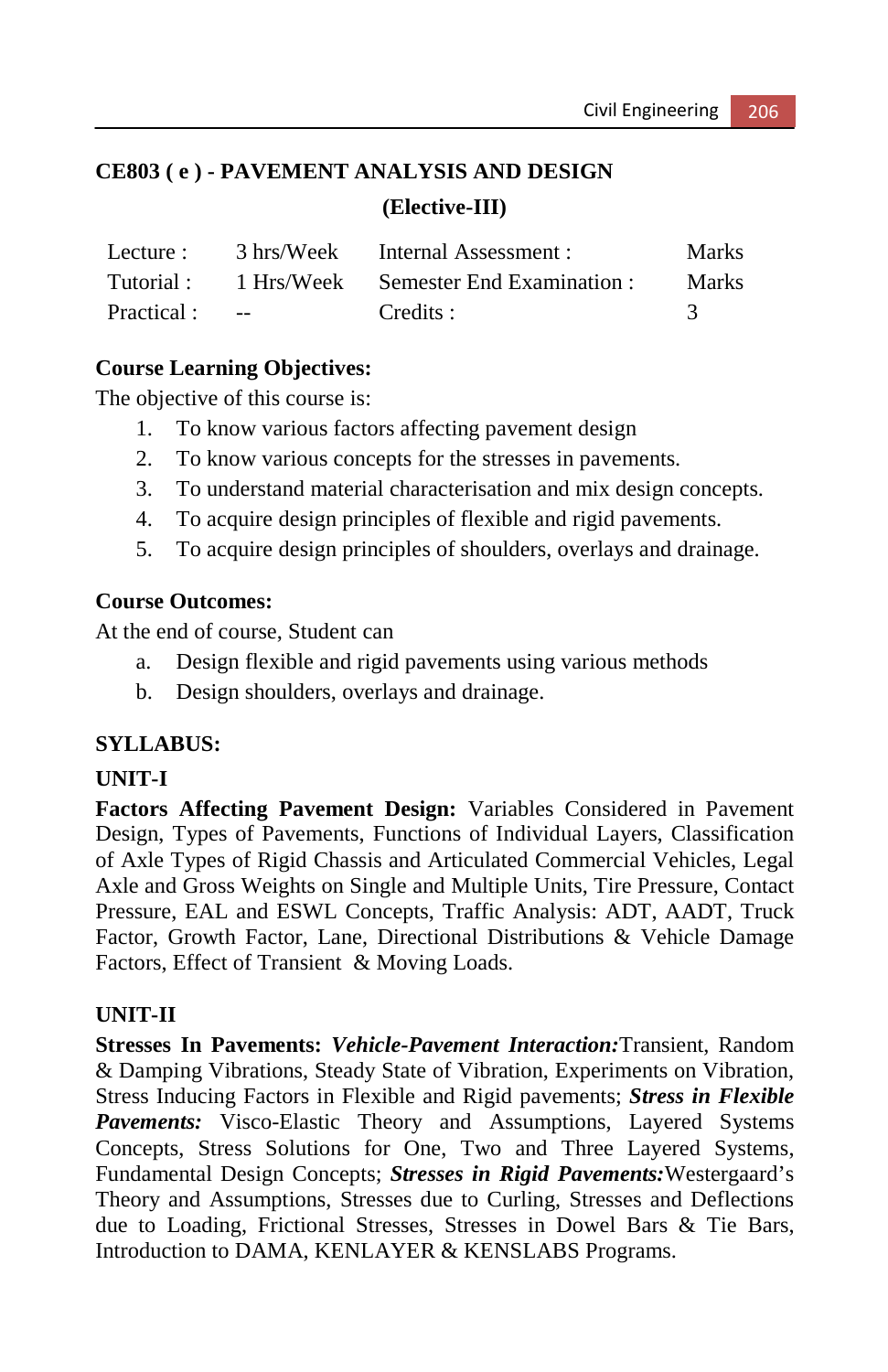# **CE803 ( e ) - PAVEMENT ANALYSIS AND DESIGN (Elective-III)**

| Lecture :   | 3 hrs/Week                       | Internal Assessment :                          | <b>Marks</b> |
|-------------|----------------------------------|------------------------------------------------|--------------|
|             |                                  | Tutorial: 1 Hrs/Week Semester End Examination: | <b>Marks</b> |
| Practical : | <b>Service Contract Contract</b> | Credits :                                      |              |

#### **Course Learning Objectives:**

The objective of this course is:

- 1. To know various factors affecting pavement design
- 2. To know various concepts for the stresses in pavements.
- 3. To understand material characterisation and mix design concepts.
- 4. To acquire design principles of flexible and rigid pavements.
- 5. To acquire design principles of shoulders, overlays and drainage.

#### **Course Outcomes:**

At the end of course, Student can

- a. Design flexible and rigid pavements using various methods
- b. Design shoulders, overlays and drainage.

## **SYLLABUS:**

#### **UNIT-I**

**Factors Affecting Pavement Design:** Variables Considered in Pavement Design, Types of Pavements, Functions of Individual Layers, Classification of Axle Types of Rigid Chassis and Articulated Commercial Vehicles, Legal Axle and Gross Weights on Single and Multiple Units, Tire Pressure, Contact Pressure, EAL and ESWL Concepts, Traffic Analysis: ADT, AADT, Truck Factor, Growth Factor, Lane, Directional Distributions & Vehicle Damage Factors, Effect of Transient & Moving Loads.

## **UNIT-II**

**Stresses In Pavements:** *Vehicle-Pavement Interaction:*Transient, Random & Damping Vibrations, Steady State of Vibration, Experiments on Vibration, Stress Inducing Factors in Flexible and Rigid pavements; *Stress in Flexible Pavements:* Visco-Elastic Theory and Assumptions, Layered Systems Concepts, Stress Solutions for One, Two and Three Layered Systems, Fundamental Design Concepts; *Stresses in Rigid Pavements:*Westergaard's Theory and Assumptions, Stresses due to Curling, Stresses and Deflections due to Loading, Frictional Stresses, Stresses in Dowel Bars & Tie Bars, Introduction to DAMA, KENLAYER & KENSLABS Programs.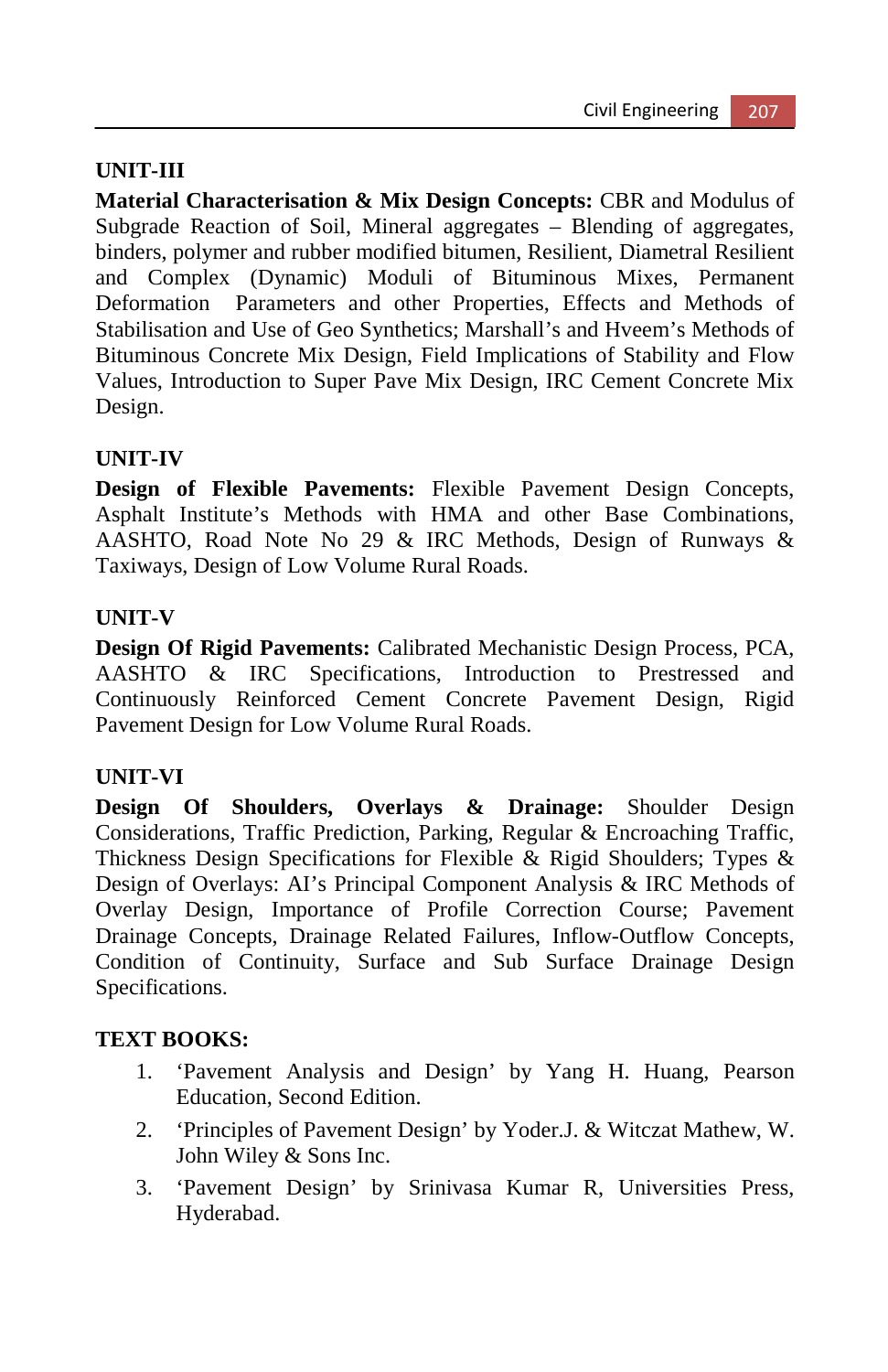## **UNIT-III**

**Material Characterisation & Mix Design Concepts: CBR and Modulus of** Subgrade Reaction of Soil, Mineral aggregates – Blending of aggregates, binders, polymer and rubber modified bitumen, Resilient, Diametral Resilient and Complex (Dynamic) Moduli of Bituminous Mixes, Permanent Deformation Parameters and other Properties, Effects and Methods of Stabilisation and Use of Geo Synthetics; Marshall's and Hveem's Methods of Bituminous Concrete Mix Design, Field Implications of Stability and Flow Values, Introduction to Super Pave Mix Design, IRC Cement Concrete Mix Design.

## **UNIT-IV**

**Design of Flexible Pavements:** Flexible Pavement Design Concepts, Asphalt Institute's Methods with HMA and other Base Combinations, AASHTO, Road Note No 29 & IRC Methods, Design of Runways & Taxiways, Design of Low Volume Rural Roads.

## **UNIT-V**

**Design Of Rigid Pavements:** Calibrated Mechanistic Design Process, PCA, AASHTO & IRC Specifications, Introduction to Prestressed and Continuously Reinforced Cement Concrete Pavement Design, Rigid Pavement Design for Low Volume Rural Roads.

## **UNIT-VI**

**Design Of Shoulders, Overlays & Drainage:** Shoulder Design Considerations, Traffic Prediction, Parking, Regular & Encroaching Traffic, Thickness Design Specifications for Flexible & Rigid Shoulders; Types & Design of Overlays: AI's Principal Component Analysis & IRC Methods of Overlay Design, Importance of Profile Correction Course; Pavement Drainage Concepts, Drainage Related Failures, Inflow-Outflow Concepts, Condition of Continuity, Surface and Sub Surface Drainage Design Specifications.

## **TEXT BOOKS:**

- 1. 'Pavement Analysis and Design' by Yang H. Huang, Pearson Education, Second Edition.
- 2. 'Principles of Pavement Design' by Yoder.J. & Witczat Mathew, W. John Wiley & Sons Inc.
- 3. 'Pavement Design' by Srinivasa Kumar R, Universities Press, Hyderabad.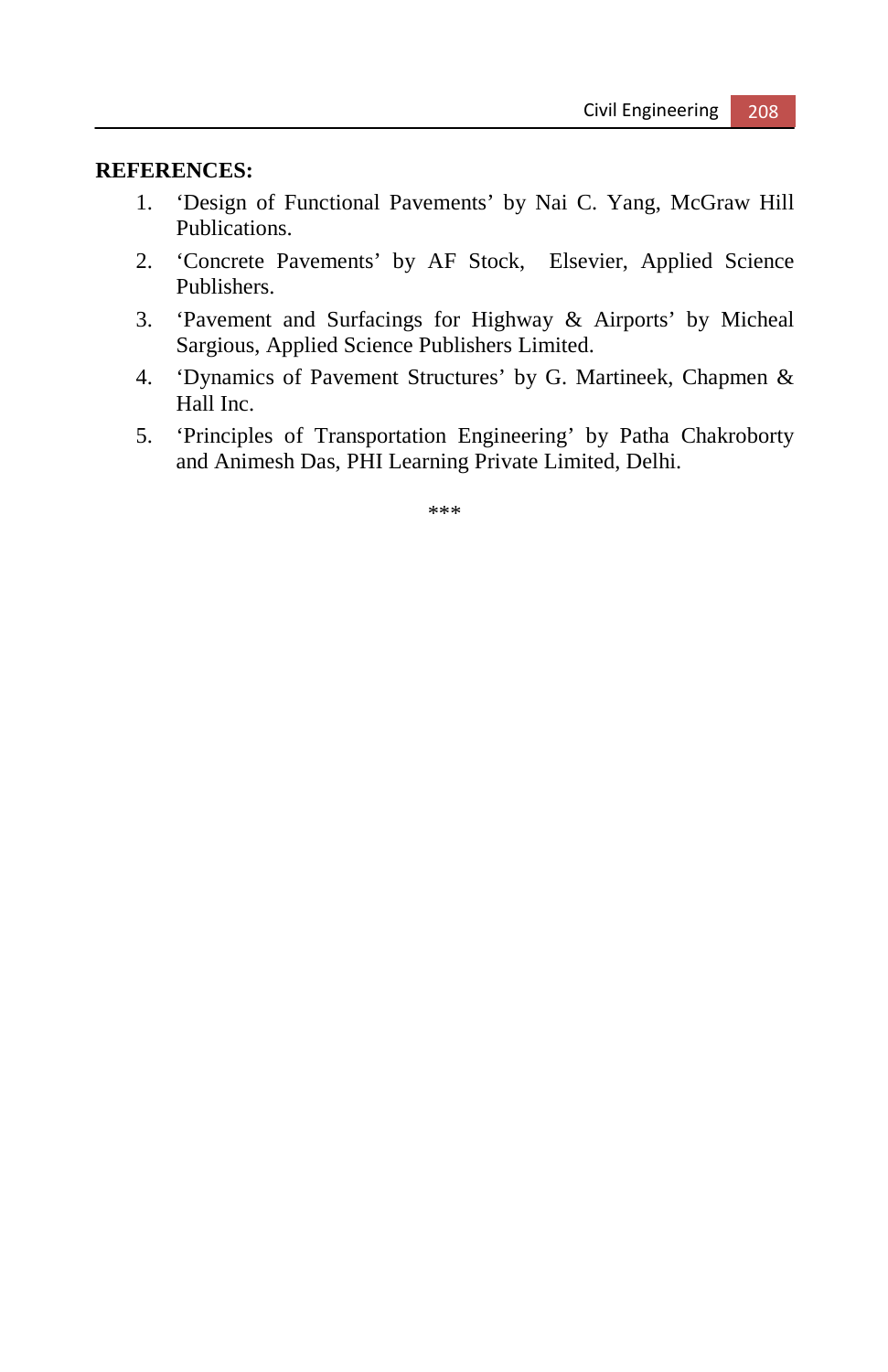#### **REFERENCES:**

- 1. 'Design of Functional Pavements' by Nai C. Yang, McGraw Hill Publications.
- 2. 'Concrete Pavements' by AF Stock, Elsevier, Applied Science Publishers.
- 3. 'Pavement and Surfacings for Highway & Airports' by Micheal Sargious, Applied Science Publishers Limited.
- 4. 'Dynamics of Pavement Structures' by G. Martineek, Chapmen & Hall Inc.
- 5. 'Principles of Transportation Engineering' by Patha Chakroborty and Animesh Das, PHI Learning Private Limited, Delhi.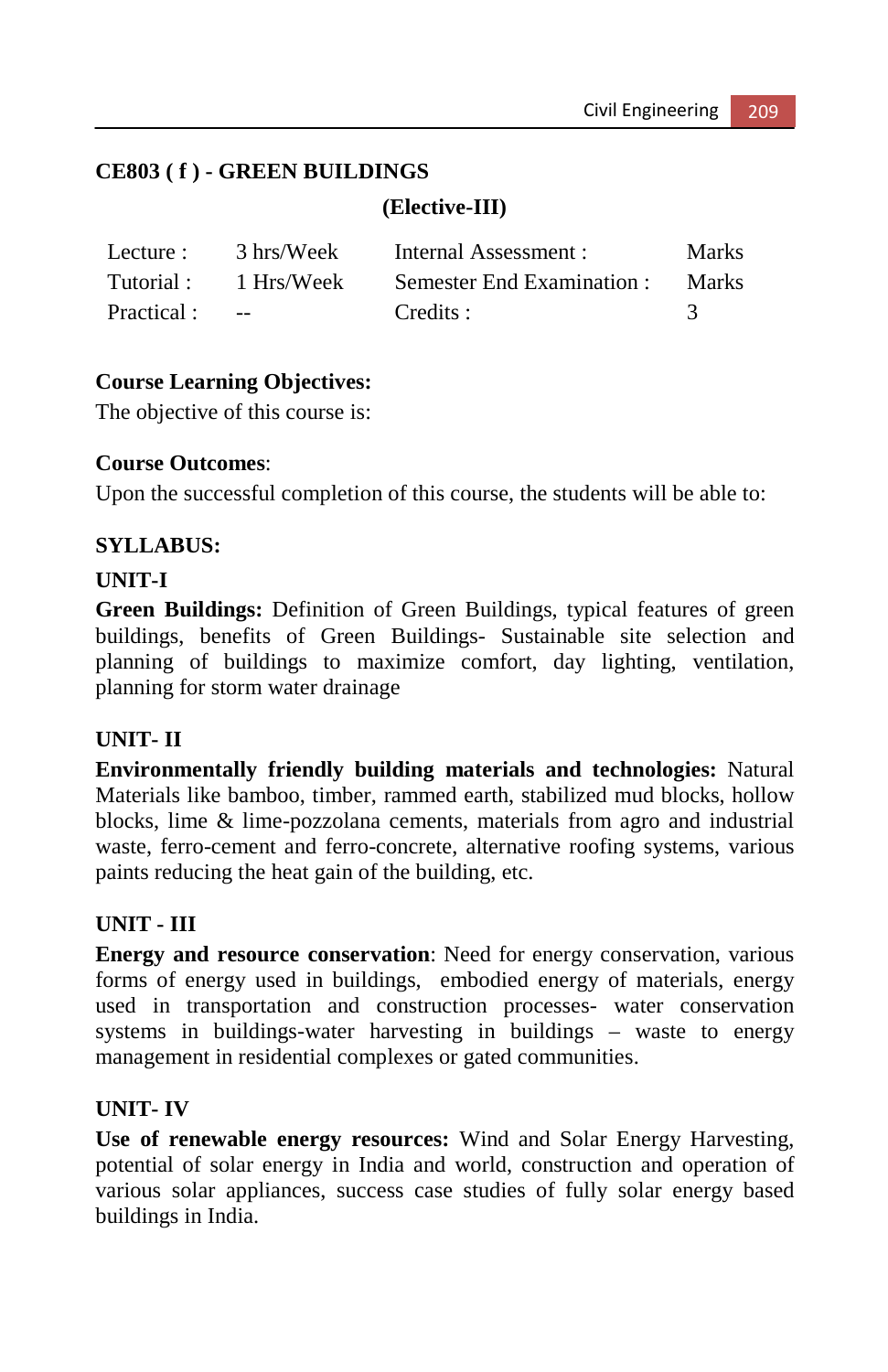## **CE803 ( f ) - GREEN BUILDINGS**

#### **(Elective-III)**

| Lecture :   | 3 hrs/Week  | Internal Assessment :      | <b>Marks</b> |
|-------------|-------------|----------------------------|--------------|
| Tutorial :  | 1 Hrs/Week  | Semester End Examination : | <b>Marks</b> |
| Practical : | $\sim$ $ -$ | Credits :                  |              |

#### **Course Learning Objectives:**

The objective of this course is:

#### **Course Outcomes**:

Upon the successful completion of this course, the students will be able to:

#### **SYLLABUS:**

#### **UNIT-I**

**Green Buildings:** Definition of Green Buildings, typical features of green buildings, benefits of Green Buildings- Sustainable site selection and planning of buildings to maximize comfort, day lighting, ventilation, planning for storm water drainage

## **UNIT- II**

**Environmentally friendly building materials and technologies:** Natural Materials like bamboo, timber, rammed earth, stabilized mud blocks, hollow blocks, lime & lime-pozzolana cements, materials from agro and industrial waste, ferro-cement and ferro-concrete, alternative roofing systems, various paints reducing the heat gain of the building, etc.

## **UNIT - III**

**Energy and resource conservation**: Need for energy conservation, various forms of energy used in buildings, embodied energy of materials, energy used in transportation and construction processes- water conservation systems in buildings-water harvesting in buildings – waste to energy management in residential complexes or gated communities.

## **UNIT- IV**

**Use of renewable energy resources:** Wind and Solar Energy Harvesting, potential of solar energy in India and world, construction and operation of various solar appliances, success case studies of fully solar energy based buildings in India.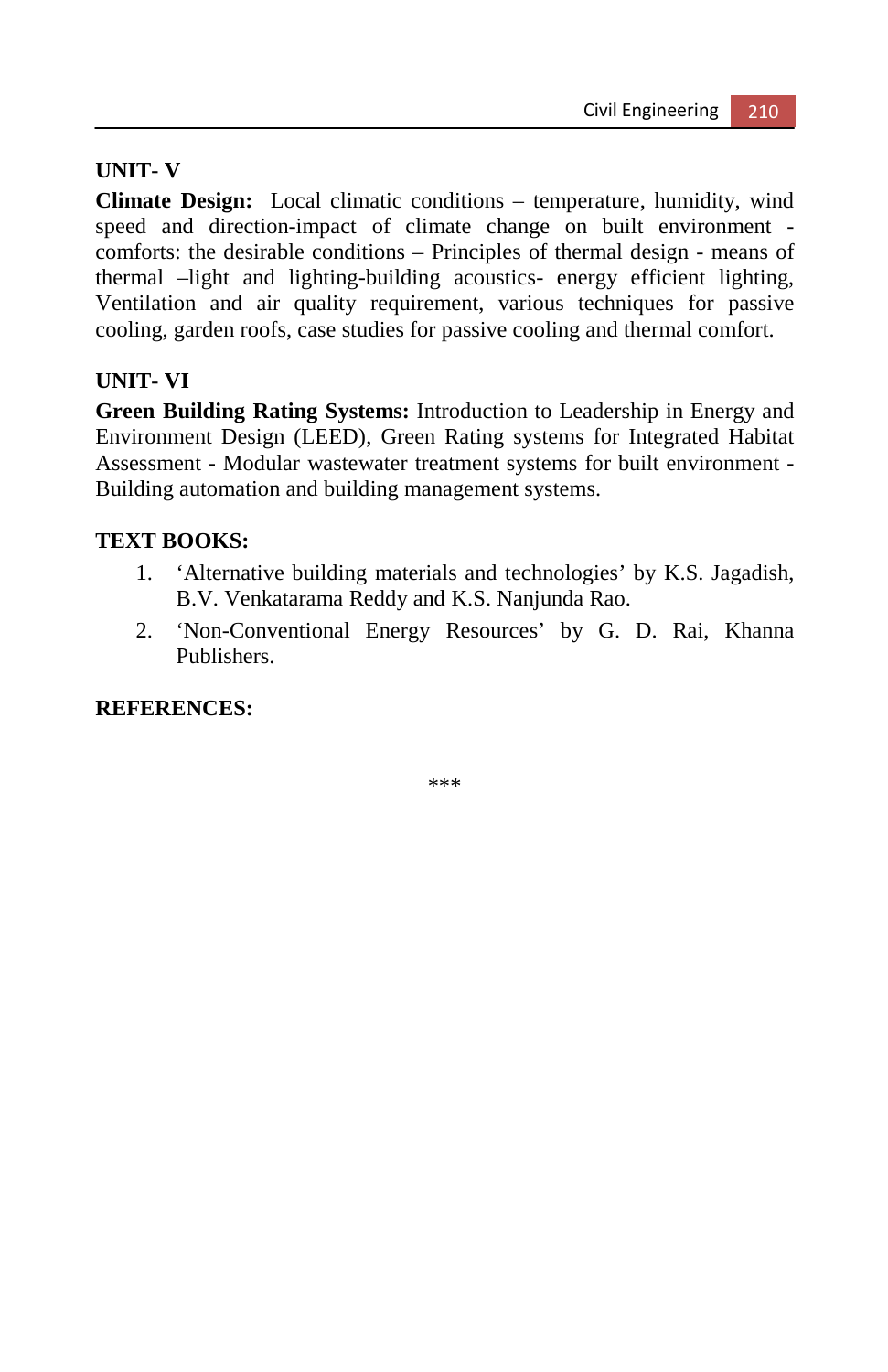## **UNIT- V**

**Climate Design:** Local climatic conditions – temperature, humidity, wind speed and direction-impact of climate change on built environment comforts: the desirable conditions – Principles of thermal design - means of thermal –light and lighting-building acoustics- energy efficient lighting, Ventilation and air quality requirement, various techniques for passive cooling, garden roofs, case studies for passive cooling and thermal comfort.

## **UNIT- VI**

**Green Building Rating Systems:** Introduction to Leadership in Energy and Environment Design (LEED), Green Rating systems for Integrated Habitat Assessment - Modular wastewater treatment systems for built environment - Building automation and building management systems.

## **TEXT BOOKS:**

- 1. 'Alternative building materials and technologies' by K.S. Jagadish, B.V. Venkatarama Reddy and K.S. Nanjunda Rao.
- 2. 'Non-Conventional Energy Resources' by G. D. Rai, Khanna Publishers.

## **REFERENCES:**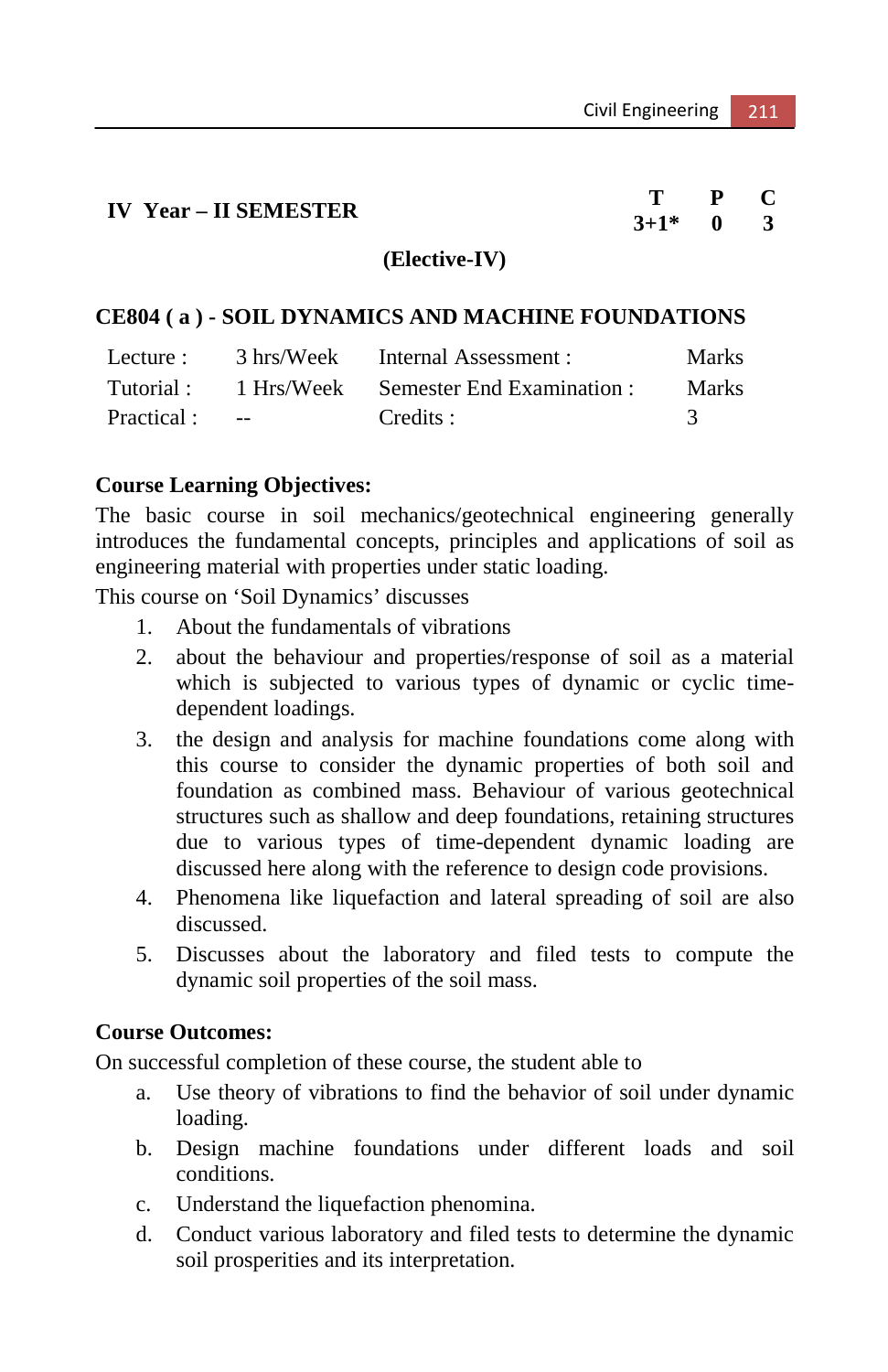| <b>IV Year – II SEMESTER</b> | $3+1*$ 0 |  |
|------------------------------|----------|--|
|                              |          |  |

#### **(Elective-IV)**

#### **CE804 ( a ) - SOIL DYNAMICS AND MACHINE FOUNDATIONS**

| Lecture :  |                          | 3 hrs/Week Internal Assessment :               | <b>Marks</b> |
|------------|--------------------------|------------------------------------------------|--------------|
|            |                          | Tutorial: 1 Hrs/Week Semester End Examination: | <b>Marks</b> |
| Practical: | <b>Contract Contract</b> | Credits :                                      |              |

#### **Course Learning Objectives:**

The basic course in soil mechanics/geotechnical engineering generally introduces the fundamental concepts, principles and applications of soil as engineering material with properties under static loading.

This course on 'Soil Dynamics' discusses

- 1. About the fundamentals of vibrations
- 2. about the behaviour and properties/response of soil as a material which is subjected to various types of dynamic or cyclic timedependent loadings.
- 3. the design and analysis for machine foundations come along with this course to consider the dynamic properties of both soil and foundation as combined mass. Behaviour of various geotechnical structures such as shallow and deep foundations, retaining structures due to various types of time-dependent dynamic loading are discussed here along with the reference to design code provisions.
- 4. Phenomena like liquefaction and lateral spreading of soil are also discussed.
- 5. Discusses about the laboratory and filed tests to compute the dynamic soil properties of the soil mass.

#### **Course Outcomes:**

On successful completion of these course, the student able to

- a. Use theory of vibrations to find the behavior of soil under dynamic loading.
- b. Design machine foundations under different loads and soil conditions.
- c. Understand the liquefaction phenomina.
- d. Conduct various laboratory and filed tests to determine the dynamic soil prosperities and its interpretation.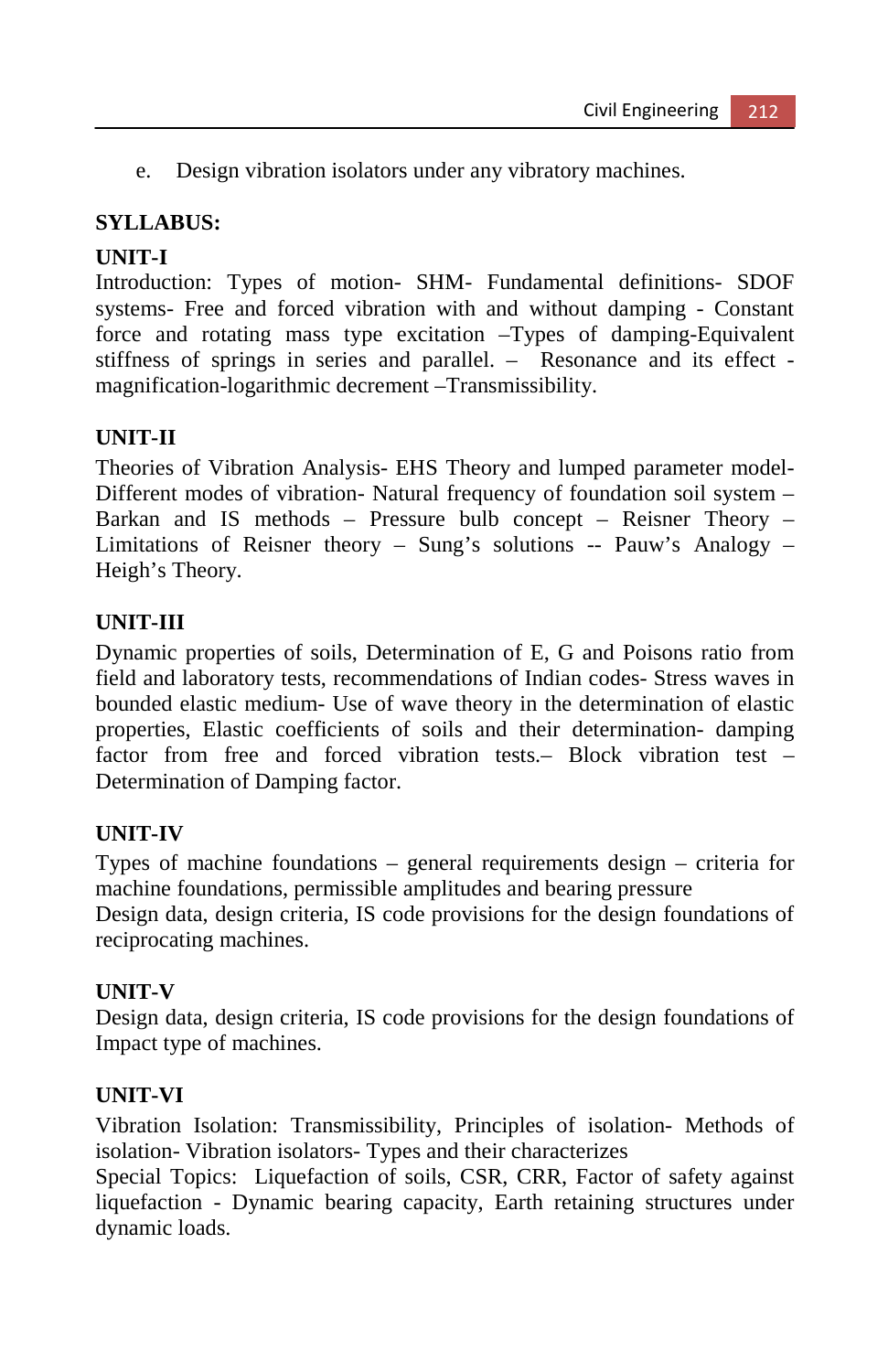e. Design vibration isolators under any vibratory machines.

## **SYLLABUS:**

## **UNIT-I**

Introduction: Types of motion- SHM- Fundamental definitions- SDOF systems- Free and forced vibration with and without damping - Constant force and rotating mass type excitation –Types of damping-Equivalent stiffness of springs in series and parallel. – Resonance and its effect magnification-logarithmic decrement –Transmissibility.

## **UNIT-II**

Theories of Vibration Analysis- EHS Theory and lumped parameter model-Different modes of vibration- Natural frequency of foundation soil system – Barkan and IS methods – Pressure bulb concept – Reisner Theory – Limitations of Reisner theory – Sung's solutions -- Pauw's Analogy – Heigh's Theory.

## **UNIT-III**

Dynamic properties of soils, Determination of E, G and Poisons ratio from field and laboratory tests, recommendations of Indian codes- Stress waves in bounded elastic medium- Use of wave theory in the determination of elastic properties, Elastic coefficients of soils and their determination- damping factor from free and forced vibration tests.– Block vibration test – Determination of Damping factor.

## **UNIT-IV**

Types of machine foundations – general requirements design – criteria for machine foundations, permissible amplitudes and bearing pressure Design data, design criteria, IS code provisions for the design foundations of reciprocating machines.

## **UNIT-V**

Design data, design criteria, IS code provisions for the design foundations of Impact type of machines.

## **UNIT-VI**

Vibration Isolation: Transmissibility, Principles of isolation- Methods of isolation- Vibration isolators- Types and their characterizes

Special Topics: Liquefaction of soils, CSR, CRR, Factor of safety against liquefaction - Dynamic bearing capacity, Earth retaining structures under dynamic loads.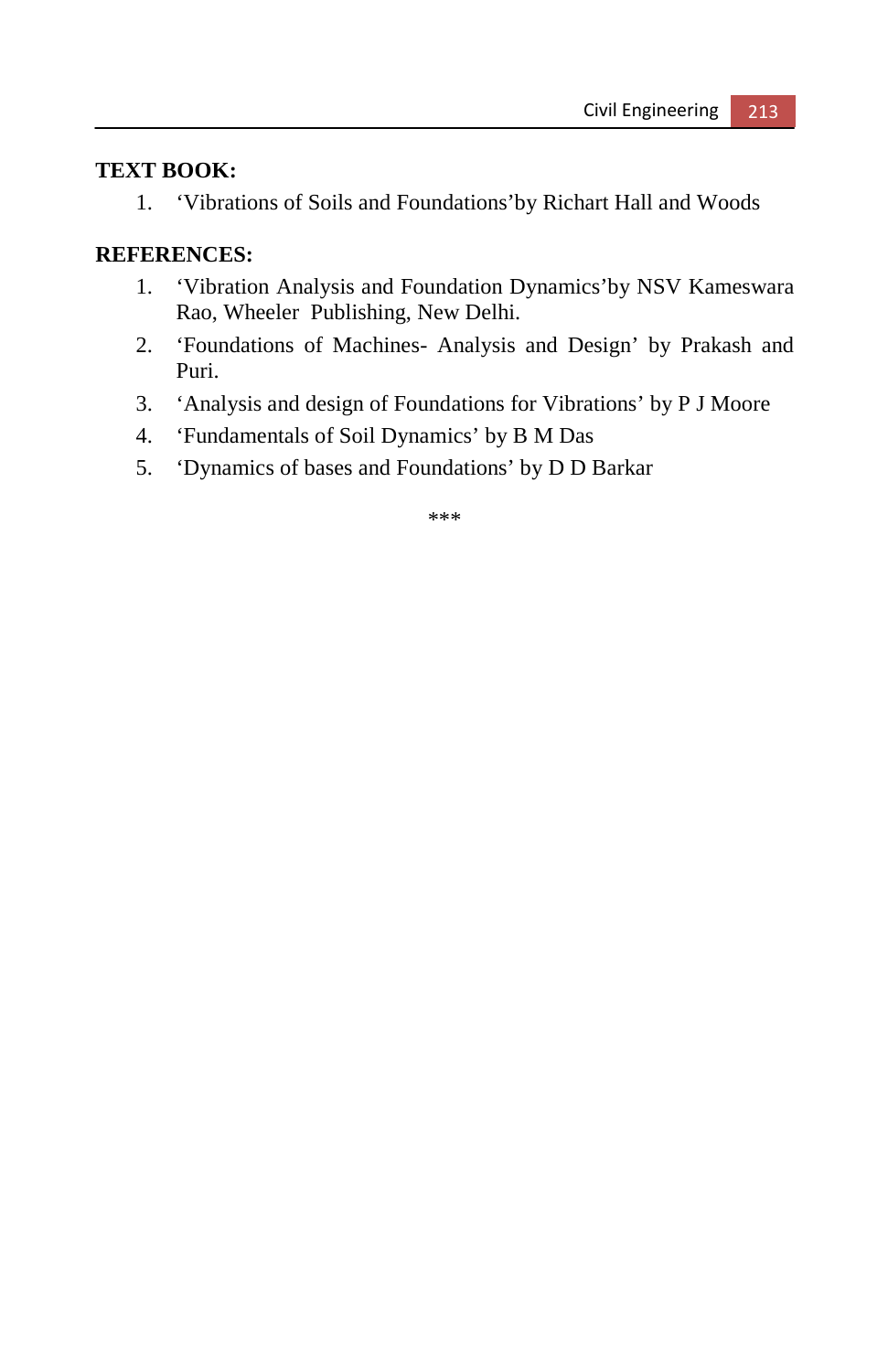## **TEXT BOOK:**

1. 'Vibrations of Soils and Foundations'by Richart Hall and Woods

#### **REFERENCES:**

- 1. 'Vibration Analysis and Foundation Dynamics'by NSV Kameswara Rao, Wheeler Publishing, New Delhi.
- 2. 'Foundations of Machines- Analysis and Design' by Prakash and Puri.
- 3. 'Analysis and design of Foundations for Vibrations' by P J Moore
- 4. 'Fundamentals of Soil Dynamics' by B M Das
- 5. 'Dynamics of bases and Foundations' by D D Barkar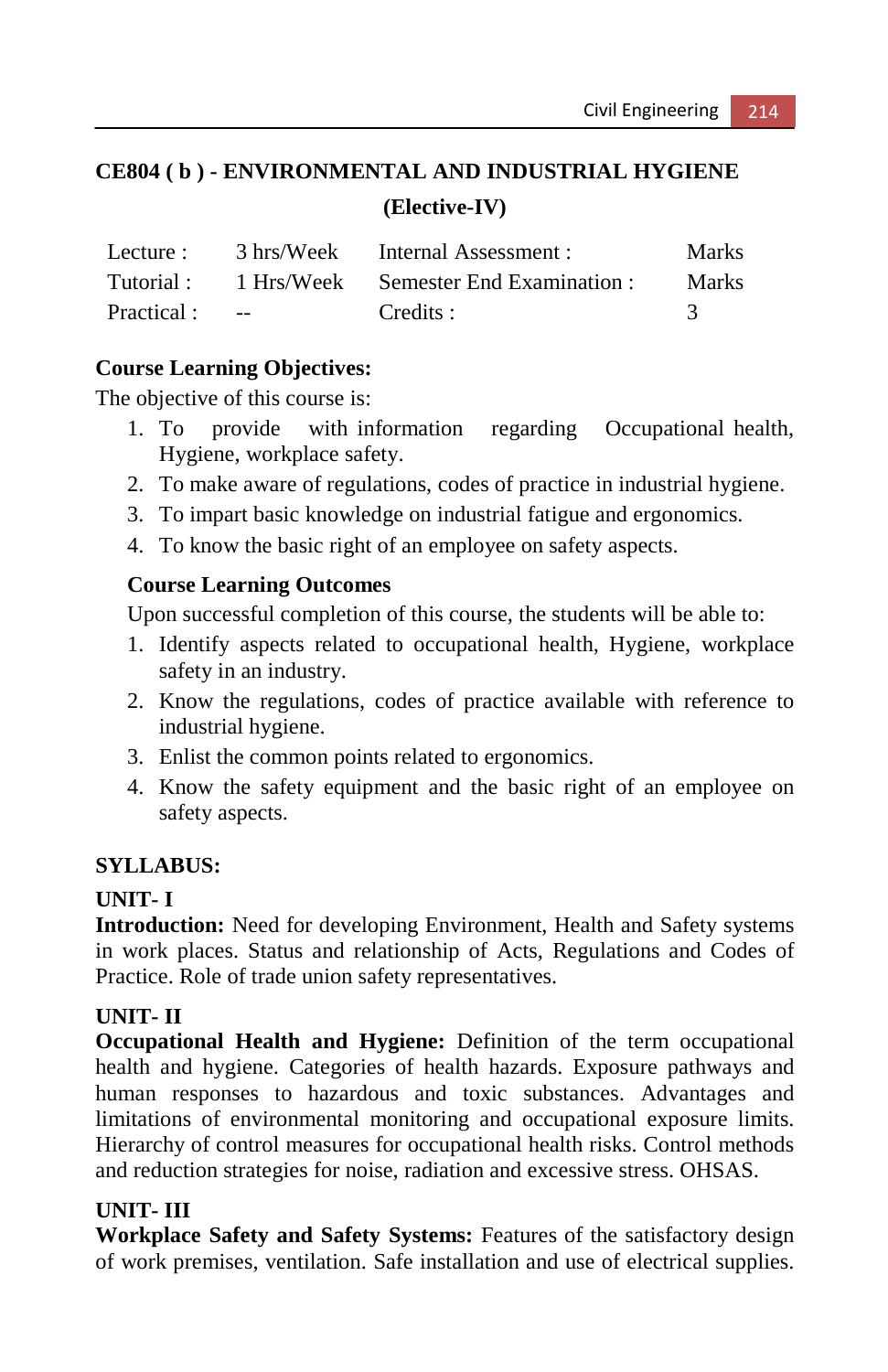# **CE804 ( b ) - ENVIRONMENTAL AND INDUSTRIAL HYGIENE (Elective-IV)**

| Lecture :   | 3 hrs/Week                                | Internal Assessment :                          | <b>Marks</b> |
|-------------|-------------------------------------------|------------------------------------------------|--------------|
|             |                                           | Tutorial: 1 Hrs/Week Semester End Examination: | <b>Marks</b> |
| Practical : | <b>Service Contract Contract Contract</b> | Credits :                                      |              |

## **Course Learning Objectives:**

The objective of this course is:

- 1. To provide with information regarding Occupational health, Hygiene, workplace safety.
- 2. To make aware of regulations, codes of practice in industrial hygiene.
- 3. To impart basic knowledge on industrial fatigue and ergonomics.
- 4. To know the basic right of an employee on safety aspects.

#### **Course Learning Outcomes**

Upon successful completion of this course, the students will be able to:

- 1. Identify aspects related to occupational health, Hygiene, workplace safety in an industry.
- 2. Know the regulations, codes of practice available with reference to industrial hygiene.
- 3. Enlist the common points related to ergonomics.
- 4. Know the safety equipment and the basic right of an employee on safety aspects.

## **SYLLABUS:**

## **UNIT- I**

**Introduction:** Need for developing Environment, Health and Safety systems in work places. Status and relationship of Acts, Regulations and Codes of Practice. Role of trade union safety representatives.

## **UNIT- II**

**Occupational Health and Hygiene:** Definition of the term occupational health and hygiene. Categories of health hazards. Exposure pathways and human responses to hazardous and toxic substances. Advantages and limitations of environmental monitoring and occupational exposure limits. Hierarchy of control measures for occupational health risks. Control methods and reduction strategies for noise, radiation and excessive stress. OHSAS.

## **UNIT- III**

**Workplace Safety and Safety Systems:** Features of the satisfactory design of work premises, ventilation. Safe installation and use of electrical supplies.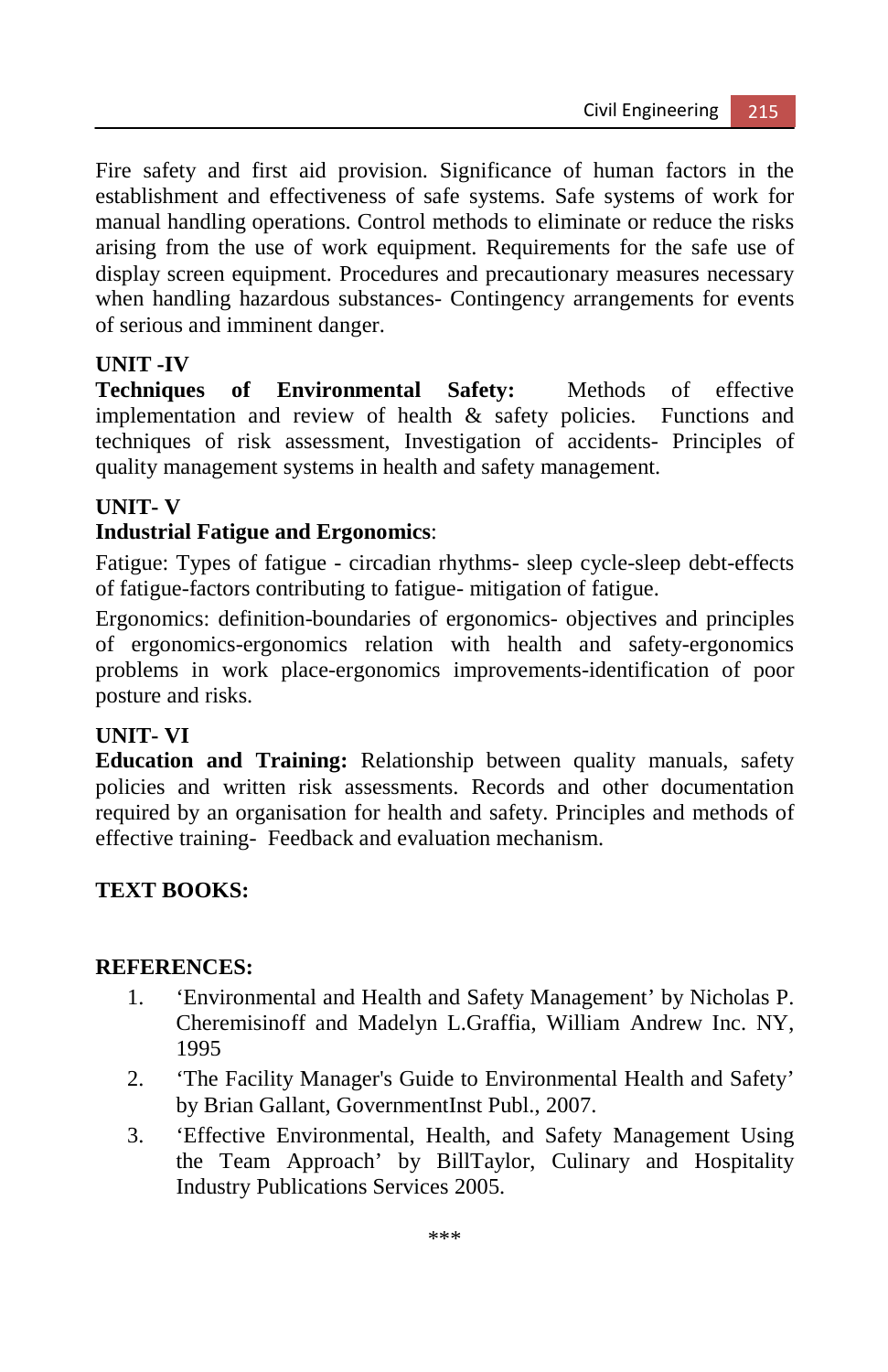Fire safety and first aid provision. Significance of human factors in the establishment and effectiveness of safe systems. Safe systems of work for manual handling operations. Control methods to eliminate or reduce the risks arising from the use of work equipment. Requirements for the safe use of display screen equipment. Procedures and precautionary measures necessary when handling hazardous substances- Contingency arrangements for events of serious and imminent danger.

## **UNIT -IV**

**Techniques of Environmental Safety:** Methods of effective implementation and review of health & safety policies. Functions and techniques of risk assessment, Investigation of accidents- Principles of quality management systems in health and safety management.

## **UNIT- V**

## **Industrial Fatigue and Ergonomics**:

Fatigue: Types of fatigue - circadian rhythms- sleep cycle-sleep debt-effects of fatigue-factors contributing to fatigue- mitigation of fatigue.

Ergonomics: definition-boundaries of ergonomics- objectives and principles of ergonomics-ergonomics relation with health and safety-ergonomics problems in work place-ergonomics improvements-identification of poor posture and risks.

## **UNIT- VI**

**Education and Training:** Relationship between quality manuals, safety policies and written risk assessments. Records and other documentation required by an organisation for health and safety. Principles and methods of effective training- Feedback and evaluation mechanism.

## **TEXT BOOKS:**

## **REFERENCES:**

- 1. 'Environmental and Health and Safety Management' by Nicholas P. Cheremisinoff and Madelyn L.Graffia, William Andrew Inc. NY, 1995
- 2. 'The Facility Manager's Guide to Environmental Health and Safety' by Brian Gallant, GovernmentInst Publ., 2007.
- 3. 'Effective Environmental, Health, and Safety Management Using the Team Approach' by BillTaylor, Culinary and Hospitality Industry Publications Services 2005.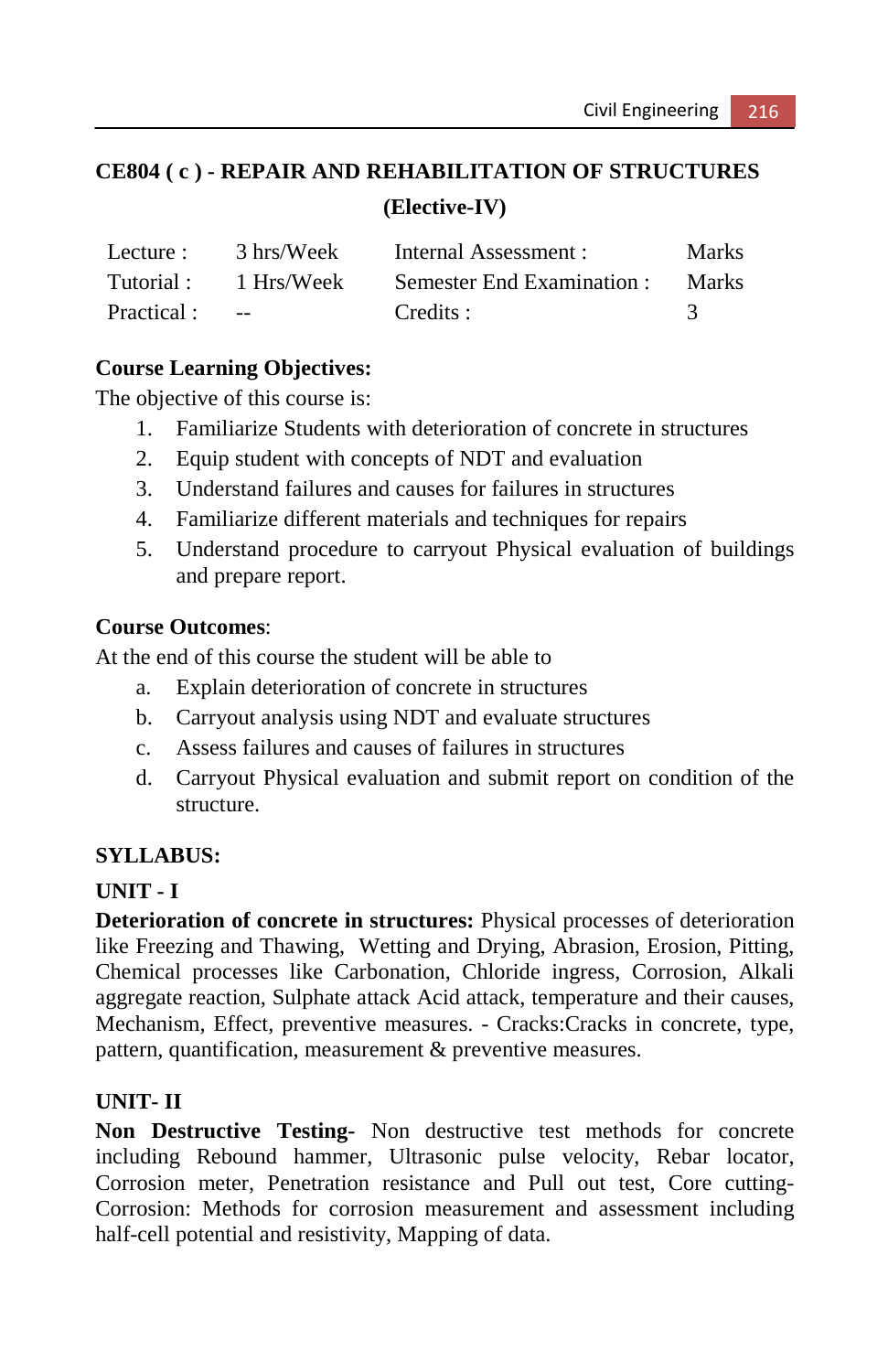# **CE804 ( c ) - REPAIR AND REHABILITATION OF STRUCTURES (Elective-IV)**

| Lecture :   | 3 hrs/Week                        | Internal Assessment :      | <b>Marks</b> |
|-------------|-----------------------------------|----------------------------|--------------|
| Tutorial :  | 1 Hrs/Week                        | Semester End Examination : | <b>Marks</b> |
| Practical : | <b>Contract Contract Contract</b> | Credits :                  |              |

## **Course Learning Objectives:**

The objective of this course is:

- 1. Familiarize Students with deterioration of concrete in structures
- 2. Equip student with concepts of NDT and evaluation
- 3. Understand failures and causes for failures in structures
- 4. Familiarize different materials and techniques for repairs
- 5. Understand procedure to carryout Physical evaluation of buildings and prepare report.

#### **Course Outcomes**:

At the end of this course the student will be able to

- a. Explain deterioration of concrete in structures
- b. Carryout analysis using NDT and evaluate structures
- c. Assess failures and causes of failures in structures
- d. Carryout Physical evaluation and submit report on condition of the structure.

## **SYLLABUS:**

#### **UNIT - I**

**Deterioration of concrete in structures:** Physical processes of deterioration like Freezing and Thawing, Wetting and Drying, Abrasion, Erosion, Pitting, Chemical processes like Carbonation, Chloride ingress, Corrosion, Alkali aggregate reaction, Sulphate attack Acid attack, temperature and their causes, Mechanism, Effect, preventive measures. - Cracks:Cracks in concrete, type, pattern, quantification, measurement & preventive measures.

## **UNIT- II**

**Non Destructive Testing-** Non destructive test methods for concrete including Rebound hammer, Ultrasonic pulse velocity, Rebar locator, Corrosion meter, Penetration resistance and Pull out test, Core cutting-Corrosion: Methods for corrosion measurement and assessment including half-cell potential and resistivity, Mapping of data.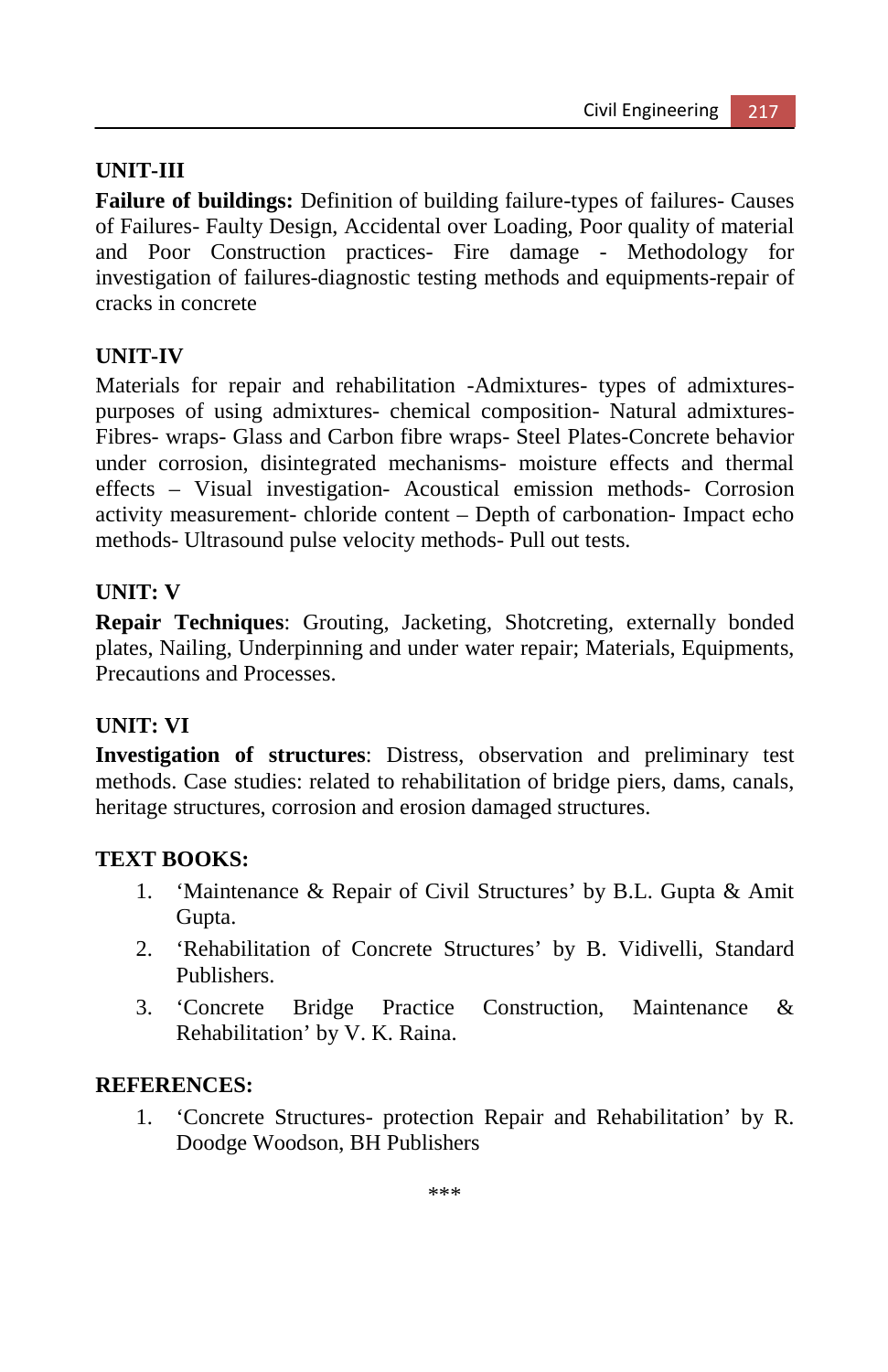# **UNIT-III**

**Failure of buildings:** Definition of building failure-types of failures- Causes of Failures- Faulty Design, Accidental over Loading, Poor quality of material and Poor Construction practices- Fire damage - Methodology for investigation of failures-diagnostic testing methods and equipments-repair of cracks in concrete

# **UNIT-IV**

Materials for repair and rehabilitation -Admixtures- types of admixturespurposes of using admixtures- chemical composition- Natural admixtures-Fibres- wraps- Glass and Carbon fibre wraps- Steel Plates-Concrete behavior under corrosion, disintegrated mechanisms- moisture effects and thermal effects – Visual investigation- Acoustical emission methods- Corrosion activity measurement- chloride content – Depth of carbonation- Impact echo methods- Ultrasound pulse velocity methods- Pull out tests.

# **UNIT: V**

**Repair Techniques**: Grouting, Jacketing, Shotcreting, externally bonded plates, Nailing, Underpinning and under water repair; Materials, Equipments, Precautions and Processes.

#### **UNIT: VI**

**Investigation of structures**: Distress, observation and preliminary test methods. Case studies: related to rehabilitation of bridge piers, dams, canals, heritage structures, corrosion and erosion damaged structures.

# **TEXT BOOKS:**

- 1. 'Maintenance & Repair of Civil Structures' by B.L. Gupta & Amit Gupta.
- 2. 'Rehabilitation of Concrete Structures' by B. Vidivelli, Standard Publishers.
- 3. 'Concrete Bridge Practice Construction, Maintenance & Rehabilitation' by V. K. Raina.

#### **REFERENCES:**

1. 'Concrete Structures- protection Repair and Rehabilitation' by R. Doodge Woodson, BH Publishers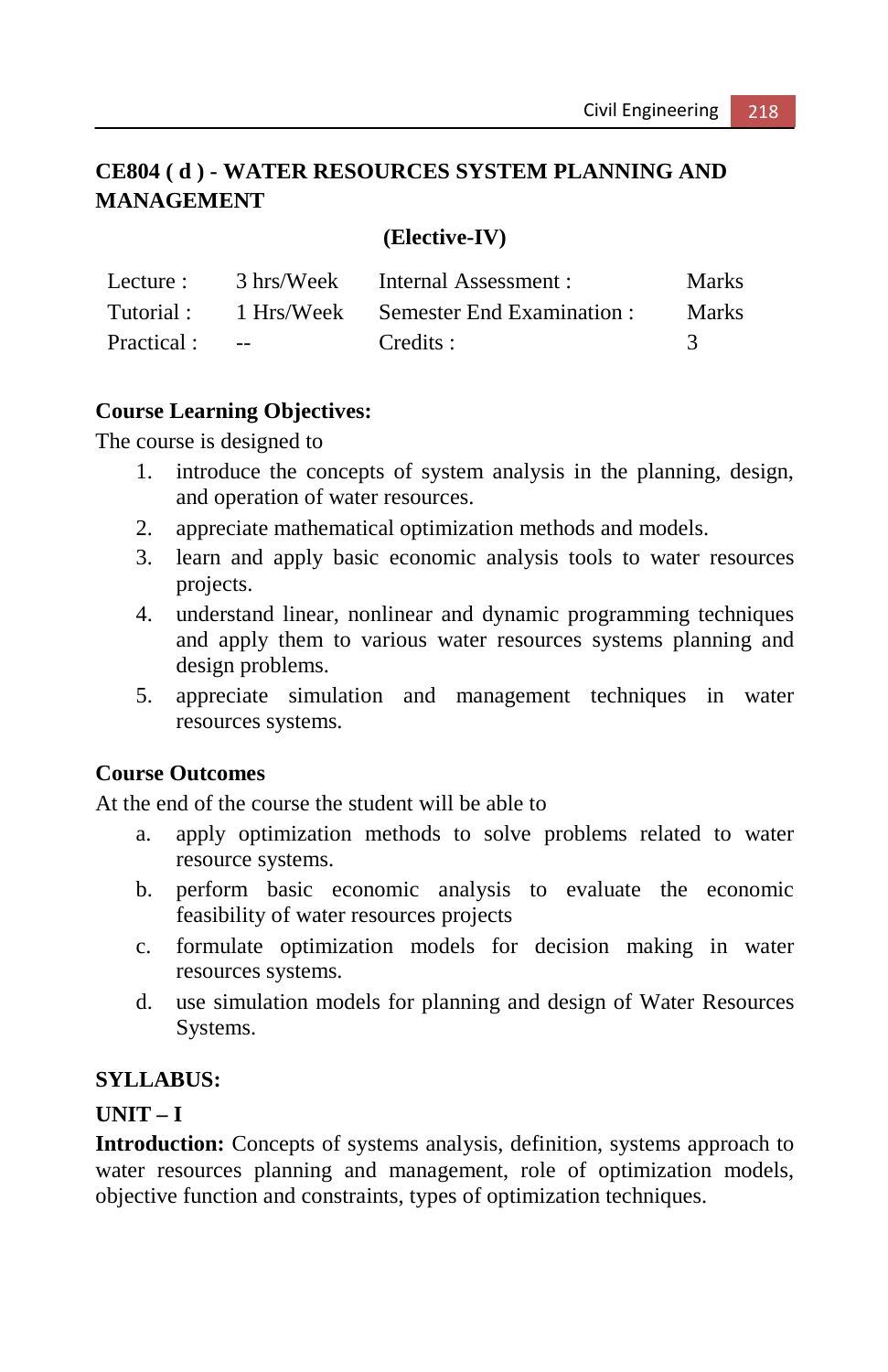# **CE804 ( d ) - WATER RESOURCES SYSTEM PLANNING AND MANAGEMENT**

#### **(Elective-IV)**

| Lecture :  | 3 hrs/Week               | Internal Assessment :                          | <b>Marks</b> |
|------------|--------------------------|------------------------------------------------|--------------|
|            |                          | Tutorial: 1 Hrs/Week Semester End Examination: | <b>Marks</b> |
| Practical: | <b>Service Contracts</b> | Credits :                                      |              |

#### **Course Learning Objectives:**

The course is designed to

- 1. introduce the concepts of system analysis in the planning, design, and operation of water resources.
- 2. appreciate mathematical optimization methods and models.
- 3. learn and apply basic economic analysis tools to water resources projects.
- 4. understand linear, nonlinear and dynamic programming techniques and apply them to various water resources systems planning and design problems.
- 5. appreciate simulation and management techniques in water resources systems.

#### **Course Outcomes**

At the end of the course the student will be able to

- a. apply optimization methods to solve problems related to water resource systems.
- b. perform basic economic analysis to evaluate the economic feasibility of water resources projects
- c. formulate optimization models for decision making in water resources systems.
- d. use simulation models for planning and design of Water Resources Systems.

#### **SYLLABUS:**

#### **UNIT – I**

**Introduction:** Concepts of systems analysis, definition, systems approach to water resources planning and management, role of optimization models, objective function and constraints, types of optimization techniques.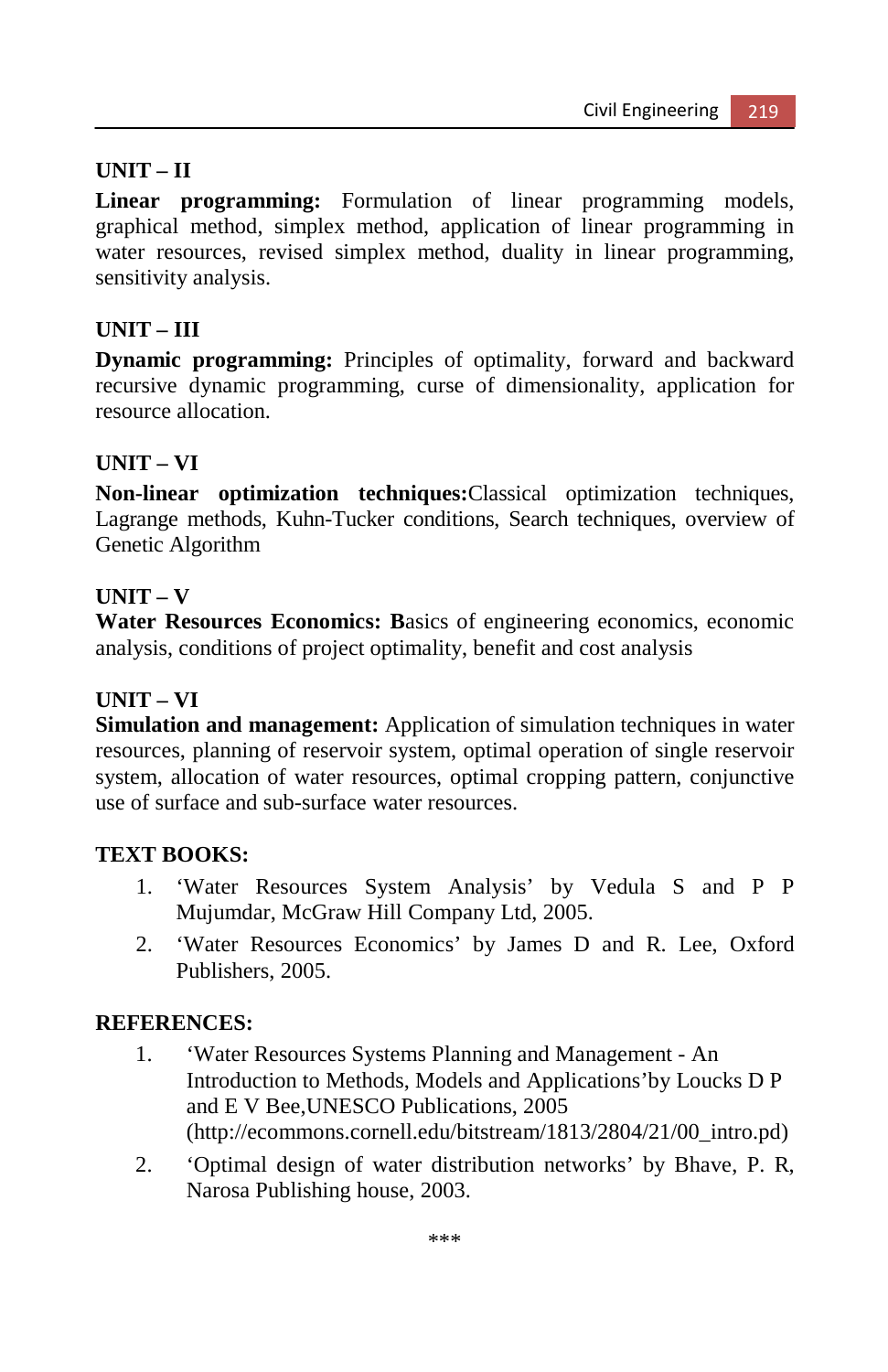# **UNIT – II**

**Linear programming:** Formulation of linear programming models, graphical method, simplex method, application of linear programming in water resources, revised simplex method, duality in linear programming, sensitivity analysis.

### **UNIT – III**

**Dynamic programming:** Principles of optimality, forward and backward recursive dynamic programming, curse of dimensionality, application for resource allocation.

#### **UNIT – VI**

**Non-linear optimization techniques:**Classical optimization techniques, Lagrange methods, Kuhn-Tucker conditions, Search techniques, overview of Genetic Algorithm

#### **UNIT – V**

**Water Resources Economics: B**asics of engineering economics, economic analysis, conditions of project optimality, benefit and cost analysis

#### **UNIT – VI**

**Simulation and management:** Application of simulation techniques in water resources, planning of reservoir system, optimal operation of single reservoir system, allocation of water resources, optimal cropping pattern, conjunctive use of surface and sub-surface water resources.

#### **TEXT BOOKS:**

- 1. 'Water Resources System Analysis' by Vedula S and P P Mujumdar, McGraw Hill Company Ltd, 2005.
- 2. 'Water Resources Economics' by James D and R. Lee, Oxford Publishers, 2005.

#### **REFERENCES:**

- 1. 'Water Resources Systems Planning and Management An Introduction to Methods, Models and Applications'by Loucks D P and E V Bee,UNESCO Publications, 2005 (http://ecommons.cornell.edu/bitstream/1813/2804/21/00\_intro.pd)
- 2. 'Optimal design of water distribution networks' by Bhave, P. R, Narosa Publishing house, 2003.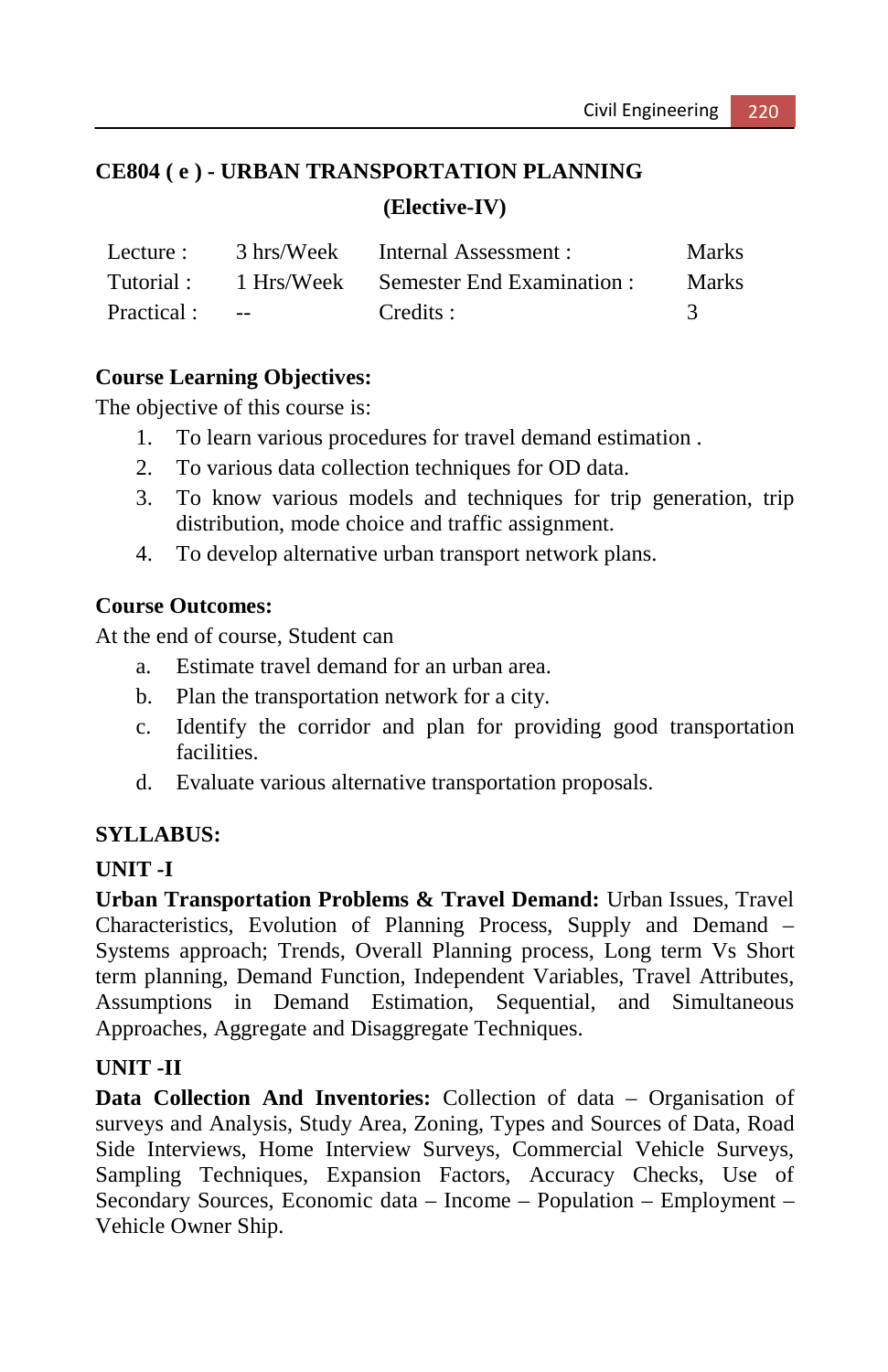# **CE804 ( e ) - URBAN TRANSPORTATION PLANNING (Elective-IV)**

| Lecture :  | 3 hrs/Week                       | Internal Assessment :                          | <b>Marks</b> |
|------------|----------------------------------|------------------------------------------------|--------------|
|            |                                  | Tutorial: 1 Hrs/Week Semester End Examination: | <b>Marks</b> |
| Practical: | <b>Service Contract Contract</b> | Credits :                                      |              |

#### **Course Learning Objectives:**

The objective of this course is:

- 1. To learn various procedures for travel demand estimation .
- 2. To various data collection techniques for OD data.
- 3. To know various models and techniques for trip generation, trip distribution, mode choice and traffic assignment.
- 4. To develop alternative urban transport network plans.

#### **Course Outcomes:**

At the end of course, Student can

- a. Estimate travel demand for an urban area.
- b. Plan the transportation network for a city.
- c. Identify the corridor and plan for providing good transportation facilities.
- d. Evaluate various alternative transportation proposals.

#### **SYLLABUS:**

#### **UNIT -I**

**Urban Transportation Problems & Travel Demand:** Urban Issues, Travel Characteristics, Evolution of Planning Process, Supply and Demand – Systems approach; Trends, Overall Planning process, Long term Vs Short term planning, Demand Function, Independent Variables, Travel Attributes, Assumptions in Demand Estimation, Sequential, and Simultaneous Approaches, Aggregate and Disaggregate Techniques.

#### **UNIT -II**

**Data Collection And Inventories:** Collection of data – Organisation of surveys and Analysis, Study Area, Zoning, Types and Sources of Data, Road Side Interviews, Home Interview Surveys, Commercial Vehicle Surveys, Sampling Techniques, Expansion Factors, Accuracy Checks, Use of Secondary Sources, Economic data – Income – Population – Employment – Vehicle Owner Ship.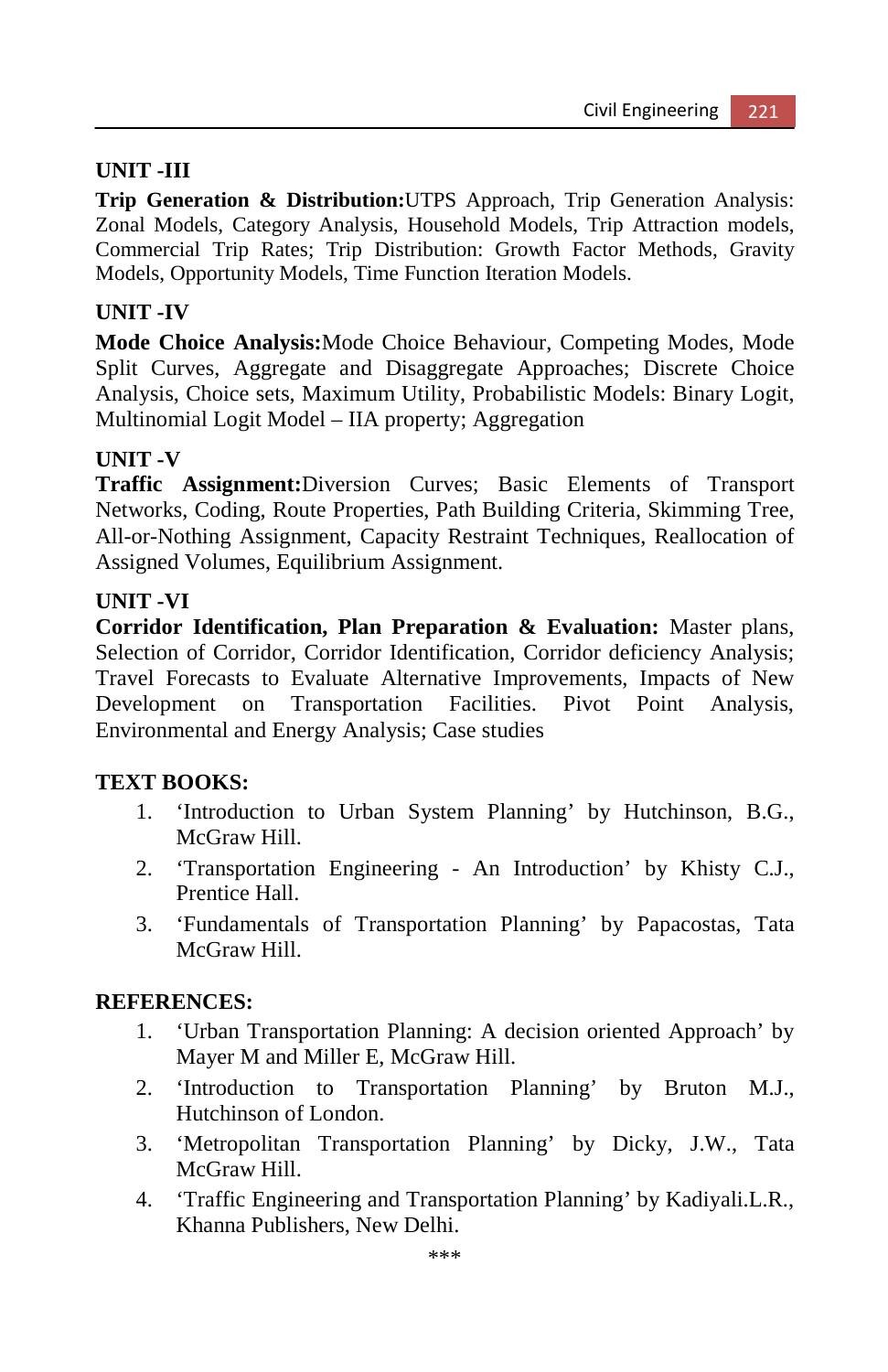### **UNIT -III**

**Trip Generation & Distribution:**UTPS Approach, Trip Generation Analysis: Zonal Models, Category Analysis, Household Models, Trip Attraction models, Commercial Trip Rates; Trip Distribution: Growth Factor Methods, Gravity Models, Opportunity Models, Time Function Iteration Models.

# **UNIT -IV**

**Mode Choice Analysis:**Mode Choice Behaviour, Competing Modes, Mode Split Curves, Aggregate and Disaggregate Approaches; Discrete Choice Analysis, Choice sets, Maximum Utility, Probabilistic Models: Binary Logit, Multinomial Logit Model – IIA property; Aggregation

#### **UNIT -V**

**Traffic Assignment:**Diversion Curves; Basic Elements of Transport Networks, Coding, Route Properties, Path Building Criteria, Skimming Tree, All-or-Nothing Assignment, Capacity Restraint Techniques, Reallocation of Assigned Volumes, Equilibrium Assignment.

#### **UNIT -VI**

**Corridor Identification, Plan Preparation & Evaluation:** Master plans, Selection of Corridor, Corridor Identification, Corridor deficiency Analysis; Travel Forecasts to Evaluate Alternative Improvements, Impacts of New Development on Transportation Facilities. Pivot Point Analysis, Environmental and Energy Analysis; Case studies

#### **TEXT BOOKS:**

- 1. 'Introduction to Urban System Planning' by Hutchinson, B.G., McGraw Hill.
- 2. 'Transportation Engineering An Introduction' by Khisty C.J., Prentice Hall.
- 3. 'Fundamentals of Transportation Planning' by Papacostas, Tata McGraw Hill.

#### **REFERENCES:**

- 1. 'Urban Transportation Planning: A decision oriented Approach' by Mayer M and Miller E, McGraw Hill.
- 2. 'Introduction to Transportation Planning' by Bruton M.J., Hutchinson of London.
- 3. 'Metropolitan Transportation Planning' by Dicky, J.W., Tata McGraw Hill.
- 4. 'Traffic Engineering and Transportation Planning' by Kadiyali.L.R., Khanna Publishers, New Delhi.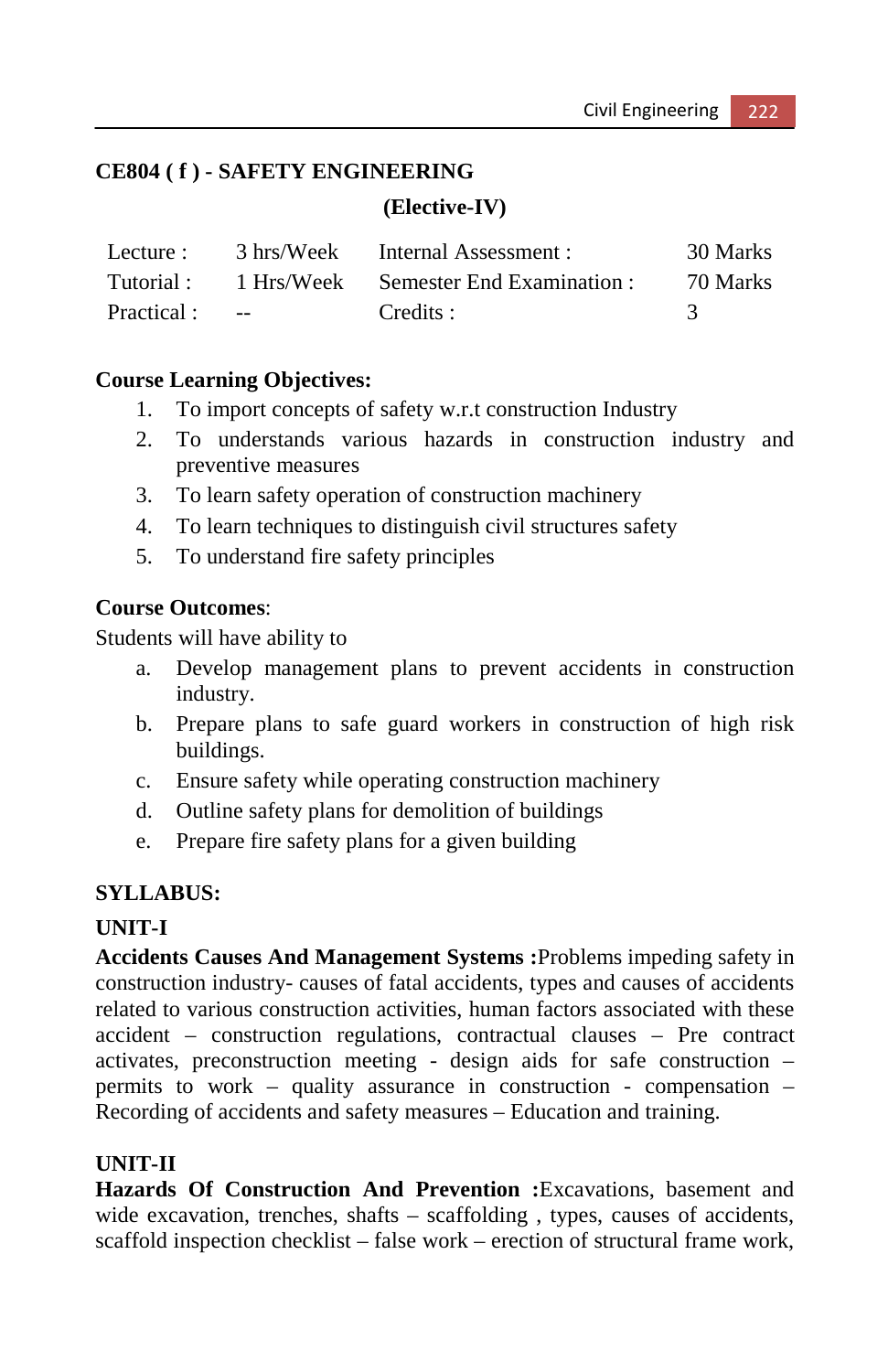# **CE804 ( f ) - SAFETY ENGINEERING**

#### **(Elective-IV)**

| Lecture :     | 3 hrs/Week | Internal Assessment :                          | 30 Marks |
|---------------|------------|------------------------------------------------|----------|
|               |            | Tutorial: 1 Hrs/Week Semester End Examination: | 70 Marks |
| Practical : - |            | Credits :                                      |          |

#### **Course Learning Objectives:**

- 1. To import concepts of safety w.r.t construction Industry
- 2. To understands various hazards in construction industry and preventive measures
- 3. To learn safety operation of construction machinery
- 4. To learn techniques to distinguish civil structures safety
- 5. To understand fire safety principles

#### **Course Outcomes**:

Students will have ability to

- a. Develop management plans to prevent accidents in construction industry.
- b. Prepare plans to safe guard workers in construction of high risk buildings.
- c. Ensure safety while operating construction machinery
- d. Outline safety plans for demolition of buildings
- e. Prepare fire safety plans for a given building

#### **SYLLABUS:**

#### **UNIT-I**

**Accidents Causes And Management Systems :**Problems impeding safety in construction industry- causes of fatal accidents, types and causes of accidents related to various construction activities, human factors associated with these accident – construction regulations, contractual clauses – Pre contract activates, preconstruction meeting - design aids for safe construction – permits to work – quality assurance in construction - compensation – Recording of accidents and safety measures – Education and training.

# **UNIT-II**

**Hazards Of Construction And Prevention :**Excavations, basement and wide excavation, trenches, shafts – scaffolding , types, causes of accidents, scaffold inspection checklist – false work – erection of structural frame work,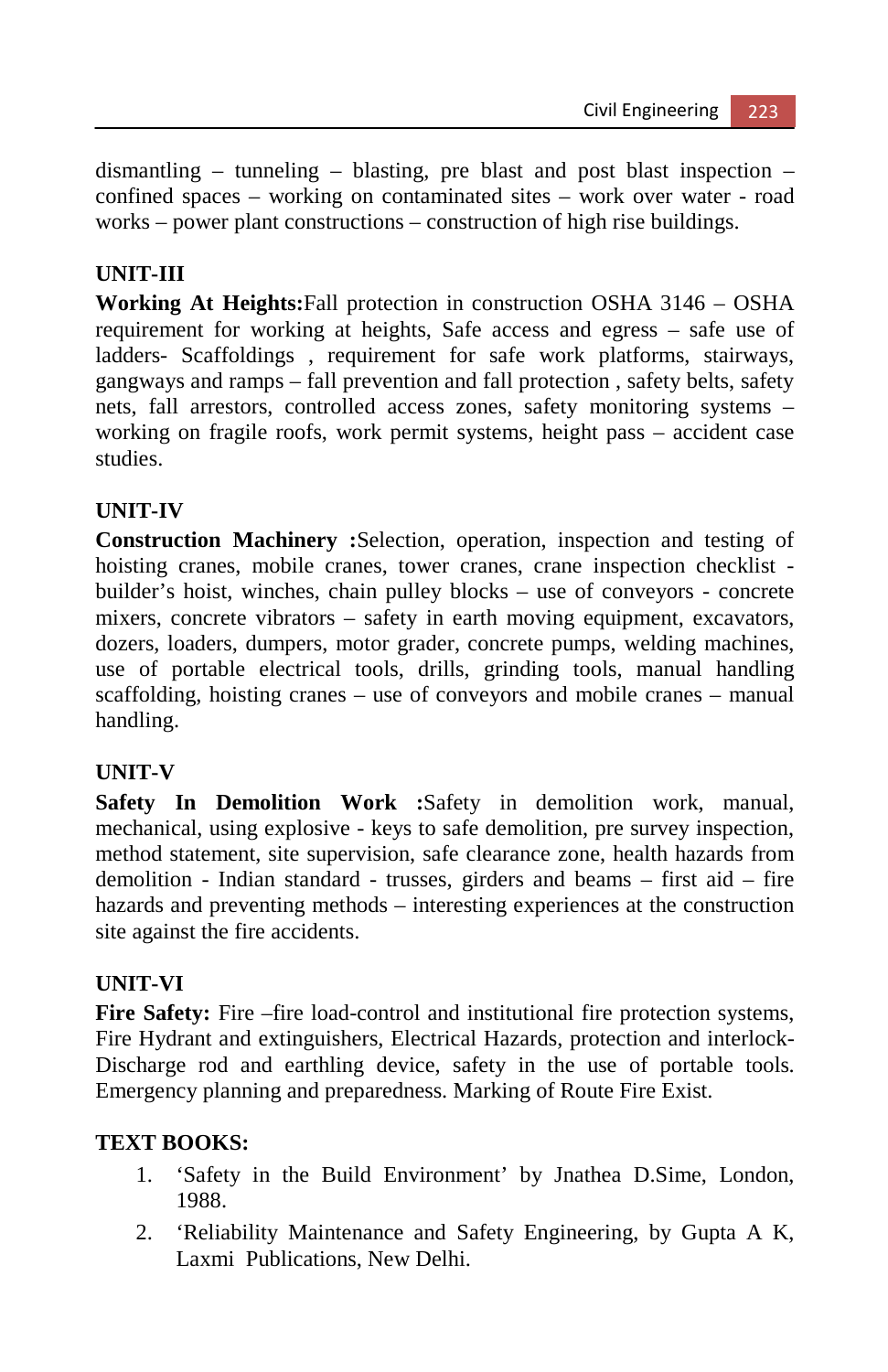dismantling – tunneling – blasting, pre blast and post blast inspection – confined spaces – working on contaminated sites – work over water - road works – power plant constructions – construction of high rise buildings.

# **UNIT-III**

**Working At Heights:**Fall protection in construction OSHA 3146 – OSHA requirement for working at heights, Safe access and egress – safe use of ladders- Scaffoldings , requirement for safe work platforms, stairways, gangways and ramps – fall prevention and fall protection , safety belts, safety nets, fall arrestors, controlled access zones, safety monitoring systems – working on fragile roofs, work permit systems, height pass – accident case studies.

# **UNIT-IV**

**Construction Machinery :**Selection, operation, inspection and testing of hoisting cranes, mobile cranes, tower cranes, crane inspection checklist builder's hoist, winches, chain pulley blocks – use of conveyors - concrete mixers, concrete vibrators – safety in earth moving equipment, excavators, dozers, loaders, dumpers, motor grader, concrete pumps, welding machines, use of portable electrical tools, drills, grinding tools, manual handling scaffolding, hoisting cranes – use of conveyors and mobile cranes – manual handling.

#### **UNIT-V**

**Safety In Demolition Work :**Safety in demolition work, manual, mechanical, using explosive - keys to safe demolition, pre survey inspection, method statement, site supervision, safe clearance zone, health hazards from demolition - Indian standard - trusses, girders and beams – first aid – fire hazards and preventing methods – interesting experiences at the construction site against the fire accidents.

#### **UNIT-VI**

Fire Safety: Fire –fire load-control and institutional fire protection systems, Fire Hydrant and extinguishers, Electrical Hazards, protection and interlock-Discharge rod and earthling device, safety in the use of portable tools. Emergency planning and preparedness. Marking of Route Fire Exist.

#### **TEXT BOOKS:**

- 1. 'Safety in the Build Environment' by Jnathea D.Sime, London, 1988.
- 2. 'Reliability Maintenance and Safety Engineering, by Gupta A K, Laxmi Publications, New Delhi.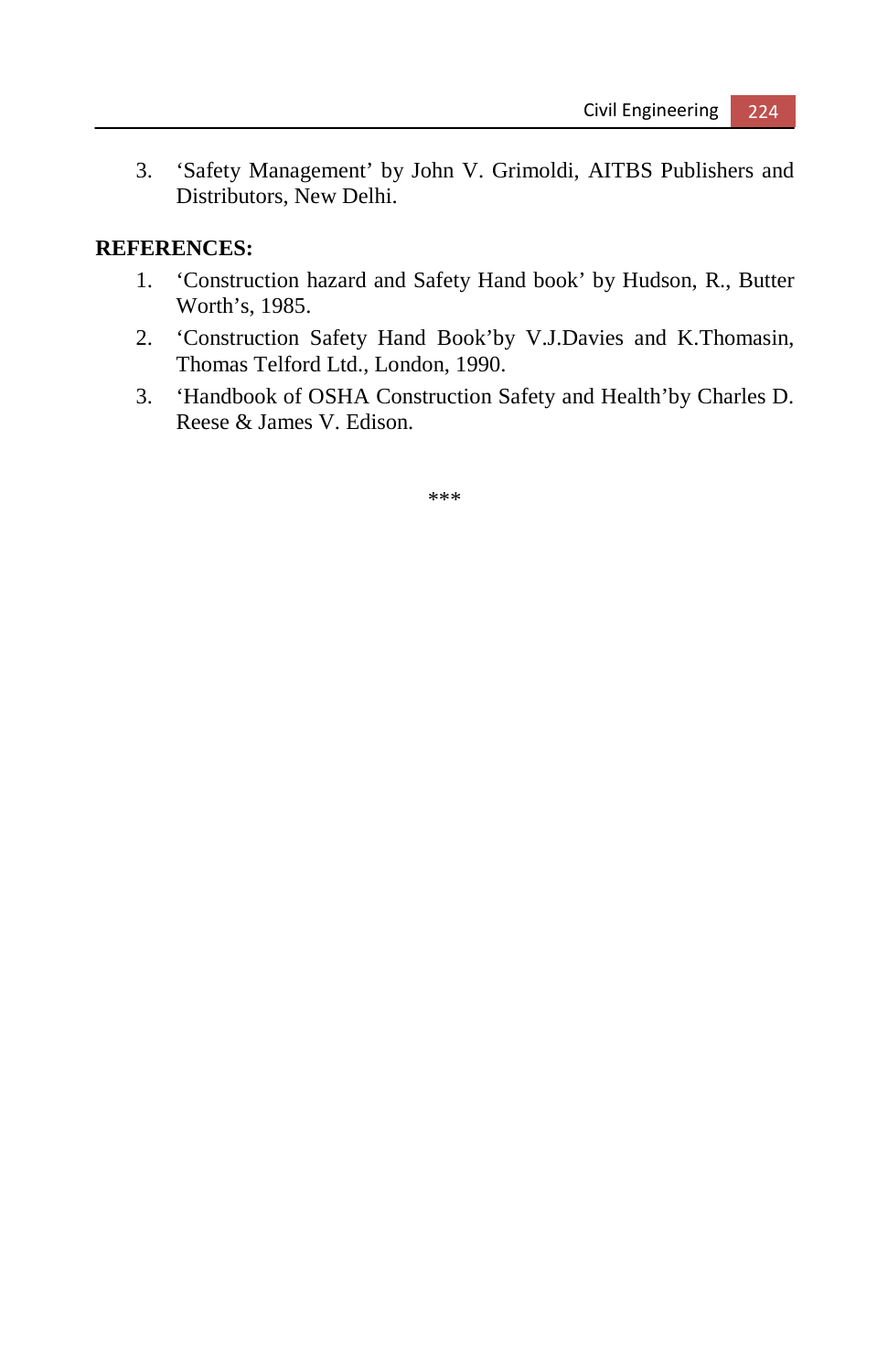3. 'Safety Management' by John V. Grimoldi, AITBS Publishers and Distributors, New Delhi.

#### **REFERENCES:**

- 1. 'Construction hazard and Safety Hand book' by Hudson, R., Butter Worth's, 1985.
- 2. 'Construction Safety Hand Book'by V.J.Davies and K.Thomasin, Thomas Telford Ltd., London, 1990.
- 3. 'Handbook of OSHA Construction Safety and Health'by Charles D. Reese & James V. Edison.

\*\*\*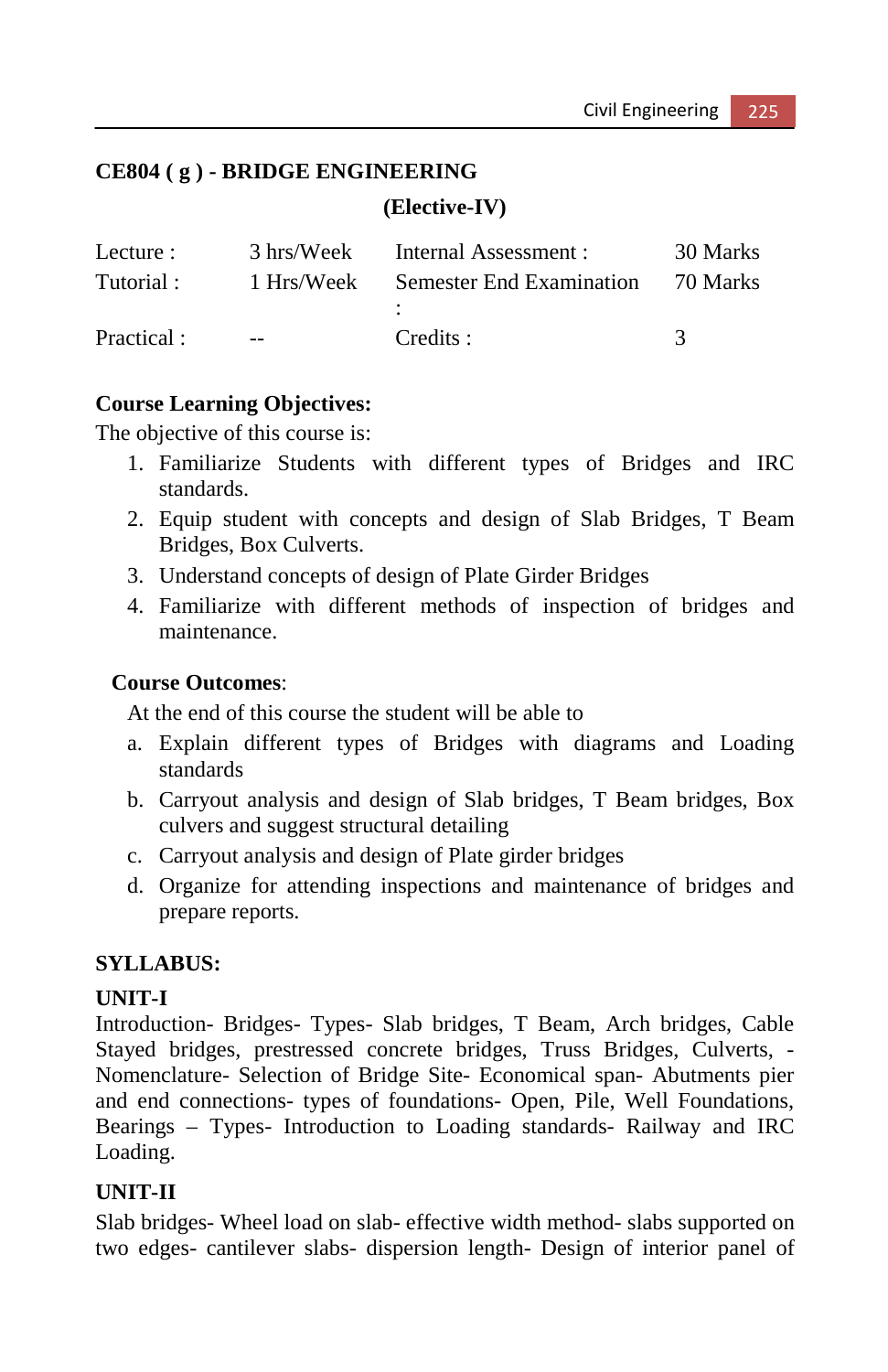# **CE804 ( g ) - BRIDGE ENGINEERING**

**(Elective-IV)** 

| Lecture :   | 3 hrs/Week | Internal Assessment :    | 30 Marks |
|-------------|------------|--------------------------|----------|
| Tutorial:   | 1 Hrs/Week | Semester End Examination | 70 Marks |
|             |            |                          |          |
| Practical : | $-1$       | Credits :                |          |

# **Course Learning Objectives:**

The objective of this course is:

- 1. Familiarize Students with different types of Bridges and IRC standards.
- 2. Equip student with concepts and design of Slab Bridges, T Beam Bridges, Box Culverts.
- 3. Understand concepts of design of Plate Girder Bridges
- 4. Familiarize with different methods of inspection of bridges and maintenance.

#### **Course Outcomes**:

At the end of this course the student will be able to

- a. Explain different types of Bridges with diagrams and Loading standards
- b. Carryout analysis and design of Slab bridges, T Beam bridges, Box culvers and suggest structural detailing
- c. Carryout analysis and design of Plate girder bridges
- d. Organize for attending inspections and maintenance of bridges and prepare reports.

# **SYLLABUS:**

#### **UNIT-I**

Introduction- Bridges- Types- Slab bridges, T Beam, Arch bridges, Cable Stayed bridges, prestressed concrete bridges, Truss Bridges, Culverts, - Nomenclature- Selection of Bridge Site- Economical span- Abutments pier and end connections- types of foundations- Open, Pile, Well Foundations, Bearings – Types- Introduction to Loading standards- Railway and IRC Loading.

# **UNIT-II**

Slab bridges- Wheel load on slab- effective width method- slabs supported on two edges- cantilever slabs- dispersion length- Design of interior panel of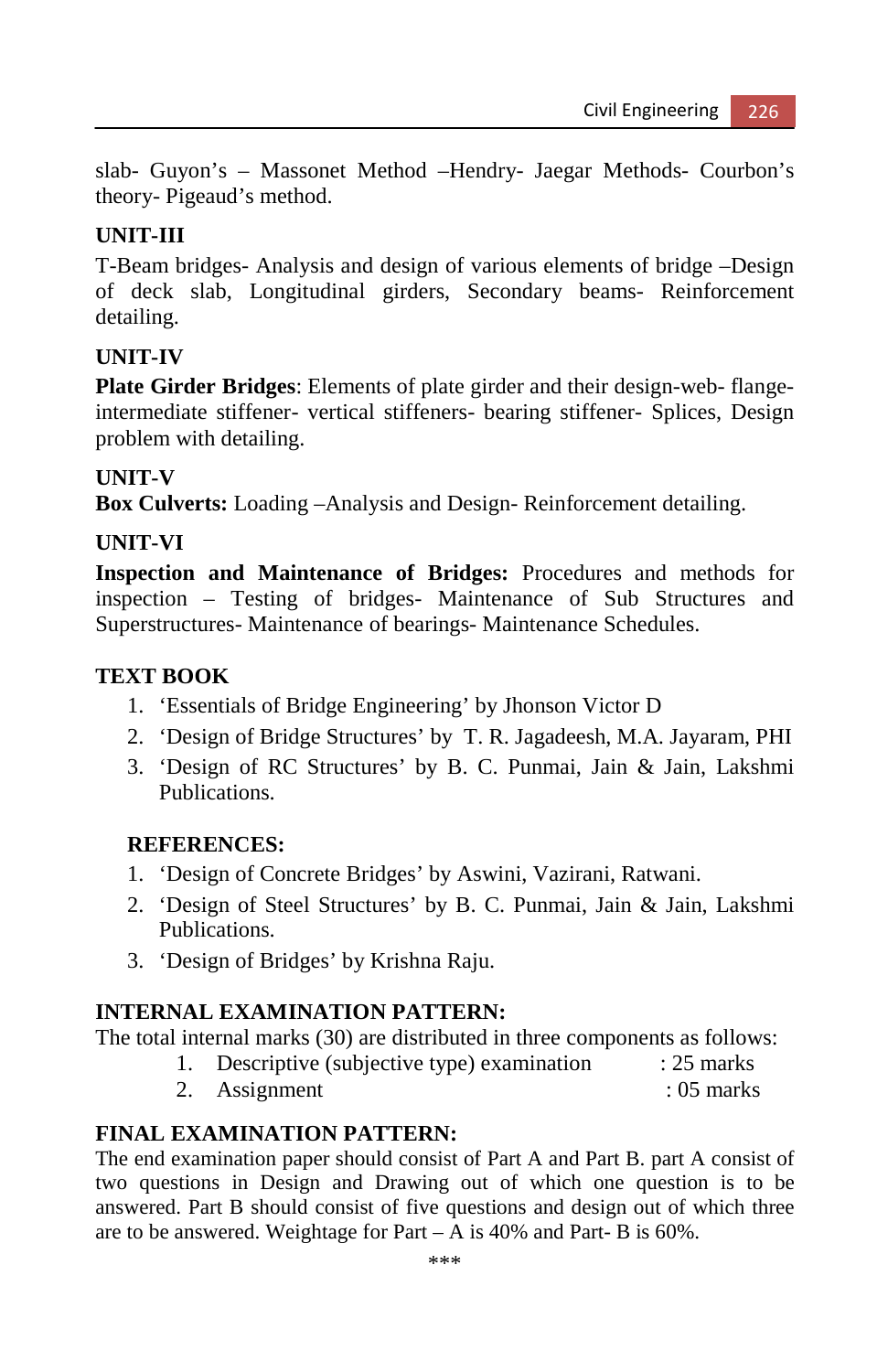slab- Guyon's – Massonet Method –Hendry- Jaegar Methods- Courbon's theory- Pigeaud's method.

#### **UNIT-III**

T-Beam bridges- Analysis and design of various elements of bridge –Design of deck slab, Longitudinal girders, Secondary beams- Reinforcement detailing.

#### **UNIT-IV**

**Plate Girder Bridges**: Elements of plate girder and their design-web- flangeintermediate stiffener- vertical stiffeners- bearing stiffener- Splices, Design problem with detailing.

#### **UNIT-V**

**Box Culverts:** Loading –Analysis and Design- Reinforcement detailing.

# **UNIT-VI**

**Inspection and Maintenance of Bridges:** Procedures and methods for inspection – Testing of bridges- Maintenance of Sub Structures and Superstructures- Maintenance of bearings- Maintenance Schedules.

# **TEXT BOOK**

- 1. 'Essentials of Bridge Engineering' by Jhonson Victor D
- 2. 'Design of Bridge Structures' by T. R. Jagadeesh, M.A. Jayaram, PHI
- 3. 'Design of RC Structures' by B. C. Punmai, Jain & Jain, Lakshmi Publications.

#### **REFERENCES:**

- 1. 'Design of Concrete Bridges' by Aswini, Vazirani, Ratwani.
- 2. 'Design of Steel Structures' by B. C. Punmai, Jain & Jain, Lakshmi Publications.
- 3. 'Design of Bridges' by Krishna Raju.

#### **INTERNAL EXAMINATION PATTERN:**

The total internal marks (30) are distributed in three components as follows:

- 1. Descriptive (subjective type) examination : 25 marks
- 2. Assignment : 05 marks

#### **FINAL EXAMINATION PATTERN:**

The end examination paper should consist of Part A and Part B. part A consist of two questions in Design and Drawing out of which one question is to be answered. Part B should consist of five questions and design out of which three are to be answered. Weightage for Part – A is 40% and Part- B is 60%.